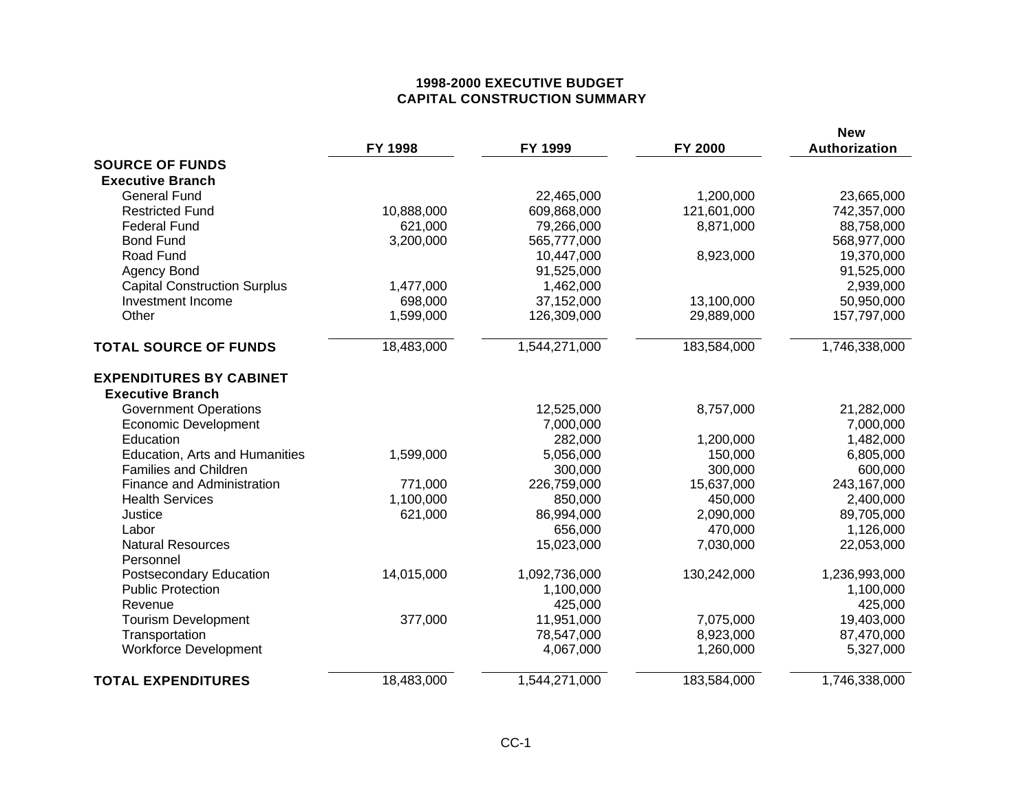# **1998-2000 EXECUTIVE BUDGET CAPITAL CONSTRUCTION SUMMARY**

|                                     | FY 1998    | FY 1999       | FY 2000     | <b>New</b><br>Authorization |
|-------------------------------------|------------|---------------|-------------|-----------------------------|
| <b>SOURCE OF FUNDS</b>              |            |               |             |                             |
| <b>Executive Branch</b>             |            |               |             |                             |
| <b>General Fund</b>                 |            | 22,465,000    | 1,200,000   | 23,665,000                  |
| <b>Restricted Fund</b>              | 10,888,000 | 609,868,000   | 121,601,000 | 742,357,000                 |
| <b>Federal Fund</b>                 | 621,000    | 79,266,000    | 8,871,000   | 88,758,000                  |
| <b>Bond Fund</b>                    | 3,200,000  | 565,777,000   |             | 568,977,000                 |
| Road Fund                           |            | 10,447,000    | 8,923,000   | 19,370,000                  |
| Agency Bond                         |            | 91,525,000    |             | 91,525,000                  |
| <b>Capital Construction Surplus</b> | 1,477,000  | 1,462,000     |             | 2,939,000                   |
| Investment Income                   | 698,000    | 37,152,000    | 13,100,000  | 50,950,000                  |
| Other                               | 1,599,000  | 126,309,000   | 29,889,000  | 157,797,000                 |
| <b>TOTAL SOURCE OF FUNDS</b>        | 18,483,000 | 1,544,271,000 | 183,584,000 | 1,746,338,000               |
| <b>EXPENDITURES BY CABINET</b>      |            |               |             |                             |
| <b>Executive Branch</b>             |            |               |             |                             |
| <b>Government Operations</b>        |            | 12,525,000    | 8,757,000   | 21,282,000                  |
| <b>Economic Development</b>         |            | 7,000,000     |             | 7,000,000                   |
| Education                           |            | 282,000       | 1,200,000   | 1,482,000                   |
| Education, Arts and Humanities      | 1,599,000  | 5,056,000     | 150,000     | 6,805,000                   |
| <b>Families and Children</b>        |            | 300,000       | 300,000     | 600,000                     |
| Finance and Administration          | 771,000    | 226,759,000   | 15,637,000  | 243,167,000                 |
| <b>Health Services</b>              | 1,100,000  | 850,000       | 450,000     | 2,400,000                   |
| Justice                             | 621,000    | 86,994,000    | 2,090,000   | 89,705,000                  |
| Labor                               |            | 656,000       | 470,000     | 1,126,000                   |
| <b>Natural Resources</b>            |            | 15,023,000    | 7,030,000   | 22,053,000                  |
| Personnel                           |            |               |             |                             |
| Postsecondary Education             | 14,015,000 | 1,092,736,000 | 130,242,000 | 1,236,993,000               |
| <b>Public Protection</b>            |            | 1,100,000     |             | 1,100,000                   |
| Revenue                             |            | 425,000       |             | 425,000                     |
| <b>Tourism Development</b>          | 377,000    | 11,951,000    | 7,075,000   | 19,403,000                  |
| Transportation                      |            | 78,547,000    | 8,923,000   | 87,470,000                  |
| <b>Workforce Development</b>        |            | 4,067,000     | 1,260,000   | 5,327,000                   |
| <b>TOTAL EXPENDITURES</b>           | 18,483,000 | 1,544,271,000 | 183,584,000 | 1,746,338,000               |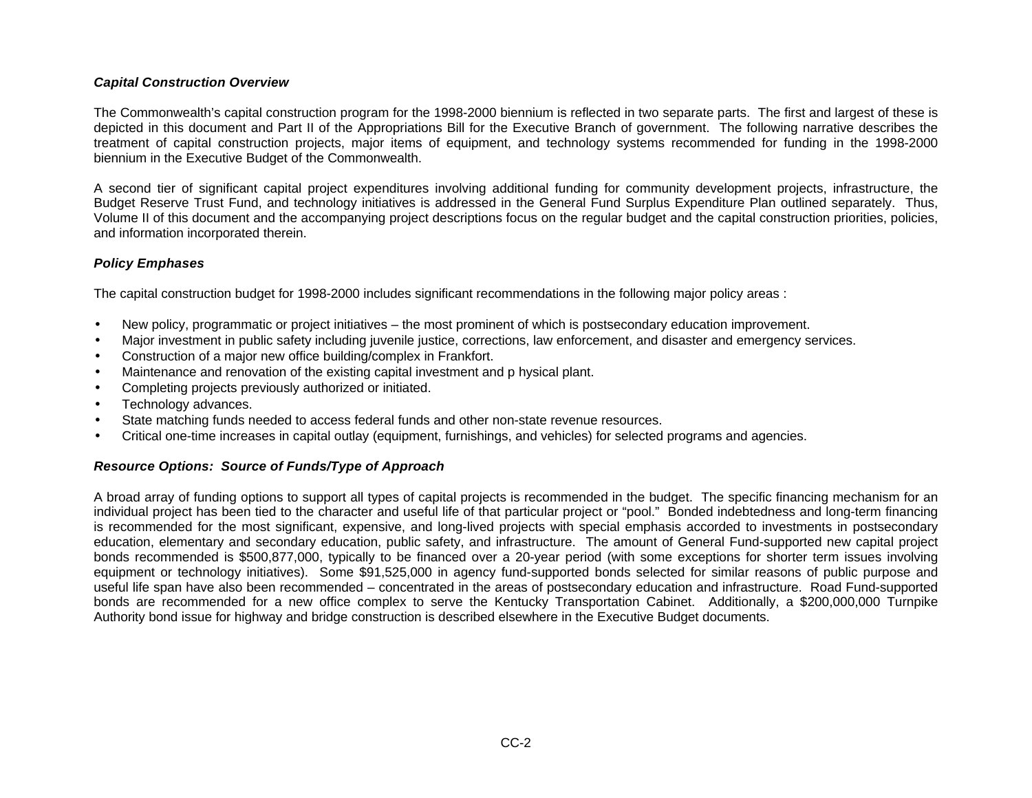## *Capital Construction Overview*

The Commonwealth's capital construction program for the 1998-2000 biennium is reflected in two separate parts. The first and largest of these is depicted in this document and Part II of the Appropriations Bill for the Executive Branch of government. The following narrative describes the treatment of capital construction projects, major items of equipment, and technology systems recommended for funding in the 1998-2000 biennium in the Executive Budget of the Commonwealth.

A second tier of significant capital project expenditures involving additional funding for community development projects, infrastructure, the Budget Reserve Trust Fund, and technology initiatives is addressed in the General Fund Surplus Expenditure Plan outlined separately. Thus, Volume II of this document and the accompanying project descriptions focus on the regular budget and the capital construction priorities, policies, and information incorporated therein.

## *Policy Emphases*

The capital construction budget for 1998-2000 includes significant recommendations in the following major policy areas :

- New policy, programmatic or project initiatives the most prominent of which is postsecondary education improvement.
- Major investment in public safety including juvenile justice, corrections, law enforcement, and disaster and emergency services.
- Construction of a major new office building/complex in Frankfort.
- Maintenance and renovation of the existing capital investment and p hysical plant.
- Completing projects previously authorized or initiated.
- Technology advances.
- State matching funds needed to access federal funds and other non-state revenue resources.
- Critical one-time increases in capital outlay (equipment, furnishings, and vehicles) for selected programs and agencies.

## *Resource Options: Source of Funds/Type of Approach*

A broad array of funding options to support all types of capital projects is recommended in the budget. The specific financing mechanism for an individual project has been tied to the character and useful life of that particular project or "pool." Bonded indebtedness and long-term financing is recommended for the most significant, expensive, and long-lived projects with special emphasis accorded to investments in postsecondary education, elementary and secondary education, public safety, and infrastructure. The amount of General Fund-supported new capital project bonds recommended is \$500,877,000, typically to be financed over a 20-year period (with some exceptions for shorter term issues involving equipment or technology initiatives). Some \$91,525,000 in agency fund-supported bonds selected for similar reasons of public purpose and useful life span have also been recommended – concentrated in the areas of postsecondary education and infrastructure. Road Fund-supported bonds are recommended for a new office complex to serve the Kentucky Transportation Cabinet. Additionally, a \$200,000,000 Turnpike Authority bond issue for highway and bridge construction is described elsewhere in the Executive Budget documents.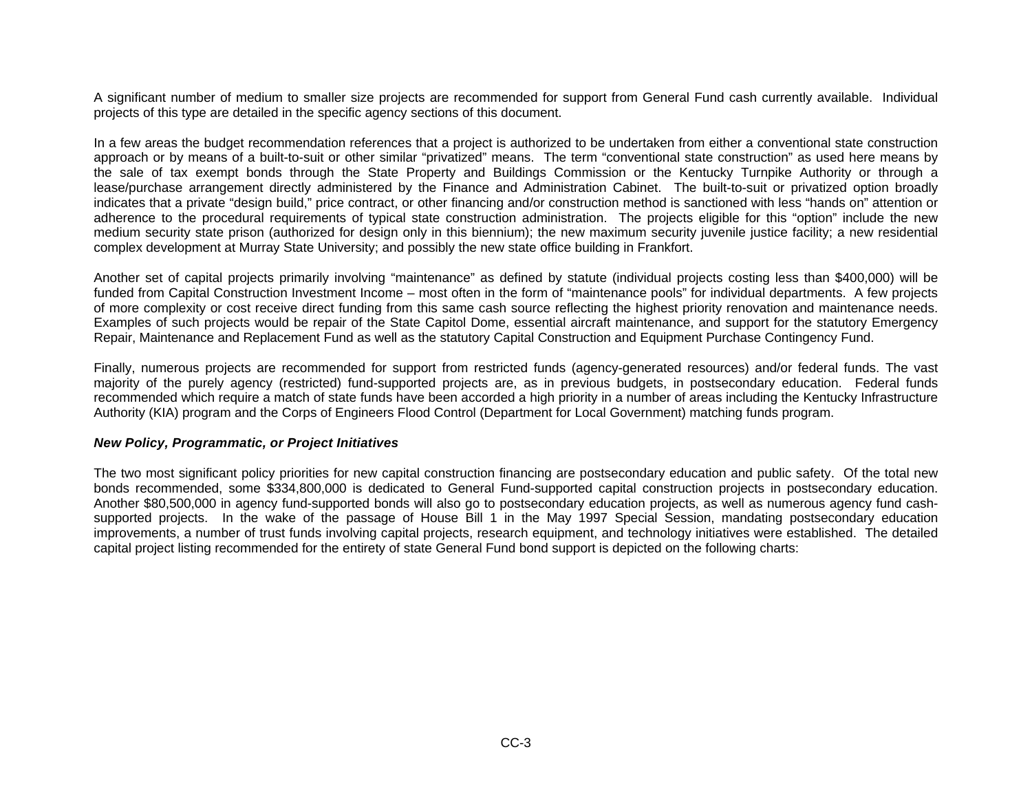A significant number of medium to smaller size projects are recommended for support from General Fund cash currently available. Individual projects of this type are detailed in the specific agency sections of this document.

In a few areas the budget recommendation references that a project is authorized to be undertaken from either a conventional state construction approach or by means of a built-to-suit or other similar "privatized" means. The term "conventional state construction" as used here means by the sale of tax exempt bonds through the State Property and Buildings Commission or the Kentucky Turnpike Authority or through a lease/purchase arrangement directly administered by the Finance and Administration Cabinet. The built-to-suit or privatized option broadly indicates that a private "design build," price contract, or other financing and/or construction method is sanctioned with less "hands on" attention or adherence to the procedural requirements of typical state construction administration. The projects eligible for this "option" include the new medium security state prison (authorized for design only in this biennium); the new maximum security juvenile justice facility; a new residential complex development at Murray State University; and possibly the new state office building in Frankfort.

Another set of capital projects primarily involving "maintenance" as defined by statute (individual projects costing less than \$400,000) will be funded from Capital Construction Investment Income – most often in the form of "maintenance pools" for individual departments. A few projects of more complexity or cost receive direct funding from this same cash source reflecting the highest priority renovation and maintenance needs. Examples of such projects would be repair of the State Capitol Dome, essential aircraft maintenance, and support for the statutory Emergency Repair, Maintenance and Replacement Fund as well as the statutory Capital Construction and Equipment Purchase Contingency Fund.

Finally, numerous projects are recommended for support from restricted funds (agency-generated resources) and/or federal funds. The vast majority of the purely agency (restricted) fund-supported projects are, as in previous budgets, in postsecondary education. Federal funds recommended which require a match of state funds have been accorded a high priority in a number of areas including the Kentucky Infrastructure Authority (KIA) program and the Corps of Engineers Flood Control (Department for Local Government) matching funds program.

### *New Policy, Programmatic, or Project Initiatives*

The two most significant policy priorities for new capital construction financing are postsecondary education and public safety. Of the total new bonds recommended, some \$334,800,000 is dedicated to General Fund-supported capital construction projects in postsecondary education. Another \$80,500,000 in agency fund-supported bonds will also go to postsecondary education projects, as well as numerous agency fund cashsupported projects. In the wake of the passage of House Bill 1 in the May 1997 Special Session, mandating postsecondary education improvements, a number of trust funds involving capital projects, research equipment, and technology initiatives were established. The detailed capital project listing recommended for the entirety of state General Fund bond support is depicted on the following charts: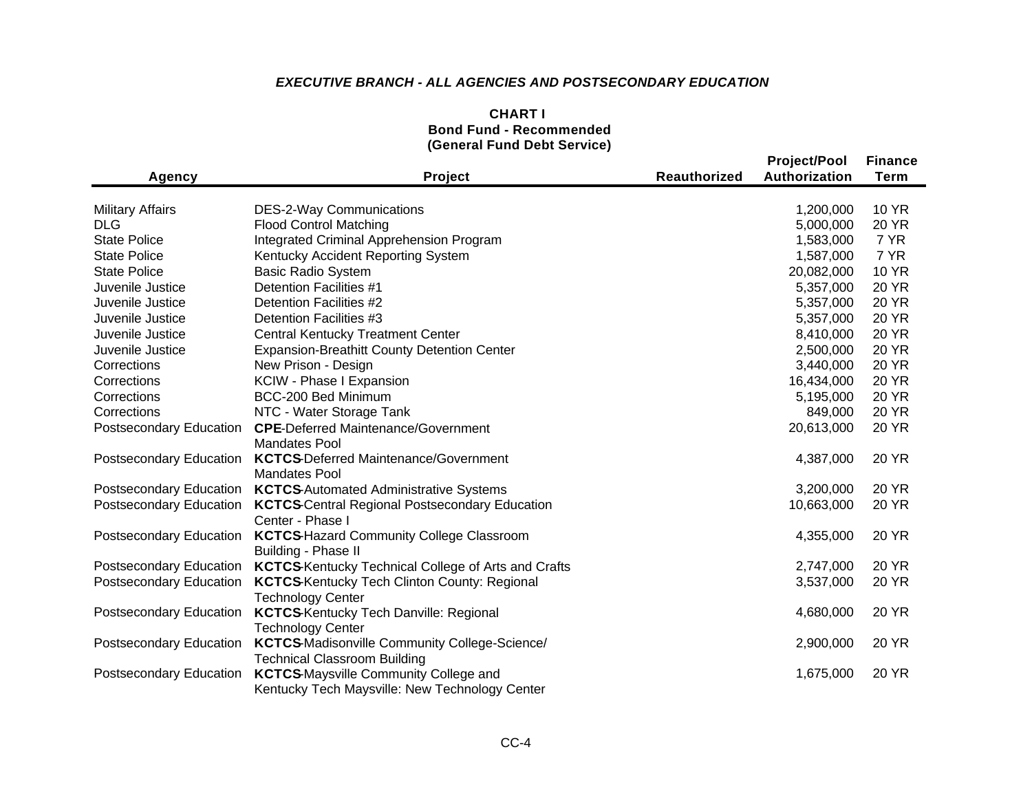# *EXECUTIVE BRANCH - ALL AGENCIES AND POSTSECONDARY EDUCATION*

| <b>CHART I</b>                 |  |
|--------------------------------|--|
| <b>Bond Fund - Recommended</b> |  |
| (General Fund Debt Service)    |  |

| Agency                  | Project                                                    | <b>Reauthorized</b> | <b>Project/Pool</b><br>Authorization | <b>Finance</b><br><b>Term</b> |
|-------------------------|------------------------------------------------------------|---------------------|--------------------------------------|-------------------------------|
|                         |                                                            |                     |                                      |                               |
| <b>Military Affairs</b> | <b>DES-2-Way Communications</b>                            |                     | 1,200,000                            | <b>10 YR</b>                  |
| DLG                     | <b>Flood Control Matching</b>                              |                     | 5,000,000                            | <b>20 YR</b>                  |
| <b>State Police</b>     | Integrated Criminal Apprehension Program                   |                     | 1,583,000                            | 7 YR                          |
| <b>State Police</b>     | Kentucky Accident Reporting System                         |                     | 1,587,000                            | 7 YR                          |
| <b>State Police</b>     | <b>Basic Radio System</b>                                  |                     | 20,082,000                           | <b>10 YR</b>                  |
| Juvenile Justice        | Detention Facilities #1                                    |                     | 5,357,000                            | <b>20 YR</b>                  |
| Juvenile Justice        | Detention Facilities #2                                    |                     | 5,357,000                            | <b>20 YR</b>                  |
| Juvenile Justice        | Detention Facilities #3                                    |                     | 5,357,000                            | <b>20 YR</b>                  |
| Juvenile Justice        | <b>Central Kentucky Treatment Center</b>                   |                     | 8,410,000                            | <b>20 YR</b>                  |
| Juvenile Justice        | <b>Expansion-Breathitt County Detention Center</b>         |                     | 2,500,000                            | <b>20 YR</b>                  |
| Corrections             | New Prison - Design                                        |                     | 3,440,000                            | <b>20 YR</b>                  |
| Corrections             | KCIW - Phase I Expansion                                   |                     | 16,434,000                           | <b>20 YR</b>                  |
| Corrections             | BCC-200 Bed Minimum                                        |                     | 5,195,000                            | <b>20 YR</b>                  |
| Corrections             | NTC - Water Storage Tank                                   |                     | 849,000                              | <b>20 YR</b>                  |
| Postsecondary Education | <b>CPE-Deferred Maintenance/Government</b>                 |                     | 20,613,000                           | <b>20 YR</b>                  |
|                         | <b>Mandates Pool</b>                                       |                     |                                      |                               |
| Postsecondary Education | <b>KCTCS-Deferred Maintenance/Government</b>               |                     | 4,387,000                            | 20 YR                         |
|                         | <b>Mandates Pool</b>                                       |                     |                                      |                               |
| Postsecondary Education | <b>KCTCS-Automated Administrative Systems</b>              |                     | 3,200,000                            | 20 YR                         |
| Postsecondary Education | <b>KCTCS-Central Regional Postsecondary Education</b>      |                     | 10,663,000                           | 20 YR                         |
|                         | Center - Phase I                                           |                     |                                      |                               |
| Postsecondary Education | <b>KCTCS-Hazard Community College Classroom</b>            |                     | 4,355,000                            | <b>20 YR</b>                  |
|                         | Building - Phase II                                        |                     |                                      |                               |
| Postsecondary Education | <b>KCTCS-Kentucky Technical College of Arts and Crafts</b> |                     | 2,747,000                            | <b>20 YR</b>                  |
| Postsecondary Education | <b>KCTCS-Kentucky Tech Clinton County: Regional</b>        |                     | 3,537,000                            | <b>20 YR</b>                  |
|                         | <b>Technology Center</b>                                   |                     |                                      |                               |
| Postsecondary Education | <b>KCTCS-Kentucky Tech Danville: Regional</b>              |                     | 4,680,000                            | 20 YR                         |
|                         | <b>Technology Center</b>                                   |                     |                                      |                               |
| Postsecondary Education | <b>KCTCS-Madisonville Community College-Science/</b>       |                     | 2,900,000                            | 20 YR                         |
|                         | <b>Technical Classroom Building</b>                        |                     |                                      |                               |
| Postsecondary Education | <b>KCTCS-Maysville Community College and</b>               |                     | 1,675,000                            | <b>20 YR</b>                  |
|                         | Kentucky Tech Maysville: New Technology Center             |                     |                                      |                               |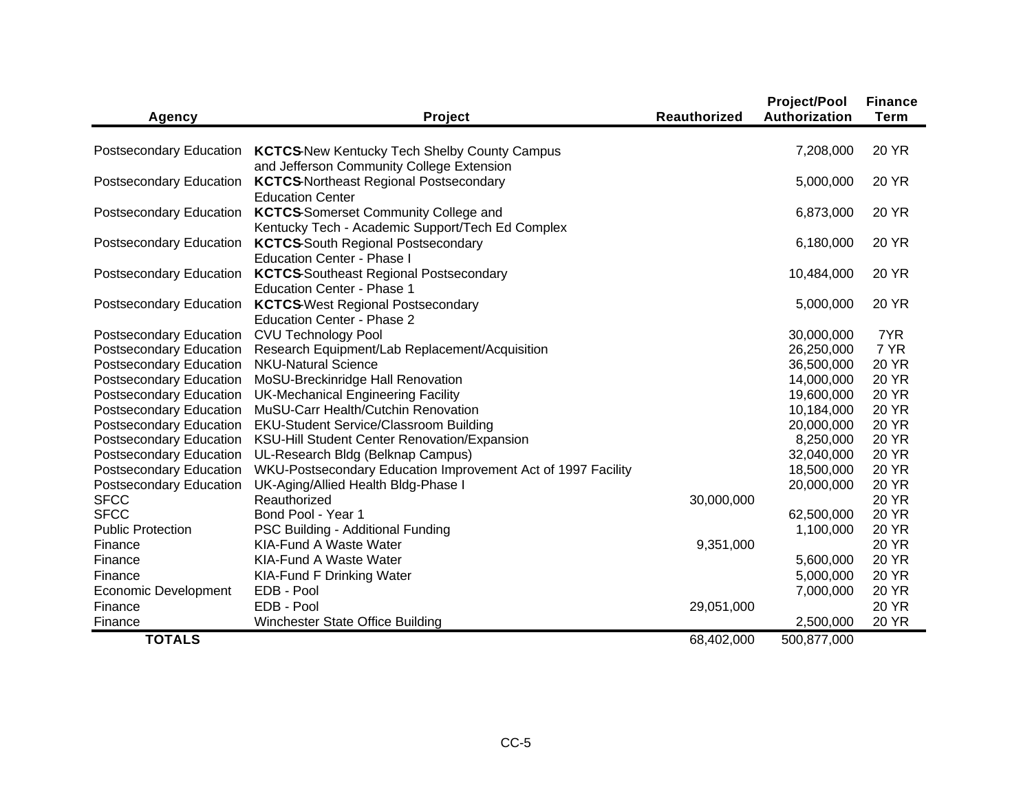| <b>Agency</b>            | Project                                                                            | <b>Reauthorized</b> | <b>Project/Pool</b><br>Authorization | <b>Finance</b><br><b>Term</b> |
|--------------------------|------------------------------------------------------------------------------------|---------------------|--------------------------------------|-------------------------------|
|                          |                                                                                    |                     |                                      |                               |
|                          | Postsecondary Education  KCTCS-New Kentucky Tech Shelby County Campus              |                     | 7,208,000                            | <b>20 YR</b>                  |
|                          | and Jefferson Community College Extension                                          |                     |                                      |                               |
| Postsecondary Education  | <b>KCTCS-Northeast Regional Postsecondary</b>                                      |                     | 5,000,000                            | 20 YR                         |
|                          | <b>Education Center</b>                                                            |                     |                                      |                               |
| Postsecondary Education  | <b>KCTCS-Somerset Community College and</b>                                        |                     | 6,873,000                            | 20 YR                         |
|                          | Kentucky Tech - Academic Support/Tech Ed Complex                                   |                     |                                      |                               |
| Postsecondary Education  | <b>KCTCS-South Regional Postsecondary</b>                                          |                     | 6,180,000                            | 20 YR                         |
|                          | <b>Education Center - Phase I</b>                                                  |                     |                                      |                               |
| Postsecondary Education  | <b>KCTCS-Southeast Regional Postsecondary</b><br><b>Education Center - Phase 1</b> |                     | 10,484,000                           | <b>20 YR</b>                  |
| Postsecondary Education  | <b>KCTCS</b> West Regional Postsecondary                                           |                     | 5,000,000                            | <b>20 YR</b>                  |
|                          | <b>Education Center - Phase 2</b>                                                  |                     |                                      |                               |
| Postsecondary Education  | <b>CVU Technology Pool</b>                                                         |                     | 30,000,000                           | 7YR                           |
| Postsecondary Education  | Research Equipment/Lab Replacement/Acquisition                                     |                     | 26,250,000                           | 7 YR                          |
| Postsecondary Education  | <b>NKU-Natural Science</b>                                                         |                     | 36,500,000                           | <b>20 YR</b>                  |
| Postsecondary Education  | MoSU-Breckinridge Hall Renovation                                                  |                     | 14,000,000                           | <b>20 YR</b>                  |
| Postsecondary Education  | <b>UK-Mechanical Engineering Facility</b>                                          |                     | 19,600,000                           | <b>20 YR</b>                  |
| Postsecondary Education  | MuSU-Carr Health/Cutchin Renovation                                                |                     | 10,184,000                           | <b>20 YR</b>                  |
| Postsecondary Education  | <b>EKU-Student Service/Classroom Building</b>                                      |                     | 20,000,000                           | <b>20 YR</b>                  |
| Postsecondary Education  | KSU-Hill Student Center Renovation/Expansion                                       |                     | 8,250,000                            | <b>20 YR</b>                  |
| Postsecondary Education  | UL-Research Bldg (Belknap Campus)                                                  |                     | 32,040,000                           | <b>20 YR</b>                  |
| Postsecondary Education  | WKU-Postsecondary Education Improvement Act of 1997 Facility                       |                     | 18,500,000                           | <b>20 YR</b>                  |
| Postsecondary Education  | UK-Aging/Allied Health Bldg-Phase I                                                |                     | 20,000,000                           | <b>20 YR</b>                  |
| <b>SFCC</b>              | Reauthorized                                                                       | 30,000,000          |                                      | <b>20 YR</b>                  |
| <b>SFCC</b>              | Bond Pool - Year 1                                                                 |                     | 62,500,000                           | <b>20 YR</b>                  |
| <b>Public Protection</b> | PSC Building - Additional Funding                                                  |                     | 1,100,000                            | <b>20 YR</b>                  |
| Finance                  | KIA-Fund A Waste Water<br>KIA-Fund A Waste Water                                   | 9,351,000           |                                      | <b>20 YR</b><br><b>20 YR</b>  |
| Finance                  |                                                                                    |                     | 5,600,000                            |                               |
| Finance                  | <b>KIA-Fund F Drinking Water</b>                                                   |                     | 5,000,000                            | <b>20 YR</b>                  |
| Economic Development     | EDB - Pool<br>EDB - Pool                                                           |                     | 7,000,000                            | <b>20 YR</b><br><b>20 YR</b>  |
| Finance<br>Finance       | Winchester State Office Building                                                   | 29,051,000          | 2,500,000                            | <b>20 YR</b>                  |
|                          |                                                                                    |                     |                                      |                               |
| <b>TOTALS</b>            |                                                                                    | 68,402,000          | 500,877,000                          |                               |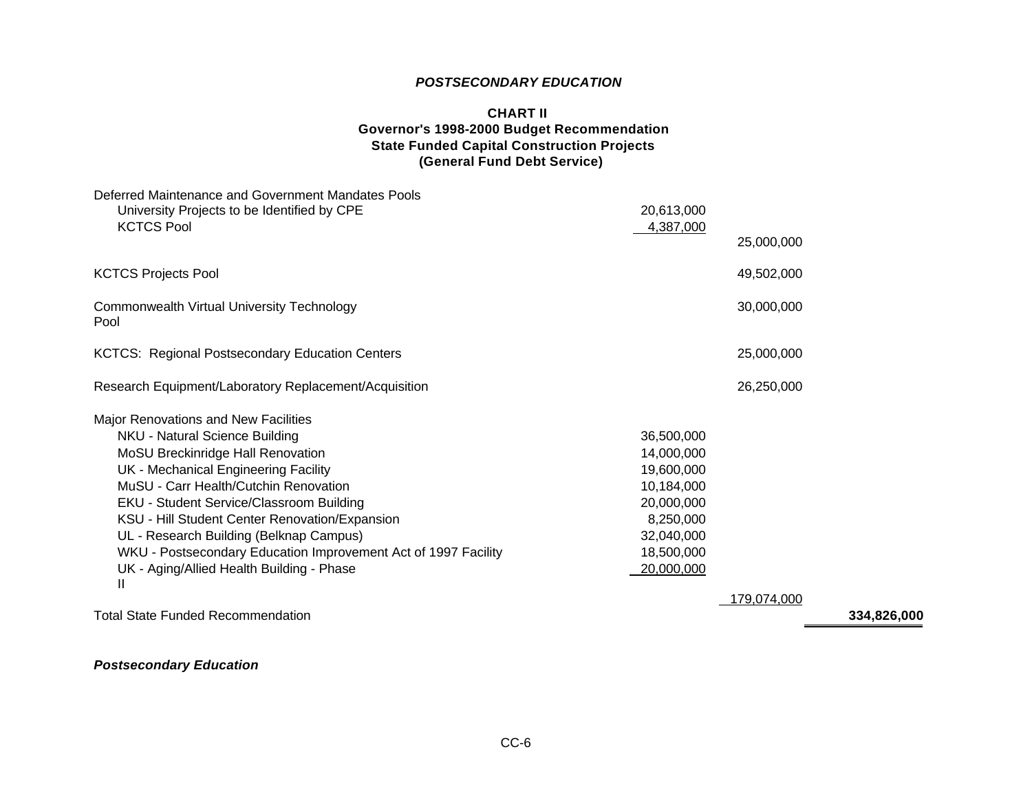# *POSTSECONDARY EDUCATION*

## **CHART II Governor's 1998-2000 Budget Recommendation State Funded Capital Construction Projects (General Fund Debt Service)**

| Deferred Maintenance and Government Mandates Pools<br>University Projects to be Identified by CPE<br><b>KCTCS Pool</b> | 20,613,000<br>4,387,000 |             |
|------------------------------------------------------------------------------------------------------------------------|-------------------------|-------------|
|                                                                                                                        |                         | 25,000,000  |
| <b>KCTCS Projects Pool</b>                                                                                             |                         | 49,502,000  |
| <b>Commonwealth Virtual University Technology</b><br>Pool                                                              |                         | 30,000,000  |
| <b>KCTCS: Regional Postsecondary Education Centers</b>                                                                 |                         | 25,000,000  |
| Research Equipment/Laboratory Replacement/Acquisition                                                                  |                         | 26,250,000  |
| Major Renovations and New Facilities                                                                                   |                         |             |
| NKU - Natural Science Building                                                                                         | 36,500,000              |             |
| MoSU Breckinridge Hall Renovation                                                                                      | 14,000,000              |             |
| UK - Mechanical Engineering Facility                                                                                   | 19,600,000              |             |
| MuSU - Carr Health/Cutchin Renovation                                                                                  | 10,184,000              |             |
| EKU - Student Service/Classroom Building                                                                               | 20,000,000              |             |
| KSU - Hill Student Center Renovation/Expansion                                                                         | 8,250,000               |             |
| UL - Research Building (Belknap Campus)                                                                                | 32,040,000              |             |
| WKU - Postsecondary Education Improvement Act of 1997 Facility                                                         | 18,500,000              |             |
| UK - Aging/Allied Health Building - Phase<br>$\mathbf{H}$                                                              | 20,000,000              |             |
|                                                                                                                        |                         | 179,074,000 |

Total State Funded Recommendation **334,826,000**

# *Postsecondary Education*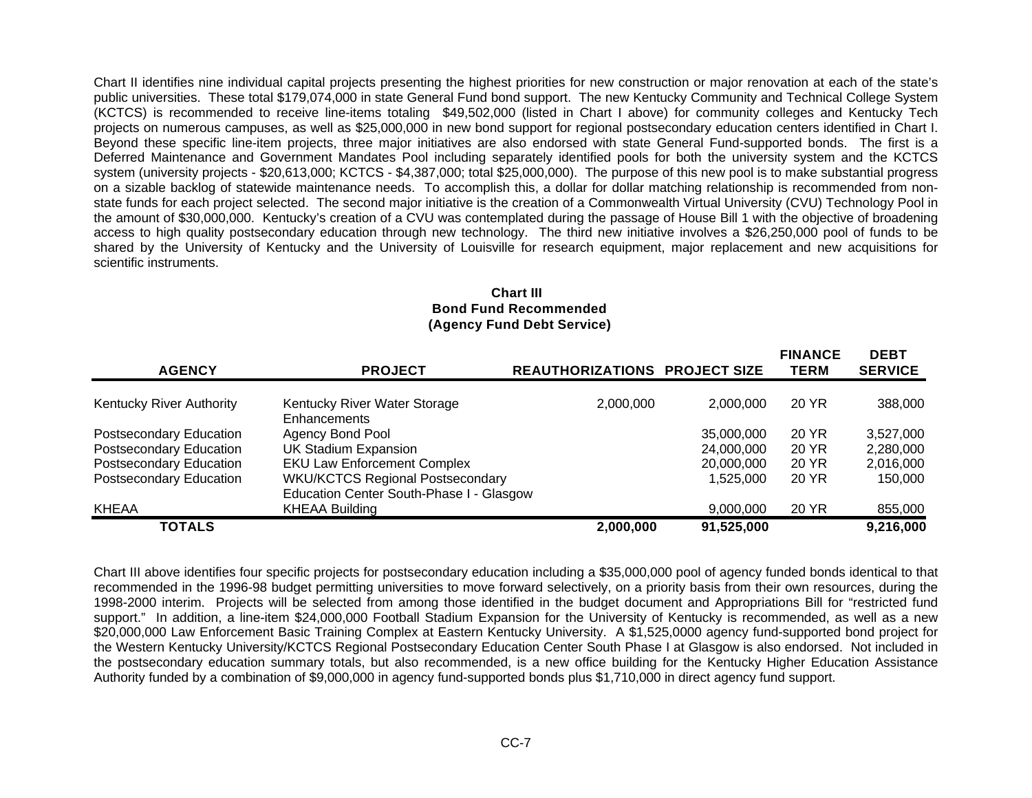Chart II identifies nine individual capital projects presenting the highest priorities for new construction or major renovation at each of the state's public universities. These total \$179,074,000 in state General Fund bond support. The new Kentucky Community and Technical College System (KCTCS) is recommended to receive line-items totaling \$49,502,000 (listed in Chart I above) for community colleges and Kentucky Tech projects on numerous campuses, as well as \$25,000,000 in new bond support for regional postsecondary education centers identified in Chart I. Beyond these specific line-item projects, three major initiatives are also endorsed with state General Fund-supported bonds. The first is a Deferred Maintenance and Government Mandates Pool including separately identified pools for both the university system and the KCTCS system (university projects - \$20,613,000; KCTCS - \$4,387,000; total \$25,000,000). The purpose of this new pool is to make substantial progress on a sizable backlog of statewide maintenance needs. To accomplish this, a dollar for dollar matching relationship is recommended from nonstate funds for each project selected. The second major initiative is the creation of a Commonwealth Virtual University (CVU) Technology Pool in the amount of \$30,000,000. Kentucky's creation of a CVU was contemplated during the passage of House Bill 1 with the objective of broadening access to high quality postsecondary education through new technology. The third new initiative involves a \$26,250,000 pool of funds to be shared by the University of Kentucky and the University of Louisville for research equipment, major replacement and new acquisitions for scientific instruments.

#### **Chart III Bond Fund Recommended (Agency Fund Debt Service)**

**FINANCE**

| <b>AGENCY</b>            | <b>PROJECT</b>                               | <b>REAUTHORIZATIONS PROJECT SIZE</b> |            | <b>FINANCE</b><br><b>TERM</b> | <b>DEBT</b><br><b>SERVICE</b> |
|--------------------------|----------------------------------------------|--------------------------------------|------------|-------------------------------|-------------------------------|
|                          |                                              |                                      |            |                               |                               |
| Kentucky River Authority | Kentucky River Water Storage<br>Enhancements | 2,000,000                            | 2,000,000  | 20 YR                         | 388,000                       |
| Postsecondary Education  | Agency Bond Pool                             |                                      | 35,000,000 | 20 YR                         | 3,527,000                     |
| Postsecondary Education  | <b>UK Stadium Expansion</b>                  |                                      | 24,000,000 | 20 YR                         | 2,280,000                     |
| Postsecondary Education  | <b>EKU Law Enforcement Complex</b>           |                                      | 20,000,000 | 20 YR                         | 2,016,000                     |
| Postsecondary Education  | <b>WKU/KCTCS Regional Postsecondary</b>      |                                      | 1,525,000  | 20 YR                         | 150,000                       |
|                          | Education Center South-Phase I - Glasgow     |                                      |            |                               |                               |
| KHEAA                    | <b>KHEAA Building</b>                        |                                      | 9,000,000  | 20 YR                         | 855,000                       |
| <b>TOTALS</b>            |                                              | 2,000,000                            | 91,525,000 |                               | 9,216,000                     |

Chart III above identifies four specific projects for postsecondary education including a \$35,000,000 pool of agency funded bonds identical to that recommended in the 1996-98 budget permitting universities to move forward selectively, on a priority basis from their own resources, during the 1998-2000 interim. Projects will be selected from among those identified in the budget document and Appropriations Bill for "restricted fund support." In addition, a line-item \$24,000,000 Football Stadium Expansion for the University of Kentucky is recommended, as well as a new \$20,000,000 Law Enforcement Basic Training Complex at Eastern Kentucky University. A \$1,525,0000 agency fund-supported bond project for the Western Kentucky University/KCTCS Regional Postsecondary Education Center South Phase I at Glasgow is also endorsed. Not included in the postsecondary education summary totals, but also recommended, is a new office building for the Kentucky Higher Education Assistance Authority funded by a combination of \$9,000,000 in agency fund-supported bonds plus \$1,710,000 in direct agency fund support.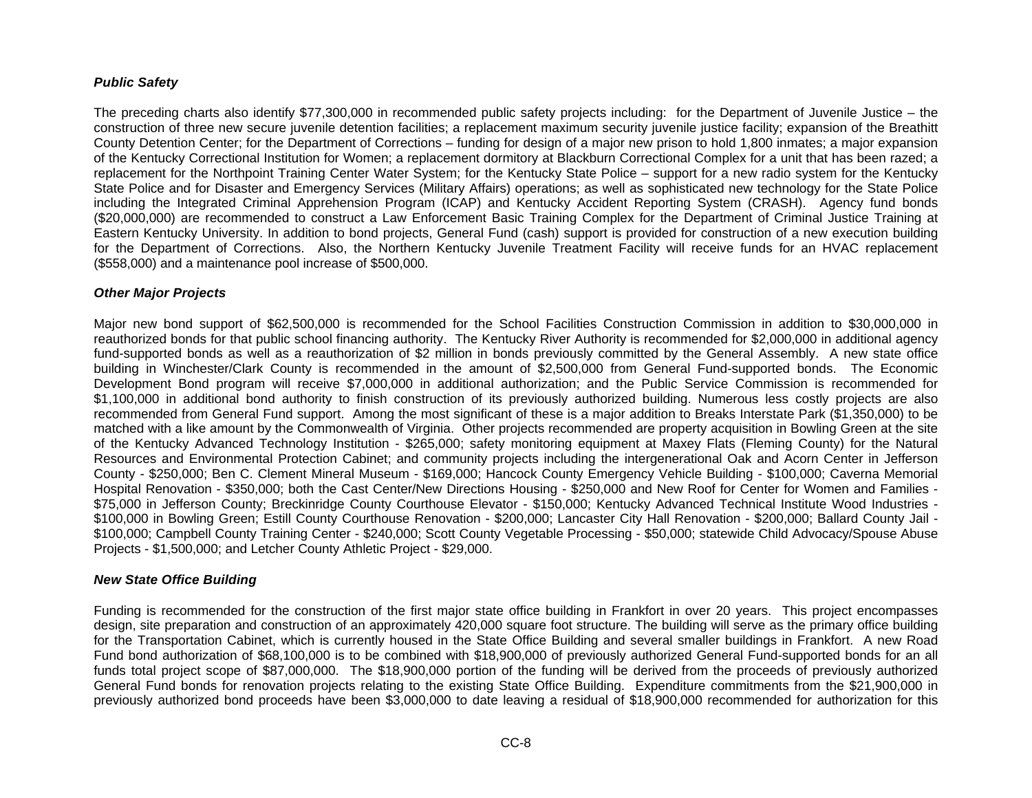## *Public Safety*

The preceding charts also identify \$77,300,000 in recommended public safety projects including: for the Department of Juvenile Justice – the construction of three new secure juvenile detention facilities; a replacement maximum security juvenile justice facility; expansion of the Breathitt County Detention Center; for the Department of Corrections – funding for design of a major new prison to hold 1,800 inmates; a major expansion of the Kentucky Correctional Institution for Women; a replacement dormitory at Blackburn Correctional Complex for a unit that has been razed; a replacement for the Northpoint Training Center Water System; for the Kentucky State Police – support for a new radio system for the Kentucky State Police and for Disaster and Emergency Services (Military Affairs) operations; as well as sophisticated new technology for the State Police including the Integrated Criminal Apprehension Program (ICAP) and Kentucky Accident Reporting System (CRASH). Agency fund bonds (\$20,000,000) are recommended to construct a Law Enforcement Basic Training Complex for the Department of Criminal Justice Training at Eastern Kentucky University. In addition to bond projects, General Fund (cash) support is provided for construction of a new execution building for the Department of Corrections. Also, the Northern Kentucky Juvenile Treatment Facility will receive funds for an HVAC replacement (\$558,000) and a maintenance pool increase of \$500,000.

### *Other Major Projects*

Major new bond support of \$62,500,000 is recommended for the School Facilities Construction Commission in addition to \$30,000,000 in reauthorized bonds for that public school financing authority. The Kentucky River Authority is recommended for \$2,000,000 in additional agency fund-supported bonds as well as a reauthorization of \$2 million in bonds previously committed by the General Assembly. A new state office building in Winchester/Clark County is recommended in the amount of \$2,500,000 from General Fund-supported bonds. The Economic Development Bond program will receive \$7,000,000 in additional authorization; and the Public Service Commission is recommended for \$1,100,000 in additional bond authority to finish construction of its previously authorized building. Numerous less costly projects are also recommended from General Fund support. Among the most significant of these is a major addition to Breaks Interstate Park (\$1,350,000) to be matched with a like amount by the Commonwealth of Virginia. Other projects recommended are property acquisition in Bowling Green at the site of the Kentucky Advanced Technology Institution - \$265,000; safety monitoring equipment at Maxey Flats (Fleming County) for the Natural Resources and Environmental Protection Cabinet; and community projects including the intergenerational Oak and Acorn Center in Jefferson County - \$250,000; Ben C. Clement Mineral Museum - \$169,000; Hancock County Emergency Vehicle Building - \$100,000; Caverna Memorial Hospital Renovation - \$350,000; both the Cast Center/New Directions Housing - \$250,000 and New Roof for Center for Women and Families - \$75,000 in Jefferson County; Breckinridge County Courthouse Elevator - \$150,000; Kentucky Advanced Technical Institute Wood Industries - \$100,000 in Bowling Green; Estill County Courthouse Renovation - \$200,000; Lancaster City Hall Renovation - \$200,000; Ballard County Jail - \$100,000; Campbell County Training Center - \$240,000; Scott County Vegetable Processing - \$50,000; statewide Child Advocacy/Spouse Abuse Projects - \$1,500,000; and Letcher County Athletic Project - \$29,000.

## *New State Office Building*

Funding is recommended for the construction of the first major state office building in Frankfort in over 20 years. This project encompasses design, site preparation and construction of an approximately 420,000 square foot structure. The building will serve as the primary office building for the Transportation Cabinet, which is currently housed in the State Office Building and several smaller buildings in Frankfort. A new Road Fund bond authorization of \$68,100,000 is to be combined with \$18,900,000 of previously authorized General Fund-supported bonds for an all funds total project scope of \$87,000,000. The \$18,900,000 portion of the funding will be derived from the proceeds of previously authorized General Fund bonds for renovation projects relating to the existing State Office Building. Expenditure commitments from the \$21,900,000 in previously authorized bond proceeds have been \$3,000,000 to date leaving a residual of \$18,900,000 recommended for authorization for this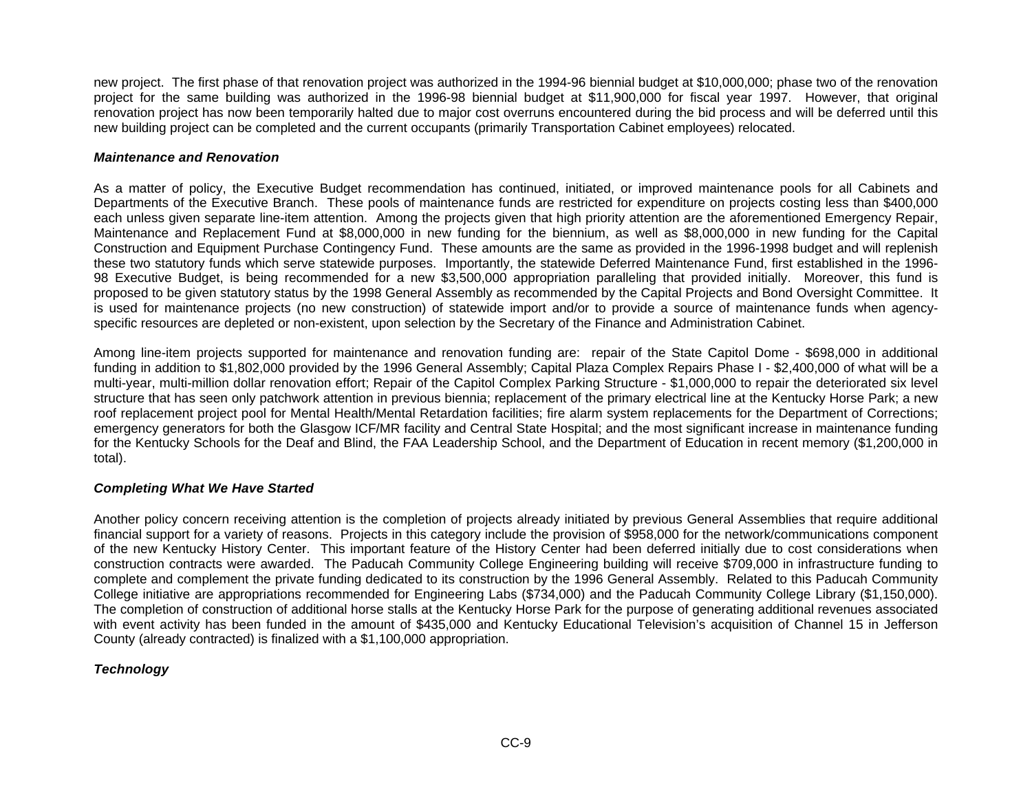new project. The first phase of that renovation project was authorized in the 1994-96 biennial budget at \$10,000,000; phase two of the renovation project for the same building was authorized in the 1996-98 biennial budget at \$11,900,000 for fiscal year 1997. However, that original renovation project has now been temporarily halted due to major cost overruns encountered during the bid process and will be deferred until this new building project can be completed and the current occupants (primarily Transportation Cabinet employees) relocated.

### *Maintenance and Renovation*

As a matter of policy, the Executive Budget recommendation has continued, initiated, or improved maintenance pools for all Cabinets and Departments of the Executive Branch. These pools of maintenance funds are restricted for expenditure on projects costing less than \$400,000 each unless given separate line-item attention. Among the projects given that high priority attention are the aforementioned Emergency Repair, Maintenance and Replacement Fund at \$8,000,000 in new funding for the biennium, as well as \$8,000,000 in new funding for the Capital Construction and Equipment Purchase Contingency Fund. These amounts are the same as provided in the 1996-1998 budget and will replenish these two statutory funds which serve statewide purposes. Importantly, the statewide Deferred Maintenance Fund, first established in the 1996- 98 Executive Budget, is being recommended for a new \$3,500,000 appropriation paralleling that provided initially. Moreover, this fund is proposed to be given statutory status by the 1998 General Assembly as recommended by the Capital Projects and Bond Oversight Committee. It is used for maintenance projects (no new construction) of statewide import and/or to provide a source of maintenance funds when agencyspecific resources are depleted or non-existent, upon selection by the Secretary of the Finance and Administration Cabinet.

Among line-item projects supported for maintenance and renovation funding are: repair of the State Capitol Dome - \$698,000 in additional funding in addition to \$1,802,000 provided by the 1996 General Assembly; Capital Plaza Complex Repairs Phase I - \$2,400,000 of what will be a multi-year, multi-million dollar renovation effort; Repair of the Capitol Complex Parking Structure - \$1,000,000 to repair the deteriorated six level structure that has seen only patchwork attention in previous biennia; replacement of the primary electrical line at the Kentucky Horse Park; a new roof replacement project pool for Mental Health/Mental Retardation facilities; fire alarm system replacements for the Department of Corrections; emergency generators for both the Glasgow ICF/MR facility and Central State Hospital; and the most significant increase in maintenance funding for the Kentucky Schools for the Deaf and Blind, the FAA Leadership School, and the Department of Education in recent memory (\$1,200,000 in total).

## *Completing What We Have Started*

Another policy concern receiving attention is the completion of projects already initiated by previous General Assemblies that require additional financial support for a variety of reasons. Projects in this category include the provision of \$958,000 for the network/communications component of the new Kentucky History Center. This important feature of the History Center had been deferred initially due to cost considerations when construction contracts were awarded. The Paducah Community College Engineering building will receive \$709,000 in infrastructure funding to complete and complement the private funding dedicated to its construction by the 1996 General Assembly. Related to this Paducah Community College initiative are appropriations recommended for Engineering Labs (\$734,000) and the Paducah Community College Library (\$1,150,000). The completion of construction of additional horse stalls at the Kentucky Horse Park for the purpose of generating additional revenues associated with event activity has been funded in the amount of \$435,000 and Kentucky Educational Television's acquisition of Channel 15 in Jefferson County (already contracted) is finalized with a \$1,100,000 appropriation.

## *Technology*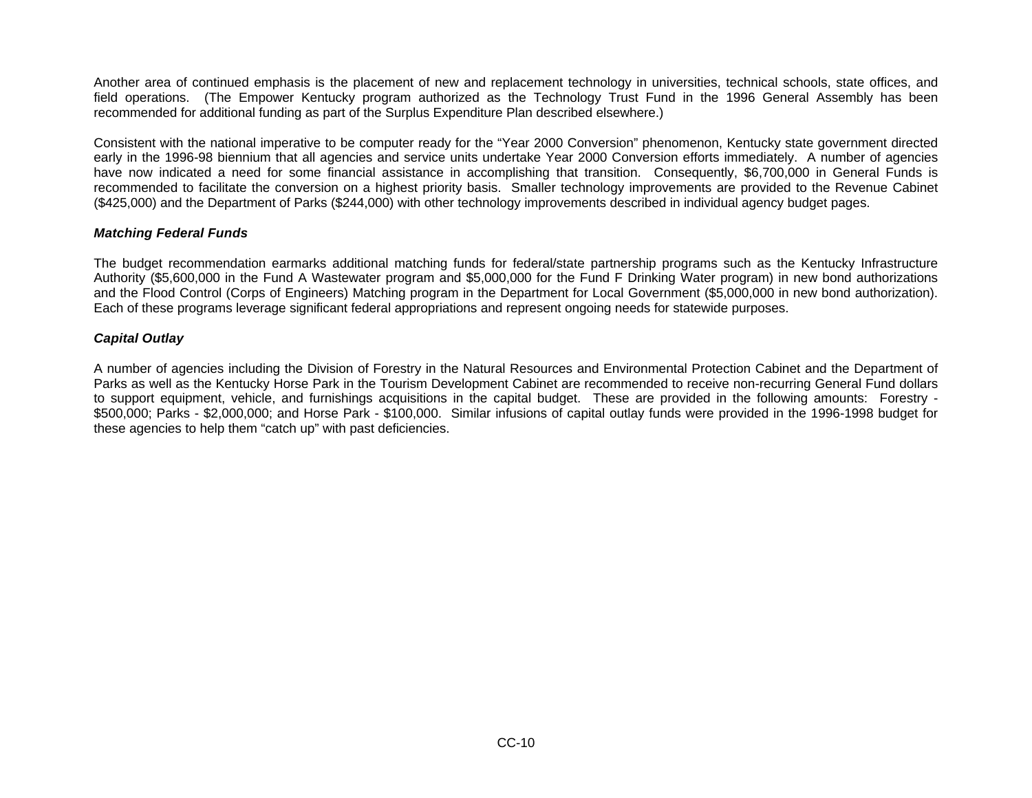Another area of continued emphasis is the placement of new and replacement technology in universities, technical schools, state offices, and field operations. (The Empower Kentucky program authorized as the Technology Trust Fund in the 1996 General Assembly has been recommended for additional funding as part of the Surplus Expenditure Plan described elsewhere.)

Consistent with the national imperative to be computer ready for the "Year 2000 Conversion" phenomenon, Kentucky state government directed early in the 1996-98 biennium that all agencies and service units undertake Year 2000 Conversion efforts immediately. A number of agencies have now indicated a need for some financial assistance in accomplishing that transition. Consequently, \$6,700,000 in General Funds is recommended to facilitate the conversion on a highest priority basis. Smaller technology improvements are provided to the Revenue Cabinet (\$425,000) and the Department of Parks (\$244,000) with other technology improvements described in individual agency budget pages.

### *Matching Federal Funds*

The budget recommendation earmarks additional matching funds for federal/state partnership programs such as the Kentucky Infrastructure Authority (\$5,600,000 in the Fund A Wastewater program and \$5,000,000 for the Fund F Drinking Water program) in new bond authorizations and the Flood Control (Corps of Engineers) Matching program in the Department for Local Government (\$5,000,000 in new bond authorization). Each of these programs leverage significant federal appropriations and represent ongoing needs for statewide purposes.

#### *Capital Outlay*

A number of agencies including the Division of Forestry in the Natural Resources and Environmental Protection Cabinet and the Department of Parks as well as the Kentucky Horse Park in the Tourism Development Cabinet are recommended to receive non-recurring General Fund dollars to support equipment, vehicle, and furnishings acquisitions in the capital budget. These are provided in the following amounts: Forestry - \$500,000; Parks - \$2,000,000; and Horse Park - \$100,000. Similar infusions of capital outlay funds were provided in the 1996-1998 budget for these agencies to help them "catch up" with past deficiencies.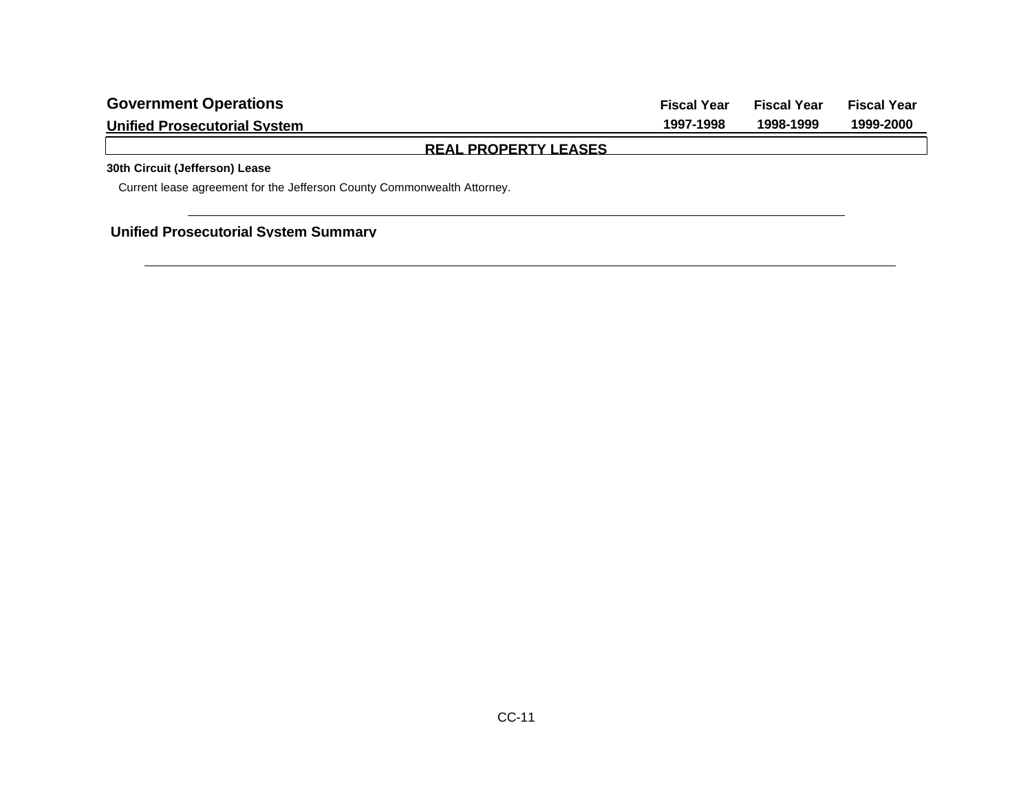| <b>Government Operations</b>        | <b>Fiscal Year</b> | <b>Fiscal Year</b> | <b>Fiscal Year</b> |
|-------------------------------------|--------------------|--------------------|--------------------|
| <b>Unified Prosecutorial System</b> | 1997-1998          | 1998-1999          | 1999-2000          |
| <b>REAL PROPERTY LEASES</b>         |                    |                    |                    |

# **30th Circuit (Jefferson) Lease**

Current lease agreement for the Jefferson County Commonwealth Attorney.

**Unified Prosecutorial System Summary**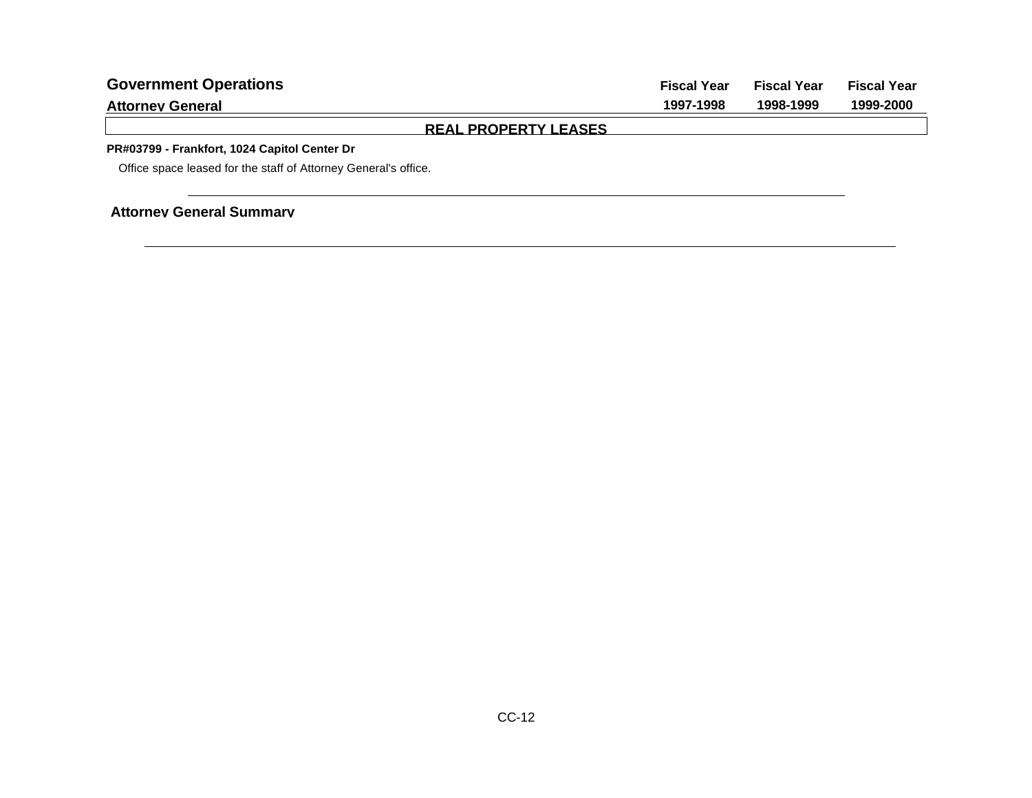| <b>Government Operations</b>                                    | <b>Fiscal Year</b> | <b>Fiscal Year</b> | <b>Fiscal Year</b> |
|-----------------------------------------------------------------|--------------------|--------------------|--------------------|
| <b>Attorney General</b>                                         | 1997-1998          | 1998-1999          | 1999-2000          |
| <b>REAL PROPERTY LEASES</b>                                     |                    |                    |                    |
| PR#03799 - Frankfort, 1024 Capitol Center Dr                    |                    |                    |                    |
| Office space leased for the staff of Attorney General's office. |                    |                    |                    |
|                                                                 |                    |                    |                    |
| <b>Attorney General Summary</b>                                 |                    |                    |                    |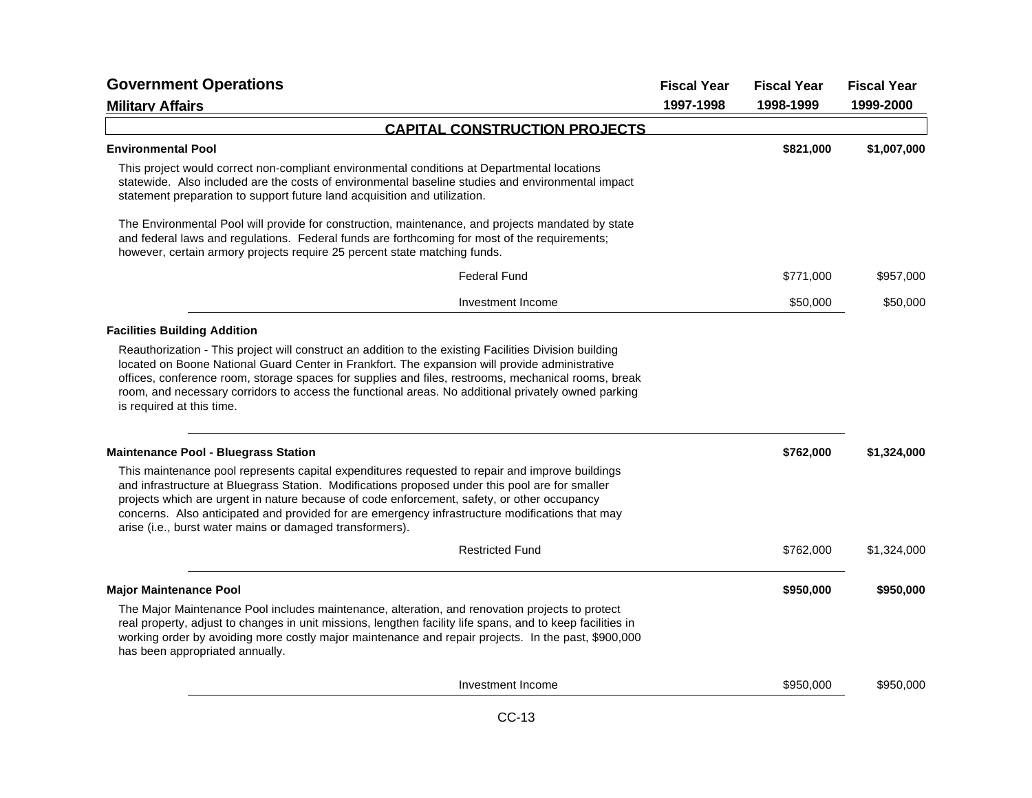|                                                                                                                                                                                                                                                                                                                                                                                                                                                                  |           | <b>Fiscal Year</b> | <b>Fiscal Year</b> |
|------------------------------------------------------------------------------------------------------------------------------------------------------------------------------------------------------------------------------------------------------------------------------------------------------------------------------------------------------------------------------------------------------------------------------------------------------------------|-----------|--------------------|--------------------|
| <b>Military Affairs</b>                                                                                                                                                                                                                                                                                                                                                                                                                                          | 1997-1998 | 1998-1999          | 1999-2000          |
| <b>CAPITAL CONSTRUCTION PROJECTS</b>                                                                                                                                                                                                                                                                                                                                                                                                                             |           |                    |                    |
| <b>Environmental Pool</b>                                                                                                                                                                                                                                                                                                                                                                                                                                        |           | \$821,000          | \$1,007,000        |
| This project would correct non-compliant environmental conditions at Departmental locations<br>statewide. Also included are the costs of environmental baseline studies and environmental impact<br>statement preparation to support future land acquisition and utilization.                                                                                                                                                                                    |           |                    |                    |
| The Environmental Pool will provide for construction, maintenance, and projects mandated by state<br>and federal laws and regulations. Federal funds are forthcoming for most of the requirements;<br>however, certain armory projects require 25 percent state matching funds.                                                                                                                                                                                  |           |                    |                    |
| <b>Federal Fund</b>                                                                                                                                                                                                                                                                                                                                                                                                                                              |           | \$771,000          | \$957,000          |
| Investment Income                                                                                                                                                                                                                                                                                                                                                                                                                                                |           | \$50,000           | \$50,000           |
| <b>Facilities Building Addition</b>                                                                                                                                                                                                                                                                                                                                                                                                                              |           |                    |                    |
| Reauthorization - This project will construct an addition to the existing Facilities Division building<br>located on Boone National Guard Center in Frankfort. The expansion will provide administrative<br>offices, conference room, storage spaces for supplies and files, restrooms, mechanical rooms, break<br>room, and necessary corridors to access the functional areas. No additional privately owned parking<br>is required at this time.              |           |                    |                    |
| <b>Maintenance Pool - Bluegrass Station</b>                                                                                                                                                                                                                                                                                                                                                                                                                      |           | \$762,000          | \$1,324,000        |
| This maintenance pool represents capital expenditures requested to repair and improve buildings<br>and infrastructure at Bluegrass Station. Modifications proposed under this pool are for smaller<br>projects which are urgent in nature because of code enforcement, safety, or other occupancy<br>concerns. Also anticipated and provided for are emergency infrastructure modifications that may<br>arise (i.e., burst water mains or damaged transformers). |           |                    |                    |
| <b>Restricted Fund</b>                                                                                                                                                                                                                                                                                                                                                                                                                                           |           | \$762,000          | \$1,324,000        |
| <b>Major Maintenance Pool</b>                                                                                                                                                                                                                                                                                                                                                                                                                                    |           | \$950,000          | \$950,000          |
| The Major Maintenance Pool includes maintenance, alteration, and renovation projects to protect<br>real property, adjust to changes in unit missions, lengthen facility life spans, and to keep facilities in<br>working order by avoiding more costly major maintenance and repair projects. In the past, \$900,000<br>has been appropriated annually.                                                                                                          |           |                    |                    |
| Investment Income                                                                                                                                                                                                                                                                                                                                                                                                                                                |           | \$950,000          | \$950,000          |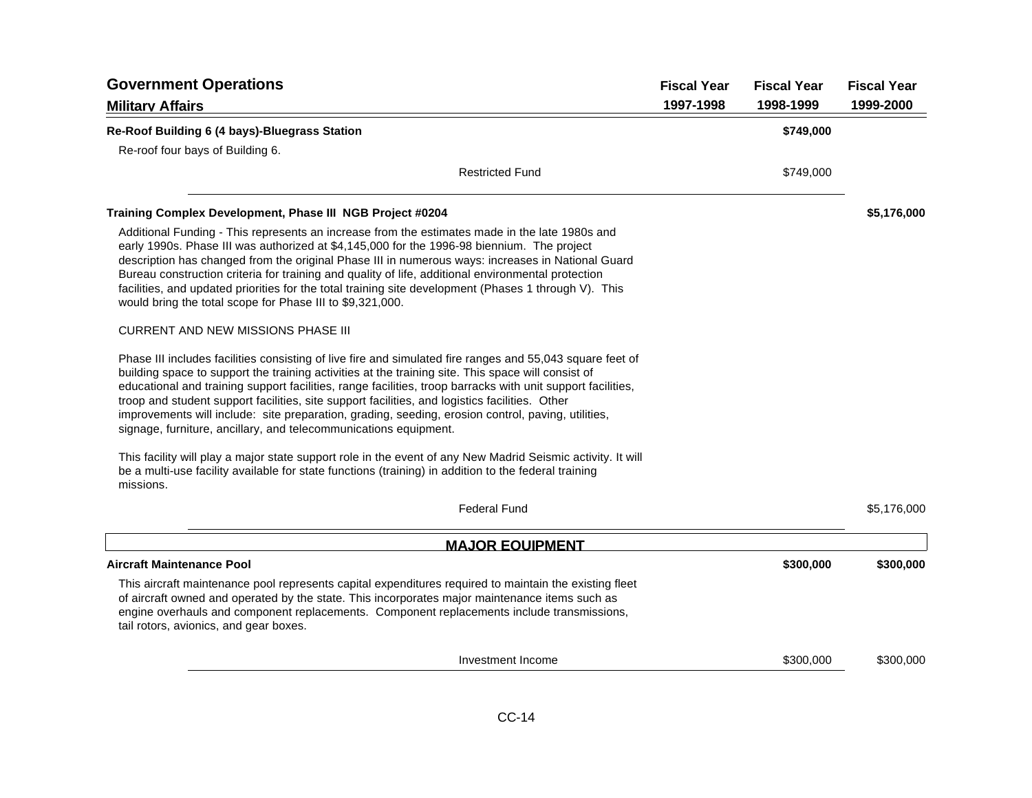| <b>Government Operations</b>                                                                                                                                                                                                                                                                                                                                                                                                                                                                                                                                                                               | <b>Fiscal Year</b><br>1997-1998 | <b>Fiscal Year</b><br>1998-1999 | <b>Fiscal Year</b><br>1999-2000 |
|------------------------------------------------------------------------------------------------------------------------------------------------------------------------------------------------------------------------------------------------------------------------------------------------------------------------------------------------------------------------------------------------------------------------------------------------------------------------------------------------------------------------------------------------------------------------------------------------------------|---------------------------------|---------------------------------|---------------------------------|
| <b>Military Affairs</b>                                                                                                                                                                                                                                                                                                                                                                                                                                                                                                                                                                                    |                                 |                                 |                                 |
| Re-Roof Building 6 (4 bays)-Bluegrass Station<br>Re-roof four bays of Building 6.                                                                                                                                                                                                                                                                                                                                                                                                                                                                                                                          |                                 | \$749,000                       |                                 |
| <b>Restricted Fund</b>                                                                                                                                                                                                                                                                                                                                                                                                                                                                                                                                                                                     |                                 | \$749,000                       |                                 |
| Training Complex Development, Phase III NGB Project #0204                                                                                                                                                                                                                                                                                                                                                                                                                                                                                                                                                  |                                 |                                 | \$5,176,000                     |
| Additional Funding - This represents an increase from the estimates made in the late 1980s and<br>early 1990s. Phase III was authorized at \$4,145,000 for the 1996-98 biennium. The project<br>description has changed from the original Phase III in numerous ways: increases in National Guard<br>Bureau construction criteria for training and quality of life, additional environmental protection<br>facilities, and updated priorities for the total training site development (Phases 1 through V). This<br>would bring the total scope for Phase III to \$9,321,000.                              |                                 |                                 |                                 |
| <b>CURRENT AND NEW MISSIONS PHASE III</b>                                                                                                                                                                                                                                                                                                                                                                                                                                                                                                                                                                  |                                 |                                 |                                 |
| Phase III includes facilities consisting of live fire and simulated fire ranges and 55,043 square feet of<br>building space to support the training activities at the training site. This space will consist of<br>educational and training support facilities, range facilities, troop barracks with unit support facilities,<br>troop and student support facilities, site support facilities, and logistics facilities. Other<br>improvements will include: site preparation, grading, seeding, erosion control, paving, utilities,<br>signage, furniture, ancillary, and telecommunications equipment. |                                 |                                 |                                 |
| This facility will play a major state support role in the event of any New Madrid Seismic activity. It will<br>be a multi-use facility available for state functions (training) in addition to the federal training<br>missions.                                                                                                                                                                                                                                                                                                                                                                           |                                 |                                 |                                 |
| <b>Federal Fund</b>                                                                                                                                                                                                                                                                                                                                                                                                                                                                                                                                                                                        |                                 |                                 | \$5,176,000                     |
| <b>MAJOR EQUIPMENT</b>                                                                                                                                                                                                                                                                                                                                                                                                                                                                                                                                                                                     |                                 |                                 |                                 |
| <b>Aircraft Maintenance Pool</b>                                                                                                                                                                                                                                                                                                                                                                                                                                                                                                                                                                           |                                 | \$300,000                       | \$300,000                       |
| This aircraft maintenance pool represents capital expenditures required to maintain the existing fleet<br>of aircraft owned and operated by the state. This incorporates major maintenance items such as<br>engine overhauls and component replacements. Component replacements include transmissions,<br>tail rotors, avionics, and gear boxes.                                                                                                                                                                                                                                                           |                                 |                                 |                                 |
| Investment Income                                                                                                                                                                                                                                                                                                                                                                                                                                                                                                                                                                                          |                                 | \$300,000                       | \$300,000                       |
|                                                                                                                                                                                                                                                                                                                                                                                                                                                                                                                                                                                                            |                                 |                                 |                                 |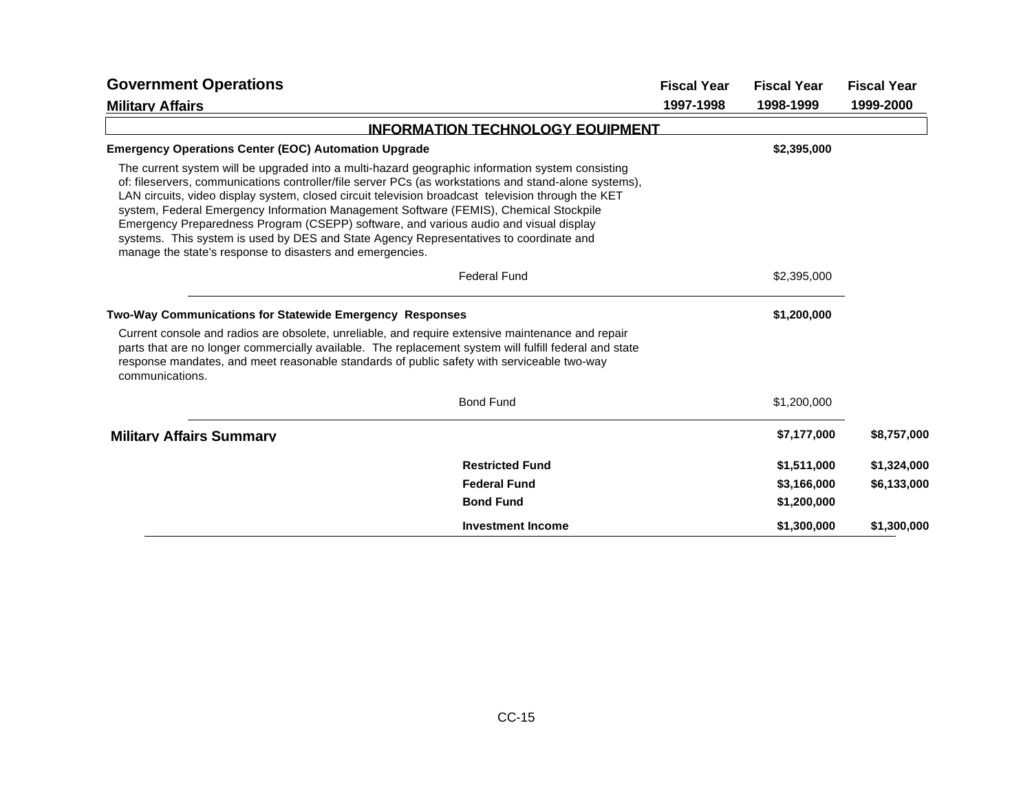| <b>Government Operations</b>                                                                                                                                                                                                                                                                                                                                                                                                                                                                                                                                                                                                                             |                                         | <b>Fiscal Year</b> | <b>Fiscal Year</b> | <b>Fiscal Year</b> |
|----------------------------------------------------------------------------------------------------------------------------------------------------------------------------------------------------------------------------------------------------------------------------------------------------------------------------------------------------------------------------------------------------------------------------------------------------------------------------------------------------------------------------------------------------------------------------------------------------------------------------------------------------------|-----------------------------------------|--------------------|--------------------|--------------------|
| <b>Military Affairs</b>                                                                                                                                                                                                                                                                                                                                                                                                                                                                                                                                                                                                                                  |                                         | 1997-1998          | 1998-1999          | 1999-2000          |
|                                                                                                                                                                                                                                                                                                                                                                                                                                                                                                                                                                                                                                                          | <b>INFORMATION TECHNOLOGY EQUIPMENT</b> |                    |                    |                    |
| <b>Emergency Operations Center (EOC) Automation Upgrade</b>                                                                                                                                                                                                                                                                                                                                                                                                                                                                                                                                                                                              |                                         |                    | \$2,395,000        |                    |
| The current system will be upgraded into a multi-hazard geographic information system consisting<br>of: fileservers, communications controller/file server PCs (as workstations and stand-alone systems),<br>LAN circuits, video display system, closed circuit television broadcast television through the KET<br>system, Federal Emergency Information Management Software (FEMIS), Chemical Stockpile<br>Emergency Preparedness Program (CSEPP) software, and various audio and visual display<br>systems. This system is used by DES and State Agency Representatives to coordinate and<br>manage the state's response to disasters and emergencies. |                                         |                    |                    |                    |
|                                                                                                                                                                                                                                                                                                                                                                                                                                                                                                                                                                                                                                                          | <b>Federal Fund</b>                     |                    | \$2,395,000        |                    |
| Two-Way Communications for Statewide Emergency Responses                                                                                                                                                                                                                                                                                                                                                                                                                                                                                                                                                                                                 |                                         |                    | \$1,200,000        |                    |
| Current console and radios are obsolete, unreliable, and require extensive maintenance and repair<br>parts that are no longer commercially available. The replacement system will fulfill federal and state<br>response mandates, and meet reasonable standards of public safety with serviceable two-way<br>communications.                                                                                                                                                                                                                                                                                                                             |                                         |                    |                    |                    |
|                                                                                                                                                                                                                                                                                                                                                                                                                                                                                                                                                                                                                                                          | <b>Bond Fund</b>                        |                    | \$1,200,000        |                    |
| <b>Military Affairs Summary</b>                                                                                                                                                                                                                                                                                                                                                                                                                                                                                                                                                                                                                          |                                         |                    | \$7,177,000        | \$8,757,000        |
|                                                                                                                                                                                                                                                                                                                                                                                                                                                                                                                                                                                                                                                          | <b>Restricted Fund</b>                  |                    | \$1,511,000        | \$1,324,000        |
|                                                                                                                                                                                                                                                                                                                                                                                                                                                                                                                                                                                                                                                          | <b>Federal Fund</b>                     |                    | \$3,166,000        | \$6,133,000        |
|                                                                                                                                                                                                                                                                                                                                                                                                                                                                                                                                                                                                                                                          | <b>Bond Fund</b>                        |                    | \$1,200,000        |                    |
|                                                                                                                                                                                                                                                                                                                                                                                                                                                                                                                                                                                                                                                          | <b>Investment Income</b>                |                    | \$1,300,000        | \$1,300,000        |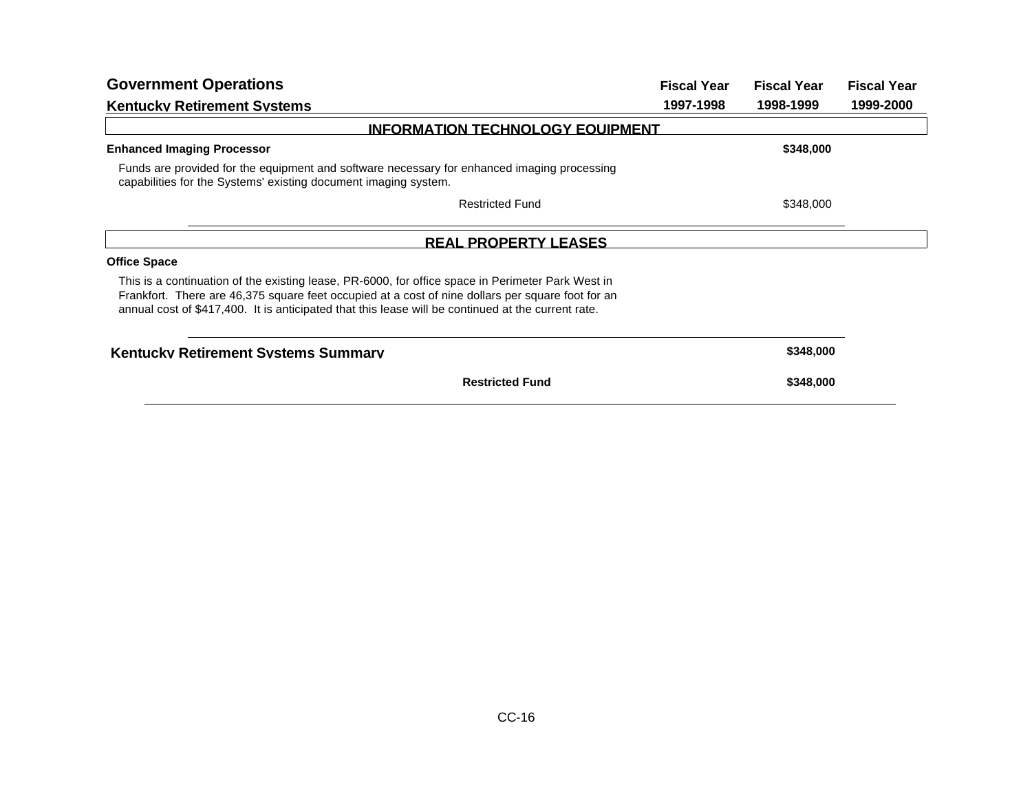| <b>Government Operations</b>                                                                                                                                                                                                                                                                                 | <b>Fiscal Year</b> | <b>Fiscal Year</b> | <b>Fiscal Year</b> |
|--------------------------------------------------------------------------------------------------------------------------------------------------------------------------------------------------------------------------------------------------------------------------------------------------------------|--------------------|--------------------|--------------------|
| <b>Kentucky Retirement Systems</b>                                                                                                                                                                                                                                                                           | 1997-1998          | 1998-1999          | 1999-2000          |
| <b>INFORMATION TECHNOLOGY EQUIPMENT</b>                                                                                                                                                                                                                                                                      |                    |                    |                    |
| <b>Enhanced Imaging Processor</b>                                                                                                                                                                                                                                                                            |                    | \$348,000          |                    |
| Funds are provided for the equipment and software necessary for enhanced imaging processing<br>capabilities for the Systems' existing document imaging system.                                                                                                                                               |                    |                    |                    |
| <b>Restricted Fund</b>                                                                                                                                                                                                                                                                                       |                    | \$348,000          |                    |
| <b>REAL PROPERTY LEASES</b>                                                                                                                                                                                                                                                                                  |                    |                    |                    |
| <b>Office Space</b>                                                                                                                                                                                                                                                                                          |                    |                    |                    |
| This is a continuation of the existing lease, PR-6000, for office space in Perimeter Park West in<br>Frankfort. There are 46,375 square feet occupied at a cost of nine dollars per square foot for an<br>annual cost of \$417,400. It is anticipated that this lease will be continued at the current rate. |                    |                    |                    |
| <b>Kentucky Retirement Systems Summary</b>                                                                                                                                                                                                                                                                   |                    | \$348,000          |                    |
| <b>Restricted Fund</b>                                                                                                                                                                                                                                                                                       |                    | \$348,000          |                    |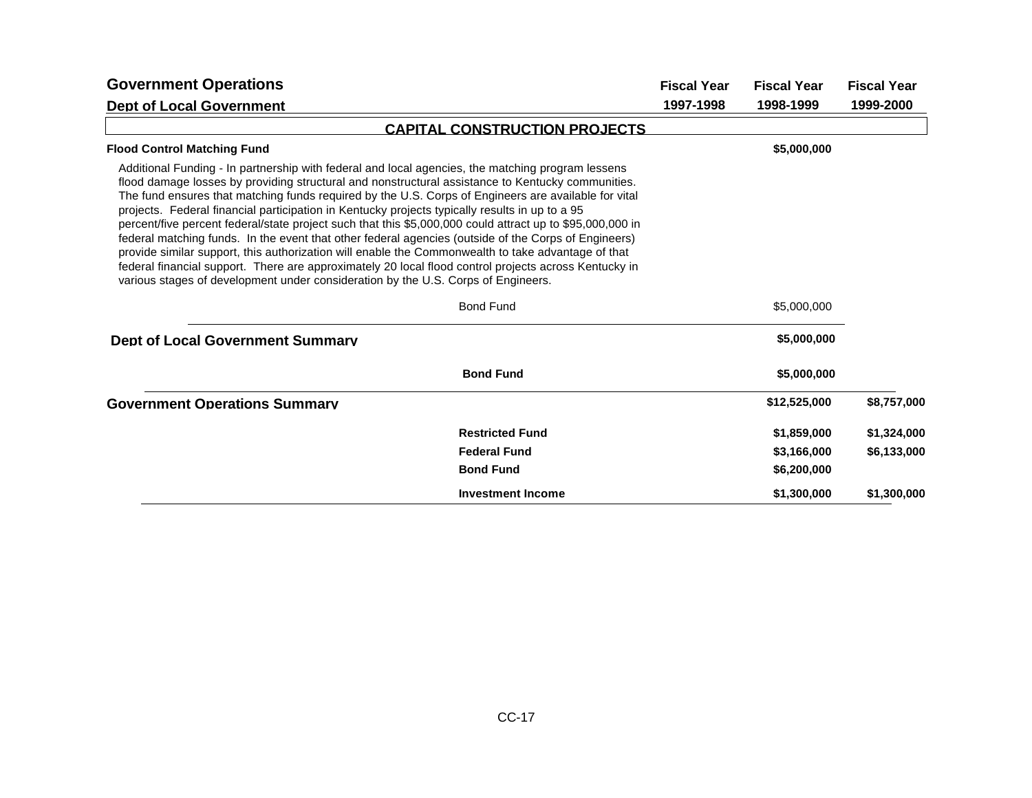| <b>Government Operations</b>                                                                                                                                                                                                                                                                                                                                                                                                                                                                                                                                                                                                                                                                                                                                                                                                                                                                                                              |                                      | <b>Fiscal Year</b> | <b>Fiscal Year</b> | <b>Fiscal Year</b> |
|-------------------------------------------------------------------------------------------------------------------------------------------------------------------------------------------------------------------------------------------------------------------------------------------------------------------------------------------------------------------------------------------------------------------------------------------------------------------------------------------------------------------------------------------------------------------------------------------------------------------------------------------------------------------------------------------------------------------------------------------------------------------------------------------------------------------------------------------------------------------------------------------------------------------------------------------|--------------------------------------|--------------------|--------------------|--------------------|
| <b>Dept of Local Government</b>                                                                                                                                                                                                                                                                                                                                                                                                                                                                                                                                                                                                                                                                                                                                                                                                                                                                                                           |                                      | 1997-1998          | 1998-1999          | 1999-2000          |
|                                                                                                                                                                                                                                                                                                                                                                                                                                                                                                                                                                                                                                                                                                                                                                                                                                                                                                                                           | <b>CAPITAL CONSTRUCTION PROJECTS</b> |                    |                    |                    |
| <b>Flood Control Matching Fund</b>                                                                                                                                                                                                                                                                                                                                                                                                                                                                                                                                                                                                                                                                                                                                                                                                                                                                                                        |                                      |                    | \$5,000,000        |                    |
| Additional Funding - In partnership with federal and local agencies, the matching program lessens<br>flood damage losses by providing structural and nonstructural assistance to Kentucky communities.<br>The fund ensures that matching funds required by the U.S. Corps of Engineers are available for vital<br>projects. Federal financial participation in Kentucky projects typically results in up to a 95<br>percent/five percent federal/state project such that this \$5,000,000 could attract up to \$95,000,000 in<br>federal matching funds. In the event that other federal agencies (outside of the Corps of Engineers)<br>provide similar support, this authorization will enable the Commonwealth to take advantage of that<br>federal financial support. There are approximately 20 local flood control projects across Kentucky in<br>various stages of development under consideration by the U.S. Corps of Engineers. |                                      |                    |                    |                    |
|                                                                                                                                                                                                                                                                                                                                                                                                                                                                                                                                                                                                                                                                                                                                                                                                                                                                                                                                           | <b>Bond Fund</b>                     |                    | \$5,000,000        |                    |
| <b>Dept of Local Government Summary</b>                                                                                                                                                                                                                                                                                                                                                                                                                                                                                                                                                                                                                                                                                                                                                                                                                                                                                                   |                                      |                    | \$5,000,000        |                    |
|                                                                                                                                                                                                                                                                                                                                                                                                                                                                                                                                                                                                                                                                                                                                                                                                                                                                                                                                           | <b>Bond Fund</b>                     |                    | \$5,000,000        |                    |
| <b>Government Operations Summary</b>                                                                                                                                                                                                                                                                                                                                                                                                                                                                                                                                                                                                                                                                                                                                                                                                                                                                                                      |                                      |                    | \$12,525,000       | \$8,757,000        |
|                                                                                                                                                                                                                                                                                                                                                                                                                                                                                                                                                                                                                                                                                                                                                                                                                                                                                                                                           | <b>Restricted Fund</b>               |                    | \$1,859,000        | \$1,324,000        |
|                                                                                                                                                                                                                                                                                                                                                                                                                                                                                                                                                                                                                                                                                                                                                                                                                                                                                                                                           | <b>Federal Fund</b>                  |                    | \$3,166,000        | \$6,133,000        |
|                                                                                                                                                                                                                                                                                                                                                                                                                                                                                                                                                                                                                                                                                                                                                                                                                                                                                                                                           | <b>Bond Fund</b>                     |                    | \$6,200,000        |                    |
|                                                                                                                                                                                                                                                                                                                                                                                                                                                                                                                                                                                                                                                                                                                                                                                                                                                                                                                                           | <b>Investment Income</b>             |                    | \$1,300,000        | \$1,300,000        |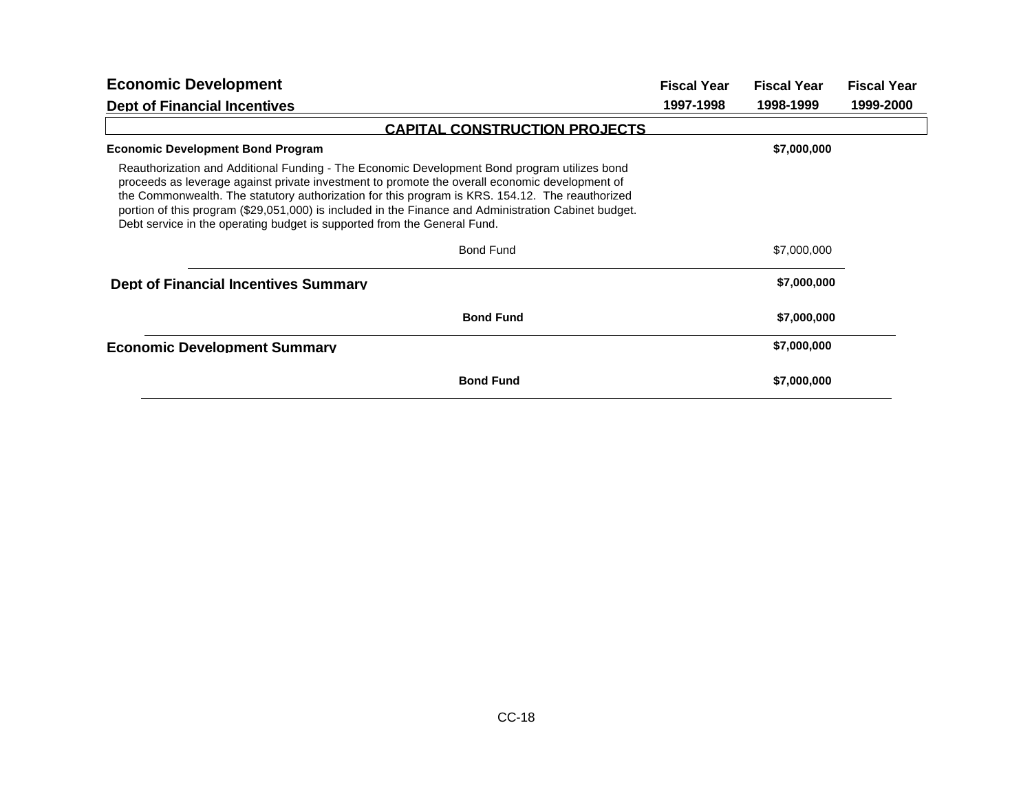| <b>Economic Development</b>                                                                                                                                                                                                                                                                                                                                                                                                                                                           | <b>Fiscal Year</b> | <b>Fiscal Year</b> | <b>Fiscal Year</b> |
|---------------------------------------------------------------------------------------------------------------------------------------------------------------------------------------------------------------------------------------------------------------------------------------------------------------------------------------------------------------------------------------------------------------------------------------------------------------------------------------|--------------------|--------------------|--------------------|
| <b>Dept of Financial Incentives</b>                                                                                                                                                                                                                                                                                                                                                                                                                                                   | 1997-1998          | 1998-1999          | 1999-2000          |
| <b>CAPITAL CONSTRUCTION PROJECTS</b>                                                                                                                                                                                                                                                                                                                                                                                                                                                  |                    |                    |                    |
| <b>Economic Development Bond Program</b>                                                                                                                                                                                                                                                                                                                                                                                                                                              |                    | \$7,000,000        |                    |
| Reauthorization and Additional Funding - The Economic Development Bond program utilizes bond<br>proceeds as leverage against private investment to promote the overall economic development of<br>the Commonwealth. The statutory authorization for this program is KRS. 154.12. The reauthorized<br>portion of this program (\$29,051,000) is included in the Finance and Administration Cabinet budget.<br>Debt service in the operating budget is supported from the General Fund. |                    |                    |                    |
| Bond Fund                                                                                                                                                                                                                                                                                                                                                                                                                                                                             |                    | \$7,000,000        |                    |
| <b>Dept of Financial Incentives Summary</b>                                                                                                                                                                                                                                                                                                                                                                                                                                           |                    | \$7,000,000        |                    |
| <b>Bond Fund</b>                                                                                                                                                                                                                                                                                                                                                                                                                                                                      |                    | \$7,000,000        |                    |
| <b>Economic Development Summarv</b>                                                                                                                                                                                                                                                                                                                                                                                                                                                   |                    | \$7,000,000        |                    |
| <b>Bond Fund</b>                                                                                                                                                                                                                                                                                                                                                                                                                                                                      |                    | \$7,000,000        |                    |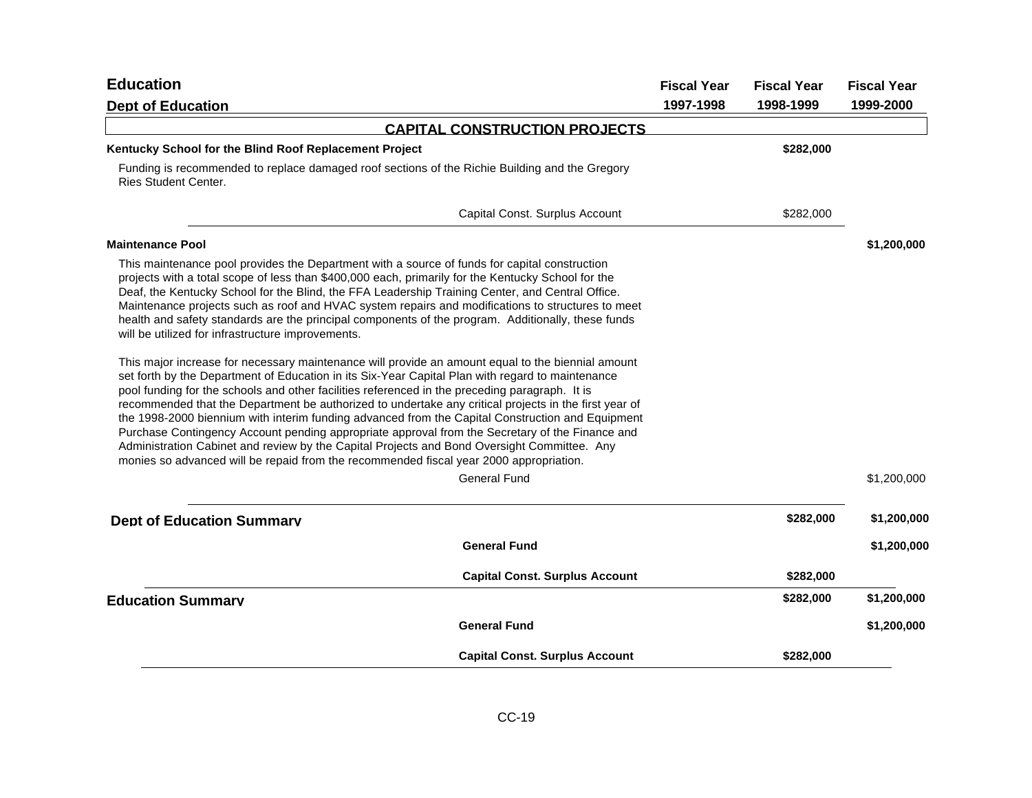| <b>Education</b>                                                                                                                                                                                                                                                                                                                                                                                                                                                                                                                                                                                                                                                                                                                                                                                                 | <b>Fiscal Year</b> | <b>Fiscal Year</b> | <b>Fiscal Year</b> |
|------------------------------------------------------------------------------------------------------------------------------------------------------------------------------------------------------------------------------------------------------------------------------------------------------------------------------------------------------------------------------------------------------------------------------------------------------------------------------------------------------------------------------------------------------------------------------------------------------------------------------------------------------------------------------------------------------------------------------------------------------------------------------------------------------------------|--------------------|--------------------|--------------------|
| <b>Dept of Education</b>                                                                                                                                                                                                                                                                                                                                                                                                                                                                                                                                                                                                                                                                                                                                                                                         | 1997-1998          | 1998-1999          | 1999-2000          |
| <b>CAPITAL CONSTRUCTION PROJECTS</b>                                                                                                                                                                                                                                                                                                                                                                                                                                                                                                                                                                                                                                                                                                                                                                             |                    |                    |                    |
| Kentucky School for the Blind Roof Replacement Project                                                                                                                                                                                                                                                                                                                                                                                                                                                                                                                                                                                                                                                                                                                                                           |                    | \$282,000          |                    |
| Funding is recommended to replace damaged roof sections of the Richie Building and the Gregory<br><b>Ries Student Center.</b>                                                                                                                                                                                                                                                                                                                                                                                                                                                                                                                                                                                                                                                                                    |                    |                    |                    |
| Capital Const. Surplus Account                                                                                                                                                                                                                                                                                                                                                                                                                                                                                                                                                                                                                                                                                                                                                                                   |                    | \$282,000          |                    |
| <b>Maintenance Pool</b>                                                                                                                                                                                                                                                                                                                                                                                                                                                                                                                                                                                                                                                                                                                                                                                          |                    |                    | \$1,200,000        |
| This maintenance pool provides the Department with a source of funds for capital construction<br>projects with a total scope of less than \$400,000 each, primarily for the Kentucky School for the<br>Deaf, the Kentucky School for the Blind, the FFA Leadership Training Center, and Central Office.<br>Maintenance projects such as roof and HVAC system repairs and modifications to structures to meet<br>health and safety standards are the principal components of the program. Additionally, these funds<br>will be utilized for infrastructure improvements.                                                                                                                                                                                                                                          |                    |                    |                    |
| This major increase for necessary maintenance will provide an amount equal to the biennial amount<br>set forth by the Department of Education in its Six-Year Capital Plan with regard to maintenance<br>pool funding for the schools and other facilities referenced in the preceding paragraph. It is<br>recommended that the Department be authorized to undertake any critical projects in the first year of<br>the 1998-2000 biennium with interim funding advanced from the Capital Construction and Equipment<br>Purchase Contingency Account pending appropriate approval from the Secretary of the Finance and<br>Administration Cabinet and review by the Capital Projects and Bond Oversight Committee. Any<br>monies so advanced will be repaid from the recommended fiscal year 2000 appropriation. |                    |                    |                    |
| <b>General Fund</b>                                                                                                                                                                                                                                                                                                                                                                                                                                                                                                                                                                                                                                                                                                                                                                                              |                    |                    | \$1,200,000        |
| <b>Dept of Education Summary</b>                                                                                                                                                                                                                                                                                                                                                                                                                                                                                                                                                                                                                                                                                                                                                                                 |                    | \$282,000          | \$1,200,000        |
| <b>General Fund</b>                                                                                                                                                                                                                                                                                                                                                                                                                                                                                                                                                                                                                                                                                                                                                                                              |                    |                    | \$1,200,000        |
| <b>Capital Const. Surplus Account</b>                                                                                                                                                                                                                                                                                                                                                                                                                                                                                                                                                                                                                                                                                                                                                                            |                    | \$282,000          |                    |
| <b>Education Summary</b>                                                                                                                                                                                                                                                                                                                                                                                                                                                                                                                                                                                                                                                                                                                                                                                         |                    | \$282,000          | \$1,200,000        |
| <b>General Fund</b>                                                                                                                                                                                                                                                                                                                                                                                                                                                                                                                                                                                                                                                                                                                                                                                              |                    |                    | \$1,200,000        |
| <b>Capital Const. Surplus Account</b>                                                                                                                                                                                                                                                                                                                                                                                                                                                                                                                                                                                                                                                                                                                                                                            |                    | \$282,000          |                    |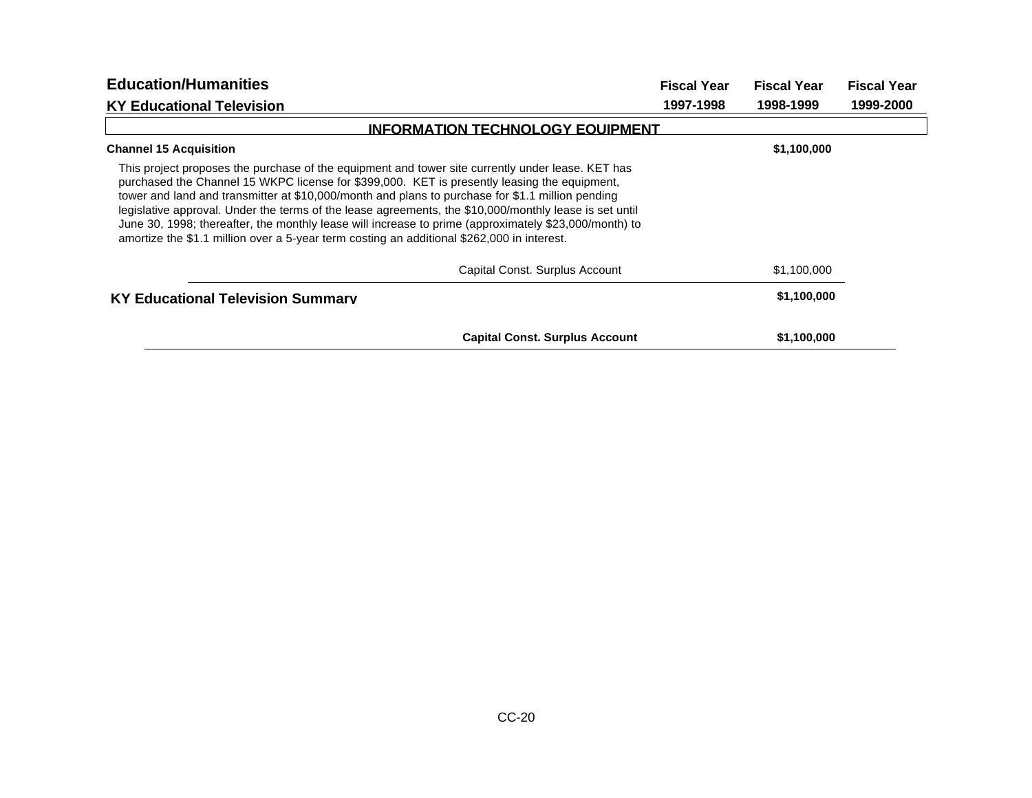| <b>Education/Humanities</b>                                                                                                                                                                                                                                                                                                                                                                                                                                                                                                                                                                                            | <b>Fiscal Year</b> | <b>Fiscal Year</b> | <b>Fiscal Year</b> |
|------------------------------------------------------------------------------------------------------------------------------------------------------------------------------------------------------------------------------------------------------------------------------------------------------------------------------------------------------------------------------------------------------------------------------------------------------------------------------------------------------------------------------------------------------------------------------------------------------------------------|--------------------|--------------------|--------------------|
| <b>KY Educational Television</b>                                                                                                                                                                                                                                                                                                                                                                                                                                                                                                                                                                                       | 1997-1998          | 1998-1999          | 1999-2000          |
| <b>INFORMATION TECHNOLOGY EQUIPMENT</b>                                                                                                                                                                                                                                                                                                                                                                                                                                                                                                                                                                                |                    |                    |                    |
| <b>Channel 15 Acquisition</b>                                                                                                                                                                                                                                                                                                                                                                                                                                                                                                                                                                                          |                    | \$1,100,000        |                    |
| This project proposes the purchase of the equipment and tower site currently under lease. KET has<br>purchased the Channel 15 WKPC license for \$399,000. KET is presently leasing the equipment,<br>tower and land and transmitter at \$10,000/month and plans to purchase for \$1.1 million pending<br>legislative approval. Under the terms of the lease agreements, the \$10,000/monthly lease is set until<br>June 30, 1998; thereafter, the monthly lease will increase to prime (approximately \$23,000/month) to<br>amortize the \$1.1 million over a 5-year term costing an additional \$262,000 in interest. |                    |                    |                    |
| Capital Const. Surplus Account                                                                                                                                                                                                                                                                                                                                                                                                                                                                                                                                                                                         |                    | \$1,100,000        |                    |
| <b>KY Educational Television Summary</b>                                                                                                                                                                                                                                                                                                                                                                                                                                                                                                                                                                               |                    | \$1,100,000        |                    |
| <b>Capital Const. Surplus Account</b>                                                                                                                                                                                                                                                                                                                                                                                                                                                                                                                                                                                  |                    | \$1,100,000        |                    |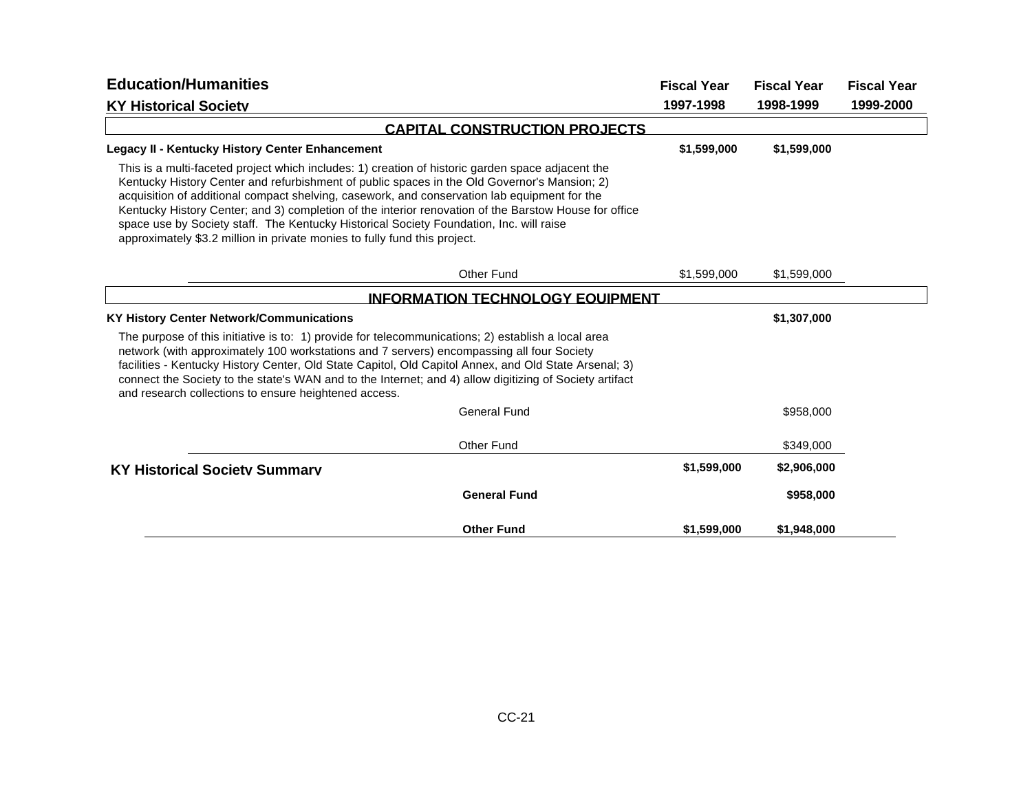| <b>Education/Humanities</b>                                                                                                                                                                                                                                                                                                                                                                                                                                                                                                                                                        |                                         | <b>Fiscal Year</b> | <b>Fiscal Year</b> | <b>Fiscal Year</b> |
|------------------------------------------------------------------------------------------------------------------------------------------------------------------------------------------------------------------------------------------------------------------------------------------------------------------------------------------------------------------------------------------------------------------------------------------------------------------------------------------------------------------------------------------------------------------------------------|-----------------------------------------|--------------------|--------------------|--------------------|
| <b>KY Historical Societv</b>                                                                                                                                                                                                                                                                                                                                                                                                                                                                                                                                                       |                                         | 1997-1998          | 1998-1999          | 1999-2000          |
|                                                                                                                                                                                                                                                                                                                                                                                                                                                                                                                                                                                    | <b>CAPITAL CONSTRUCTION PROJECTS</b>    |                    |                    |                    |
| <b>Legacy II - Kentucky History Center Enhancement</b>                                                                                                                                                                                                                                                                                                                                                                                                                                                                                                                             |                                         | \$1,599,000        | \$1,599,000        |                    |
| This is a multi-faceted project which includes: 1) creation of historic garden space adjacent the<br>Kentucky History Center and refurbishment of public spaces in the Old Governor's Mansion; 2)<br>acquisition of additional compact shelving, casework, and conservation lab equipment for the<br>Kentucky History Center; and 3) completion of the interior renovation of the Barstow House for office<br>space use by Society staff. The Kentucky Historical Society Foundation, Inc. will raise<br>approximately \$3.2 million in private monies to fully fund this project. |                                         |                    |                    |                    |
|                                                                                                                                                                                                                                                                                                                                                                                                                                                                                                                                                                                    | Other Fund                              | \$1,599,000        | \$1,599,000        |                    |
|                                                                                                                                                                                                                                                                                                                                                                                                                                                                                                                                                                                    | <b>INFORMATION TECHNOLOGY EQUIPMENT</b> |                    |                    |                    |
| <b>KY History Center Network/Communications</b>                                                                                                                                                                                                                                                                                                                                                                                                                                                                                                                                    |                                         |                    | \$1,307,000        |                    |
| The purpose of this initiative is to: 1) provide for telecommunications; 2) establish a local area<br>network (with approximately 100 workstations and 7 servers) encompassing all four Society<br>facilities - Kentucky History Center, Old State Capitol, Old Capitol Annex, and Old State Arsenal; 3)<br>connect the Society to the state's WAN and to the Internet; and 4) allow digitizing of Society artifact<br>and research collections to ensure heightened access.                                                                                                       |                                         |                    |                    |                    |
|                                                                                                                                                                                                                                                                                                                                                                                                                                                                                                                                                                                    | <b>General Fund</b>                     |                    | \$958,000          |                    |
|                                                                                                                                                                                                                                                                                                                                                                                                                                                                                                                                                                                    | Other Fund                              |                    | \$349,000          |                    |
| <b>KY Historical Society Summary</b>                                                                                                                                                                                                                                                                                                                                                                                                                                                                                                                                               |                                         | \$1,599,000        | \$2,906,000        |                    |
|                                                                                                                                                                                                                                                                                                                                                                                                                                                                                                                                                                                    | <b>General Fund</b>                     |                    | \$958,000          |                    |
|                                                                                                                                                                                                                                                                                                                                                                                                                                                                                                                                                                                    | <b>Other Fund</b>                       | \$1,599,000        | \$1,948,000        |                    |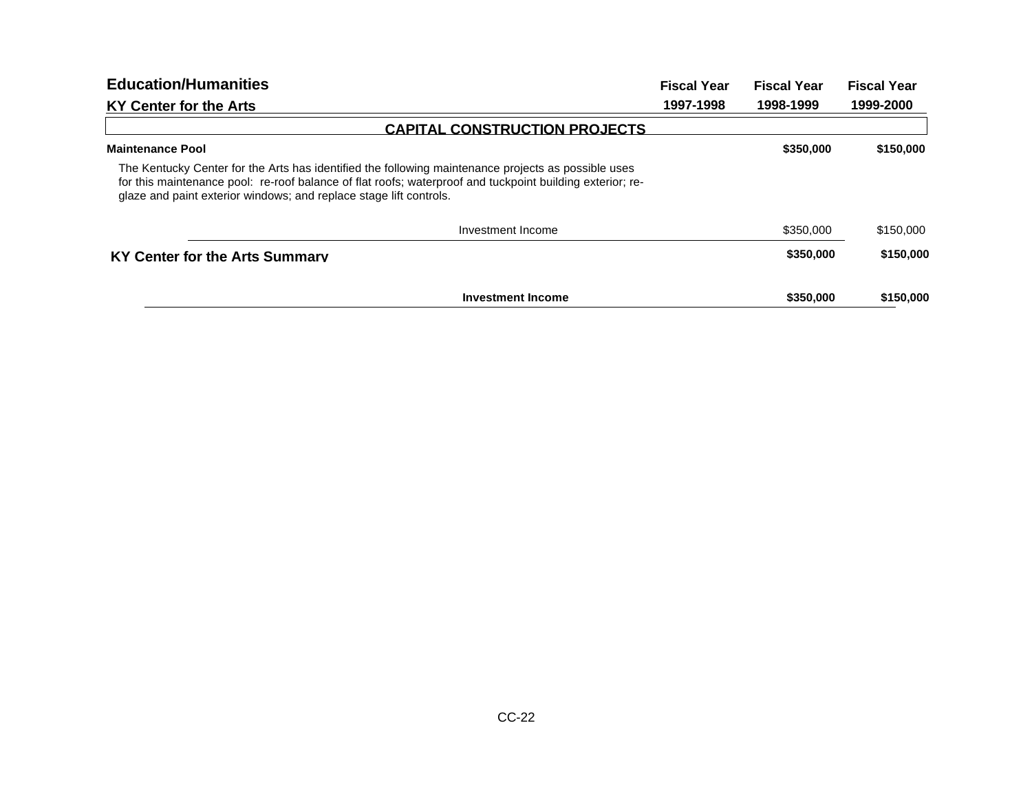| <b>Education/Humanities</b>                                                                                                                                                                                                                                                            | <b>Fiscal Year</b> | <b>Fiscal Year</b> | <b>Fiscal Year</b> |
|----------------------------------------------------------------------------------------------------------------------------------------------------------------------------------------------------------------------------------------------------------------------------------------|--------------------|--------------------|--------------------|
| <b>KY Center for the Arts</b>                                                                                                                                                                                                                                                          | 1997-1998          | 1998-1999          | 1999-2000          |
| <b>CAPITAL CONSTRUCTION PROJECTS</b>                                                                                                                                                                                                                                                   |                    |                    |                    |
| <b>Maintenance Pool</b>                                                                                                                                                                                                                                                                |                    | \$350,000          | \$150,000          |
| The Kentucky Center for the Arts has identified the following maintenance projects as possible uses<br>for this maintenance pool: re-roof balance of flat roofs; waterproof and tuckpoint building exterior; re-<br>glaze and paint exterior windows; and replace stage lift controls. |                    |                    |                    |
| Investment Income                                                                                                                                                                                                                                                                      |                    | \$350,000          | \$150,000          |
| KY Center for the Arts Summary                                                                                                                                                                                                                                                         |                    | \$350,000          | \$150,000          |
| <b>Investment Income</b>                                                                                                                                                                                                                                                               |                    | \$350,000          | \$150,000          |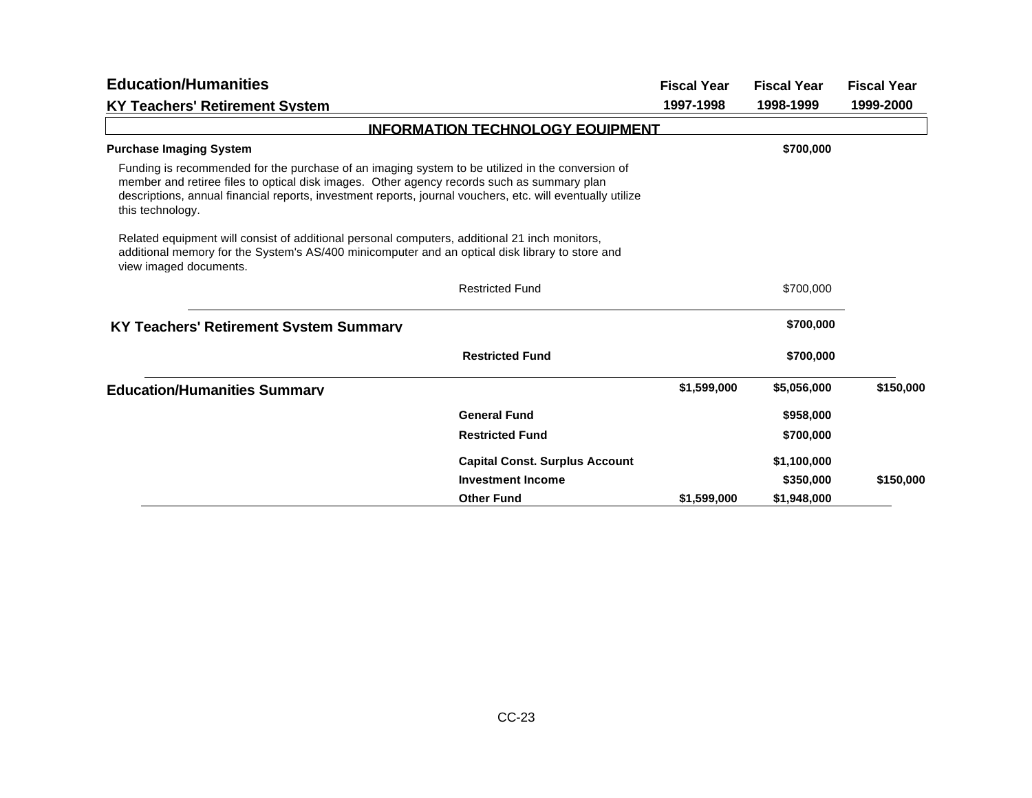| <b>Education/Humanities</b>                                                                                                                                                                                                                                                                                                      |                                         | <b>Fiscal Year</b> | <b>Fiscal Year</b> | <b>Fiscal Year</b> |
|----------------------------------------------------------------------------------------------------------------------------------------------------------------------------------------------------------------------------------------------------------------------------------------------------------------------------------|-----------------------------------------|--------------------|--------------------|--------------------|
| <b>KY Teachers' Retirement System</b>                                                                                                                                                                                                                                                                                            |                                         | 1997-1998          | 1998-1999          | 1999-2000          |
|                                                                                                                                                                                                                                                                                                                                  | <b>INFORMATION TECHNOLOGY EQUIPMENT</b> |                    |                    |                    |
| <b>Purchase Imaging System</b>                                                                                                                                                                                                                                                                                                   |                                         |                    | \$700,000          |                    |
| Funding is recommended for the purchase of an imaging system to be utilized in the conversion of<br>member and retiree files to optical disk images. Other agency records such as summary plan<br>descriptions, annual financial reports, investment reports, journal vouchers, etc. will eventually utilize<br>this technology. |                                         |                    |                    |                    |
| Related equipment will consist of additional personal computers, additional 21 inch monitors,<br>additional memory for the System's AS/400 minicomputer and an optical disk library to store and<br>view imaged documents.                                                                                                       |                                         |                    |                    |                    |
|                                                                                                                                                                                                                                                                                                                                  | <b>Restricted Fund</b>                  |                    | \$700,000          |                    |
| <b>KY Teachers' Retirement System Summary</b>                                                                                                                                                                                                                                                                                    |                                         |                    | \$700,000          |                    |
|                                                                                                                                                                                                                                                                                                                                  | <b>Restricted Fund</b>                  |                    | \$700,000          |                    |
| <b>Education/Humanities Summary</b>                                                                                                                                                                                                                                                                                              |                                         | \$1,599,000        | \$5,056,000        | \$150,000          |
|                                                                                                                                                                                                                                                                                                                                  | <b>General Fund</b>                     |                    | \$958,000          |                    |
|                                                                                                                                                                                                                                                                                                                                  | <b>Restricted Fund</b>                  |                    | \$700,000          |                    |
|                                                                                                                                                                                                                                                                                                                                  | <b>Capital Const. Surplus Account</b>   |                    | \$1,100,000        |                    |
|                                                                                                                                                                                                                                                                                                                                  | <b>Investment Income</b>                |                    | \$350,000          | \$150,000          |
|                                                                                                                                                                                                                                                                                                                                  | <b>Other Fund</b>                       | \$1,599,000        | \$1.948,000        |                    |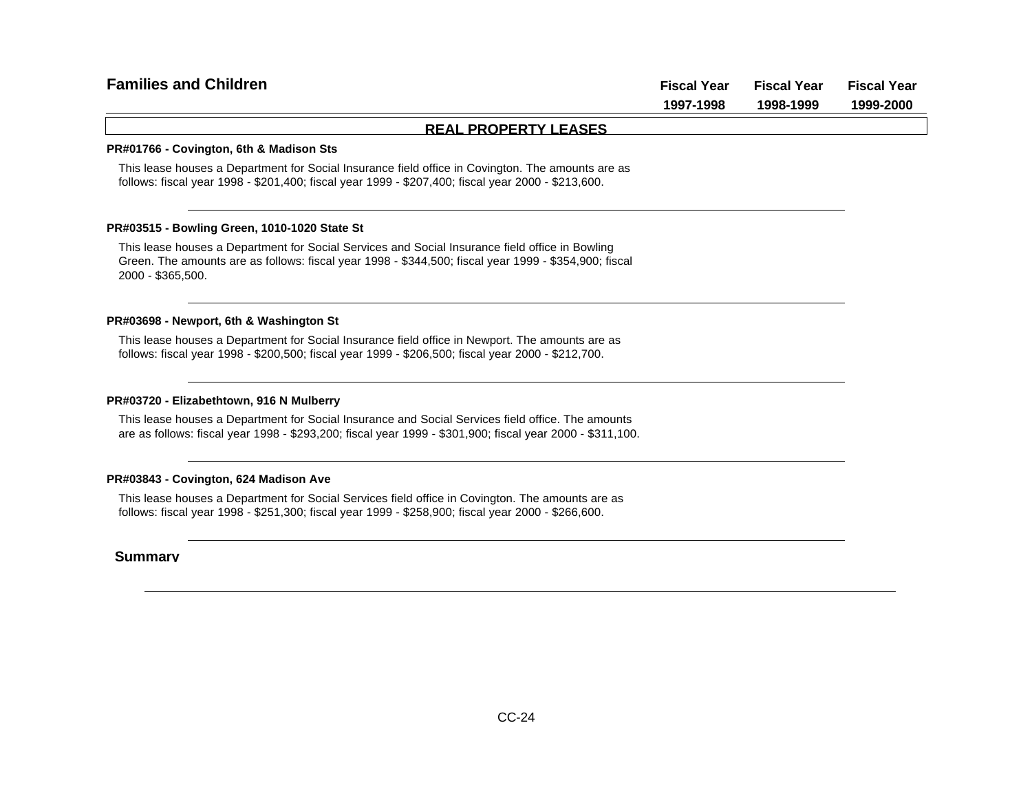| <b>Families and Children</b> | <b>Fiscal Year</b> | <b>Fiscal Year</b> | <b>Fiscal Year</b> |
|------------------------------|--------------------|--------------------|--------------------|
|                              | 1997-1998          | 1998-1999          | 1999-2000          |
| <b>REAL PROPERTY LEASES</b>  |                    |                    |                    |

#### **PR#01766 - Covington, 6th & Madison Sts**

This lease houses a Department for Social Insurance field office in Covington. The amounts are as follows: fiscal year 1998 - \$201,400; fiscal year 1999 - \$207,400; fiscal year 2000 - \$213,600.

#### **PR#03515 - Bowling Green, 1010-1020 State St**

This lease houses a Department for Social Services and Social Insurance field office in Bowling Green. The amounts are as follows: fiscal year 1998 - \$344,500; fiscal year 1999 - \$354,900; fiscal 2000 - \$365,500.

#### **PR#03698 - Newport, 6th & Washington St**

This lease houses a Department for Social Insurance field office in Newport. The amounts are as follows: fiscal year 1998 - \$200,500; fiscal year 1999 - \$206,500; fiscal year 2000 - \$212,700.

#### **PR#03720 - Elizabethtown, 916 N Mulberry**

This lease houses a Department for Social Insurance and Social Services field office. The amounts are as follows: fiscal year 1998 - \$293,200; fiscal year 1999 - \$301,900; fiscal year 2000 - \$311,100.

#### **PR#03843 - Covington, 624 Madison Ave**

This lease houses a Department for Social Services field office in Covington. The amounts are as follows: fiscal year 1998 - \$251,300; fiscal year 1999 - \$258,900; fiscal year 2000 - \$266,600.

### **Summary**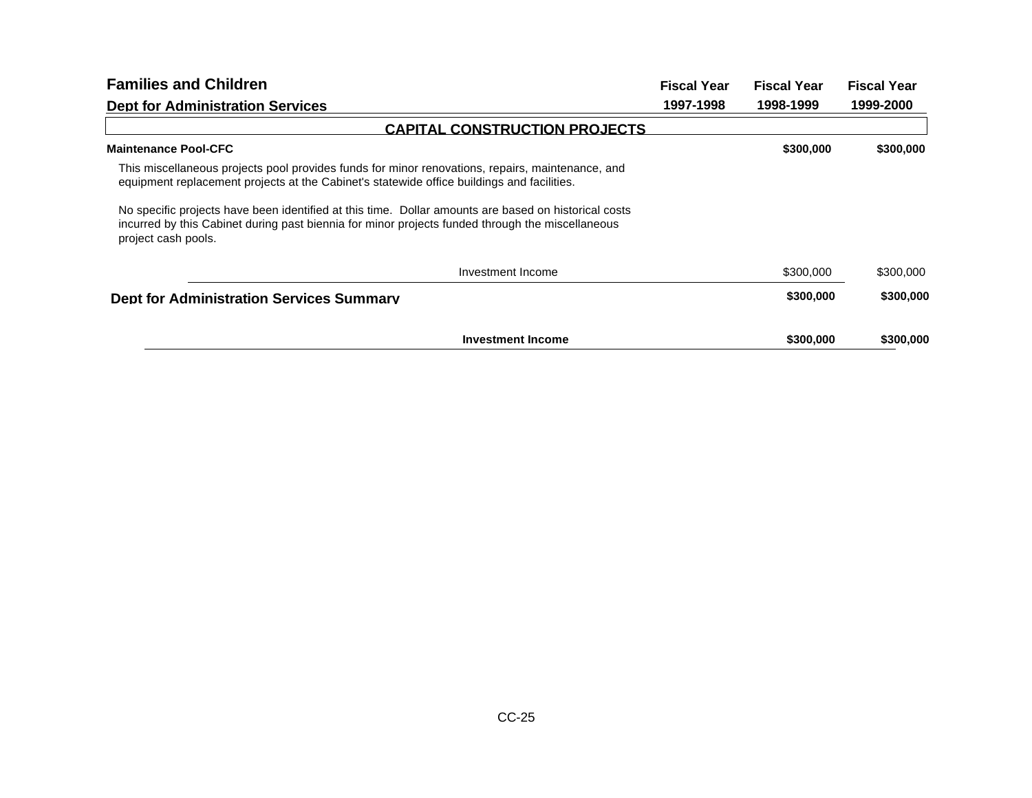| <b>Families and Children</b>                                                                                                                                                                                                    | <b>Fiscal Year</b> | <b>Fiscal Year</b> | <b>Fiscal Year</b> |
|---------------------------------------------------------------------------------------------------------------------------------------------------------------------------------------------------------------------------------|--------------------|--------------------|--------------------|
| <b>Dept for Administration Services</b>                                                                                                                                                                                         | 1997-1998          | 1998-1999          | 1999-2000          |
| <b>CAPITAL CONSTRUCTION PROJECTS</b>                                                                                                                                                                                            |                    |                    |                    |
| <b>Maintenance Pool-CFC</b>                                                                                                                                                                                                     |                    | \$300,000          | \$300,000          |
| This miscellaneous projects pool provides funds for minor renovations, repairs, maintenance, and<br>equipment replacement projects at the Cabinet's statewide office buildings and facilities.                                  |                    |                    |                    |
| No specific projects have been identified at this time. Dollar amounts are based on historical costs<br>incurred by this Cabinet during past biennia for minor projects funded through the miscellaneous<br>project cash pools. |                    |                    |                    |
| Investment Income                                                                                                                                                                                                               |                    | \$300,000          | \$300,000          |
| <b>Dept for Administration Services Summary</b>                                                                                                                                                                                 |                    | \$300,000          | \$300,000          |
| <b>Investment Income</b>                                                                                                                                                                                                        |                    | \$300,000          | \$300,000          |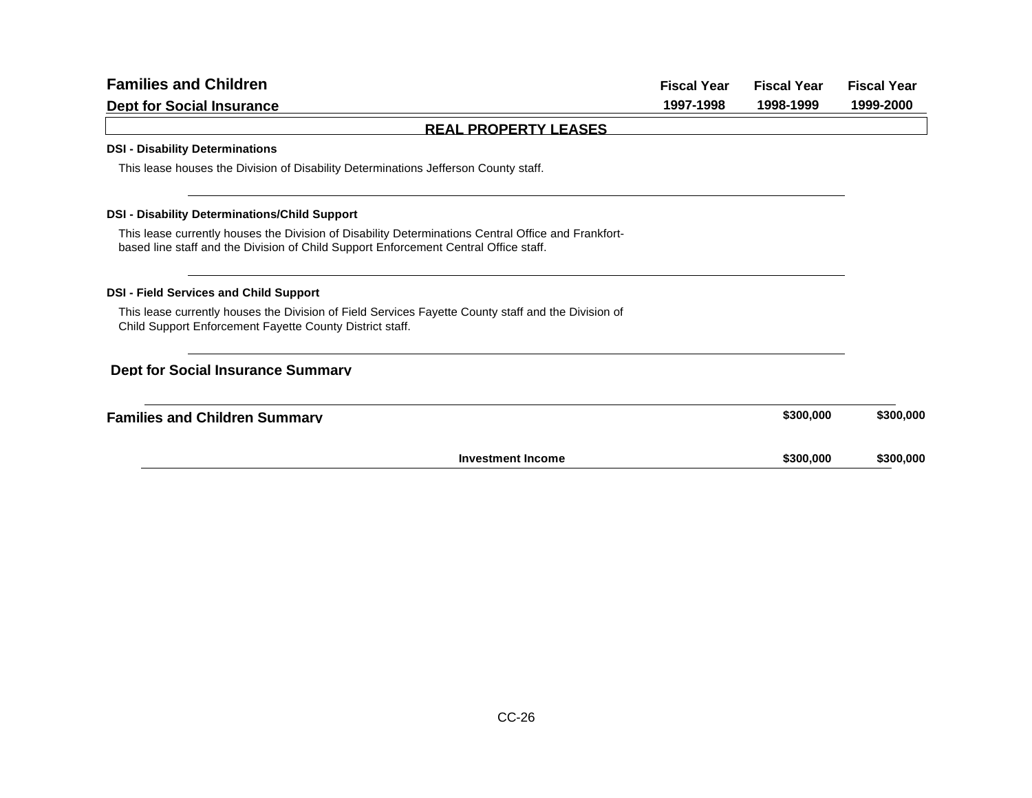| <b>Families and Children</b>                                                                                                                                                                | <b>Fiscal Year</b> | <b>Fiscal Year</b> | <b>Fiscal Year</b> |
|---------------------------------------------------------------------------------------------------------------------------------------------------------------------------------------------|--------------------|--------------------|--------------------|
| <b>Dept for Social Insurance</b>                                                                                                                                                            | 1997-1998          | 1998-1999          | 1999-2000          |
| <b>REAL PROPERTY LEASES</b>                                                                                                                                                                 |                    |                    |                    |
| <b>DSI - Disability Determinations</b>                                                                                                                                                      |                    |                    |                    |
| This lease houses the Division of Disability Determinations Jefferson County staff.                                                                                                         |                    |                    |                    |
| <b>DSI - Disability Determinations/Child Support</b>                                                                                                                                        |                    |                    |                    |
| This lease currently houses the Division of Disability Determinations Central Office and Frankfort-<br>based line staff and the Division of Child Support Enforcement Central Office staff. |                    |                    |                    |
| <b>DSI - Field Services and Child Support</b>                                                                                                                                               |                    |                    |                    |
| This lease currently houses the Division of Field Services Fayette County staff and the Division of<br>Child Support Enforcement Fayette County District staff.                             |                    |                    |                    |
| <b>Dept for Social Insurance Summarv</b>                                                                                                                                                    |                    |                    |                    |
| <b>Families and Children Summary</b>                                                                                                                                                        |                    | \$300,000          | \$300,000          |
| <b>Investment Income</b>                                                                                                                                                                    |                    | \$300,000          | \$300,000          |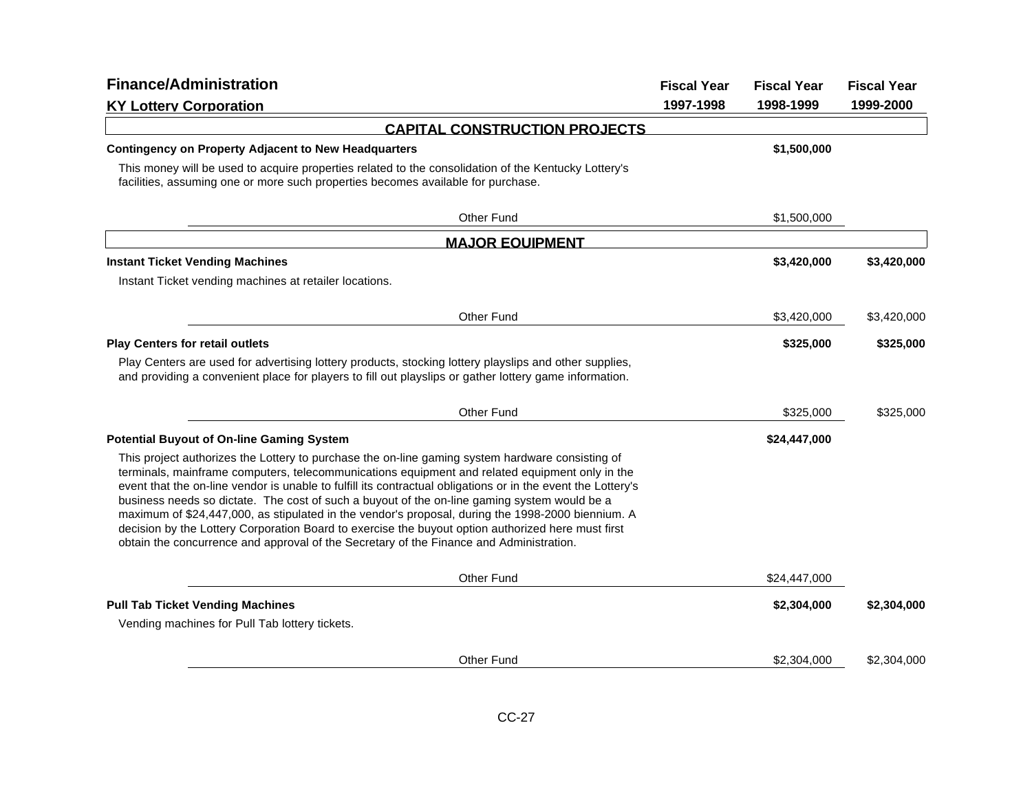| <b>Finance/Administration</b>                                                                                                                                                                                                                                                                                                                                                                                                                                                                                                                                                                                                                                                                                            | <b>Fiscal Year</b> | <b>Fiscal Year</b> | <b>Fiscal Year</b> |
|--------------------------------------------------------------------------------------------------------------------------------------------------------------------------------------------------------------------------------------------------------------------------------------------------------------------------------------------------------------------------------------------------------------------------------------------------------------------------------------------------------------------------------------------------------------------------------------------------------------------------------------------------------------------------------------------------------------------------|--------------------|--------------------|--------------------|
| <b>KY Lottery Corporation</b>                                                                                                                                                                                                                                                                                                                                                                                                                                                                                                                                                                                                                                                                                            | 1997-1998          | 1998-1999          | 1999-2000          |
| <b>CAPITAL CONSTRUCTION PROJECTS</b>                                                                                                                                                                                                                                                                                                                                                                                                                                                                                                                                                                                                                                                                                     |                    |                    |                    |
| <b>Contingency on Property Adjacent to New Headquarters</b>                                                                                                                                                                                                                                                                                                                                                                                                                                                                                                                                                                                                                                                              |                    | \$1,500,000        |                    |
| This money will be used to acquire properties related to the consolidation of the Kentucky Lottery's<br>facilities, assuming one or more such properties becomes available for purchase.                                                                                                                                                                                                                                                                                                                                                                                                                                                                                                                                 |                    |                    |                    |
| <b>Other Fund</b>                                                                                                                                                                                                                                                                                                                                                                                                                                                                                                                                                                                                                                                                                                        |                    | \$1,500,000        |                    |
| <b>MAJOR EQUIPMENT</b>                                                                                                                                                                                                                                                                                                                                                                                                                                                                                                                                                                                                                                                                                                   |                    |                    |                    |
| <b>Instant Ticket Vending Machines</b>                                                                                                                                                                                                                                                                                                                                                                                                                                                                                                                                                                                                                                                                                   |                    | \$3,420,000        | \$3,420,000        |
| Instant Ticket vending machines at retailer locations.                                                                                                                                                                                                                                                                                                                                                                                                                                                                                                                                                                                                                                                                   |                    |                    |                    |
| <b>Other Fund</b>                                                                                                                                                                                                                                                                                                                                                                                                                                                                                                                                                                                                                                                                                                        |                    | \$3,420,000        | \$3,420,000        |
| <b>Play Centers for retail outlets</b>                                                                                                                                                                                                                                                                                                                                                                                                                                                                                                                                                                                                                                                                                   |                    | \$325,000          | \$325,000          |
| Play Centers are used for advertising lottery products, stocking lottery playslips and other supplies,<br>and providing a convenient place for players to fill out playslips or gather lottery game information.                                                                                                                                                                                                                                                                                                                                                                                                                                                                                                         |                    |                    |                    |
| Other Fund                                                                                                                                                                                                                                                                                                                                                                                                                                                                                                                                                                                                                                                                                                               |                    | \$325,000          | \$325,000          |
| <b>Potential Buyout of On-line Gaming System</b>                                                                                                                                                                                                                                                                                                                                                                                                                                                                                                                                                                                                                                                                         |                    | \$24,447,000       |                    |
| This project authorizes the Lottery to purchase the on-line gaming system hardware consisting of<br>terminals, mainframe computers, telecommunications equipment and related equipment only in the<br>event that the on-line vendor is unable to fulfill its contractual obligations or in the event the Lottery's<br>business needs so dictate. The cost of such a buyout of the on-line gaming system would be a<br>maximum of \$24,447,000, as stipulated in the vendor's proposal, during the 1998-2000 biennium. A<br>decision by the Lottery Corporation Board to exercise the buyout option authorized here must first<br>obtain the concurrence and approval of the Secretary of the Finance and Administration. |                    |                    |                    |
| Other Fund                                                                                                                                                                                                                                                                                                                                                                                                                                                                                                                                                                                                                                                                                                               |                    | \$24,447,000       |                    |
| <b>Pull Tab Ticket Vending Machines</b>                                                                                                                                                                                                                                                                                                                                                                                                                                                                                                                                                                                                                                                                                  |                    | \$2,304,000        | \$2,304,000        |
| Vending machines for Pull Tab lottery tickets.                                                                                                                                                                                                                                                                                                                                                                                                                                                                                                                                                                                                                                                                           |                    |                    |                    |
| Other Fund                                                                                                                                                                                                                                                                                                                                                                                                                                                                                                                                                                                                                                                                                                               |                    | \$2,304,000        | \$2,304,000        |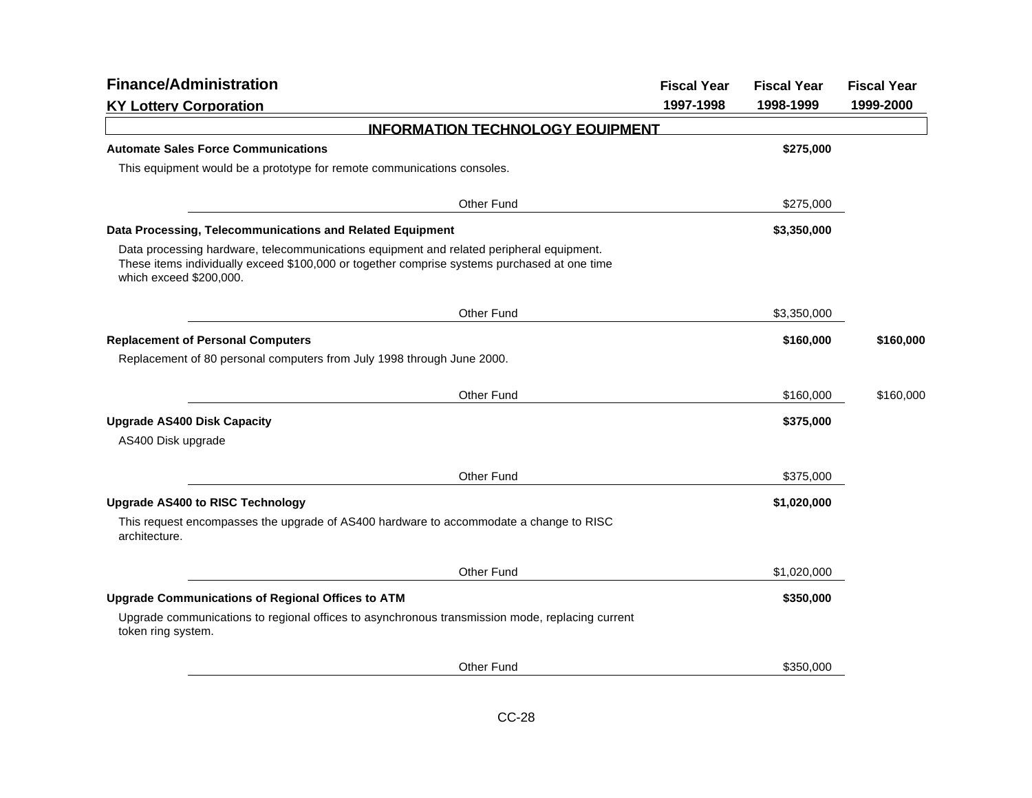| <b>Finance/Administration</b>                                                                                                                                                                                       | <b>Fiscal Year</b> | <b>Fiscal Year</b> | <b>Fiscal Year</b> |
|---------------------------------------------------------------------------------------------------------------------------------------------------------------------------------------------------------------------|--------------------|--------------------|--------------------|
| <b>KY Lottery Corporation</b>                                                                                                                                                                                       | 1997-1998          | 1998-1999          | 1999-2000          |
| <b>INFORMATION TECHNOLOGY EQUIPMENT</b>                                                                                                                                                                             |                    |                    |                    |
| <b>Automate Sales Force Communications</b>                                                                                                                                                                          |                    | \$275,000          |                    |
| This equipment would be a prototype for remote communications consoles.                                                                                                                                             |                    |                    |                    |
| Other Fund                                                                                                                                                                                                          |                    | \$275,000          |                    |
| Data Processing, Telecommunications and Related Equipment                                                                                                                                                           |                    | \$3,350,000        |                    |
| Data processing hardware, telecommunications equipment and related peripheral equipment.<br>These items individually exceed \$100,000 or together comprise systems purchased at one time<br>which exceed \$200,000. |                    |                    |                    |
| Other Fund                                                                                                                                                                                                          |                    | \$3,350,000        |                    |
| <b>Replacement of Personal Computers</b>                                                                                                                                                                            |                    | \$160,000          | \$160,000          |
| Replacement of 80 personal computers from July 1998 through June 2000.                                                                                                                                              |                    |                    |                    |
| Other Fund                                                                                                                                                                                                          |                    | \$160,000          | \$160,000          |
| <b>Upgrade AS400 Disk Capacity</b><br>AS400 Disk upgrade                                                                                                                                                            |                    | \$375,000          |                    |
| Other Fund                                                                                                                                                                                                          |                    | \$375,000          |                    |
| <b>Upgrade AS400 to RISC Technology</b>                                                                                                                                                                             |                    | \$1,020,000        |                    |
| This request encompasses the upgrade of AS400 hardware to accommodate a change to RISC<br>architecture.                                                                                                             |                    |                    |                    |
| Other Fund                                                                                                                                                                                                          |                    | \$1,020,000        |                    |
| <b>Upgrade Communications of Regional Offices to ATM</b>                                                                                                                                                            |                    | \$350,000          |                    |
| Upgrade communications to regional offices to asynchronous transmission mode, replacing current<br>token ring system.                                                                                               |                    |                    |                    |
| Other Fund                                                                                                                                                                                                          |                    | \$350,000          |                    |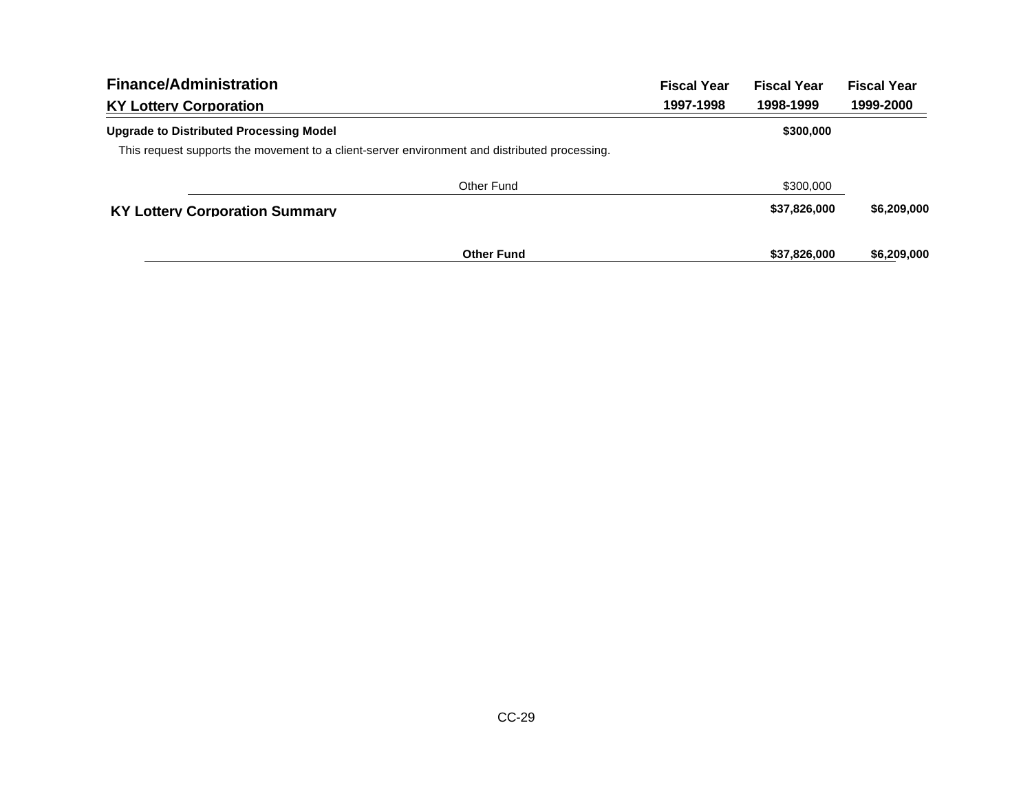| <b>Finance/Administration</b>           |                                                                                                                          | <b>Fiscal Year</b> | <b>Fiscal Year</b> | <b>Fiscal Year</b> |
|-----------------------------------------|--------------------------------------------------------------------------------------------------------------------------|--------------------|--------------------|--------------------|
| <b>KY Lottery Corporation</b>           | 1997-1998<br>This request supports the movement to a client-server environment and distributed processing.<br>Other Fund | 1998-1999          | 1999-2000          |                    |
| Upgrade to Distributed Processing Model |                                                                                                                          |                    | \$300,000          |                    |
|                                         |                                                                                                                          |                    |                    |                    |
|                                         |                                                                                                                          |                    | \$300,000          |                    |
| <b>KY Lottery Corporation Summary</b>   |                                                                                                                          |                    | \$37,826,000       | \$6,209,000        |
|                                         | <b>Other Fund</b>                                                                                                        |                    | \$37,826,000       | \$6,209,000        |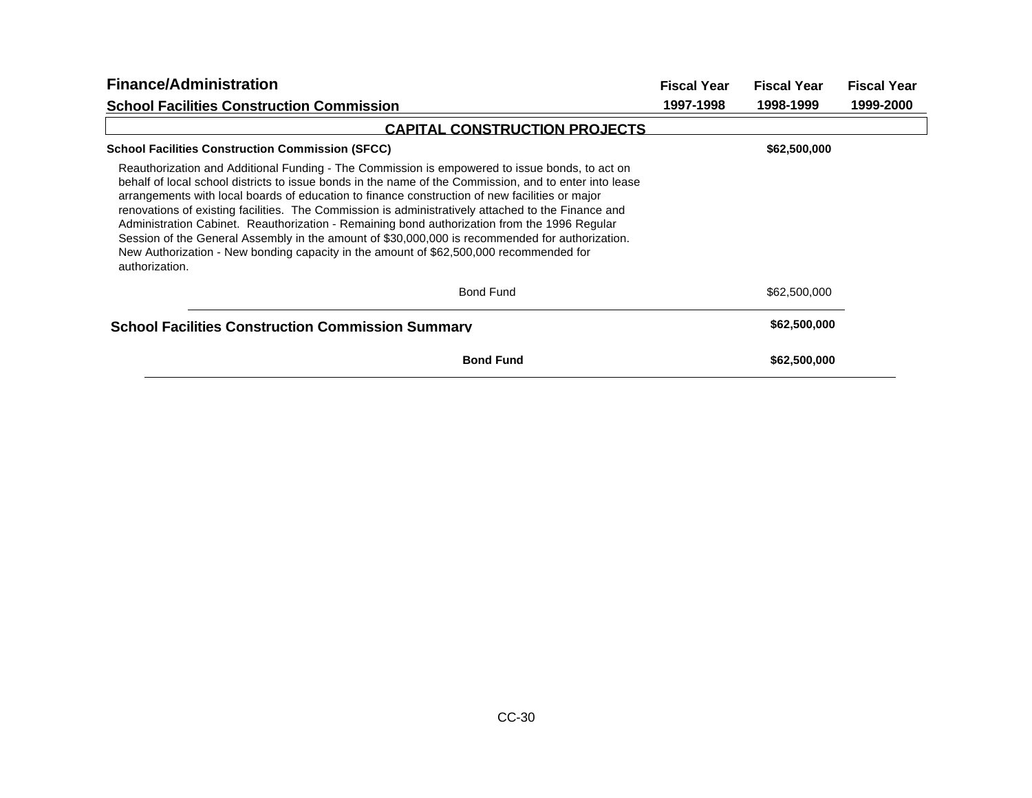| <b>Finance/Administration</b>                                                                                                                                                                                                                                                                                                                                                                                                                                                                                                                                                                                                                                                                                                   | <b>Fiscal Year</b> | <b>Fiscal Year</b> | <b>Fiscal Year</b> |
|---------------------------------------------------------------------------------------------------------------------------------------------------------------------------------------------------------------------------------------------------------------------------------------------------------------------------------------------------------------------------------------------------------------------------------------------------------------------------------------------------------------------------------------------------------------------------------------------------------------------------------------------------------------------------------------------------------------------------------|--------------------|--------------------|--------------------|
| <b>School Facilities Construction Commission</b>                                                                                                                                                                                                                                                                                                                                                                                                                                                                                                                                                                                                                                                                                | 1997-1998          | 1998-1999          | 1999-2000          |
| <b>CAPITAL CONSTRUCTION PROJECTS</b>                                                                                                                                                                                                                                                                                                                                                                                                                                                                                                                                                                                                                                                                                            |                    |                    |                    |
| <b>School Facilities Construction Commission (SFCC)</b>                                                                                                                                                                                                                                                                                                                                                                                                                                                                                                                                                                                                                                                                         |                    | \$62,500,000       |                    |
| Reauthorization and Additional Funding - The Commission is empowered to issue bonds, to act on<br>behalf of local school districts to issue bonds in the name of the Commission, and to enter into lease<br>arrangements with local boards of education to finance construction of new facilities or major<br>renovations of existing facilities. The Commission is administratively attached to the Finance and<br>Administration Cabinet. Reauthorization - Remaining bond authorization from the 1996 Regular<br>Session of the General Assembly in the amount of \$30,000,000 is recommended for authorization.<br>New Authorization - New bonding capacity in the amount of \$62,500,000 recommended for<br>authorization. |                    |                    |                    |
| <b>Bond Fund</b>                                                                                                                                                                                                                                                                                                                                                                                                                                                                                                                                                                                                                                                                                                                |                    | \$62,500,000       |                    |
| <b>School Facilities Construction Commission Summary</b>                                                                                                                                                                                                                                                                                                                                                                                                                                                                                                                                                                                                                                                                        |                    | \$62,500,000       |                    |
| <b>Bond Fund</b>                                                                                                                                                                                                                                                                                                                                                                                                                                                                                                                                                                                                                                                                                                                |                    | \$62,500,000       |                    |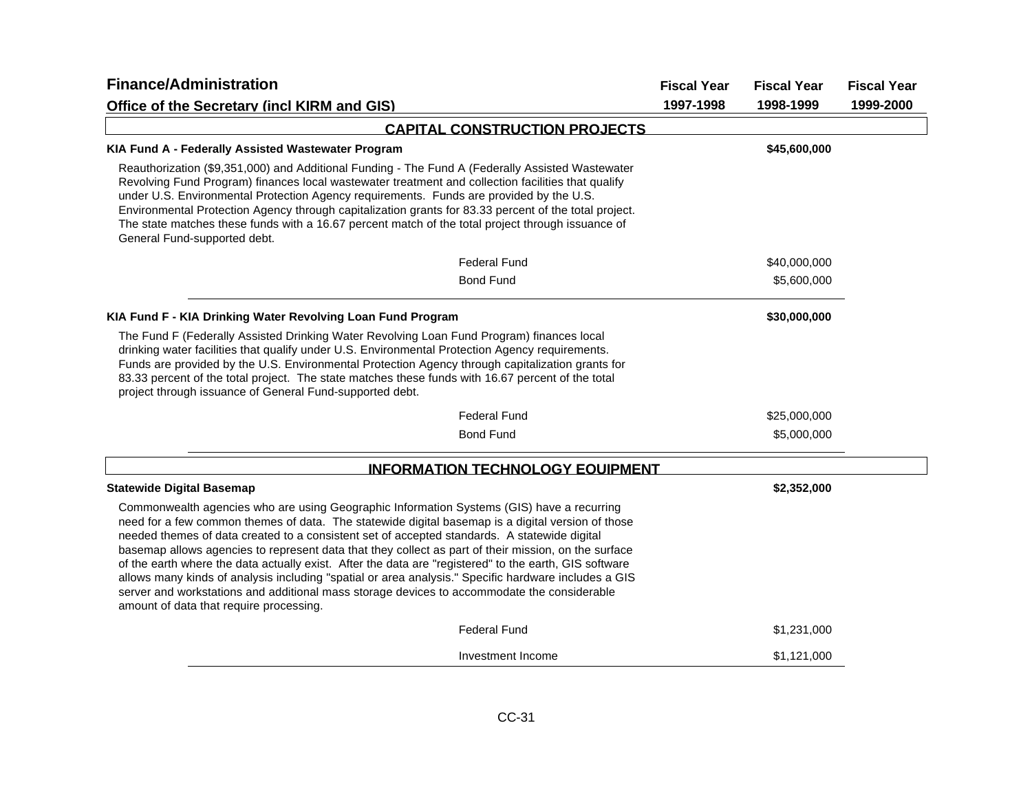| <b>Finance/Administration</b>                                                                                                                                                                                                                                                                                                                                                                                                                                                                                                                                                                                                                                                                                                                                      | <b>Fiscal Year</b> | <b>Fiscal Year</b> | <b>Fiscal Year</b> |
|--------------------------------------------------------------------------------------------------------------------------------------------------------------------------------------------------------------------------------------------------------------------------------------------------------------------------------------------------------------------------------------------------------------------------------------------------------------------------------------------------------------------------------------------------------------------------------------------------------------------------------------------------------------------------------------------------------------------------------------------------------------------|--------------------|--------------------|--------------------|
| Office of the Secretary (incl KIRM and GIS)                                                                                                                                                                                                                                                                                                                                                                                                                                                                                                                                                                                                                                                                                                                        | 1997-1998          | 1998-1999          | 1999-2000          |
| <b>CAPITAL CONSTRUCTION PROJECTS</b>                                                                                                                                                                                                                                                                                                                                                                                                                                                                                                                                                                                                                                                                                                                               |                    |                    |                    |
| KIA Fund A - Federally Assisted Wastewater Program                                                                                                                                                                                                                                                                                                                                                                                                                                                                                                                                                                                                                                                                                                                 |                    | \$45,600,000       |                    |
| Reauthorization (\$9,351,000) and Additional Funding - The Fund A (Federally Assisted Wastewater<br>Revolving Fund Program) finances local wastewater treatment and collection facilities that qualify<br>under U.S. Environmental Protection Agency requirements. Funds are provided by the U.S.<br>Environmental Protection Agency through capitalization grants for 83.33 percent of the total project.<br>The state matches these funds with a 16.67 percent match of the total project through issuance of<br>General Fund-supported debt.                                                                                                                                                                                                                    |                    |                    |                    |
| <b>Federal Fund</b>                                                                                                                                                                                                                                                                                                                                                                                                                                                                                                                                                                                                                                                                                                                                                |                    | \$40,000,000       |                    |
| <b>Bond Fund</b>                                                                                                                                                                                                                                                                                                                                                                                                                                                                                                                                                                                                                                                                                                                                                   |                    | \$5,600,000        |                    |
| KIA Fund F - KIA Drinking Water Revolving Loan Fund Program                                                                                                                                                                                                                                                                                                                                                                                                                                                                                                                                                                                                                                                                                                        |                    | \$30,000,000       |                    |
| The Fund F (Federally Assisted Drinking Water Revolving Loan Fund Program) finances local<br>drinking water facilities that qualify under U.S. Environmental Protection Agency requirements.<br>Funds are provided by the U.S. Environmental Protection Agency through capitalization grants for<br>83.33 percent of the total project. The state matches these funds with 16.67 percent of the total<br>project through issuance of General Fund-supported debt.                                                                                                                                                                                                                                                                                                  |                    |                    |                    |
| <b>Federal Fund</b>                                                                                                                                                                                                                                                                                                                                                                                                                                                                                                                                                                                                                                                                                                                                                |                    | \$25,000,000       |                    |
| <b>Bond Fund</b>                                                                                                                                                                                                                                                                                                                                                                                                                                                                                                                                                                                                                                                                                                                                                   |                    | \$5,000,000        |                    |
| <b>INFORMATION TECHNOLOGY EQUIPMENT</b>                                                                                                                                                                                                                                                                                                                                                                                                                                                                                                                                                                                                                                                                                                                            |                    |                    |                    |
| <b>Statewide Digital Basemap</b>                                                                                                                                                                                                                                                                                                                                                                                                                                                                                                                                                                                                                                                                                                                                   |                    | \$2,352,000        |                    |
| Commonwealth agencies who are using Geographic Information Systems (GIS) have a recurring<br>need for a few common themes of data. The statewide digital basemap is a digital version of those<br>needed themes of data created to a consistent set of accepted standards. A statewide digital<br>basemap allows agencies to represent data that they collect as part of their mission, on the surface<br>of the earth where the data actually exist. After the data are "registered" to the earth, GIS software<br>allows many kinds of analysis including "spatial or area analysis." Specific hardware includes a GIS<br>server and workstations and additional mass storage devices to accommodate the considerable<br>amount of data that require processing. |                    |                    |                    |
| <b>Federal Fund</b>                                                                                                                                                                                                                                                                                                                                                                                                                                                                                                                                                                                                                                                                                                                                                |                    | \$1,231,000        |                    |
| Investment Income                                                                                                                                                                                                                                                                                                                                                                                                                                                                                                                                                                                                                                                                                                                                                  |                    | \$1,121,000        |                    |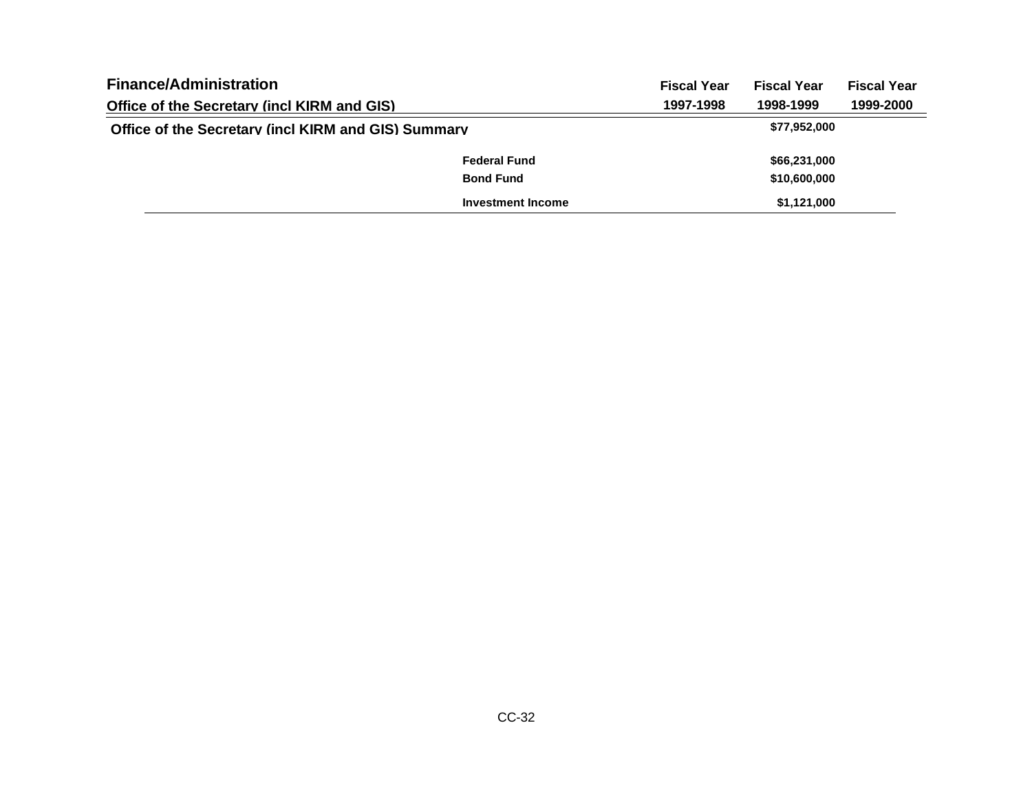| <b>Finance/Administration</b>                       |                          | <b>Fiscal Year</b> | <b>Fiscal Year</b> | <b>Fiscal Year</b> |
|-----------------------------------------------------|--------------------------|--------------------|--------------------|--------------------|
| <b>Office of the Secretary (incl KIRM and GIS)</b>  |                          | 1997-1998          | 1998-1999          | 1999-2000          |
| Office of the Secretary (incl KIRM and GIS) Summary |                          |                    | \$77,952,000       |                    |
|                                                     | <b>Federal Fund</b>      |                    | \$66,231,000       |                    |
|                                                     | <b>Bond Fund</b>         |                    | \$10,600,000       |                    |
|                                                     | <b>Investment Income</b> |                    | \$1,121,000        |                    |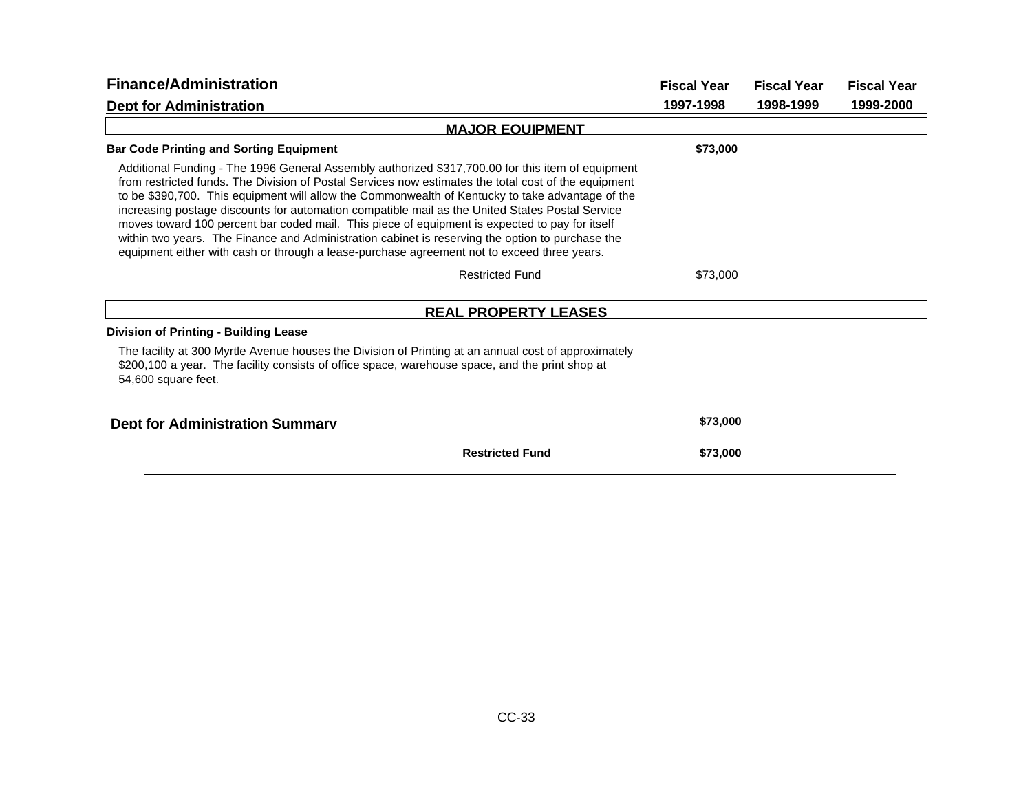| <b>Finance/Administration</b>                                                                                                                                                                                                                                                                                                                                                                                                                                                                                                                                                                                                                                                                                         | <b>Fiscal Year</b> | <b>Fiscal Year</b> | <b>Fiscal Year</b> |
|-----------------------------------------------------------------------------------------------------------------------------------------------------------------------------------------------------------------------------------------------------------------------------------------------------------------------------------------------------------------------------------------------------------------------------------------------------------------------------------------------------------------------------------------------------------------------------------------------------------------------------------------------------------------------------------------------------------------------|--------------------|--------------------|--------------------|
| <b>Dept for Administration</b>                                                                                                                                                                                                                                                                                                                                                                                                                                                                                                                                                                                                                                                                                        | 1997-1998          | 1998-1999          | 1999-2000          |
| <b>MAJOR EQUIPMENT</b>                                                                                                                                                                                                                                                                                                                                                                                                                                                                                                                                                                                                                                                                                                |                    |                    |                    |
| <b>Bar Code Printing and Sorting Equipment</b>                                                                                                                                                                                                                                                                                                                                                                                                                                                                                                                                                                                                                                                                        | \$73,000           |                    |                    |
| Additional Funding - The 1996 General Assembly authorized \$317,700.00 for this item of equipment<br>from restricted funds. The Division of Postal Services now estimates the total cost of the equipment<br>to be \$390,700. This equipment will allow the Commonwealth of Kentucky to take advantage of the<br>increasing postage discounts for automation compatible mail as the United States Postal Service<br>moves toward 100 percent bar coded mail. This piece of equipment is expected to pay for itself<br>within two years. The Finance and Administration cabinet is reserving the option to purchase the<br>equipment either with cash or through a lease-purchase agreement not to exceed three years. |                    |                    |                    |
| <b>Restricted Fund</b>                                                                                                                                                                                                                                                                                                                                                                                                                                                                                                                                                                                                                                                                                                | \$73,000           |                    |                    |
| <b>REAL PROPERTY LEASES</b>                                                                                                                                                                                                                                                                                                                                                                                                                                                                                                                                                                                                                                                                                           |                    |                    |                    |
| <b>Division of Printing - Building Lease</b>                                                                                                                                                                                                                                                                                                                                                                                                                                                                                                                                                                                                                                                                          |                    |                    |                    |
| The facility at 300 Myrtle Avenue houses the Division of Printing at an annual cost of approximately<br>\$200,100 a year. The facility consists of office space, warehouse space, and the print shop at<br>54,600 square feet.                                                                                                                                                                                                                                                                                                                                                                                                                                                                                        |                    |                    |                    |
| <b>Dept for Administration Summary</b>                                                                                                                                                                                                                                                                                                                                                                                                                                                                                                                                                                                                                                                                                | \$73,000           |                    |                    |
| <b>Restricted Fund</b>                                                                                                                                                                                                                                                                                                                                                                                                                                                                                                                                                                                                                                                                                                | \$73,000           |                    |                    |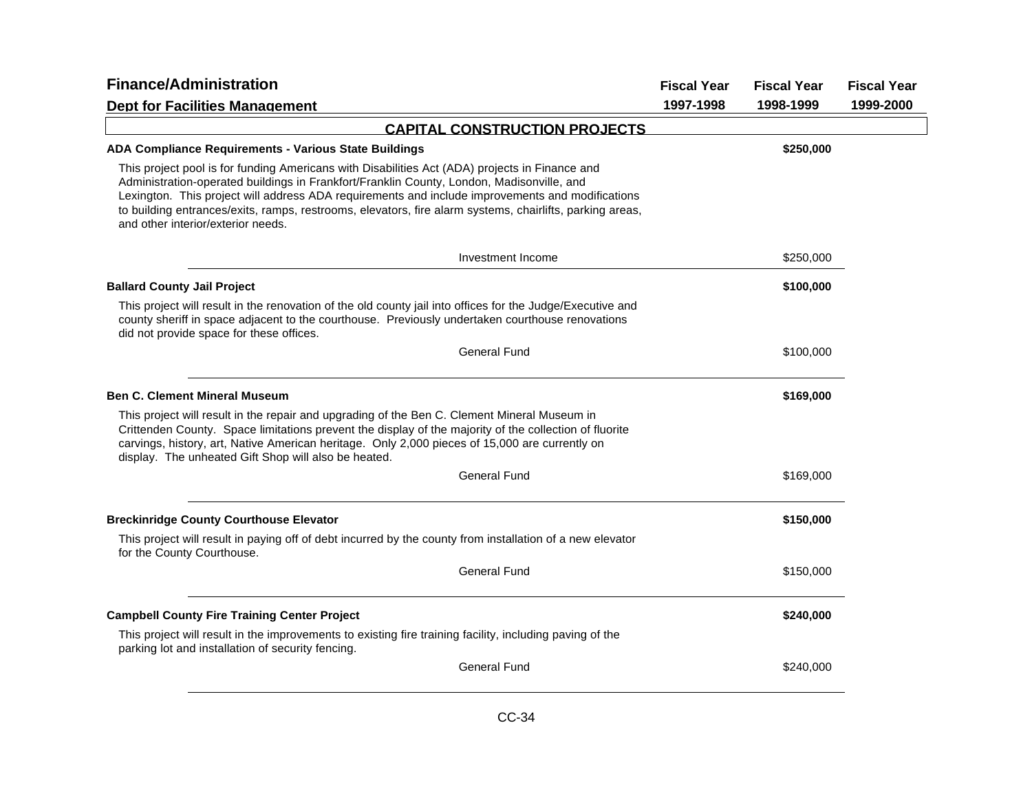| <b>Finance/Administration</b>                                                                                                                                                                                                                                                                                                                                                                                                                     | <b>Fiscal Year</b> | <b>Fiscal Year</b> | <b>Fiscal Year</b> |
|---------------------------------------------------------------------------------------------------------------------------------------------------------------------------------------------------------------------------------------------------------------------------------------------------------------------------------------------------------------------------------------------------------------------------------------------------|--------------------|--------------------|--------------------|
| <b>Dept for Facilities Management</b>                                                                                                                                                                                                                                                                                                                                                                                                             | 1997-1998          | 1998-1999          | 1999-2000          |
| <b>CAPITAL CONSTRUCTION PROJECTS</b>                                                                                                                                                                                                                                                                                                                                                                                                              |                    |                    |                    |
| <b>ADA Compliance Requirements - Various State Buildings</b>                                                                                                                                                                                                                                                                                                                                                                                      |                    | \$250,000          |                    |
| This project pool is for funding Americans with Disabilities Act (ADA) projects in Finance and<br>Administration-operated buildings in Frankfort/Franklin County, London, Madisonville, and<br>Lexington. This project will address ADA requirements and include improvements and modifications<br>to building entrances/exits, ramps, restrooms, elevators, fire alarm systems, chairlifts, parking areas,<br>and other interior/exterior needs. |                    |                    |                    |
| Investment Income                                                                                                                                                                                                                                                                                                                                                                                                                                 |                    | \$250,000          |                    |
| <b>Ballard County Jail Project</b>                                                                                                                                                                                                                                                                                                                                                                                                                |                    | \$100,000          |                    |
| This project will result in the renovation of the old county jail into offices for the Judge/Executive and<br>county sheriff in space adjacent to the courthouse. Previously undertaken courthouse renovations<br>did not provide space for these offices.                                                                                                                                                                                        |                    |                    |                    |
| <b>General Fund</b>                                                                                                                                                                                                                                                                                                                                                                                                                               |                    | \$100,000          |                    |
| <b>Ben C. Clement Mineral Museum</b>                                                                                                                                                                                                                                                                                                                                                                                                              |                    | \$169,000          |                    |
| This project will result in the repair and upgrading of the Ben C. Clement Mineral Museum in<br>Crittenden County. Space limitations prevent the display of the majority of the collection of fluorite<br>carvings, history, art, Native American heritage. Only 2,000 pieces of 15,000 are currently on<br>display. The unheated Gift Shop will also be heated.                                                                                  |                    |                    |                    |
| <b>General Fund</b>                                                                                                                                                                                                                                                                                                                                                                                                                               |                    | \$169,000          |                    |
| <b>Breckinridge County Courthouse Elevator</b>                                                                                                                                                                                                                                                                                                                                                                                                    |                    | \$150,000          |                    |
| This project will result in paying off of debt incurred by the county from installation of a new elevator<br>for the County Courthouse.                                                                                                                                                                                                                                                                                                           |                    |                    |                    |
| <b>General Fund</b>                                                                                                                                                                                                                                                                                                                                                                                                                               |                    | \$150,000          |                    |
| <b>Campbell County Fire Training Center Project</b>                                                                                                                                                                                                                                                                                                                                                                                               |                    | \$240,000          |                    |
| This project will result in the improvements to existing fire training facility, including paving of the<br>parking lot and installation of security fencing.                                                                                                                                                                                                                                                                                     |                    |                    |                    |
| <b>General Fund</b>                                                                                                                                                                                                                                                                                                                                                                                                                               |                    | \$240,000          |                    |
|                                                                                                                                                                                                                                                                                                                                                                                                                                                   |                    |                    |                    |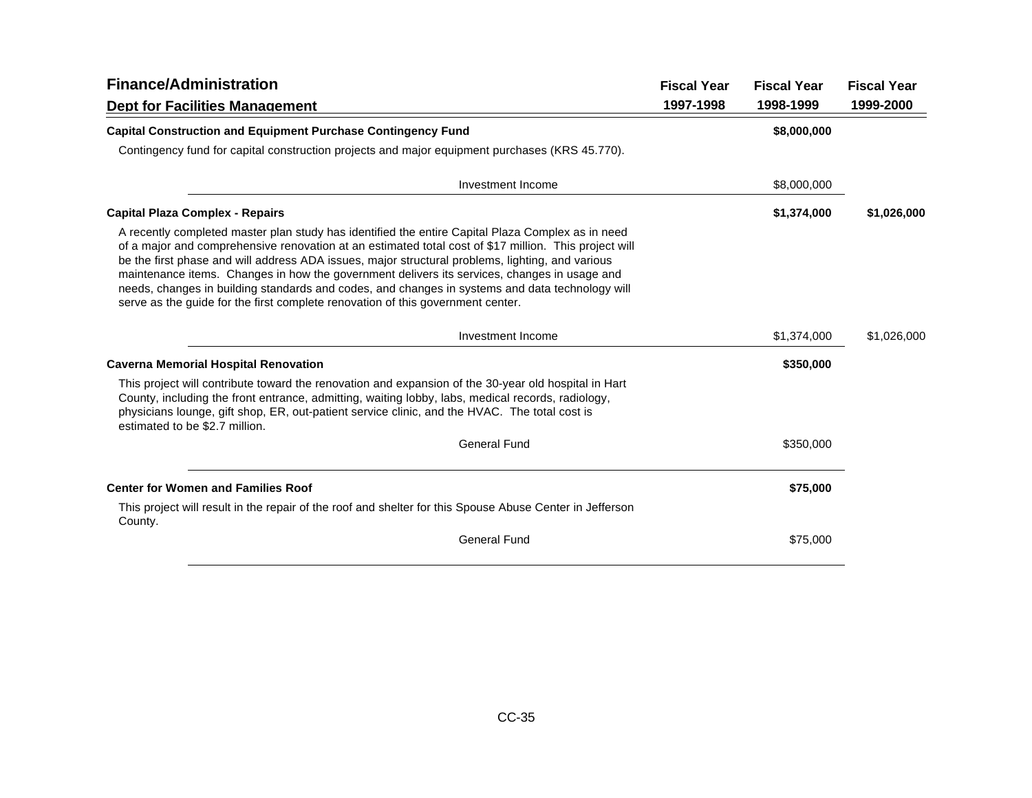| <b>Finance/Administration</b>                                                                                                                                                                                                                                                                                                                                                                                                                                                                                                                                                                        | <b>Fiscal Year</b> | <b>Fiscal Year</b> | <b>Fiscal Year</b> |
|------------------------------------------------------------------------------------------------------------------------------------------------------------------------------------------------------------------------------------------------------------------------------------------------------------------------------------------------------------------------------------------------------------------------------------------------------------------------------------------------------------------------------------------------------------------------------------------------------|--------------------|--------------------|--------------------|
| <b>Dept for Facilities Management</b>                                                                                                                                                                                                                                                                                                                                                                                                                                                                                                                                                                | 1997-1998          | 1998-1999          | 1999-2000          |
| <b>Capital Construction and Equipment Purchase Contingency Fund</b>                                                                                                                                                                                                                                                                                                                                                                                                                                                                                                                                  |                    | \$8,000,000        |                    |
| Contingency fund for capital construction projects and major equipment purchases (KRS 45.770).                                                                                                                                                                                                                                                                                                                                                                                                                                                                                                       |                    |                    |                    |
| Investment Income                                                                                                                                                                                                                                                                                                                                                                                                                                                                                                                                                                                    |                    | \$8,000,000        |                    |
| <b>Capital Plaza Complex - Repairs</b>                                                                                                                                                                                                                                                                                                                                                                                                                                                                                                                                                               |                    | \$1,374,000        | \$1,026,000        |
| A recently completed master plan study has identified the entire Capital Plaza Complex as in need<br>of a major and comprehensive renovation at an estimated total cost of \$17 million. This project will<br>be the first phase and will address ADA issues, major structural problems, lighting, and various<br>maintenance items. Changes in how the government delivers its services, changes in usage and<br>needs, changes in building standards and codes, and changes in systems and data technology will<br>serve as the guide for the first complete renovation of this government center. |                    |                    |                    |
| Investment Income                                                                                                                                                                                                                                                                                                                                                                                                                                                                                                                                                                                    |                    | \$1,374,000        | \$1,026,000        |
| <b>Caverna Memorial Hospital Renovation</b>                                                                                                                                                                                                                                                                                                                                                                                                                                                                                                                                                          |                    | \$350,000          |                    |
| This project will contribute toward the renovation and expansion of the 30-year old hospital in Hart<br>County, including the front entrance, admitting, waiting lobby, labs, medical records, radiology,<br>physicians lounge, gift shop, ER, out-patient service clinic, and the HVAC. The total cost is<br>estimated to be \$2.7 million.                                                                                                                                                                                                                                                         |                    |                    |                    |
| <b>General Fund</b>                                                                                                                                                                                                                                                                                                                                                                                                                                                                                                                                                                                  |                    | \$350,000          |                    |
| <b>Center for Women and Families Roof</b>                                                                                                                                                                                                                                                                                                                                                                                                                                                                                                                                                            |                    | \$75,000           |                    |
| This project will result in the repair of the roof and shelter for this Spouse Abuse Center in Jefferson<br>County.                                                                                                                                                                                                                                                                                                                                                                                                                                                                                  |                    |                    |                    |
| <b>General Fund</b>                                                                                                                                                                                                                                                                                                                                                                                                                                                                                                                                                                                  |                    | \$75,000           |                    |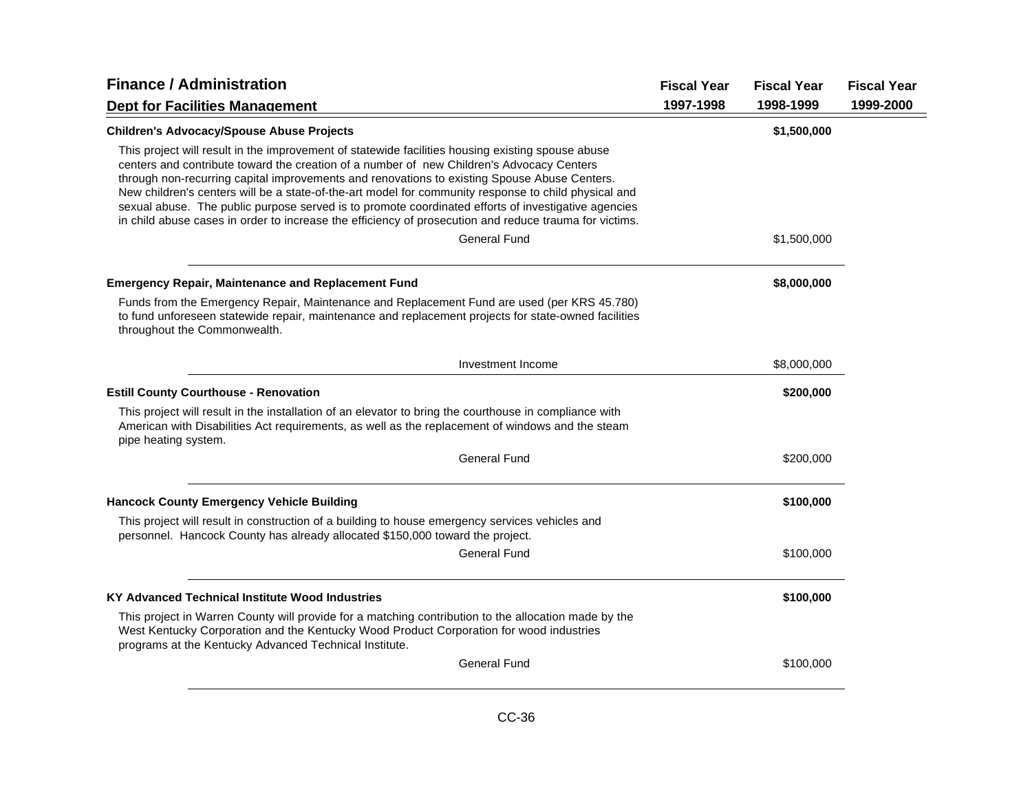| <b>Finance / Administration</b>                                                                                                                                                                                                                                                                                                                                                                                                                                                                                                                                                                                         | <b>Fiscal Year</b> | <b>Fiscal Year</b> | <b>Fiscal Year</b> |
|-------------------------------------------------------------------------------------------------------------------------------------------------------------------------------------------------------------------------------------------------------------------------------------------------------------------------------------------------------------------------------------------------------------------------------------------------------------------------------------------------------------------------------------------------------------------------------------------------------------------------|--------------------|--------------------|--------------------|
| <b>Dept for Facilities Management</b>                                                                                                                                                                                                                                                                                                                                                                                                                                                                                                                                                                                   | 1997-1998          | 1998-1999          | 1999-2000          |
| <b>Children's Advocacy/Spouse Abuse Projects</b>                                                                                                                                                                                                                                                                                                                                                                                                                                                                                                                                                                        |                    | \$1,500,000        |                    |
| This project will result in the improvement of statewide facilities housing existing spouse abuse<br>centers and contribute toward the creation of a number of new Children's Advocacy Centers<br>through non-recurring capital improvements and renovations to existing Spouse Abuse Centers.<br>New children's centers will be a state-of-the-art model for community response to child physical and<br>sexual abuse. The public purpose served is to promote coordinated efforts of investigative agencies<br>in child abuse cases in order to increase the efficiency of prosecution and reduce trauma for victims. |                    |                    |                    |
| <b>General Fund</b>                                                                                                                                                                                                                                                                                                                                                                                                                                                                                                                                                                                                     |                    | \$1,500,000        |                    |
| <b>Emergency Repair, Maintenance and Replacement Fund</b>                                                                                                                                                                                                                                                                                                                                                                                                                                                                                                                                                               |                    | \$8,000,000        |                    |
| Funds from the Emergency Repair, Maintenance and Replacement Fund are used (per KRS 45.780)<br>to fund unforeseen statewide repair, maintenance and replacement projects for state-owned facilities<br>throughout the Commonwealth.                                                                                                                                                                                                                                                                                                                                                                                     |                    |                    |                    |
| Investment Income                                                                                                                                                                                                                                                                                                                                                                                                                                                                                                                                                                                                       |                    | \$8,000,000        |                    |
| <b>Estill County Courthouse - Renovation</b>                                                                                                                                                                                                                                                                                                                                                                                                                                                                                                                                                                            |                    | \$200,000          |                    |
| This project will result in the installation of an elevator to bring the courthouse in compliance with<br>American with Disabilities Act requirements, as well as the replacement of windows and the steam<br>pipe heating system.                                                                                                                                                                                                                                                                                                                                                                                      |                    |                    |                    |
| <b>General Fund</b>                                                                                                                                                                                                                                                                                                                                                                                                                                                                                                                                                                                                     |                    | \$200,000          |                    |
| <b>Hancock County Emergency Vehicle Building</b>                                                                                                                                                                                                                                                                                                                                                                                                                                                                                                                                                                        |                    | \$100,000          |                    |
| This project will result in construction of a building to house emergency services vehicles and<br>personnel. Hancock County has already allocated \$150,000 toward the project.                                                                                                                                                                                                                                                                                                                                                                                                                                        |                    |                    |                    |
| General Fund                                                                                                                                                                                                                                                                                                                                                                                                                                                                                                                                                                                                            |                    | \$100,000          |                    |
| KY Advanced Technical Institute Wood Industries                                                                                                                                                                                                                                                                                                                                                                                                                                                                                                                                                                         |                    | \$100,000          |                    |
| This project in Warren County will provide for a matching contribution to the allocation made by the<br>West Kentucky Corporation and the Kentucky Wood Product Corporation for wood industries<br>programs at the Kentucky Advanced Technical Institute.                                                                                                                                                                                                                                                                                                                                                               |                    |                    |                    |
| <b>General Fund</b>                                                                                                                                                                                                                                                                                                                                                                                                                                                                                                                                                                                                     |                    | \$100,000          |                    |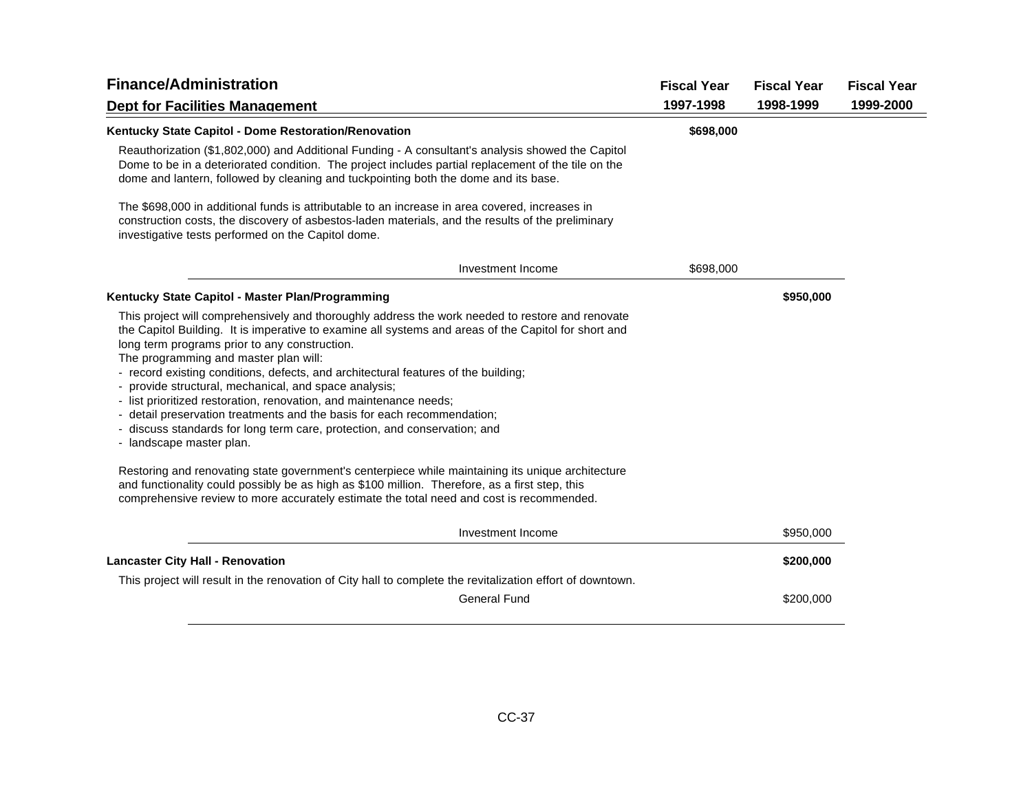| <b>Finance/Administration</b>                                                                                                                                                                                                                                                                                                                                                                                                                                                                                                                                                                                                                                                                                                                                                                                    | <b>Fiscal Year</b> | <b>Fiscal Year</b> | <b>Fiscal Year</b> |
|------------------------------------------------------------------------------------------------------------------------------------------------------------------------------------------------------------------------------------------------------------------------------------------------------------------------------------------------------------------------------------------------------------------------------------------------------------------------------------------------------------------------------------------------------------------------------------------------------------------------------------------------------------------------------------------------------------------------------------------------------------------------------------------------------------------|--------------------|--------------------|--------------------|
| <b>Dept for Facilities Management</b>                                                                                                                                                                                                                                                                                                                                                                                                                                                                                                                                                                                                                                                                                                                                                                            | 1997-1998          | 1998-1999          | 1999-2000          |
| Kentucky State Capitol - Dome Restoration/Renovation<br>Reauthorization (\$1,802,000) and Additional Funding - A consultant's analysis showed the Capitol<br>Dome to be in a deteriorated condition. The project includes partial replacement of the tile on the<br>dome and lantern, followed by cleaning and tuckpointing both the dome and its base.                                                                                                                                                                                                                                                                                                                                                                                                                                                          | \$698,000          |                    |                    |
| The \$698,000 in additional funds is attributable to an increase in area covered, increases in<br>construction costs, the discovery of asbestos-laden materials, and the results of the preliminary<br>investigative tests performed on the Capitol dome.                                                                                                                                                                                                                                                                                                                                                                                                                                                                                                                                                        |                    |                    |                    |
| Investment Income                                                                                                                                                                                                                                                                                                                                                                                                                                                                                                                                                                                                                                                                                                                                                                                                | \$698,000          |                    |                    |
| Kentucky State Capitol - Master Plan/Programming                                                                                                                                                                                                                                                                                                                                                                                                                                                                                                                                                                                                                                                                                                                                                                 |                    | \$950,000          |                    |
| This project will comprehensively and thoroughly address the work needed to restore and renovate<br>the Capitol Building. It is imperative to examine all systems and areas of the Capitol for short and<br>long term programs prior to any construction.<br>The programming and master plan will:<br>- record existing conditions, defects, and architectural features of the building;<br>- provide structural, mechanical, and space analysis;<br>- list prioritized restoration, renovation, and maintenance needs;<br>- detail preservation treatments and the basis for each recommendation;<br>- discuss standards for long term care, protection, and conservation; and<br>- landscape master plan.<br>Restoring and renovating state government's centerpiece while maintaining its unique architecture |                    |                    |                    |
| and functionality could possibly be as high as \$100 million. Therefore, as a first step, this<br>comprehensive review to more accurately estimate the total need and cost is recommended.                                                                                                                                                                                                                                                                                                                                                                                                                                                                                                                                                                                                                       |                    |                    |                    |
| Investment Income                                                                                                                                                                                                                                                                                                                                                                                                                                                                                                                                                                                                                                                                                                                                                                                                |                    | \$950,000          |                    |
| <b>Lancaster City Hall - Renovation</b>                                                                                                                                                                                                                                                                                                                                                                                                                                                                                                                                                                                                                                                                                                                                                                          |                    | \$200,000          |                    |
| This project will result in the renovation of City hall to complete the revitalization effort of downtown.                                                                                                                                                                                                                                                                                                                                                                                                                                                                                                                                                                                                                                                                                                       |                    |                    |                    |
| <b>General Fund</b>                                                                                                                                                                                                                                                                                                                                                                                                                                                                                                                                                                                                                                                                                                                                                                                              |                    | \$200,000          |                    |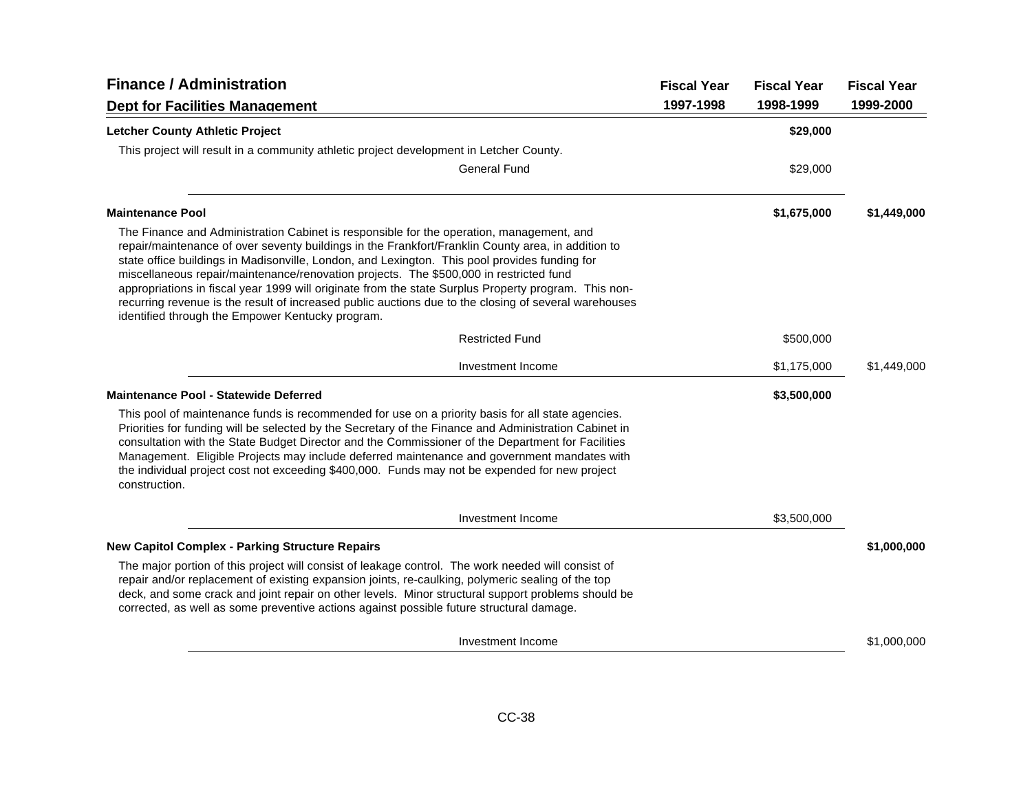| <b>Finance / Administration</b>                                                                                                                                                                                                                                                                                                                                                                                                                                                                                                                                                                                                                                | <b>Fiscal Year</b> | <b>Fiscal Year</b> | <b>Fiscal Year</b> |
|----------------------------------------------------------------------------------------------------------------------------------------------------------------------------------------------------------------------------------------------------------------------------------------------------------------------------------------------------------------------------------------------------------------------------------------------------------------------------------------------------------------------------------------------------------------------------------------------------------------------------------------------------------------|--------------------|--------------------|--------------------|
| <b>Dept for Facilities Management</b>                                                                                                                                                                                                                                                                                                                                                                                                                                                                                                                                                                                                                          | 1997-1998          | 1998-1999          | 1999-2000          |
| <b>Letcher County Athletic Project</b>                                                                                                                                                                                                                                                                                                                                                                                                                                                                                                                                                                                                                         |                    | \$29,000           |                    |
| This project will result in a community athletic project development in Letcher County.                                                                                                                                                                                                                                                                                                                                                                                                                                                                                                                                                                        |                    |                    |                    |
| <b>General Fund</b>                                                                                                                                                                                                                                                                                                                                                                                                                                                                                                                                                                                                                                            |                    | \$29,000           |                    |
| <b>Maintenance Pool</b>                                                                                                                                                                                                                                                                                                                                                                                                                                                                                                                                                                                                                                        |                    | \$1,675,000        | \$1,449,000        |
| The Finance and Administration Cabinet is responsible for the operation, management, and<br>repair/maintenance of over seventy buildings in the Frankfort/Franklin County area, in addition to<br>state office buildings in Madisonville, London, and Lexington. This pool provides funding for<br>miscellaneous repair/maintenance/renovation projects. The \$500,000 in restricted fund<br>appropriations in fiscal year 1999 will originate from the state Surplus Property program. This non-<br>recurring revenue is the result of increased public auctions due to the closing of several warehouses<br>identified through the Empower Kentucky program. |                    |                    |                    |
| <b>Restricted Fund</b>                                                                                                                                                                                                                                                                                                                                                                                                                                                                                                                                                                                                                                         |                    | \$500,000          |                    |
| Investment Income                                                                                                                                                                                                                                                                                                                                                                                                                                                                                                                                                                                                                                              |                    | \$1,175,000        | \$1,449,000        |
| <b>Maintenance Pool - Statewide Deferred</b>                                                                                                                                                                                                                                                                                                                                                                                                                                                                                                                                                                                                                   |                    | \$3,500,000        |                    |
| This pool of maintenance funds is recommended for use on a priority basis for all state agencies.<br>Priorities for funding will be selected by the Secretary of the Finance and Administration Cabinet in<br>consultation with the State Budget Director and the Commissioner of the Department for Facilities<br>Management. Eligible Projects may include deferred maintenance and government mandates with<br>the individual project cost not exceeding \$400,000. Funds may not be expended for new project<br>construction.                                                                                                                              |                    |                    |                    |
| Investment Income                                                                                                                                                                                                                                                                                                                                                                                                                                                                                                                                                                                                                                              |                    | \$3,500,000        |                    |
| <b>New Capitol Complex - Parking Structure Repairs</b>                                                                                                                                                                                                                                                                                                                                                                                                                                                                                                                                                                                                         |                    |                    | \$1,000,000        |
| The major portion of this project will consist of leakage control. The work needed will consist of<br>repair and/or replacement of existing expansion joints, re-caulking, polymeric sealing of the top<br>deck, and some crack and joint repair on other levels. Minor structural support problems should be<br>corrected, as well as some preventive actions against possible future structural damage.                                                                                                                                                                                                                                                      |                    |                    |                    |
| Investment Income                                                                                                                                                                                                                                                                                                                                                                                                                                                                                                                                                                                                                                              |                    |                    | \$1,000,000        |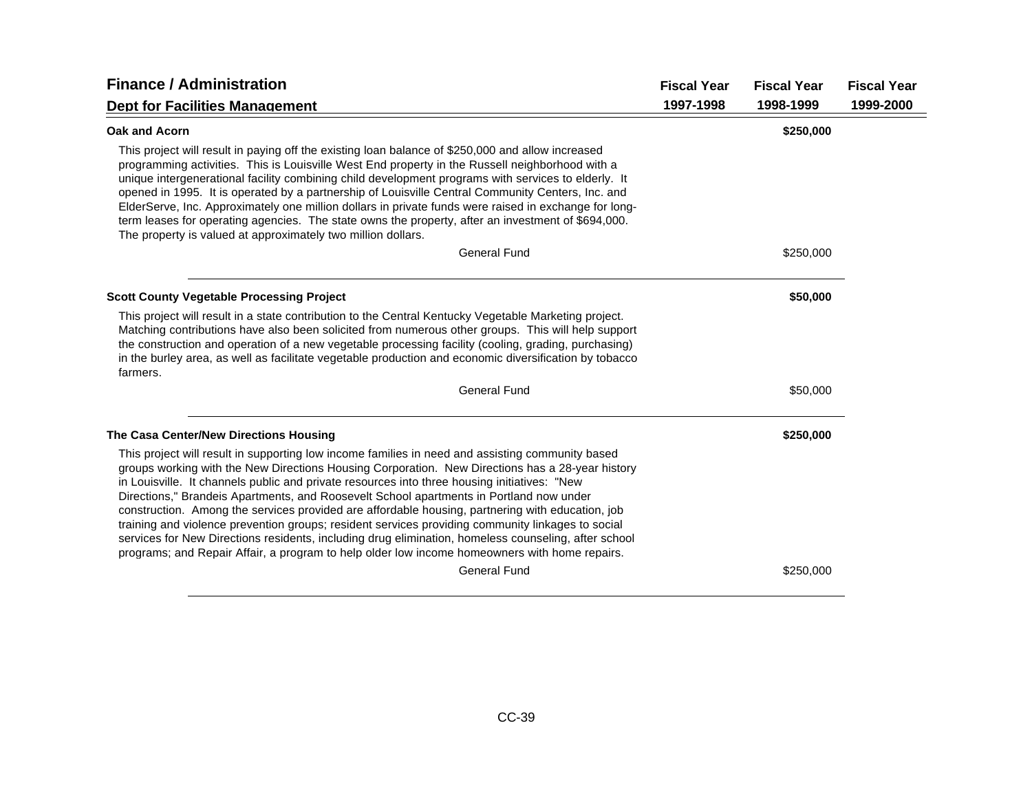| <b>Finance / Administration</b>                                                                                                                                                                                                                                                                                                                                                                                                                                                                                                                                                                                                                                                                                                                                                                                   | <b>Fiscal Year</b> | <b>Fiscal Year</b> | <b>Fiscal Year</b> |
|-------------------------------------------------------------------------------------------------------------------------------------------------------------------------------------------------------------------------------------------------------------------------------------------------------------------------------------------------------------------------------------------------------------------------------------------------------------------------------------------------------------------------------------------------------------------------------------------------------------------------------------------------------------------------------------------------------------------------------------------------------------------------------------------------------------------|--------------------|--------------------|--------------------|
| <b>Dept for Facilities Management</b>                                                                                                                                                                                                                                                                                                                                                                                                                                                                                                                                                                                                                                                                                                                                                                             | 1997-1998          | 1998-1999          | 1999-2000          |
| Oak and Acorn                                                                                                                                                                                                                                                                                                                                                                                                                                                                                                                                                                                                                                                                                                                                                                                                     |                    | \$250,000          |                    |
| This project will result in paying off the existing loan balance of \$250,000 and allow increased<br>programming activities. This is Louisville West End property in the Russell neighborhood with a<br>unique intergenerational facility combining child development programs with services to elderly. It<br>opened in 1995. It is operated by a partnership of Louisville Central Community Centers, Inc. and<br>ElderServe, Inc. Approximately one million dollars in private funds were raised in exchange for long-<br>term leases for operating agencies. The state owns the property, after an investment of \$694,000.<br>The property is valued at approximately two million dollars.                                                                                                                   |                    |                    |                    |
| <b>General Fund</b>                                                                                                                                                                                                                                                                                                                                                                                                                                                                                                                                                                                                                                                                                                                                                                                               |                    | \$250,000          |                    |
| <b>Scott County Vegetable Processing Project</b>                                                                                                                                                                                                                                                                                                                                                                                                                                                                                                                                                                                                                                                                                                                                                                  |                    | \$50,000           |                    |
| This project will result in a state contribution to the Central Kentucky Vegetable Marketing project.<br>Matching contributions have also been solicited from numerous other groups. This will help support<br>the construction and operation of a new vegetable processing facility (cooling, grading, purchasing)<br>in the burley area, as well as facilitate vegetable production and economic diversification by tobacco<br>farmers.                                                                                                                                                                                                                                                                                                                                                                         |                    |                    |                    |
| <b>General Fund</b>                                                                                                                                                                                                                                                                                                                                                                                                                                                                                                                                                                                                                                                                                                                                                                                               |                    | \$50,000           |                    |
| The Casa Center/New Directions Housing                                                                                                                                                                                                                                                                                                                                                                                                                                                                                                                                                                                                                                                                                                                                                                            |                    | \$250,000          |                    |
| This project will result in supporting low income families in need and assisting community based<br>groups working with the New Directions Housing Corporation. New Directions has a 28-year history<br>in Louisville. It channels public and private resources into three housing initiatives: "New<br>Directions," Brandeis Apartments, and Roosevelt School apartments in Portland now under<br>construction. Among the services provided are affordable housing, partnering with education, job<br>training and violence prevention groups; resident services providing community linkages to social<br>services for New Directions residents, including drug elimination, homeless counseling, after school<br>programs; and Repair Affair, a program to help older low income homeowners with home repairs. |                    |                    |                    |
| <b>General Fund</b>                                                                                                                                                                                                                                                                                                                                                                                                                                                                                                                                                                                                                                                                                                                                                                                               |                    | \$250,000          |                    |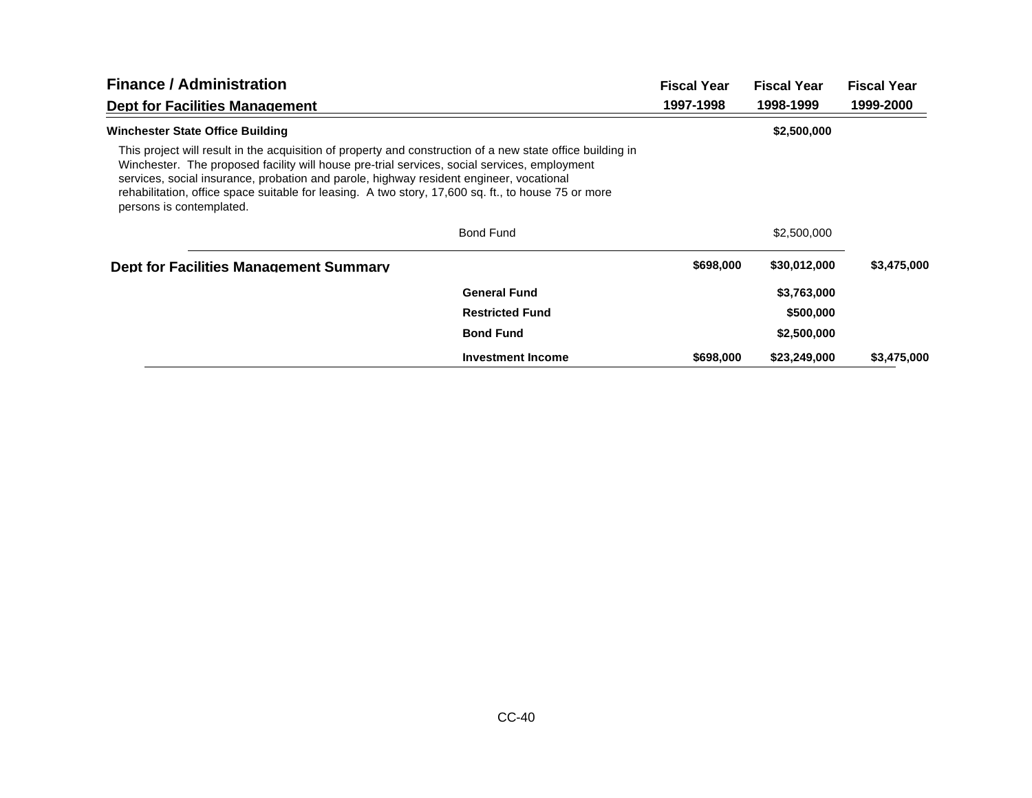| <b>Finance / Administration</b>                                                                                                                                                                                                                                                                                                                                                                                                          |                          | <b>Fiscal Year</b> | <b>Fiscal Year</b> | <b>Fiscal Year</b> |
|------------------------------------------------------------------------------------------------------------------------------------------------------------------------------------------------------------------------------------------------------------------------------------------------------------------------------------------------------------------------------------------------------------------------------------------|--------------------------|--------------------|--------------------|--------------------|
| <b>Dept for Facilities Management</b>                                                                                                                                                                                                                                                                                                                                                                                                    |                          | 1997-1998          | 1998-1999          | 1999-2000          |
| <b>Winchester State Office Building</b>                                                                                                                                                                                                                                                                                                                                                                                                  |                          |                    | \$2,500,000        |                    |
| This project will result in the acquisition of property and construction of a new state office building in<br>Winchester. The proposed facility will house pre-trial services, social services, employment<br>services, social insurance, probation and parole, highway resident engineer, vocational<br>rehabilitation, office space suitable for leasing. A two story, 17,600 sq. ft., to house 75 or more<br>persons is contemplated. |                          |                    |                    |                    |
|                                                                                                                                                                                                                                                                                                                                                                                                                                          | <b>Bond Fund</b>         |                    | \$2,500,000        |                    |
| <b>Dept for Facilities Management Summary</b>                                                                                                                                                                                                                                                                                                                                                                                            |                          | \$698,000          | \$30,012,000       | \$3,475,000        |
|                                                                                                                                                                                                                                                                                                                                                                                                                                          | <b>General Fund</b>      |                    | \$3,763,000        |                    |
|                                                                                                                                                                                                                                                                                                                                                                                                                                          | <b>Restricted Fund</b>   |                    | \$500,000          |                    |
|                                                                                                                                                                                                                                                                                                                                                                                                                                          | <b>Bond Fund</b>         |                    | \$2,500,000        |                    |
|                                                                                                                                                                                                                                                                                                                                                                                                                                          | <b>Investment Income</b> | \$698,000          | \$23,249,000       | \$3,475,000        |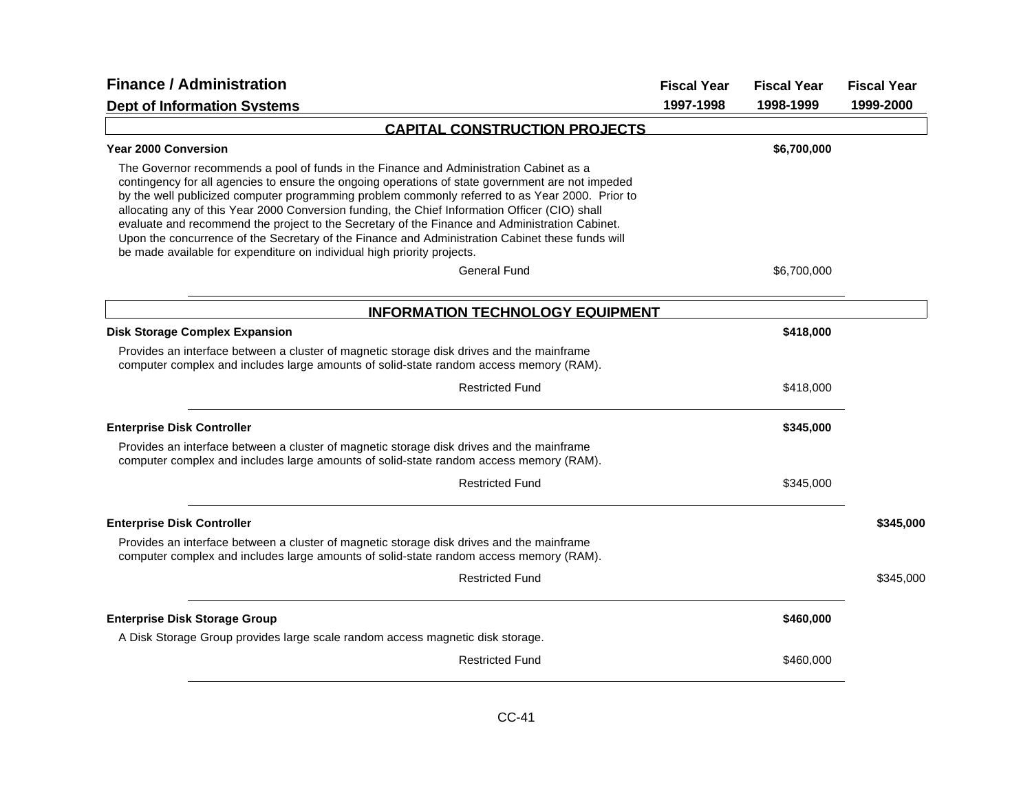| <b>Finance / Administration</b>                                                                                                                                                                                                                                                                                                                                                                                                                                                                                                                                                                                                                                                                          |           | <b>Fiscal Year</b> | <b>Fiscal Year</b> |
|----------------------------------------------------------------------------------------------------------------------------------------------------------------------------------------------------------------------------------------------------------------------------------------------------------------------------------------------------------------------------------------------------------------------------------------------------------------------------------------------------------------------------------------------------------------------------------------------------------------------------------------------------------------------------------------------------------|-----------|--------------------|--------------------|
| <b>Dept of Information Systems</b>                                                                                                                                                                                                                                                                                                                                                                                                                                                                                                                                                                                                                                                                       | 1997-1998 | 1998-1999          | 1999-2000          |
| <b>CAPITAL CONSTRUCTION PROJECTS</b>                                                                                                                                                                                                                                                                                                                                                                                                                                                                                                                                                                                                                                                                     |           |                    |                    |
| Year 2000 Conversion                                                                                                                                                                                                                                                                                                                                                                                                                                                                                                                                                                                                                                                                                     |           | \$6,700,000        |                    |
| The Governor recommends a pool of funds in the Finance and Administration Cabinet as a<br>contingency for all agencies to ensure the ongoing operations of state government are not impeded<br>by the well publicized computer programming problem commonly referred to as Year 2000. Prior to<br>allocating any of this Year 2000 Conversion funding, the Chief Information Officer (CIO) shall<br>evaluate and recommend the project to the Secretary of the Finance and Administration Cabinet.<br>Upon the concurrence of the Secretary of the Finance and Administration Cabinet these funds will<br>be made available for expenditure on individual high priority projects.<br><b>General Fund</b> |           | \$6,700,000        |                    |
|                                                                                                                                                                                                                                                                                                                                                                                                                                                                                                                                                                                                                                                                                                          |           |                    |                    |
| <b>INFORMATION TECHNOLOGY EQUIPMENT</b>                                                                                                                                                                                                                                                                                                                                                                                                                                                                                                                                                                                                                                                                  |           |                    |                    |
| <b>Disk Storage Complex Expansion</b>                                                                                                                                                                                                                                                                                                                                                                                                                                                                                                                                                                                                                                                                    |           | \$418,000          |                    |
| Provides an interface between a cluster of magnetic storage disk drives and the mainframe<br>computer complex and includes large amounts of solid-state random access memory (RAM).                                                                                                                                                                                                                                                                                                                                                                                                                                                                                                                      |           |                    |                    |
| <b>Restricted Fund</b>                                                                                                                                                                                                                                                                                                                                                                                                                                                                                                                                                                                                                                                                                   |           | \$418,000          |                    |
| <b>Enterprise Disk Controller</b>                                                                                                                                                                                                                                                                                                                                                                                                                                                                                                                                                                                                                                                                        |           | \$345,000          |                    |
| Provides an interface between a cluster of magnetic storage disk drives and the mainframe<br>computer complex and includes large amounts of solid-state random access memory (RAM).                                                                                                                                                                                                                                                                                                                                                                                                                                                                                                                      |           |                    |                    |
| <b>Restricted Fund</b>                                                                                                                                                                                                                                                                                                                                                                                                                                                                                                                                                                                                                                                                                   |           | \$345,000          |                    |
| <b>Enterprise Disk Controller</b>                                                                                                                                                                                                                                                                                                                                                                                                                                                                                                                                                                                                                                                                        |           |                    | \$345,000          |
| Provides an interface between a cluster of magnetic storage disk drives and the mainframe<br>computer complex and includes large amounts of solid-state random access memory (RAM).                                                                                                                                                                                                                                                                                                                                                                                                                                                                                                                      |           |                    |                    |
| <b>Restricted Fund</b>                                                                                                                                                                                                                                                                                                                                                                                                                                                                                                                                                                                                                                                                                   |           |                    | \$345,000          |
| <b>Enterprise Disk Storage Group</b>                                                                                                                                                                                                                                                                                                                                                                                                                                                                                                                                                                                                                                                                     |           | \$460,000          |                    |
| A Disk Storage Group provides large scale random access magnetic disk storage.                                                                                                                                                                                                                                                                                                                                                                                                                                                                                                                                                                                                                           |           |                    |                    |
| <b>Restricted Fund</b>                                                                                                                                                                                                                                                                                                                                                                                                                                                                                                                                                                                                                                                                                   |           | \$460,000          |                    |
|                                                                                                                                                                                                                                                                                                                                                                                                                                                                                                                                                                                                                                                                                                          |           |                    |                    |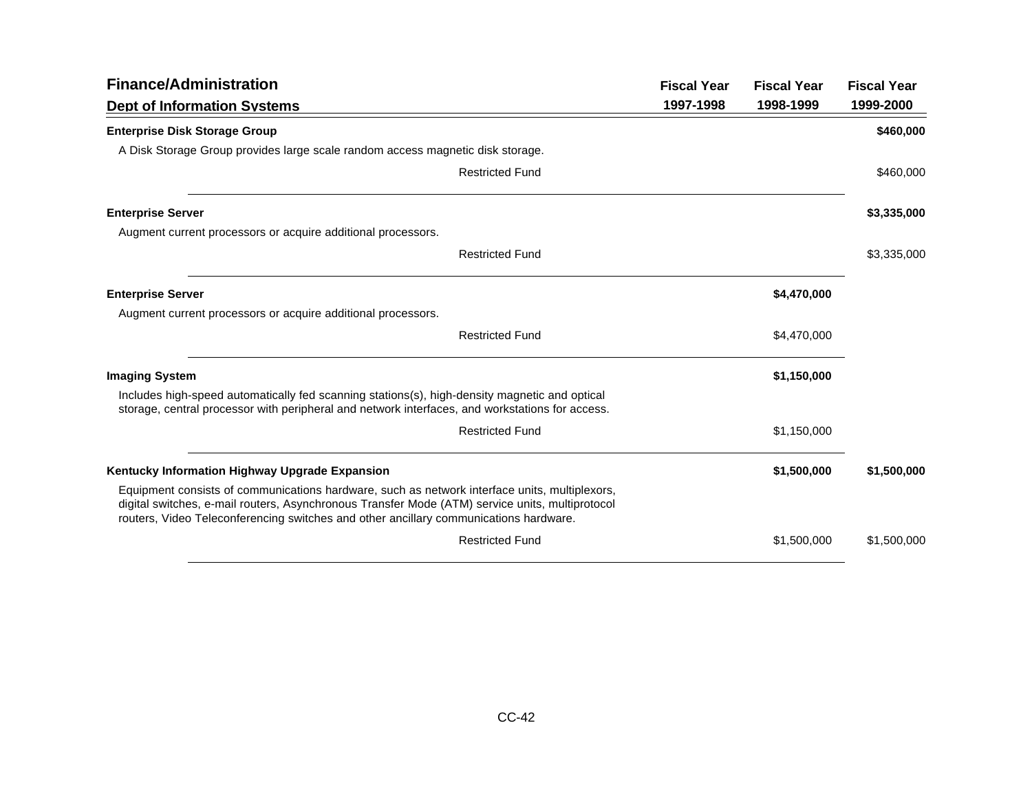| <b>Finance/Administration</b>                                                                                                                                                                                                                                                             |                        | <b>Fiscal Year</b> | <b>Fiscal Year</b> | <b>Fiscal Year</b> |
|-------------------------------------------------------------------------------------------------------------------------------------------------------------------------------------------------------------------------------------------------------------------------------------------|------------------------|--------------------|--------------------|--------------------|
| <b>Dept of Information Systems</b>                                                                                                                                                                                                                                                        |                        | 1997-1998          | 1998-1999          | 1999-2000          |
| <b>Enterprise Disk Storage Group</b>                                                                                                                                                                                                                                                      |                        |                    |                    | \$460,000          |
| A Disk Storage Group provides large scale random access magnetic disk storage.                                                                                                                                                                                                            |                        |                    |                    |                    |
|                                                                                                                                                                                                                                                                                           | <b>Restricted Fund</b> |                    |                    | \$460,000          |
| <b>Enterprise Server</b>                                                                                                                                                                                                                                                                  |                        |                    |                    | \$3,335,000        |
| Augment current processors or acquire additional processors.                                                                                                                                                                                                                              |                        |                    |                    |                    |
|                                                                                                                                                                                                                                                                                           | <b>Restricted Fund</b> |                    |                    | \$3,335,000        |
| <b>Enterprise Server</b>                                                                                                                                                                                                                                                                  |                        |                    | \$4,470,000        |                    |
| Augment current processors or acquire additional processors.                                                                                                                                                                                                                              |                        |                    |                    |                    |
|                                                                                                                                                                                                                                                                                           | <b>Restricted Fund</b> |                    | \$4,470,000        |                    |
| <b>Imaging System</b>                                                                                                                                                                                                                                                                     |                        |                    | \$1,150,000        |                    |
| Includes high-speed automatically fed scanning stations(s), high-density magnetic and optical<br>storage, central processor with peripheral and network interfaces, and workstations for access.                                                                                          |                        |                    |                    |                    |
|                                                                                                                                                                                                                                                                                           | <b>Restricted Fund</b> |                    | \$1,150,000        |                    |
| Kentucky Information Highway Upgrade Expansion                                                                                                                                                                                                                                            |                        |                    | \$1,500,000        | \$1,500,000        |
| Equipment consists of communications hardware, such as network interface units, multiplexors,<br>digital switches, e-mail routers, Asynchronous Transfer Mode (ATM) service units, multiprotocol<br>routers, Video Teleconferencing switches and other ancillary communications hardware. |                        |                    |                    |                    |
|                                                                                                                                                                                                                                                                                           | <b>Restricted Fund</b> |                    | \$1,500,000        | \$1,500,000        |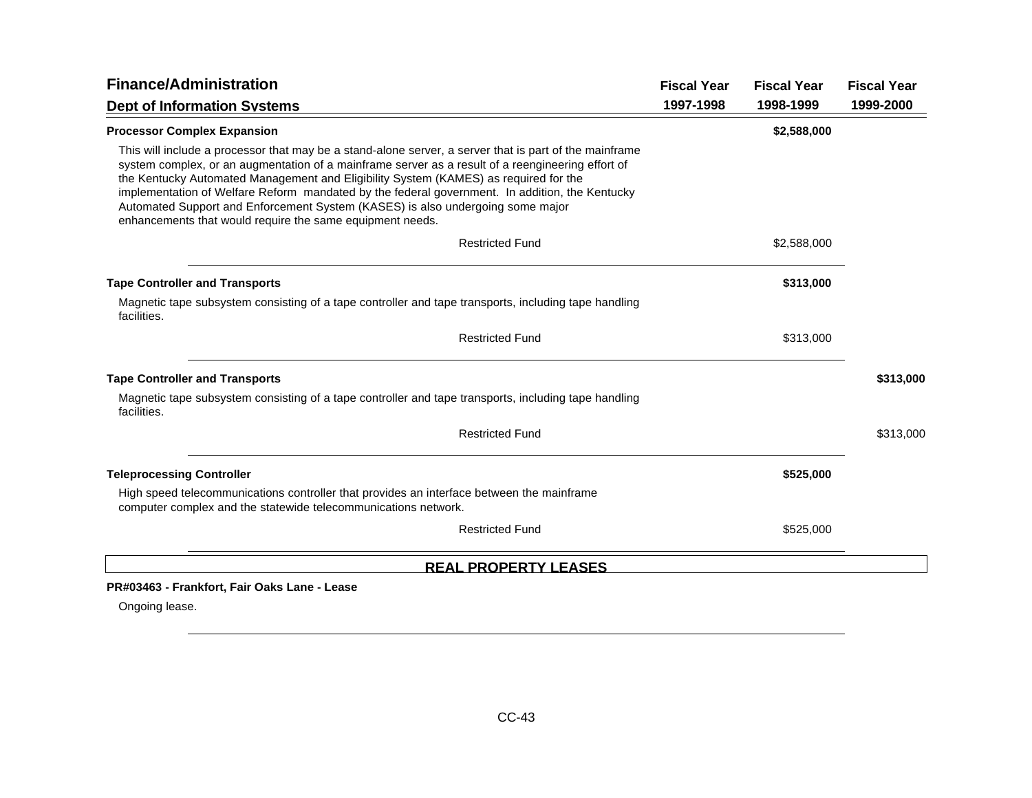| <b>Finance/Administration</b>                                                                                                                                                                                                                                                                                                                                                                                                                                                                                                                        | <b>Fiscal Year</b> | <b>Fiscal Year</b> | <b>Fiscal Year</b> |
|------------------------------------------------------------------------------------------------------------------------------------------------------------------------------------------------------------------------------------------------------------------------------------------------------------------------------------------------------------------------------------------------------------------------------------------------------------------------------------------------------------------------------------------------------|--------------------|--------------------|--------------------|
| <b>Dept of Information Systems</b>                                                                                                                                                                                                                                                                                                                                                                                                                                                                                                                   | 1997-1998          | 1998-1999          | 1999-2000          |
| <b>Processor Complex Expansion</b>                                                                                                                                                                                                                                                                                                                                                                                                                                                                                                                   |                    | \$2,588,000        |                    |
| This will include a processor that may be a stand-alone server, a server that is part of the mainframe<br>system complex, or an augmentation of a mainframe server as a result of a reengineering effort of<br>the Kentucky Automated Management and Eligibility System (KAMES) as required for the<br>implementation of Welfare Reform mandated by the federal government. In addition, the Kentucky<br>Automated Support and Enforcement System (KASES) is also undergoing some major<br>enhancements that would require the same equipment needs. |                    |                    |                    |
| <b>Restricted Fund</b>                                                                                                                                                                                                                                                                                                                                                                                                                                                                                                                               |                    | \$2,588,000        |                    |
| <b>Tape Controller and Transports</b>                                                                                                                                                                                                                                                                                                                                                                                                                                                                                                                |                    | \$313,000          |                    |
| Magnetic tape subsystem consisting of a tape controller and tape transports, including tape handling<br>facilities.                                                                                                                                                                                                                                                                                                                                                                                                                                  |                    |                    |                    |
| <b>Restricted Fund</b>                                                                                                                                                                                                                                                                                                                                                                                                                                                                                                                               |                    | \$313,000          |                    |
| <b>Tape Controller and Transports</b>                                                                                                                                                                                                                                                                                                                                                                                                                                                                                                                |                    |                    | \$313,000          |
| Magnetic tape subsystem consisting of a tape controller and tape transports, including tape handling<br>facilities.                                                                                                                                                                                                                                                                                                                                                                                                                                  |                    |                    |                    |
| <b>Restricted Fund</b>                                                                                                                                                                                                                                                                                                                                                                                                                                                                                                                               |                    |                    | \$313,000          |
| <b>Teleprocessing Controller</b>                                                                                                                                                                                                                                                                                                                                                                                                                                                                                                                     |                    | \$525,000          |                    |
| High speed telecommunications controller that provides an interface between the mainframe<br>computer complex and the statewide telecommunications network.                                                                                                                                                                                                                                                                                                                                                                                          |                    |                    |                    |
| <b>Restricted Fund</b>                                                                                                                                                                                                                                                                                                                                                                                                                                                                                                                               |                    | \$525,000          |                    |
| <b>REAL PROPERTY LEASES</b>                                                                                                                                                                                                                                                                                                                                                                                                                                                                                                                          |                    |                    |                    |
| PR#03463 - Frankfort, Fair Oaks Lane - Lease                                                                                                                                                                                                                                                                                                                                                                                                                                                                                                         |                    |                    |                    |
| Ongoing lease.                                                                                                                                                                                                                                                                                                                                                                                                                                                                                                                                       |                    |                    |                    |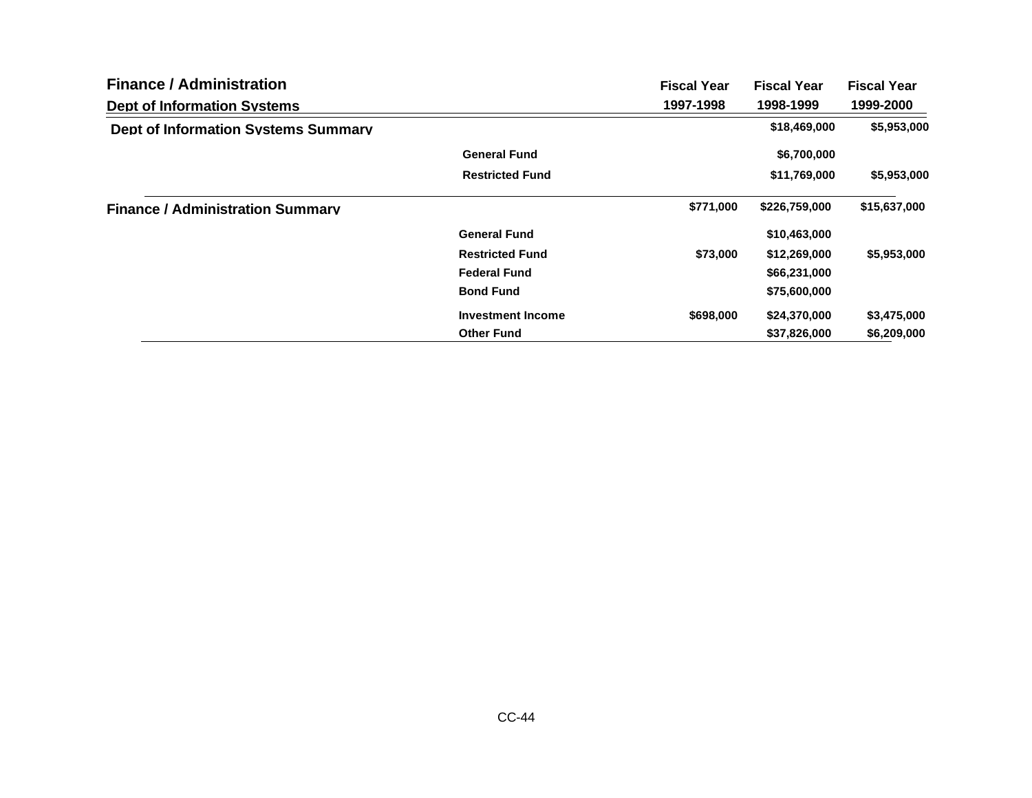| <b>Finance / Administration</b>            |                          | <b>Fiscal Year</b> | <b>Fiscal Year</b> | <b>Fiscal Year</b> |
|--------------------------------------------|--------------------------|--------------------|--------------------|--------------------|
| <b>Dept of Information Systems</b>         |                          | 1997-1998          | 1998-1999          | 1999-2000          |
| <b>Dept of Information Systems Summary</b> |                          |                    | \$18,469,000       | \$5,953,000        |
|                                            | <b>General Fund</b>      |                    | \$6,700,000        |                    |
|                                            | <b>Restricted Fund</b>   |                    | \$11,769,000       | \$5,953,000        |
| <b>Finance / Administration Summary</b>    |                          | \$771,000          | \$226,759,000      | \$15,637,000       |
|                                            | <b>General Fund</b>      |                    | \$10,463,000       |                    |
|                                            | <b>Restricted Fund</b>   | \$73,000           | \$12,269,000       | \$5,953,000        |
|                                            | <b>Federal Fund</b>      |                    | \$66,231,000       |                    |
|                                            | <b>Bond Fund</b>         |                    | \$75,600,000       |                    |
|                                            | <b>Investment Income</b> | \$698,000          | \$24,370,000       | \$3,475,000        |
|                                            | <b>Other Fund</b>        |                    | \$37,826,000       | \$6,209,000        |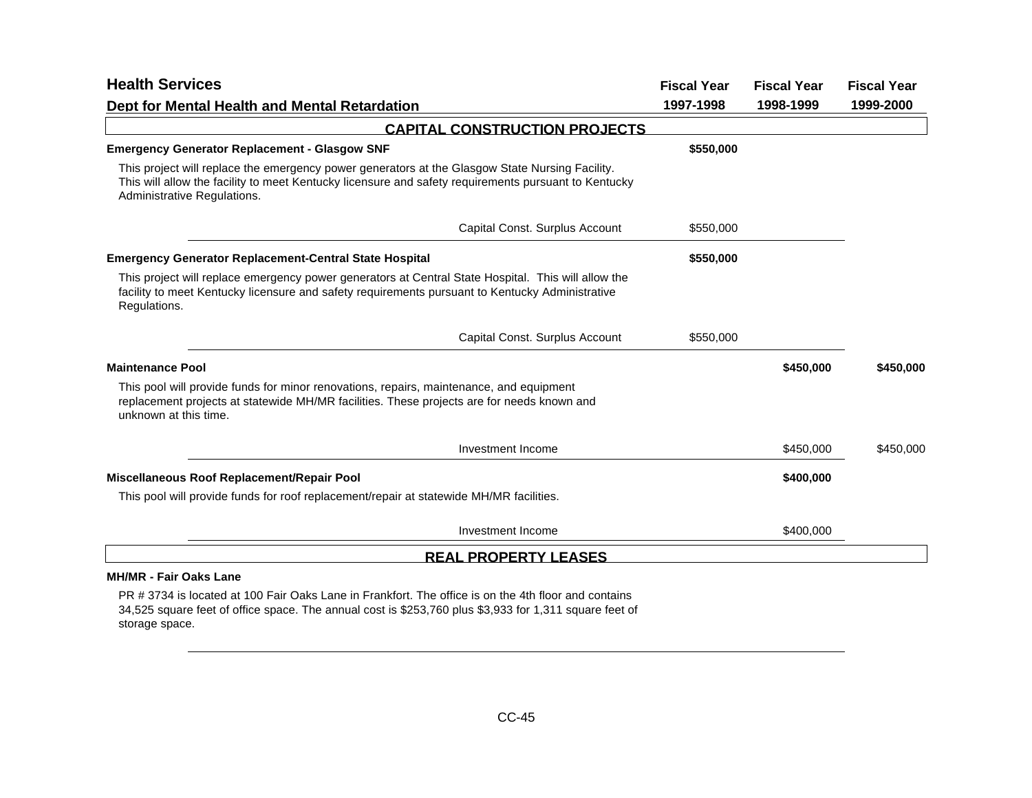| <b>Health Services</b>                                                                                                                                                                                                                 | <b>Fiscal Year</b> | <b>Fiscal Year</b> | <b>Fiscal Year</b> |
|----------------------------------------------------------------------------------------------------------------------------------------------------------------------------------------------------------------------------------------|--------------------|--------------------|--------------------|
| Dept for Mental Health and Mental Retardation                                                                                                                                                                                          | 1997-1998          | 1998-1999          | 1999-2000          |
| <b>CAPITAL CONSTRUCTION PROJECTS</b>                                                                                                                                                                                                   |                    |                    |                    |
| <b>Emergency Generator Replacement - Glasgow SNF</b>                                                                                                                                                                                   | \$550,000          |                    |                    |
| This project will replace the emergency power generators at the Glasgow State Nursing Facility.<br>This will allow the facility to meet Kentucky licensure and safety requirements pursuant to Kentucky<br>Administrative Regulations. |                    |                    |                    |
| Capital Const. Surplus Account                                                                                                                                                                                                         | \$550,000          |                    |                    |
| <b>Emergency Generator Replacement-Central State Hospital</b>                                                                                                                                                                          | \$550,000          |                    |                    |
| This project will replace emergency power generators at Central State Hospital. This will allow the<br>facility to meet Kentucky licensure and safety requirements pursuant to Kentucky Administrative<br>Regulations.                 |                    |                    |                    |
| Capital Const. Surplus Account                                                                                                                                                                                                         | \$550,000          |                    |                    |
| <b>Maintenance Pool</b>                                                                                                                                                                                                                |                    | \$450,000          | \$450,000          |
| This pool will provide funds for minor renovations, repairs, maintenance, and equipment<br>replacement projects at statewide MH/MR facilities. These projects are for needs known and<br>unknown at this time.                         |                    |                    |                    |
| Investment Income                                                                                                                                                                                                                      |                    | \$450,000          | \$450,000          |
| Miscellaneous Roof Replacement/Repair Pool                                                                                                                                                                                             |                    | \$400,000          |                    |
| This pool will provide funds for roof replacement/repair at statewide MH/MR facilities.                                                                                                                                                |                    |                    |                    |
| Investment Income                                                                                                                                                                                                                      |                    | \$400,000          |                    |
| <b>REAL PROPERTY LEASES</b>                                                                                                                                                                                                            |                    |                    |                    |
| <b>MH/MR - Fair Oaks Lane</b>                                                                                                                                                                                                          |                    |                    |                    |

PR # 3734 is located at 100 Fair Oaks Lane in Frankfort. The office is on the 4th floor and contains 34,525 square feet of office space. The annual cost is \$253,760 plus \$3,933 for 1,311 square feet of storage space.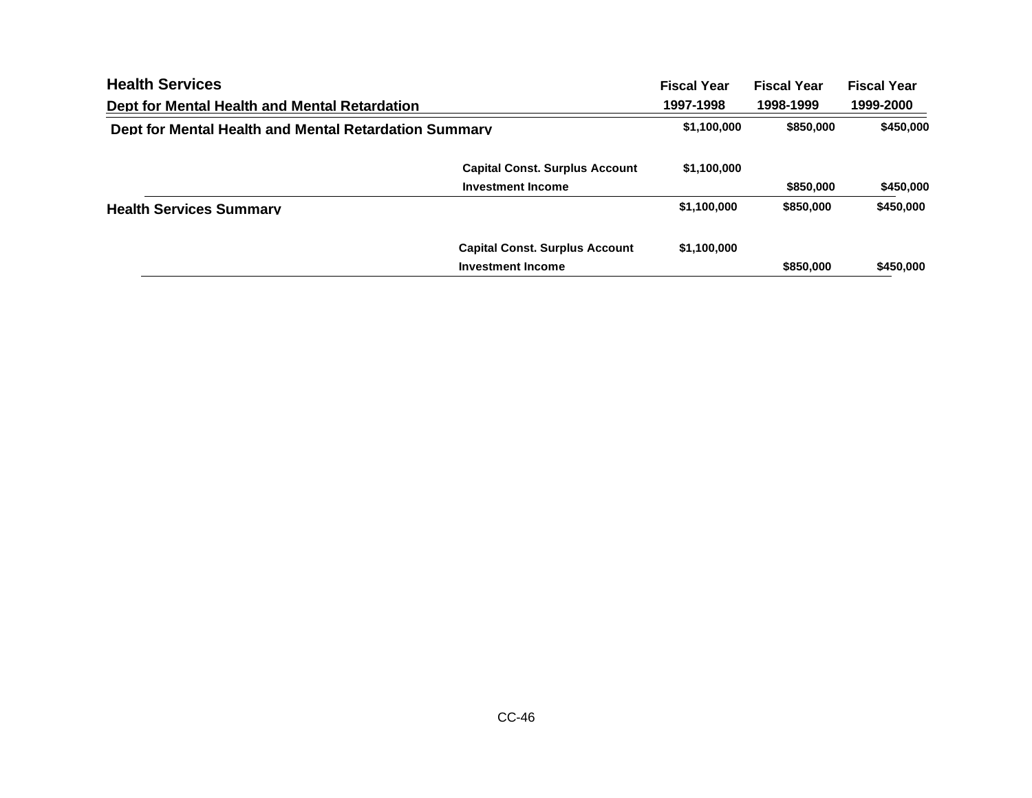| <b>Health Services</b>                                |                                       | <b>Fiscal Year</b> | <b>Fiscal Year</b> | <b>Fiscal Year</b> |
|-------------------------------------------------------|---------------------------------------|--------------------|--------------------|--------------------|
| Dept for Mental Health and Mental Retardation         |                                       | 1997-1998          | 1998-1999          | 1999-2000          |
| Dept for Mental Health and Mental Retardation Summary |                                       | \$1,100,000        | \$850,000          | \$450,000          |
|                                                       | <b>Capital Const. Surplus Account</b> | \$1,100,000        |                    |                    |
|                                                       | <b>Investment Income</b>              |                    | \$850,000          | \$450,000          |
| <b>Health Services Summary</b>                        |                                       | \$1,100,000        | \$850,000          | \$450,000          |
|                                                       | <b>Capital Const. Surplus Account</b> | \$1,100,000        |                    |                    |
|                                                       | <b>Investment Income</b>              |                    | \$850,000          | \$450,000          |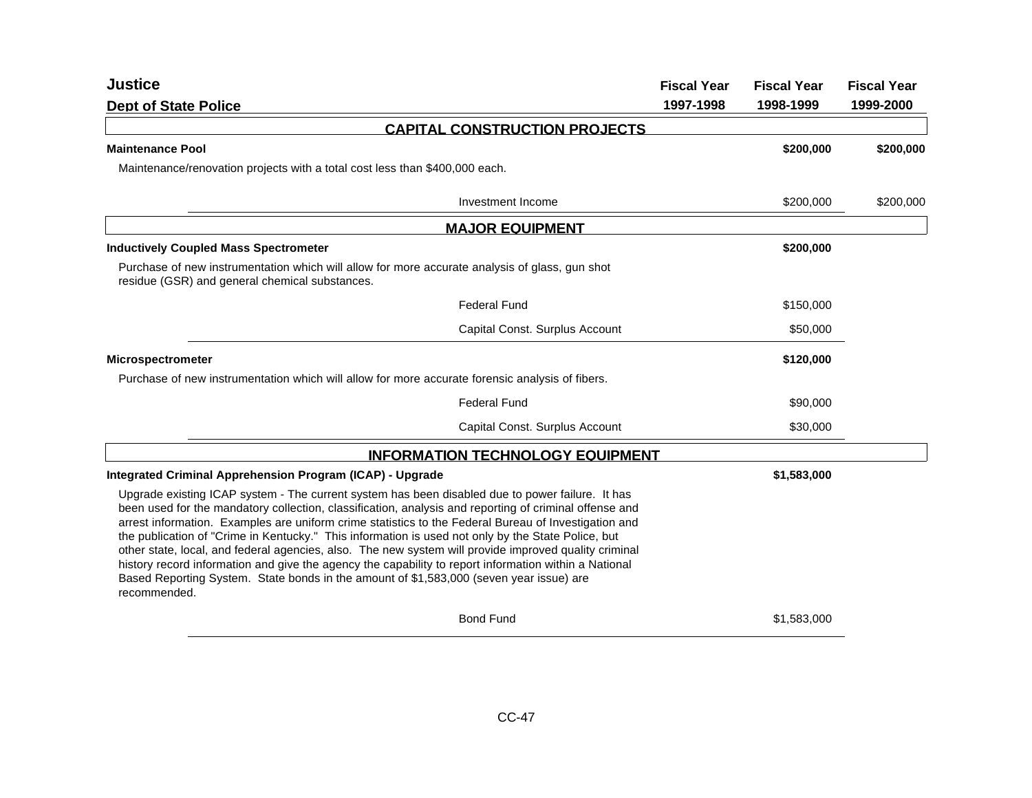| <b>Justice</b>                                                                                                                                                                                                                                                                                                                                                                                                                                                                                                                                                                                                                                                                                                                                        | <b>Fiscal Year</b> | <b>Fiscal Year</b> | <b>Fiscal Year</b> |
|-------------------------------------------------------------------------------------------------------------------------------------------------------------------------------------------------------------------------------------------------------------------------------------------------------------------------------------------------------------------------------------------------------------------------------------------------------------------------------------------------------------------------------------------------------------------------------------------------------------------------------------------------------------------------------------------------------------------------------------------------------|--------------------|--------------------|--------------------|
| <b>Dept of State Police</b>                                                                                                                                                                                                                                                                                                                                                                                                                                                                                                                                                                                                                                                                                                                           | 1997-1998          | 1998-1999          | 1999-2000          |
| <b>CAPITAL CONSTRUCTION PROJECTS</b>                                                                                                                                                                                                                                                                                                                                                                                                                                                                                                                                                                                                                                                                                                                  |                    |                    |                    |
| <b>Maintenance Pool</b>                                                                                                                                                                                                                                                                                                                                                                                                                                                                                                                                                                                                                                                                                                                               |                    | \$200,000          | \$200,000          |
| Maintenance/renovation projects with a total cost less than \$400,000 each.                                                                                                                                                                                                                                                                                                                                                                                                                                                                                                                                                                                                                                                                           |                    |                    |                    |
| Investment Income                                                                                                                                                                                                                                                                                                                                                                                                                                                                                                                                                                                                                                                                                                                                     |                    | \$200,000          | \$200,000          |
| <b>MAJOR EQUIPMENT</b>                                                                                                                                                                                                                                                                                                                                                                                                                                                                                                                                                                                                                                                                                                                                |                    |                    |                    |
| <b>Inductively Coupled Mass Spectrometer</b>                                                                                                                                                                                                                                                                                                                                                                                                                                                                                                                                                                                                                                                                                                          |                    | \$200,000          |                    |
| Purchase of new instrumentation which will allow for more accurate analysis of glass, gun shot<br>residue (GSR) and general chemical substances.                                                                                                                                                                                                                                                                                                                                                                                                                                                                                                                                                                                                      |                    |                    |                    |
| <b>Federal Fund</b>                                                                                                                                                                                                                                                                                                                                                                                                                                                                                                                                                                                                                                                                                                                                   |                    | \$150,000          |                    |
| Capital Const. Surplus Account                                                                                                                                                                                                                                                                                                                                                                                                                                                                                                                                                                                                                                                                                                                        |                    | \$50,000           |                    |
| <b>Microspectrometer</b>                                                                                                                                                                                                                                                                                                                                                                                                                                                                                                                                                                                                                                                                                                                              |                    | \$120,000          |                    |
| Purchase of new instrumentation which will allow for more accurate forensic analysis of fibers.                                                                                                                                                                                                                                                                                                                                                                                                                                                                                                                                                                                                                                                       |                    |                    |                    |
| <b>Federal Fund</b>                                                                                                                                                                                                                                                                                                                                                                                                                                                                                                                                                                                                                                                                                                                                   |                    | \$90,000           |                    |
| Capital Const. Surplus Account                                                                                                                                                                                                                                                                                                                                                                                                                                                                                                                                                                                                                                                                                                                        |                    | \$30,000           |                    |
| <b>INFORMATION TECHNOLOGY EQUIPMENT</b>                                                                                                                                                                                                                                                                                                                                                                                                                                                                                                                                                                                                                                                                                                               |                    |                    |                    |
| Integrated Criminal Apprehension Program (ICAP) - Upgrade                                                                                                                                                                                                                                                                                                                                                                                                                                                                                                                                                                                                                                                                                             |                    | \$1,583,000        |                    |
| Upgrade existing ICAP system - The current system has been disabled due to power failure. It has<br>been used for the mandatory collection, classification, analysis and reporting of criminal offense and<br>arrest information. Examples are uniform crime statistics to the Federal Bureau of Investigation and<br>the publication of "Crime in Kentucky." This information is used not only by the State Police, but<br>other state, local, and federal agencies, also. The new system will provide improved quality criminal<br>history record information and give the agency the capability to report information within a National<br>Based Reporting System. State bonds in the amount of \$1,583,000 (seven year issue) are<br>recommended. |                    |                    |                    |
| <b>Bond Fund</b>                                                                                                                                                                                                                                                                                                                                                                                                                                                                                                                                                                                                                                                                                                                                      |                    | \$1,583,000        |                    |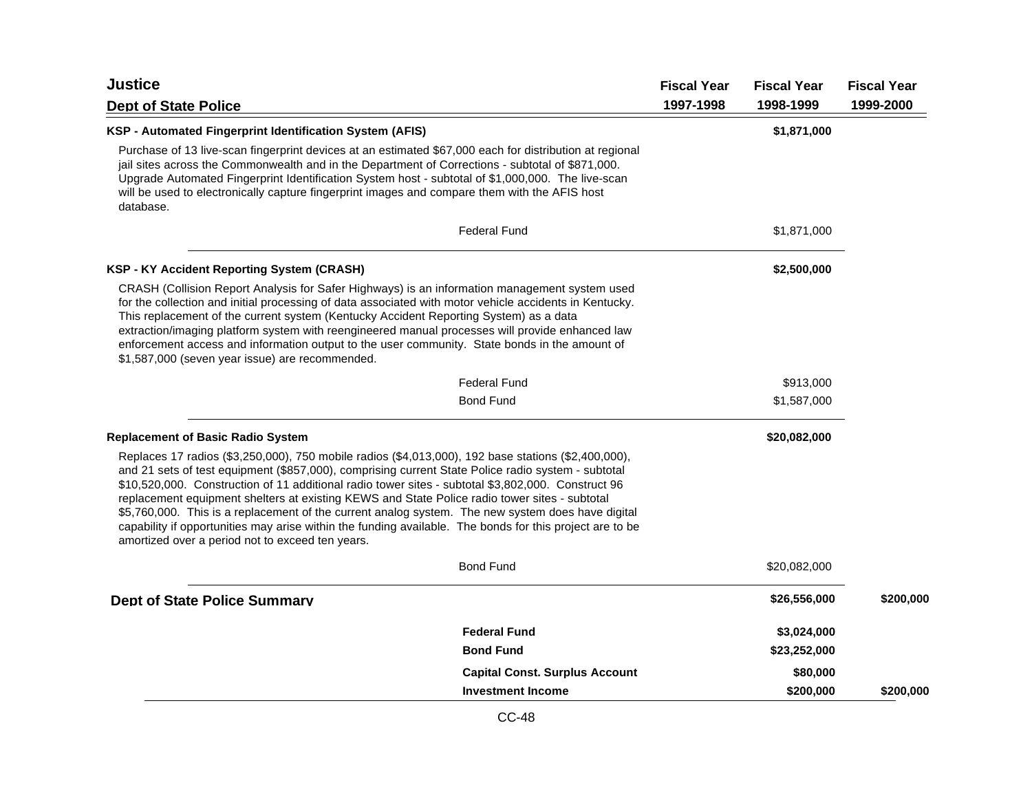| <b>Justice</b><br><b>Dept of State Police</b>                                                                                                                                                                                                                                                                                                                                                                                                                                                                                                                                                                                                                                         |                                       | <b>Fiscal Year</b><br>1997-1998 | <b>Fiscal Year</b><br>1998-1999 | <b>Fiscal Year</b><br>1999-2000 |
|---------------------------------------------------------------------------------------------------------------------------------------------------------------------------------------------------------------------------------------------------------------------------------------------------------------------------------------------------------------------------------------------------------------------------------------------------------------------------------------------------------------------------------------------------------------------------------------------------------------------------------------------------------------------------------------|---------------------------------------|---------------------------------|---------------------------------|---------------------------------|
| KSP - Automated Fingerprint Identification System (AFIS)                                                                                                                                                                                                                                                                                                                                                                                                                                                                                                                                                                                                                              |                                       |                                 | \$1,871,000                     |                                 |
| Purchase of 13 live-scan fingerprint devices at an estimated \$67,000 each for distribution at regional<br>jail sites across the Commonwealth and in the Department of Corrections - subtotal of \$871,000.<br>Upgrade Automated Fingerprint Identification System host - subtotal of \$1,000,000. The live-scan<br>will be used to electronically capture fingerprint images and compare them with the AFIS host<br>database.                                                                                                                                                                                                                                                        |                                       |                                 |                                 |                                 |
|                                                                                                                                                                                                                                                                                                                                                                                                                                                                                                                                                                                                                                                                                       | <b>Federal Fund</b>                   |                                 | \$1,871,000                     |                                 |
| <b>KSP - KY Accident Reporting System (CRASH)</b>                                                                                                                                                                                                                                                                                                                                                                                                                                                                                                                                                                                                                                     |                                       |                                 | \$2,500,000                     |                                 |
| CRASH (Collision Report Analysis for Safer Highways) is an information management system used<br>for the collection and initial processing of data associated with motor vehicle accidents in Kentucky.<br>This replacement of the current system (Kentucky Accident Reporting System) as a data<br>extraction/imaging platform system with reengineered manual processes will provide enhanced law<br>enforcement access and information output to the user community. State bonds in the amount of<br>\$1,587,000 (seven year issue) are recommended.                                                                                                                               |                                       |                                 |                                 |                                 |
|                                                                                                                                                                                                                                                                                                                                                                                                                                                                                                                                                                                                                                                                                       | <b>Federal Fund</b>                   |                                 | \$913,000                       |                                 |
|                                                                                                                                                                                                                                                                                                                                                                                                                                                                                                                                                                                                                                                                                       | <b>Bond Fund</b>                      |                                 | \$1,587,000                     |                                 |
| <b>Replacement of Basic Radio System</b>                                                                                                                                                                                                                                                                                                                                                                                                                                                                                                                                                                                                                                              |                                       |                                 | \$20,082,000                    |                                 |
| Replaces 17 radios (\$3,250,000), 750 mobile radios (\$4,013,000), 192 base stations (\$2,400,000),<br>and 21 sets of test equipment (\$857,000), comprising current State Police radio system - subtotal<br>\$10,520,000. Construction of 11 additional radio tower sites - subtotal \$3,802,000. Construct 96<br>replacement equipment shelters at existing KEWS and State Police radio tower sites - subtotal<br>\$5,760,000. This is a replacement of the current analog system. The new system does have digital<br>capability if opportunities may arise within the funding available. The bonds for this project are to be<br>amortized over a period not to exceed ten years. |                                       |                                 |                                 |                                 |
|                                                                                                                                                                                                                                                                                                                                                                                                                                                                                                                                                                                                                                                                                       | <b>Bond Fund</b>                      |                                 | \$20,082,000                    |                                 |
| <b>Dept of State Police Summary</b>                                                                                                                                                                                                                                                                                                                                                                                                                                                                                                                                                                                                                                                   |                                       |                                 | \$26,556,000                    | \$200,000                       |
|                                                                                                                                                                                                                                                                                                                                                                                                                                                                                                                                                                                                                                                                                       | <b>Federal Fund</b>                   |                                 | \$3,024,000                     |                                 |
|                                                                                                                                                                                                                                                                                                                                                                                                                                                                                                                                                                                                                                                                                       | <b>Bond Fund</b>                      |                                 | \$23,252,000                    |                                 |
|                                                                                                                                                                                                                                                                                                                                                                                                                                                                                                                                                                                                                                                                                       | <b>Capital Const. Surplus Account</b> |                                 | \$80,000                        |                                 |
|                                                                                                                                                                                                                                                                                                                                                                                                                                                                                                                                                                                                                                                                                       | <b>Investment Income</b>              |                                 | \$200,000                       | \$200,000                       |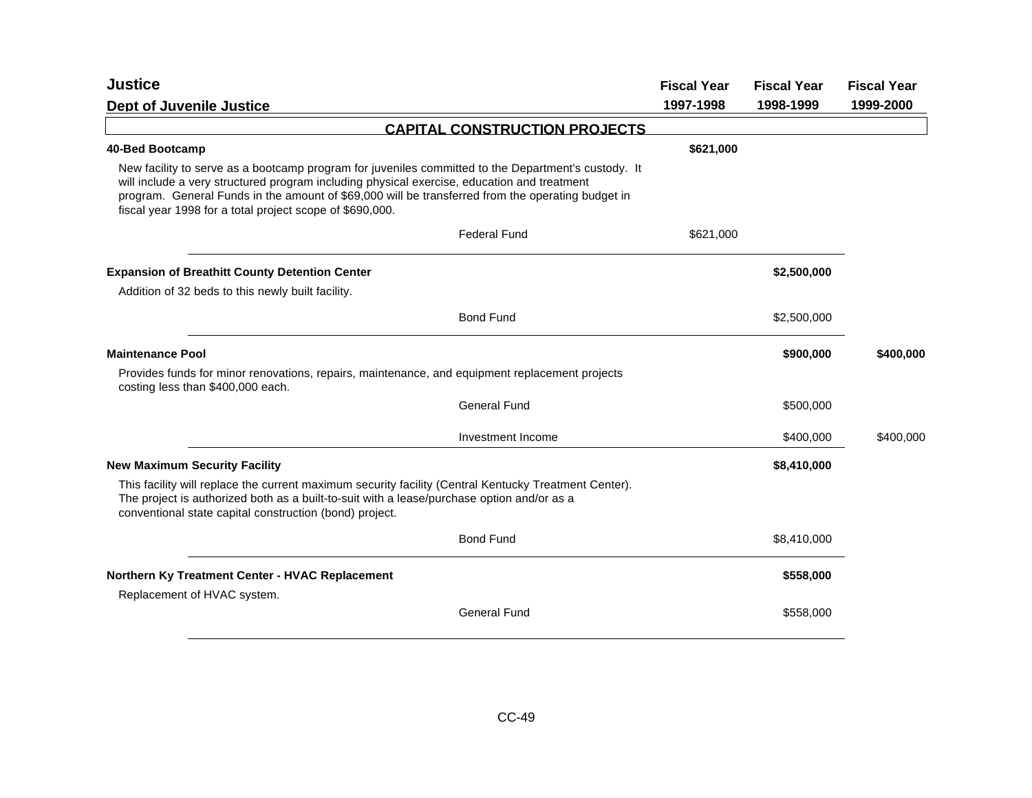| <b>Justice</b>                                                                                                                                                                                                                                                                                                                                                      | <b>Fiscal Year</b> | <b>Fiscal Year</b> | <b>Fiscal Year</b> |
|---------------------------------------------------------------------------------------------------------------------------------------------------------------------------------------------------------------------------------------------------------------------------------------------------------------------------------------------------------------------|--------------------|--------------------|--------------------|
| <b>Dept of Juvenile Justice</b>                                                                                                                                                                                                                                                                                                                                     | 1997-1998          | 1998-1999          | 1999-2000          |
| <b>CAPITAL CONSTRUCTION PROJECTS</b>                                                                                                                                                                                                                                                                                                                                |                    |                    |                    |
| 40-Bed Bootcamp                                                                                                                                                                                                                                                                                                                                                     | \$621,000          |                    |                    |
| New facility to serve as a bootcamp program for juveniles committed to the Department's custody. It<br>will include a very structured program including physical exercise, education and treatment<br>program. General Funds in the amount of \$69,000 will be transferred from the operating budget in<br>fiscal year 1998 for a total project scope of \$690,000. |                    |                    |                    |
| <b>Federal Fund</b>                                                                                                                                                                                                                                                                                                                                                 | \$621,000          |                    |                    |
| <b>Expansion of Breathitt County Detention Center</b>                                                                                                                                                                                                                                                                                                               |                    | \$2,500,000        |                    |
| Addition of 32 beds to this newly built facility.                                                                                                                                                                                                                                                                                                                   |                    |                    |                    |
| <b>Bond Fund</b>                                                                                                                                                                                                                                                                                                                                                    |                    | \$2,500,000        |                    |
| <b>Maintenance Pool</b>                                                                                                                                                                                                                                                                                                                                             |                    | \$900,000          | \$400,000          |
| Provides funds for minor renovations, repairs, maintenance, and equipment replacement projects<br>costing less than \$400,000 each.                                                                                                                                                                                                                                 |                    |                    |                    |
| <b>General Fund</b>                                                                                                                                                                                                                                                                                                                                                 |                    | \$500,000          |                    |
| Investment Income                                                                                                                                                                                                                                                                                                                                                   |                    | \$400,000          | \$400,000          |
| <b>New Maximum Security Facility</b>                                                                                                                                                                                                                                                                                                                                |                    | \$8,410,000        |                    |
| This facility will replace the current maximum security facility (Central Kentucky Treatment Center).<br>The project is authorized both as a built-to-suit with a lease/purchase option and/or as a<br>conventional state capital construction (bond) project.                                                                                                      |                    |                    |                    |
| <b>Bond Fund</b>                                                                                                                                                                                                                                                                                                                                                    |                    | \$8,410,000        |                    |
| Northern Ky Treatment Center - HVAC Replacement                                                                                                                                                                                                                                                                                                                     |                    | \$558,000          |                    |
| Replacement of HVAC system.                                                                                                                                                                                                                                                                                                                                         |                    |                    |                    |
| <b>General Fund</b>                                                                                                                                                                                                                                                                                                                                                 |                    | \$558,000          |                    |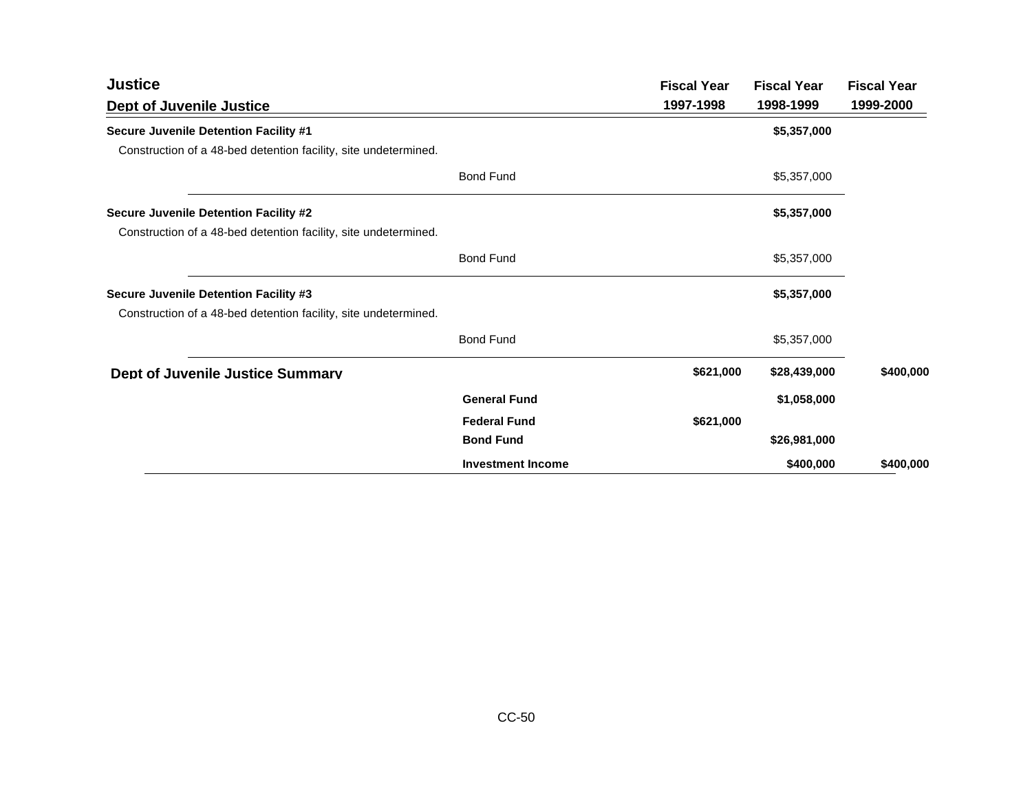| <b>Justice</b>                                                  |                          | <b>Fiscal Year</b> | <b>Fiscal Year</b> | <b>Fiscal Year</b> |
|-----------------------------------------------------------------|--------------------------|--------------------|--------------------|--------------------|
| <b>Dept of Juvenile Justice</b>                                 |                          | 1997-1998          | 1998-1999          | 1999-2000          |
| Secure Juvenile Detention Facility #1                           |                          |                    | \$5,357,000        |                    |
| Construction of a 48-bed detention facility, site undetermined. |                          |                    |                    |                    |
|                                                                 | <b>Bond Fund</b>         |                    | \$5,357,000        |                    |
| Secure Juvenile Detention Facility #2                           |                          |                    | \$5,357,000        |                    |
| Construction of a 48-bed detention facility, site undetermined. |                          |                    |                    |                    |
|                                                                 | <b>Bond Fund</b>         |                    | \$5,357,000        |                    |
| Secure Juvenile Detention Facility #3                           |                          |                    | \$5,357,000        |                    |
| Construction of a 48-bed detention facility, site undetermined. |                          |                    |                    |                    |
|                                                                 | <b>Bond Fund</b>         |                    | \$5,357,000        |                    |
| <b>Dept of Juvenile Justice Summary</b>                         |                          | \$621,000          | \$28,439,000       | \$400,000          |
|                                                                 | <b>General Fund</b>      |                    | \$1,058,000        |                    |
|                                                                 | <b>Federal Fund</b>      | \$621,000          |                    |                    |
|                                                                 | <b>Bond Fund</b>         |                    | \$26,981,000       |                    |
|                                                                 | <b>Investment Income</b> |                    | \$400,000          | \$400,000          |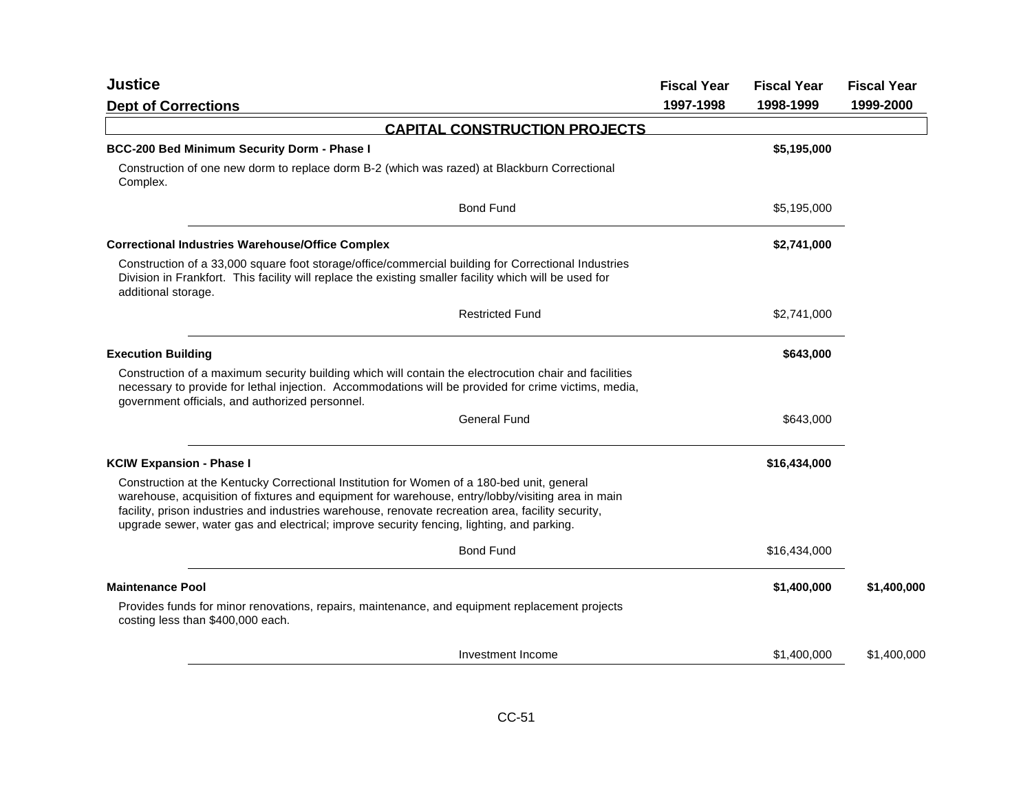| <b>Justice</b>                                                                                                                                                                                                                                                                                                                                                                                     | <b>Fiscal Year</b> | <b>Fiscal Year</b> | <b>Fiscal Year</b> |
|----------------------------------------------------------------------------------------------------------------------------------------------------------------------------------------------------------------------------------------------------------------------------------------------------------------------------------------------------------------------------------------------------|--------------------|--------------------|--------------------|
| <b>Dept of Corrections</b>                                                                                                                                                                                                                                                                                                                                                                         | 1997-1998          | 1998-1999          | 1999-2000          |
| <b>CAPITAL CONSTRUCTION PROJECTS</b>                                                                                                                                                                                                                                                                                                                                                               |                    |                    |                    |
| BCC-200 Bed Minimum Security Dorm - Phase I                                                                                                                                                                                                                                                                                                                                                        |                    | \$5,195,000        |                    |
| Construction of one new dorm to replace dorm B-2 (which was razed) at Blackburn Correctional<br>Complex.                                                                                                                                                                                                                                                                                           |                    |                    |                    |
| <b>Bond Fund</b>                                                                                                                                                                                                                                                                                                                                                                                   |                    | \$5,195,000        |                    |
| <b>Correctional Industries Warehouse/Office Complex</b>                                                                                                                                                                                                                                                                                                                                            |                    | \$2,741,000        |                    |
| Construction of a 33,000 square foot storage/office/commercial building for Correctional Industries<br>Division in Frankfort. This facility will replace the existing smaller facility which will be used for<br>additional storage.                                                                                                                                                               |                    |                    |                    |
| <b>Restricted Fund</b>                                                                                                                                                                                                                                                                                                                                                                             |                    | \$2,741,000        |                    |
| <b>Execution Building</b>                                                                                                                                                                                                                                                                                                                                                                          |                    | \$643,000          |                    |
| Construction of a maximum security building which will contain the electrocution chair and facilities<br>necessary to provide for lethal injection. Accommodations will be provided for crime victims, media,<br>government officials, and authorized personnel.                                                                                                                                   |                    |                    |                    |
| <b>General Fund</b>                                                                                                                                                                                                                                                                                                                                                                                |                    | \$643,000          |                    |
| <b>KCIW Expansion - Phase I</b>                                                                                                                                                                                                                                                                                                                                                                    |                    | \$16,434,000       |                    |
| Construction at the Kentucky Correctional Institution for Women of a 180-bed unit, general<br>warehouse, acquisition of fixtures and equipment for warehouse, entry/lobby/visiting area in main<br>facility, prison industries and industries warehouse, renovate recreation area, facility security,<br>upgrade sewer, water gas and electrical; improve security fencing, lighting, and parking. |                    |                    |                    |
| <b>Bond Fund</b>                                                                                                                                                                                                                                                                                                                                                                                   |                    | \$16,434,000       |                    |
| <b>Maintenance Pool</b>                                                                                                                                                                                                                                                                                                                                                                            |                    | \$1,400,000        | \$1,400,000        |
| Provides funds for minor renovations, repairs, maintenance, and equipment replacement projects<br>costing less than \$400,000 each.                                                                                                                                                                                                                                                                |                    |                    |                    |
| Investment Income                                                                                                                                                                                                                                                                                                                                                                                  |                    | \$1,400,000        | \$1,400,000        |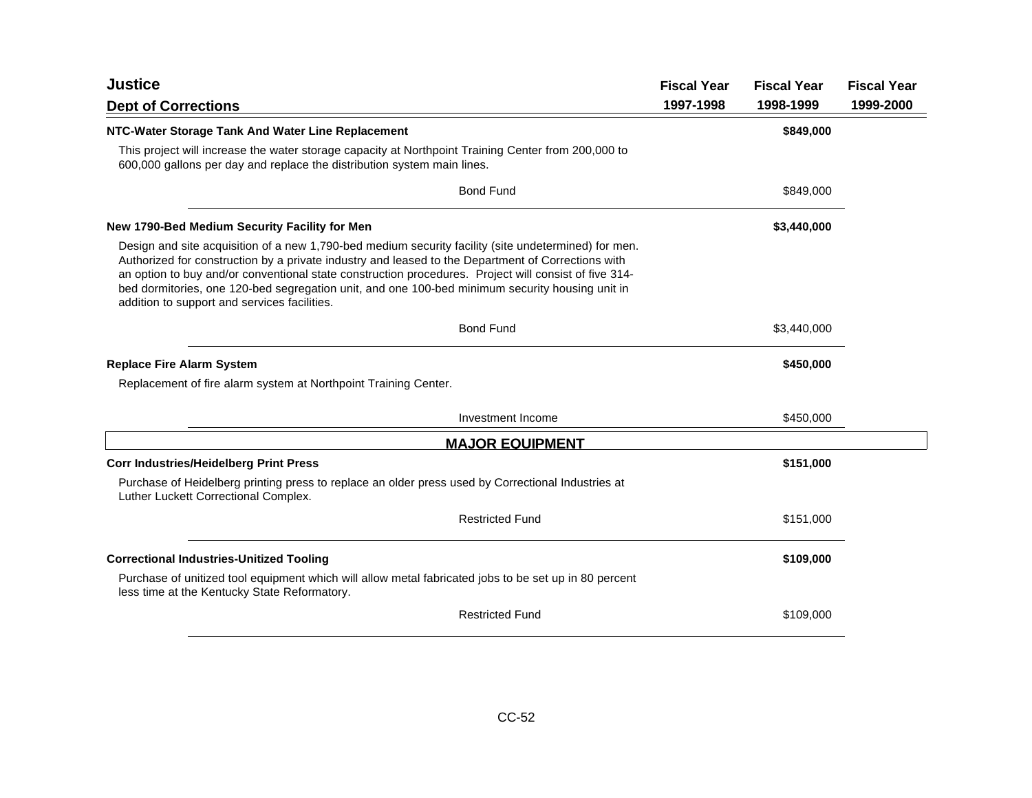| <b>Justice</b>                                                                                                                                                                                                                                                                                                                                                                                                                                                         | <b>Fiscal Year</b> | <b>Fiscal Year</b> | <b>Fiscal Year</b> |
|------------------------------------------------------------------------------------------------------------------------------------------------------------------------------------------------------------------------------------------------------------------------------------------------------------------------------------------------------------------------------------------------------------------------------------------------------------------------|--------------------|--------------------|--------------------|
| <b>Dept of Corrections</b>                                                                                                                                                                                                                                                                                                                                                                                                                                             | 1997-1998          | 1998-1999          | 1999-2000          |
| NTC-Water Storage Tank And Water Line Replacement                                                                                                                                                                                                                                                                                                                                                                                                                      |                    | \$849,000          |                    |
| This project will increase the water storage capacity at Northpoint Training Center from 200,000 to<br>600,000 gallons per day and replace the distribution system main lines.                                                                                                                                                                                                                                                                                         |                    |                    |                    |
| <b>Bond Fund</b>                                                                                                                                                                                                                                                                                                                                                                                                                                                       |                    | \$849,000          |                    |
| New 1790-Bed Medium Security Facility for Men                                                                                                                                                                                                                                                                                                                                                                                                                          |                    | \$3,440,000        |                    |
| Design and site acquisition of a new 1,790-bed medium security facility (site undetermined) for men.<br>Authorized for construction by a private industry and leased to the Department of Corrections with<br>an option to buy and/or conventional state construction procedures. Project will consist of five 314-<br>bed dormitories, one 120-bed segregation unit, and one 100-bed minimum security housing unit in<br>addition to support and services facilities. |                    |                    |                    |
| <b>Bond Fund</b>                                                                                                                                                                                                                                                                                                                                                                                                                                                       |                    | \$3,440,000        |                    |
| <b>Replace Fire Alarm System</b>                                                                                                                                                                                                                                                                                                                                                                                                                                       |                    | \$450,000          |                    |
| Replacement of fire alarm system at Northpoint Training Center.                                                                                                                                                                                                                                                                                                                                                                                                        |                    |                    |                    |
| Investment Income                                                                                                                                                                                                                                                                                                                                                                                                                                                      |                    | \$450,000          |                    |
| <b>MAJOR EQUIPMENT</b>                                                                                                                                                                                                                                                                                                                                                                                                                                                 |                    |                    |                    |
| <b>Corr Industries/Heidelberg Print Press</b>                                                                                                                                                                                                                                                                                                                                                                                                                          |                    | \$151,000          |                    |
| Purchase of Heidelberg printing press to replace an older press used by Correctional Industries at<br>Luther Luckett Correctional Complex.                                                                                                                                                                                                                                                                                                                             |                    |                    |                    |
| <b>Restricted Fund</b>                                                                                                                                                                                                                                                                                                                                                                                                                                                 |                    | \$151,000          |                    |
| <b>Correctional Industries-Unitized Tooling</b>                                                                                                                                                                                                                                                                                                                                                                                                                        |                    | \$109,000          |                    |
| Purchase of unitized tool equipment which will allow metal fabricated jobs to be set up in 80 percent<br>less time at the Kentucky State Reformatory.                                                                                                                                                                                                                                                                                                                  |                    |                    |                    |
| <b>Restricted Fund</b>                                                                                                                                                                                                                                                                                                                                                                                                                                                 |                    | \$109,000          |                    |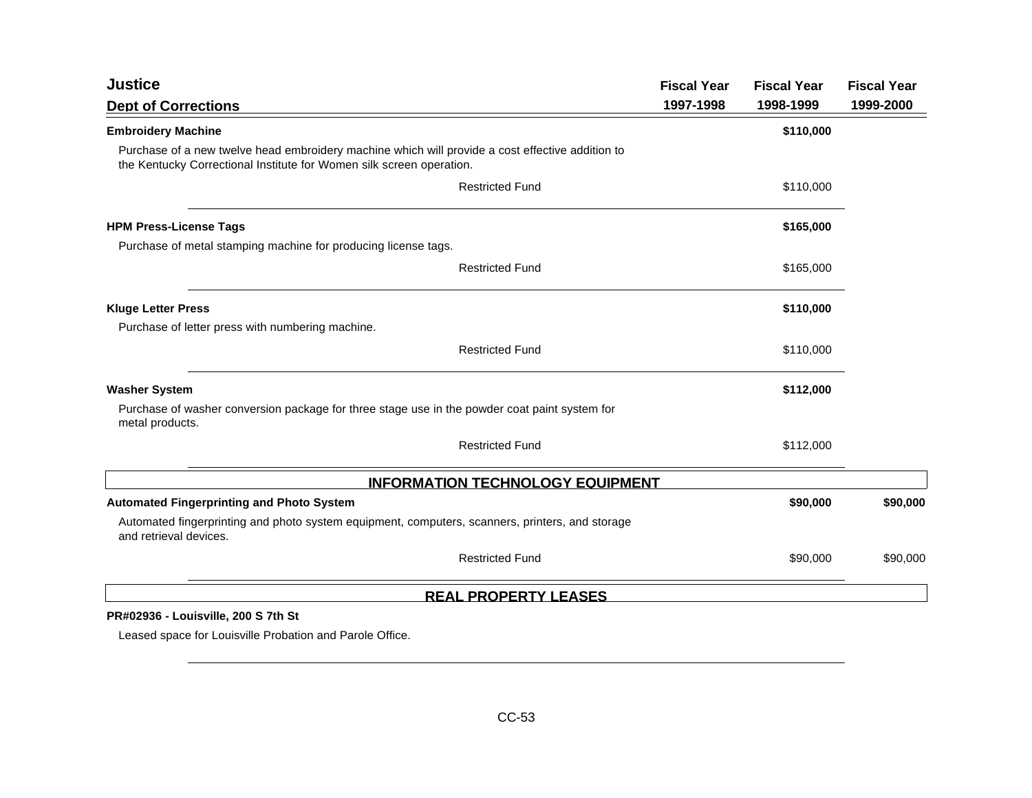| <b>Justice</b>                                                                                                                                                           | <b>Fiscal Year</b> | <b>Fiscal Year</b> | <b>Fiscal Year</b> |
|--------------------------------------------------------------------------------------------------------------------------------------------------------------------------|--------------------|--------------------|--------------------|
| <b>Dept of Corrections</b>                                                                                                                                               | 1997-1998          | 1998-1999          | 1999-2000          |
| <b>Embroidery Machine</b>                                                                                                                                                |                    | \$110,000          |                    |
| Purchase of a new twelve head embroidery machine which will provide a cost effective addition to<br>the Kentucky Correctional Institute for Women silk screen operation. |                    |                    |                    |
| <b>Restricted Fund</b>                                                                                                                                                   |                    | \$110,000          |                    |
| <b>HPM Press-License Tags</b>                                                                                                                                            |                    | \$165,000          |                    |
| Purchase of metal stamping machine for producing license tags.                                                                                                           |                    |                    |                    |
| <b>Restricted Fund</b>                                                                                                                                                   |                    | \$165,000          |                    |
| <b>Kluge Letter Press</b>                                                                                                                                                |                    | \$110,000          |                    |
| Purchase of letter press with numbering machine.                                                                                                                         |                    |                    |                    |
| <b>Restricted Fund</b>                                                                                                                                                   |                    | \$110,000          |                    |
| <b>Washer System</b>                                                                                                                                                     |                    | \$112,000          |                    |
| Purchase of washer conversion package for three stage use in the powder coat paint system for<br>metal products.                                                         |                    |                    |                    |
| <b>Restricted Fund</b>                                                                                                                                                   |                    | \$112,000          |                    |
| <b>INFORMATION TECHNOLOGY EQUIPMENT</b>                                                                                                                                  |                    |                    |                    |
| <b>Automated Fingerprinting and Photo System</b>                                                                                                                         |                    | \$90,000           | \$90,000           |
| Automated fingerprinting and photo system equipment, computers, scanners, printers, and storage<br>and retrieval devices.                                                |                    |                    |                    |
| <b>Restricted Fund</b>                                                                                                                                                   |                    | \$90,000           | \$90,000           |
| <b>REAL PROPERTY LEASES</b>                                                                                                                                              |                    |                    |                    |
| PR#02936 - Louisville, 200 S 7th St                                                                                                                                      |                    |                    |                    |

Leased space for Louisville Probation and Parole Office.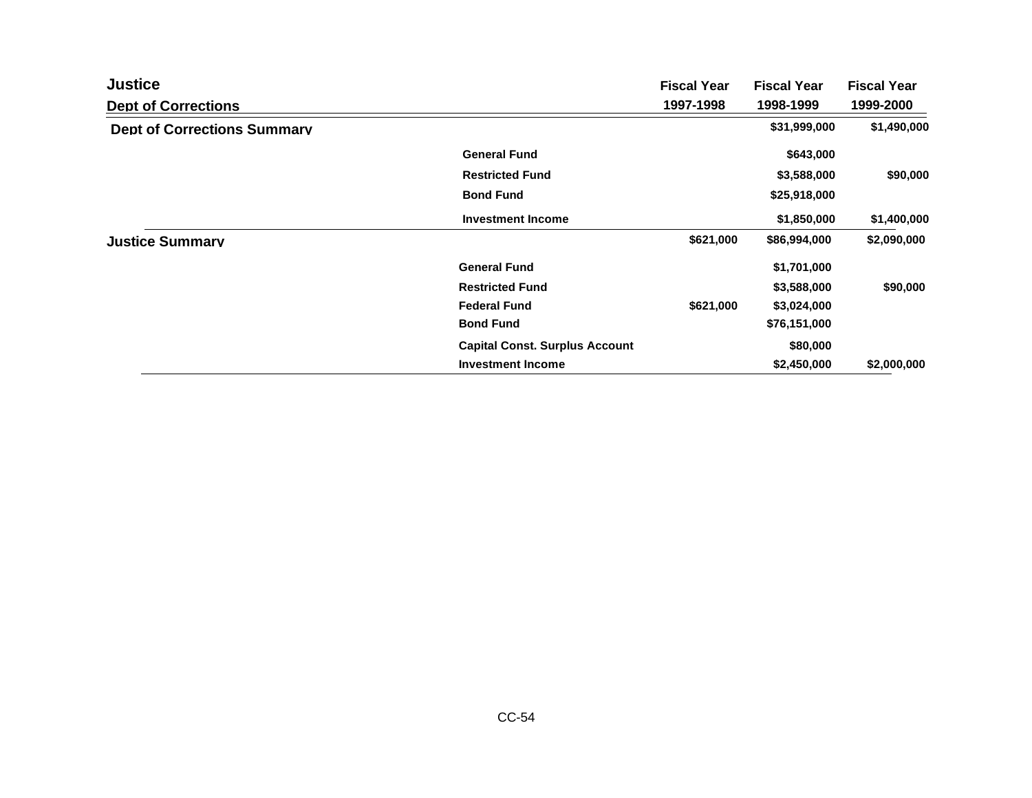| <b>Justice</b>                     |                                       | <b>Fiscal Year</b> | <b>Fiscal Year</b> | <b>Fiscal Year</b> |
|------------------------------------|---------------------------------------|--------------------|--------------------|--------------------|
| <b>Dept of Corrections</b>         |                                       | 1997-1998          | 1998-1999          | 1999-2000          |
| <b>Dept of Corrections Summary</b> |                                       |                    | \$31,999,000       | \$1,490,000        |
|                                    | <b>General Fund</b>                   |                    | \$643,000          |                    |
|                                    | <b>Restricted Fund</b>                |                    | \$3,588,000        | \$90,000           |
|                                    | <b>Bond Fund</b>                      |                    | \$25,918,000       |                    |
|                                    | <b>Investment Income</b>              |                    | \$1,850,000        | \$1,400,000        |
| <b>Justice Summarv</b>             |                                       | \$621,000          | \$86,994,000       | \$2,090,000        |
|                                    | <b>General Fund</b>                   |                    | \$1,701,000        |                    |
|                                    | <b>Restricted Fund</b>                |                    | \$3,588,000        | \$90,000           |
|                                    | <b>Federal Fund</b>                   | \$621,000          | \$3,024,000        |                    |
|                                    | <b>Bond Fund</b>                      |                    | \$76,151,000       |                    |
|                                    | <b>Capital Const. Surplus Account</b> |                    | \$80,000           |                    |
|                                    | <b>Investment Income</b>              |                    | \$2,450,000        | \$2,000,000        |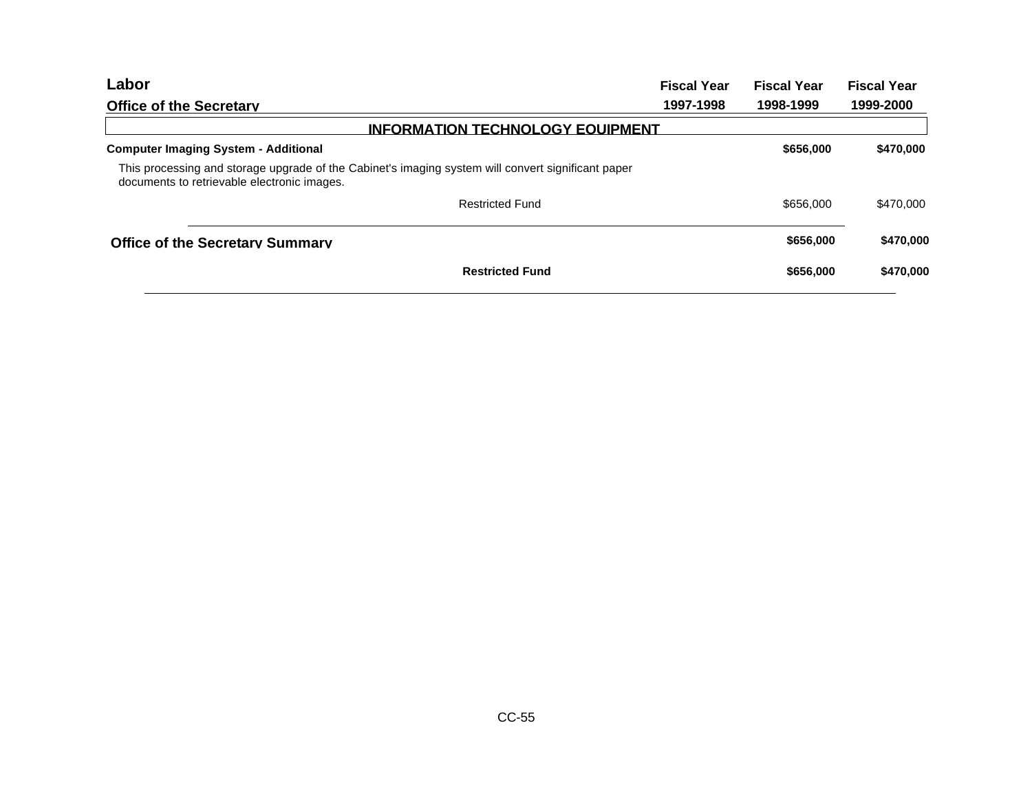|           | <b>Fiscal Year</b> | <b>Fiscal Year</b> |
|-----------|--------------------|--------------------|
| 1997-1998 |                    | 1999-2000          |
|           |                    |                    |
|           | \$656,000          | \$470,000          |
|           |                    |                    |
|           | \$656,000          | \$470,000          |
|           | \$656,000          | \$470,000          |
|           | \$656,000          | \$470,000          |
|           |                    | 1998-1999          |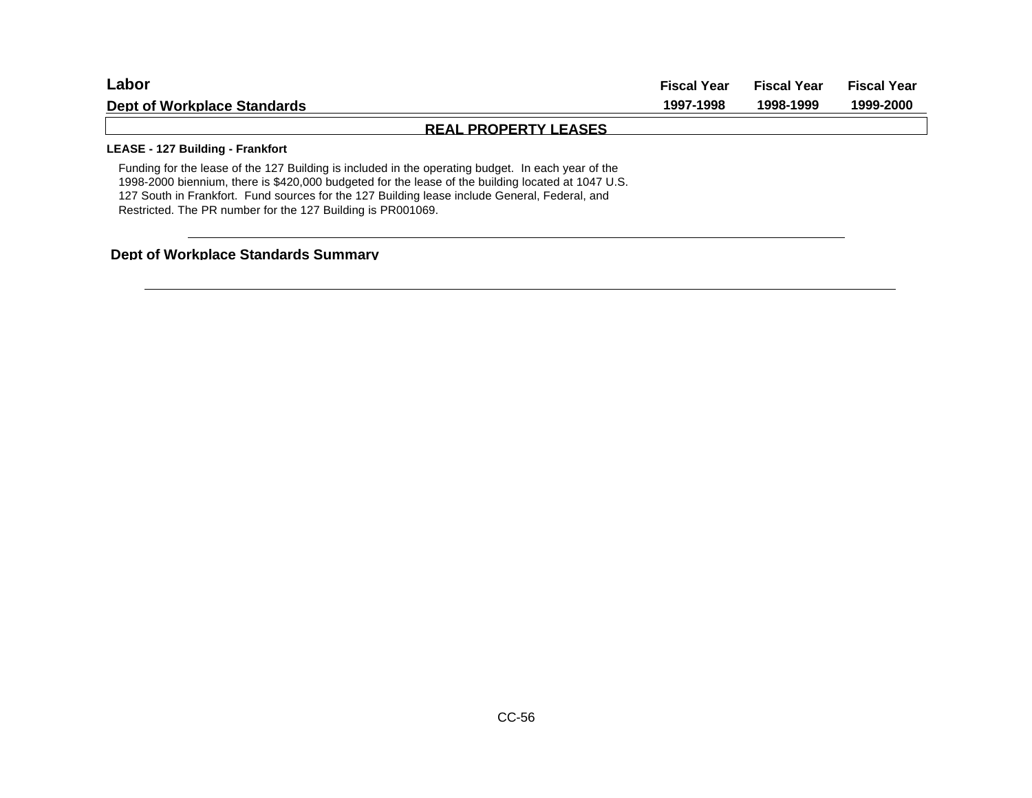| Labor                                                                                              | <b>Fiscal Year</b> | <b>Fiscal Year</b> | <b>Fiscal Year</b> |
|----------------------------------------------------------------------------------------------------|--------------------|--------------------|--------------------|
| <b>Dept of Workplace Standards</b>                                                                 | 1997-1998          | 1998-1999          | 1999-2000          |
| <b>REAL PROPERTY LEASES</b>                                                                        |                    |                    |                    |
| LEASE - 127 Building - Frankfort                                                                   |                    |                    |                    |
| Funding for the lease of the 127 Building is included in the operating budget. In each year of the |                    |                    |                    |

1998-2000 biennium, there is \$420,000 budgeted for the lease of the building located at 1047 U.S. 127 South in Frankfort. Fund sources for the 127 Building lease include General, Federal, and Restricted. The PR number for the 127 Building is PR001069.

## **Dept of Workplace Standards Summary**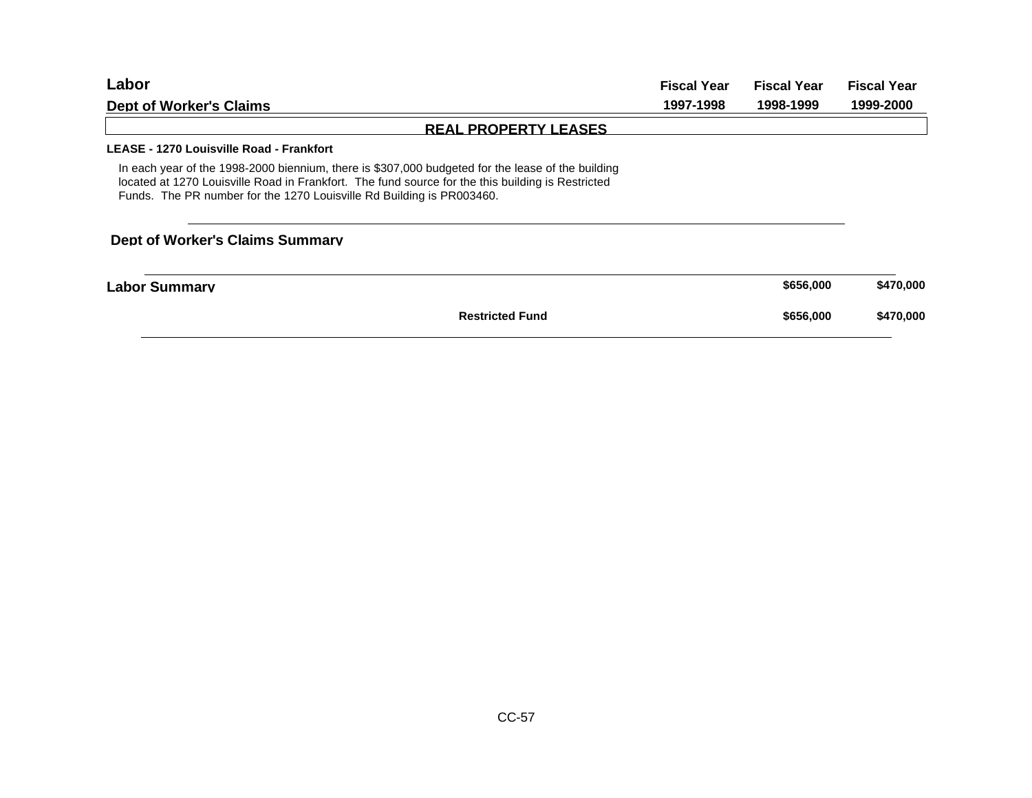| ∟abor                                                                                                                                                                                                                                                                           | <b>Fiscal Year</b> | <b>Fiscal Year</b> | <b>Fiscal Year</b> |
|---------------------------------------------------------------------------------------------------------------------------------------------------------------------------------------------------------------------------------------------------------------------------------|--------------------|--------------------|--------------------|
| 1997-1998<br><b>Dept of Worker's Claims</b>                                                                                                                                                                                                                                     |                    | 1998-1999          | 1999-2000          |
| <b>REAL PROPERTY LEASES</b>                                                                                                                                                                                                                                                     |                    |                    |                    |
| LEASE - 1270 Louisville Road - Frankfort                                                                                                                                                                                                                                        |                    |                    |                    |
| In each year of the 1998-2000 biennium, there is \$307,000 budgeted for the lease of the building<br>located at 1270 Louisville Road in Frankfort. The fund source for the this building is Restricted<br>Funds. The PR number for the 1270 Louisville Rd Building is PR003460. |                    |                    |                    |
| <b>Dept of Worker's Claims Summarv</b>                                                                                                                                                                                                                                          |                    |                    |                    |
| Labor Summarv                                                                                                                                                                                                                                                                   |                    | \$656,000          | \$470,000          |
| <b>Restricted Fund</b>                                                                                                                                                                                                                                                          |                    | \$656,000          | \$470,000          |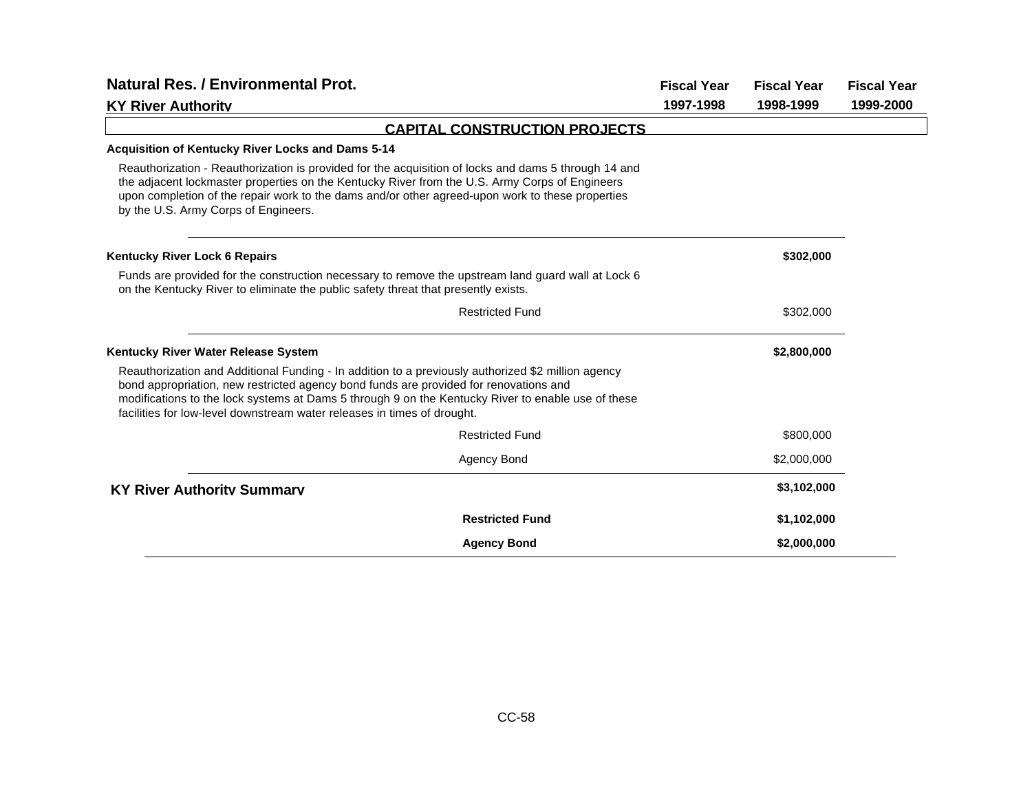| <b>Natural Res. / Environmental Prot.</b>                                                                                                                                                                                                                                                                                                                                    |                                      | <b>Fiscal Year</b> | <b>Fiscal Year</b> | <b>Fiscal Year</b> |
|------------------------------------------------------------------------------------------------------------------------------------------------------------------------------------------------------------------------------------------------------------------------------------------------------------------------------------------------------------------------------|--------------------------------------|--------------------|--------------------|--------------------|
| <b>KY River Authority</b>                                                                                                                                                                                                                                                                                                                                                    |                                      | 1997-1998          | 1998-1999          | 1999-2000          |
|                                                                                                                                                                                                                                                                                                                                                                              | <b>CAPITAL CONSTRUCTION PROJECTS</b> |                    |                    |                    |
| <b>Acquisition of Kentucky River Locks and Dams 5-14</b>                                                                                                                                                                                                                                                                                                                     |                                      |                    |                    |                    |
| Reauthorization - Reauthorization is provided for the acquisition of locks and dams 5 through 14 and<br>the adjacent lockmaster properties on the Kentucky River from the U.S. Army Corps of Engineers<br>upon completion of the repair work to the dams and/or other agreed-upon work to these properties<br>by the U.S. Army Corps of Engineers.                           |                                      |                    |                    |                    |
| <b>Kentucky River Lock 6 Repairs</b>                                                                                                                                                                                                                                                                                                                                         |                                      |                    | \$302,000          |                    |
| Funds are provided for the construction necessary to remove the upstream land guard wall at Lock 6<br>on the Kentucky River to eliminate the public safety threat that presently exists.                                                                                                                                                                                     |                                      |                    |                    |                    |
|                                                                                                                                                                                                                                                                                                                                                                              | <b>Restricted Fund</b>               |                    | \$302,000          |                    |
| Kentucky River Water Release System                                                                                                                                                                                                                                                                                                                                          |                                      |                    | \$2,800,000        |                    |
| Reauthorization and Additional Funding - In addition to a previously authorized \$2 million agency<br>bond appropriation, new restricted agency bond funds are provided for renovations and<br>modifications to the lock systems at Dams 5 through 9 on the Kentucky River to enable use of these<br>facilities for low-level downstream water releases in times of drought. |                                      |                    |                    |                    |
|                                                                                                                                                                                                                                                                                                                                                                              | <b>Restricted Fund</b>               |                    | \$800,000          |                    |
|                                                                                                                                                                                                                                                                                                                                                                              | <b>Agency Bond</b>                   |                    | \$2,000,000        |                    |
| <b>KY River Authority Summary</b>                                                                                                                                                                                                                                                                                                                                            |                                      |                    | \$3,102,000        |                    |
|                                                                                                                                                                                                                                                                                                                                                                              | <b>Restricted Fund</b>               |                    | \$1,102,000        |                    |
|                                                                                                                                                                                                                                                                                                                                                                              | <b>Agency Bond</b>                   |                    | \$2,000,000        |                    |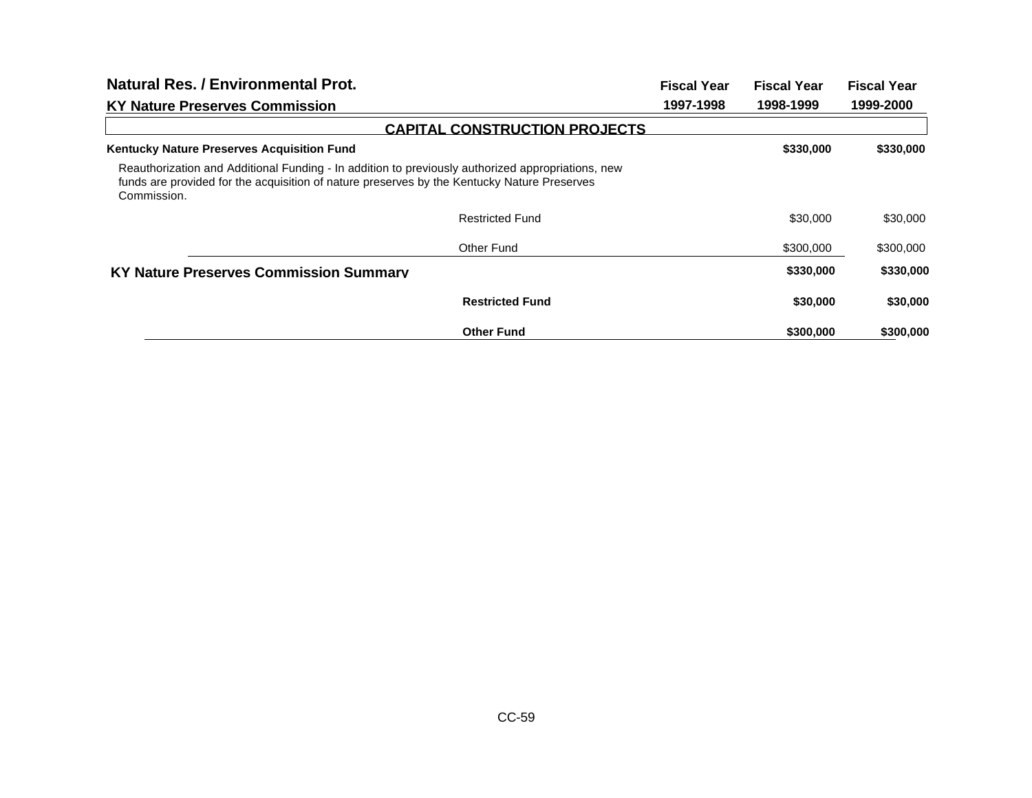| <b>Natural Res. / Environmental Prot.</b>                                                                                                                                                                       |                                      | <b>Fiscal Year</b> | <b>Fiscal Year</b> | <b>Fiscal Year</b> |
|-----------------------------------------------------------------------------------------------------------------------------------------------------------------------------------------------------------------|--------------------------------------|--------------------|--------------------|--------------------|
| <b>KY Nature Preserves Commission</b>                                                                                                                                                                           |                                      | 1997-1998          | 1998-1999          | 1999-2000          |
|                                                                                                                                                                                                                 | <b>CAPITAL CONSTRUCTION PROJECTS</b> |                    |                    |                    |
| <b>Kentucky Nature Preserves Acquisition Fund</b>                                                                                                                                                               |                                      |                    | \$330,000          | \$330,000          |
| Reauthorization and Additional Funding - In addition to previously authorized appropriations, new<br>funds are provided for the acquisition of nature preserves by the Kentucky Nature Preserves<br>Commission. |                                      |                    |                    |                    |
|                                                                                                                                                                                                                 | <b>Restricted Fund</b>               |                    | \$30,000           | \$30,000           |
|                                                                                                                                                                                                                 | Other Fund                           |                    | \$300,000          | \$300,000          |
| <b>KY Nature Preserves Commission Summarv</b>                                                                                                                                                                   |                                      |                    | \$330,000          | \$330,000          |
|                                                                                                                                                                                                                 | <b>Restricted Fund</b>               |                    | \$30,000           | \$30,000           |
|                                                                                                                                                                                                                 | <b>Other Fund</b>                    |                    | \$300,000          | \$300,000          |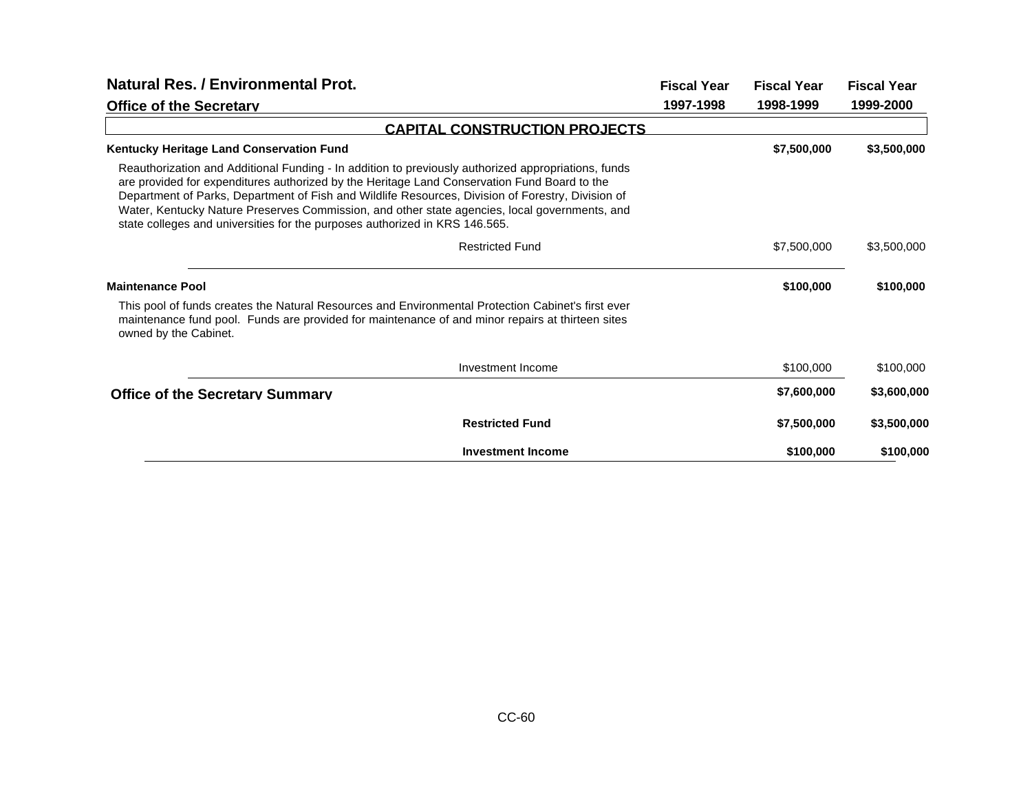| <b>Natural Res. / Environmental Prot.</b>                                                                                                                                                                                                                                                                                                                                                                                                                                                |                                      | <b>Fiscal Year</b> | <b>Fiscal Year</b> | <b>Fiscal Year</b> |
|------------------------------------------------------------------------------------------------------------------------------------------------------------------------------------------------------------------------------------------------------------------------------------------------------------------------------------------------------------------------------------------------------------------------------------------------------------------------------------------|--------------------------------------|--------------------|--------------------|--------------------|
| <b>Office of the Secretary</b>                                                                                                                                                                                                                                                                                                                                                                                                                                                           |                                      | 1997-1998          | 1998-1999          | 1999-2000          |
|                                                                                                                                                                                                                                                                                                                                                                                                                                                                                          | <b>CAPITAL CONSTRUCTION PROJECTS</b> |                    |                    |                    |
| Kentucky Heritage Land Conservation Fund                                                                                                                                                                                                                                                                                                                                                                                                                                                 |                                      |                    | \$7,500,000        | \$3,500,000        |
| Reauthorization and Additional Funding - In addition to previously authorized appropriations, funds<br>are provided for expenditures authorized by the Heritage Land Conservation Fund Board to the<br>Department of Parks, Department of Fish and Wildlife Resources, Division of Forestry, Division of<br>Water, Kentucky Nature Preserves Commission, and other state agencies, local governments, and<br>state colleges and universities for the purposes authorized in KRS 146.565. |                                      |                    |                    |                    |
|                                                                                                                                                                                                                                                                                                                                                                                                                                                                                          | <b>Restricted Fund</b>               |                    | \$7,500,000        | \$3,500,000        |
| <b>Maintenance Pool</b>                                                                                                                                                                                                                                                                                                                                                                                                                                                                  |                                      |                    | \$100,000          | \$100,000          |
| This pool of funds creates the Natural Resources and Environmental Protection Cabinet's first ever<br>maintenance fund pool. Funds are provided for maintenance of and minor repairs at thirteen sites<br>owned by the Cabinet.                                                                                                                                                                                                                                                          |                                      |                    |                    |                    |
|                                                                                                                                                                                                                                                                                                                                                                                                                                                                                          | Investment Income                    |                    | \$100,000          | \$100,000          |
| <b>Office of the Secretary Summary</b>                                                                                                                                                                                                                                                                                                                                                                                                                                                   |                                      |                    | \$7,600,000        | \$3,600,000        |
|                                                                                                                                                                                                                                                                                                                                                                                                                                                                                          | <b>Restricted Fund</b>               |                    | \$7,500,000        | \$3,500,000        |
|                                                                                                                                                                                                                                                                                                                                                                                                                                                                                          | <b>Investment Income</b>             |                    | \$100,000          | \$100,000          |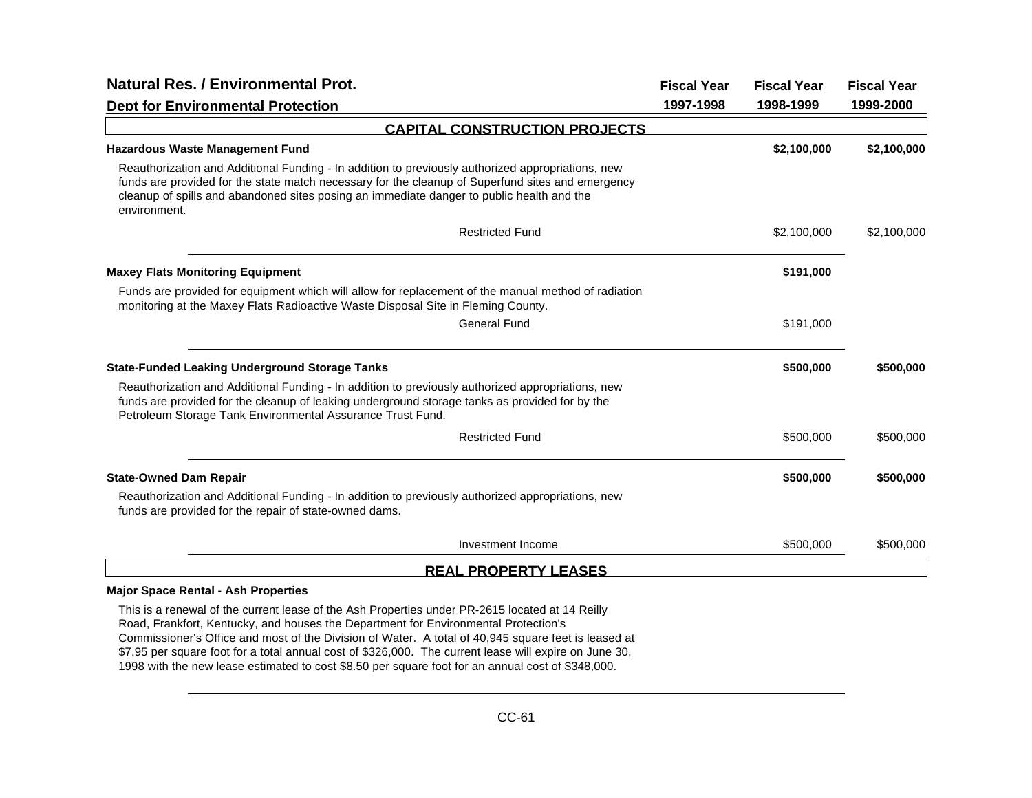| <b>Natural Res. / Environmental Prot.</b>                                                                                                                                                                                                                                                                           | <b>Fiscal Year</b> | <b>Fiscal Year</b> | <b>Fiscal Year</b> |
|---------------------------------------------------------------------------------------------------------------------------------------------------------------------------------------------------------------------------------------------------------------------------------------------------------------------|--------------------|--------------------|--------------------|
| <b>Dept for Environmental Protection</b>                                                                                                                                                                                                                                                                            | 1997-1998          | 1998-1999          | 1999-2000          |
| <b>CAPITAL CONSTRUCTION PROJECTS</b>                                                                                                                                                                                                                                                                                |                    |                    |                    |
| <b>Hazardous Waste Management Fund</b>                                                                                                                                                                                                                                                                              |                    | \$2,100,000        | \$2,100,000        |
| Reauthorization and Additional Funding - In addition to previously authorized appropriations, new<br>funds are provided for the state match necessary for the cleanup of Superfund sites and emergency<br>cleanup of spills and abandoned sites posing an immediate danger to public health and the<br>environment. |                    |                    |                    |
| <b>Restricted Fund</b>                                                                                                                                                                                                                                                                                              |                    | \$2,100,000        | \$2,100,000        |
| <b>Maxey Flats Monitoring Equipment</b>                                                                                                                                                                                                                                                                             |                    | \$191,000          |                    |
| Funds are provided for equipment which will allow for replacement of the manual method of radiation<br>monitoring at the Maxey Flats Radioactive Waste Disposal Site in Fleming County.                                                                                                                             |                    |                    |                    |
| <b>General Fund</b>                                                                                                                                                                                                                                                                                                 |                    | \$191,000          |                    |
| <b>State-Funded Leaking Underground Storage Tanks</b>                                                                                                                                                                                                                                                               |                    | \$500,000          | \$500,000          |
| Reauthorization and Additional Funding - In addition to previously authorized appropriations, new<br>funds are provided for the cleanup of leaking underground storage tanks as provided for by the<br>Petroleum Storage Tank Environmental Assurance Trust Fund.                                                   |                    |                    |                    |
| <b>Restricted Fund</b>                                                                                                                                                                                                                                                                                              |                    | \$500,000          | \$500,000          |
| <b>State-Owned Dam Repair</b>                                                                                                                                                                                                                                                                                       |                    | \$500,000          | \$500,000          |
| Reauthorization and Additional Funding - In addition to previously authorized appropriations, new<br>funds are provided for the repair of state-owned dams.                                                                                                                                                         |                    |                    |                    |
| Investment Income                                                                                                                                                                                                                                                                                                   |                    | \$500,000          | \$500,000          |
| <b>REAL PROPERTY LEASES</b>                                                                                                                                                                                                                                                                                         |                    |                    |                    |
| <b>Major Space Rental - Ash Properties</b>                                                                                                                                                                                                                                                                          |                    |                    |                    |
| This is a renewal of the current lease of the Ash Properties under PR-2615 located at 14 Reilly                                                                                                                                                                                                                     |                    |                    |                    |
| Road, Frankfort, Kentucky, and houses the Department for Environmental Protection's<br>Commissioner's Office and most of the Division of Water. A total of 40,945 square feet is leased at                                                                                                                          |                    |                    |                    |
| \$7.95 per square foot for a total annual cost of \$326,000. The current lease will expire on June 30,                                                                                                                                                                                                              |                    |                    |                    |

1998 with the new lease estimated to cost \$8.50 per square foot for an annual cost of \$348,000.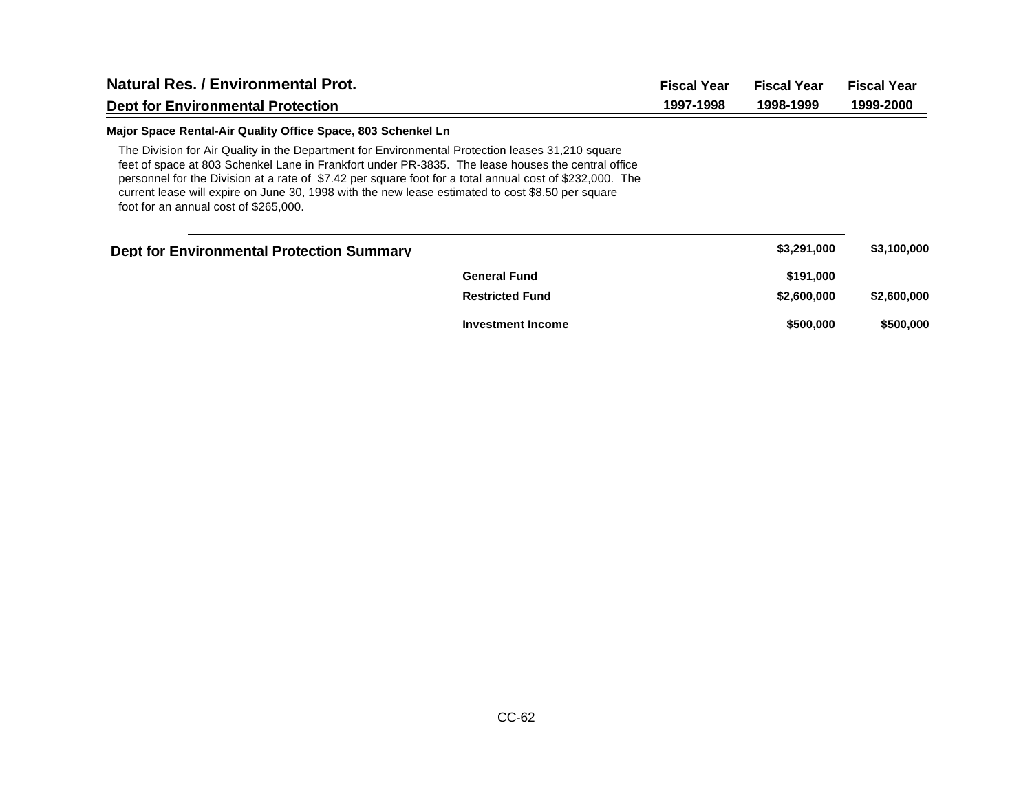| <b>Natural Res. / Environmental Prot.</b>                                                                                                                                                                                                                                                                                                                                                                                                                        |                          | <b>Fiscal Year</b> | <b>Fiscal Year</b> | <b>Fiscal Year</b> |
|------------------------------------------------------------------------------------------------------------------------------------------------------------------------------------------------------------------------------------------------------------------------------------------------------------------------------------------------------------------------------------------------------------------------------------------------------------------|--------------------------|--------------------|--------------------|--------------------|
| <b>Dept for Environmental Protection</b>                                                                                                                                                                                                                                                                                                                                                                                                                         |                          | 1997-1998          | 1998-1999          | 1999-2000          |
| Major Space Rental-Air Quality Office Space, 803 Schenkel Ln                                                                                                                                                                                                                                                                                                                                                                                                     |                          |                    |                    |                    |
| The Division for Air Quality in the Department for Environmental Protection leases 31,210 square<br>feet of space at 803 Schenkel Lane in Frankfort under PR-3835. The lease houses the central office<br>personnel for the Division at a rate of \$7.42 per square foot for a total annual cost of \$232,000. The<br>current lease will expire on June 30, 1998 with the new lease estimated to cost \$8.50 per square<br>foot for an annual cost of \$265,000. |                          |                    |                    |                    |
| <b>Dept for Environmental Protection Summary</b>                                                                                                                                                                                                                                                                                                                                                                                                                 |                          |                    | \$3,291,000        | \$3,100,000        |
|                                                                                                                                                                                                                                                                                                                                                                                                                                                                  | <b>General Fund</b>      |                    | \$191,000          |                    |
|                                                                                                                                                                                                                                                                                                                                                                                                                                                                  | <b>Restricted Fund</b>   |                    | \$2,600,000        | \$2,600,000        |
|                                                                                                                                                                                                                                                                                                                                                                                                                                                                  | <b>Investment Income</b> |                    | \$500,000          | \$500,000          |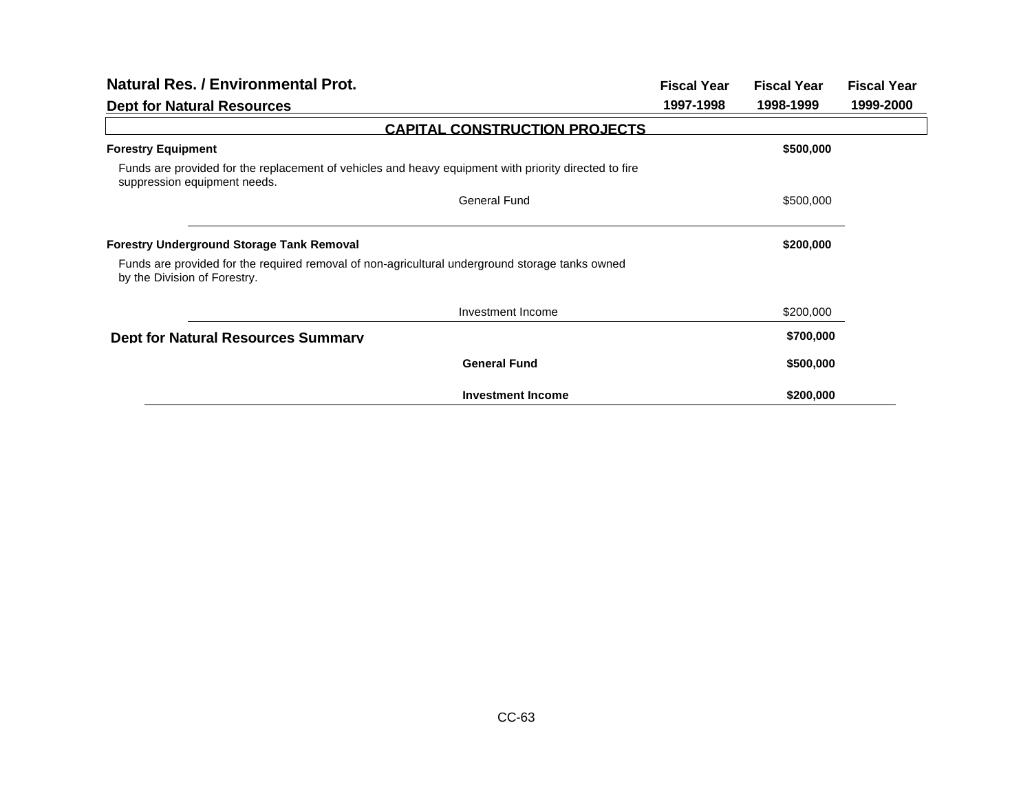| <b>Natural Res. / Environmental Prot.</b>                                                                                             | <b>Fiscal Year</b> | <b>Fiscal Year</b> | <b>Fiscal Year</b> |
|---------------------------------------------------------------------------------------------------------------------------------------|--------------------|--------------------|--------------------|
| <b>Dept for Natural Resources</b>                                                                                                     | 1997-1998          | 1998-1999          | 1999-2000          |
| <b>CAPITAL CONSTRUCTION PROJECTS</b>                                                                                                  |                    |                    |                    |
| <b>Forestry Equipment</b>                                                                                                             |                    | \$500,000          |                    |
| Funds are provided for the replacement of vehicles and heavy equipment with priority directed to fire<br>suppression equipment needs. |                    |                    |                    |
| <b>General Fund</b>                                                                                                                   |                    | \$500,000          |                    |
|                                                                                                                                       |                    |                    |                    |
| <b>Forestry Underground Storage Tank Removal</b>                                                                                      |                    | \$200,000          |                    |
| Funds are provided for the required removal of non-agricultural underground storage tanks owned<br>by the Division of Forestry.       |                    |                    |                    |
| Investment Income                                                                                                                     |                    | \$200,000          |                    |
| <b>Dept for Natural Resources Summary</b>                                                                                             |                    | \$700,000          |                    |
| <b>General Fund</b>                                                                                                                   |                    | \$500,000          |                    |
| <b>Investment Income</b>                                                                                                              |                    | \$200,000          |                    |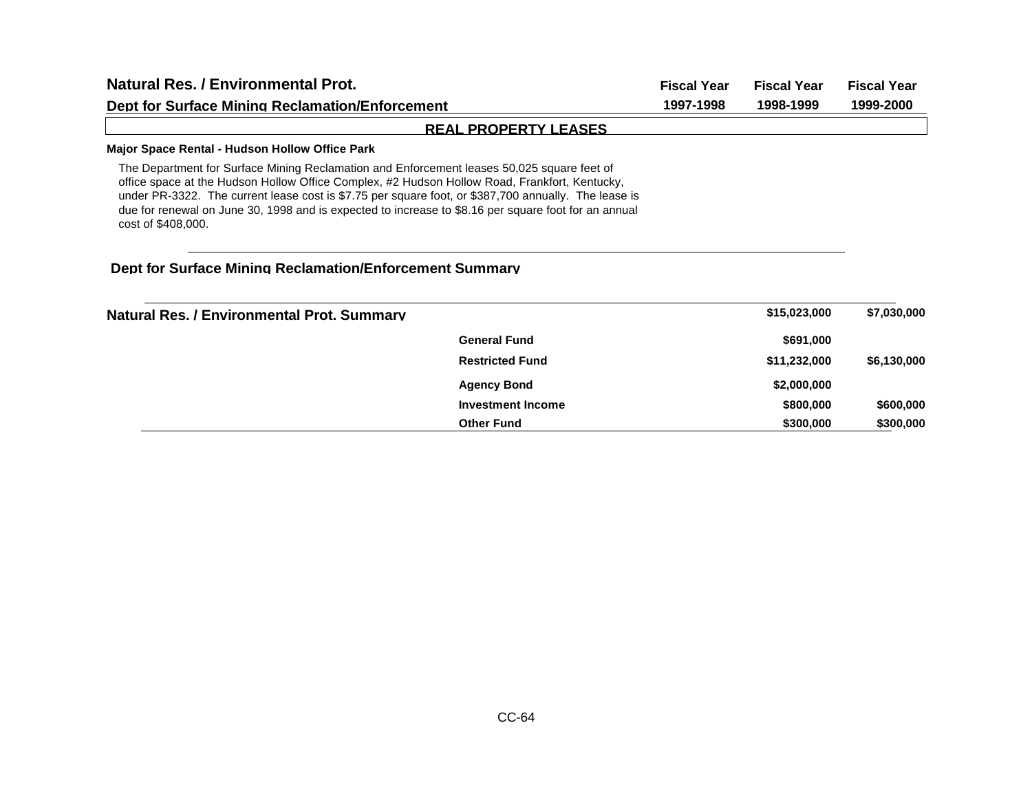| <b>Natural Res. / Environmental Prot.</b>                                                                                                                                                                                                                                                                                                                                                                                         | <b>Fiscal Year</b> | <b>Fiscal Year</b> | <b>Fiscal Year</b> |
|-----------------------------------------------------------------------------------------------------------------------------------------------------------------------------------------------------------------------------------------------------------------------------------------------------------------------------------------------------------------------------------------------------------------------------------|--------------------|--------------------|--------------------|
| <b>Dept for Surface Mining Reclamation/Enforcement</b>                                                                                                                                                                                                                                                                                                                                                                            | 1997-1998          | 1998-1999          | 1999-2000          |
| <b>REAL PROPERTY LEASES</b>                                                                                                                                                                                                                                                                                                                                                                                                       |                    |                    |                    |
| Major Space Rental - Hudson Hollow Office Park                                                                                                                                                                                                                                                                                                                                                                                    |                    |                    |                    |
| The Department for Surface Mining Reclamation and Enforcement leases 50,025 square feet of<br>office space at the Hudson Hollow Office Complex, #2 Hudson Hollow Road, Frankfort, Kentucky,<br>under PR-3322. The current lease cost is \$7.75 per square foot, or \$387,700 annually. The lease is<br>due for renewal on June 30, 1998 and is expected to increase to \$8.16 per square foot for an annual<br>cost of \$408,000. |                    |                    |                    |
| <b>Dept for Surface Mining Reclamation/Enforcement Summary</b>                                                                                                                                                                                                                                                                                                                                                                    |                    |                    |                    |
| <b>Natural Res. / Environmental Prot. Summary</b>                                                                                                                                                                                                                                                                                                                                                                                 |                    | \$15,023,000       | \$7,030,000        |
| <b>General Fund</b>                                                                                                                                                                                                                                                                                                                                                                                                               |                    | \$691,000          |                    |
| <b>Restricted Fund</b>                                                                                                                                                                                                                                                                                                                                                                                                            |                    | \$11,232,000       | \$6,130,000        |
| <b>Agency Bond</b>                                                                                                                                                                                                                                                                                                                                                                                                                |                    | \$2,000,000        |                    |

**Investment Income**

**Other Fund**

**\$800,000 \$600,000 \$300,000 \$300,000**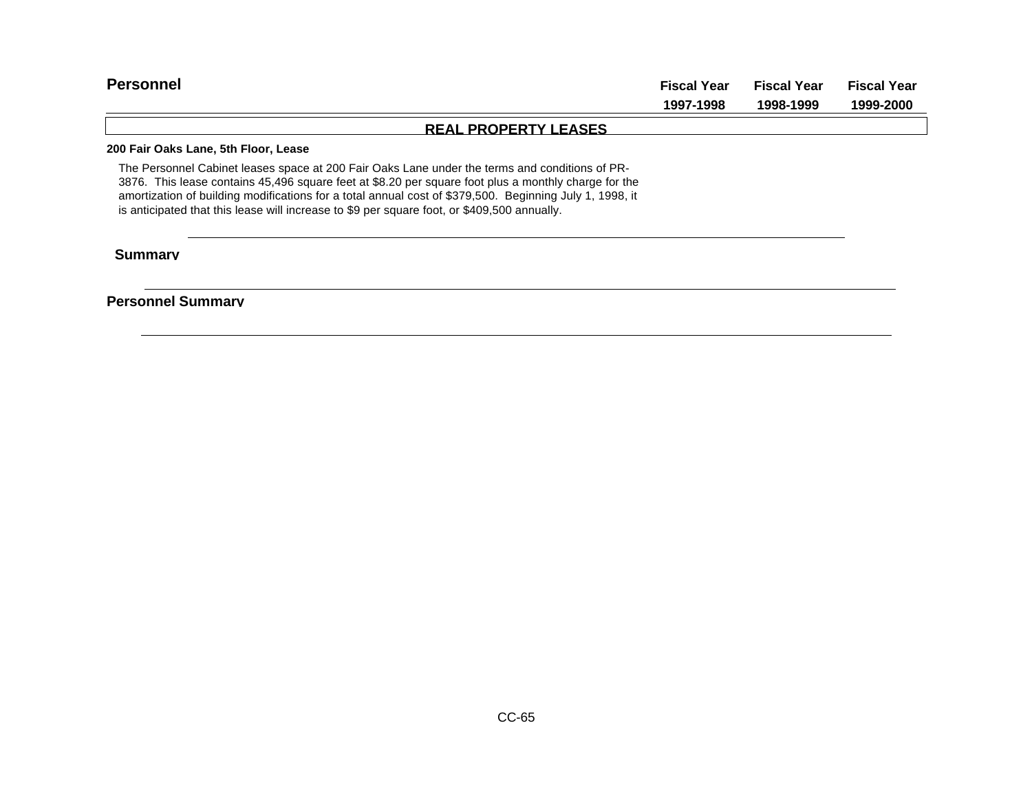| <b>Personnel</b>                          | <b>Fiscal Year</b>          | Fiscal Year | <b>Fiscal Year</b> |
|-------------------------------------------|-----------------------------|-------------|--------------------|
|                                           | 1997-1998                   | 1998-1999   | 1999-2000          |
|                                           | <b>REAL PROPERTY LEASES</b> |             |                    |
| <b>AAA E-L-A-L-L-L--- Ed. EL--- L----</b> |                             |             |                    |

**200 Fair Oaks Lane, 5th Floor, Lease**

The Personnel Cabinet leases space at 200 Fair Oaks Lane under the terms and conditions of PR-3876. This lease contains 45,496 square feet at \$8.20 per square foot plus a monthly charge for the amortization of building modifications for a total annual cost of \$379,500. Beginning July 1, 1998, it is anticipated that this lease will increase to \$9 per square foot, or \$409,500 annually.

 **Summary**

**Personnel Summary**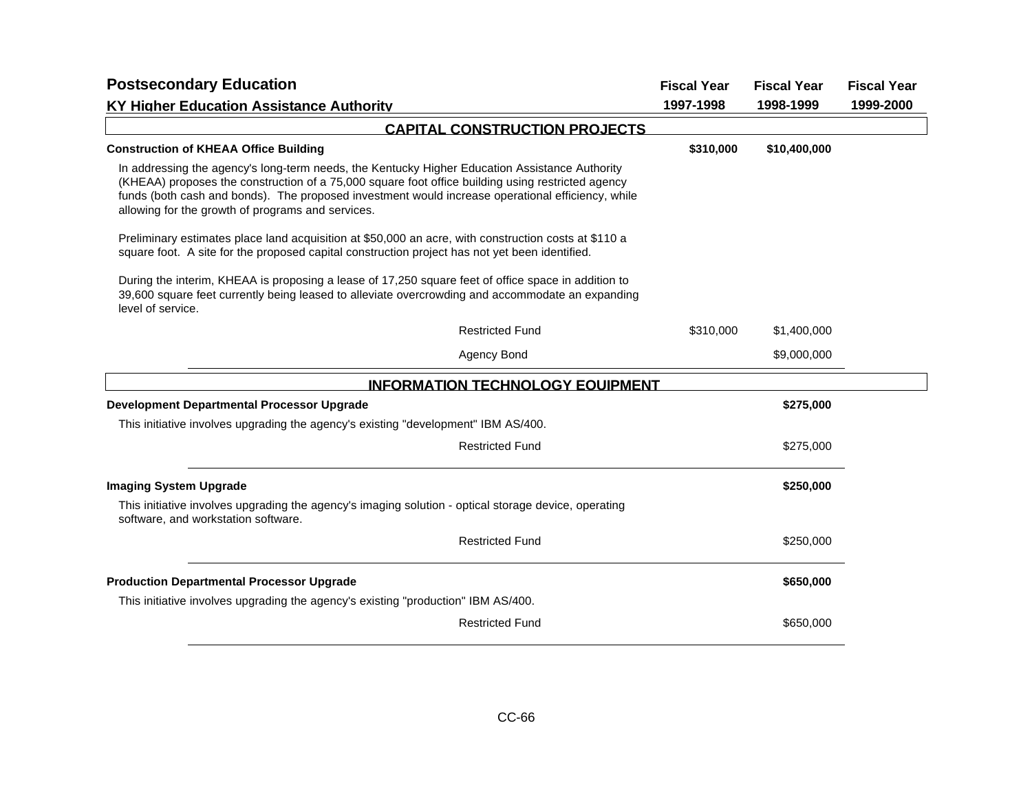| <b>Postsecondary Education</b>                                                                                                                                                                                                                                                                                                                                |                                         | <b>Fiscal Year</b> | <b>Fiscal Year</b> | <b>Fiscal Year</b> |
|---------------------------------------------------------------------------------------------------------------------------------------------------------------------------------------------------------------------------------------------------------------------------------------------------------------------------------------------------------------|-----------------------------------------|--------------------|--------------------|--------------------|
| <b>KY Higher Education Assistance Authority</b>                                                                                                                                                                                                                                                                                                               |                                         | 1997-1998          | 1998-1999          | 1999-2000          |
|                                                                                                                                                                                                                                                                                                                                                               | <b>CAPITAL CONSTRUCTION PROJECTS</b>    |                    |                    |                    |
| <b>Construction of KHEAA Office Building</b>                                                                                                                                                                                                                                                                                                                  |                                         | \$310,000          | \$10,400,000       |                    |
| In addressing the agency's long-term needs, the Kentucky Higher Education Assistance Authority<br>(KHEAA) proposes the construction of a 75,000 square foot office building using restricted agency<br>funds (both cash and bonds). The proposed investment would increase operational efficiency, while<br>allowing for the growth of programs and services. |                                         |                    |                    |                    |
| Preliminary estimates place land acquisition at \$50,000 an acre, with construction costs at \$110 a<br>square foot. A site for the proposed capital construction project has not yet been identified.                                                                                                                                                        |                                         |                    |                    |                    |
| During the interim, KHEAA is proposing a lease of 17,250 square feet of office space in addition to<br>39,600 square feet currently being leased to alleviate overcrowding and accommodate an expanding<br>level of service.                                                                                                                                  |                                         |                    |                    |                    |
|                                                                                                                                                                                                                                                                                                                                                               | <b>Restricted Fund</b>                  | \$310,000          | \$1,400,000        |                    |
|                                                                                                                                                                                                                                                                                                                                                               | Agency Bond                             |                    | \$9,000,000        |                    |
|                                                                                                                                                                                                                                                                                                                                                               | <b>INFORMATION TECHNOLOGY EQUIPMENT</b> |                    |                    |                    |
| Development Departmental Processor Upgrade                                                                                                                                                                                                                                                                                                                    |                                         |                    | \$275,000          |                    |
| This initiative involves upgrading the agency's existing "development" IBM AS/400.                                                                                                                                                                                                                                                                            |                                         |                    |                    |                    |
|                                                                                                                                                                                                                                                                                                                                                               | <b>Restricted Fund</b>                  |                    | \$275,000          |                    |
| <b>Imaging System Upgrade</b>                                                                                                                                                                                                                                                                                                                                 |                                         |                    | \$250,000          |                    |
| This initiative involves upgrading the agency's imaging solution - optical storage device, operating<br>software, and workstation software.                                                                                                                                                                                                                   |                                         |                    |                    |                    |
|                                                                                                                                                                                                                                                                                                                                                               | <b>Restricted Fund</b>                  |                    | \$250,000          |                    |
| <b>Production Departmental Processor Upgrade</b>                                                                                                                                                                                                                                                                                                              |                                         |                    | \$650,000          |                    |
| This initiative involves upgrading the agency's existing "production" IBM AS/400.                                                                                                                                                                                                                                                                             |                                         |                    |                    |                    |
|                                                                                                                                                                                                                                                                                                                                                               | <b>Restricted Fund</b>                  |                    | \$650,000          |                    |
|                                                                                                                                                                                                                                                                                                                                                               |                                         |                    |                    |                    |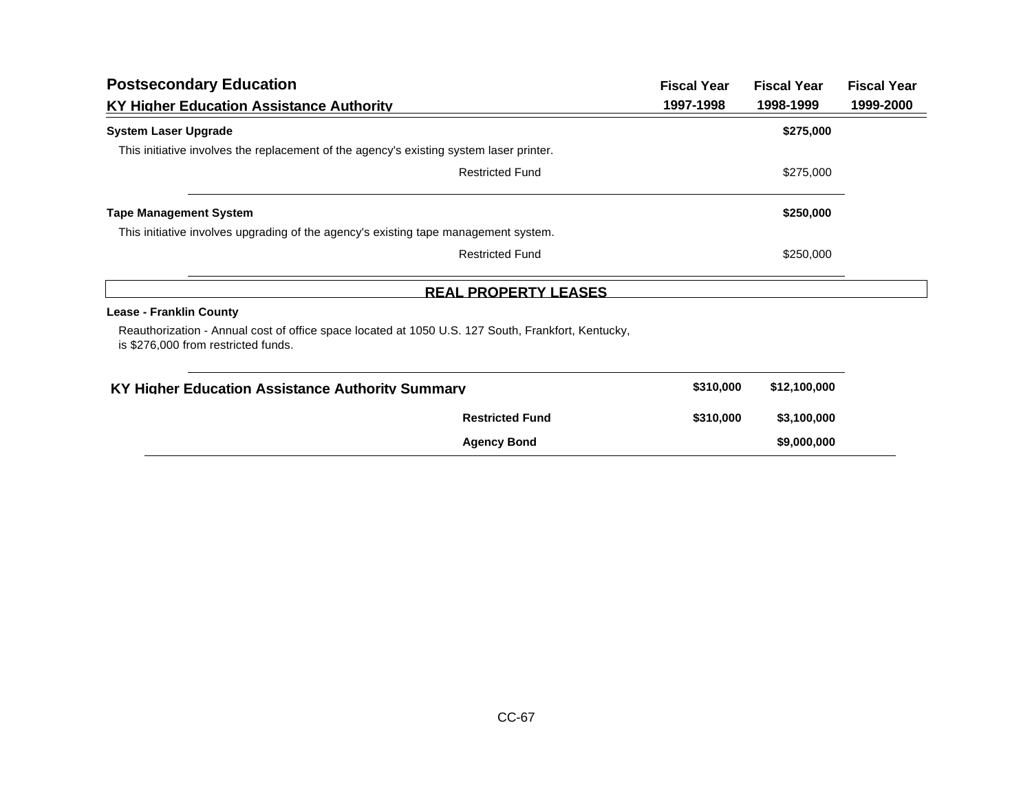| <b>Postsecondary Education</b>                                                                                                            |                             | <b>Fiscal Year</b> | <b>Fiscal Year</b> | <b>Fiscal Year</b> |
|-------------------------------------------------------------------------------------------------------------------------------------------|-----------------------------|--------------------|--------------------|--------------------|
| KY Higher Education Assistance Authority                                                                                                  |                             | 1997-1998          | 1998-1999          | 1999-2000          |
| <b>System Laser Upgrade</b>                                                                                                               |                             |                    | \$275,000          |                    |
| This initiative involves the replacement of the agency's existing system laser printer.                                                   |                             |                    |                    |                    |
|                                                                                                                                           | <b>Restricted Fund</b>      |                    | \$275,000          |                    |
| <b>Tape Management System</b>                                                                                                             |                             |                    | \$250,000          |                    |
| This initiative involves upgrading of the agency's existing tape management system.                                                       |                             |                    |                    |                    |
|                                                                                                                                           | <b>Restricted Fund</b>      |                    | \$250,000          |                    |
|                                                                                                                                           | <b>REAL PROPERTY LEASES</b> |                    |                    |                    |
| <b>Lease - Franklin County</b>                                                                                                            |                             |                    |                    |                    |
| Reauthorization - Annual cost of office space located at 1050 U.S. 127 South, Frankfort, Kentucky,<br>is \$276,000 from restricted funds. |                             |                    |                    |                    |
| KY Higher Education Assistance Authority Summary                                                                                          |                             | \$310,000          | \$12,100,000       |                    |
|                                                                                                                                           | <b>Restricted Fund</b>      | \$310,000          | \$3,100,000        |                    |
|                                                                                                                                           | <b>Agency Bond</b>          |                    | \$9,000,000        |                    |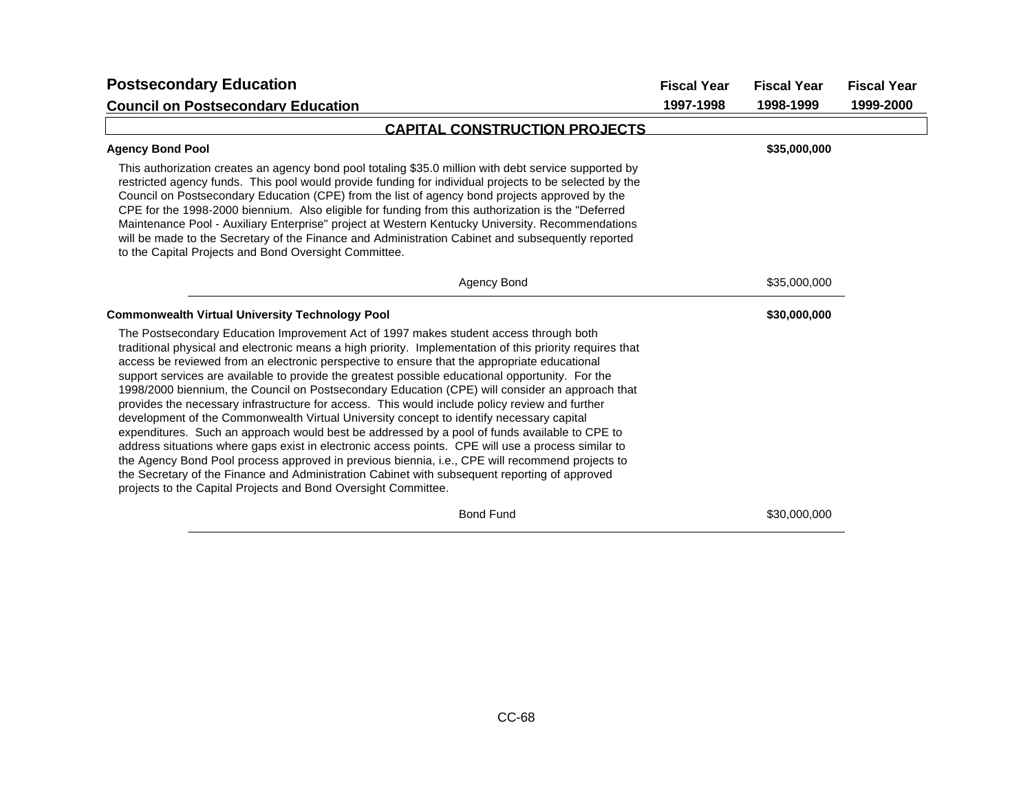| <b>Postsecondary Education</b>                                                                                                                                                                                                                                                                                                                                                                                                                                                                                                                                                                                                                                                                                                                                                                                                                                                                                                                                                                                                                                                                                                                                                      | <b>Fiscal Year</b> | <b>Fiscal Year</b> | <b>Fiscal Year</b> |
|-------------------------------------------------------------------------------------------------------------------------------------------------------------------------------------------------------------------------------------------------------------------------------------------------------------------------------------------------------------------------------------------------------------------------------------------------------------------------------------------------------------------------------------------------------------------------------------------------------------------------------------------------------------------------------------------------------------------------------------------------------------------------------------------------------------------------------------------------------------------------------------------------------------------------------------------------------------------------------------------------------------------------------------------------------------------------------------------------------------------------------------------------------------------------------------|--------------------|--------------------|--------------------|
| <b>Council on Postsecondary Education</b>                                                                                                                                                                                                                                                                                                                                                                                                                                                                                                                                                                                                                                                                                                                                                                                                                                                                                                                                                                                                                                                                                                                                           | 1997-1998          | 1998-1999          | 1999-2000          |
| <b>CAPITAL CONSTRUCTION PROJECTS</b>                                                                                                                                                                                                                                                                                                                                                                                                                                                                                                                                                                                                                                                                                                                                                                                                                                                                                                                                                                                                                                                                                                                                                |                    |                    |                    |
| <b>Agency Bond Pool</b>                                                                                                                                                                                                                                                                                                                                                                                                                                                                                                                                                                                                                                                                                                                                                                                                                                                                                                                                                                                                                                                                                                                                                             |                    | \$35,000,000       |                    |
| This authorization creates an agency bond pool totaling \$35.0 million with debt service supported by<br>restricted agency funds. This pool would provide funding for individual projects to be selected by the<br>Council on Postsecondary Education (CPE) from the list of agency bond projects approved by the<br>CPE for the 1998-2000 biennium. Also eligible for funding from this authorization is the "Deferred<br>Maintenance Pool - Auxiliary Enterprise" project at Western Kentucky University. Recommendations<br>will be made to the Secretary of the Finance and Administration Cabinet and subsequently reported<br>to the Capital Projects and Bond Oversight Committee.                                                                                                                                                                                                                                                                                                                                                                                                                                                                                           |                    |                    |                    |
| Agency Bond                                                                                                                                                                                                                                                                                                                                                                                                                                                                                                                                                                                                                                                                                                                                                                                                                                                                                                                                                                                                                                                                                                                                                                         |                    | \$35,000,000       |                    |
| <b>Commonwealth Virtual University Technology Pool</b>                                                                                                                                                                                                                                                                                                                                                                                                                                                                                                                                                                                                                                                                                                                                                                                                                                                                                                                                                                                                                                                                                                                              |                    | \$30,000,000       |                    |
| The Postsecondary Education Improvement Act of 1997 makes student access through both<br>traditional physical and electronic means a high priority. Implementation of this priority requires that<br>access be reviewed from an electronic perspective to ensure that the appropriate educational<br>support services are available to provide the greatest possible educational opportunity. For the<br>1998/2000 biennium, the Council on Postsecondary Education (CPE) will consider an approach that<br>provides the necessary infrastructure for access. This would include policy review and further<br>development of the Commonwealth Virtual University concept to identify necessary capital<br>expenditures. Such an approach would best be addressed by a pool of funds available to CPE to<br>address situations where gaps exist in electronic access points. CPE will use a process similar to<br>the Agency Bond Pool process approved in previous biennia, i.e., CPE will recommend projects to<br>the Secretary of the Finance and Administration Cabinet with subsequent reporting of approved<br>projects to the Capital Projects and Bond Oversight Committee. |                    |                    |                    |
| <b>Bond Fund</b>                                                                                                                                                                                                                                                                                                                                                                                                                                                                                                                                                                                                                                                                                                                                                                                                                                                                                                                                                                                                                                                                                                                                                                    |                    | \$30,000,000       |                    |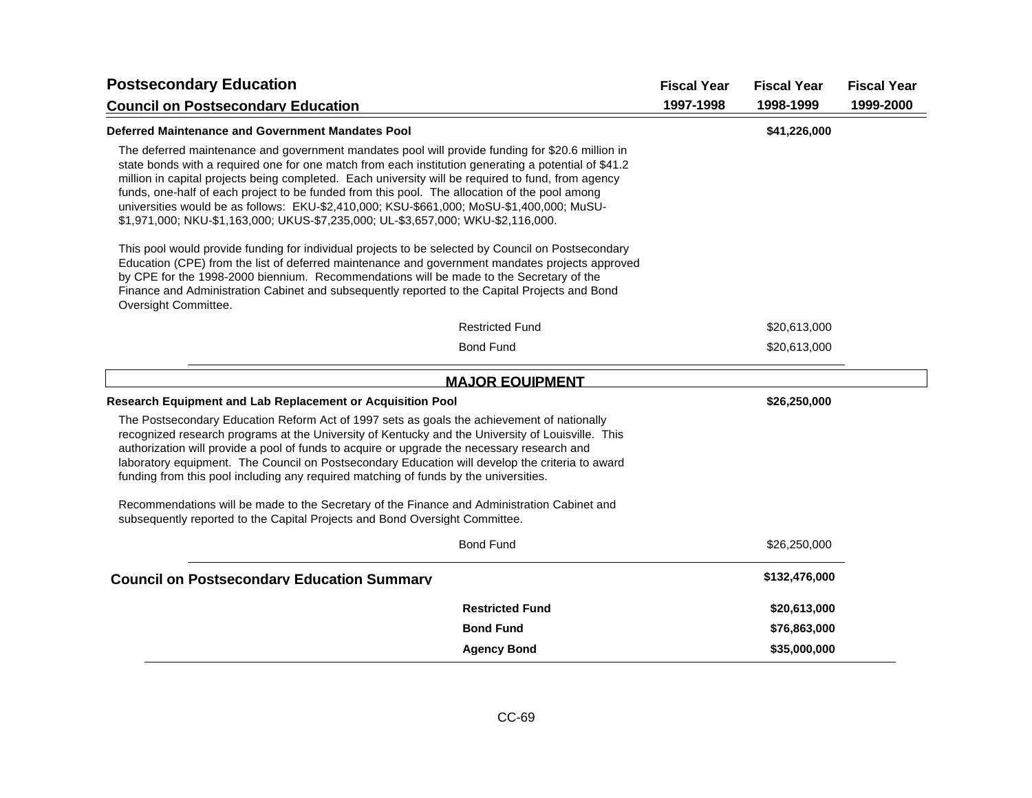| <b>Postsecondary Education</b>                                                                                                                                                                                                                                                                                                                                                                                                                                                                                                                                                                   |                        | <b>Fiscal Year</b> | <b>Fiscal Year</b> | <b>Fiscal Year</b> |
|--------------------------------------------------------------------------------------------------------------------------------------------------------------------------------------------------------------------------------------------------------------------------------------------------------------------------------------------------------------------------------------------------------------------------------------------------------------------------------------------------------------------------------------------------------------------------------------------------|------------------------|--------------------|--------------------|--------------------|
| <b>Council on Postsecondary Education</b>                                                                                                                                                                                                                                                                                                                                                                                                                                                                                                                                                        |                        | 1997-1998          | 1998-1999          | 1999-2000          |
| Deferred Maintenance and Government Mandates Pool                                                                                                                                                                                                                                                                                                                                                                                                                                                                                                                                                |                        |                    | \$41,226,000       |                    |
| The deferred maintenance and government mandates pool will provide funding for \$20.6 million in<br>state bonds with a required one for one match from each institution generating a potential of \$41.2<br>million in capital projects being completed. Each university will be required to fund, from agency<br>funds, one-half of each project to be funded from this pool. The allocation of the pool among<br>universities would be as follows: EKU-\$2,410,000; KSU-\$661,000; MoSU-\$1,400,000; MuSU-<br>\$1,971,000; NKU-\$1,163,000; UKUS-\$7,235,000; UL-\$3,657,000; WKU-\$2,116,000. |                        |                    |                    |                    |
| This pool would provide funding for individual projects to be selected by Council on Postsecondary<br>Education (CPE) from the list of deferred maintenance and government mandates projects approved<br>by CPE for the 1998-2000 biennium. Recommendations will be made to the Secretary of the<br>Finance and Administration Cabinet and subsequently reported to the Capital Projects and Bond<br>Oversight Committee.                                                                                                                                                                        |                        |                    |                    |                    |
|                                                                                                                                                                                                                                                                                                                                                                                                                                                                                                                                                                                                  | <b>Restricted Fund</b> |                    | \$20,613,000       |                    |
|                                                                                                                                                                                                                                                                                                                                                                                                                                                                                                                                                                                                  | <b>Bond Fund</b>       |                    | \$20,613,000       |                    |
| <b>MAJOR EQUIPMENT</b>                                                                                                                                                                                                                                                                                                                                                                                                                                                                                                                                                                           |                        |                    |                    |                    |
| Research Equipment and Lab Replacement or Acquisition Pool                                                                                                                                                                                                                                                                                                                                                                                                                                                                                                                                       |                        |                    | \$26,250,000       |                    |
| The Postsecondary Education Reform Act of 1997 sets as goals the achievement of nationally<br>recognized research programs at the University of Kentucky and the University of Louisville. This<br>authorization will provide a pool of funds to acquire or upgrade the necessary research and<br>laboratory equipment. The Council on Postsecondary Education will develop the criteria to award<br>funding from this pool including any required matching of funds by the universities.                                                                                                        |                        |                    |                    |                    |
| Recommendations will be made to the Secretary of the Finance and Administration Cabinet and<br>subsequently reported to the Capital Projects and Bond Oversight Committee.                                                                                                                                                                                                                                                                                                                                                                                                                       |                        |                    |                    |                    |
|                                                                                                                                                                                                                                                                                                                                                                                                                                                                                                                                                                                                  | <b>Bond Fund</b>       |                    | \$26,250,000       |                    |
| <b>Council on Postsecondary Education Summary</b>                                                                                                                                                                                                                                                                                                                                                                                                                                                                                                                                                |                        |                    | \$132,476,000      |                    |
|                                                                                                                                                                                                                                                                                                                                                                                                                                                                                                                                                                                                  | <b>Restricted Fund</b> |                    | \$20,613,000       |                    |
|                                                                                                                                                                                                                                                                                                                                                                                                                                                                                                                                                                                                  | <b>Bond Fund</b>       |                    | \$76,863,000       |                    |
|                                                                                                                                                                                                                                                                                                                                                                                                                                                                                                                                                                                                  | <b>Agency Bond</b>     |                    | \$35,000,000       |                    |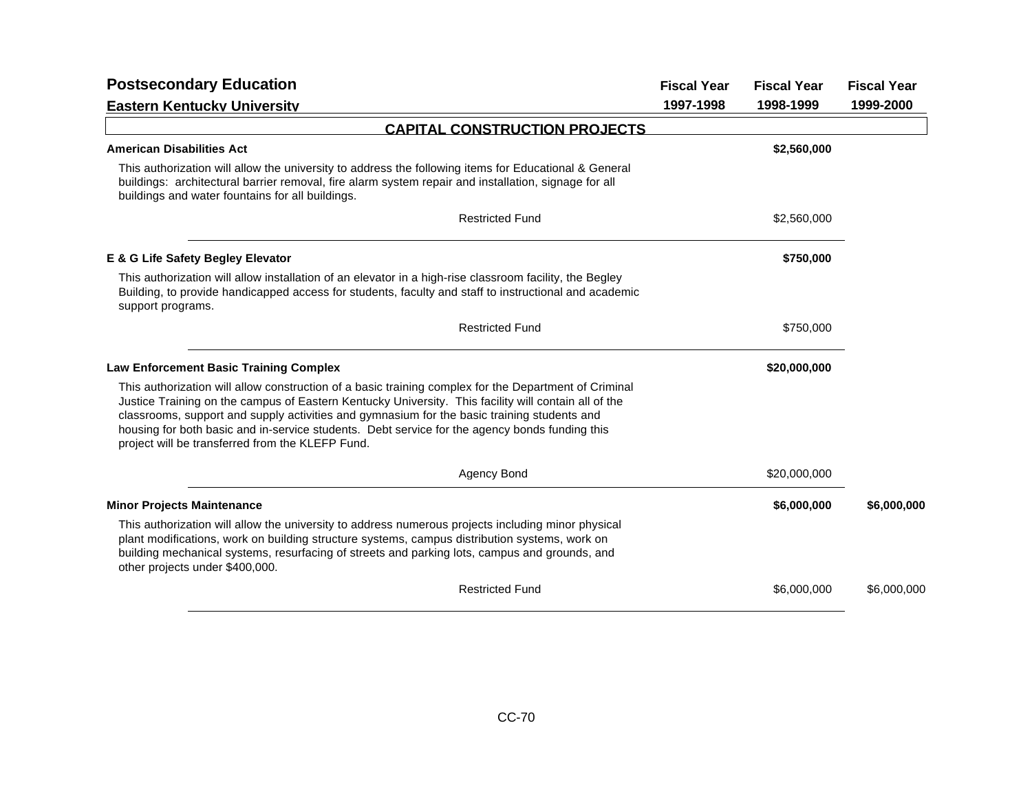| <b>Postsecondary Education</b>                                                                                                                                                                                                                                                                                                                                                                                                                                     | <b>Fiscal Year</b> | <b>Fiscal Year</b> | <b>Fiscal Year</b> |
|--------------------------------------------------------------------------------------------------------------------------------------------------------------------------------------------------------------------------------------------------------------------------------------------------------------------------------------------------------------------------------------------------------------------------------------------------------------------|--------------------|--------------------|--------------------|
| <b>Eastern Kentucky University</b>                                                                                                                                                                                                                                                                                                                                                                                                                                 | 1997-1998          | 1998-1999          | 1999-2000          |
| <b>CAPITAL CONSTRUCTION PROJECTS</b>                                                                                                                                                                                                                                                                                                                                                                                                                               |                    |                    |                    |
| <b>American Disabilities Act</b>                                                                                                                                                                                                                                                                                                                                                                                                                                   |                    | \$2,560,000        |                    |
| This authorization will allow the university to address the following items for Educational & General<br>buildings: architectural barrier removal, fire alarm system repair and installation, signage for all<br>buildings and water fountains for all buildings.                                                                                                                                                                                                  |                    |                    |                    |
| <b>Restricted Fund</b>                                                                                                                                                                                                                                                                                                                                                                                                                                             |                    | \$2,560,000        |                    |
| E & G Life Safety Begley Elevator                                                                                                                                                                                                                                                                                                                                                                                                                                  |                    | \$750,000          |                    |
| This authorization will allow installation of an elevator in a high-rise classroom facility, the Begley<br>Building, to provide handicapped access for students, faculty and staff to instructional and academic<br>support programs.                                                                                                                                                                                                                              |                    |                    |                    |
| <b>Restricted Fund</b>                                                                                                                                                                                                                                                                                                                                                                                                                                             |                    | \$750,000          |                    |
| <b>Law Enforcement Basic Training Complex</b>                                                                                                                                                                                                                                                                                                                                                                                                                      |                    | \$20,000,000       |                    |
| This authorization will allow construction of a basic training complex for the Department of Criminal<br>Justice Training on the campus of Eastern Kentucky University. This facility will contain all of the<br>classrooms, support and supply activities and gymnasium for the basic training students and<br>housing for both basic and in-service students. Debt service for the agency bonds funding this<br>project will be transferred from the KLEFP Fund. |                    |                    |                    |
| Agency Bond                                                                                                                                                                                                                                                                                                                                                                                                                                                        |                    | \$20,000,000       |                    |
| <b>Minor Projects Maintenance</b>                                                                                                                                                                                                                                                                                                                                                                                                                                  |                    | \$6,000,000        | \$6,000,000        |
| This authorization will allow the university to address numerous projects including minor physical<br>plant modifications, work on building structure systems, campus distribution systems, work on<br>building mechanical systems, resurfacing of streets and parking lots, campus and grounds, and<br>other projects under \$400,000.                                                                                                                            |                    |                    |                    |
| <b>Restricted Fund</b>                                                                                                                                                                                                                                                                                                                                                                                                                                             |                    | \$6,000,000        | \$6,000,000        |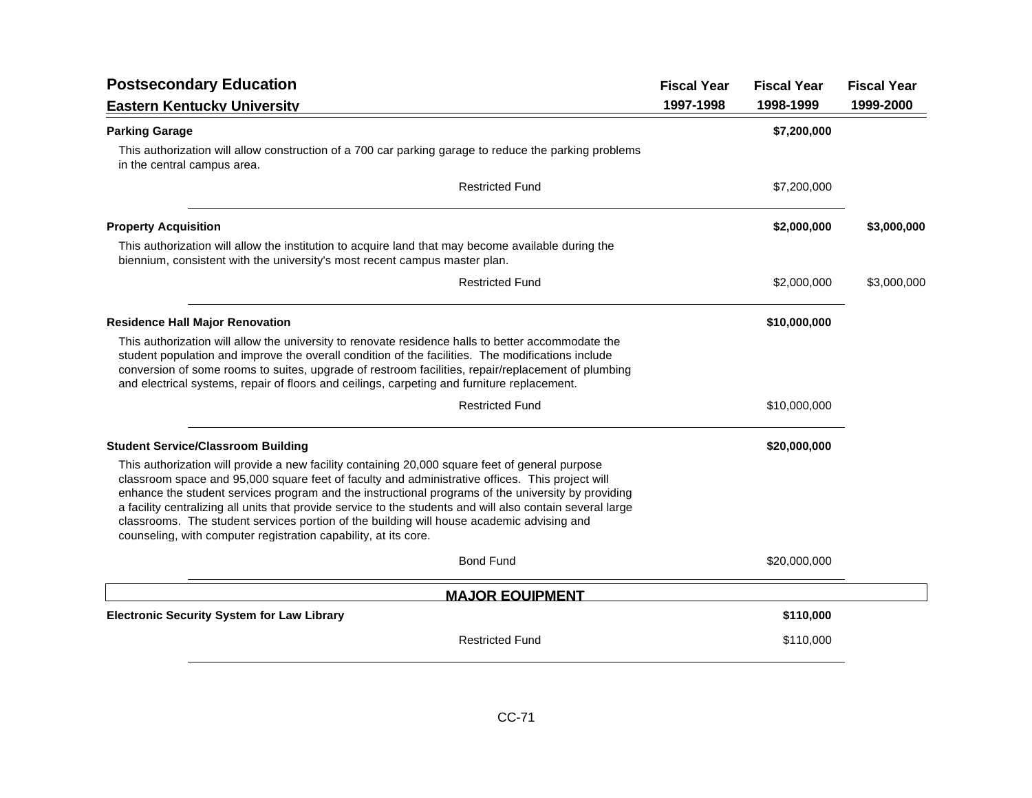| <b>Postsecondary Education</b>                                                                                                                                                                                                                                                                                                                                                                                                                                                                                                                                                         | <b>Fiscal Year</b> | <b>Fiscal Year</b> | <b>Fiscal Year</b> |
|----------------------------------------------------------------------------------------------------------------------------------------------------------------------------------------------------------------------------------------------------------------------------------------------------------------------------------------------------------------------------------------------------------------------------------------------------------------------------------------------------------------------------------------------------------------------------------------|--------------------|--------------------|--------------------|
| <b>Eastern Kentucky University</b>                                                                                                                                                                                                                                                                                                                                                                                                                                                                                                                                                     | 1997-1998          | 1998-1999          | 1999-2000          |
| <b>Parking Garage</b>                                                                                                                                                                                                                                                                                                                                                                                                                                                                                                                                                                  |                    | \$7,200,000        |                    |
| This authorization will allow construction of a 700 car parking garage to reduce the parking problems<br>in the central campus area.                                                                                                                                                                                                                                                                                                                                                                                                                                                   |                    |                    |                    |
| <b>Restricted Fund</b>                                                                                                                                                                                                                                                                                                                                                                                                                                                                                                                                                                 |                    | \$7,200,000        |                    |
| <b>Property Acquisition</b>                                                                                                                                                                                                                                                                                                                                                                                                                                                                                                                                                            |                    | \$2,000,000        | \$3,000,000        |
| This authorization will allow the institution to acquire land that may become available during the<br>biennium, consistent with the university's most recent campus master plan.                                                                                                                                                                                                                                                                                                                                                                                                       |                    |                    |                    |
| <b>Restricted Fund</b>                                                                                                                                                                                                                                                                                                                                                                                                                                                                                                                                                                 |                    | \$2,000,000        | \$3,000,000        |
| <b>Residence Hall Major Renovation</b>                                                                                                                                                                                                                                                                                                                                                                                                                                                                                                                                                 |                    | \$10,000,000       |                    |
| This authorization will allow the university to renovate residence halls to better accommodate the<br>student population and improve the overall condition of the facilities. The modifications include<br>conversion of some rooms to suites, upgrade of restroom facilities, repair/replacement of plumbing<br>and electrical systems, repair of floors and ceilings, carpeting and furniture replacement.                                                                                                                                                                           |                    |                    |                    |
| <b>Restricted Fund</b>                                                                                                                                                                                                                                                                                                                                                                                                                                                                                                                                                                 |                    | \$10,000,000       |                    |
| <b>Student Service/Classroom Building</b>                                                                                                                                                                                                                                                                                                                                                                                                                                                                                                                                              |                    | \$20,000,000       |                    |
| This authorization will provide a new facility containing 20,000 square feet of general purpose<br>classroom space and 95,000 square feet of faculty and administrative offices. This project will<br>enhance the student services program and the instructional programs of the university by providing<br>a facility centralizing all units that provide service to the students and will also contain several large<br>classrooms. The student services portion of the building will house academic advising and<br>counseling, with computer registration capability, at its core. |                    |                    |                    |
| <b>Bond Fund</b>                                                                                                                                                                                                                                                                                                                                                                                                                                                                                                                                                                       |                    | \$20,000,000       |                    |
| <b>MAJOR EQUIPMENT</b>                                                                                                                                                                                                                                                                                                                                                                                                                                                                                                                                                                 |                    |                    |                    |
| <b>Electronic Security System for Law Library</b>                                                                                                                                                                                                                                                                                                                                                                                                                                                                                                                                      |                    | \$110,000          |                    |
| <b>Restricted Fund</b>                                                                                                                                                                                                                                                                                                                                                                                                                                                                                                                                                                 |                    | \$110,000          |                    |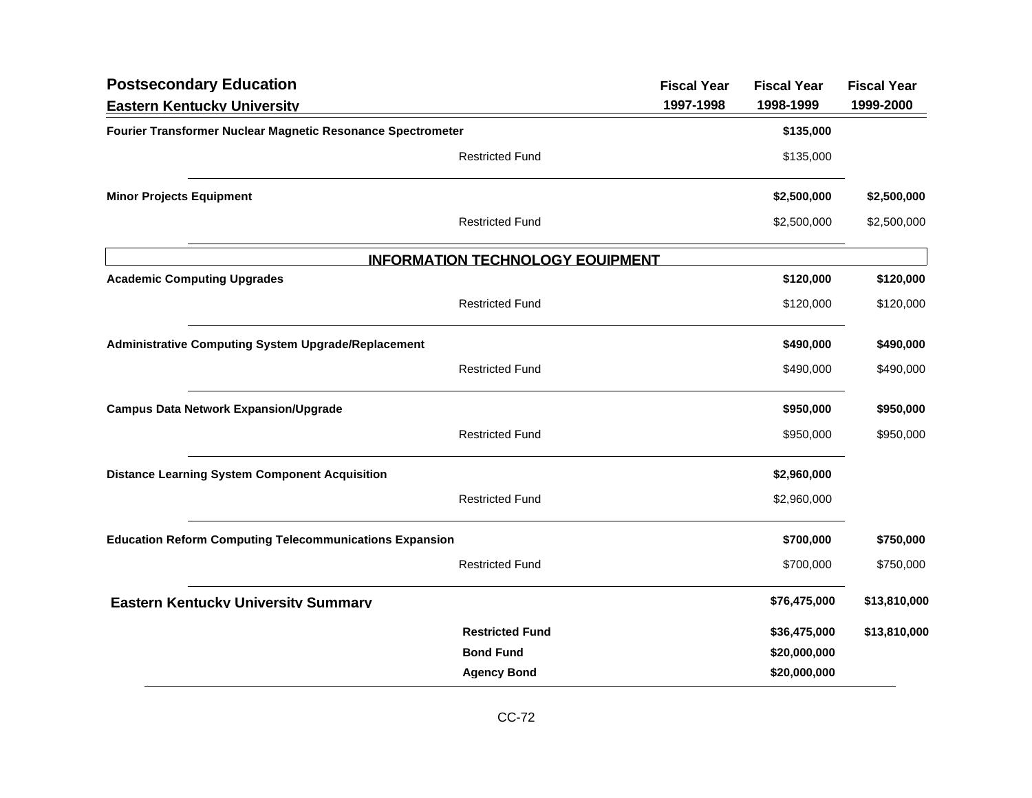| <b>Postsecondary Education</b>                                 |                                         | <b>Fiscal Year</b> | <b>Fiscal Year</b> | <b>Fiscal Year</b> |
|----------------------------------------------------------------|-----------------------------------------|--------------------|--------------------|--------------------|
| <b>Eastern Kentucky University</b>                             |                                         | 1997-1998          | 1998-1999          | 1999-2000          |
| Fourier Transformer Nuclear Magnetic Resonance Spectrometer    |                                         |                    | \$135,000          |                    |
|                                                                | <b>Restricted Fund</b>                  |                    | \$135,000          |                    |
| <b>Minor Projects Equipment</b>                                |                                         |                    | \$2,500,000        | \$2,500,000        |
|                                                                | <b>Restricted Fund</b>                  |                    | \$2,500,000        | \$2,500,000        |
|                                                                | <b>INFORMATION TECHNOLOGY EQUIPMENT</b> |                    |                    |                    |
| <b>Academic Computing Upgrades</b>                             |                                         |                    | \$120,000          | \$120,000          |
|                                                                | <b>Restricted Fund</b>                  |                    | \$120,000          | \$120,000          |
| <b>Administrative Computing System Upgrade/Replacement</b>     |                                         |                    | \$490,000          | \$490,000          |
|                                                                | <b>Restricted Fund</b>                  |                    | \$490,000          | \$490,000          |
| <b>Campus Data Network Expansion/Upgrade</b>                   |                                         |                    | \$950,000          | \$950,000          |
|                                                                | <b>Restricted Fund</b>                  |                    | \$950,000          | \$950,000          |
| <b>Distance Learning System Component Acquisition</b>          |                                         |                    | \$2,960,000        |                    |
|                                                                | <b>Restricted Fund</b>                  |                    | \$2,960,000        |                    |
| <b>Education Reform Computing Telecommunications Expansion</b> |                                         |                    | \$700,000          | \$750,000          |
|                                                                | <b>Restricted Fund</b>                  |                    | \$700,000          | \$750,000          |
| <b>Eastern Kentucky University Summary</b>                     |                                         |                    | \$76,475,000       | \$13,810,000       |
|                                                                | <b>Restricted Fund</b>                  |                    | \$36,475,000       | \$13,810,000       |
|                                                                | <b>Bond Fund</b>                        |                    | \$20,000,000       |                    |
|                                                                | <b>Agency Bond</b>                      |                    | \$20,000,000       |                    |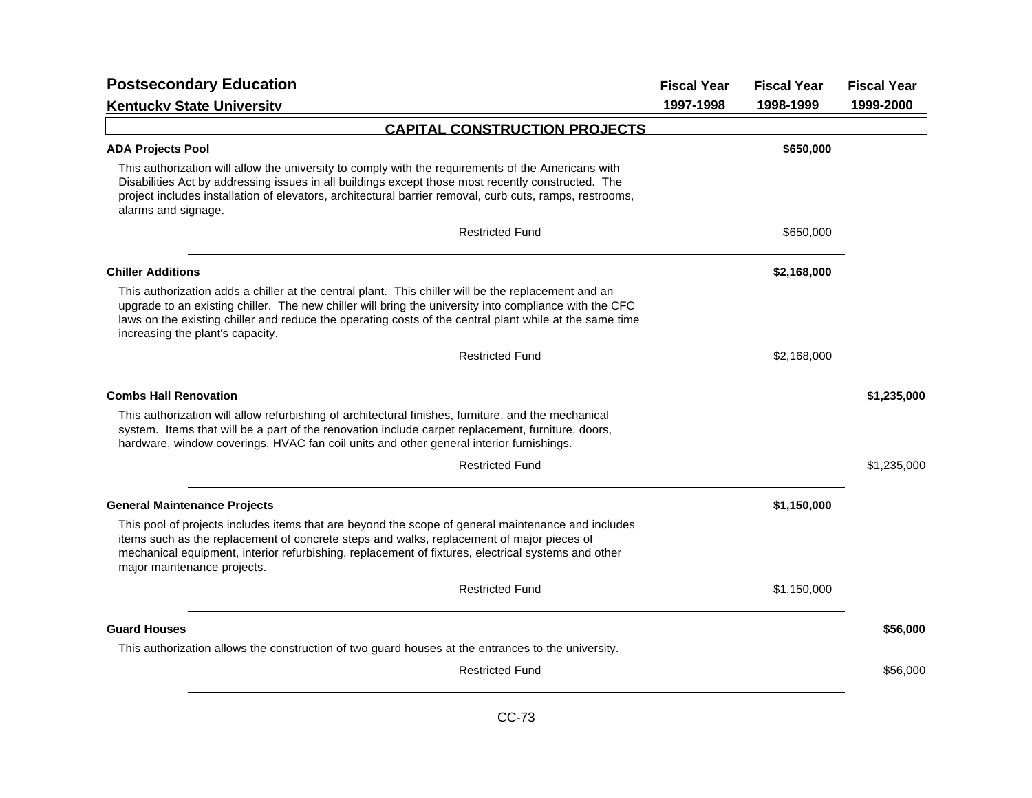| <b>Postsecondary Education</b>                                                                                                                                                                                                                                                                                                                               | <b>Fiscal Year</b> | <b>Fiscal Year</b> | <b>Fiscal Year</b> |
|--------------------------------------------------------------------------------------------------------------------------------------------------------------------------------------------------------------------------------------------------------------------------------------------------------------------------------------------------------------|--------------------|--------------------|--------------------|
| <b>Kentucky State University</b>                                                                                                                                                                                                                                                                                                                             | 1997-1998          | 1998-1999          | 1999-2000          |
| <b>CAPITAL CONSTRUCTION PROJECTS</b>                                                                                                                                                                                                                                                                                                                         |                    |                    |                    |
| <b>ADA Projects Pool</b>                                                                                                                                                                                                                                                                                                                                     |                    | \$650,000          |                    |
| This authorization will allow the university to comply with the requirements of the Americans with<br>Disabilities Act by addressing issues in all buildings except those most recently constructed. The<br>project includes installation of elevators, architectural barrier removal, curb cuts, ramps, restrooms,<br>alarms and signage.                   |                    |                    |                    |
| <b>Restricted Fund</b>                                                                                                                                                                                                                                                                                                                                       |                    | \$650,000          |                    |
| <b>Chiller Additions</b>                                                                                                                                                                                                                                                                                                                                     |                    | \$2,168,000        |                    |
| This authorization adds a chiller at the central plant. This chiller will be the replacement and an<br>upgrade to an existing chiller. The new chiller will bring the university into compliance with the CFC<br>laws on the existing chiller and reduce the operating costs of the central plant while at the same time<br>increasing the plant's capacity. |                    |                    |                    |
| <b>Restricted Fund</b>                                                                                                                                                                                                                                                                                                                                       |                    | \$2,168,000        |                    |
| <b>Combs Hall Renovation</b>                                                                                                                                                                                                                                                                                                                                 |                    |                    | \$1,235,000        |
| This authorization will allow refurbishing of architectural finishes, furniture, and the mechanical<br>system. Items that will be a part of the renovation include carpet replacement, furniture, doors,<br>hardware, window coverings, HVAC fan coil units and other general interior furnishings.                                                          |                    |                    |                    |
| <b>Restricted Fund</b>                                                                                                                                                                                                                                                                                                                                       |                    |                    | \$1,235,000        |
| <b>General Maintenance Projects</b>                                                                                                                                                                                                                                                                                                                          |                    | \$1,150,000        |                    |
| This pool of projects includes items that are beyond the scope of general maintenance and includes<br>items such as the replacement of concrete steps and walks, replacement of major pieces of<br>mechanical equipment, interior refurbishing, replacement of fixtures, electrical systems and other<br>major maintenance projects.                         |                    |                    |                    |
| <b>Restricted Fund</b>                                                                                                                                                                                                                                                                                                                                       |                    | \$1,150,000        |                    |
| <b>Guard Houses</b>                                                                                                                                                                                                                                                                                                                                          |                    |                    | \$56,000           |
| This authorization allows the construction of two guard houses at the entrances to the university.                                                                                                                                                                                                                                                           |                    |                    |                    |
| <b>Restricted Fund</b>                                                                                                                                                                                                                                                                                                                                       |                    |                    | \$56,000           |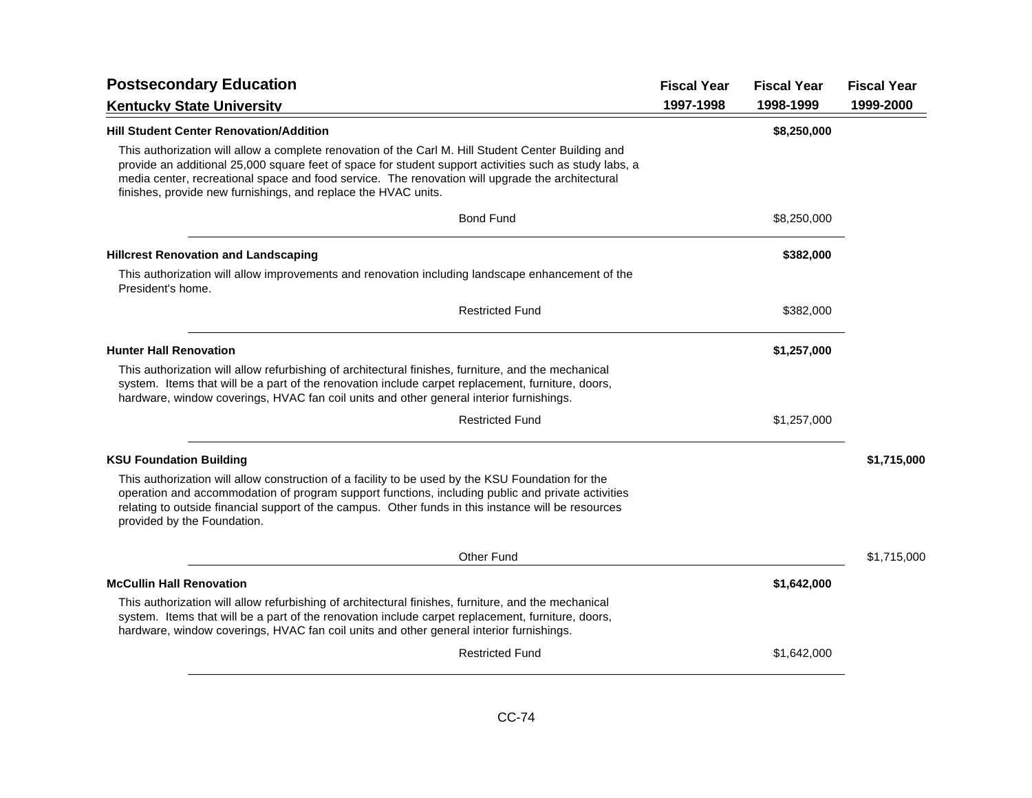|                                                                                                                                                                                                                                                                                                                                                                                     | <b>Fiscal Year</b> | <b>Fiscal Year</b> | <b>Fiscal Year</b> |
|-------------------------------------------------------------------------------------------------------------------------------------------------------------------------------------------------------------------------------------------------------------------------------------------------------------------------------------------------------------------------------------|--------------------|--------------------|--------------------|
| <b>Kentucky State University</b>                                                                                                                                                                                                                                                                                                                                                    | 1997-1998          | 1998-1999          | 1999-2000          |
| <b>Hill Student Center Renovation/Addition</b>                                                                                                                                                                                                                                                                                                                                      |                    | \$8,250,000        |                    |
| This authorization will allow a complete renovation of the Carl M. Hill Student Center Building and<br>provide an additional 25,000 square feet of space for student support activities such as study labs, a<br>media center, recreational space and food service. The renovation will upgrade the architectural<br>finishes, provide new furnishings, and replace the HVAC units. |                    |                    |                    |
| <b>Bond Fund</b>                                                                                                                                                                                                                                                                                                                                                                    |                    | \$8,250,000        |                    |
| <b>Hillcrest Renovation and Landscaping</b>                                                                                                                                                                                                                                                                                                                                         |                    | \$382,000          |                    |
| This authorization will allow improvements and renovation including landscape enhancement of the<br>President's home.                                                                                                                                                                                                                                                               |                    |                    |                    |
| <b>Restricted Fund</b>                                                                                                                                                                                                                                                                                                                                                              |                    | \$382,000          |                    |
| <b>Hunter Hall Renovation</b>                                                                                                                                                                                                                                                                                                                                                       |                    | \$1,257,000        |                    |
| This authorization will allow refurbishing of architectural finishes, furniture, and the mechanical<br>system. Items that will be a part of the renovation include carpet replacement, furniture, doors,<br>hardware, window coverings, HVAC fan coil units and other general interior furnishings.                                                                                 |                    |                    |                    |
| <b>Restricted Fund</b>                                                                                                                                                                                                                                                                                                                                                              |                    | \$1,257,000        |                    |
| <b>KSU Foundation Building</b>                                                                                                                                                                                                                                                                                                                                                      |                    |                    | \$1,715,000        |
| This authorization will allow construction of a facility to be used by the KSU Foundation for the<br>operation and accommodation of program support functions, including public and private activities<br>relating to outside financial support of the campus. Other funds in this instance will be resources<br>provided by the Foundation.                                        |                    |                    |                    |
| Other Fund                                                                                                                                                                                                                                                                                                                                                                          |                    |                    | \$1,715,000        |
| <b>McCullin Hall Renovation</b>                                                                                                                                                                                                                                                                                                                                                     |                    | \$1,642,000        |                    |
| This authorization will allow refurbishing of architectural finishes, furniture, and the mechanical<br>system. Items that will be a part of the renovation include carpet replacement, furniture, doors,<br>hardware, window coverings, HVAC fan coil units and other general interior furnishings.                                                                                 |                    |                    |                    |
| <b>Restricted Fund</b>                                                                                                                                                                                                                                                                                                                                                              |                    | \$1,642,000        |                    |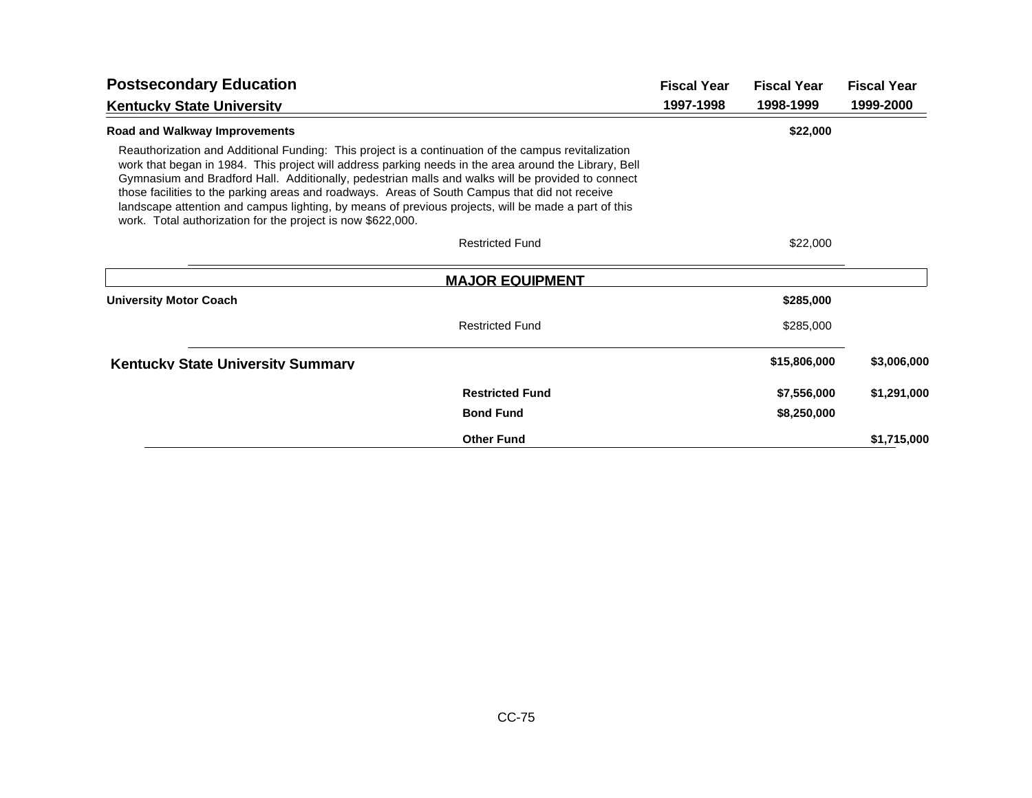| <b>Postsecondary Education</b>                                                                                                                                                                                                                                                                                                                                                                                                                                                                                                                                                            |                        | <b>Fiscal Year</b> | <b>Fiscal Year</b> | <b>Fiscal Year</b> |
|-------------------------------------------------------------------------------------------------------------------------------------------------------------------------------------------------------------------------------------------------------------------------------------------------------------------------------------------------------------------------------------------------------------------------------------------------------------------------------------------------------------------------------------------------------------------------------------------|------------------------|--------------------|--------------------|--------------------|
| <b>Kentucky State University</b>                                                                                                                                                                                                                                                                                                                                                                                                                                                                                                                                                          |                        | 1997-1998          | 1998-1999          | 1999-2000          |
| Road and Walkway Improvements                                                                                                                                                                                                                                                                                                                                                                                                                                                                                                                                                             |                        |                    | \$22,000           |                    |
| Reauthorization and Additional Funding: This project is a continuation of the campus revitalization<br>work that began in 1984. This project will address parking needs in the area around the Library, Bell<br>Gymnasium and Bradford Hall. Additionally, pedestrian malls and walks will be provided to connect<br>those facilities to the parking areas and roadways. Areas of South Campus that did not receive<br>landscape attention and campus lighting, by means of previous projects, will be made a part of this<br>work. Total authorization for the project is now \$622,000. |                        |                    |                    |                    |
|                                                                                                                                                                                                                                                                                                                                                                                                                                                                                                                                                                                           | <b>Restricted Fund</b> |                    | \$22,000           |                    |
|                                                                                                                                                                                                                                                                                                                                                                                                                                                                                                                                                                                           | <b>MAJOR EQUIPMENT</b> |                    |                    |                    |
| <b>University Motor Coach</b>                                                                                                                                                                                                                                                                                                                                                                                                                                                                                                                                                             |                        |                    | \$285,000          |                    |
|                                                                                                                                                                                                                                                                                                                                                                                                                                                                                                                                                                                           | <b>Restricted Fund</b> |                    | \$285,000          |                    |
| <b>Kentucky State University Summary</b>                                                                                                                                                                                                                                                                                                                                                                                                                                                                                                                                                  |                        |                    | \$15,806,000       | \$3,006,000        |
|                                                                                                                                                                                                                                                                                                                                                                                                                                                                                                                                                                                           | <b>Restricted Fund</b> |                    | \$7,556,000        | \$1,291,000        |
|                                                                                                                                                                                                                                                                                                                                                                                                                                                                                                                                                                                           | <b>Bond Fund</b>       |                    | \$8,250,000        |                    |
|                                                                                                                                                                                                                                                                                                                                                                                                                                                                                                                                                                                           | <b>Other Fund</b>      |                    |                    | \$1,715,000        |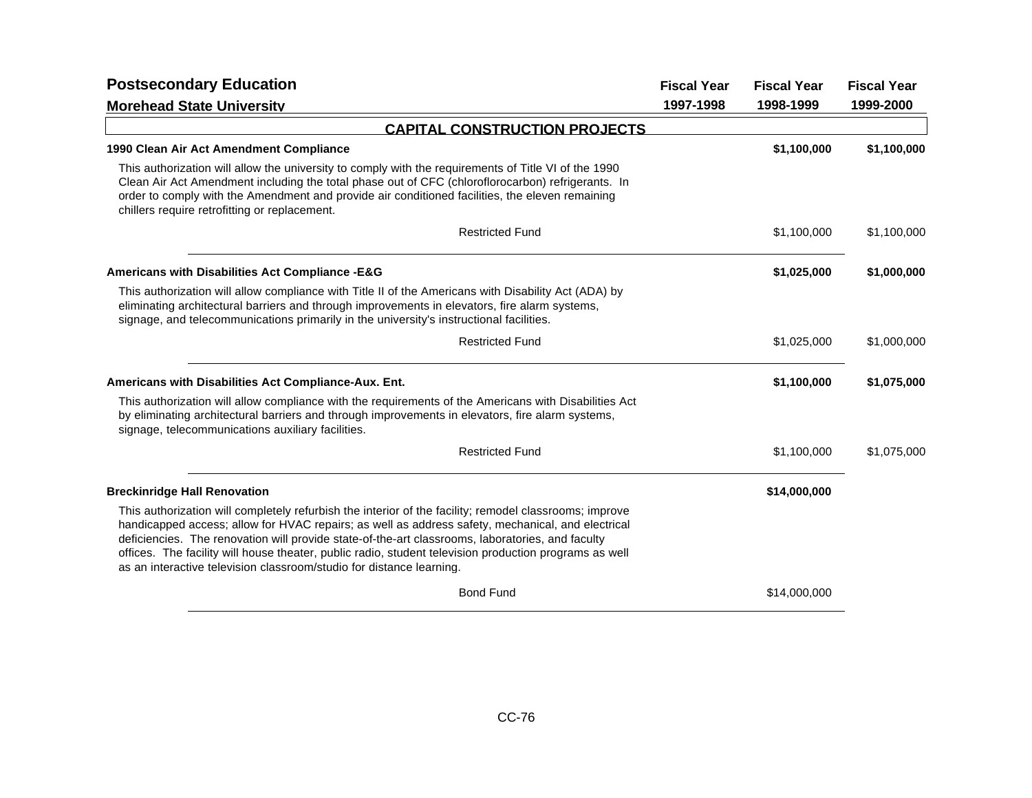| <b>Postsecondary Education</b>                                                                                                                                                                                                                                                                                                                                                                                                                                                                    |           | <b>Fiscal Year</b> | <b>Fiscal Year</b> |
|---------------------------------------------------------------------------------------------------------------------------------------------------------------------------------------------------------------------------------------------------------------------------------------------------------------------------------------------------------------------------------------------------------------------------------------------------------------------------------------------------|-----------|--------------------|--------------------|
| <b>Morehead State University</b>                                                                                                                                                                                                                                                                                                                                                                                                                                                                  | 1997-1998 | 1998-1999          | 1999-2000          |
| <b>CAPITAL CONSTRUCTION PROJECTS</b>                                                                                                                                                                                                                                                                                                                                                                                                                                                              |           |                    |                    |
| 1990 Clean Air Act Amendment Compliance                                                                                                                                                                                                                                                                                                                                                                                                                                                           |           | \$1,100,000        | \$1,100,000        |
| This authorization will allow the university to comply with the requirements of Title VI of the 1990<br>Clean Air Act Amendment including the total phase out of CFC (chloroflorocarbon) refrigerants. In<br>order to comply with the Amendment and provide air conditioned facilities, the eleven remaining<br>chillers require retrofitting or replacement.                                                                                                                                     |           |                    |                    |
| <b>Restricted Fund</b>                                                                                                                                                                                                                                                                                                                                                                                                                                                                            |           | \$1,100,000        | \$1,100,000        |
| Americans with Disabilities Act Compliance - E&G                                                                                                                                                                                                                                                                                                                                                                                                                                                  |           | \$1,025,000        | \$1,000,000        |
| This authorization will allow compliance with Title II of the Americans with Disability Act (ADA) by<br>eliminating architectural barriers and through improvements in elevators, fire alarm systems,<br>signage, and telecommunications primarily in the university's instructional facilities.                                                                                                                                                                                                  |           |                    |                    |
| <b>Restricted Fund</b>                                                                                                                                                                                                                                                                                                                                                                                                                                                                            |           | \$1,025,000        | \$1,000,000        |
| Americans with Disabilities Act Compliance-Aux. Ent.                                                                                                                                                                                                                                                                                                                                                                                                                                              |           | \$1,100,000        | \$1,075,000        |
| This authorization will allow compliance with the requirements of the Americans with Disabilities Act<br>by eliminating architectural barriers and through improvements in elevators, fire alarm systems,<br>signage, telecommunications auxiliary facilities.                                                                                                                                                                                                                                    |           |                    |                    |
| <b>Restricted Fund</b>                                                                                                                                                                                                                                                                                                                                                                                                                                                                            |           | \$1,100,000        | \$1,075,000        |
| <b>Breckinridge Hall Renovation</b>                                                                                                                                                                                                                                                                                                                                                                                                                                                               |           | \$14,000,000       |                    |
| This authorization will completely refurbish the interior of the facility; remodel classrooms; improve<br>handicapped access; allow for HVAC repairs; as well as address safety, mechanical, and electrical<br>deficiencies. The renovation will provide state-of-the-art classrooms, laboratories, and faculty<br>offices. The facility will house theater, public radio, student television production programs as well<br>as an interactive television classroom/studio for distance learning. |           |                    |                    |
| <b>Bond Fund</b>                                                                                                                                                                                                                                                                                                                                                                                                                                                                                  |           | \$14,000,000       |                    |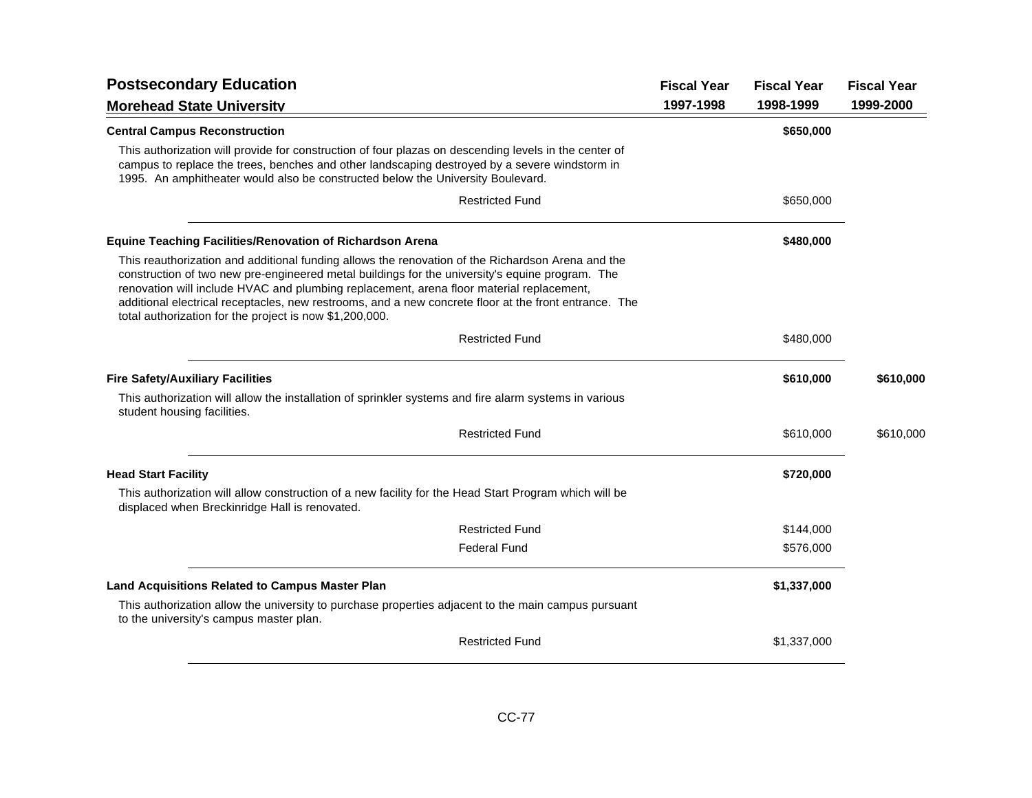| <b>Postsecondary Education</b>                                                                                                                                                                                                                                                                                                                                                                                                                                       | <b>Fiscal Year</b> | <b>Fiscal Year</b> | <b>Fiscal Year</b> |
|----------------------------------------------------------------------------------------------------------------------------------------------------------------------------------------------------------------------------------------------------------------------------------------------------------------------------------------------------------------------------------------------------------------------------------------------------------------------|--------------------|--------------------|--------------------|
| <b>Morehead State University</b>                                                                                                                                                                                                                                                                                                                                                                                                                                     | 1997-1998          | 1998-1999          | 1999-2000          |
| <b>Central Campus Reconstruction</b>                                                                                                                                                                                                                                                                                                                                                                                                                                 |                    | \$650,000          |                    |
| This authorization will provide for construction of four plazas on descending levels in the center of<br>campus to replace the trees, benches and other landscaping destroyed by a severe windstorm in<br>1995. An amphitheater would also be constructed below the University Boulevard.                                                                                                                                                                            |                    |                    |                    |
| <b>Restricted Fund</b>                                                                                                                                                                                                                                                                                                                                                                                                                                               |                    | \$650,000          |                    |
| <b>Equine Teaching Facilities/Renovation of Richardson Arena</b>                                                                                                                                                                                                                                                                                                                                                                                                     |                    | \$480,000          |                    |
| This reauthorization and additional funding allows the renovation of the Richardson Arena and the<br>construction of two new pre-engineered metal buildings for the university's equine program. The<br>renovation will include HVAC and plumbing replacement, arena floor material replacement,<br>additional electrical receptacles, new restrooms, and a new concrete floor at the front entrance. The<br>total authorization for the project is now \$1,200,000. |                    |                    |                    |
| <b>Restricted Fund</b>                                                                                                                                                                                                                                                                                                                                                                                                                                               |                    | \$480,000          |                    |
| <b>Fire Safety/Auxiliary Facilities</b>                                                                                                                                                                                                                                                                                                                                                                                                                              |                    | \$610,000          | \$610,000          |
| This authorization will allow the installation of sprinkler systems and fire alarm systems in various<br>student housing facilities.                                                                                                                                                                                                                                                                                                                                 |                    |                    |                    |
| <b>Restricted Fund</b>                                                                                                                                                                                                                                                                                                                                                                                                                                               |                    | \$610,000          | \$610,000          |
| <b>Head Start Facility</b>                                                                                                                                                                                                                                                                                                                                                                                                                                           |                    | \$720,000          |                    |
| This authorization will allow construction of a new facility for the Head Start Program which will be<br>displaced when Breckinridge Hall is renovated.                                                                                                                                                                                                                                                                                                              |                    |                    |                    |
| <b>Restricted Fund</b>                                                                                                                                                                                                                                                                                                                                                                                                                                               |                    | \$144,000          |                    |
| <b>Federal Fund</b>                                                                                                                                                                                                                                                                                                                                                                                                                                                  |                    | \$576,000          |                    |
| <b>Land Acquisitions Related to Campus Master Plan</b>                                                                                                                                                                                                                                                                                                                                                                                                               |                    | \$1,337,000        |                    |
| This authorization allow the university to purchase properties adjacent to the main campus pursuant<br>to the university's campus master plan.                                                                                                                                                                                                                                                                                                                       |                    |                    |                    |
| <b>Restricted Fund</b>                                                                                                                                                                                                                                                                                                                                                                                                                                               |                    | \$1,337,000        |                    |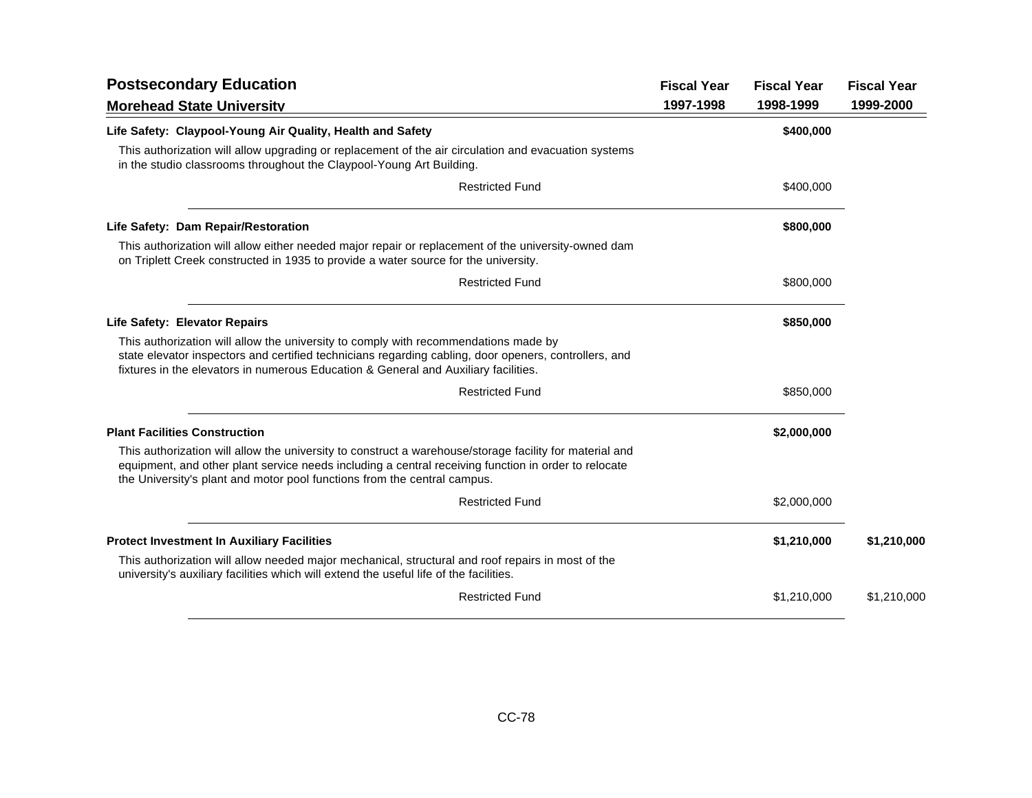| <b>Postsecondary Education</b>                                                                                                                                                                                                                                                              | <b>Fiscal Year</b> | <b>Fiscal Year</b> | <b>Fiscal Year</b> |
|---------------------------------------------------------------------------------------------------------------------------------------------------------------------------------------------------------------------------------------------------------------------------------------------|--------------------|--------------------|--------------------|
| <b>Morehead State University</b>                                                                                                                                                                                                                                                            | 1997-1998          | 1998-1999          | 1999-2000          |
| Life Safety: Claypool-Young Air Quality, Health and Safety                                                                                                                                                                                                                                  |                    | \$400,000          |                    |
| This authorization will allow upgrading or replacement of the air circulation and evacuation systems<br>in the studio classrooms throughout the Claypool-Young Art Building.                                                                                                                |                    |                    |                    |
| <b>Restricted Fund</b>                                                                                                                                                                                                                                                                      |                    | \$400,000          |                    |
| Life Safety: Dam Repair/Restoration                                                                                                                                                                                                                                                         |                    | \$800,000          |                    |
| This authorization will allow either needed major repair or replacement of the university-owned dam<br>on Triplett Creek constructed in 1935 to provide a water source for the university.                                                                                                  |                    |                    |                    |
| <b>Restricted Fund</b>                                                                                                                                                                                                                                                                      |                    | \$800,000          |                    |
| Life Safety: Elevator Repairs                                                                                                                                                                                                                                                               |                    | \$850,000          |                    |
| This authorization will allow the university to comply with recommendations made by<br>state elevator inspectors and certified technicians regarding cabling, door openers, controllers, and<br>fixtures in the elevators in numerous Education & General and Auxiliary facilities.         |                    |                    |                    |
| <b>Restricted Fund</b>                                                                                                                                                                                                                                                                      |                    | \$850,000          |                    |
| <b>Plant Facilities Construction</b>                                                                                                                                                                                                                                                        |                    | \$2,000,000        |                    |
| This authorization will allow the university to construct a warehouse/storage facility for material and<br>equipment, and other plant service needs including a central receiving function in order to relocate<br>the University's plant and motor pool functions from the central campus. |                    |                    |                    |
| <b>Restricted Fund</b>                                                                                                                                                                                                                                                                      |                    | \$2,000,000        |                    |
| <b>Protect Investment In Auxiliary Facilities</b>                                                                                                                                                                                                                                           |                    | \$1,210,000        | \$1,210,000        |
| This authorization will allow needed major mechanical, structural and roof repairs in most of the<br>university's auxiliary facilities which will extend the useful life of the facilities.                                                                                                 |                    |                    |                    |
| <b>Restricted Fund</b>                                                                                                                                                                                                                                                                      |                    | \$1,210,000        | \$1,210,000        |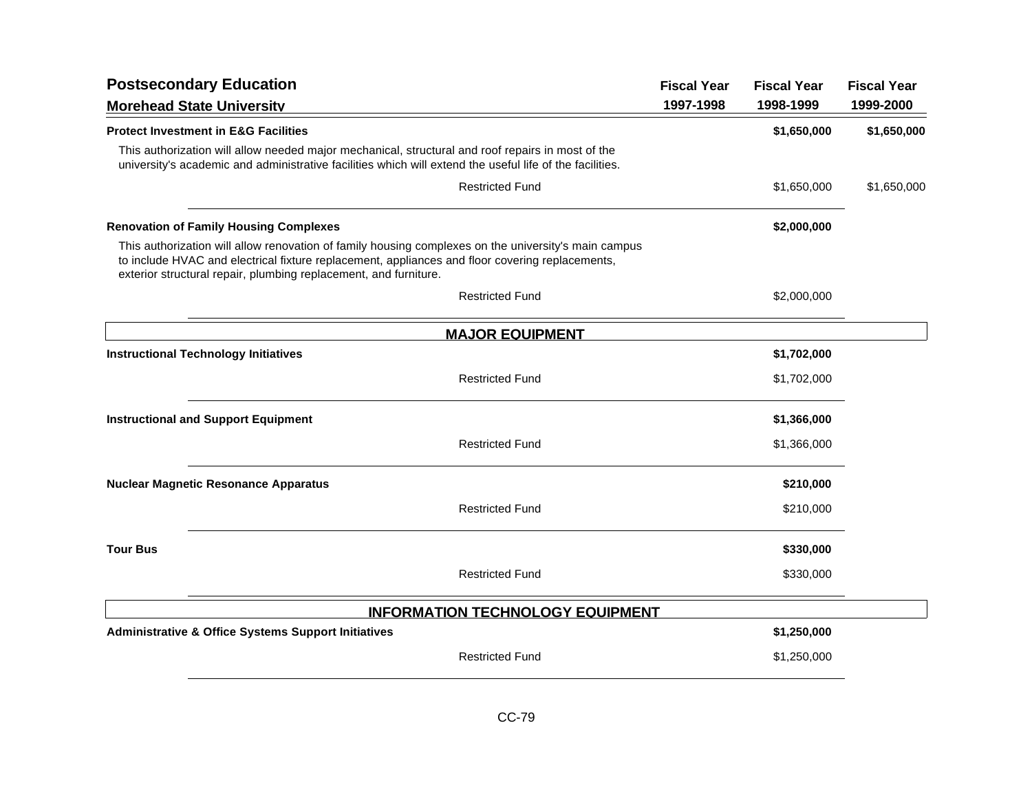| <b>Postsecondary Education</b>                                                                                                                                                                                                                                              |                                         | <b>Fiscal Year</b> | <b>Fiscal Year</b> | <b>Fiscal Year</b> |
|-----------------------------------------------------------------------------------------------------------------------------------------------------------------------------------------------------------------------------------------------------------------------------|-----------------------------------------|--------------------|--------------------|--------------------|
| <b>Morehead State University</b>                                                                                                                                                                                                                                            |                                         | 1997-1998          | 1998-1999          | 1999-2000          |
| <b>Protect Investment in E&amp;G Facilities</b>                                                                                                                                                                                                                             |                                         |                    | \$1,650,000        | \$1,650,000        |
| This authorization will allow needed major mechanical, structural and roof repairs in most of the<br>university's academic and administrative facilities which will extend the useful life of the facilities.                                                               |                                         |                    |                    |                    |
|                                                                                                                                                                                                                                                                             | <b>Restricted Fund</b>                  |                    | \$1,650,000        | \$1,650,000        |
| <b>Renovation of Family Housing Complexes</b>                                                                                                                                                                                                                               |                                         |                    | \$2,000,000        |                    |
| This authorization will allow renovation of family housing complexes on the university's main campus<br>to include HVAC and electrical fixture replacement, appliances and floor covering replacements,<br>exterior structural repair, plumbing replacement, and furniture. |                                         |                    |                    |                    |
|                                                                                                                                                                                                                                                                             | <b>Restricted Fund</b>                  |                    | \$2,000,000        |                    |
|                                                                                                                                                                                                                                                                             | <b>MAJOR EQUIPMENT</b>                  |                    |                    |                    |
| <b>Instructional Technology Initiatives</b>                                                                                                                                                                                                                                 |                                         |                    | \$1,702,000        |                    |
|                                                                                                                                                                                                                                                                             | <b>Restricted Fund</b>                  |                    | \$1,702,000        |                    |
| <b>Instructional and Support Equipment</b>                                                                                                                                                                                                                                  |                                         |                    | \$1,366,000        |                    |
|                                                                                                                                                                                                                                                                             | <b>Restricted Fund</b>                  |                    | \$1,366,000        |                    |
| <b>Nuclear Magnetic Resonance Apparatus</b>                                                                                                                                                                                                                                 |                                         |                    | \$210,000          |                    |
|                                                                                                                                                                                                                                                                             | <b>Restricted Fund</b>                  |                    | \$210,000          |                    |
| <b>Tour Bus</b>                                                                                                                                                                                                                                                             |                                         |                    | \$330,000          |                    |
|                                                                                                                                                                                                                                                                             | <b>Restricted Fund</b>                  |                    | \$330,000          |                    |
|                                                                                                                                                                                                                                                                             | <b>INFORMATION TECHNOLOGY EQUIPMENT</b> |                    |                    |                    |
| <b>Administrative &amp; Office Systems Support Initiatives</b>                                                                                                                                                                                                              |                                         |                    | \$1,250,000        |                    |
|                                                                                                                                                                                                                                                                             | <b>Restricted Fund</b>                  |                    | \$1,250,000        |                    |
|                                                                                                                                                                                                                                                                             |                                         |                    |                    |                    |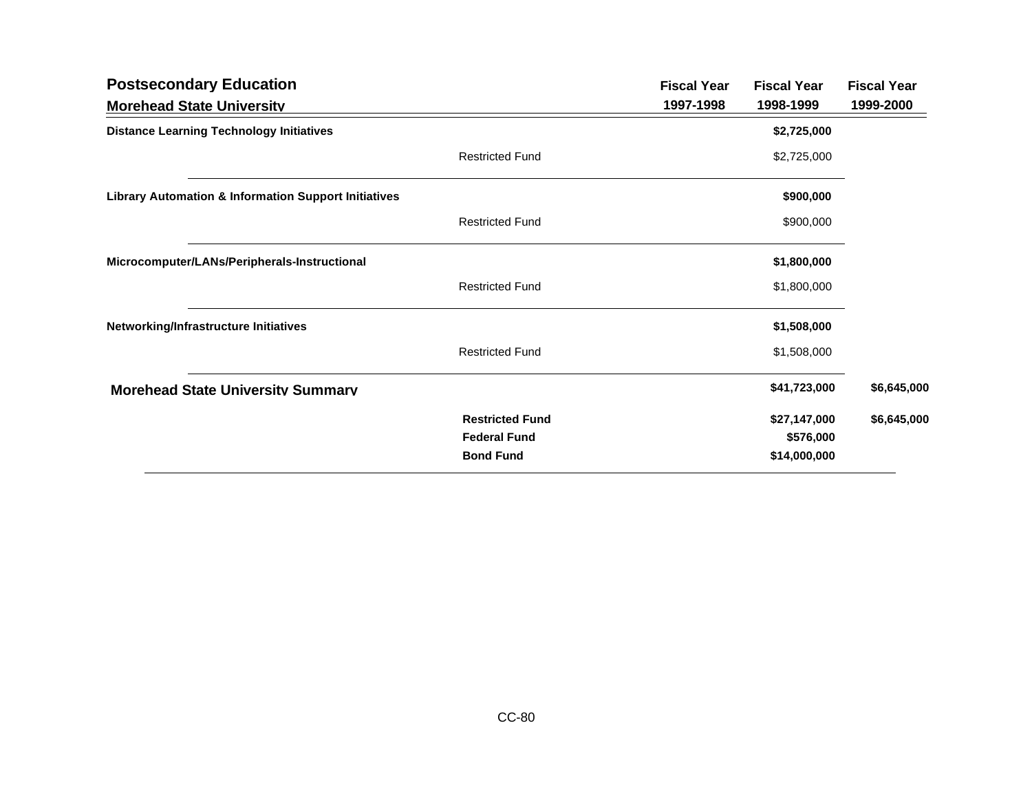| <b>Postsecondary Education</b>                                  |                                                                   | <b>Fiscal Year</b> | <b>Fiscal Year</b>                        | <b>Fiscal Year</b> |
|-----------------------------------------------------------------|-------------------------------------------------------------------|--------------------|-------------------------------------------|--------------------|
| <b>Morehead State University</b>                                |                                                                   | 1997-1998          | 1998-1999                                 | 1999-2000          |
| <b>Distance Learning Technology Initiatives</b>                 |                                                                   |                    | \$2,725,000                               |                    |
|                                                                 | <b>Restricted Fund</b>                                            |                    | \$2,725,000                               |                    |
| <b>Library Automation &amp; Information Support Initiatives</b> |                                                                   |                    | \$900,000                                 |                    |
|                                                                 | <b>Restricted Fund</b>                                            |                    | \$900,000                                 |                    |
| Microcomputer/LANs/Peripherals-Instructional                    |                                                                   |                    | \$1,800,000                               |                    |
|                                                                 | <b>Restricted Fund</b>                                            |                    | \$1,800,000                               |                    |
| Networking/Infrastructure Initiatives                           |                                                                   |                    | \$1,508,000                               |                    |
|                                                                 | <b>Restricted Fund</b>                                            |                    | \$1,508,000                               |                    |
| <b>Morehead State University Summary</b>                        |                                                                   |                    | \$41,723,000                              | \$6,645,000        |
|                                                                 | <b>Restricted Fund</b><br><b>Federal Fund</b><br><b>Bond Fund</b> |                    | \$27,147,000<br>\$576,000<br>\$14,000,000 | \$6,645,000        |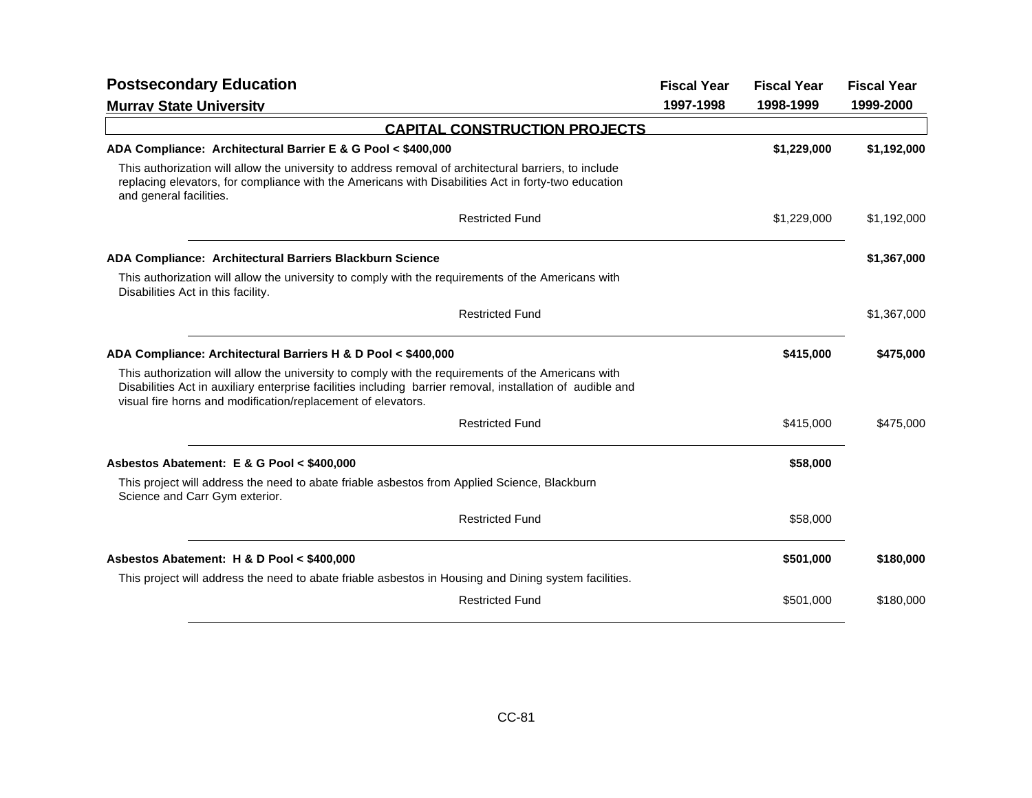| <b>Postsecondary Education</b>                                                                                                                                                                                                                                                   | <b>Fiscal Year</b> | <b>Fiscal Year</b> | <b>Fiscal Year</b> |
|----------------------------------------------------------------------------------------------------------------------------------------------------------------------------------------------------------------------------------------------------------------------------------|--------------------|--------------------|--------------------|
| <b>Murrav State University</b>                                                                                                                                                                                                                                                   | 1997-1998          | 1998-1999          | 1999-2000          |
| <b>CAPITAL CONSTRUCTION PROJECTS</b>                                                                                                                                                                                                                                             |                    |                    |                    |
| ADA Compliance: Architectural Barrier E & G Pool < \$400,000                                                                                                                                                                                                                     |                    | \$1,229,000        | \$1,192,000        |
| This authorization will allow the university to address removal of architectural barriers, to include<br>replacing elevators, for compliance with the Americans with Disabilities Act in forty-two education<br>and general facilities.                                          |                    |                    |                    |
| <b>Restricted Fund</b>                                                                                                                                                                                                                                                           |                    | \$1,229,000        | \$1,192,000        |
| ADA Compliance: Architectural Barriers Blackburn Science                                                                                                                                                                                                                         |                    |                    | \$1,367,000        |
| This authorization will allow the university to comply with the requirements of the Americans with<br>Disabilities Act in this facility.                                                                                                                                         |                    |                    |                    |
| <b>Restricted Fund</b>                                                                                                                                                                                                                                                           |                    |                    | \$1,367,000        |
| ADA Compliance: Architectural Barriers H & D Pool < \$400,000                                                                                                                                                                                                                    |                    | \$415,000          | \$475,000          |
| This authorization will allow the university to comply with the requirements of the Americans with<br>Disabilities Act in auxiliary enterprise facilities including barrier removal, installation of audible and<br>visual fire horns and modification/replacement of elevators. |                    |                    |                    |
| <b>Restricted Fund</b>                                                                                                                                                                                                                                                           |                    | \$415,000          | \$475,000          |
| Asbestos Abatement: E & G Pool < \$400,000                                                                                                                                                                                                                                       |                    | \$58,000           |                    |
| This project will address the need to abate friable asbestos from Applied Science, Blackburn<br>Science and Carr Gym exterior.                                                                                                                                                   |                    |                    |                    |
| <b>Restricted Fund</b>                                                                                                                                                                                                                                                           |                    | \$58,000           |                    |
| Asbestos Abatement: H & D Pool < \$400,000                                                                                                                                                                                                                                       |                    | \$501,000          | \$180,000          |
| This project will address the need to abate friable asbestos in Housing and Dining system facilities.                                                                                                                                                                            |                    |                    |                    |
| <b>Restricted Fund</b>                                                                                                                                                                                                                                                           |                    | \$501,000          | \$180,000          |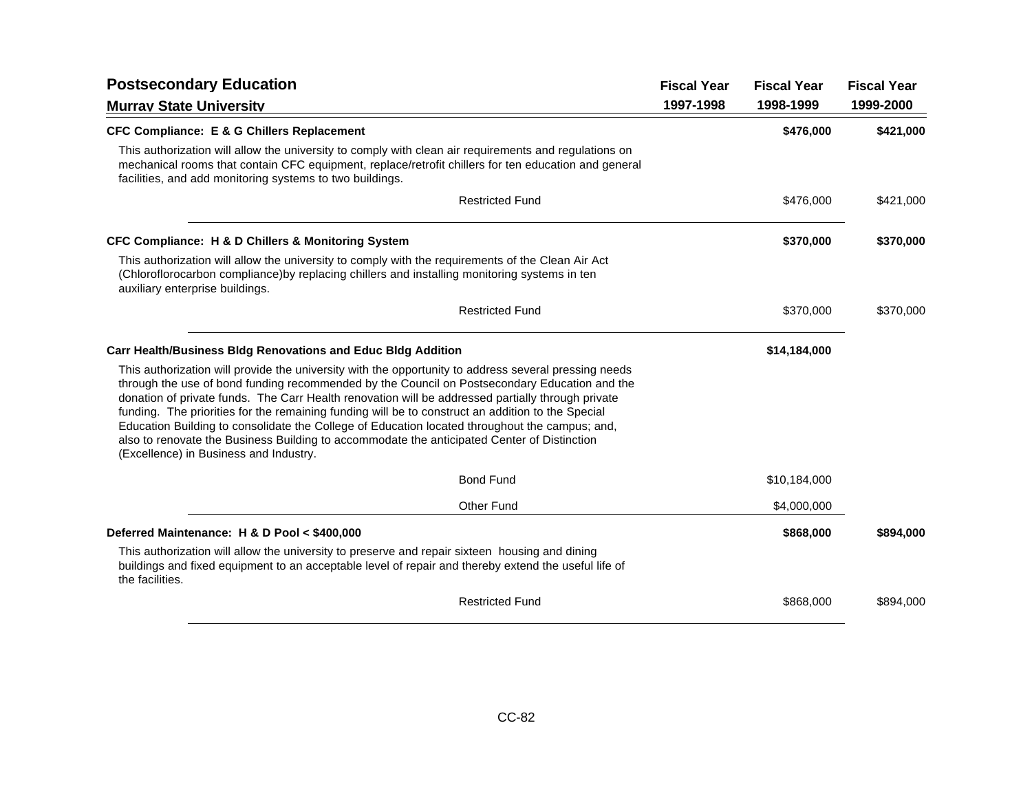| <b>Postsecondary Education</b>                                                                                                                                                                                                                                                                                                                                                                                                                                                                                                                                                                                                                              |           | <b>Fiscal Year</b> | <b>Fiscal Year</b> |
|-------------------------------------------------------------------------------------------------------------------------------------------------------------------------------------------------------------------------------------------------------------------------------------------------------------------------------------------------------------------------------------------------------------------------------------------------------------------------------------------------------------------------------------------------------------------------------------------------------------------------------------------------------------|-----------|--------------------|--------------------|
| <b>Murrav State University</b>                                                                                                                                                                                                                                                                                                                                                                                                                                                                                                                                                                                                                              | 1997-1998 | 1998-1999          | 1999-2000          |
| <b>CFC Compliance: E &amp; G Chillers Replacement</b>                                                                                                                                                                                                                                                                                                                                                                                                                                                                                                                                                                                                       |           | \$476,000          | \$421,000          |
| This authorization will allow the university to comply with clean air requirements and regulations on<br>mechanical rooms that contain CFC equipment, replace/retrofit chillers for ten education and general<br>facilities, and add monitoring systems to two buildings.                                                                                                                                                                                                                                                                                                                                                                                   |           |                    |                    |
| <b>Restricted Fund</b>                                                                                                                                                                                                                                                                                                                                                                                                                                                                                                                                                                                                                                      |           | \$476,000          | \$421,000          |
| <b>CFC Compliance: H &amp; D Chillers &amp; Monitoring System</b>                                                                                                                                                                                                                                                                                                                                                                                                                                                                                                                                                                                           |           | \$370,000          | \$370,000          |
| This authorization will allow the university to comply with the requirements of the Clean Air Act<br>(Chloroflorocarbon compliance) by replacing chillers and installing monitoring systems in ten<br>auxiliary enterprise buildings.                                                                                                                                                                                                                                                                                                                                                                                                                       |           |                    |                    |
| <b>Restricted Fund</b>                                                                                                                                                                                                                                                                                                                                                                                                                                                                                                                                                                                                                                      |           | \$370,000          | \$370,000          |
| <b>Carr Health/Business Bldg Renovations and Educ Bldg Addition</b>                                                                                                                                                                                                                                                                                                                                                                                                                                                                                                                                                                                         |           | \$14,184,000       |                    |
| This authorization will provide the university with the opportunity to address several pressing needs<br>through the use of bond funding recommended by the Council on Postsecondary Education and the<br>donation of private funds. The Carr Health renovation will be addressed partially through private<br>funding. The priorities for the remaining funding will be to construct an addition to the Special<br>Education Building to consolidate the College of Education located throughout the campus; and,<br>also to renovate the Business Building to accommodate the anticipated Center of Distinction<br>(Excellence) in Business and Industry. |           |                    |                    |
| <b>Bond Fund</b>                                                                                                                                                                                                                                                                                                                                                                                                                                                                                                                                                                                                                                            |           | \$10,184,000       |                    |
| <b>Other Fund</b>                                                                                                                                                                                                                                                                                                                                                                                                                                                                                                                                                                                                                                           |           | \$4,000,000        |                    |
| Deferred Maintenance: H & D Pool < \$400,000                                                                                                                                                                                                                                                                                                                                                                                                                                                                                                                                                                                                                |           | \$868,000          | \$894,000          |
| This authorization will allow the university to preserve and repair sixteen housing and dining<br>buildings and fixed equipment to an acceptable level of repair and thereby extend the useful life of<br>the facilities.                                                                                                                                                                                                                                                                                                                                                                                                                                   |           |                    |                    |
| <b>Restricted Fund</b>                                                                                                                                                                                                                                                                                                                                                                                                                                                                                                                                                                                                                                      |           | \$868,000          | \$894,000          |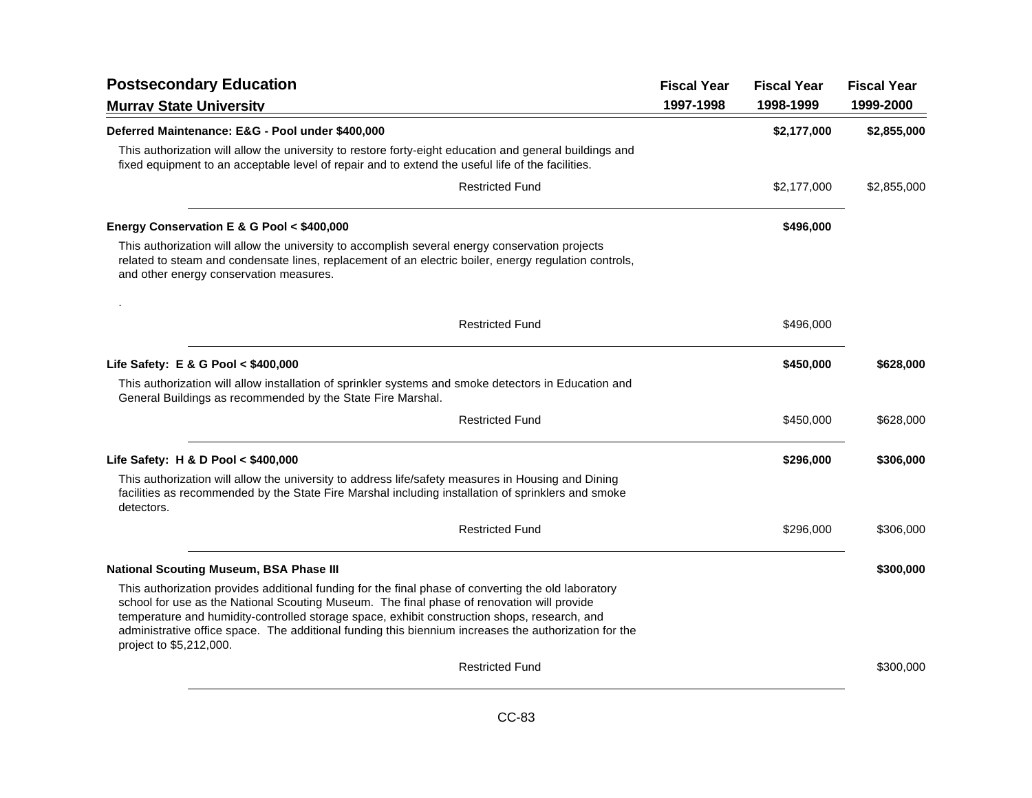| <b>Postsecondary Education</b>                                                                                                                                                                                                                                                                                                                                                                                                        | <b>Fiscal Year</b> | <b>Fiscal Year</b> | <b>Fiscal Year</b> |
|---------------------------------------------------------------------------------------------------------------------------------------------------------------------------------------------------------------------------------------------------------------------------------------------------------------------------------------------------------------------------------------------------------------------------------------|--------------------|--------------------|--------------------|
| <b>Murrav State University</b>                                                                                                                                                                                                                                                                                                                                                                                                        | 1997-1998          | 1998-1999          | 1999-2000          |
| Deferred Maintenance: E&G - Pool under \$400,000                                                                                                                                                                                                                                                                                                                                                                                      |                    | \$2,177,000        | \$2,855,000        |
| This authorization will allow the university to restore forty-eight education and general buildings and<br>fixed equipment to an acceptable level of repair and to extend the useful life of the facilities.                                                                                                                                                                                                                          |                    |                    |                    |
| <b>Restricted Fund</b>                                                                                                                                                                                                                                                                                                                                                                                                                |                    | \$2,177,000        | \$2,855,000        |
| Energy Conservation E & G Pool < \$400,000                                                                                                                                                                                                                                                                                                                                                                                            |                    | \$496,000          |                    |
| This authorization will allow the university to accomplish several energy conservation projects<br>related to steam and condensate lines, replacement of an electric boiler, energy regulation controls,<br>and other energy conservation measures.                                                                                                                                                                                   |                    |                    |                    |
|                                                                                                                                                                                                                                                                                                                                                                                                                                       |                    |                    |                    |
| <b>Restricted Fund</b>                                                                                                                                                                                                                                                                                                                                                                                                                |                    | \$496,000          |                    |
| Life Safety: E & G Pool < \$400,000                                                                                                                                                                                                                                                                                                                                                                                                   |                    | \$450,000          | \$628,000          |
| This authorization will allow installation of sprinkler systems and smoke detectors in Education and<br>General Buildings as recommended by the State Fire Marshal.                                                                                                                                                                                                                                                                   |                    |                    |                    |
| <b>Restricted Fund</b>                                                                                                                                                                                                                                                                                                                                                                                                                |                    | \$450,000          | \$628,000          |
| Life Safety: H & D Pool < \$400,000                                                                                                                                                                                                                                                                                                                                                                                                   |                    | \$296,000          | \$306,000          |
| This authorization will allow the university to address life/safety measures in Housing and Dining<br>facilities as recommended by the State Fire Marshal including installation of sprinklers and smoke<br>detectors.                                                                                                                                                                                                                |                    |                    |                    |
| <b>Restricted Fund</b>                                                                                                                                                                                                                                                                                                                                                                                                                |                    | \$296,000          | \$306,000          |
| <b>National Scouting Museum, BSA Phase III</b>                                                                                                                                                                                                                                                                                                                                                                                        |                    |                    | \$300,000          |
| This authorization provides additional funding for the final phase of converting the old laboratory<br>school for use as the National Scouting Museum. The final phase of renovation will provide<br>temperature and humidity-controlled storage space, exhibit construction shops, research, and<br>administrative office space. The additional funding this biennium increases the authorization for the<br>project to \$5,212,000. |                    |                    |                    |
| <b>Restricted Fund</b>                                                                                                                                                                                                                                                                                                                                                                                                                |                    |                    | \$300,000          |
|                                                                                                                                                                                                                                                                                                                                                                                                                                       |                    |                    |                    |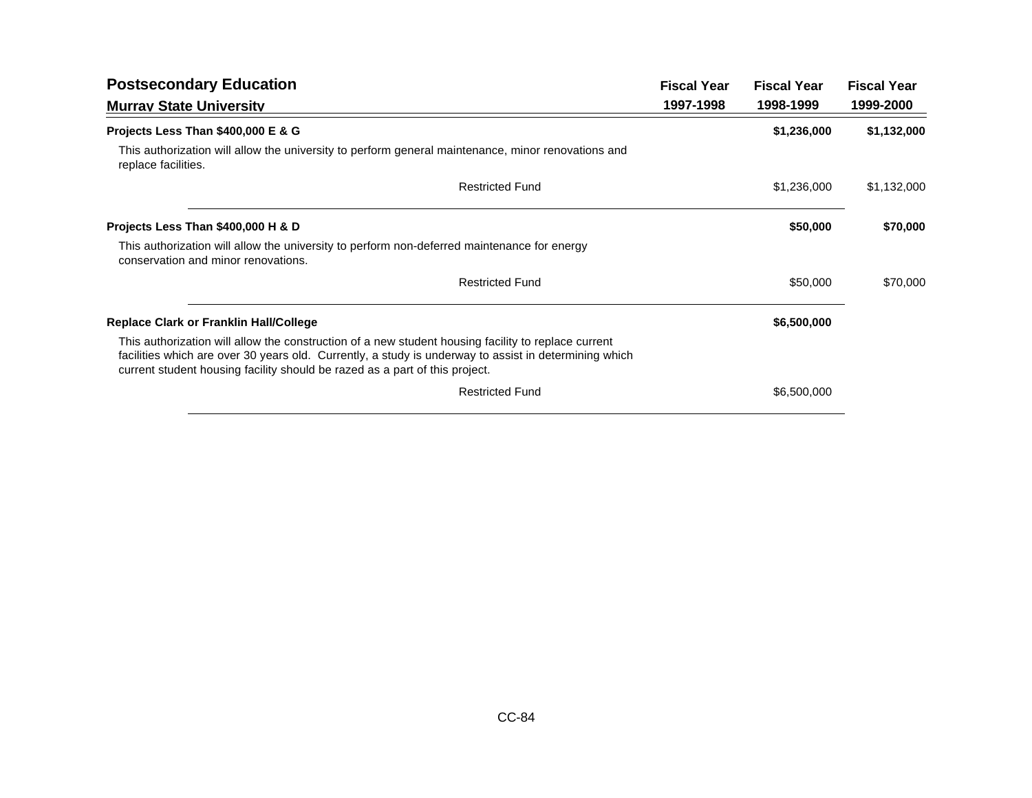| <b>Postsecondary Education</b>                                                                                                                                                                                                                                                              | <b>Fiscal Year</b> | <b>Fiscal Year</b> | <b>Fiscal Year</b> |
|---------------------------------------------------------------------------------------------------------------------------------------------------------------------------------------------------------------------------------------------------------------------------------------------|--------------------|--------------------|--------------------|
| <b>Murrav State University</b>                                                                                                                                                                                                                                                              | 1997-1998          | 1998-1999          | 1999-2000          |
| Projects Less Than \$400,000 E & G                                                                                                                                                                                                                                                          |                    | \$1,236,000        | \$1,132,000        |
| This authorization will allow the university to perform general maintenance, minor renovations and<br>replace facilities.                                                                                                                                                                   |                    |                    |                    |
| <b>Restricted Fund</b>                                                                                                                                                                                                                                                                      |                    | \$1,236,000        | \$1,132,000        |
| Projects Less Than \$400,000 H & D                                                                                                                                                                                                                                                          |                    | \$50,000           | \$70,000           |
| This authorization will allow the university to perform non-deferred maintenance for energy<br>conservation and minor renovations.                                                                                                                                                          |                    |                    |                    |
| <b>Restricted Fund</b>                                                                                                                                                                                                                                                                      |                    | \$50,000           | \$70,000           |
| <b>Replace Clark or Franklin Hall/College</b>                                                                                                                                                                                                                                               |                    | \$6,500,000        |                    |
| This authorization will allow the construction of a new student housing facility to replace current<br>facilities which are over 30 years old. Currently, a study is underway to assist in determining which<br>current student housing facility should be razed as a part of this project. |                    |                    |                    |
| <b>Restricted Fund</b>                                                                                                                                                                                                                                                                      |                    | \$6,500,000        |                    |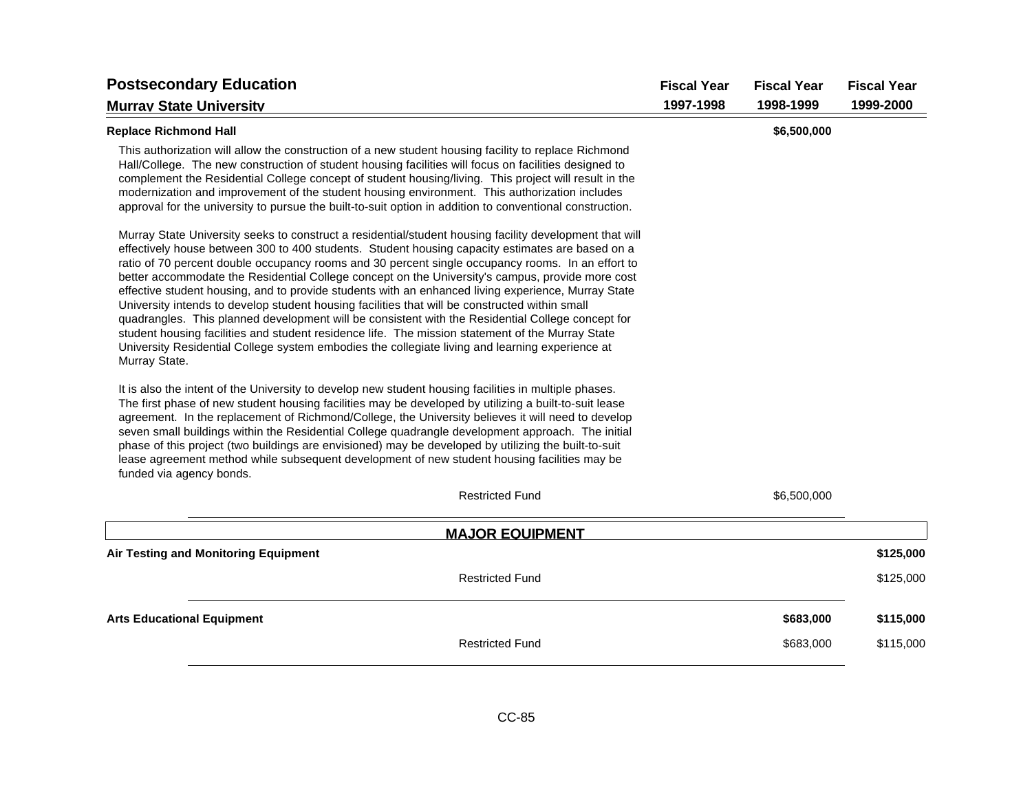| <b>Postsecondary Education</b>                                                                                                                                                                                                                                                                                                                                                                                                                                                                                                                                                                                                                                                                                                                                                                                                                                                                                                                             | <b>Fiscal Year</b> | <b>Fiscal Year</b> | <b>Fiscal Year</b> |
|------------------------------------------------------------------------------------------------------------------------------------------------------------------------------------------------------------------------------------------------------------------------------------------------------------------------------------------------------------------------------------------------------------------------------------------------------------------------------------------------------------------------------------------------------------------------------------------------------------------------------------------------------------------------------------------------------------------------------------------------------------------------------------------------------------------------------------------------------------------------------------------------------------------------------------------------------------|--------------------|--------------------|--------------------|
| <b>Murrav State University</b>                                                                                                                                                                                                                                                                                                                                                                                                                                                                                                                                                                                                                                                                                                                                                                                                                                                                                                                             | 1997-1998          | 1998-1999          | 1999-2000          |
| <b>Replace Richmond Hall</b>                                                                                                                                                                                                                                                                                                                                                                                                                                                                                                                                                                                                                                                                                                                                                                                                                                                                                                                               |                    | \$6,500,000        |                    |
| This authorization will allow the construction of a new student housing facility to replace Richmond<br>Hall/College. The new construction of student housing facilities will focus on facilities designed to<br>complement the Residential College concept of student housing/living. This project will result in the<br>modernization and improvement of the student housing environment. This authorization includes<br>approval for the university to pursue the built-to-suit option in addition to conventional construction.                                                                                                                                                                                                                                                                                                                                                                                                                        |                    |                    |                    |
| Murray State University seeks to construct a residential/student housing facility development that will<br>effectively house between 300 to 400 students. Student housing capacity estimates are based on a<br>ratio of 70 percent double occupancy rooms and 30 percent single occupancy rooms. In an effort to<br>better accommodate the Residential College concept on the University's campus, provide more cost<br>effective student housing, and to provide students with an enhanced living experience, Murray State<br>University intends to develop student housing facilities that will be constructed within small<br>quadrangles. This planned development will be consistent with the Residential College concept for<br>student housing facilities and student residence life. The mission statement of the Murray State<br>University Residential College system embodies the collegiate living and learning experience at<br>Murray State. |                    |                    |                    |
| It is also the intent of the University to develop new student housing facilities in multiple phases.<br>The first phase of new student housing facilities may be developed by utilizing a built-to-suit lease<br>agreement. In the replacement of Richmond/College, the University believes it will need to develop<br>seven small buildings within the Residential College quadrangle development approach. The initial<br>phase of this project (two buildings are envisioned) may be developed by utilizing the built-to-suit<br>lease agreement method while subsequent development of new student housing facilities may be<br>funded via agency bonds.                                                                                                                                                                                                                                                                                              |                    |                    |                    |
| <b>Restricted Fund</b>                                                                                                                                                                                                                                                                                                                                                                                                                                                                                                                                                                                                                                                                                                                                                                                                                                                                                                                                     |                    | \$6,500,000        |                    |
| <b>MAJOR EQUIPMENT</b>                                                                                                                                                                                                                                                                                                                                                                                                                                                                                                                                                                                                                                                                                                                                                                                                                                                                                                                                     |                    |                    |                    |
| Air Testing and Monitoring Equipment                                                                                                                                                                                                                                                                                                                                                                                                                                                                                                                                                                                                                                                                                                                                                                                                                                                                                                                       |                    |                    | \$125,000          |
| <b>Restricted Fund</b>                                                                                                                                                                                                                                                                                                                                                                                                                                                                                                                                                                                                                                                                                                                                                                                                                                                                                                                                     |                    |                    | \$125,000          |
| <b>Arts Educational Equipment</b>                                                                                                                                                                                                                                                                                                                                                                                                                                                                                                                                                                                                                                                                                                                                                                                                                                                                                                                          |                    | \$683,000          | \$115,000          |
| <b>Restricted Fund</b>                                                                                                                                                                                                                                                                                                                                                                                                                                                                                                                                                                                                                                                                                                                                                                                                                                                                                                                                     |                    | \$683,000          | \$115,000          |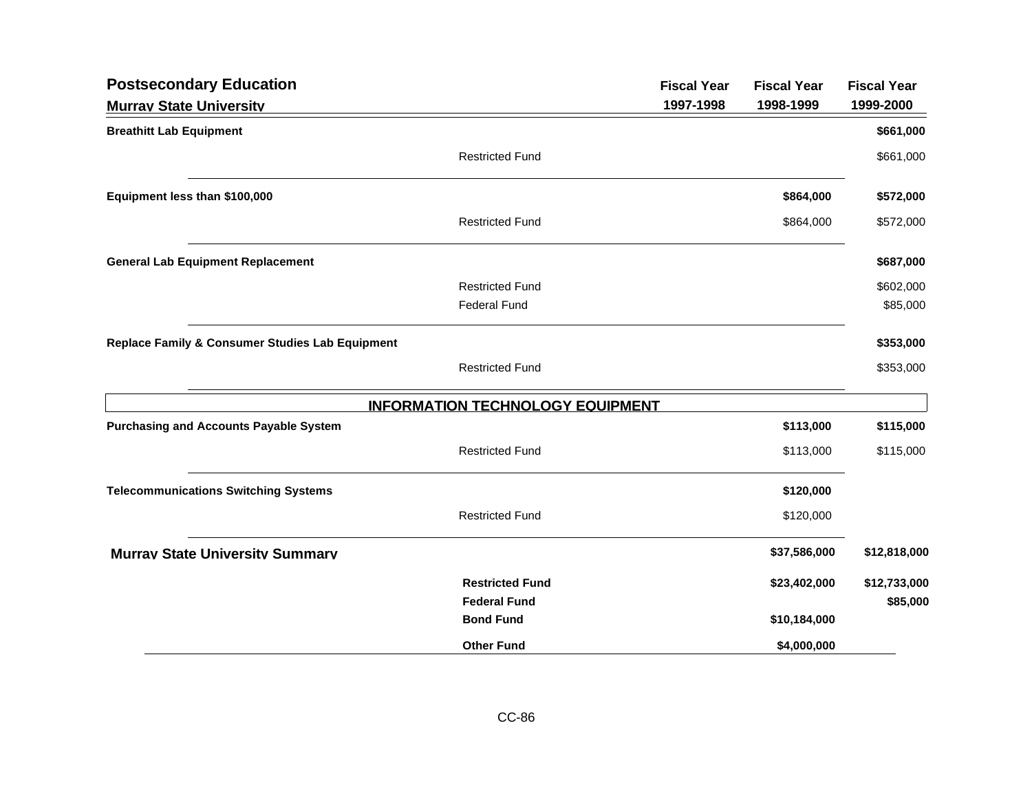| <b>Postsecondary Education</b>                  |                                         | <b>Fiscal Year</b> | <b>Fiscal Year</b> | <b>Fiscal Year</b> |
|-------------------------------------------------|-----------------------------------------|--------------------|--------------------|--------------------|
| <b>Murrav State University</b>                  |                                         | 1997-1998          | 1998-1999          | 1999-2000          |
| <b>Breathitt Lab Equipment</b>                  |                                         |                    |                    | \$661,000          |
|                                                 | <b>Restricted Fund</b>                  |                    |                    | \$661,000          |
| Equipment less than \$100,000                   |                                         |                    | \$864,000          | \$572,000          |
|                                                 | <b>Restricted Fund</b>                  |                    | \$864,000          | \$572,000          |
| <b>General Lab Equipment Replacement</b>        |                                         |                    |                    | \$687,000          |
|                                                 | <b>Restricted Fund</b>                  |                    |                    | \$602,000          |
|                                                 | <b>Federal Fund</b>                     |                    |                    | \$85,000           |
| Replace Family & Consumer Studies Lab Equipment |                                         |                    |                    | \$353,000          |
|                                                 | <b>Restricted Fund</b>                  |                    |                    | \$353,000          |
|                                                 | <b>INFORMATION TECHNOLOGY EQUIPMENT</b> |                    |                    |                    |
| <b>Purchasing and Accounts Payable System</b>   |                                         |                    | \$113,000          | \$115,000          |
|                                                 | <b>Restricted Fund</b>                  |                    | \$113,000          | \$115,000          |
| <b>Telecommunications Switching Systems</b>     |                                         |                    | \$120,000          |                    |
|                                                 | <b>Restricted Fund</b>                  |                    | \$120,000          |                    |
| <b>Murray State University Summary</b>          |                                         |                    | \$37,586,000       | \$12,818,000       |
|                                                 | <b>Restricted Fund</b>                  |                    | \$23,402,000       | \$12,733,000       |
|                                                 | <b>Federal Fund</b>                     |                    |                    | \$85,000           |
|                                                 | <b>Bond Fund</b>                        |                    | \$10,184,000       |                    |
|                                                 | <b>Other Fund</b>                       |                    | \$4,000,000        |                    |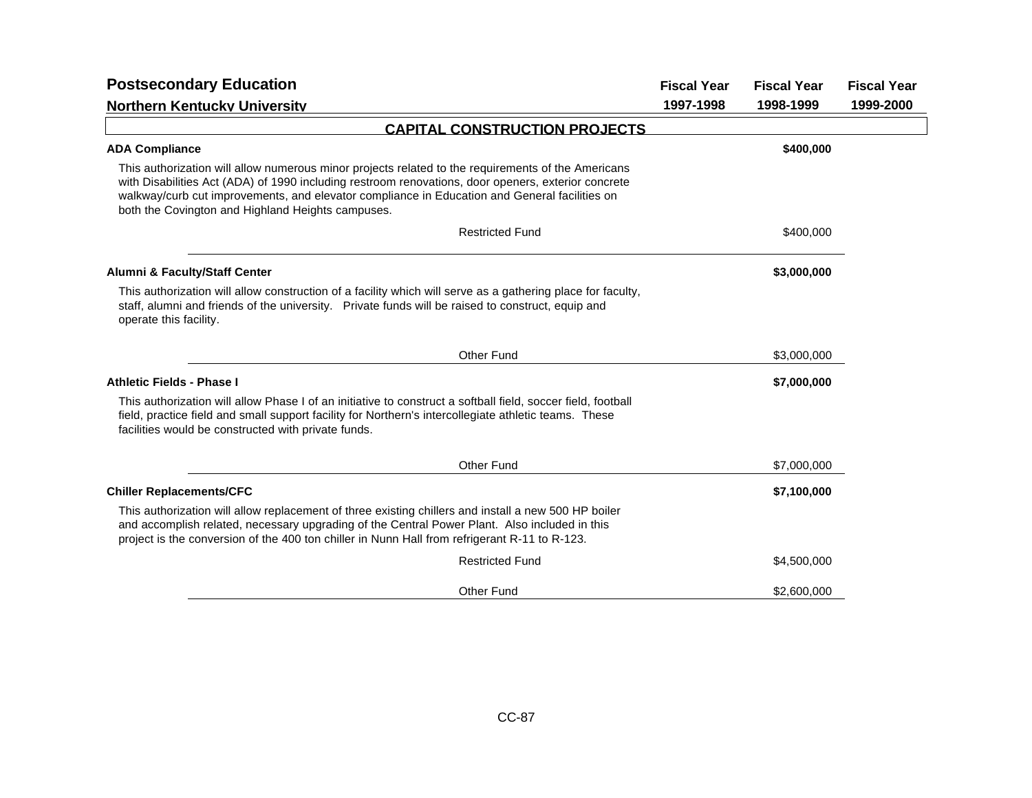| <b>Postsecondary Education</b>                                                                                                                                                                                                                                                                                                                                  | <b>Fiscal Year</b> | <b>Fiscal Year</b> | <b>Fiscal Year</b> |
|-----------------------------------------------------------------------------------------------------------------------------------------------------------------------------------------------------------------------------------------------------------------------------------------------------------------------------------------------------------------|--------------------|--------------------|--------------------|
| <b>Northern Kentucky University</b>                                                                                                                                                                                                                                                                                                                             | 1997-1998          | 1998-1999          | 1999-2000          |
| <b>CAPITAL CONSTRUCTION PROJECTS</b>                                                                                                                                                                                                                                                                                                                            |                    |                    |                    |
| <b>ADA Compliance</b>                                                                                                                                                                                                                                                                                                                                           |                    | \$400,000          |                    |
| This authorization will allow numerous minor projects related to the requirements of the Americans<br>with Disabilities Act (ADA) of 1990 including restroom renovations, door openers, exterior concrete<br>walkway/curb cut improvements, and elevator compliance in Education and General facilities on<br>both the Covington and Highland Heights campuses. |                    |                    |                    |
| <b>Restricted Fund</b>                                                                                                                                                                                                                                                                                                                                          |                    | \$400,000          |                    |
| Alumni & Faculty/Staff Center                                                                                                                                                                                                                                                                                                                                   |                    | \$3,000,000        |                    |
| This authorization will allow construction of a facility which will serve as a gathering place for faculty,<br>staff, alumni and friends of the university. Private funds will be raised to construct, equip and<br>operate this facility.                                                                                                                      |                    |                    |                    |
| <b>Other Fund</b>                                                                                                                                                                                                                                                                                                                                               |                    | \$3,000,000        |                    |
| Athletic Fields - Phase I                                                                                                                                                                                                                                                                                                                                       |                    | \$7,000,000        |                    |
| This authorization will allow Phase I of an initiative to construct a softball field, soccer field, football<br>field, practice field and small support facility for Northern's intercollegiate athletic teams. These<br>facilities would be constructed with private funds.                                                                                    |                    |                    |                    |
| Other Fund                                                                                                                                                                                                                                                                                                                                                      |                    | \$7,000,000        |                    |
| <b>Chiller Replacements/CFC</b>                                                                                                                                                                                                                                                                                                                                 |                    | \$7,100,000        |                    |
| This authorization will allow replacement of three existing chillers and install a new 500 HP boiler<br>and accomplish related, necessary upgrading of the Central Power Plant. Also included in this<br>project is the conversion of the 400 ton chiller in Nunn Hall from refrigerant R-11 to R-123.                                                          |                    |                    |                    |
| <b>Restricted Fund</b>                                                                                                                                                                                                                                                                                                                                          |                    | \$4,500,000        |                    |
| <b>Other Fund</b>                                                                                                                                                                                                                                                                                                                                               |                    | \$2,600,000        |                    |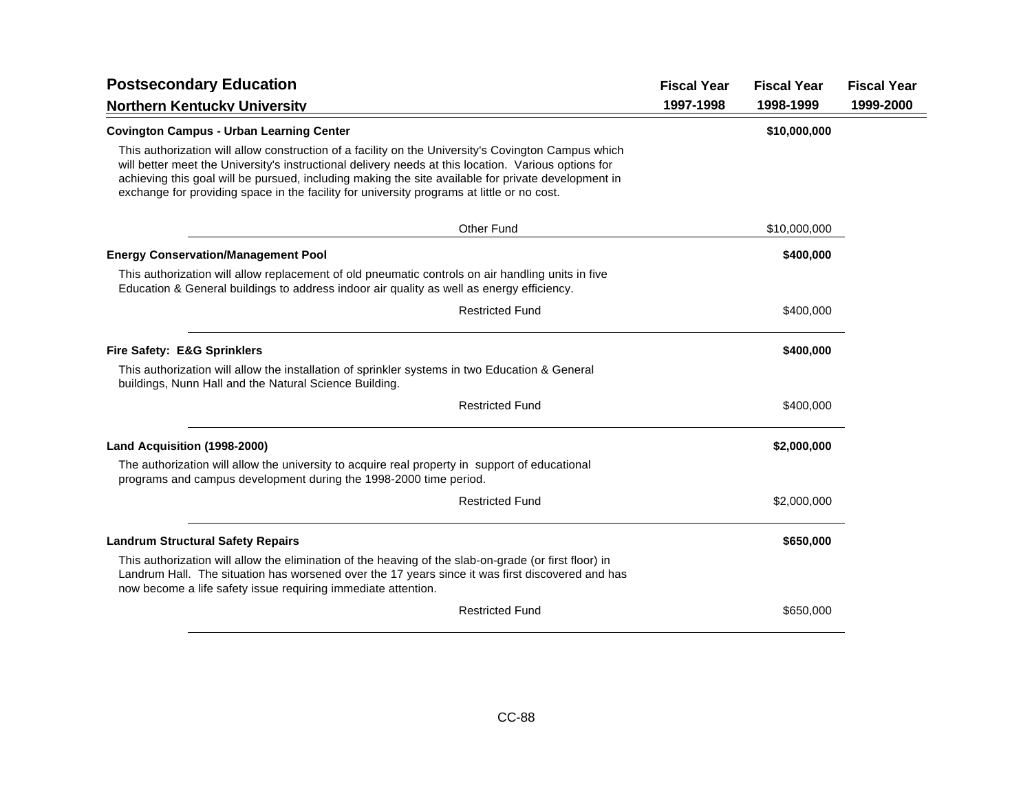| <b>Postsecondary Education</b>                                                                                                                                                                                                                                                                                                                                                                                   | <b>Fiscal Year</b> | <b>Fiscal Year</b> | <b>Fiscal Year</b> |
|------------------------------------------------------------------------------------------------------------------------------------------------------------------------------------------------------------------------------------------------------------------------------------------------------------------------------------------------------------------------------------------------------------------|--------------------|--------------------|--------------------|
| <b>Northern Kentucky University</b>                                                                                                                                                                                                                                                                                                                                                                              | 1997-1998          | 1998-1999          | 1999-2000          |
| <b>Covington Campus - Urban Learning Center</b>                                                                                                                                                                                                                                                                                                                                                                  |                    | \$10,000,000       |                    |
| This authorization will allow construction of a facility on the University's Covington Campus which<br>will better meet the University's instructional delivery needs at this location. Various options for<br>achieving this goal will be pursued, including making the site available for private development in<br>exchange for providing space in the facility for university programs at little or no cost. |                    |                    |                    |
| <b>Other Fund</b>                                                                                                                                                                                                                                                                                                                                                                                                |                    | \$10,000,000       |                    |
| <b>Energy Conservation/Management Pool</b>                                                                                                                                                                                                                                                                                                                                                                       |                    | \$400,000          |                    |
| This authorization will allow replacement of old pneumatic controls on air handling units in five<br>Education & General buildings to address indoor air quality as well as energy efficiency.                                                                                                                                                                                                                   |                    |                    |                    |
| <b>Restricted Fund</b>                                                                                                                                                                                                                                                                                                                                                                                           |                    | \$400,000          |                    |
| <b>Fire Safety: E&amp;G Sprinklers</b>                                                                                                                                                                                                                                                                                                                                                                           |                    | \$400,000          |                    |
| This authorization will allow the installation of sprinkler systems in two Education & General<br>buildings, Nunn Hall and the Natural Science Building.                                                                                                                                                                                                                                                         |                    |                    |                    |
| <b>Restricted Fund</b>                                                                                                                                                                                                                                                                                                                                                                                           |                    | \$400,000          |                    |
| Land Acquisition (1998-2000)                                                                                                                                                                                                                                                                                                                                                                                     |                    | \$2,000,000        |                    |
| The authorization will allow the university to acquire real property in support of educational<br>programs and campus development during the 1998-2000 time period.                                                                                                                                                                                                                                              |                    |                    |                    |
| <b>Restricted Fund</b>                                                                                                                                                                                                                                                                                                                                                                                           |                    | \$2,000,000        |                    |
| <b>Landrum Structural Safety Repairs</b>                                                                                                                                                                                                                                                                                                                                                                         |                    | \$650,000          |                    |
| This authorization will allow the elimination of the heaving of the slab-on-grade (or first floor) in<br>Landrum Hall. The situation has worsened over the 17 years since it was first discovered and has<br>now become a life safety issue requiring immediate attention.                                                                                                                                       |                    |                    |                    |
| <b>Restricted Fund</b>                                                                                                                                                                                                                                                                                                                                                                                           |                    | \$650,000          |                    |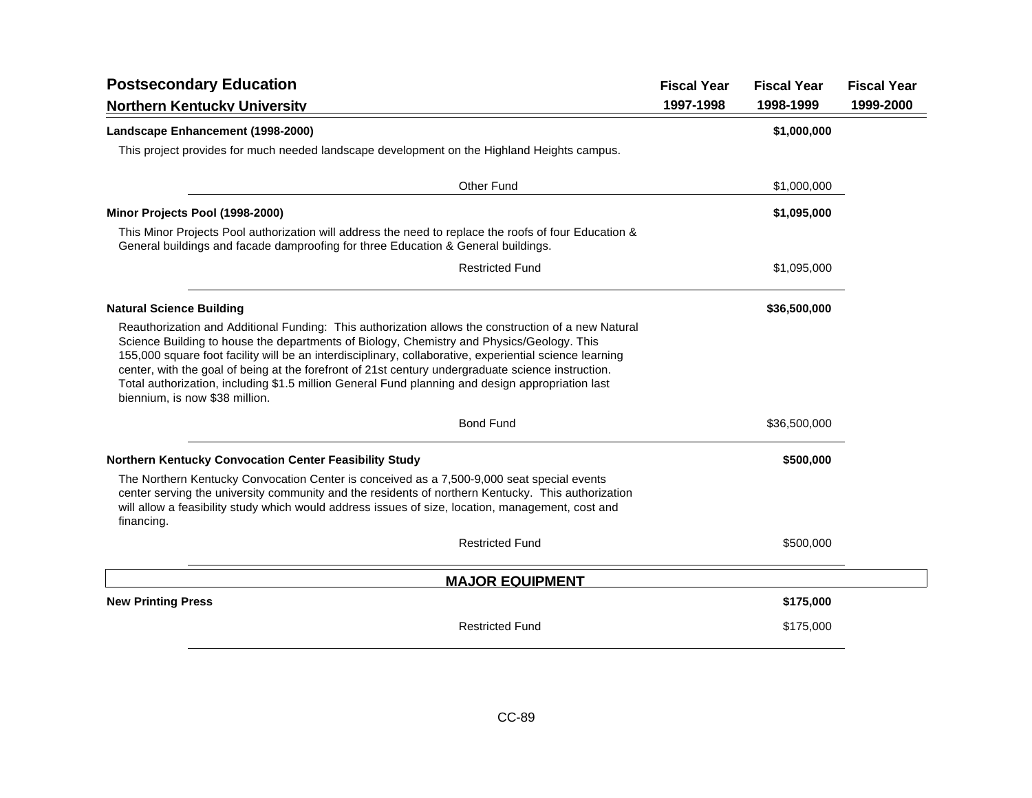| <b>Postsecondary Education</b>                                                                                                                                                                                                                                                                                                                                                                                                                                                                                                                          | <b>Fiscal Year</b> | <b>Fiscal Year</b> | <b>Fiscal Year</b> |
|---------------------------------------------------------------------------------------------------------------------------------------------------------------------------------------------------------------------------------------------------------------------------------------------------------------------------------------------------------------------------------------------------------------------------------------------------------------------------------------------------------------------------------------------------------|--------------------|--------------------|--------------------|
| <b>Northern Kentucky University</b>                                                                                                                                                                                                                                                                                                                                                                                                                                                                                                                     | 1997-1998          | 1998-1999          | 1999-2000          |
| Landscape Enhancement (1998-2000)                                                                                                                                                                                                                                                                                                                                                                                                                                                                                                                       |                    | \$1,000,000        |                    |
| This project provides for much needed landscape development on the Highland Heights campus.                                                                                                                                                                                                                                                                                                                                                                                                                                                             |                    |                    |                    |
| Other Fund                                                                                                                                                                                                                                                                                                                                                                                                                                                                                                                                              |                    | \$1,000,000        |                    |
| Minor Projects Pool (1998-2000)                                                                                                                                                                                                                                                                                                                                                                                                                                                                                                                         |                    | \$1,095,000        |                    |
| This Minor Projects Pool authorization will address the need to replace the roofs of four Education &<br>General buildings and facade damproofing for three Education & General buildings.                                                                                                                                                                                                                                                                                                                                                              |                    |                    |                    |
| <b>Restricted Fund</b>                                                                                                                                                                                                                                                                                                                                                                                                                                                                                                                                  |                    | \$1,095,000        |                    |
| <b>Natural Science Building</b>                                                                                                                                                                                                                                                                                                                                                                                                                                                                                                                         |                    | \$36,500,000       |                    |
| Reauthorization and Additional Funding: This authorization allows the construction of a new Natural<br>Science Building to house the departments of Biology, Chemistry and Physics/Geology. This<br>155,000 square foot facility will be an interdisciplinary, collaborative, experiential science learning<br>center, with the goal of being at the forefront of 21st century undergraduate science instruction.<br>Total authorization, including \$1.5 million General Fund planning and design appropriation last<br>biennium, is now \$38 million. |                    |                    |                    |
| <b>Bond Fund</b>                                                                                                                                                                                                                                                                                                                                                                                                                                                                                                                                        |                    | \$36,500,000       |                    |
| Northern Kentucky Convocation Center Feasibility Study                                                                                                                                                                                                                                                                                                                                                                                                                                                                                                  |                    | \$500,000          |                    |
| The Northern Kentucky Convocation Center is conceived as a 7,500-9,000 seat special events<br>center serving the university community and the residents of northern Kentucky. This authorization<br>will allow a feasibility study which would address issues of size, location, management, cost and<br>financing.                                                                                                                                                                                                                                     |                    |                    |                    |
| <b>Restricted Fund</b>                                                                                                                                                                                                                                                                                                                                                                                                                                                                                                                                  |                    | \$500,000          |                    |
| <b>MAJOR EQUIPMENT</b>                                                                                                                                                                                                                                                                                                                                                                                                                                                                                                                                  |                    |                    |                    |
| <b>New Printing Press</b>                                                                                                                                                                                                                                                                                                                                                                                                                                                                                                                               |                    | \$175,000          |                    |
| <b>Restricted Fund</b>                                                                                                                                                                                                                                                                                                                                                                                                                                                                                                                                  |                    | \$175,000          |                    |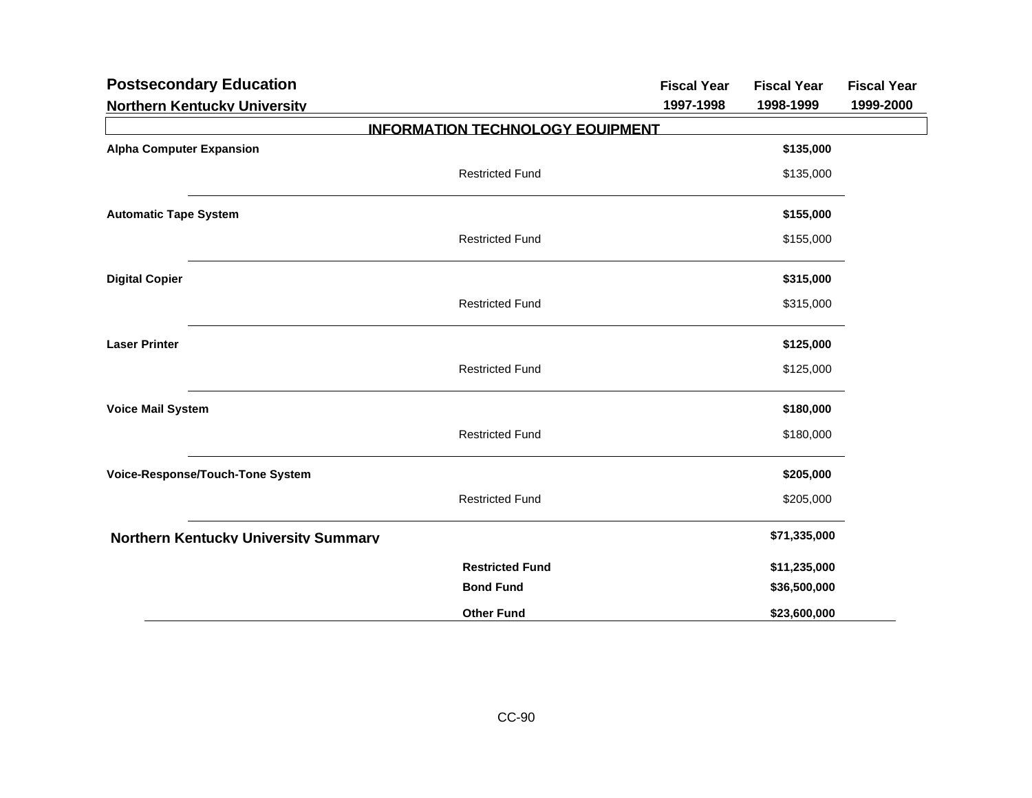| <b>Postsecondary Education</b>              |                                         | <b>Fiscal Year</b> | <b>Fiscal Year</b> | <b>Fiscal Year</b> |
|---------------------------------------------|-----------------------------------------|--------------------|--------------------|--------------------|
| <b>Northern Kentuckv Universitv</b>         |                                         | 1997-1998          | 1998-1999          | 1999-2000          |
|                                             | <b>INFORMATION TECHNOLOGY EQUIPMENT</b> |                    |                    |                    |
| <b>Alpha Computer Expansion</b>             |                                         |                    | \$135,000          |                    |
|                                             | <b>Restricted Fund</b>                  |                    | \$135,000          |                    |
| <b>Automatic Tape System</b>                |                                         |                    | \$155,000          |                    |
|                                             | <b>Restricted Fund</b>                  |                    | \$155,000          |                    |
| <b>Digital Copier</b>                       |                                         |                    | \$315,000          |                    |
|                                             | <b>Restricted Fund</b>                  |                    | \$315,000          |                    |
| <b>Laser Printer</b>                        |                                         |                    | \$125,000          |                    |
|                                             | <b>Restricted Fund</b>                  |                    | \$125,000          |                    |
| <b>Voice Mail System</b>                    |                                         |                    | \$180,000          |                    |
|                                             | <b>Restricted Fund</b>                  |                    | \$180,000          |                    |
| Voice-Response/Touch-Tone System            |                                         |                    | \$205,000          |                    |
|                                             | <b>Restricted Fund</b>                  |                    | \$205,000          |                    |
| <b>Northern Kentucky University Summary</b> |                                         |                    | \$71,335,000       |                    |
|                                             | <b>Restricted Fund</b>                  |                    | \$11,235,000       |                    |
|                                             | <b>Bond Fund</b>                        |                    | \$36,500,000       |                    |
|                                             | <b>Other Fund</b>                       |                    | \$23,600,000       |                    |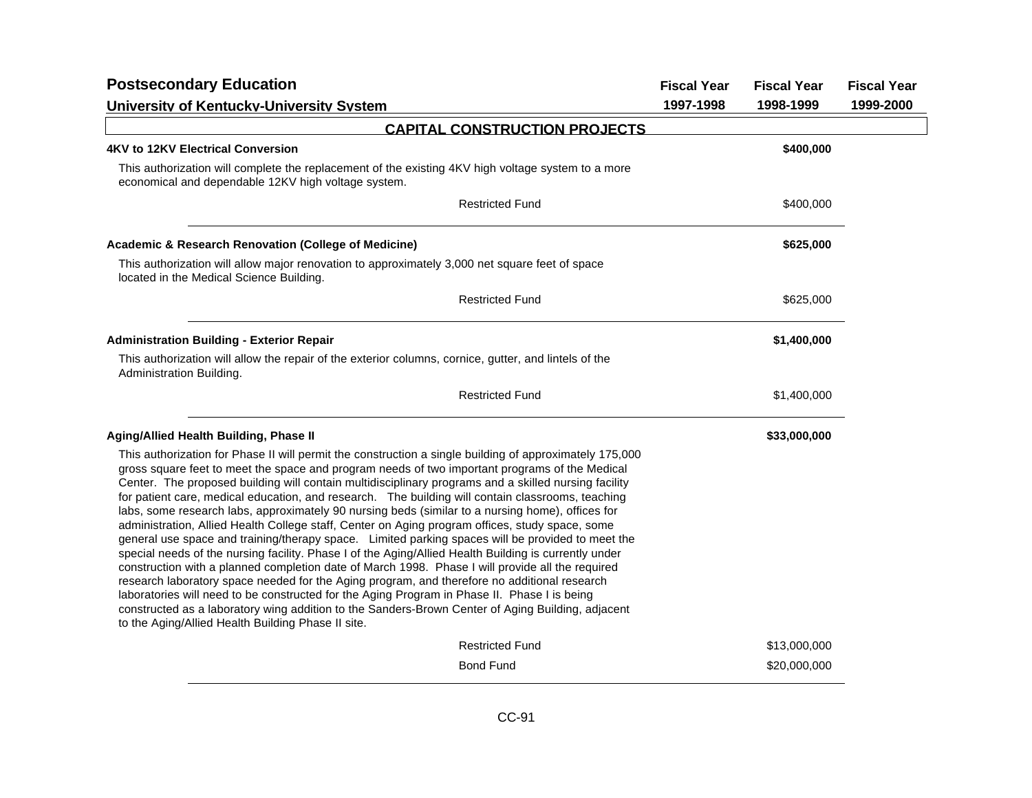| <b>Postsecondary Education</b>                                                                                                                                                                                                                                                                                                                                                                                                                                                                                                                                                                                                                                                                                                                                                                                                                                                                                                                                                                                                                                                                                                                                                                                                                                                                             | <b>Fiscal Year</b> | <b>Fiscal Year</b> | <b>Fiscal Year</b> |
|------------------------------------------------------------------------------------------------------------------------------------------------------------------------------------------------------------------------------------------------------------------------------------------------------------------------------------------------------------------------------------------------------------------------------------------------------------------------------------------------------------------------------------------------------------------------------------------------------------------------------------------------------------------------------------------------------------------------------------------------------------------------------------------------------------------------------------------------------------------------------------------------------------------------------------------------------------------------------------------------------------------------------------------------------------------------------------------------------------------------------------------------------------------------------------------------------------------------------------------------------------------------------------------------------------|--------------------|--------------------|--------------------|
| <b>University of Kentuckv-University System</b>                                                                                                                                                                                                                                                                                                                                                                                                                                                                                                                                                                                                                                                                                                                                                                                                                                                                                                                                                                                                                                                                                                                                                                                                                                                            | 1997-1998          | 1998-1999          | 1999-2000          |
| <b>CAPITAL CONSTRUCTION PROJECTS</b>                                                                                                                                                                                                                                                                                                                                                                                                                                                                                                                                                                                                                                                                                                                                                                                                                                                                                                                                                                                                                                                                                                                                                                                                                                                                       |                    |                    |                    |
| 4KV to 12KV Electrical Conversion                                                                                                                                                                                                                                                                                                                                                                                                                                                                                                                                                                                                                                                                                                                                                                                                                                                                                                                                                                                                                                                                                                                                                                                                                                                                          |                    | \$400,000          |                    |
| This authorization will complete the replacement of the existing 4KV high voltage system to a more<br>economical and dependable 12KV high voltage system.                                                                                                                                                                                                                                                                                                                                                                                                                                                                                                                                                                                                                                                                                                                                                                                                                                                                                                                                                                                                                                                                                                                                                  |                    |                    |                    |
| <b>Restricted Fund</b>                                                                                                                                                                                                                                                                                                                                                                                                                                                                                                                                                                                                                                                                                                                                                                                                                                                                                                                                                                                                                                                                                                                                                                                                                                                                                     |                    | \$400,000          |                    |
| Academic & Research Renovation (College of Medicine)                                                                                                                                                                                                                                                                                                                                                                                                                                                                                                                                                                                                                                                                                                                                                                                                                                                                                                                                                                                                                                                                                                                                                                                                                                                       |                    | \$625,000          |                    |
| This authorization will allow major renovation to approximately 3,000 net square feet of space<br>located in the Medical Science Building.                                                                                                                                                                                                                                                                                                                                                                                                                                                                                                                                                                                                                                                                                                                                                                                                                                                                                                                                                                                                                                                                                                                                                                 |                    |                    |                    |
| <b>Restricted Fund</b>                                                                                                                                                                                                                                                                                                                                                                                                                                                                                                                                                                                                                                                                                                                                                                                                                                                                                                                                                                                                                                                                                                                                                                                                                                                                                     |                    | \$625,000          |                    |
| <b>Administration Building - Exterior Repair</b>                                                                                                                                                                                                                                                                                                                                                                                                                                                                                                                                                                                                                                                                                                                                                                                                                                                                                                                                                                                                                                                                                                                                                                                                                                                           |                    | \$1,400,000        |                    |
| This authorization will allow the repair of the exterior columns, cornice, gutter, and lintels of the<br>Administration Building.                                                                                                                                                                                                                                                                                                                                                                                                                                                                                                                                                                                                                                                                                                                                                                                                                                                                                                                                                                                                                                                                                                                                                                          |                    |                    |                    |
| <b>Restricted Fund</b>                                                                                                                                                                                                                                                                                                                                                                                                                                                                                                                                                                                                                                                                                                                                                                                                                                                                                                                                                                                                                                                                                                                                                                                                                                                                                     |                    | \$1,400,000        |                    |
| <b>Aging/Allied Health Building, Phase II</b>                                                                                                                                                                                                                                                                                                                                                                                                                                                                                                                                                                                                                                                                                                                                                                                                                                                                                                                                                                                                                                                                                                                                                                                                                                                              |                    | \$33,000,000       |                    |
| This authorization for Phase II will permit the construction a single building of approximately 175,000<br>gross square feet to meet the space and program needs of two important programs of the Medical<br>Center. The proposed building will contain multidisciplinary programs and a skilled nursing facility<br>for patient care, medical education, and research. The building will contain classrooms, teaching<br>labs, some research labs, approximately 90 nursing beds (similar to a nursing home), offices for<br>administration, Allied Health College staff, Center on Aging program offices, study space, some<br>general use space and training/therapy space. Limited parking spaces will be provided to meet the<br>special needs of the nursing facility. Phase I of the Aging/Allied Health Building is currently under<br>construction with a planned completion date of March 1998. Phase I will provide all the required<br>research laboratory space needed for the Aging program, and therefore no additional research<br>laboratories will need to be constructed for the Aging Program in Phase II. Phase I is being<br>constructed as a laboratory wing addition to the Sanders-Brown Center of Aging Building, adjacent<br>to the Aging/Allied Health Building Phase II site. |                    |                    |                    |
| <b>Restricted Fund</b>                                                                                                                                                                                                                                                                                                                                                                                                                                                                                                                                                                                                                                                                                                                                                                                                                                                                                                                                                                                                                                                                                                                                                                                                                                                                                     |                    | \$13,000,000       |                    |
| <b>Bond Fund</b>                                                                                                                                                                                                                                                                                                                                                                                                                                                                                                                                                                                                                                                                                                                                                                                                                                                                                                                                                                                                                                                                                                                                                                                                                                                                                           |                    | \$20,000,000       |                    |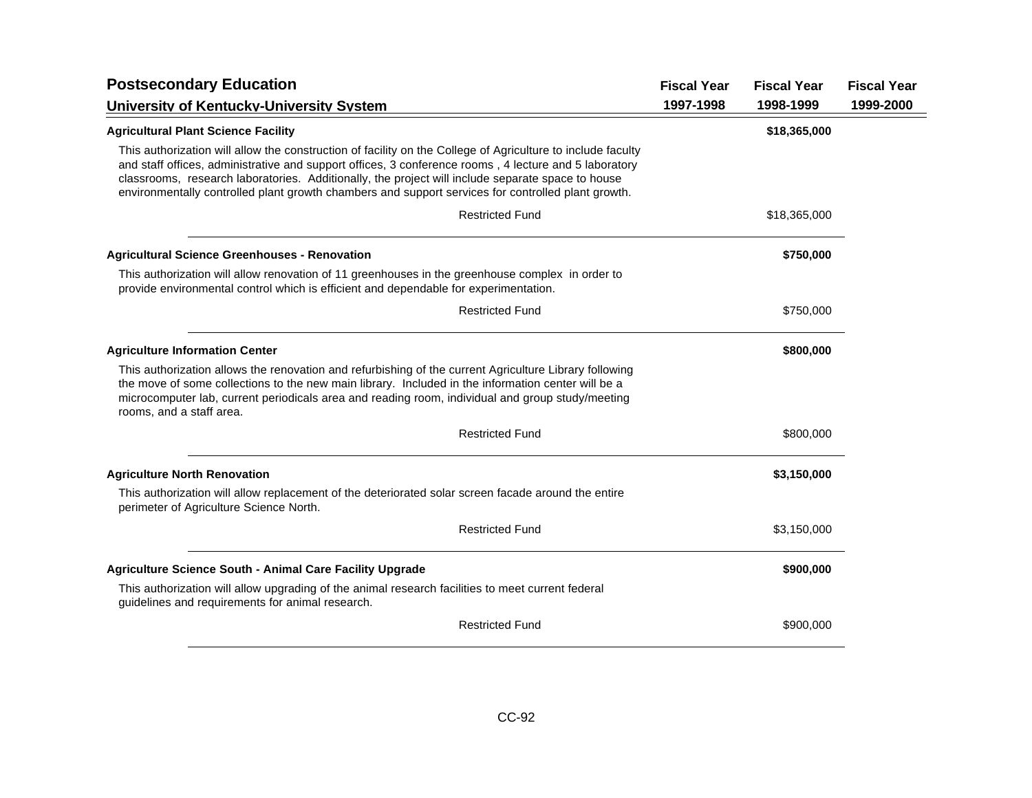| <b>Postsecondary Education</b>                                                                                                                                                                                                                                                                                                                                                                                                  | <b>Fiscal Year</b> | <b>Fiscal Year</b> | <b>Fiscal Year</b> |
|---------------------------------------------------------------------------------------------------------------------------------------------------------------------------------------------------------------------------------------------------------------------------------------------------------------------------------------------------------------------------------------------------------------------------------|--------------------|--------------------|--------------------|
| University of Kentucky-University System                                                                                                                                                                                                                                                                                                                                                                                        | 1997-1998          | 1998-1999          | 1999-2000          |
| <b>Agricultural Plant Science Facility</b>                                                                                                                                                                                                                                                                                                                                                                                      |                    | \$18,365,000       |                    |
| This authorization will allow the construction of facility on the College of Agriculture to include faculty<br>and staff offices, administrative and support offices, 3 conference rooms, 4 lecture and 5 laboratory<br>classrooms, research laboratories. Additionally, the project will include separate space to house<br>environmentally controlled plant growth chambers and support services for controlled plant growth. |                    |                    |                    |
| <b>Restricted Fund</b>                                                                                                                                                                                                                                                                                                                                                                                                          |                    | \$18,365,000       |                    |
| <b>Agricultural Science Greenhouses - Renovation</b>                                                                                                                                                                                                                                                                                                                                                                            |                    | \$750,000          |                    |
| This authorization will allow renovation of 11 greenhouses in the greenhouse complex in order to<br>provide environmental control which is efficient and dependable for experimentation.                                                                                                                                                                                                                                        |                    |                    |                    |
| <b>Restricted Fund</b>                                                                                                                                                                                                                                                                                                                                                                                                          |                    | \$750,000          |                    |
| <b>Agriculture Information Center</b>                                                                                                                                                                                                                                                                                                                                                                                           |                    | \$800,000          |                    |
| This authorization allows the renovation and refurbishing of the current Agriculture Library following<br>the move of some collections to the new main library. Included in the information center will be a<br>microcomputer lab, current periodicals area and reading room, individual and group study/meeting<br>rooms, and a staff area.                                                                                    |                    |                    |                    |
| <b>Restricted Fund</b>                                                                                                                                                                                                                                                                                                                                                                                                          |                    | \$800,000          |                    |
| <b>Agriculture North Renovation</b>                                                                                                                                                                                                                                                                                                                                                                                             |                    | \$3,150,000        |                    |
| This authorization will allow replacement of the deteriorated solar screen facade around the entire<br>perimeter of Agriculture Science North.                                                                                                                                                                                                                                                                                  |                    |                    |                    |
| <b>Restricted Fund</b>                                                                                                                                                                                                                                                                                                                                                                                                          |                    | \$3,150,000        |                    |
| <b>Agriculture Science South - Animal Care Facility Upgrade</b>                                                                                                                                                                                                                                                                                                                                                                 |                    | \$900,000          |                    |
| This authorization will allow upgrading of the animal research facilities to meet current federal<br>guidelines and requirements for animal research.                                                                                                                                                                                                                                                                           |                    |                    |                    |
| <b>Restricted Fund</b>                                                                                                                                                                                                                                                                                                                                                                                                          |                    | \$900,000          |                    |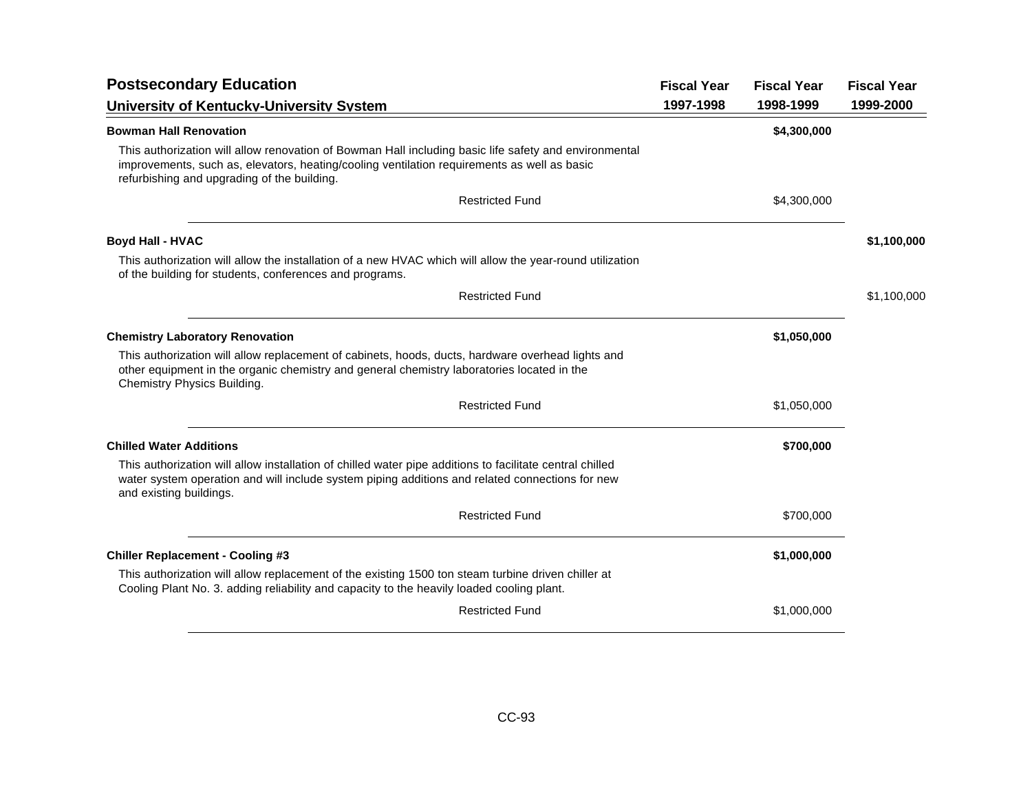| <b>Postsecondary Education</b>                                                                                                                                                                                                                      | <b>Fiscal Year</b> | <b>Fiscal Year</b> | <b>Fiscal Year</b> |
|-----------------------------------------------------------------------------------------------------------------------------------------------------------------------------------------------------------------------------------------------------|--------------------|--------------------|--------------------|
| University of Kentucky-University System                                                                                                                                                                                                            | 1997-1998          | 1998-1999          | 1999-2000          |
| <b>Bowman Hall Renovation</b>                                                                                                                                                                                                                       |                    | \$4,300,000        |                    |
| This authorization will allow renovation of Bowman Hall including basic life safety and environmental<br>improvements, such as, elevators, heating/cooling ventilation requirements as well as basic<br>refurbishing and upgrading of the building. |                    |                    |                    |
| <b>Restricted Fund</b>                                                                                                                                                                                                                              |                    | \$4,300,000        |                    |
| <b>Boyd Hall - HVAC</b>                                                                                                                                                                                                                             |                    |                    | \$1,100,000        |
| This authorization will allow the installation of a new HVAC which will allow the year-round utilization<br>of the building for students, conferences and programs.                                                                                 |                    |                    |                    |
| <b>Restricted Fund</b>                                                                                                                                                                                                                              |                    |                    | \$1,100,000        |
| <b>Chemistry Laboratory Renovation</b>                                                                                                                                                                                                              |                    | \$1,050,000        |                    |
| This authorization will allow replacement of cabinets, hoods, ducts, hardware overhead lights and<br>other equipment in the organic chemistry and general chemistry laboratories located in the<br>Chemistry Physics Building.                      |                    |                    |                    |
| <b>Restricted Fund</b>                                                                                                                                                                                                                              |                    | \$1,050,000        |                    |
| <b>Chilled Water Additions</b>                                                                                                                                                                                                                      |                    | \$700,000          |                    |
| This authorization will allow installation of chilled water pipe additions to facilitate central chilled<br>water system operation and will include system piping additions and related connections for new<br>and existing buildings.              |                    |                    |                    |
| <b>Restricted Fund</b>                                                                                                                                                                                                                              |                    | \$700,000          |                    |
| <b>Chiller Replacement - Cooling #3</b>                                                                                                                                                                                                             |                    | \$1,000,000        |                    |
| This authorization will allow replacement of the existing 1500 ton steam turbine driven chiller at<br>Cooling Plant No. 3. adding reliability and capacity to the heavily loaded cooling plant.                                                     |                    |                    |                    |
| <b>Restricted Fund</b>                                                                                                                                                                                                                              |                    | \$1,000,000        |                    |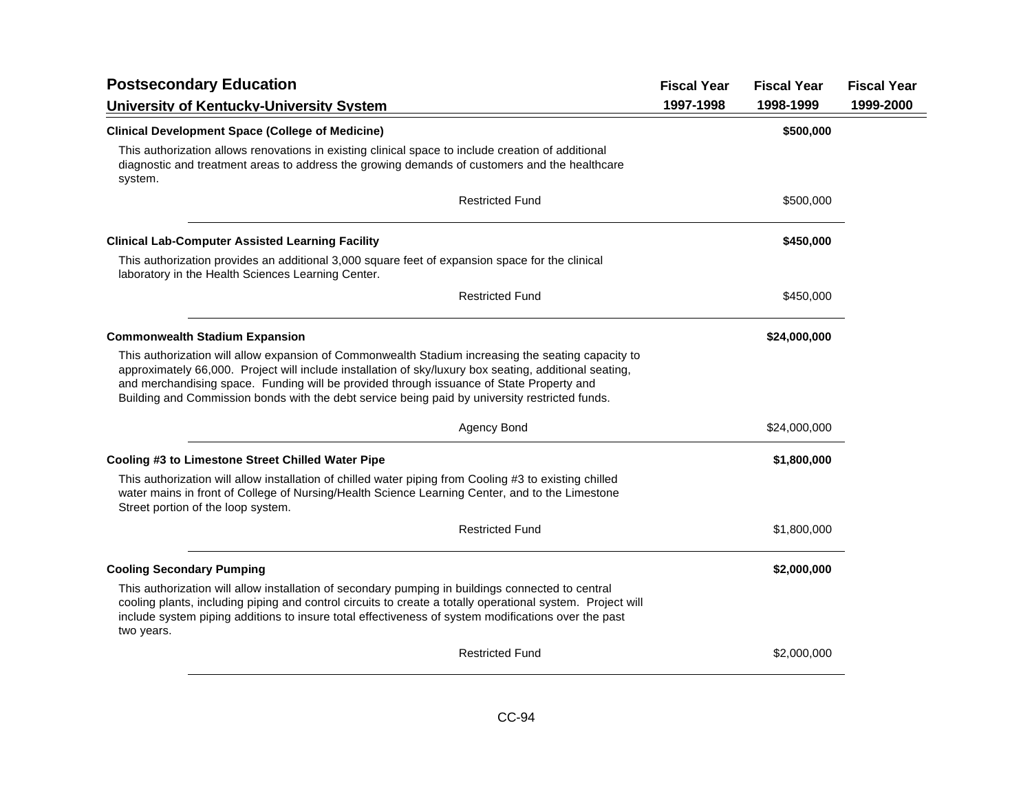| <b>Postsecondary Education</b>                                                                                                                                                                                                                                                                                                                                                                             | <b>Fiscal Year</b> | <b>Fiscal Year</b> | <b>Fiscal Year</b> |
|------------------------------------------------------------------------------------------------------------------------------------------------------------------------------------------------------------------------------------------------------------------------------------------------------------------------------------------------------------------------------------------------------------|--------------------|--------------------|--------------------|
| University of Kentucky-University System                                                                                                                                                                                                                                                                                                                                                                   | 1997-1998          | 1998-1999          | 1999-2000          |
| <b>Clinical Development Space (College of Medicine)</b>                                                                                                                                                                                                                                                                                                                                                    |                    | \$500,000          |                    |
| This authorization allows renovations in existing clinical space to include creation of additional<br>diagnostic and treatment areas to address the growing demands of customers and the healthcare<br>system.                                                                                                                                                                                             |                    |                    |                    |
| <b>Restricted Fund</b>                                                                                                                                                                                                                                                                                                                                                                                     |                    | \$500,000          |                    |
| <b>Clinical Lab-Computer Assisted Learning Facility</b>                                                                                                                                                                                                                                                                                                                                                    |                    | \$450,000          |                    |
| This authorization provides an additional 3,000 square feet of expansion space for the clinical<br>laboratory in the Health Sciences Learning Center.                                                                                                                                                                                                                                                      |                    |                    |                    |
| <b>Restricted Fund</b>                                                                                                                                                                                                                                                                                                                                                                                     |                    | \$450,000          |                    |
| <b>Commonwealth Stadium Expansion</b>                                                                                                                                                                                                                                                                                                                                                                      |                    | \$24,000,000       |                    |
| This authorization will allow expansion of Commonwealth Stadium increasing the seating capacity to<br>approximately 66,000. Project will include installation of sky/luxury box seating, additional seating,<br>and merchandising space. Funding will be provided through issuance of State Property and<br>Building and Commission bonds with the debt service being paid by university restricted funds. |                    |                    |                    |
| Agency Bond                                                                                                                                                                                                                                                                                                                                                                                                |                    | \$24,000,000       |                    |
| Cooling #3 to Limestone Street Chilled Water Pipe                                                                                                                                                                                                                                                                                                                                                          |                    | \$1,800,000        |                    |
| This authorization will allow installation of chilled water piping from Cooling #3 to existing chilled<br>water mains in front of College of Nursing/Health Science Learning Center, and to the Limestone<br>Street portion of the loop system.                                                                                                                                                            |                    |                    |                    |
| <b>Restricted Fund</b>                                                                                                                                                                                                                                                                                                                                                                                     |                    | \$1,800,000        |                    |
| <b>Cooling Secondary Pumping</b>                                                                                                                                                                                                                                                                                                                                                                           |                    | \$2,000,000        |                    |
| This authorization will allow installation of secondary pumping in buildings connected to central<br>cooling plants, including piping and control circuits to create a totally operational system. Project will<br>include system piping additions to insure total effectiveness of system modifications over the past<br>two years.                                                                       |                    |                    |                    |
| <b>Restricted Fund</b>                                                                                                                                                                                                                                                                                                                                                                                     |                    | \$2,000,000        |                    |
|                                                                                                                                                                                                                                                                                                                                                                                                            |                    |                    |                    |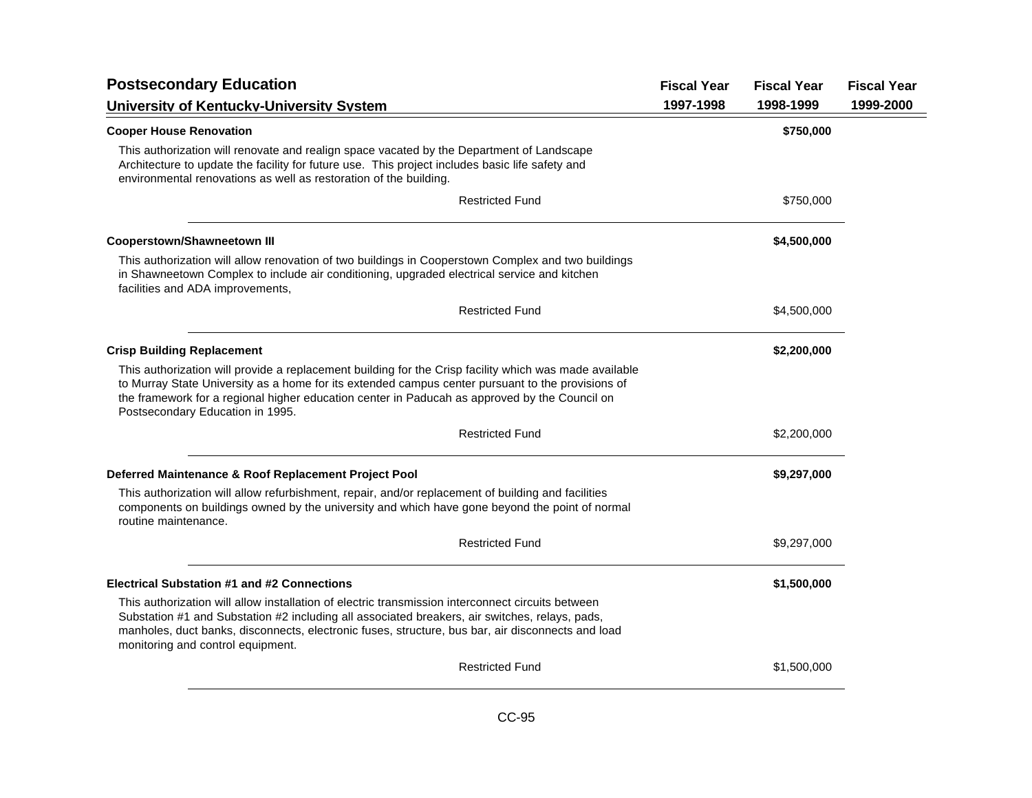| <b>Postsecondary Education</b>                                                                                                                                                                                                                                                                                                                   | <b>Fiscal Year</b> | <b>Fiscal Year</b> | <b>Fiscal Year</b> |
|--------------------------------------------------------------------------------------------------------------------------------------------------------------------------------------------------------------------------------------------------------------------------------------------------------------------------------------------------|--------------------|--------------------|--------------------|
| University of Kentucky-University System                                                                                                                                                                                                                                                                                                         | 1997-1998          | 1998-1999          | 1999-2000          |
| <b>Cooper House Renovation</b>                                                                                                                                                                                                                                                                                                                   |                    | \$750,000          |                    |
| This authorization will renovate and realign space vacated by the Department of Landscape<br>Architecture to update the facility for future use. This project includes basic life safety and<br>environmental renovations as well as restoration of the building.                                                                                |                    |                    |                    |
| <b>Restricted Fund</b>                                                                                                                                                                                                                                                                                                                           |                    | \$750,000          |                    |
| <b>Cooperstown/Shawneetown III</b>                                                                                                                                                                                                                                                                                                               |                    | \$4,500,000        |                    |
| This authorization will allow renovation of two buildings in Cooperstown Complex and two buildings<br>in Shawneetown Complex to include air conditioning, upgraded electrical service and kitchen<br>facilities and ADA improvements,                                                                                                            |                    |                    |                    |
| <b>Restricted Fund</b>                                                                                                                                                                                                                                                                                                                           |                    | \$4,500,000        |                    |
| <b>Crisp Building Replacement</b>                                                                                                                                                                                                                                                                                                                |                    | \$2,200,000        |                    |
| This authorization will provide a replacement building for the Crisp facility which was made available<br>to Murray State University as a home for its extended campus center pursuant to the provisions of<br>the framework for a regional higher education center in Paducah as approved by the Council on<br>Postsecondary Education in 1995. |                    |                    |                    |
| <b>Restricted Fund</b>                                                                                                                                                                                                                                                                                                                           |                    | \$2,200,000        |                    |
| Deferred Maintenance & Roof Replacement Project Pool                                                                                                                                                                                                                                                                                             |                    | \$9,297,000        |                    |
| This authorization will allow refurbishment, repair, and/or replacement of building and facilities<br>components on buildings owned by the university and which have gone beyond the point of normal<br>routine maintenance.                                                                                                                     |                    |                    |                    |
| <b>Restricted Fund</b>                                                                                                                                                                                                                                                                                                                           |                    | \$9,297,000        |                    |
| <b>Electrical Substation #1 and #2 Connections</b>                                                                                                                                                                                                                                                                                               |                    | \$1,500,000        |                    |
| This authorization will allow installation of electric transmission interconnect circuits between<br>Substation #1 and Substation #2 including all associated breakers, air switches, relays, pads,<br>manholes, duct banks, disconnects, electronic fuses, structure, bus bar, air disconnects and load<br>monitoring and control equipment.    |                    |                    |                    |
| <b>Restricted Fund</b>                                                                                                                                                                                                                                                                                                                           |                    | \$1,500,000        |                    |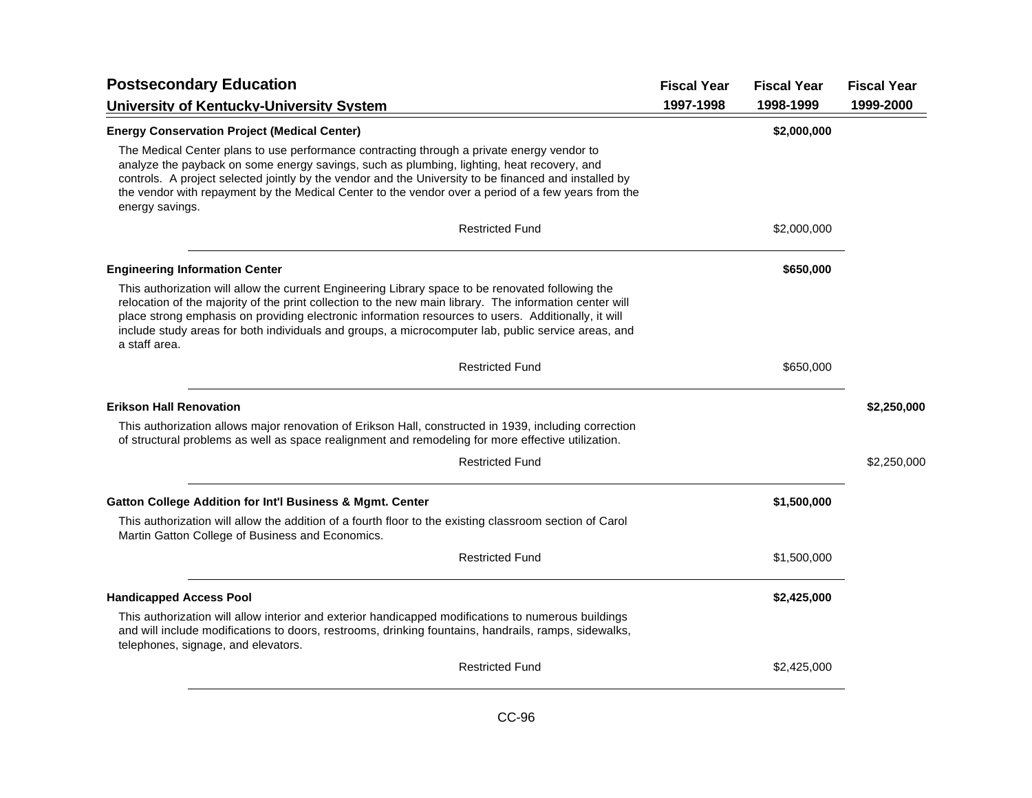| <b>Postsecondary Education</b>                                                                                                                                                                                                                                                                                                                                                                                                              | <b>Fiscal Year</b> | <b>Fiscal Year</b> | <b>Fiscal Year</b> |
|---------------------------------------------------------------------------------------------------------------------------------------------------------------------------------------------------------------------------------------------------------------------------------------------------------------------------------------------------------------------------------------------------------------------------------------------|--------------------|--------------------|--------------------|
| University of Kentucky-University System                                                                                                                                                                                                                                                                                                                                                                                                    | 1997-1998          | 1998-1999          | 1999-2000          |
| <b>Energy Conservation Project (Medical Center)</b>                                                                                                                                                                                                                                                                                                                                                                                         |                    | \$2,000,000        |                    |
| The Medical Center plans to use performance contracting through a private energy vendor to<br>analyze the payback on some energy savings, such as plumbing, lighting, heat recovery, and<br>controls. A project selected jointly by the vendor and the University to be financed and installed by<br>the vendor with repayment by the Medical Center to the vendor over a period of a few years from the<br>energy savings.                 |                    |                    |                    |
| <b>Restricted Fund</b>                                                                                                                                                                                                                                                                                                                                                                                                                      |                    | \$2,000,000        |                    |
| <b>Engineering Information Center</b>                                                                                                                                                                                                                                                                                                                                                                                                       |                    | \$650,000          |                    |
| This authorization will allow the current Engineering Library space to be renovated following the<br>relocation of the majority of the print collection to the new main library. The information center will<br>place strong emphasis on providing electronic information resources to users. Additionally, it will<br>include study areas for both individuals and groups, a microcomputer lab, public service areas, and<br>a staff area. |                    |                    |                    |
| <b>Restricted Fund</b>                                                                                                                                                                                                                                                                                                                                                                                                                      |                    | \$650,000          |                    |
| <b>Erikson Hall Renovation</b>                                                                                                                                                                                                                                                                                                                                                                                                              |                    |                    | \$2,250,000        |
| This authorization allows major renovation of Erikson Hall, constructed in 1939, including correction<br>of structural problems as well as space realignment and remodeling for more effective utilization.                                                                                                                                                                                                                                 |                    |                    |                    |
| <b>Restricted Fund</b>                                                                                                                                                                                                                                                                                                                                                                                                                      |                    |                    | \$2,250,000        |
| <b>Gatton College Addition for Int'l Business &amp; Mgmt. Center</b>                                                                                                                                                                                                                                                                                                                                                                        |                    | \$1,500,000        |                    |
| This authorization will allow the addition of a fourth floor to the existing classroom section of Carol<br>Martin Gatton College of Business and Economics.                                                                                                                                                                                                                                                                                 |                    |                    |                    |
| <b>Restricted Fund</b>                                                                                                                                                                                                                                                                                                                                                                                                                      |                    | \$1,500,000        |                    |
| <b>Handicapped Access Pool</b>                                                                                                                                                                                                                                                                                                                                                                                                              |                    | \$2,425,000        |                    |
| This authorization will allow interior and exterior handicapped modifications to numerous buildings<br>and will include modifications to doors, restrooms, drinking fountains, handrails, ramps, sidewalks,<br>telephones, signage, and elevators.                                                                                                                                                                                          |                    |                    |                    |
| <b>Restricted Fund</b>                                                                                                                                                                                                                                                                                                                                                                                                                      |                    | \$2,425,000        |                    |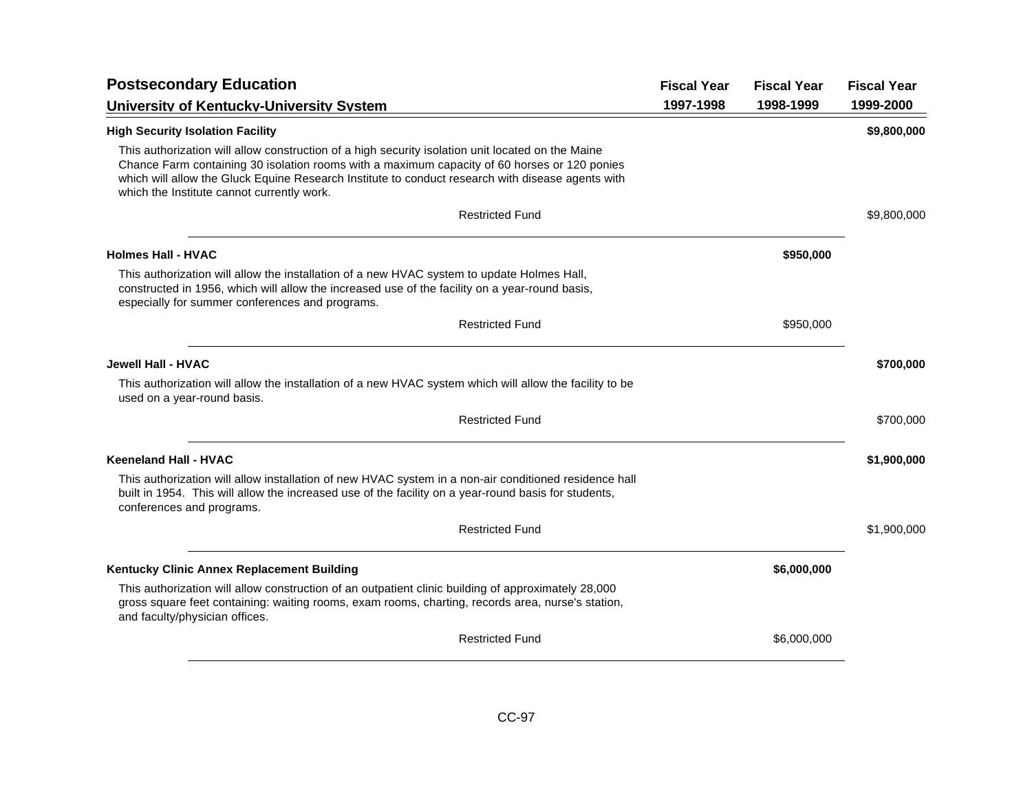| <b>Postsecondary Education</b>                                                                                                                                                                                                                                                                                                                       | <b>Fiscal Year</b> | <b>Fiscal Year</b> | <b>Fiscal Year</b> |
|------------------------------------------------------------------------------------------------------------------------------------------------------------------------------------------------------------------------------------------------------------------------------------------------------------------------------------------------------|--------------------|--------------------|--------------------|
| University of Kentucky-University System                                                                                                                                                                                                                                                                                                             | 1997-1998          | 1998-1999          | 1999-2000          |
| <b>High Security Isolation Facility</b>                                                                                                                                                                                                                                                                                                              |                    |                    | \$9,800,000        |
| This authorization will allow construction of a high security isolation unit located on the Maine<br>Chance Farm containing 30 isolation rooms with a maximum capacity of 60 horses or 120 ponies<br>which will allow the Gluck Equine Research Institute to conduct research with disease agents with<br>which the Institute cannot currently work. |                    |                    |                    |
| <b>Restricted Fund</b>                                                                                                                                                                                                                                                                                                                               |                    |                    | \$9,800,000        |
| <b>Holmes Hall - HVAC</b>                                                                                                                                                                                                                                                                                                                            |                    | \$950,000          |                    |
| This authorization will allow the installation of a new HVAC system to update Holmes Hall,<br>constructed in 1956, which will allow the increased use of the facility on a year-round basis,<br>especially for summer conferences and programs.                                                                                                      |                    |                    |                    |
| <b>Restricted Fund</b>                                                                                                                                                                                                                                                                                                                               |                    | \$950,000          |                    |
| <b>Jewell Hall - HVAC</b>                                                                                                                                                                                                                                                                                                                            |                    |                    | \$700,000          |
| This authorization will allow the installation of a new HVAC system which will allow the facility to be<br>used on a year-round basis.                                                                                                                                                                                                               |                    |                    |                    |
| <b>Restricted Fund</b>                                                                                                                                                                                                                                                                                                                               |                    |                    | \$700,000          |
| <b>Keeneland Hall - HVAC</b>                                                                                                                                                                                                                                                                                                                         |                    |                    | \$1,900,000        |
| This authorization will allow installation of new HVAC system in a non-air conditioned residence hall<br>built in 1954. This will allow the increased use of the facility on a year-round basis for students,<br>conferences and programs.                                                                                                           |                    |                    |                    |
| <b>Restricted Fund</b>                                                                                                                                                                                                                                                                                                                               |                    |                    | \$1,900,000        |
| Kentucky Clinic Annex Replacement Building                                                                                                                                                                                                                                                                                                           |                    | \$6,000,000        |                    |
| This authorization will allow construction of an outpatient clinic building of approximately 28,000<br>gross square feet containing: waiting rooms, exam rooms, charting, records area, nurse's station,<br>and faculty/physician offices.                                                                                                           |                    |                    |                    |
| <b>Restricted Fund</b>                                                                                                                                                                                                                                                                                                                               |                    | \$6,000,000        |                    |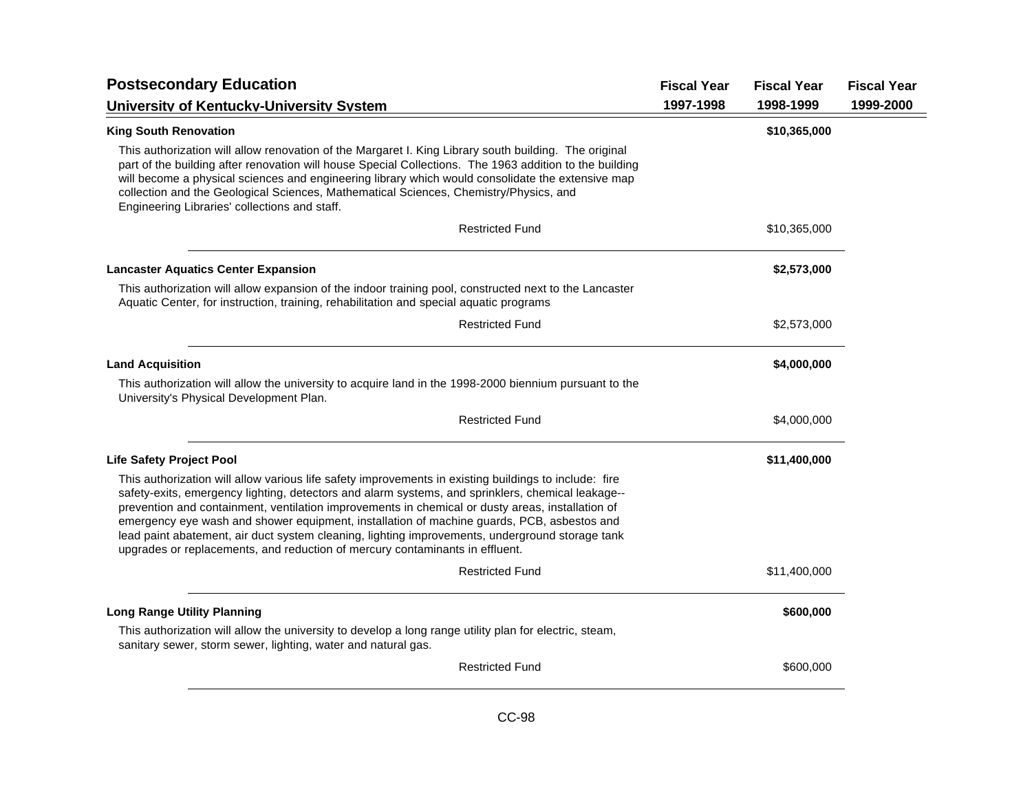| <b>Postsecondary Education</b>                                                                                                                                                                                                                                                                                                                                                                                                                                                                                                                                                                  | <b>Fiscal Year</b> | <b>Fiscal Year</b> | <b>Fiscal Year</b> |
|-------------------------------------------------------------------------------------------------------------------------------------------------------------------------------------------------------------------------------------------------------------------------------------------------------------------------------------------------------------------------------------------------------------------------------------------------------------------------------------------------------------------------------------------------------------------------------------------------|--------------------|--------------------|--------------------|
| University of Kentucky-University System                                                                                                                                                                                                                                                                                                                                                                                                                                                                                                                                                        | 1997-1998          | 1998-1999          | 1999-2000          |
| <b>King South Renovation</b>                                                                                                                                                                                                                                                                                                                                                                                                                                                                                                                                                                    |                    | \$10,365,000       |                    |
| This authorization will allow renovation of the Margaret I. King Library south building. The original<br>part of the building after renovation will house Special Collections. The 1963 addition to the building<br>will become a physical sciences and engineering library which would consolidate the extensive map<br>collection and the Geological Sciences, Mathematical Sciences, Chemistry/Physics, and<br>Engineering Libraries' collections and staff.                                                                                                                                 |                    |                    |                    |
| <b>Restricted Fund</b>                                                                                                                                                                                                                                                                                                                                                                                                                                                                                                                                                                          |                    | \$10,365,000       |                    |
| <b>Lancaster Aquatics Center Expansion</b>                                                                                                                                                                                                                                                                                                                                                                                                                                                                                                                                                      |                    | \$2,573,000        |                    |
| This authorization will allow expansion of the indoor training pool, constructed next to the Lancaster<br>Aquatic Center, for instruction, training, rehabilitation and special aquatic programs                                                                                                                                                                                                                                                                                                                                                                                                |                    |                    |                    |
| <b>Restricted Fund</b>                                                                                                                                                                                                                                                                                                                                                                                                                                                                                                                                                                          |                    | \$2,573,000        |                    |
| <b>Land Acquisition</b>                                                                                                                                                                                                                                                                                                                                                                                                                                                                                                                                                                         |                    | \$4,000,000        |                    |
| This authorization will allow the university to acquire land in the 1998-2000 biennium pursuant to the<br>University's Physical Development Plan.                                                                                                                                                                                                                                                                                                                                                                                                                                               |                    |                    |                    |
| <b>Restricted Fund</b>                                                                                                                                                                                                                                                                                                                                                                                                                                                                                                                                                                          |                    | \$4,000,000        |                    |
| <b>Life Safety Project Pool</b>                                                                                                                                                                                                                                                                                                                                                                                                                                                                                                                                                                 |                    | \$11,400,000       |                    |
| This authorization will allow various life safety improvements in existing buildings to include: fire<br>safety-exits, emergency lighting, detectors and alarm systems, and sprinklers, chemical leakage--<br>prevention and containment, ventilation improvements in chemical or dusty areas, installation of<br>emergency eye wash and shower equipment, installation of machine guards, PCB, asbestos and<br>lead paint abatement, air duct system cleaning, lighting improvements, underground storage tank<br>upgrades or replacements, and reduction of mercury contaminants in effluent. |                    |                    |                    |
| <b>Restricted Fund</b>                                                                                                                                                                                                                                                                                                                                                                                                                                                                                                                                                                          |                    | \$11,400,000       |                    |
| <b>Long Range Utility Planning</b>                                                                                                                                                                                                                                                                                                                                                                                                                                                                                                                                                              |                    | \$600,000          |                    |
| This authorization will allow the university to develop a long range utility plan for electric, steam,<br>sanitary sewer, storm sewer, lighting, water and natural gas.                                                                                                                                                                                                                                                                                                                                                                                                                         |                    |                    |                    |
| <b>Restricted Fund</b>                                                                                                                                                                                                                                                                                                                                                                                                                                                                                                                                                                          |                    | \$600,000          |                    |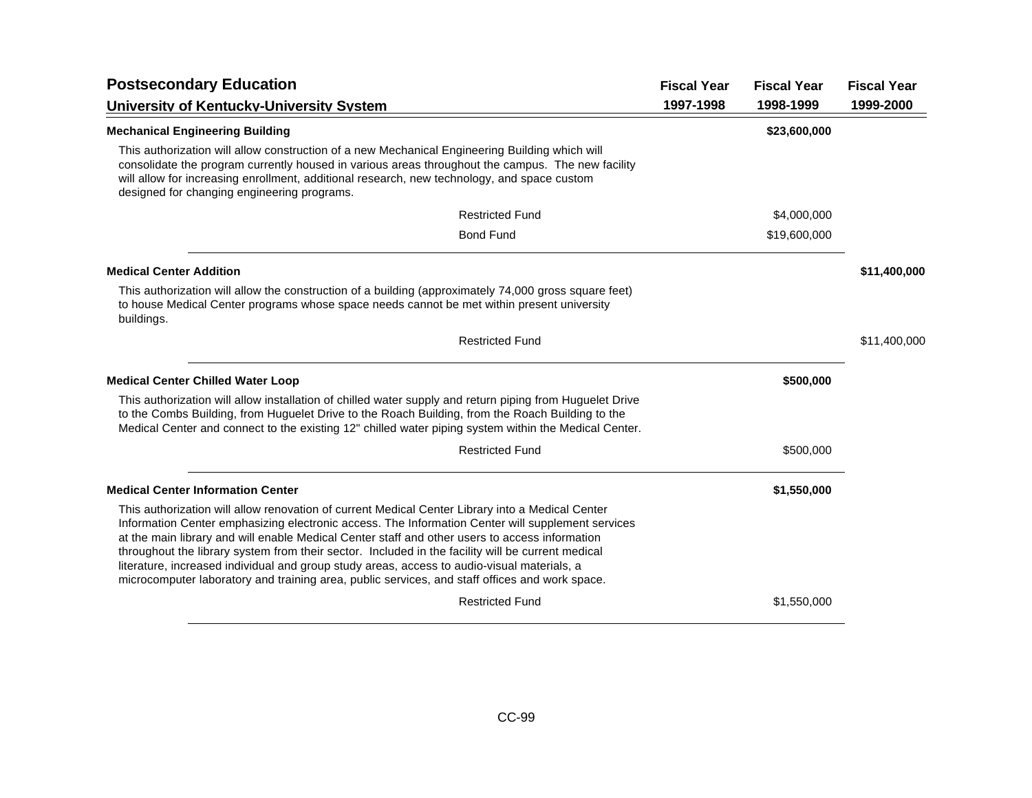| <b>Postsecondary Education</b>                                                                                                                                                                                                                                                                                                                                                                                                                                                                                                                                                                                | <b>Fiscal Year</b> | <b>Fiscal Year</b> | <b>Fiscal Year</b> |
|---------------------------------------------------------------------------------------------------------------------------------------------------------------------------------------------------------------------------------------------------------------------------------------------------------------------------------------------------------------------------------------------------------------------------------------------------------------------------------------------------------------------------------------------------------------------------------------------------------------|--------------------|--------------------|--------------------|
| <b>University of Kentucky-University System</b>                                                                                                                                                                                                                                                                                                                                                                                                                                                                                                                                                               | 1997-1998          | 1998-1999          | 1999-2000          |
| <b>Mechanical Engineering Building</b>                                                                                                                                                                                                                                                                                                                                                                                                                                                                                                                                                                        |                    | \$23,600,000       |                    |
| This authorization will allow construction of a new Mechanical Engineering Building which will<br>consolidate the program currently housed in various areas throughout the campus. The new facility<br>will allow for increasing enrollment, additional research, new technology, and space custom<br>designed for changing engineering programs.                                                                                                                                                                                                                                                             |                    |                    |                    |
| <b>Restricted Fund</b>                                                                                                                                                                                                                                                                                                                                                                                                                                                                                                                                                                                        |                    | \$4,000,000        |                    |
| <b>Bond Fund</b>                                                                                                                                                                                                                                                                                                                                                                                                                                                                                                                                                                                              |                    | \$19,600,000       |                    |
| <b>Medical Center Addition</b>                                                                                                                                                                                                                                                                                                                                                                                                                                                                                                                                                                                |                    |                    | \$11,400,000       |
| This authorization will allow the construction of a building (approximately 74,000 gross square feet)<br>to house Medical Center programs whose space needs cannot be met within present university<br>buildings.                                                                                                                                                                                                                                                                                                                                                                                             |                    |                    |                    |
| <b>Restricted Fund</b>                                                                                                                                                                                                                                                                                                                                                                                                                                                                                                                                                                                        |                    |                    | \$11,400,000       |
| <b>Medical Center Chilled Water Loop</b>                                                                                                                                                                                                                                                                                                                                                                                                                                                                                                                                                                      |                    | \$500,000          |                    |
| This authorization will allow installation of chilled water supply and return piping from Huguelet Drive<br>to the Combs Building, from Huguelet Drive to the Roach Building, from the Roach Building to the<br>Medical Center and connect to the existing 12" chilled water piping system within the Medical Center.                                                                                                                                                                                                                                                                                         |                    |                    |                    |
| <b>Restricted Fund</b>                                                                                                                                                                                                                                                                                                                                                                                                                                                                                                                                                                                        |                    | \$500,000          |                    |
| <b>Medical Center Information Center</b>                                                                                                                                                                                                                                                                                                                                                                                                                                                                                                                                                                      |                    | \$1,550,000        |                    |
| This authorization will allow renovation of current Medical Center Library into a Medical Center<br>Information Center emphasizing electronic access. The Information Center will supplement services<br>at the main library and will enable Medical Center staff and other users to access information<br>throughout the library system from their sector. Included in the facility will be current medical<br>literature, increased individual and group study areas, access to audio-visual materials, a<br>microcomputer laboratory and training area, public services, and staff offices and work space. |                    |                    |                    |
| <b>Restricted Fund</b>                                                                                                                                                                                                                                                                                                                                                                                                                                                                                                                                                                                        |                    | \$1,550,000        |                    |
|                                                                                                                                                                                                                                                                                                                                                                                                                                                                                                                                                                                                               |                    |                    |                    |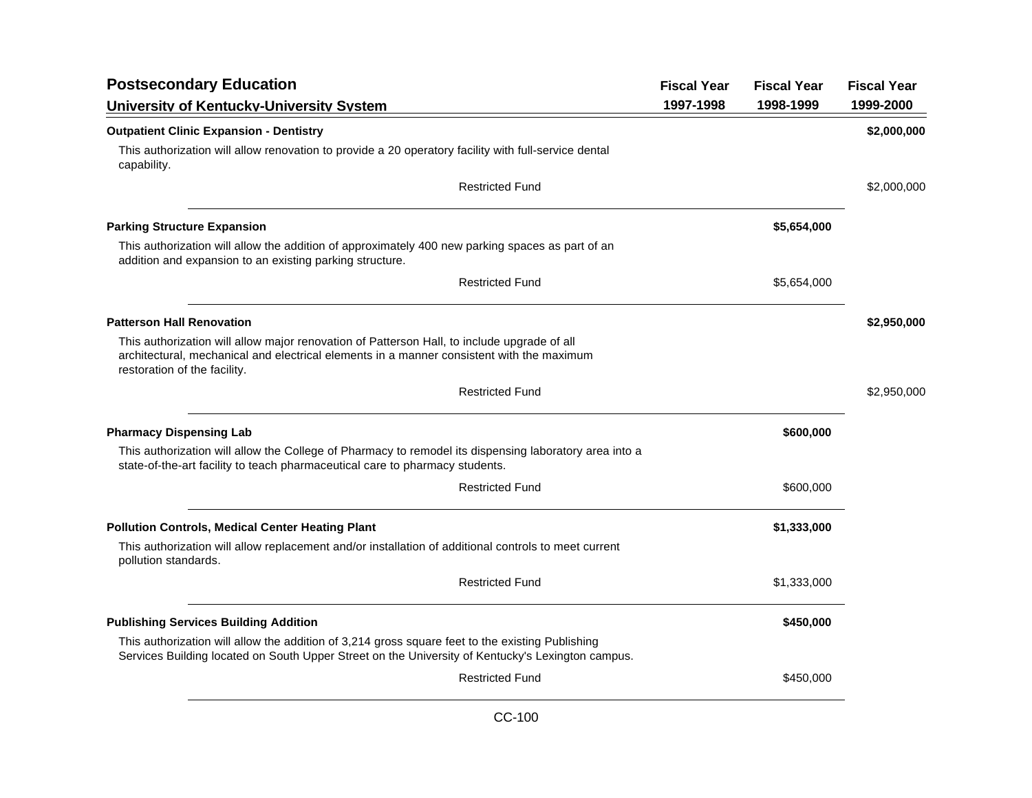| <b>Postsecondary Education</b>                                                                                                                                                                                           | <b>Fiscal Year</b> | <b>Fiscal Year</b> | <b>Fiscal Year</b> |
|--------------------------------------------------------------------------------------------------------------------------------------------------------------------------------------------------------------------------|--------------------|--------------------|--------------------|
| University of Kentucky-University System                                                                                                                                                                                 | 1997-1998          | 1998-1999          | 1999-2000          |
| <b>Outpatient Clinic Expansion - Dentistry</b>                                                                                                                                                                           |                    |                    | \$2,000,000        |
| This authorization will allow renovation to provide a 20 operatory facility with full-service dental<br>capability.                                                                                                      |                    |                    |                    |
| <b>Restricted Fund</b>                                                                                                                                                                                                   |                    |                    | \$2,000,000        |
| <b>Parking Structure Expansion</b>                                                                                                                                                                                       |                    | \$5,654,000        |                    |
| This authorization will allow the addition of approximately 400 new parking spaces as part of an<br>addition and expansion to an existing parking structure.                                                             |                    |                    |                    |
| <b>Restricted Fund</b>                                                                                                                                                                                                   |                    | \$5,654,000        |                    |
| <b>Patterson Hall Renovation</b>                                                                                                                                                                                         |                    |                    | \$2,950,000        |
| This authorization will allow major renovation of Patterson Hall, to include upgrade of all<br>architectural, mechanical and electrical elements in a manner consistent with the maximum<br>restoration of the facility. |                    |                    |                    |
| <b>Restricted Fund</b>                                                                                                                                                                                                   |                    |                    | \$2,950,000        |
| <b>Pharmacy Dispensing Lab</b>                                                                                                                                                                                           |                    | \$600,000          |                    |
| This authorization will allow the College of Pharmacy to remodel its dispensing laboratory area into a<br>state-of-the-art facility to teach pharmaceutical care to pharmacy students.                                   |                    |                    |                    |
| <b>Restricted Fund</b>                                                                                                                                                                                                   |                    | \$600,000          |                    |
| <b>Pollution Controls, Medical Center Heating Plant</b>                                                                                                                                                                  |                    | \$1,333,000        |                    |
| This authorization will allow replacement and/or installation of additional controls to meet current<br>pollution standards.                                                                                             |                    |                    |                    |
| <b>Restricted Fund</b>                                                                                                                                                                                                   |                    | \$1,333,000        |                    |
| <b>Publishing Services Building Addition</b>                                                                                                                                                                             |                    | \$450,000          |                    |
| This authorization will allow the addition of 3,214 gross square feet to the existing Publishing<br>Services Building located on South Upper Street on the University of Kentucky's Lexington campus.                    |                    |                    |                    |
| <b>Restricted Fund</b>                                                                                                                                                                                                   |                    | \$450,000          |                    |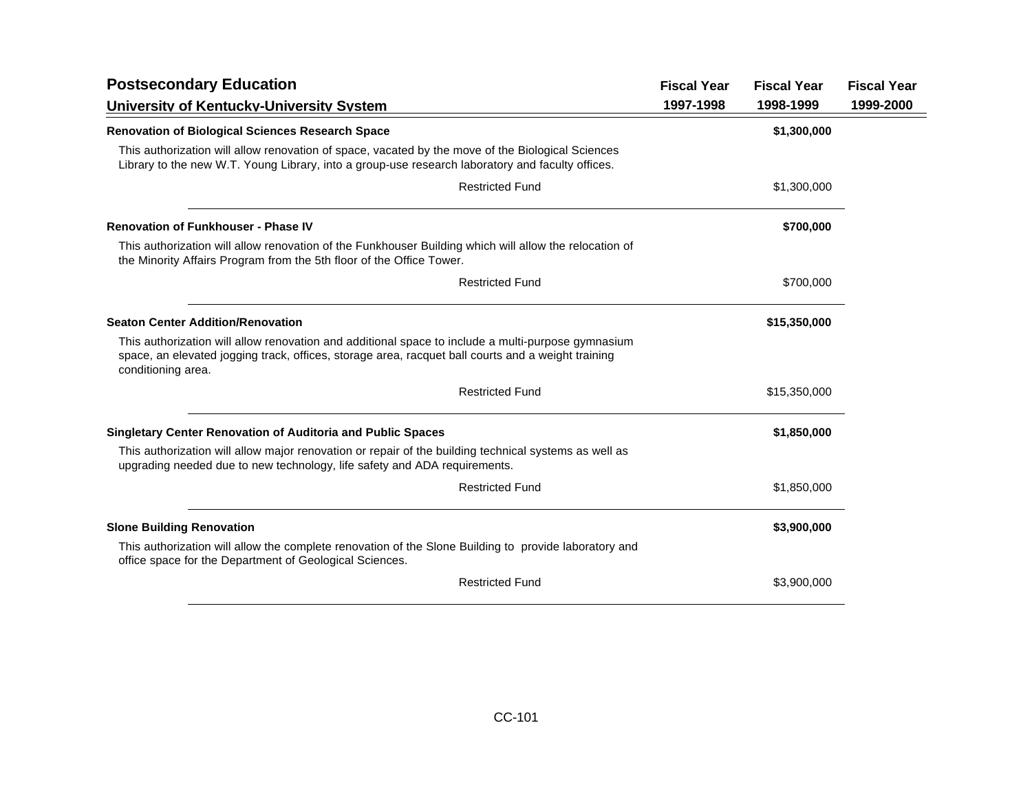| <b>Fiscal Year</b> | <b>Fiscal Year</b> | <b>Fiscal Year</b> |
|--------------------|--------------------|--------------------|
| 1997-1998          | 1998-1999          | 1999-2000          |
|                    | \$1,300,000        |                    |
|                    |                    |                    |
|                    | \$1,300,000        |                    |
|                    | \$700,000          |                    |
|                    |                    |                    |
|                    | \$700,000          |                    |
|                    | \$15,350,000       |                    |
|                    |                    |                    |
|                    | \$15,350,000       |                    |
|                    | \$1,850,000        |                    |
|                    |                    |                    |
|                    | \$1,850,000        |                    |
|                    | \$3,900,000        |                    |
|                    |                    |                    |
|                    | \$3,900,000        |                    |
|                    |                    |                    |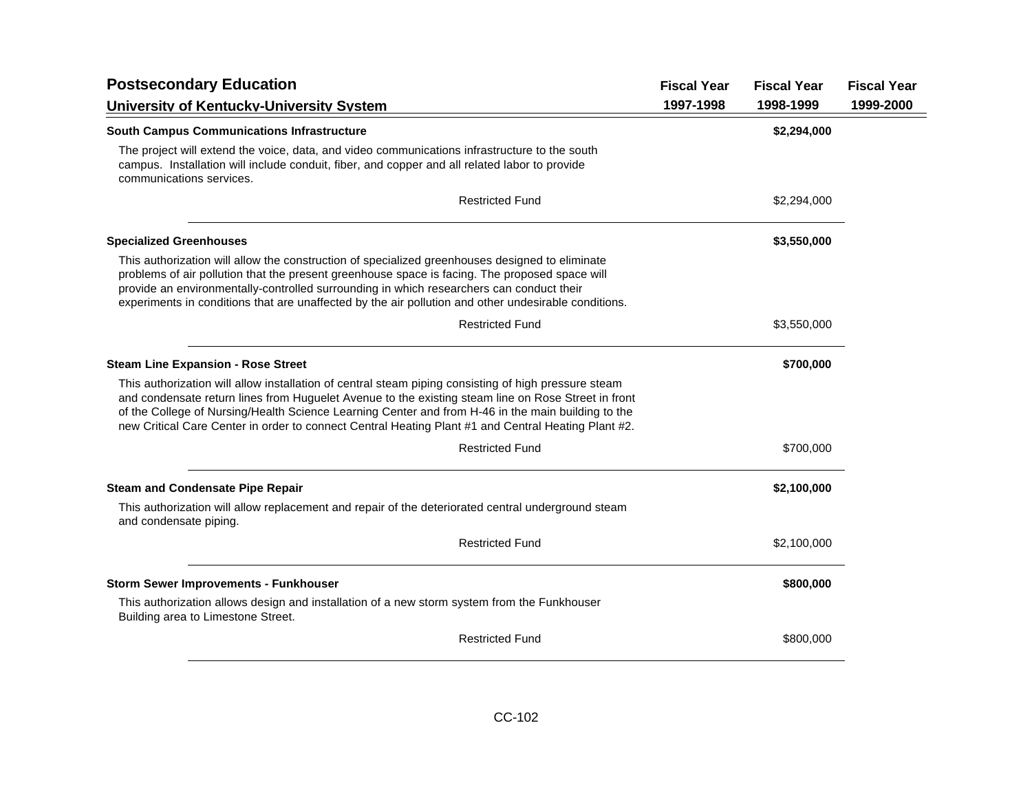| <b>Postsecondary Education</b>                                                                                                                                                                                                                                                                                                                                                                                           |           | <b>Fiscal Year</b> | <b>Fiscal Year</b> |
|--------------------------------------------------------------------------------------------------------------------------------------------------------------------------------------------------------------------------------------------------------------------------------------------------------------------------------------------------------------------------------------------------------------------------|-----------|--------------------|--------------------|
| University of Kentucky-University System                                                                                                                                                                                                                                                                                                                                                                                 | 1997-1998 | 1998-1999          | 1999-2000          |
| <b>South Campus Communications Infrastructure</b>                                                                                                                                                                                                                                                                                                                                                                        |           | \$2,294,000        |                    |
| The project will extend the voice, data, and video communications infrastructure to the south<br>campus. Installation will include conduit, fiber, and copper and all related labor to provide<br>communications services.                                                                                                                                                                                               |           |                    |                    |
| <b>Restricted Fund</b>                                                                                                                                                                                                                                                                                                                                                                                                   |           | \$2,294,000        |                    |
| <b>Specialized Greenhouses</b>                                                                                                                                                                                                                                                                                                                                                                                           |           | \$3,550,000        |                    |
| This authorization will allow the construction of specialized greenhouses designed to eliminate<br>problems of air pollution that the present greenhouse space is facing. The proposed space will<br>provide an environmentally-controlled surrounding in which researchers can conduct their<br>experiments in conditions that are unaffected by the air pollution and other undesirable conditions.                    |           |                    |                    |
| <b>Restricted Fund</b>                                                                                                                                                                                                                                                                                                                                                                                                   |           | \$3,550,000        |                    |
| <b>Steam Line Expansion - Rose Street</b>                                                                                                                                                                                                                                                                                                                                                                                |           | \$700,000          |                    |
| This authorization will allow installation of central steam piping consisting of high pressure steam<br>and condensate return lines from Huguelet Avenue to the existing steam line on Rose Street in front<br>of the College of Nursing/Health Science Learning Center and from H-46 in the main building to the<br>new Critical Care Center in order to connect Central Heating Plant #1 and Central Heating Plant #2. |           |                    |                    |
| <b>Restricted Fund</b>                                                                                                                                                                                                                                                                                                                                                                                                   |           | \$700,000          |                    |
| <b>Steam and Condensate Pipe Repair</b>                                                                                                                                                                                                                                                                                                                                                                                  |           | \$2,100,000        |                    |
| This authorization will allow replacement and repair of the deteriorated central underground steam<br>and condensate piping.                                                                                                                                                                                                                                                                                             |           |                    |                    |
| <b>Restricted Fund</b>                                                                                                                                                                                                                                                                                                                                                                                                   |           | \$2,100,000        |                    |
| <b>Storm Sewer Improvements - Funkhouser</b>                                                                                                                                                                                                                                                                                                                                                                             |           | \$800,000          |                    |
| This authorization allows design and installation of a new storm system from the Funkhouser<br>Building area to Limestone Street.                                                                                                                                                                                                                                                                                        |           |                    |                    |
| <b>Restricted Fund</b>                                                                                                                                                                                                                                                                                                                                                                                                   |           | \$800,000          |                    |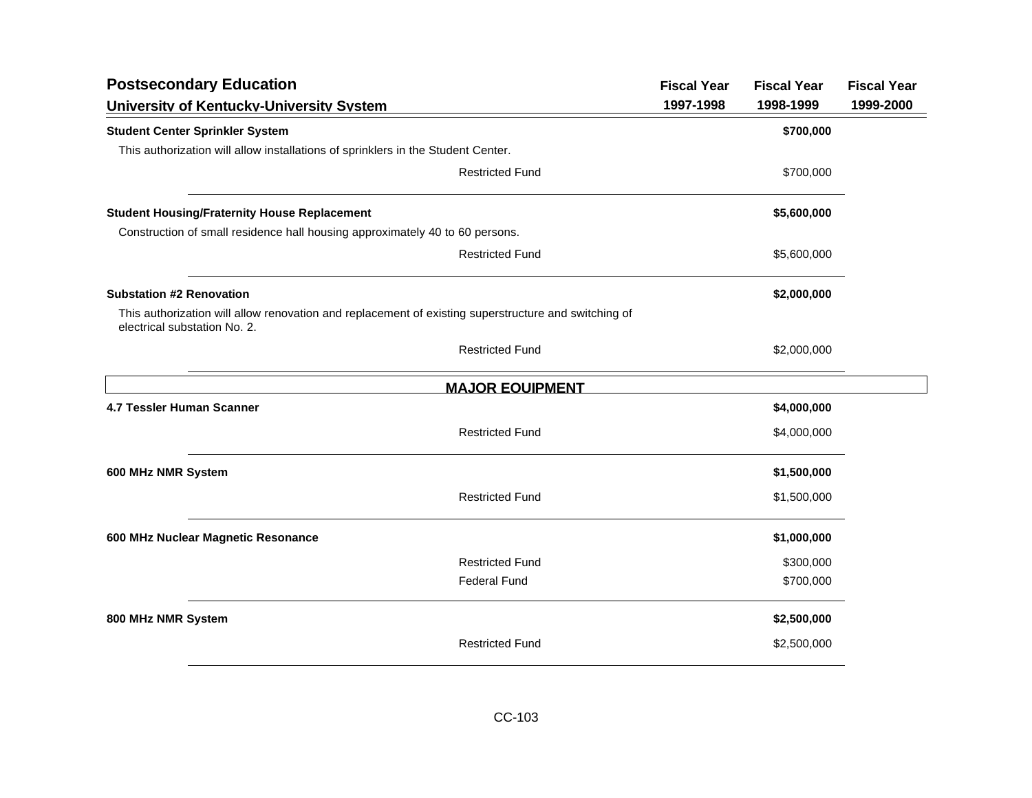| <b>Postsecondary Education</b>                                                                                                       |                        | <b>Fiscal Year</b> | <b>Fiscal Year</b> | <b>Fiscal Year</b> |
|--------------------------------------------------------------------------------------------------------------------------------------|------------------------|--------------------|--------------------|--------------------|
| University of Kentucky-University System                                                                                             |                        | 1997-1998          | 1998-1999          | 1999-2000          |
| <b>Student Center Sprinkler System</b>                                                                                               |                        |                    | \$700,000          |                    |
| This authorization will allow installations of sprinklers in the Student Center.                                                     |                        |                    |                    |                    |
|                                                                                                                                      | <b>Restricted Fund</b> |                    | \$700,000          |                    |
| <b>Student Housing/Fraternity House Replacement</b>                                                                                  |                        |                    | \$5,600,000        |                    |
| Construction of small residence hall housing approximately 40 to 60 persons.                                                         |                        |                    |                    |                    |
|                                                                                                                                      | <b>Restricted Fund</b> |                    | \$5,600,000        |                    |
| <b>Substation #2 Renovation</b>                                                                                                      |                        |                    | \$2,000,000        |                    |
| This authorization will allow renovation and replacement of existing superstructure and switching of<br>electrical substation No. 2. |                        |                    |                    |                    |
|                                                                                                                                      | <b>Restricted Fund</b> |                    | \$2,000,000        |                    |
|                                                                                                                                      | <b>MAJOR EQUIPMENT</b> |                    |                    |                    |
| 4.7 Tessler Human Scanner                                                                                                            |                        |                    | \$4,000,000        |                    |
|                                                                                                                                      | <b>Restricted Fund</b> |                    | \$4,000,000        |                    |
| 600 MHz NMR System                                                                                                                   |                        |                    | \$1,500,000        |                    |
|                                                                                                                                      | <b>Restricted Fund</b> |                    | \$1,500,000        |                    |
| 600 MHz Nuclear Magnetic Resonance                                                                                                   |                        |                    | \$1,000,000        |                    |
|                                                                                                                                      | <b>Restricted Fund</b> |                    | \$300,000          |                    |
|                                                                                                                                      | <b>Federal Fund</b>    |                    | \$700,000          |                    |
| 800 MHz NMR System                                                                                                                   |                        |                    | \$2,500,000        |                    |
|                                                                                                                                      | <b>Restricted Fund</b> |                    | \$2,500,000        |                    |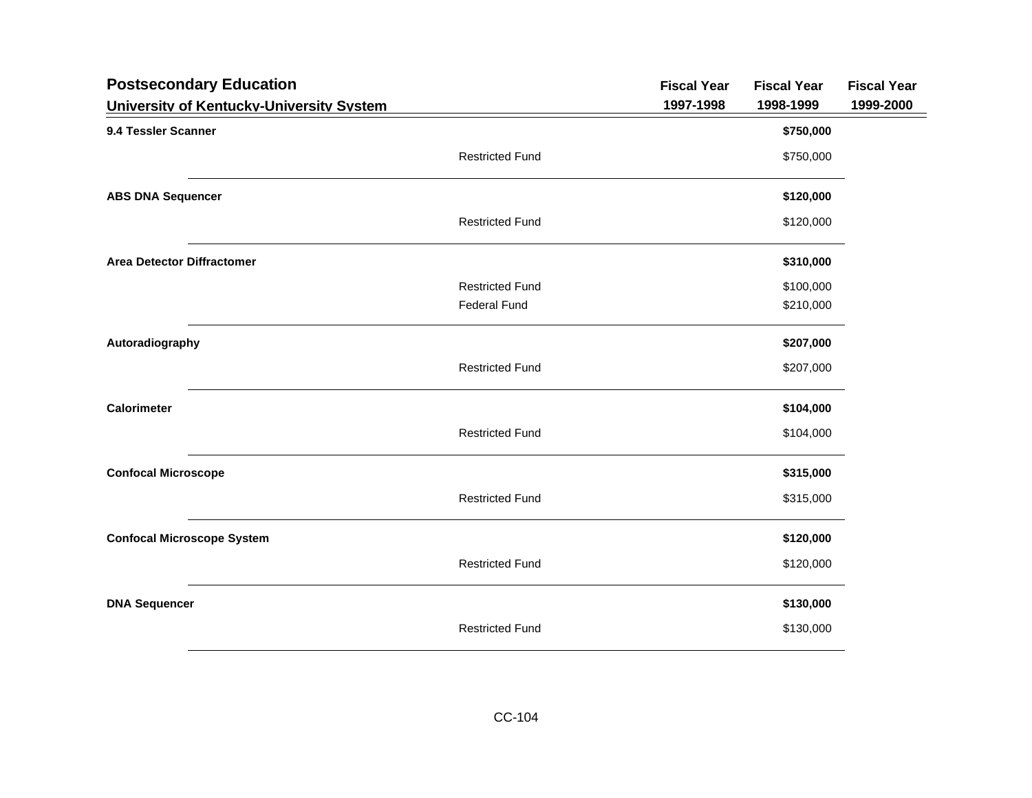| University of Kentucky-University System<br>1997-1998<br>1998-1999<br>9.4 Tessler Scanner<br>\$750,000<br><b>Restricted Fund</b><br>\$750,000<br>\$120,000<br><b>ABS DNA Sequencer</b><br><b>Restricted Fund</b><br>\$120,000<br><b>Area Detector Diffractomer</b><br>\$310,000<br><b>Restricted Fund</b><br>\$100,000<br><b>Federal Fund</b><br>\$210,000<br>Autoradiography<br>\$207,000<br><b>Restricted Fund</b><br>\$207,000<br><b>Calorimeter</b><br>\$104,000<br><b>Restricted Fund</b><br>\$104,000<br><b>Confocal Microscope</b><br>\$315,000<br><b>Restricted Fund</b><br>\$315,000<br><b>Confocal Microscope System</b><br>\$120,000<br><b>Restricted Fund</b><br>\$120,000<br>\$130,000<br><b>DNA Sequencer</b><br><b>Restricted Fund</b><br>\$130,000 | <b>Postsecondary Education</b> | <b>Fiscal Year</b> | <b>Fiscal Year</b> | <b>Fiscal Year</b> |
|--------------------------------------------------------------------------------------------------------------------------------------------------------------------------------------------------------------------------------------------------------------------------------------------------------------------------------------------------------------------------------------------------------------------------------------------------------------------------------------------------------------------------------------------------------------------------------------------------------------------------------------------------------------------------------------------------------------------------------------------------------------------|--------------------------------|--------------------|--------------------|--------------------|
|                                                                                                                                                                                                                                                                                                                                                                                                                                                                                                                                                                                                                                                                                                                                                                    |                                |                    |                    | 1999-2000          |
|                                                                                                                                                                                                                                                                                                                                                                                                                                                                                                                                                                                                                                                                                                                                                                    |                                |                    |                    |                    |
|                                                                                                                                                                                                                                                                                                                                                                                                                                                                                                                                                                                                                                                                                                                                                                    |                                |                    |                    |                    |
|                                                                                                                                                                                                                                                                                                                                                                                                                                                                                                                                                                                                                                                                                                                                                                    |                                |                    |                    |                    |
|                                                                                                                                                                                                                                                                                                                                                                                                                                                                                                                                                                                                                                                                                                                                                                    |                                |                    |                    |                    |
|                                                                                                                                                                                                                                                                                                                                                                                                                                                                                                                                                                                                                                                                                                                                                                    |                                |                    |                    |                    |
|                                                                                                                                                                                                                                                                                                                                                                                                                                                                                                                                                                                                                                                                                                                                                                    |                                |                    |                    |                    |
|                                                                                                                                                                                                                                                                                                                                                                                                                                                                                                                                                                                                                                                                                                                                                                    |                                |                    |                    |                    |
|                                                                                                                                                                                                                                                                                                                                                                                                                                                                                                                                                                                                                                                                                                                                                                    |                                |                    |                    |                    |
|                                                                                                                                                                                                                                                                                                                                                                                                                                                                                                                                                                                                                                                                                                                                                                    |                                |                    |                    |                    |
|                                                                                                                                                                                                                                                                                                                                                                                                                                                                                                                                                                                                                                                                                                                                                                    |                                |                    |                    |                    |
|                                                                                                                                                                                                                                                                                                                                                                                                                                                                                                                                                                                                                                                                                                                                                                    |                                |                    |                    |                    |
|                                                                                                                                                                                                                                                                                                                                                                                                                                                                                                                                                                                                                                                                                                                                                                    |                                |                    |                    |                    |
|                                                                                                                                                                                                                                                                                                                                                                                                                                                                                                                                                                                                                                                                                                                                                                    |                                |                    |                    |                    |
|                                                                                                                                                                                                                                                                                                                                                                                                                                                                                                                                                                                                                                                                                                                                                                    |                                |                    |                    |                    |
|                                                                                                                                                                                                                                                                                                                                                                                                                                                                                                                                                                                                                                                                                                                                                                    |                                |                    |                    |                    |
|                                                                                                                                                                                                                                                                                                                                                                                                                                                                                                                                                                                                                                                                                                                                                                    |                                |                    |                    |                    |
|                                                                                                                                                                                                                                                                                                                                                                                                                                                                                                                                                                                                                                                                                                                                                                    |                                |                    |                    |                    |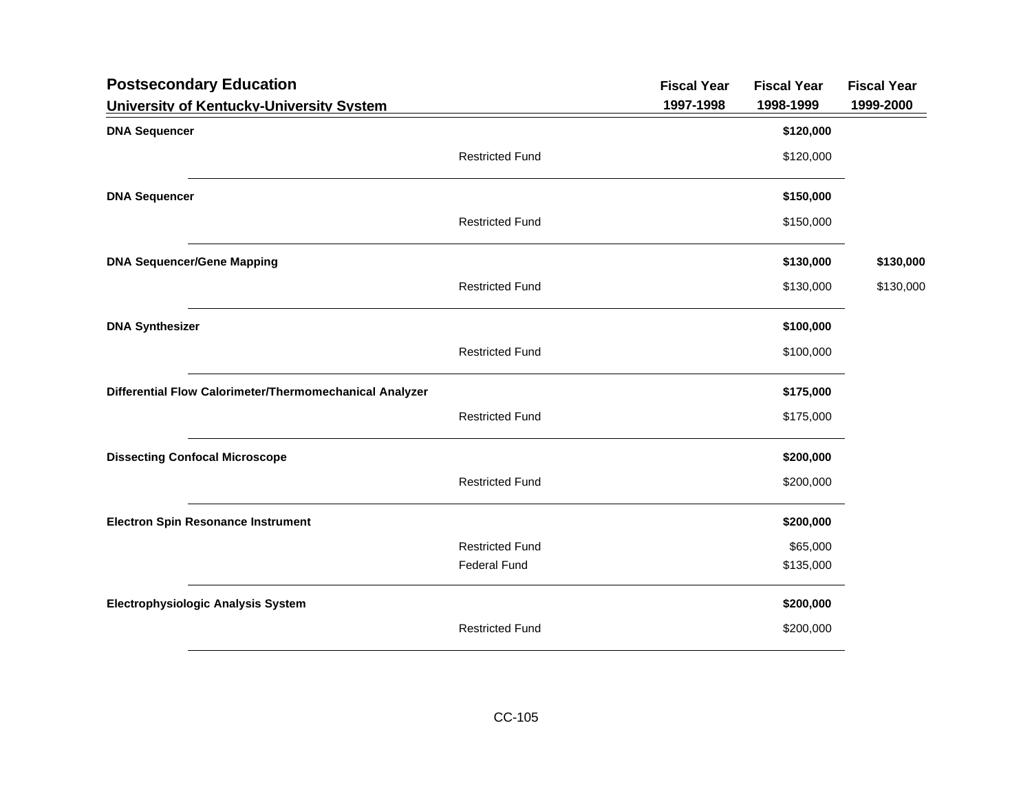| <b>Postsecondary Education</b>                          |                        | <b>Fiscal Year</b> | <b>Fiscal Year</b> | <b>Fiscal Year</b> |
|---------------------------------------------------------|------------------------|--------------------|--------------------|--------------------|
| University of Kentucky-University System                |                        | 1997-1998          | 1998-1999          | 1999-2000          |
| <b>DNA Sequencer</b>                                    |                        |                    | \$120,000          |                    |
|                                                         | <b>Restricted Fund</b> |                    | \$120,000          |                    |
| <b>DNA Sequencer</b>                                    |                        |                    | \$150,000          |                    |
|                                                         | <b>Restricted Fund</b> |                    | \$150,000          |                    |
| <b>DNA Sequencer/Gene Mapping</b>                       |                        |                    | \$130,000          | \$130,000          |
|                                                         | <b>Restricted Fund</b> |                    | \$130,000          | \$130,000          |
| <b>DNA Synthesizer</b>                                  |                        |                    | \$100,000          |                    |
|                                                         | <b>Restricted Fund</b> |                    | \$100,000          |                    |
| Differential Flow Calorimeter/Thermomechanical Analyzer |                        |                    | \$175,000          |                    |
|                                                         | <b>Restricted Fund</b> |                    | \$175,000          |                    |
| <b>Dissecting Confocal Microscope</b>                   |                        |                    | \$200,000          |                    |
|                                                         | <b>Restricted Fund</b> |                    | \$200,000          |                    |
| <b>Electron Spin Resonance Instrument</b>               |                        |                    | \$200,000          |                    |
|                                                         | <b>Restricted Fund</b> |                    | \$65,000           |                    |
|                                                         | <b>Federal Fund</b>    |                    | \$135,000          |                    |
| <b>Electrophysiologic Analysis System</b>               |                        |                    | \$200,000          |                    |
|                                                         | <b>Restricted Fund</b> |                    | \$200,000          |                    |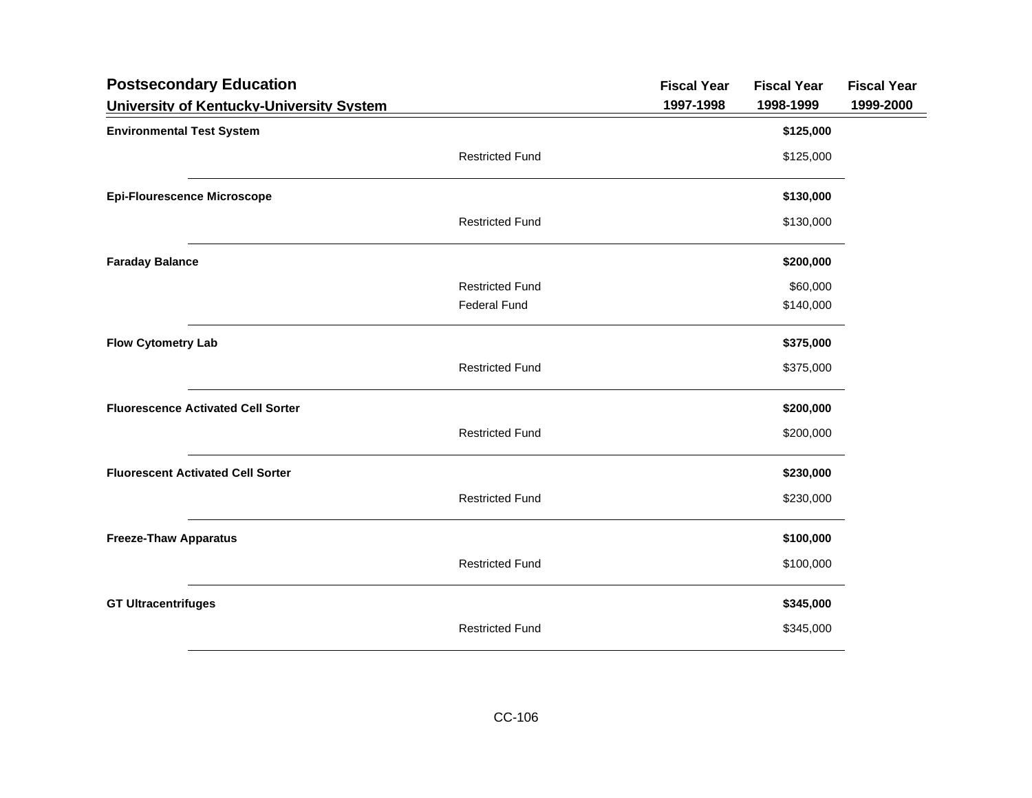| <b>Postsecondary Education</b>            |                        | <b>Fiscal Year</b> | <b>Fiscal Year</b> | <b>Fiscal Year</b> |
|-------------------------------------------|------------------------|--------------------|--------------------|--------------------|
| University of Kentucky-University System  |                        | 1997-1998          | 1998-1999          | 1999-2000          |
| <b>Environmental Test System</b>          |                        |                    | \$125,000          |                    |
|                                           | <b>Restricted Fund</b> |                    | \$125,000          |                    |
| <b>Epi-Flourescence Microscope</b>        |                        |                    | \$130,000          |                    |
|                                           | <b>Restricted Fund</b> |                    | \$130,000          |                    |
| <b>Faraday Balance</b>                    |                        |                    | \$200,000          |                    |
|                                           | <b>Restricted Fund</b> |                    | \$60,000           |                    |
|                                           | <b>Federal Fund</b>    |                    | \$140,000          |                    |
| <b>Flow Cytometry Lab</b>                 |                        |                    | \$375,000          |                    |
|                                           | <b>Restricted Fund</b> |                    | \$375,000          |                    |
| <b>Fluorescence Activated Cell Sorter</b> |                        |                    | \$200,000          |                    |
|                                           | <b>Restricted Fund</b> |                    | \$200,000          |                    |
| <b>Fluorescent Activated Cell Sorter</b>  |                        |                    | \$230,000          |                    |
|                                           | <b>Restricted Fund</b> |                    | \$230,000          |                    |
| <b>Freeze-Thaw Apparatus</b>              |                        |                    | \$100,000          |                    |
|                                           | <b>Restricted Fund</b> |                    | \$100,000          |                    |
| <b>GT Ultracentrifuges</b>                |                        |                    | \$345,000          |                    |
|                                           | <b>Restricted Fund</b> |                    | \$345,000          |                    |
|                                           |                        |                    |                    |                    |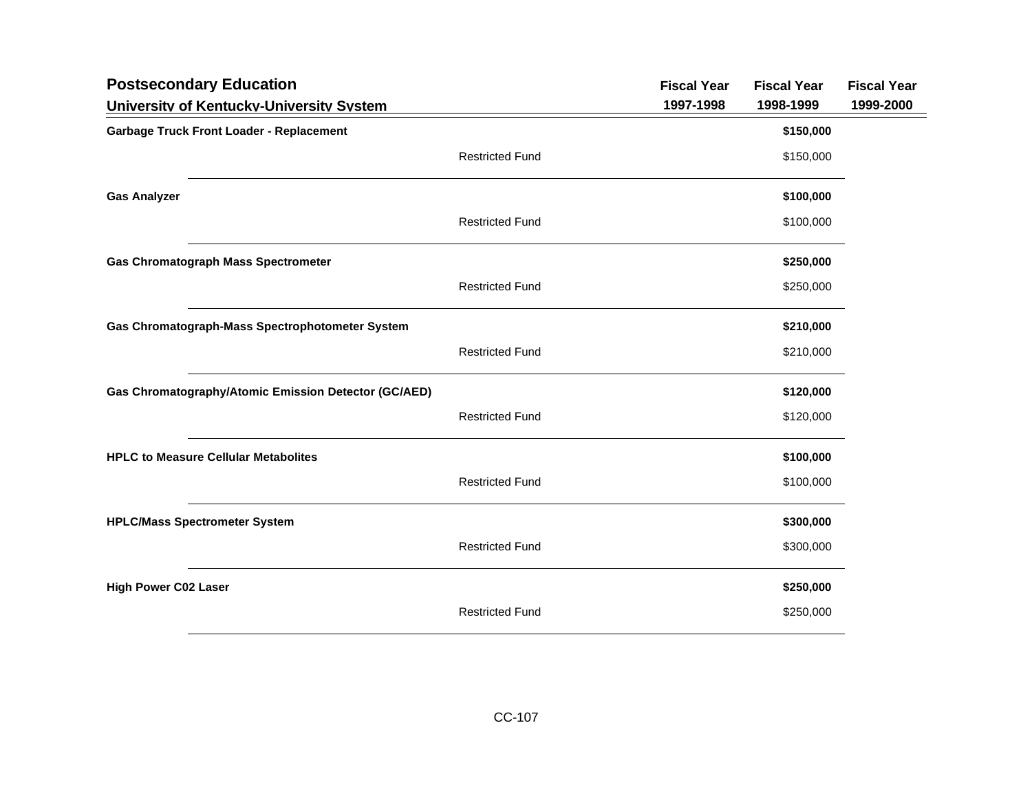| <b>Postsecondary Education</b>                       |                        | <b>Fiscal Year</b> | <b>Fiscal Year</b> | <b>Fiscal Year</b> |
|------------------------------------------------------|------------------------|--------------------|--------------------|--------------------|
| University of Kentucky-University System             |                        | 1997-1998          | 1998-1999          | 1999-2000          |
| <b>Garbage Truck Front Loader - Replacement</b>      |                        |                    | \$150,000          |                    |
|                                                      | <b>Restricted Fund</b> |                    | \$150,000          |                    |
| <b>Gas Analyzer</b>                                  |                        |                    | \$100,000          |                    |
|                                                      | <b>Restricted Fund</b> |                    | \$100,000          |                    |
| <b>Gas Chromatograph Mass Spectrometer</b>           |                        |                    | \$250,000          |                    |
|                                                      | <b>Restricted Fund</b> |                    | \$250,000          |                    |
| Gas Chromatograph-Mass Spectrophotometer System      |                        |                    | \$210,000          |                    |
|                                                      | <b>Restricted Fund</b> |                    | \$210,000          |                    |
| Gas Chromatography/Atomic Emission Detector (GC/AED) |                        |                    | \$120,000          |                    |
|                                                      | <b>Restricted Fund</b> |                    | \$120,000          |                    |
| <b>HPLC to Measure Cellular Metabolites</b>          |                        |                    | \$100,000          |                    |
|                                                      | <b>Restricted Fund</b> |                    | \$100,000          |                    |
| <b>HPLC/Mass Spectrometer System</b>                 |                        |                    | \$300,000          |                    |
|                                                      | <b>Restricted Fund</b> |                    | \$300,000          |                    |
| <b>High Power C02 Laser</b>                          |                        |                    | \$250,000          |                    |
|                                                      | <b>Restricted Fund</b> |                    | \$250,000          |                    |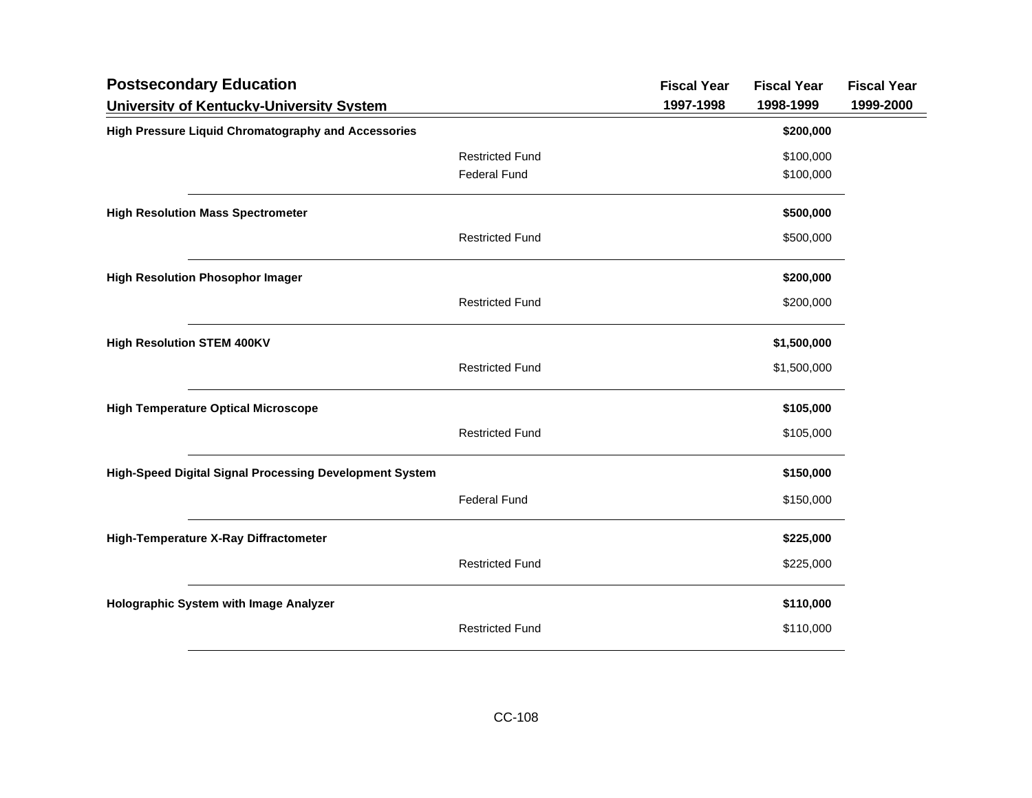| <b>Postsecondary Education</b>                             |                        | <b>Fiscal Year</b> | <b>Fiscal Year</b> | <b>Fiscal Year</b> |
|------------------------------------------------------------|------------------------|--------------------|--------------------|--------------------|
| University of Kentucky-University System                   |                        | 1997-1998          | 1998-1999          | 1999-2000          |
| <b>High Pressure Liquid Chromatography and Accessories</b> |                        |                    | \$200,000          |                    |
|                                                            | <b>Restricted Fund</b> |                    | \$100,000          |                    |
|                                                            | <b>Federal Fund</b>    |                    | \$100,000          |                    |
| <b>High Resolution Mass Spectrometer</b>                   |                        |                    | \$500,000          |                    |
|                                                            | <b>Restricted Fund</b> |                    | \$500,000          |                    |
| <b>High Resolution Phosophor Imager</b>                    |                        |                    | \$200,000          |                    |
|                                                            | <b>Restricted Fund</b> |                    | \$200,000          |                    |
| <b>High Resolution STEM 400KV</b>                          |                        |                    | \$1,500,000        |                    |
|                                                            | <b>Restricted Fund</b> |                    | \$1,500,000        |                    |
| <b>High Temperature Optical Microscope</b>                 |                        |                    | \$105,000          |                    |
|                                                            | <b>Restricted Fund</b> |                    | \$105,000          |                    |
| High-Speed Digital Signal Processing Development System    |                        |                    | \$150,000          |                    |
|                                                            | <b>Federal Fund</b>    |                    | \$150,000          |                    |
| High-Temperature X-Ray Diffractometer                      |                        |                    | \$225,000          |                    |
|                                                            | <b>Restricted Fund</b> |                    | \$225,000          |                    |
| Holographic System with Image Analyzer                     |                        |                    | \$110,000          |                    |
|                                                            | <b>Restricted Fund</b> |                    | \$110,000          |                    |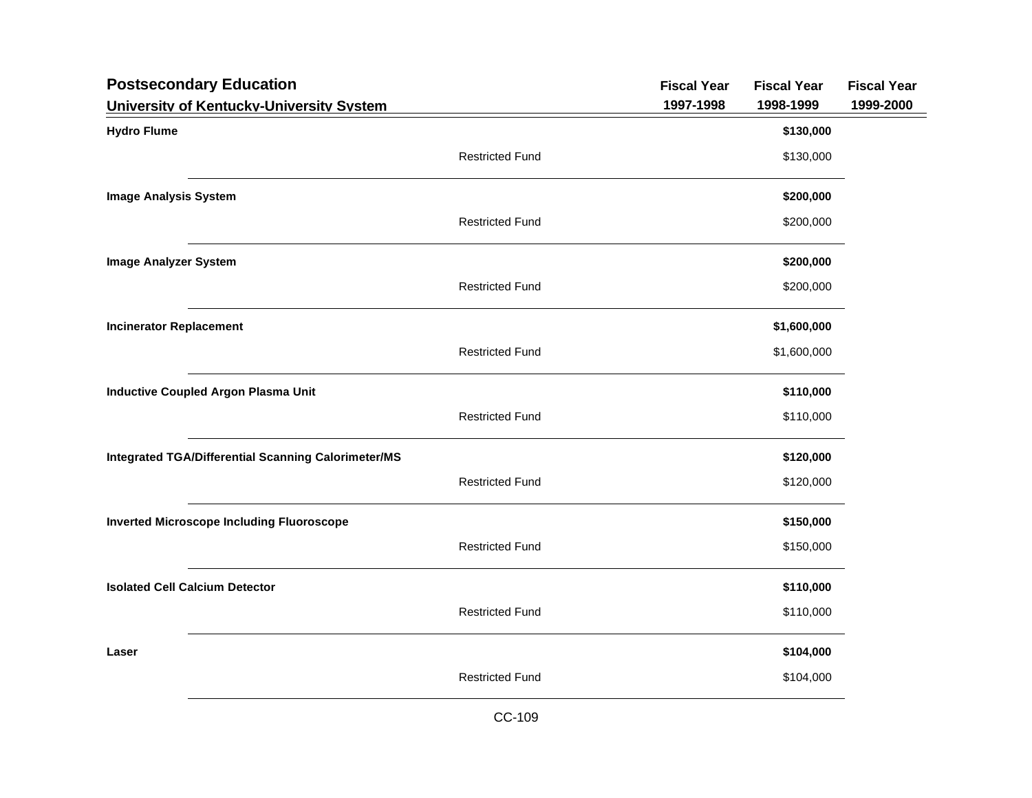| <b>Postsecondary Education</b>                             |                        | <b>Fiscal Year</b> | <b>Fiscal Year</b> | <b>Fiscal Year</b> |
|------------------------------------------------------------|------------------------|--------------------|--------------------|--------------------|
| University of Kentucky-University System                   |                        | 1997-1998          | 1998-1999          | 1999-2000          |
| <b>Hydro Flume</b>                                         |                        |                    | \$130,000          |                    |
|                                                            | <b>Restricted Fund</b> |                    | \$130,000          |                    |
| <b>Image Analysis System</b>                               |                        |                    | \$200,000          |                    |
|                                                            | <b>Restricted Fund</b> |                    | \$200,000          |                    |
| <b>Image Analyzer System</b>                               |                        |                    | \$200,000          |                    |
|                                                            | <b>Restricted Fund</b> |                    | \$200,000          |                    |
| <b>Incinerator Replacement</b>                             |                        |                    | \$1,600,000        |                    |
|                                                            | <b>Restricted Fund</b> |                    | \$1,600,000        |                    |
| <b>Inductive Coupled Argon Plasma Unit</b>                 |                        |                    | \$110,000          |                    |
|                                                            | <b>Restricted Fund</b> |                    | \$110,000          |                    |
| <b>Integrated TGA/Differential Scanning Calorimeter/MS</b> |                        |                    | \$120,000          |                    |
|                                                            | <b>Restricted Fund</b> |                    | \$120,000          |                    |
| <b>Inverted Microscope Including Fluoroscope</b>           |                        |                    | \$150,000          |                    |
|                                                            | <b>Restricted Fund</b> |                    | \$150,000          |                    |
| <b>Isolated Cell Calcium Detector</b>                      |                        |                    | \$110,000          |                    |
|                                                            | <b>Restricted Fund</b> |                    | \$110,000          |                    |
| Laser                                                      |                        |                    | \$104,000          |                    |
|                                                            | <b>Restricted Fund</b> |                    | \$104,000          |                    |
|                                                            |                        |                    |                    |                    |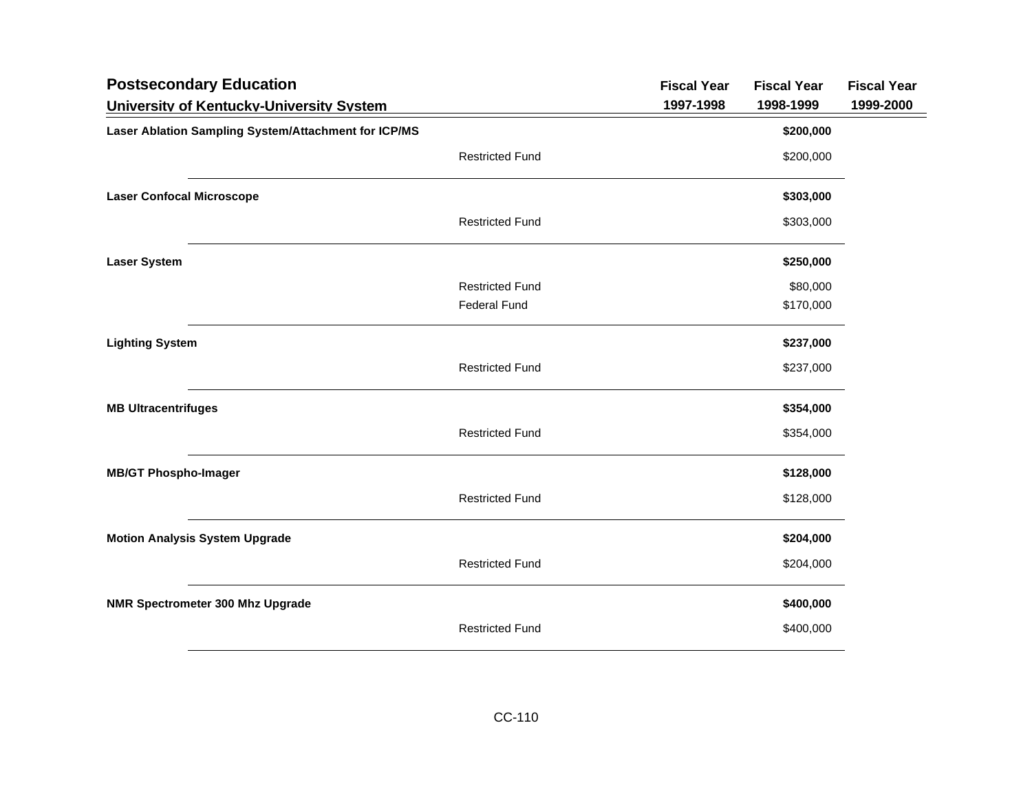| <b>Postsecondary Education</b>                       |                        | <b>Fiscal Year</b> | <b>Fiscal Year</b> | <b>Fiscal Year</b> |
|------------------------------------------------------|------------------------|--------------------|--------------------|--------------------|
| University of Kentucky-University System             |                        | 1997-1998          | 1998-1999          | 1999-2000          |
| Laser Ablation Sampling System/Attachment for ICP/MS |                        |                    | \$200,000          |                    |
|                                                      | <b>Restricted Fund</b> |                    | \$200,000          |                    |
| <b>Laser Confocal Microscope</b>                     |                        |                    | \$303,000          |                    |
|                                                      | <b>Restricted Fund</b> |                    | \$303,000          |                    |
| <b>Laser System</b>                                  |                        |                    | \$250,000          |                    |
|                                                      | <b>Restricted Fund</b> |                    | \$80,000           |                    |
|                                                      | <b>Federal Fund</b>    |                    | \$170,000          |                    |
| <b>Lighting System</b>                               |                        |                    | \$237,000          |                    |
|                                                      | <b>Restricted Fund</b> |                    | \$237,000          |                    |
| <b>MB Ultracentrifuges</b>                           |                        |                    | \$354,000          |                    |
|                                                      | <b>Restricted Fund</b> |                    | \$354,000          |                    |
| <b>MB/GT Phospho-Imager</b>                          |                        |                    | \$128,000          |                    |
|                                                      | <b>Restricted Fund</b> |                    | \$128,000          |                    |
| <b>Motion Analysis System Upgrade</b>                |                        |                    | \$204,000          |                    |
|                                                      | <b>Restricted Fund</b> |                    | \$204,000          |                    |
| NMR Spectrometer 300 Mhz Upgrade                     |                        |                    | \$400,000          |                    |
|                                                      | <b>Restricted Fund</b> |                    | \$400,000          |                    |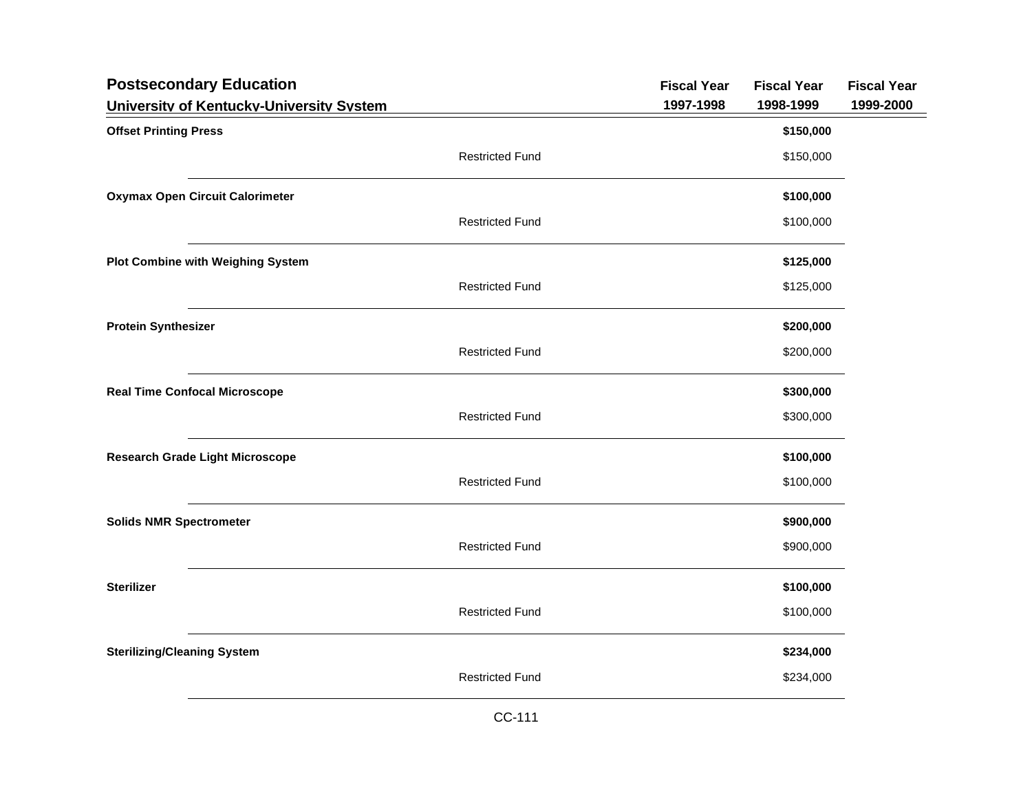| <b>Postsecondary Education</b>                                           |                        | <b>Fiscal Year</b><br>1997-1998 | <b>Fiscal Year</b><br>1998-1999 | <b>Fiscal Year</b><br>1999-2000 |
|--------------------------------------------------------------------------|------------------------|---------------------------------|---------------------------------|---------------------------------|
| University of Kentucky-University System<br><b>Offset Printing Press</b> |                        |                                 | \$150,000                       |                                 |
|                                                                          | <b>Restricted Fund</b> |                                 | \$150,000                       |                                 |
| <b>Oxymax Open Circuit Calorimeter</b>                                   |                        |                                 | \$100,000                       |                                 |
|                                                                          | <b>Restricted Fund</b> |                                 | \$100,000                       |                                 |
| <b>Plot Combine with Weighing System</b>                                 |                        |                                 | \$125,000                       |                                 |
|                                                                          | <b>Restricted Fund</b> |                                 | \$125,000                       |                                 |
| <b>Protein Synthesizer</b>                                               |                        |                                 | \$200,000                       |                                 |
|                                                                          | <b>Restricted Fund</b> |                                 | \$200,000                       |                                 |
| <b>Real Time Confocal Microscope</b>                                     |                        |                                 | \$300,000                       |                                 |
|                                                                          | <b>Restricted Fund</b> |                                 | \$300,000                       |                                 |
| <b>Research Grade Light Microscope</b>                                   |                        |                                 | \$100,000                       |                                 |
|                                                                          | <b>Restricted Fund</b> |                                 | \$100,000                       |                                 |
| <b>Solids NMR Spectrometer</b>                                           |                        |                                 | \$900,000                       |                                 |
|                                                                          | <b>Restricted Fund</b> |                                 | \$900,000                       |                                 |
| <b>Sterilizer</b>                                                        |                        |                                 | \$100,000                       |                                 |
|                                                                          | <b>Restricted Fund</b> |                                 | \$100,000                       |                                 |
| <b>Sterilizing/Cleaning System</b>                                       |                        |                                 | \$234,000                       |                                 |
|                                                                          | <b>Restricted Fund</b> |                                 | \$234,000                       |                                 |
|                                                                          |                        |                                 |                                 |                                 |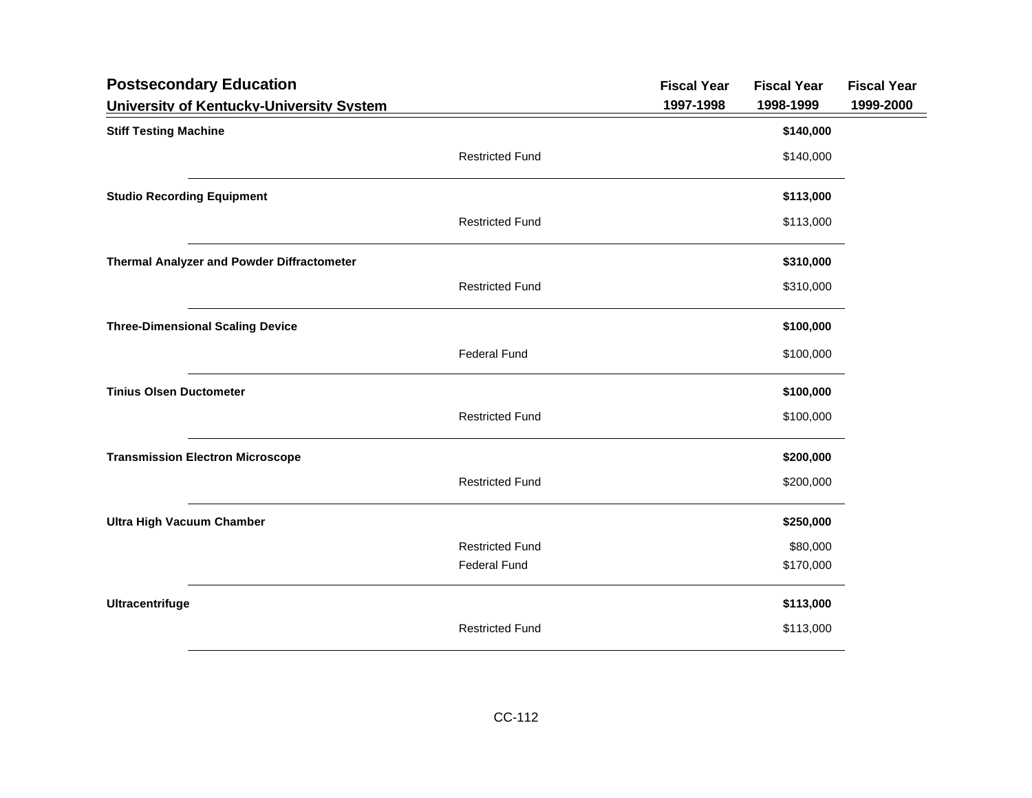| <b>Postsecondary Education</b>                    |                        | <b>Fiscal Year</b> | <b>Fiscal Year</b> | <b>Fiscal Year</b> |
|---------------------------------------------------|------------------------|--------------------|--------------------|--------------------|
| University of Kentucky-University System          |                        | 1997-1998          | 1998-1999          | 1999-2000          |
| <b>Stiff Testing Machine</b>                      |                        |                    | \$140,000          |                    |
|                                                   | <b>Restricted Fund</b> |                    | \$140,000          |                    |
| <b>Studio Recording Equipment</b>                 |                        |                    | \$113,000          |                    |
|                                                   | <b>Restricted Fund</b> |                    | \$113,000          |                    |
| <b>Thermal Analyzer and Powder Diffractometer</b> |                        |                    | \$310,000          |                    |
|                                                   | <b>Restricted Fund</b> |                    | \$310,000          |                    |
| <b>Three-Dimensional Scaling Device</b>           |                        |                    | \$100,000          |                    |
|                                                   | <b>Federal Fund</b>    |                    | \$100,000          |                    |
| <b>Tinius Olsen Ductometer</b>                    |                        |                    | \$100,000          |                    |
|                                                   | <b>Restricted Fund</b> |                    | \$100,000          |                    |
| <b>Transmission Electron Microscope</b>           |                        |                    | \$200,000          |                    |
|                                                   | <b>Restricted Fund</b> |                    | \$200,000          |                    |
| <b>Ultra High Vacuum Chamber</b>                  |                        |                    | \$250,000          |                    |
|                                                   | <b>Restricted Fund</b> |                    | \$80,000           |                    |
|                                                   | <b>Federal Fund</b>    |                    | \$170,000          |                    |
| Ultracentrifuge                                   |                        |                    | \$113,000          |                    |
|                                                   | <b>Restricted Fund</b> |                    | \$113,000          |                    |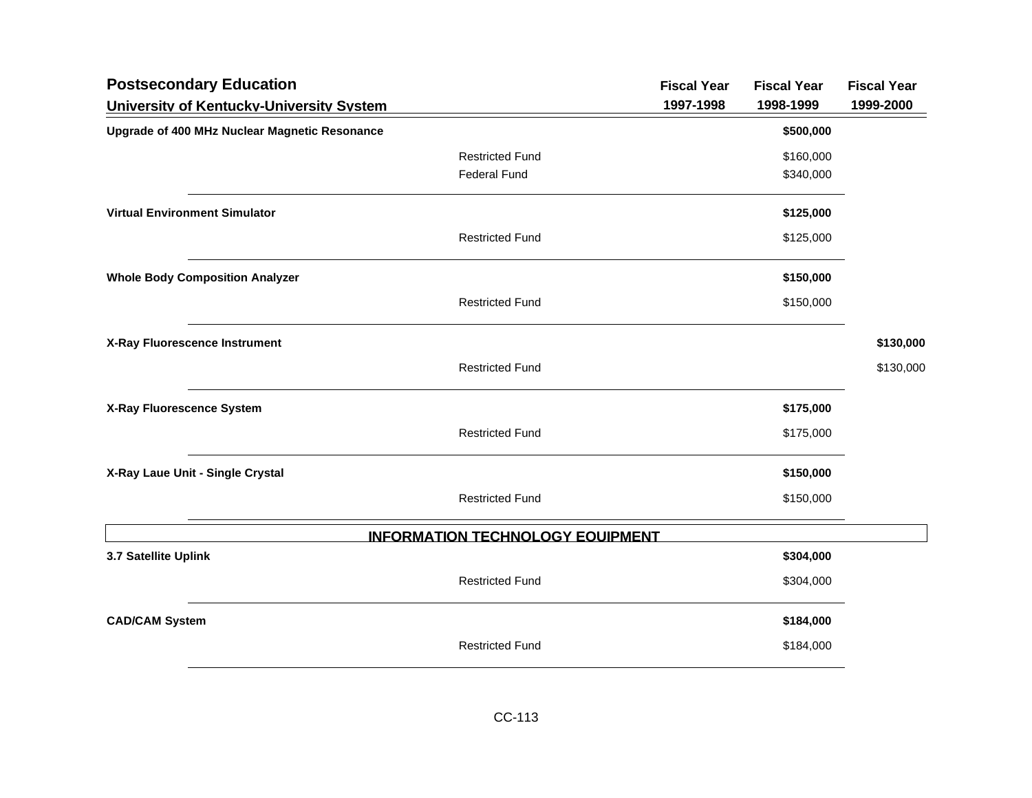| <b>Postsecondary Education</b>                |                                         | <b>Fiscal Year</b> | <b>Fiscal Year</b> | <b>Fiscal Year</b> |
|-----------------------------------------------|-----------------------------------------|--------------------|--------------------|--------------------|
| University of Kentucky-University System      |                                         | 1997-1998          | 1998-1999          | 1999-2000          |
| Upgrade of 400 MHz Nuclear Magnetic Resonance |                                         |                    | \$500,000          |                    |
|                                               | <b>Restricted Fund</b>                  |                    | \$160,000          |                    |
|                                               | <b>Federal Fund</b>                     |                    | \$340,000          |                    |
| <b>Virtual Environment Simulator</b>          |                                         |                    | \$125,000          |                    |
|                                               | <b>Restricted Fund</b>                  |                    | \$125,000          |                    |
| <b>Whole Body Composition Analyzer</b>        |                                         |                    | \$150,000          |                    |
|                                               | <b>Restricted Fund</b>                  |                    | \$150,000          |                    |
| X-Ray Fluorescence Instrument                 |                                         |                    |                    | \$130,000          |
|                                               | <b>Restricted Fund</b>                  |                    |                    | \$130,000          |
| X-Ray Fluorescence System                     |                                         |                    | \$175,000          |                    |
|                                               | <b>Restricted Fund</b>                  |                    | \$175,000          |                    |
| X-Ray Laue Unit - Single Crystal              |                                         |                    | \$150,000          |                    |
|                                               | <b>Restricted Fund</b>                  |                    | \$150,000          |                    |
|                                               | <b>INFORMATION TECHNOLOGY EQUIPMENT</b> |                    |                    |                    |
| 3.7 Satellite Uplink                          |                                         |                    | \$304,000          |                    |
|                                               | <b>Restricted Fund</b>                  |                    | \$304,000          |                    |
| <b>CAD/CAM System</b>                         |                                         |                    | \$184,000          |                    |
|                                               | <b>Restricted Fund</b>                  |                    | \$184,000          |                    |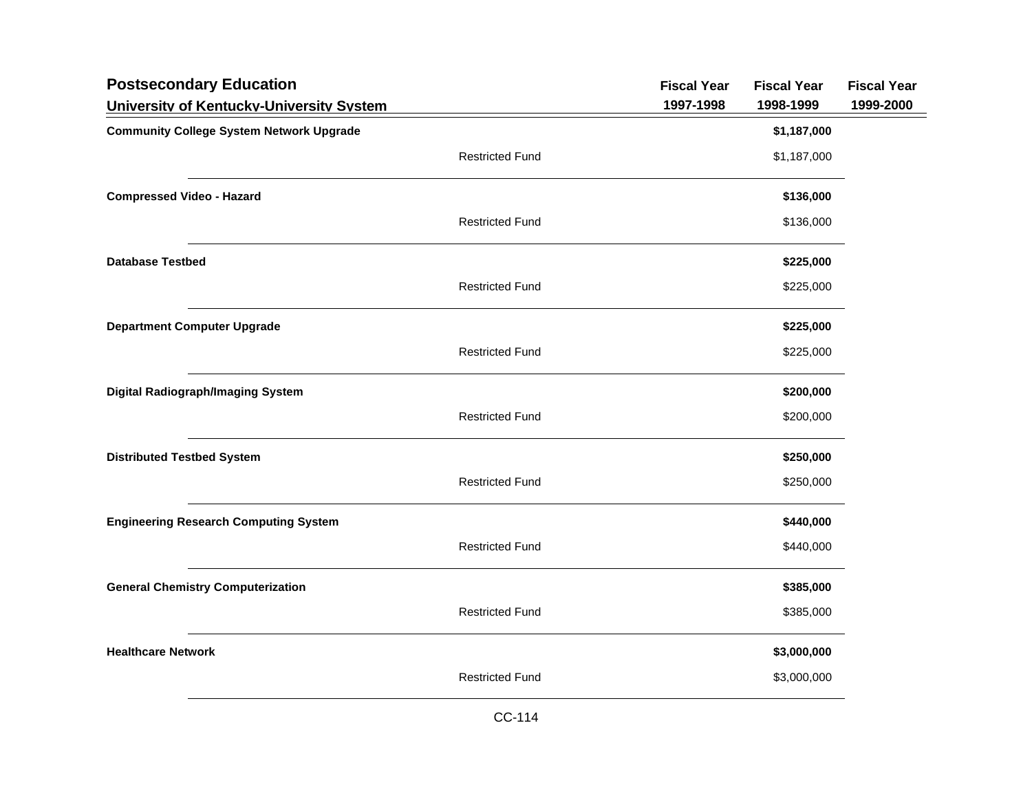| <b>Postsecondary Education</b><br>University of Kentucky-University System |                        | <b>Fiscal Year</b><br>1997-1998 | <b>Fiscal Year</b><br>1998-1999 | <b>Fiscal Year</b><br>1999-2000 |
|----------------------------------------------------------------------------|------------------------|---------------------------------|---------------------------------|---------------------------------|
| <b>Community College System Network Upgrade</b>                            |                        |                                 | \$1,187,000                     |                                 |
|                                                                            | <b>Restricted Fund</b> |                                 | \$1,187,000                     |                                 |
| <b>Compressed Video - Hazard</b>                                           |                        |                                 | \$136,000                       |                                 |
|                                                                            | <b>Restricted Fund</b> |                                 | \$136,000                       |                                 |
| <b>Database Testbed</b>                                                    |                        |                                 | \$225,000                       |                                 |
|                                                                            | <b>Restricted Fund</b> |                                 | \$225,000                       |                                 |
| <b>Department Computer Upgrade</b>                                         |                        |                                 | \$225,000                       |                                 |
|                                                                            | <b>Restricted Fund</b> |                                 | \$225,000                       |                                 |
| <b>Digital Radiograph/Imaging System</b>                                   |                        |                                 | \$200,000                       |                                 |
|                                                                            | <b>Restricted Fund</b> |                                 | \$200,000                       |                                 |
| <b>Distributed Testbed System</b>                                          |                        |                                 | \$250,000                       |                                 |
|                                                                            | <b>Restricted Fund</b> |                                 | \$250,000                       |                                 |
| <b>Engineering Research Computing System</b>                               |                        |                                 | \$440,000                       |                                 |
|                                                                            | <b>Restricted Fund</b> |                                 | \$440,000                       |                                 |
| <b>General Chemistry Computerization</b>                                   |                        |                                 | \$385,000                       |                                 |
|                                                                            | <b>Restricted Fund</b> |                                 | \$385,000                       |                                 |
| <b>Healthcare Network</b>                                                  |                        |                                 | \$3,000,000                     |                                 |
|                                                                            | <b>Restricted Fund</b> |                                 | \$3,000,000                     |                                 |
|                                                                            |                        |                                 |                                 |                                 |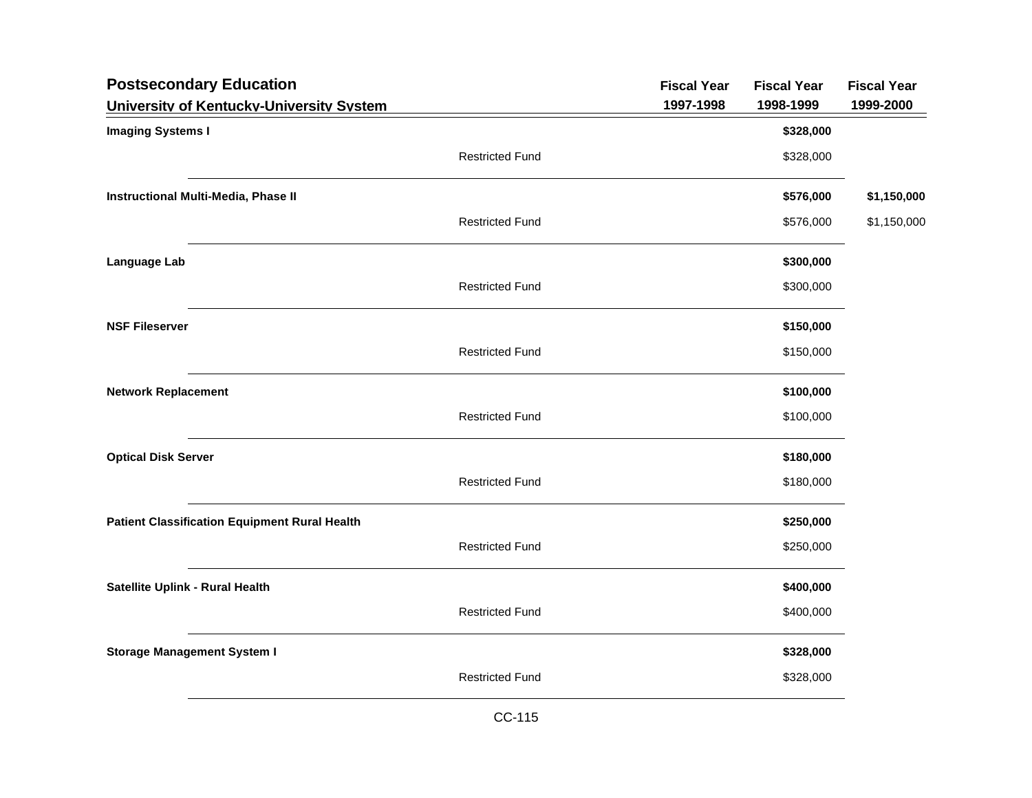| <b>Postsecondary Education</b>                       |                        | <b>Fiscal Year</b> | <b>Fiscal Year</b> | <b>Fiscal Year</b> |
|------------------------------------------------------|------------------------|--------------------|--------------------|--------------------|
| University of Kentucky-University System             |                        | 1997-1998          | 1998-1999          | 1999-2000          |
| <b>Imaging Systems I</b>                             |                        |                    | \$328,000          |                    |
|                                                      | <b>Restricted Fund</b> |                    | \$328,000          |                    |
| Instructional Multi-Media, Phase II                  |                        |                    | \$576,000          | \$1,150,000        |
|                                                      | <b>Restricted Fund</b> |                    | \$576,000          | \$1,150,000        |
| Language Lab                                         |                        |                    | \$300,000          |                    |
|                                                      | <b>Restricted Fund</b> |                    | \$300,000          |                    |
| <b>NSF Fileserver</b>                                |                        |                    | \$150,000          |                    |
|                                                      | <b>Restricted Fund</b> |                    | \$150,000          |                    |
| <b>Network Replacement</b>                           |                        |                    | \$100,000          |                    |
|                                                      | <b>Restricted Fund</b> |                    | \$100,000          |                    |
| <b>Optical Disk Server</b>                           |                        |                    | \$180,000          |                    |
|                                                      | <b>Restricted Fund</b> |                    | \$180,000          |                    |
| <b>Patient Classification Equipment Rural Health</b> |                        |                    | \$250,000          |                    |
|                                                      | <b>Restricted Fund</b> |                    | \$250,000          |                    |
| Satellite Uplink - Rural Health                      |                        |                    | \$400,000          |                    |
|                                                      | <b>Restricted Fund</b> |                    | \$400,000          |                    |
| <b>Storage Management System I</b>                   |                        |                    | \$328,000          |                    |
|                                                      | <b>Restricted Fund</b> |                    | \$328,000          |                    |
|                                                      |                        |                    |                    |                    |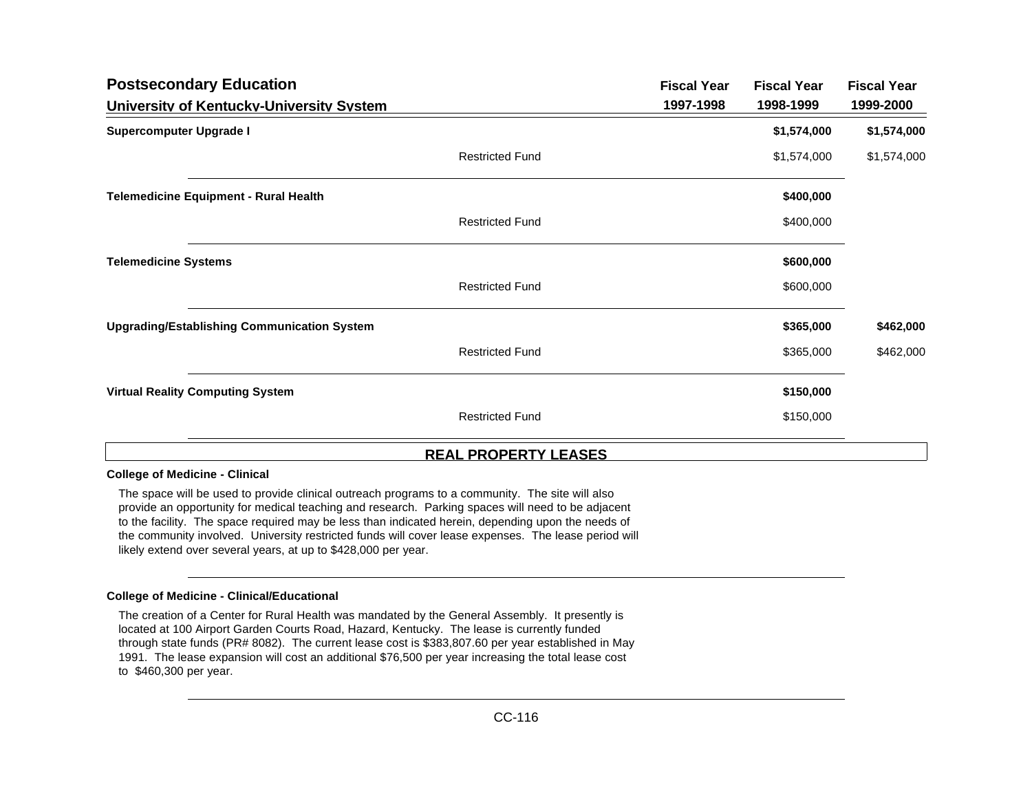| <b>Postsecondary Education</b>                     |                        | <b>Fiscal Year</b> | <b>Fiscal Year</b> | <b>Fiscal Year</b> |
|----------------------------------------------------|------------------------|--------------------|--------------------|--------------------|
| University of Kentucky-University System           |                        | 1997-1998          | 1998-1999          | 1999-2000          |
| <b>Supercomputer Upgrade I</b>                     |                        |                    | \$1,574,000        | \$1,574,000        |
|                                                    | <b>Restricted Fund</b> |                    | \$1,574,000        | \$1,574,000        |
| <b>Telemedicine Equipment - Rural Health</b>       |                        |                    | \$400,000          |                    |
|                                                    | <b>Restricted Fund</b> |                    | \$400,000          |                    |
| <b>Telemedicine Systems</b>                        |                        |                    | \$600,000          |                    |
|                                                    | <b>Restricted Fund</b> |                    | \$600,000          |                    |
| <b>Upgrading/Establishing Communication System</b> |                        |                    | \$365,000          | \$462,000          |
|                                                    | <b>Restricted Fund</b> |                    | \$365,000          | \$462,000          |
| <b>Virtual Reality Computing System</b>            |                        |                    | \$150,000          |                    |
|                                                    | <b>Restricted Fund</b> |                    | \$150,000          |                    |
|                                                    |                        |                    |                    |                    |

## **REAL PROPERTY LEASES**

## **College of Medicine - Clinical**

The space will be used to provide clinical outreach programs to a community. The site will also provide an opportunity for medical teaching and research. Parking spaces will need to be adjacent to the facility. The space required may be less than indicated herein, depending upon the needs of the community involved. University restricted funds will cover lease expenses. The lease period will likely extend over several years, at up to \$428,000 per year.

## **College of Medicine - Clinical/Educational**

The creation of a Center for Rural Health was mandated by the General Assembly. It presently is located at 100 Airport Garden Courts Road, Hazard, Kentucky. The lease is currently funded through state funds (PR# 8082). The current lease cost is \$383,807.60 per year established in May 1991. The lease expansion will cost an additional \$76,500 per year increasing the total lease cost to \$460,300 per year.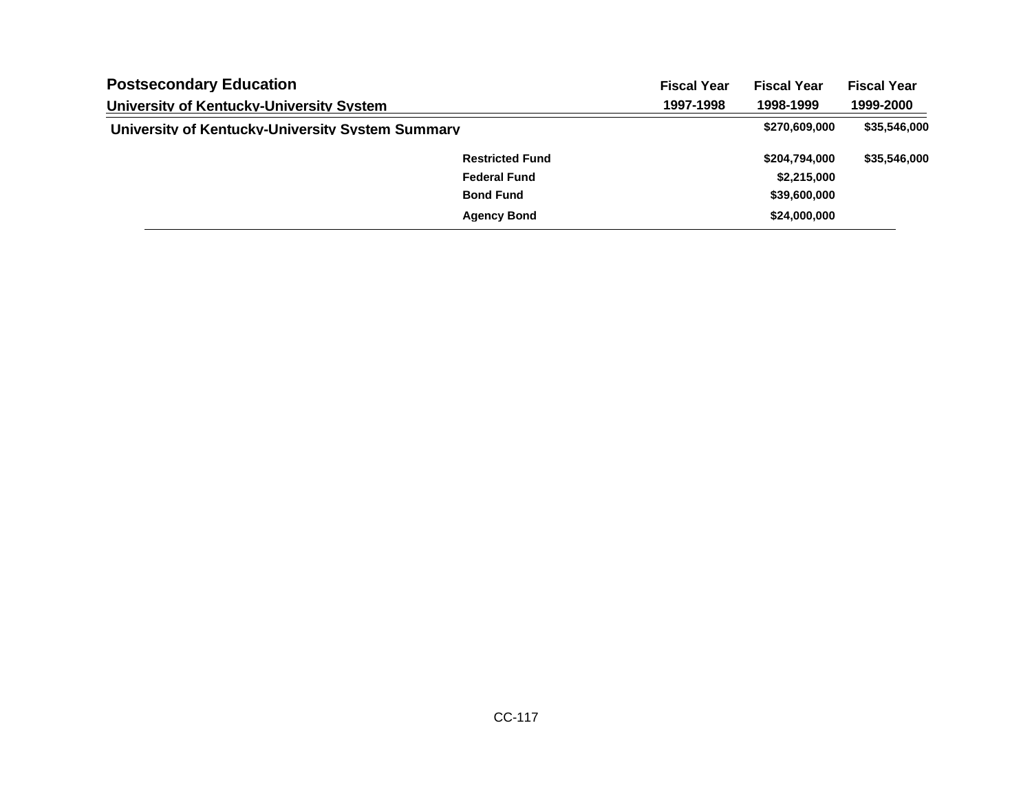| <b>Postsecondary Education</b><br>University of Kentucky-University System |                        | <b>Fiscal Year</b> | <b>Fiscal Year</b><br>1998-1999 | <b>Fiscal Year</b><br>1999-2000 |
|----------------------------------------------------------------------------|------------------------|--------------------|---------------------------------|---------------------------------|
|                                                                            |                        | 1997-1998          |                                 |                                 |
| University of Kentucky-University System Summary                           |                        |                    | \$270,609,000                   | \$35,546,000                    |
|                                                                            | <b>Restricted Fund</b> |                    | \$204,794,000                   | \$35,546,000                    |
|                                                                            | <b>Federal Fund</b>    |                    | \$2,215,000                     |                                 |
|                                                                            | <b>Bond Fund</b>       |                    | \$39,600,000                    |                                 |
|                                                                            | <b>Agency Bond</b>     |                    | \$24,000,000                    |                                 |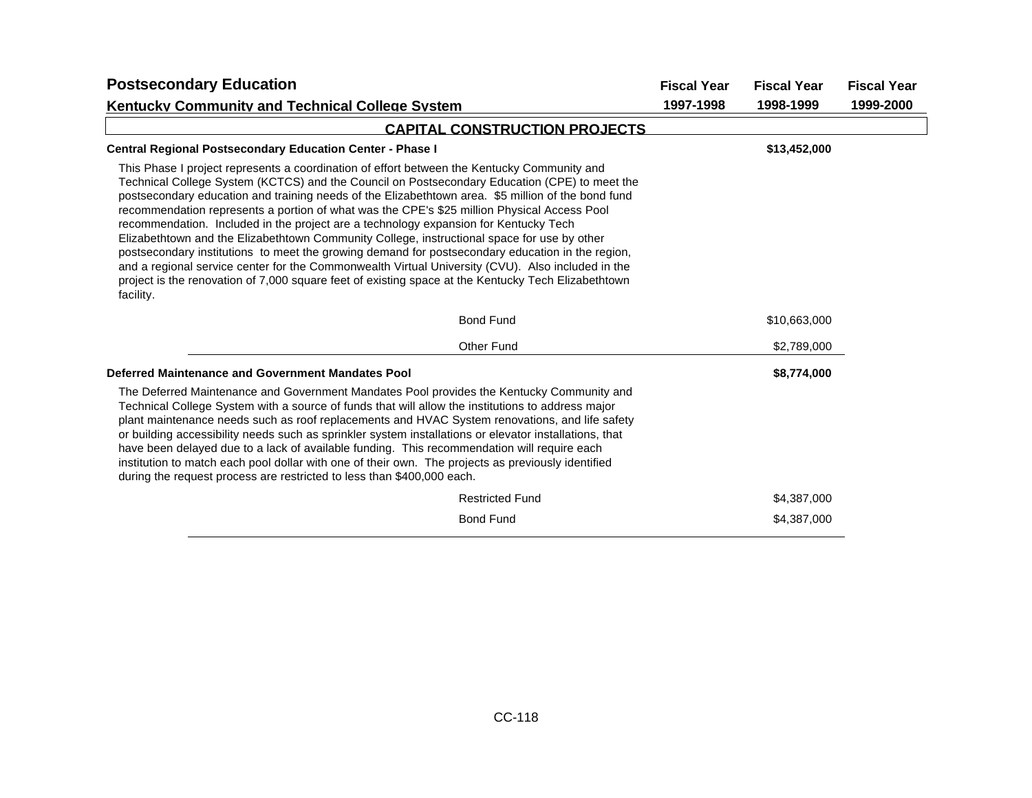| <b>Postsecondary Education</b>                                                                                                                                                                                                                                                                                                                                                                                                                                                                                                                                                                                                                                                                                                                                                                                                                                                                                        | <b>Fiscal Year</b> | <b>Fiscal Year</b> | <b>Fiscal Year</b><br>1999-2000 |
|-----------------------------------------------------------------------------------------------------------------------------------------------------------------------------------------------------------------------------------------------------------------------------------------------------------------------------------------------------------------------------------------------------------------------------------------------------------------------------------------------------------------------------------------------------------------------------------------------------------------------------------------------------------------------------------------------------------------------------------------------------------------------------------------------------------------------------------------------------------------------------------------------------------------------|--------------------|--------------------|---------------------------------|
| <b>Kentucky Community and Technical College System</b>                                                                                                                                                                                                                                                                                                                                                                                                                                                                                                                                                                                                                                                                                                                                                                                                                                                                | 1997-1998          | 1998-1999          |                                 |
| <b>CAPITAL CONSTRUCTION PROJECTS</b>                                                                                                                                                                                                                                                                                                                                                                                                                                                                                                                                                                                                                                                                                                                                                                                                                                                                                  |                    |                    |                                 |
| <b>Central Regional Postsecondary Education Center - Phase I</b>                                                                                                                                                                                                                                                                                                                                                                                                                                                                                                                                                                                                                                                                                                                                                                                                                                                      |                    | \$13,452,000       |                                 |
| This Phase I project represents a coordination of effort between the Kentucky Community and<br>Technical College System (KCTCS) and the Council on Postsecondary Education (CPE) to meet the<br>postsecondary education and training needs of the Elizabethtown area. \$5 million of the bond fund<br>recommendation represents a portion of what was the CPE's \$25 million Physical Access Pool<br>recommendation. Included in the project are a technology expansion for Kentucky Tech<br>Elizabethtown and the Elizabethtown Community College, instructional space for use by other<br>postsecondary institutions to meet the growing demand for postsecondary education in the region,<br>and a regional service center for the Commonwealth Virtual University (CVU). Also included in the<br>project is the renovation of 7,000 square feet of existing space at the Kentucky Tech Elizabethtown<br>facility. |                    |                    |                                 |
| <b>Bond Fund</b>                                                                                                                                                                                                                                                                                                                                                                                                                                                                                                                                                                                                                                                                                                                                                                                                                                                                                                      |                    | \$10,663,000       |                                 |
| Other Fund                                                                                                                                                                                                                                                                                                                                                                                                                                                                                                                                                                                                                                                                                                                                                                                                                                                                                                            |                    | \$2,789,000        |                                 |
| Deferred Maintenance and Government Mandates Pool                                                                                                                                                                                                                                                                                                                                                                                                                                                                                                                                                                                                                                                                                                                                                                                                                                                                     |                    | \$8,774,000        |                                 |
| The Deferred Maintenance and Government Mandates Pool provides the Kentucky Community and<br>Technical College System with a source of funds that will allow the institutions to address major<br>plant maintenance needs such as roof replacements and HVAC System renovations, and life safety<br>or building accessibility needs such as sprinkler system installations or elevator installations, that<br>have been delayed due to a lack of available funding. This recommendation will require each<br>institution to match each pool dollar with one of their own. The projects as previously identified<br>during the request process are restricted to less than \$400,000 each.                                                                                                                                                                                                                             |                    |                    |                                 |
| <b>Restricted Fund</b>                                                                                                                                                                                                                                                                                                                                                                                                                                                                                                                                                                                                                                                                                                                                                                                                                                                                                                |                    | \$4,387,000        |                                 |
| <b>Bond Fund</b>                                                                                                                                                                                                                                                                                                                                                                                                                                                                                                                                                                                                                                                                                                                                                                                                                                                                                                      |                    | \$4,387,000        |                                 |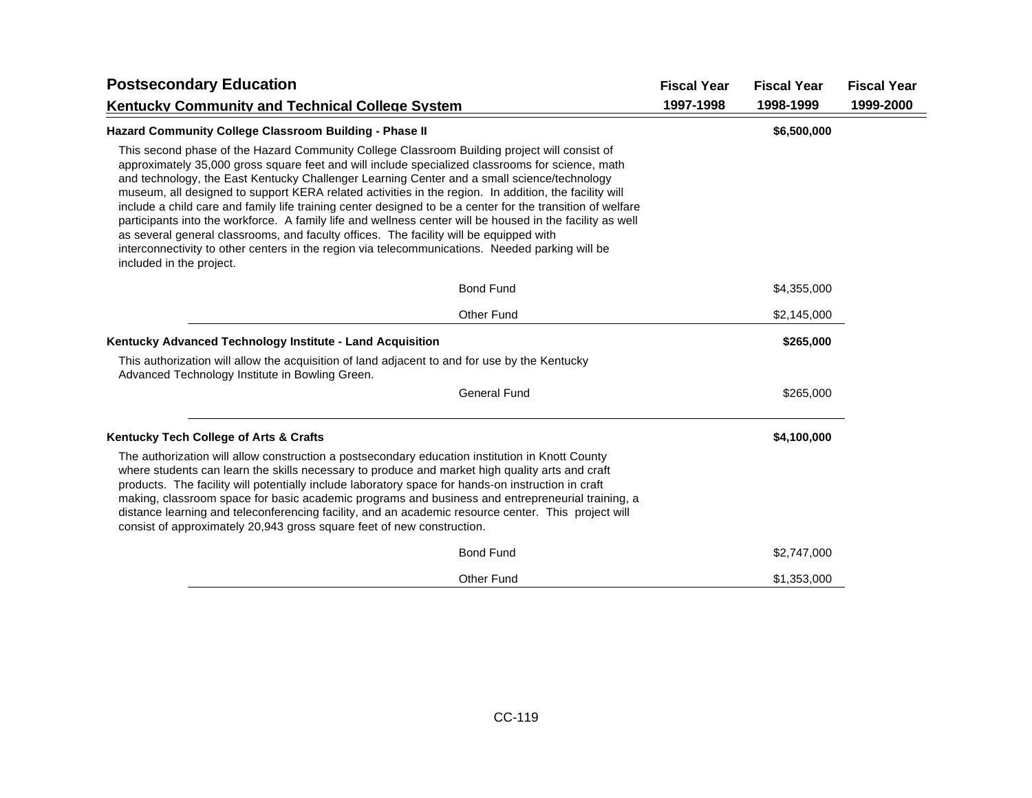| <b>Postsecondary Education</b>                                                                                                                                                                                                                                                                                                                                                                                                                                                                                                                                                                                                                                                                                                                                                                                                                               | <b>Fiscal Year</b> | <b>Fiscal Year</b> | <b>Fiscal Year</b> |
|--------------------------------------------------------------------------------------------------------------------------------------------------------------------------------------------------------------------------------------------------------------------------------------------------------------------------------------------------------------------------------------------------------------------------------------------------------------------------------------------------------------------------------------------------------------------------------------------------------------------------------------------------------------------------------------------------------------------------------------------------------------------------------------------------------------------------------------------------------------|--------------------|--------------------|--------------------|
| <b>Kentucky Community and Technical College System</b>                                                                                                                                                                                                                                                                                                                                                                                                                                                                                                                                                                                                                                                                                                                                                                                                       | 1997-1998          | 1998-1999          | 1999-2000          |
| <b>Hazard Community College Classroom Building - Phase II</b>                                                                                                                                                                                                                                                                                                                                                                                                                                                                                                                                                                                                                                                                                                                                                                                                |                    | \$6,500,000        |                    |
| This second phase of the Hazard Community College Classroom Building project will consist of<br>approximately 35,000 gross square feet and will include specialized classrooms for science, math<br>and technology, the East Kentucky Challenger Learning Center and a small science/technology<br>museum, all designed to support KERA related activities in the region. In addition, the facility will<br>include a child care and family life training center designed to be a center for the transition of welfare<br>participants into the workforce. A family life and wellness center will be housed in the facility as well<br>as several general classrooms, and faculty offices. The facility will be equipped with<br>interconnectivity to other centers in the region via telecommunications. Needed parking will be<br>included in the project. |                    |                    |                    |
| <b>Bond Fund</b>                                                                                                                                                                                                                                                                                                                                                                                                                                                                                                                                                                                                                                                                                                                                                                                                                                             |                    | \$4,355,000        |                    |
| <b>Other Fund</b>                                                                                                                                                                                                                                                                                                                                                                                                                                                                                                                                                                                                                                                                                                                                                                                                                                            |                    | \$2,145,000        |                    |
| Kentucky Advanced Technology Institute - Land Acquisition                                                                                                                                                                                                                                                                                                                                                                                                                                                                                                                                                                                                                                                                                                                                                                                                    |                    | \$265,000          |                    |
| This authorization will allow the acquisition of land adjacent to and for use by the Kentucky<br>Advanced Technology Institute in Bowling Green.                                                                                                                                                                                                                                                                                                                                                                                                                                                                                                                                                                                                                                                                                                             |                    |                    |                    |
| <b>General Fund</b>                                                                                                                                                                                                                                                                                                                                                                                                                                                                                                                                                                                                                                                                                                                                                                                                                                          |                    | \$265,000          |                    |
| Kentucky Tech College of Arts & Crafts                                                                                                                                                                                                                                                                                                                                                                                                                                                                                                                                                                                                                                                                                                                                                                                                                       |                    | \$4,100,000        |                    |
| The authorization will allow construction a postsecondary education institution in Knott County<br>where students can learn the skills necessary to produce and market high quality arts and craft<br>products. The facility will potentially include laboratory space for hands-on instruction in craft<br>making, classroom space for basic academic programs and business and entrepreneurial training, a<br>distance learning and teleconferencing facility, and an academic resource center. This project will<br>consist of approximately 20,943 gross square feet of new construction.                                                                                                                                                                                                                                                                |                    |                    |                    |
| <b>Bond Fund</b>                                                                                                                                                                                                                                                                                                                                                                                                                                                                                                                                                                                                                                                                                                                                                                                                                                             |                    | \$2,747,000        |                    |
| <b>Other Fund</b>                                                                                                                                                                                                                                                                                                                                                                                                                                                                                                                                                                                                                                                                                                                                                                                                                                            |                    | \$1,353,000        |                    |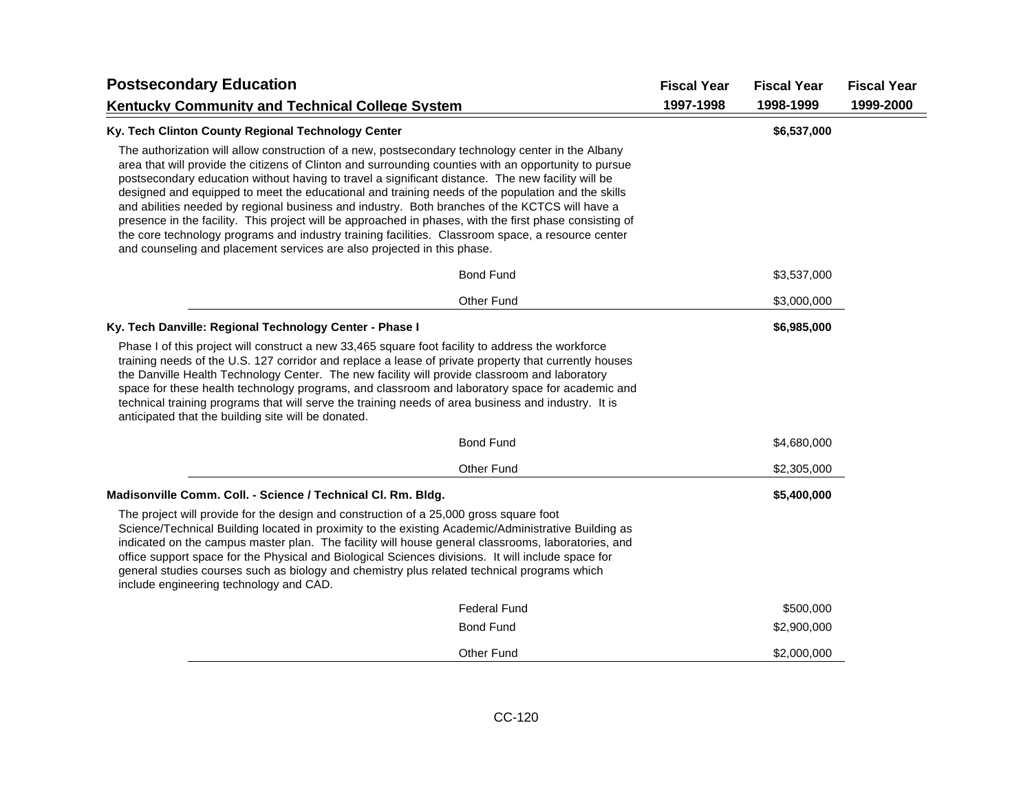| <b>Postsecondary Education</b>                                                                                                                                                                                                                                                                                                                                                                                                                                                                                                                                                                                                                                                                                                                                                                                    |                     | <b>Fiscal Year</b> | <b>Fiscal Year</b><br>1998-1999 | <b>Fiscal Year</b> |
|-------------------------------------------------------------------------------------------------------------------------------------------------------------------------------------------------------------------------------------------------------------------------------------------------------------------------------------------------------------------------------------------------------------------------------------------------------------------------------------------------------------------------------------------------------------------------------------------------------------------------------------------------------------------------------------------------------------------------------------------------------------------------------------------------------------------|---------------------|--------------------|---------------------------------|--------------------|
| <b>Kentucky Community and Technical College System</b>                                                                                                                                                                                                                                                                                                                                                                                                                                                                                                                                                                                                                                                                                                                                                            |                     | 1997-1998          |                                 | 1999-2000          |
| Ky. Tech Clinton County Regional Technology Center                                                                                                                                                                                                                                                                                                                                                                                                                                                                                                                                                                                                                                                                                                                                                                |                     |                    | \$6,537,000                     |                    |
| The authorization will allow construction of a new, postsecondary technology center in the Albany<br>area that will provide the citizens of Clinton and surrounding counties with an opportunity to pursue<br>postsecondary education without having to travel a significant distance. The new facility will be<br>designed and equipped to meet the educational and training needs of the population and the skills<br>and abilities needed by regional business and industry. Both branches of the KCTCS will have a<br>presence in the facility. This project will be approached in phases, with the first phase consisting of<br>the core technology programs and industry training facilities. Classroom space, a resource center<br>and counseling and placement services are also projected in this phase. |                     |                    |                                 |                    |
|                                                                                                                                                                                                                                                                                                                                                                                                                                                                                                                                                                                                                                                                                                                                                                                                                   | <b>Bond Fund</b>    |                    | \$3,537,000                     |                    |
|                                                                                                                                                                                                                                                                                                                                                                                                                                                                                                                                                                                                                                                                                                                                                                                                                   | Other Fund          |                    | \$3,000,000                     |                    |
| Ky. Tech Danville: Regional Technology Center - Phase I                                                                                                                                                                                                                                                                                                                                                                                                                                                                                                                                                                                                                                                                                                                                                           |                     |                    | \$6,985,000                     |                    |
| Phase I of this project will construct a new 33,465 square foot facility to address the workforce<br>training needs of the U.S. 127 corridor and replace a lease of private property that currently houses<br>the Danville Health Technology Center. The new facility will provide classroom and laboratory<br>space for these health technology programs, and classroom and laboratory space for academic and<br>technical training programs that will serve the training needs of area business and industry. It is<br>anticipated that the building site will be donated.                                                                                                                                                                                                                                      |                     |                    |                                 |                    |
|                                                                                                                                                                                                                                                                                                                                                                                                                                                                                                                                                                                                                                                                                                                                                                                                                   | <b>Bond Fund</b>    |                    | \$4,680,000                     |                    |
|                                                                                                                                                                                                                                                                                                                                                                                                                                                                                                                                                                                                                                                                                                                                                                                                                   | <b>Other Fund</b>   |                    | \$2,305,000                     |                    |
| Madisonville Comm. Coll. - Science / Technical Cl. Rm. Bldg.                                                                                                                                                                                                                                                                                                                                                                                                                                                                                                                                                                                                                                                                                                                                                      |                     |                    | \$5,400,000                     |                    |
| The project will provide for the design and construction of a 25,000 gross square foot<br>Science/Technical Building located in proximity to the existing Academic/Administrative Building as<br>indicated on the campus master plan. The facility will house general classrooms, laboratories, and<br>office support space for the Physical and Biological Sciences divisions. It will include space for<br>general studies courses such as biology and chemistry plus related technical programs which<br>include engineering technology and CAD.                                                                                                                                                                                                                                                               |                     |                    |                                 |                    |
|                                                                                                                                                                                                                                                                                                                                                                                                                                                                                                                                                                                                                                                                                                                                                                                                                   | <b>Federal Fund</b> |                    | \$500,000                       |                    |
|                                                                                                                                                                                                                                                                                                                                                                                                                                                                                                                                                                                                                                                                                                                                                                                                                   | <b>Bond Fund</b>    |                    | \$2,900,000                     |                    |
|                                                                                                                                                                                                                                                                                                                                                                                                                                                                                                                                                                                                                                                                                                                                                                                                                   | Other Fund          |                    | \$2,000,000                     |                    |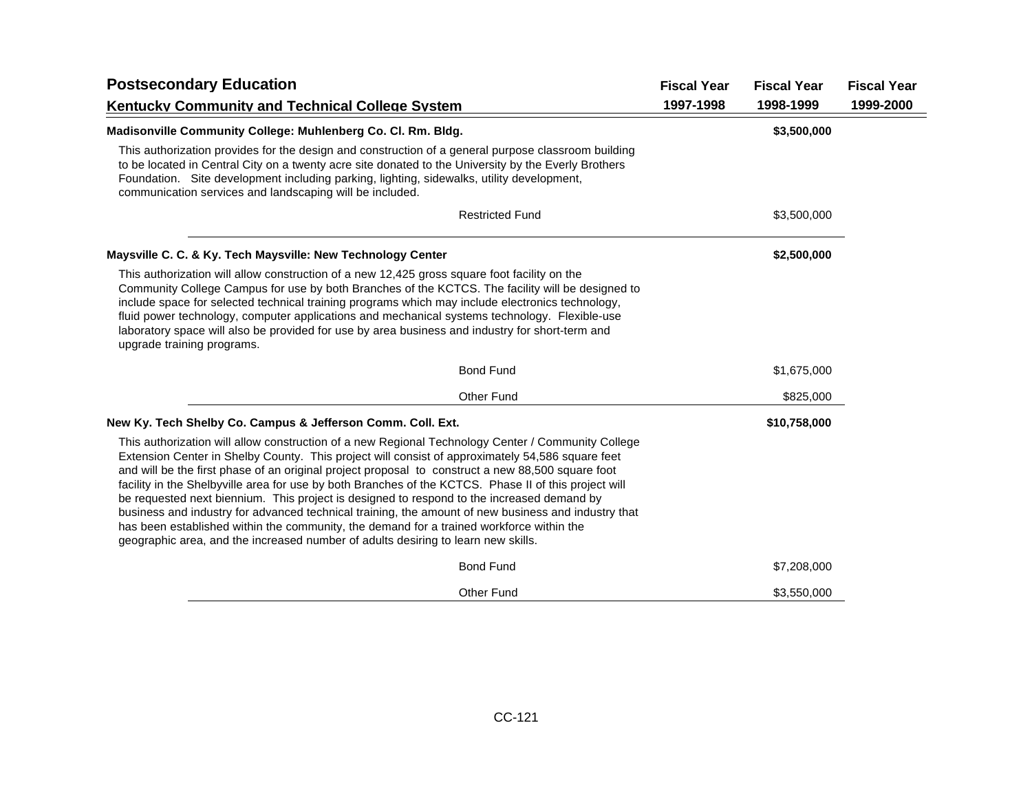| <b>Postsecondary Education</b>                                                                                                                                                                                                                                                                                                                                                                                                                                                                                                                                                                                                                                                                                                                                                                             |  | <b>Fiscal Year</b> | <b>Fiscal Year</b> |
|------------------------------------------------------------------------------------------------------------------------------------------------------------------------------------------------------------------------------------------------------------------------------------------------------------------------------------------------------------------------------------------------------------------------------------------------------------------------------------------------------------------------------------------------------------------------------------------------------------------------------------------------------------------------------------------------------------------------------------------------------------------------------------------------------------|--|--------------------|--------------------|
| <b>Kentucky Community and Technical College System</b>                                                                                                                                                                                                                                                                                                                                                                                                                                                                                                                                                                                                                                                                                                                                                     |  | 1998-1999          | 1999-2000          |
| Madisonville Community College: Muhlenberg Co. Cl. Rm. Bldg.                                                                                                                                                                                                                                                                                                                                                                                                                                                                                                                                                                                                                                                                                                                                               |  | \$3,500,000        |                    |
| This authorization provides for the design and construction of a general purpose classroom building<br>to be located in Central City on a twenty acre site donated to the University by the Everly Brothers<br>Foundation. Site development including parking, lighting, sidewalks, utility development,<br>communication services and landscaping will be included.                                                                                                                                                                                                                                                                                                                                                                                                                                       |  |                    |                    |
| <b>Restricted Fund</b>                                                                                                                                                                                                                                                                                                                                                                                                                                                                                                                                                                                                                                                                                                                                                                                     |  | \$3,500,000        |                    |
| Maysville C. C. & Ky. Tech Maysville: New Technology Center                                                                                                                                                                                                                                                                                                                                                                                                                                                                                                                                                                                                                                                                                                                                                |  | \$2,500,000        |                    |
| This authorization will allow construction of a new 12,425 gross square foot facility on the<br>Community College Campus for use by both Branches of the KCTCS. The facility will be designed to<br>include space for selected technical training programs which may include electronics technology,<br>fluid power technology, computer applications and mechanical systems technology. Flexible-use<br>laboratory space will also be provided for use by area business and industry for short-term and<br>upgrade training programs.                                                                                                                                                                                                                                                                     |  |                    |                    |
| <b>Bond Fund</b>                                                                                                                                                                                                                                                                                                                                                                                                                                                                                                                                                                                                                                                                                                                                                                                           |  | \$1,675,000        |                    |
| Other Fund                                                                                                                                                                                                                                                                                                                                                                                                                                                                                                                                                                                                                                                                                                                                                                                                 |  | \$825,000          |                    |
| New Ky. Tech Shelby Co. Campus & Jefferson Comm. Coll. Ext.                                                                                                                                                                                                                                                                                                                                                                                                                                                                                                                                                                                                                                                                                                                                                |  | \$10,758,000       |                    |
| This authorization will allow construction of a new Regional Technology Center / Community College<br>Extension Center in Shelby County. This project will consist of approximately 54,586 square feet<br>and will be the first phase of an original project proposal to construct a new 88,500 square foot<br>facility in the Shelbyville area for use by both Branches of the KCTCS. Phase II of this project will<br>be requested next biennium. This project is designed to respond to the increased demand by<br>business and industry for advanced technical training, the amount of new business and industry that<br>has been established within the community, the demand for a trained workforce within the<br>geographic area, and the increased number of adults desiring to learn new skills. |  |                    |                    |
| <b>Bond Fund</b>                                                                                                                                                                                                                                                                                                                                                                                                                                                                                                                                                                                                                                                                                                                                                                                           |  | \$7,208,000        |                    |
| <b>Other Fund</b>                                                                                                                                                                                                                                                                                                                                                                                                                                                                                                                                                                                                                                                                                                                                                                                          |  | \$3,550,000        |                    |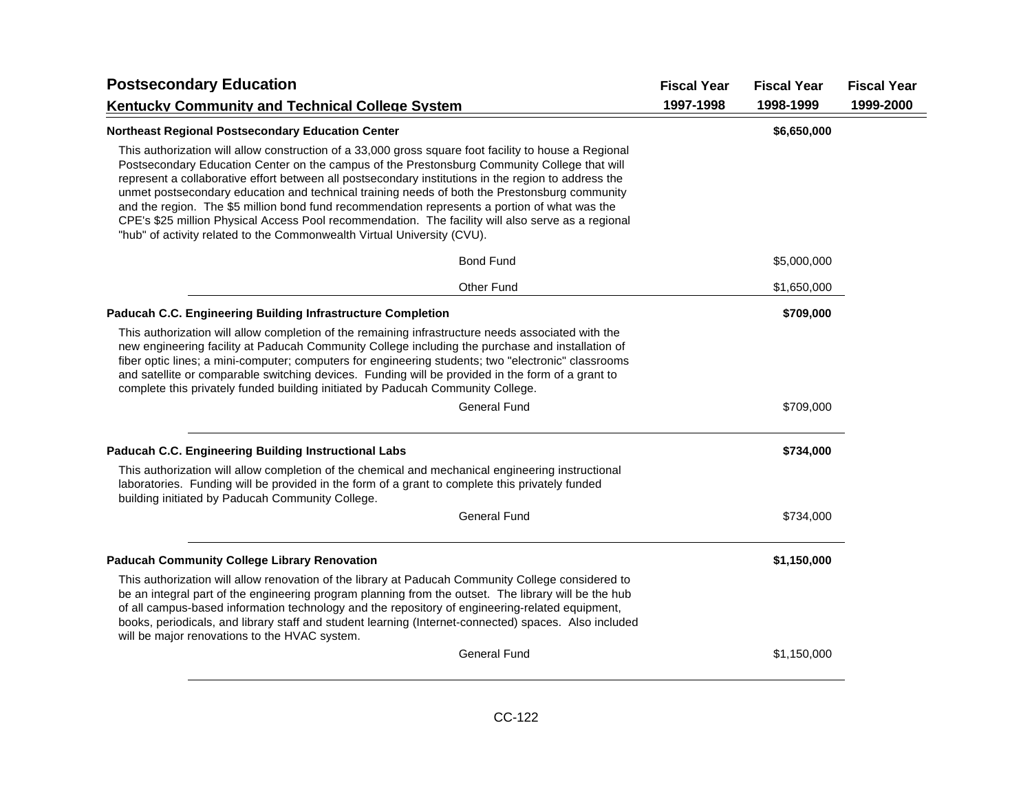| <b>Postsecondary Education</b><br><b>Kentucky Community and Technical College System</b>                                                                                                                                                                                                                                                                                                                                                                                                                                                                                                                                                                                                         |  | <b>Fiscal Year</b><br>1998-1999 | <b>Fiscal Year</b><br>1999-2000 |
|--------------------------------------------------------------------------------------------------------------------------------------------------------------------------------------------------------------------------------------------------------------------------------------------------------------------------------------------------------------------------------------------------------------------------------------------------------------------------------------------------------------------------------------------------------------------------------------------------------------------------------------------------------------------------------------------------|--|---------------------------------|---------------------------------|
|                                                                                                                                                                                                                                                                                                                                                                                                                                                                                                                                                                                                                                                                                                  |  |                                 |                                 |
| This authorization will allow construction of a 33,000 gross square foot facility to house a Regional<br>Postsecondary Education Center on the campus of the Prestonsburg Community College that will<br>represent a collaborative effort between all postsecondary institutions in the region to address the<br>unmet postsecondary education and technical training needs of both the Prestonsburg community<br>and the region. The \$5 million bond fund recommendation represents a portion of what was the<br>CPE's \$25 million Physical Access Pool recommendation. The facility will also serve as a regional<br>"hub" of activity related to the Commonwealth Virtual University (CVU). |  |                                 |                                 |
| <b>Bond Fund</b>                                                                                                                                                                                                                                                                                                                                                                                                                                                                                                                                                                                                                                                                                 |  | \$5,000,000                     |                                 |
| <b>Other Fund</b>                                                                                                                                                                                                                                                                                                                                                                                                                                                                                                                                                                                                                                                                                |  | \$1,650,000                     |                                 |
| Paducah C.C. Engineering Building Infrastructure Completion                                                                                                                                                                                                                                                                                                                                                                                                                                                                                                                                                                                                                                      |  | \$709,000                       |                                 |
| This authorization will allow completion of the remaining infrastructure needs associated with the<br>new engineering facility at Paducah Community College including the purchase and installation of<br>fiber optic lines; a mini-computer; computers for engineering students; two "electronic" classrooms<br>and satellite or comparable switching devices. Funding will be provided in the form of a grant to<br>complete this privately funded building initiated by Paducah Community College.                                                                                                                                                                                            |  |                                 |                                 |
| <b>General Fund</b>                                                                                                                                                                                                                                                                                                                                                                                                                                                                                                                                                                                                                                                                              |  | \$709,000                       |                                 |
| Paducah C.C. Engineering Building Instructional Labs                                                                                                                                                                                                                                                                                                                                                                                                                                                                                                                                                                                                                                             |  | \$734,000                       |                                 |
| This authorization will allow completion of the chemical and mechanical engineering instructional<br>laboratories. Funding will be provided in the form of a grant to complete this privately funded<br>building initiated by Paducah Community College.                                                                                                                                                                                                                                                                                                                                                                                                                                         |  |                                 |                                 |
| <b>General Fund</b>                                                                                                                                                                                                                                                                                                                                                                                                                                                                                                                                                                                                                                                                              |  | \$734,000                       |                                 |
| <b>Paducah Community College Library Renovation</b>                                                                                                                                                                                                                                                                                                                                                                                                                                                                                                                                                                                                                                              |  | \$1,150,000                     |                                 |
| This authorization will allow renovation of the library at Paducah Community College considered to<br>be an integral part of the engineering program planning from the outset. The library will be the hub<br>of all campus-based information technology and the repository of engineering-related equipment,<br>books, periodicals, and library staff and student learning (Internet-connected) spaces. Also included<br>will be major renovations to the HVAC system.                                                                                                                                                                                                                          |  |                                 |                                 |
| <b>General Fund</b>                                                                                                                                                                                                                                                                                                                                                                                                                                                                                                                                                                                                                                                                              |  | \$1,150,000                     |                                 |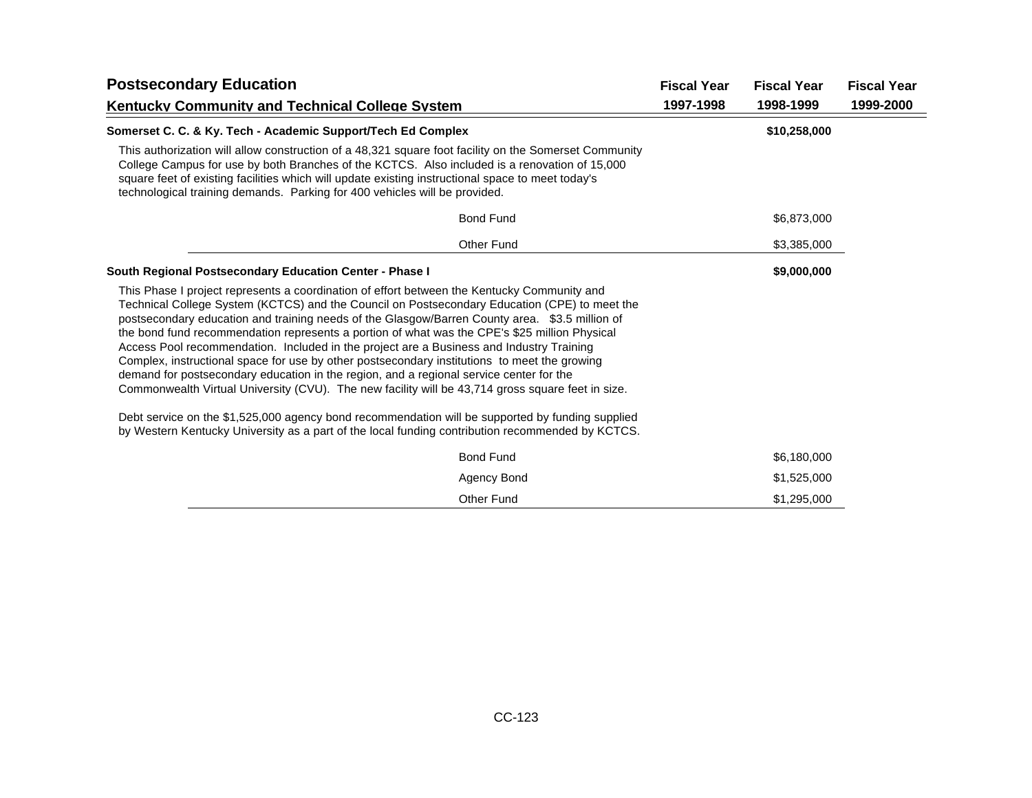| <b>Postsecondary Education</b><br><b>Kentucky Community and Technical College System</b>                                                                                                                                                                                                                                                                                                                                                                                                                                                                                                                                                                                                                                                                                                                                                                                                                                                                                                            |  | <b>Fiscal Year</b> | <b>Fiscal Year</b> |
|-----------------------------------------------------------------------------------------------------------------------------------------------------------------------------------------------------------------------------------------------------------------------------------------------------------------------------------------------------------------------------------------------------------------------------------------------------------------------------------------------------------------------------------------------------------------------------------------------------------------------------------------------------------------------------------------------------------------------------------------------------------------------------------------------------------------------------------------------------------------------------------------------------------------------------------------------------------------------------------------------------|--|--------------------|--------------------|
|                                                                                                                                                                                                                                                                                                                                                                                                                                                                                                                                                                                                                                                                                                                                                                                                                                                                                                                                                                                                     |  | 1998-1999          | 1999-2000          |
| Somerset C. C. & Ky. Tech - Academic Support/Tech Ed Complex                                                                                                                                                                                                                                                                                                                                                                                                                                                                                                                                                                                                                                                                                                                                                                                                                                                                                                                                        |  | \$10,258,000       |                    |
| This authorization will allow construction of a 48,321 square foot facility on the Somerset Community<br>College Campus for use by both Branches of the KCTCS. Also included is a renovation of 15,000<br>square feet of existing facilities which will update existing instructional space to meet today's<br>technological training demands. Parking for 400 vehicles will be provided.                                                                                                                                                                                                                                                                                                                                                                                                                                                                                                                                                                                                           |  |                    |                    |
| <b>Bond Fund</b>                                                                                                                                                                                                                                                                                                                                                                                                                                                                                                                                                                                                                                                                                                                                                                                                                                                                                                                                                                                    |  | \$6,873,000        |                    |
| <b>Other Fund</b>                                                                                                                                                                                                                                                                                                                                                                                                                                                                                                                                                                                                                                                                                                                                                                                                                                                                                                                                                                                   |  | \$3,385,000        |                    |
| South Regional Postsecondary Education Center - Phase I                                                                                                                                                                                                                                                                                                                                                                                                                                                                                                                                                                                                                                                                                                                                                                                                                                                                                                                                             |  | \$9,000,000        |                    |
| This Phase I project represents a coordination of effort between the Kentucky Community and<br>Technical College System (KCTCS) and the Council on Postsecondary Education (CPE) to meet the<br>postsecondary education and training needs of the Glasgow/Barren County area. \$3.5 million of<br>the bond fund recommendation represents a portion of what was the CPE's \$25 million Physical<br>Access Pool recommendation. Included in the project are a Business and Industry Training<br>Complex, instructional space for use by other postsecondary institutions to meet the growing<br>demand for postsecondary education in the region, and a regional service center for the<br>Commonwealth Virtual University (CVU). The new facility will be 43,714 gross square feet in size.<br>Debt service on the \$1,525,000 agency bond recommendation will be supported by funding supplied<br>by Western Kentucky University as a part of the local funding contribution recommended by KCTCS. |  |                    |                    |
| <b>Bond Fund</b>                                                                                                                                                                                                                                                                                                                                                                                                                                                                                                                                                                                                                                                                                                                                                                                                                                                                                                                                                                                    |  | \$6,180,000        |                    |
| Agency Bond                                                                                                                                                                                                                                                                                                                                                                                                                                                                                                                                                                                                                                                                                                                                                                                                                                                                                                                                                                                         |  | \$1,525,000        |                    |
| <b>Other Fund</b>                                                                                                                                                                                                                                                                                                                                                                                                                                                                                                                                                                                                                                                                                                                                                                                                                                                                                                                                                                                   |  | \$1,295,000        |                    |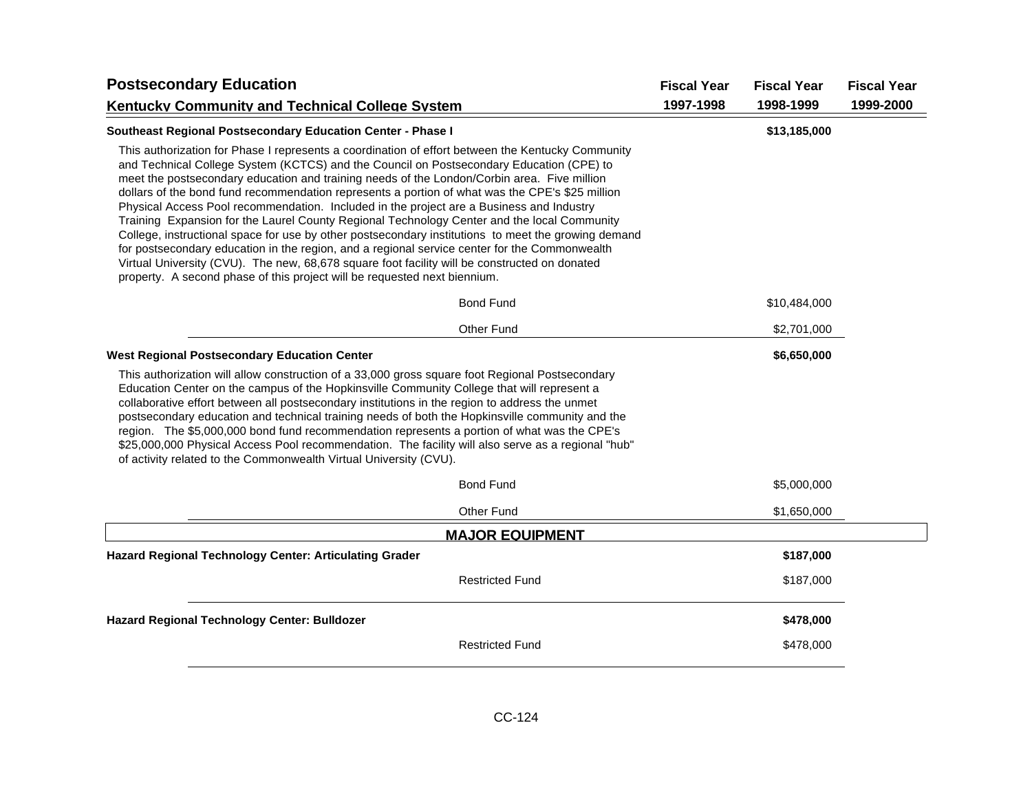| <b>Postsecondary Education</b>                                                                                                                                                                                                                                                                                                                                                                                                                                                                                                                                                                                                                                                                                                                                                                                                                                                                                                                                                   | <b>Fiscal Year</b><br><b>Fiscal Year</b> | <b>Fiscal Year</b> |
|----------------------------------------------------------------------------------------------------------------------------------------------------------------------------------------------------------------------------------------------------------------------------------------------------------------------------------------------------------------------------------------------------------------------------------------------------------------------------------------------------------------------------------------------------------------------------------------------------------------------------------------------------------------------------------------------------------------------------------------------------------------------------------------------------------------------------------------------------------------------------------------------------------------------------------------------------------------------------------|------------------------------------------|--------------------|
| <b>Kentucky Community and Technical College System</b>                                                                                                                                                                                                                                                                                                                                                                                                                                                                                                                                                                                                                                                                                                                                                                                                                                                                                                                           | 1997-1998<br>1998-1999                   | 1999-2000          |
| Southeast Regional Postsecondary Education Center - Phase I                                                                                                                                                                                                                                                                                                                                                                                                                                                                                                                                                                                                                                                                                                                                                                                                                                                                                                                      | \$13,185,000                             |                    |
| This authorization for Phase I represents a coordination of effort between the Kentucky Community<br>and Technical College System (KCTCS) and the Council on Postsecondary Education (CPE) to<br>meet the postsecondary education and training needs of the London/Corbin area. Five million<br>dollars of the bond fund recommendation represents a portion of what was the CPE's \$25 million<br>Physical Access Pool recommendation. Included in the project are a Business and Industry<br>Training Expansion for the Laurel County Regional Technology Center and the local Community<br>College, instructional space for use by other postsecondary institutions to meet the growing demand<br>for postsecondary education in the region, and a regional service center for the Commonwealth<br>Virtual University (CVU). The new, 68,678 square foot facility will be constructed on donated<br>property. A second phase of this project will be requested next biennium. |                                          |                    |
| <b>Bond Fund</b>                                                                                                                                                                                                                                                                                                                                                                                                                                                                                                                                                                                                                                                                                                                                                                                                                                                                                                                                                                 | \$10,484,000                             |                    |
| Other Fund                                                                                                                                                                                                                                                                                                                                                                                                                                                                                                                                                                                                                                                                                                                                                                                                                                                                                                                                                                       | \$2,701,000                              |                    |
| <b>West Regional Postsecondary Education Center</b>                                                                                                                                                                                                                                                                                                                                                                                                                                                                                                                                                                                                                                                                                                                                                                                                                                                                                                                              | \$6,650,000                              |                    |
| This authorization will allow construction of a 33,000 gross square foot Regional Postsecondary<br>Education Center on the campus of the Hopkinsville Community College that will represent a<br>collaborative effort between all postsecondary institutions in the region to address the unmet<br>postsecondary education and technical training needs of both the Hopkinsville community and the<br>region. The \$5,000,000 bond fund recommendation represents a portion of what was the CPE's<br>\$25,000,000 Physical Access Pool recommendation. The facility will also serve as a regional "hub"<br>of activity related to the Commonwealth Virtual University (CVU).                                                                                                                                                                                                                                                                                                     |                                          |                    |
| <b>Bond Fund</b>                                                                                                                                                                                                                                                                                                                                                                                                                                                                                                                                                                                                                                                                                                                                                                                                                                                                                                                                                                 | \$5,000,000                              |                    |
| <b>Other Fund</b>                                                                                                                                                                                                                                                                                                                                                                                                                                                                                                                                                                                                                                                                                                                                                                                                                                                                                                                                                                | \$1,650,000                              |                    |
| <b>MAJOR EQUIPMENT</b>                                                                                                                                                                                                                                                                                                                                                                                                                                                                                                                                                                                                                                                                                                                                                                                                                                                                                                                                                           |                                          |                    |
| Hazard Regional Technology Center: Articulating Grader                                                                                                                                                                                                                                                                                                                                                                                                                                                                                                                                                                                                                                                                                                                                                                                                                                                                                                                           | \$187,000                                |                    |
| <b>Restricted Fund</b>                                                                                                                                                                                                                                                                                                                                                                                                                                                                                                                                                                                                                                                                                                                                                                                                                                                                                                                                                           | \$187,000                                |                    |
| Hazard Regional Technology Center: Bulldozer                                                                                                                                                                                                                                                                                                                                                                                                                                                                                                                                                                                                                                                                                                                                                                                                                                                                                                                                     | \$478,000                                |                    |
| <b>Restricted Fund</b>                                                                                                                                                                                                                                                                                                                                                                                                                                                                                                                                                                                                                                                                                                                                                                                                                                                                                                                                                           | \$478,000                                |                    |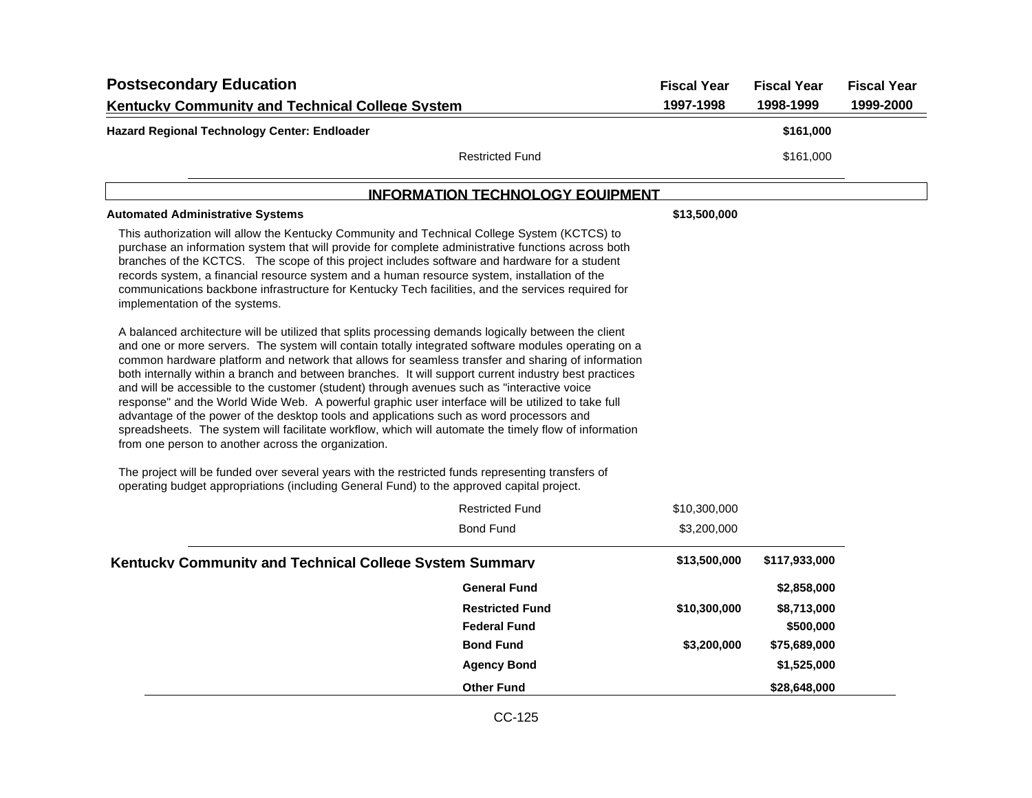| <b>Postsecondary Education</b>                                                                                                                                                                                                                                                                                                                                                                                                                                                                                                                                                                                                                                                                                                                             |                                         | <b>Fiscal Year</b> | <b>Fiscal Year</b> | <b>Fiscal Year</b> |
|------------------------------------------------------------------------------------------------------------------------------------------------------------------------------------------------------------------------------------------------------------------------------------------------------------------------------------------------------------------------------------------------------------------------------------------------------------------------------------------------------------------------------------------------------------------------------------------------------------------------------------------------------------------------------------------------------------------------------------------------------------|-----------------------------------------|--------------------|--------------------|--------------------|
| <b>Kentucky Community and Technical College System</b>                                                                                                                                                                                                                                                                                                                                                                                                                                                                                                                                                                                                                                                                                                     |                                         | 1997-1998          | 1998-1999          | 1999-2000          |
| Hazard Regional Technology Center: Endloader                                                                                                                                                                                                                                                                                                                                                                                                                                                                                                                                                                                                                                                                                                               |                                         |                    | \$161,000          |                    |
|                                                                                                                                                                                                                                                                                                                                                                                                                                                                                                                                                                                                                                                                                                                                                            | <b>Restricted Fund</b>                  |                    | \$161,000          |                    |
|                                                                                                                                                                                                                                                                                                                                                                                                                                                                                                                                                                                                                                                                                                                                                            | <b>INFORMATION TECHNOLOGY EQUIPMENT</b> |                    |                    |                    |
| <b>Automated Administrative Systems</b>                                                                                                                                                                                                                                                                                                                                                                                                                                                                                                                                                                                                                                                                                                                    |                                         | \$13,500,000       |                    |                    |
| This authorization will allow the Kentucky Community and Technical College System (KCTCS) to<br>purchase an information system that will provide for complete administrative functions across both<br>branches of the KCTCS. The scope of this project includes software and hardware for a student<br>records system, a financial resource system and a human resource system, installation of the<br>communications backbone infrastructure for Kentucky Tech facilities, and the services required for<br>implementation of the systems.<br>A balanced architecture will be utilized that splits processing demands logically between the client<br>and one or more servers. The system will contain totally integrated software modules operating on a |                                         |                    |                    |                    |
| common hardware platform and network that allows for seamless transfer and sharing of information<br>both internally within a branch and between branches. It will support current industry best practices<br>and will be accessible to the customer (student) through avenues such as "interactive voice<br>response" and the World Wide Web. A powerful graphic user interface will be utilized to take full<br>advantage of the power of the desktop tools and applications such as word processors and<br>spreadsheets. The system will facilitate workflow, which will automate the timely flow of information<br>from one person to another across the organization.                                                                                 |                                         |                    |                    |                    |
| The project will be funded over several years with the restricted funds representing transfers of<br>operating budget appropriations (including General Fund) to the approved capital project.                                                                                                                                                                                                                                                                                                                                                                                                                                                                                                                                                             |                                         |                    |                    |                    |
|                                                                                                                                                                                                                                                                                                                                                                                                                                                                                                                                                                                                                                                                                                                                                            | <b>Restricted Fund</b>                  | \$10,300,000       |                    |                    |
|                                                                                                                                                                                                                                                                                                                                                                                                                                                                                                                                                                                                                                                                                                                                                            | <b>Bond Fund</b>                        | \$3,200,000        |                    |                    |
| Kentucky Community and Technical College System Summary                                                                                                                                                                                                                                                                                                                                                                                                                                                                                                                                                                                                                                                                                                    |                                         | \$13,500,000       | \$117,933,000      |                    |
|                                                                                                                                                                                                                                                                                                                                                                                                                                                                                                                                                                                                                                                                                                                                                            | <b>General Fund</b>                     |                    | \$2,858,000        |                    |
|                                                                                                                                                                                                                                                                                                                                                                                                                                                                                                                                                                                                                                                                                                                                                            | <b>Restricted Fund</b>                  | \$10,300,000       | \$8,713,000        |                    |
|                                                                                                                                                                                                                                                                                                                                                                                                                                                                                                                                                                                                                                                                                                                                                            | <b>Federal Fund</b>                     |                    | \$500,000          |                    |
|                                                                                                                                                                                                                                                                                                                                                                                                                                                                                                                                                                                                                                                                                                                                                            | <b>Bond Fund</b>                        | \$3,200,000        | \$75,689,000       |                    |
|                                                                                                                                                                                                                                                                                                                                                                                                                                                                                                                                                                                                                                                                                                                                                            | <b>Agency Bond</b>                      |                    | \$1,525,000        |                    |
|                                                                                                                                                                                                                                                                                                                                                                                                                                                                                                                                                                                                                                                                                                                                                            | <b>Other Fund</b>                       |                    | \$28,648,000       |                    |

CC-125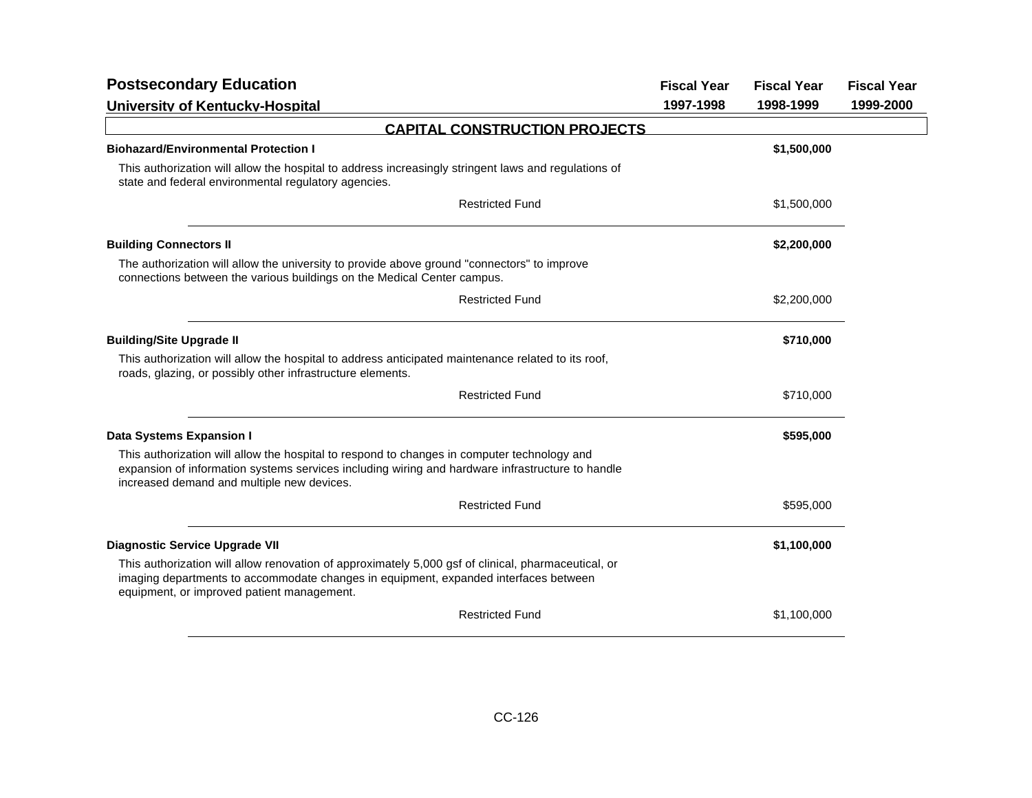| <b>Postsecondary Education</b>                                                                                                                                                                                                                | <b>Fiscal Year</b> | <b>Fiscal Year</b> | <b>Fiscal Year</b> |
|-----------------------------------------------------------------------------------------------------------------------------------------------------------------------------------------------------------------------------------------------|--------------------|--------------------|--------------------|
| University of Kentucky-Hospital                                                                                                                                                                                                               | 1997-1998          | 1998-1999          | 1999-2000          |
| <b>CAPITAL CONSTRUCTION PROJECTS</b>                                                                                                                                                                                                          |                    |                    |                    |
| <b>Biohazard/Environmental Protection I</b>                                                                                                                                                                                                   |                    | \$1,500,000        |                    |
| This authorization will allow the hospital to address increasingly stringent laws and regulations of<br>state and federal environmental regulatory agencies.                                                                                  |                    |                    |                    |
| <b>Restricted Fund</b>                                                                                                                                                                                                                        |                    | \$1,500,000        |                    |
| <b>Building Connectors II</b>                                                                                                                                                                                                                 |                    | \$2,200,000        |                    |
| The authorization will allow the university to provide above ground "connectors" to improve<br>connections between the various buildings on the Medical Center campus.                                                                        |                    |                    |                    |
| <b>Restricted Fund</b>                                                                                                                                                                                                                        |                    | \$2,200,000        |                    |
| <b>Building/Site Upgrade II</b>                                                                                                                                                                                                               |                    | \$710,000          |                    |
| This authorization will allow the hospital to address anticipated maintenance related to its roof,<br>roads, glazing, or possibly other infrastructure elements.                                                                              |                    |                    |                    |
| <b>Restricted Fund</b>                                                                                                                                                                                                                        |                    | \$710,000          |                    |
| <b>Data Systems Expansion I</b>                                                                                                                                                                                                               |                    | \$595,000          |                    |
| This authorization will allow the hospital to respond to changes in computer technology and<br>expansion of information systems services including wiring and hardware infrastructure to handle<br>increased demand and multiple new devices. |                    |                    |                    |
| <b>Restricted Fund</b>                                                                                                                                                                                                                        |                    | \$595,000          |                    |
| <b>Diagnostic Service Upgrade VII</b>                                                                                                                                                                                                         |                    | \$1,100,000        |                    |
| This authorization will allow renovation of approximately 5,000 gsf of clinical, pharmaceutical, or<br>imaging departments to accommodate changes in equipment, expanded interfaces between<br>equipment, or improved patient management.     |                    |                    |                    |
| <b>Restricted Fund</b>                                                                                                                                                                                                                        |                    | \$1,100,000        |                    |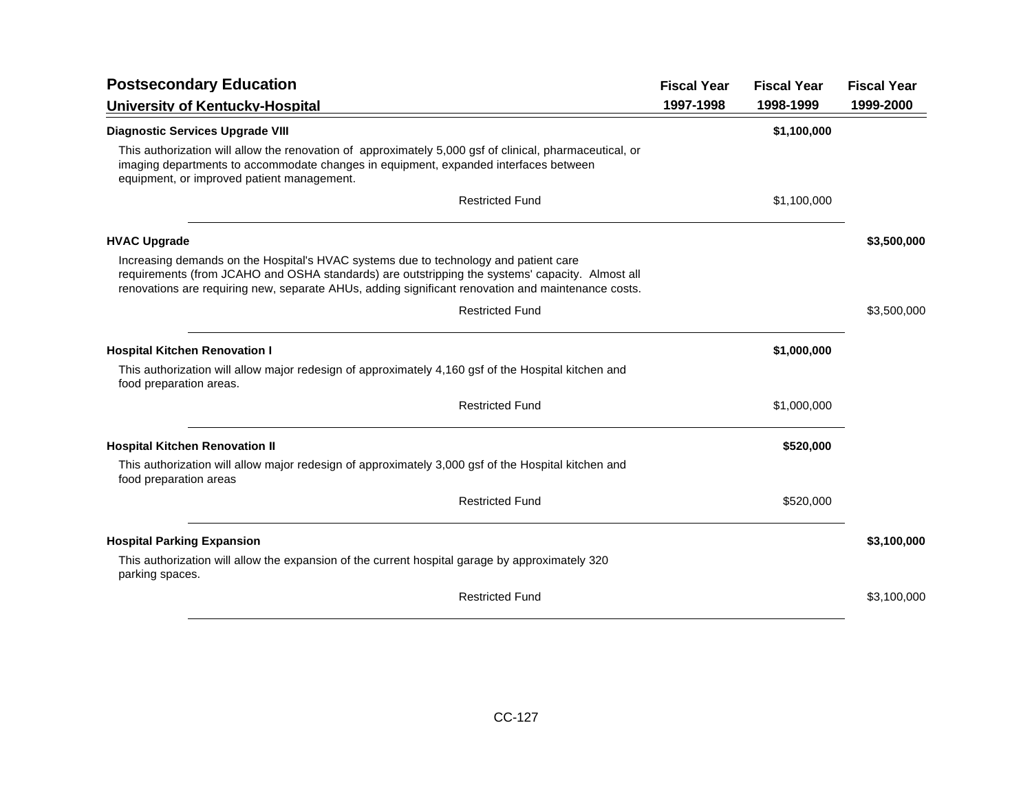| <b>Postsecondary Education</b>                                                                                                                                                                                                                                                                | <b>Fiscal Year</b> | <b>Fiscal Year</b> | <b>Fiscal Year</b> |
|-----------------------------------------------------------------------------------------------------------------------------------------------------------------------------------------------------------------------------------------------------------------------------------------------|--------------------|--------------------|--------------------|
| University of Kentucky-Hospital                                                                                                                                                                                                                                                               | 1997-1998          | 1998-1999          | 1999-2000          |
| <b>Diagnostic Services Upgrade VIII</b>                                                                                                                                                                                                                                                       |                    | \$1,100,000        |                    |
| This authorization will allow the renovation of approximately 5,000 gsf of clinical, pharmaceutical, or<br>imaging departments to accommodate changes in equipment, expanded interfaces between<br>equipment, or improved patient management.                                                 |                    |                    |                    |
| <b>Restricted Fund</b>                                                                                                                                                                                                                                                                        |                    | \$1,100,000        |                    |
| <b>HVAC Upgrade</b>                                                                                                                                                                                                                                                                           |                    |                    | \$3,500,000        |
| Increasing demands on the Hospital's HVAC systems due to technology and patient care<br>requirements (from JCAHO and OSHA standards) are outstripping the systems' capacity. Almost all<br>renovations are requiring new, separate AHUs, adding significant renovation and maintenance costs. |                    |                    |                    |
| <b>Restricted Fund</b>                                                                                                                                                                                                                                                                        |                    |                    | \$3,500,000        |
| <b>Hospital Kitchen Renovation I</b>                                                                                                                                                                                                                                                          |                    | \$1,000,000        |                    |
| This authorization will allow major redesign of approximately 4,160 gsf of the Hospital kitchen and<br>food preparation areas.                                                                                                                                                                |                    |                    |                    |
| <b>Restricted Fund</b>                                                                                                                                                                                                                                                                        |                    | \$1,000,000        |                    |
| <b>Hospital Kitchen Renovation II</b>                                                                                                                                                                                                                                                         |                    | \$520,000          |                    |
| This authorization will allow major redesign of approximately 3,000 gsf of the Hospital kitchen and<br>food preparation areas                                                                                                                                                                 |                    |                    |                    |
| <b>Restricted Fund</b>                                                                                                                                                                                                                                                                        |                    | \$520,000          |                    |
| <b>Hospital Parking Expansion</b>                                                                                                                                                                                                                                                             |                    |                    | \$3,100,000        |
| This authorization will allow the expansion of the current hospital garage by approximately 320<br>parking spaces.                                                                                                                                                                            |                    |                    |                    |
| <b>Restricted Fund</b>                                                                                                                                                                                                                                                                        |                    |                    | \$3,100,000        |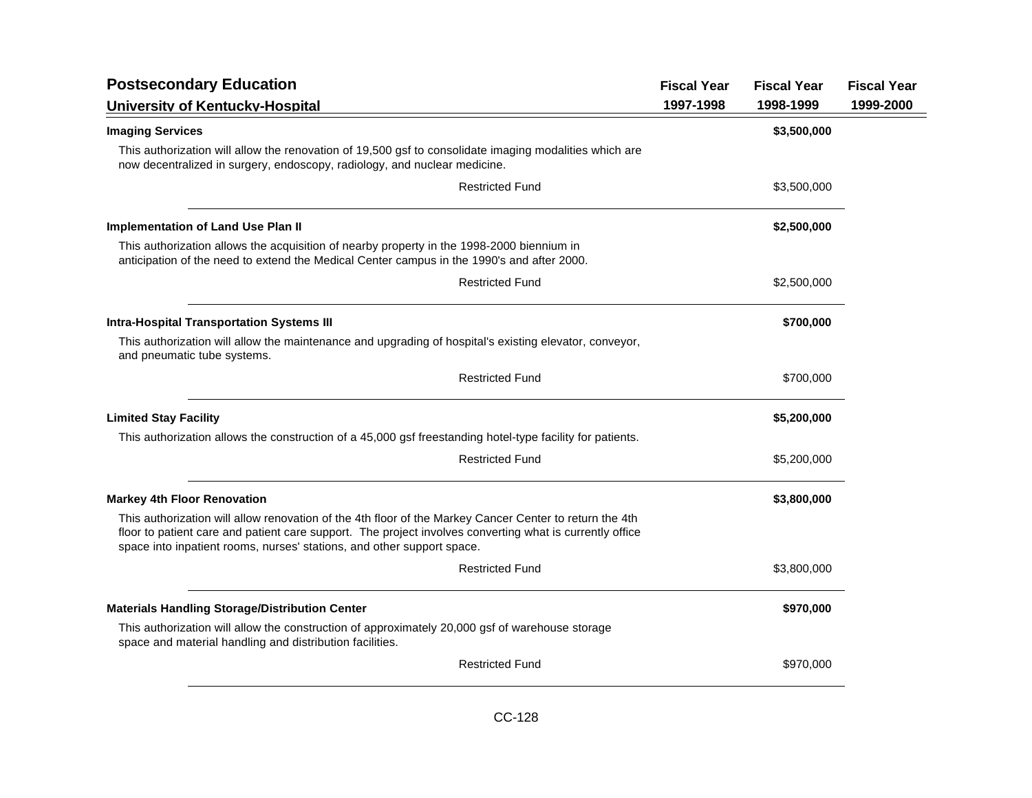| <b>Postsecondary Education</b>                                                                                                                                                                                                                                                                | <b>Fiscal Year</b> | <b>Fiscal Year</b> | <b>Fiscal Year</b> |
|-----------------------------------------------------------------------------------------------------------------------------------------------------------------------------------------------------------------------------------------------------------------------------------------------|--------------------|--------------------|--------------------|
| University of Kentucky-Hospital                                                                                                                                                                                                                                                               | 1997-1998          | 1998-1999          | 1999-2000          |
| <b>Imaging Services</b>                                                                                                                                                                                                                                                                       |                    | \$3,500,000        |                    |
| This authorization will allow the renovation of 19,500 gsf to consolidate imaging modalities which are<br>now decentralized in surgery, endoscopy, radiology, and nuclear medicine.                                                                                                           |                    |                    |                    |
| <b>Restricted Fund</b>                                                                                                                                                                                                                                                                        |                    | \$3,500,000        |                    |
| <b>Implementation of Land Use Plan II</b>                                                                                                                                                                                                                                                     |                    | \$2,500,000        |                    |
| This authorization allows the acquisition of nearby property in the 1998-2000 biennium in<br>anticipation of the need to extend the Medical Center campus in the 1990's and after 2000.                                                                                                       |                    |                    |                    |
| <b>Restricted Fund</b>                                                                                                                                                                                                                                                                        |                    | \$2,500,000        |                    |
| <b>Intra-Hospital Transportation Systems III</b>                                                                                                                                                                                                                                              |                    | \$700,000          |                    |
| This authorization will allow the maintenance and upgrading of hospital's existing elevator, conveyor,<br>and pneumatic tube systems.                                                                                                                                                         |                    |                    |                    |
| <b>Restricted Fund</b>                                                                                                                                                                                                                                                                        |                    | \$700,000          |                    |
| <b>Limited Stay Facility</b>                                                                                                                                                                                                                                                                  |                    | \$5,200,000        |                    |
| This authorization allows the construction of a 45,000 gsf freestanding hotel-type facility for patients.                                                                                                                                                                                     |                    |                    |                    |
| <b>Restricted Fund</b>                                                                                                                                                                                                                                                                        |                    | \$5,200,000        |                    |
| <b>Markey 4th Floor Renovation</b>                                                                                                                                                                                                                                                            |                    | \$3,800,000        |                    |
| This authorization will allow renovation of the 4th floor of the Markey Cancer Center to return the 4th<br>floor to patient care and patient care support. The project involves converting what is currently office<br>space into inpatient rooms, nurses' stations, and other support space. |                    |                    |                    |
| <b>Restricted Fund</b>                                                                                                                                                                                                                                                                        |                    | \$3,800,000        |                    |
| <b>Materials Handling Storage/Distribution Center</b>                                                                                                                                                                                                                                         |                    | \$970,000          |                    |
| This authorization will allow the construction of approximately 20,000 gsf of warehouse storage<br>space and material handling and distribution facilities.                                                                                                                                   |                    |                    |                    |
| <b>Restricted Fund</b>                                                                                                                                                                                                                                                                        |                    | \$970,000          |                    |
|                                                                                                                                                                                                                                                                                               |                    |                    |                    |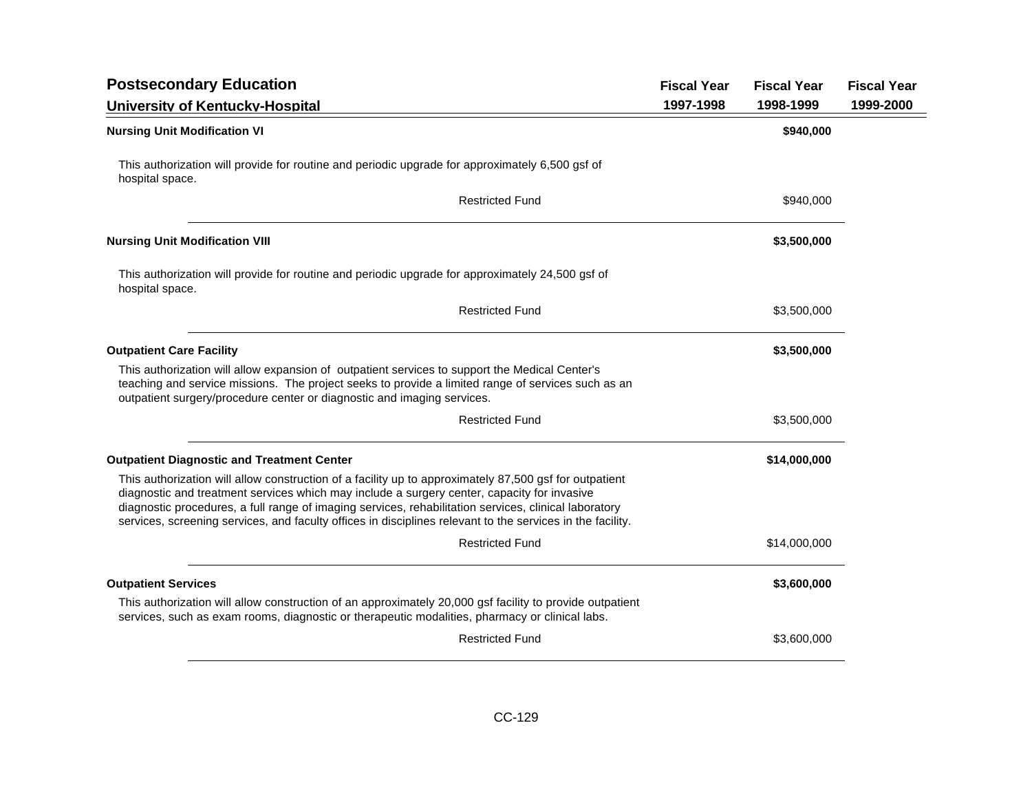| <b>Postsecondary Education</b>                                                                                                                                                                                                                                                                                                                                                                                               | <b>Fiscal Year</b> | <b>Fiscal Year</b> | <b>Fiscal Year</b> |
|------------------------------------------------------------------------------------------------------------------------------------------------------------------------------------------------------------------------------------------------------------------------------------------------------------------------------------------------------------------------------------------------------------------------------|--------------------|--------------------|--------------------|
| University of Kentucky-Hospital                                                                                                                                                                                                                                                                                                                                                                                              | 1997-1998          | 1998-1999          | 1999-2000          |
| <b>Nursing Unit Modification VI</b>                                                                                                                                                                                                                                                                                                                                                                                          |                    | \$940,000          |                    |
| This authorization will provide for routine and periodic upgrade for approximately 6,500 gsf of<br>hospital space.                                                                                                                                                                                                                                                                                                           |                    |                    |                    |
| <b>Restricted Fund</b>                                                                                                                                                                                                                                                                                                                                                                                                       |                    | \$940,000          |                    |
| <b>Nursing Unit Modification VIII</b>                                                                                                                                                                                                                                                                                                                                                                                        |                    | \$3,500,000        |                    |
| This authorization will provide for routine and periodic upgrade for approximately 24,500 gsf of<br>hospital space.                                                                                                                                                                                                                                                                                                          |                    |                    |                    |
| <b>Restricted Fund</b>                                                                                                                                                                                                                                                                                                                                                                                                       |                    | \$3,500,000        |                    |
| <b>Outpatient Care Facility</b>                                                                                                                                                                                                                                                                                                                                                                                              |                    | \$3,500,000        |                    |
| This authorization will allow expansion of outpatient services to support the Medical Center's<br>teaching and service missions. The project seeks to provide a limited range of services such as an<br>outpatient surgery/procedure center or diagnostic and imaging services.                                                                                                                                              |                    |                    |                    |
| <b>Restricted Fund</b>                                                                                                                                                                                                                                                                                                                                                                                                       |                    | \$3,500,000        |                    |
| <b>Outpatient Diagnostic and Treatment Center</b>                                                                                                                                                                                                                                                                                                                                                                            |                    | \$14,000,000       |                    |
| This authorization will allow construction of a facility up to approximately 87,500 gsf for outpatient<br>diagnostic and treatment services which may include a surgery center, capacity for invasive<br>diagnostic procedures, a full range of imaging services, rehabilitation services, clinical laboratory<br>services, screening services, and faculty offices in disciplines relevant to the services in the facility. |                    |                    |                    |
| <b>Restricted Fund</b>                                                                                                                                                                                                                                                                                                                                                                                                       |                    | \$14,000,000       |                    |
| <b>Outpatient Services</b>                                                                                                                                                                                                                                                                                                                                                                                                   |                    | \$3,600,000        |                    |
| This authorization will allow construction of an approximately 20,000 gsf facility to provide outpatient<br>services, such as exam rooms, diagnostic or therapeutic modalities, pharmacy or clinical labs.                                                                                                                                                                                                                   |                    |                    |                    |
| <b>Restricted Fund</b>                                                                                                                                                                                                                                                                                                                                                                                                       |                    | \$3,600,000        |                    |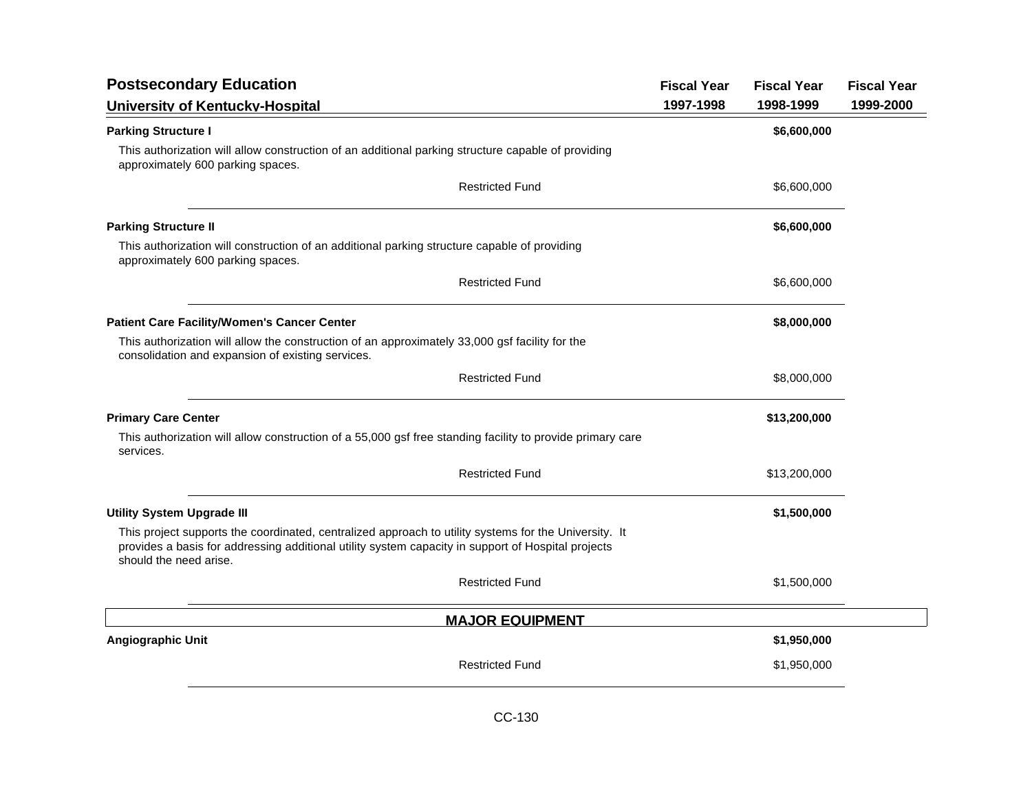| <b>Postsecondary Education</b>                                                                                                                                                                                                        | <b>Fiscal Year</b> | <b>Fiscal Year</b> | <b>Fiscal Year</b> |
|---------------------------------------------------------------------------------------------------------------------------------------------------------------------------------------------------------------------------------------|--------------------|--------------------|--------------------|
| University of Kentucky-Hospital                                                                                                                                                                                                       | 1997-1998          | 1998-1999          | 1999-2000          |
| <b>Parking Structure I</b>                                                                                                                                                                                                            |                    | \$6,600,000        |                    |
| This authorization will allow construction of an additional parking structure capable of providing<br>approximately 600 parking spaces.                                                                                               |                    |                    |                    |
| <b>Restricted Fund</b>                                                                                                                                                                                                                |                    | \$6,600,000        |                    |
| <b>Parking Structure II</b>                                                                                                                                                                                                           |                    | \$6,600,000        |                    |
| This authorization will construction of an additional parking structure capable of providing<br>approximately 600 parking spaces.                                                                                                     |                    |                    |                    |
| <b>Restricted Fund</b>                                                                                                                                                                                                                |                    | \$6,600,000        |                    |
| <b>Patient Care Facility/Women's Cancer Center</b>                                                                                                                                                                                    |                    | \$8,000,000        |                    |
| This authorization will allow the construction of an approximately 33,000 gsf facility for the<br>consolidation and expansion of existing services.                                                                                   |                    |                    |                    |
| <b>Restricted Fund</b>                                                                                                                                                                                                                |                    | \$8,000,000        |                    |
| <b>Primary Care Center</b>                                                                                                                                                                                                            |                    | \$13,200,000       |                    |
| This authorization will allow construction of a 55,000 gsf free standing facility to provide primary care<br>services.                                                                                                                |                    |                    |                    |
| <b>Restricted Fund</b>                                                                                                                                                                                                                |                    | \$13,200,000       |                    |
| <b>Utility System Upgrade III</b>                                                                                                                                                                                                     |                    | \$1,500,000        |                    |
| This project supports the coordinated, centralized approach to utility systems for the University. It<br>provides a basis for addressing additional utility system capacity in support of Hospital projects<br>should the need arise. |                    |                    |                    |
| <b>Restricted Fund</b>                                                                                                                                                                                                                |                    | \$1,500,000        |                    |
| <b>MAJOR EQUIPMENT</b>                                                                                                                                                                                                                |                    |                    |                    |
| Angiographic Unit                                                                                                                                                                                                                     |                    | \$1,950,000        |                    |
| <b>Restricted Fund</b>                                                                                                                                                                                                                |                    | \$1,950,000        |                    |
|                                                                                                                                                                                                                                       |                    |                    |                    |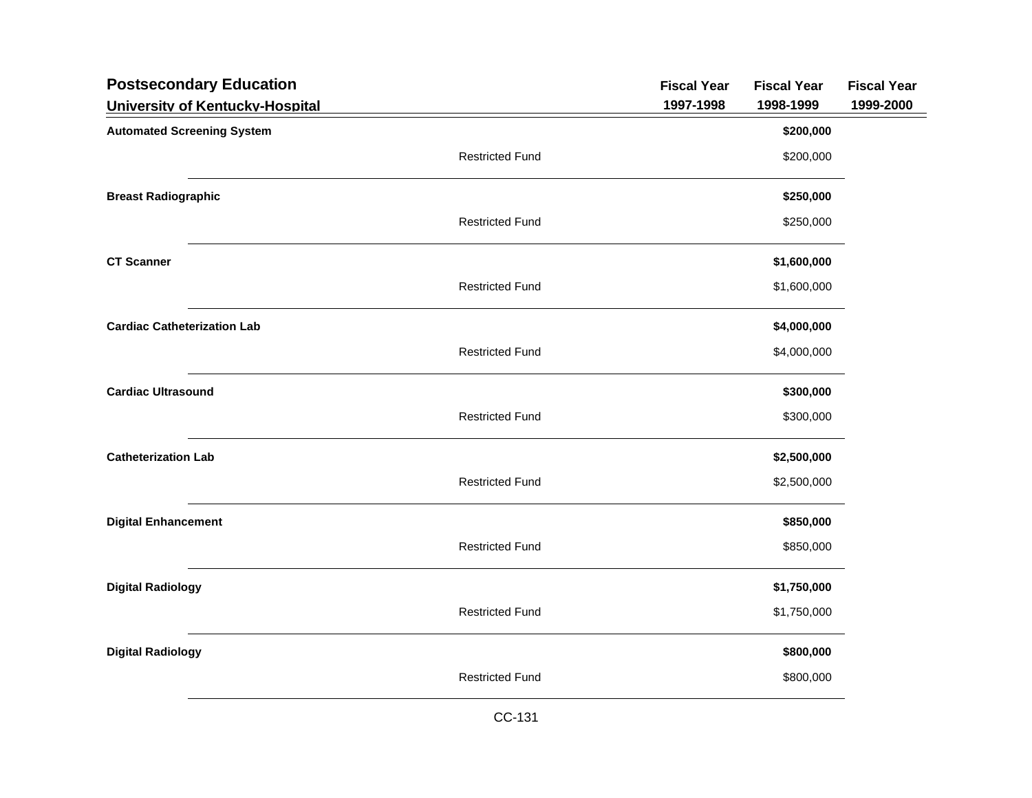| <b>Postsecondary Education</b>     |                        | <b>Fiscal Year</b> | <b>Fiscal Year</b> | <b>Fiscal Year</b> |
|------------------------------------|------------------------|--------------------|--------------------|--------------------|
| University of Kentucky-Hospital    |                        | 1997-1998          | 1998-1999          | 1999-2000          |
| <b>Automated Screening System</b>  |                        |                    | \$200,000          |                    |
|                                    | <b>Restricted Fund</b> |                    | \$200,000          |                    |
| <b>Breast Radiographic</b>         |                        |                    | \$250,000          |                    |
|                                    | <b>Restricted Fund</b> |                    | \$250,000          |                    |
| <b>CT Scanner</b>                  |                        |                    | \$1,600,000        |                    |
|                                    | <b>Restricted Fund</b> |                    | \$1,600,000        |                    |
| <b>Cardiac Catheterization Lab</b> |                        |                    | \$4,000,000        |                    |
|                                    | <b>Restricted Fund</b> |                    | \$4,000,000        |                    |
| <b>Cardiac Ultrasound</b>          |                        |                    | \$300,000          |                    |
|                                    | <b>Restricted Fund</b> |                    | \$300,000          |                    |
| <b>Catheterization Lab</b>         |                        |                    | \$2,500,000        |                    |
|                                    | <b>Restricted Fund</b> |                    | \$2,500,000        |                    |
| <b>Digital Enhancement</b>         |                        |                    | \$850,000          |                    |
|                                    | <b>Restricted Fund</b> |                    | \$850,000          |                    |
| <b>Digital Radiology</b>           |                        |                    | \$1,750,000        |                    |
|                                    | <b>Restricted Fund</b> |                    | \$1,750,000        |                    |
| <b>Digital Radiology</b>           |                        |                    | \$800,000          |                    |
|                                    | <b>Restricted Fund</b> |                    | \$800,000          |                    |
|                                    |                        |                    |                    |                    |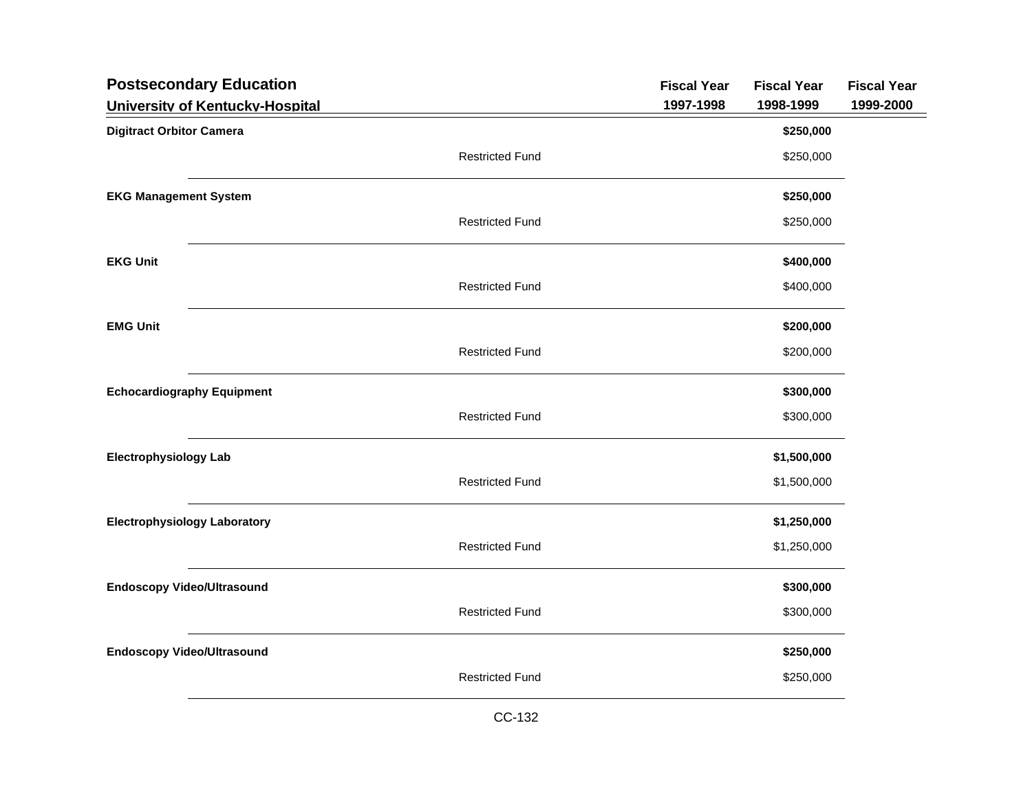| <b>Postsecondary Education</b>      |                        | <b>Fiscal Year</b> | <b>Fiscal Year</b> | <b>Fiscal Year</b> |
|-------------------------------------|------------------------|--------------------|--------------------|--------------------|
| University of Kentucky-Hospital     |                        | 1997-1998          | 1998-1999          | 1999-2000          |
| <b>Digitract Orbitor Camera</b>     |                        |                    | \$250,000          |                    |
|                                     | <b>Restricted Fund</b> |                    | \$250,000          |                    |
| <b>EKG Management System</b>        |                        |                    | \$250,000          |                    |
|                                     | <b>Restricted Fund</b> |                    | \$250,000          |                    |
| <b>EKG Unit</b>                     |                        |                    | \$400,000          |                    |
|                                     | <b>Restricted Fund</b> |                    | \$400,000          |                    |
| <b>EMG Unit</b>                     |                        |                    | \$200,000          |                    |
|                                     | <b>Restricted Fund</b> |                    | \$200,000          |                    |
| <b>Echocardiography Equipment</b>   |                        |                    | \$300,000          |                    |
|                                     | <b>Restricted Fund</b> |                    | \$300,000          |                    |
| <b>Electrophysiology Lab</b>        |                        |                    | \$1,500,000        |                    |
|                                     | <b>Restricted Fund</b> |                    | \$1,500,000        |                    |
| <b>Electrophysiology Laboratory</b> |                        |                    | \$1,250,000        |                    |
|                                     | <b>Restricted Fund</b> |                    | \$1,250,000        |                    |
| <b>Endoscopy Video/Ultrasound</b>   |                        |                    | \$300,000          |                    |
|                                     | <b>Restricted Fund</b> |                    | \$300,000          |                    |
| <b>Endoscopy Video/Ultrasound</b>   |                        |                    | \$250,000          |                    |
|                                     | <b>Restricted Fund</b> |                    | \$250,000          |                    |
|                                     |                        |                    |                    |                    |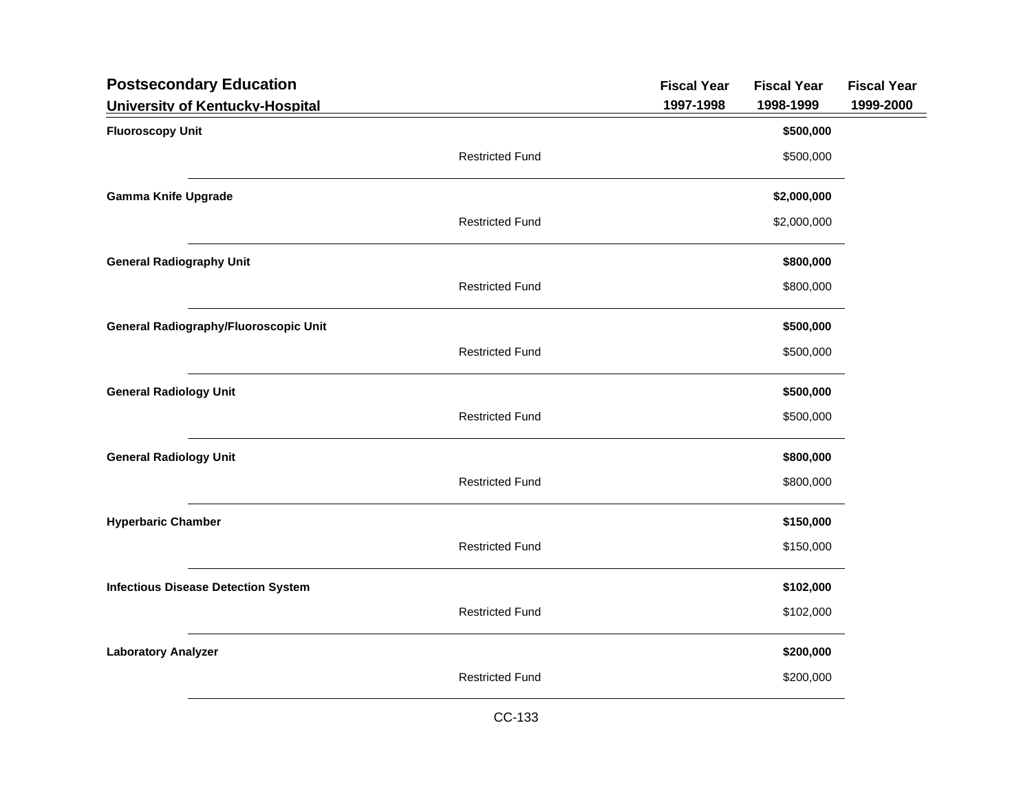| <b>Postsecondary Education</b>               |                        | <b>Fiscal Year</b> | <b>Fiscal Year</b> | <b>Fiscal Year</b> |
|----------------------------------------------|------------------------|--------------------|--------------------|--------------------|
| University of Kentucky-Hospital              |                        | 1997-1998          | 1998-1999          | 1999-2000          |
| <b>Fluoroscopy Unit</b>                      |                        |                    | \$500,000          |                    |
|                                              | <b>Restricted Fund</b> |                    | \$500,000          |                    |
| <b>Gamma Knife Upgrade</b>                   |                        |                    | \$2,000,000        |                    |
|                                              | <b>Restricted Fund</b> |                    | \$2,000,000        |                    |
| <b>General Radiography Unit</b>              |                        |                    | \$800,000          |                    |
|                                              | <b>Restricted Fund</b> |                    | \$800,000          |                    |
| <b>General Radiography/Fluoroscopic Unit</b> |                        |                    | \$500,000          |                    |
|                                              | <b>Restricted Fund</b> |                    | \$500,000          |                    |
| <b>General Radiology Unit</b>                |                        |                    | \$500,000          |                    |
|                                              | <b>Restricted Fund</b> |                    | \$500,000          |                    |
| <b>General Radiology Unit</b>                |                        |                    | \$800,000          |                    |
|                                              | <b>Restricted Fund</b> |                    | \$800,000          |                    |
| <b>Hyperbaric Chamber</b>                    |                        |                    | \$150,000          |                    |
|                                              | <b>Restricted Fund</b> |                    | \$150,000          |                    |
| <b>Infectious Disease Detection System</b>   |                        |                    | \$102,000          |                    |
|                                              | <b>Restricted Fund</b> |                    | \$102,000          |                    |
| <b>Laboratory Analyzer</b>                   |                        |                    | \$200,000          |                    |
|                                              | <b>Restricted Fund</b> |                    | \$200,000          |                    |
|                                              |                        |                    |                    |                    |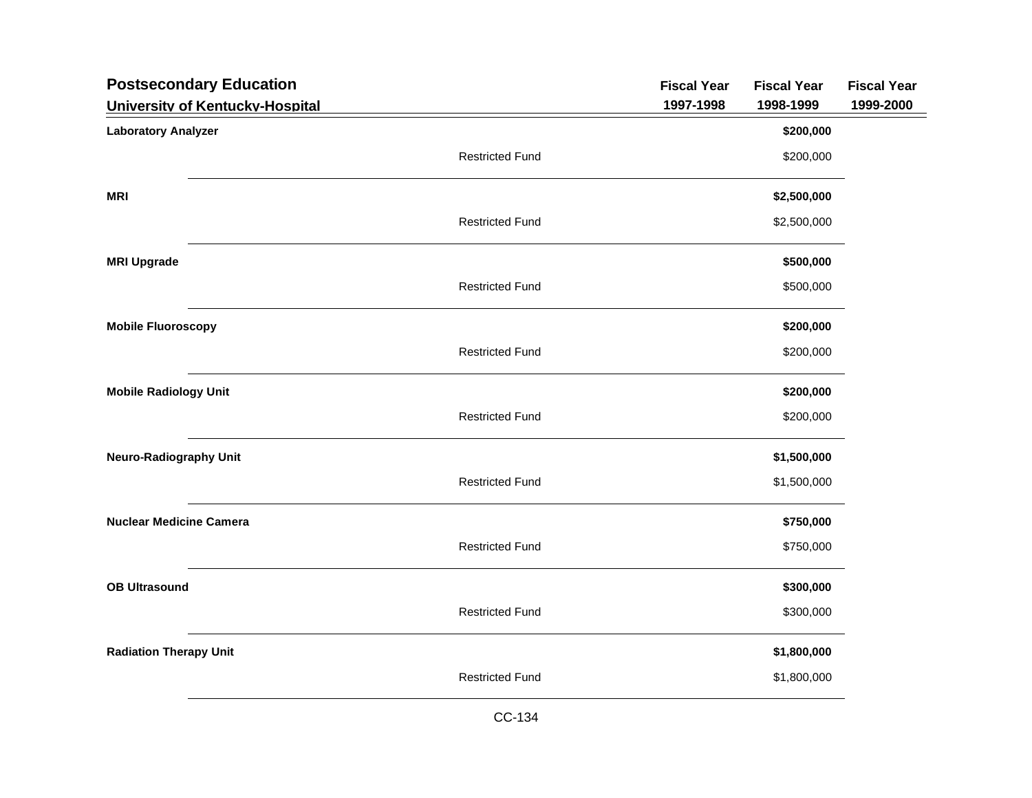| <b>Postsecondary Education</b>  |                        | <b>Fiscal Year</b> | <b>Fiscal Year</b> | <b>Fiscal Year</b> |
|---------------------------------|------------------------|--------------------|--------------------|--------------------|
| University of Kentucky-Hospital |                        | 1997-1998          | 1998-1999          | 1999-2000          |
| <b>Laboratory Analyzer</b>      |                        |                    | \$200,000          |                    |
|                                 | <b>Restricted Fund</b> |                    | \$200,000          |                    |
| <b>MRI</b>                      |                        |                    | \$2,500,000        |                    |
|                                 | <b>Restricted Fund</b> |                    | \$2,500,000        |                    |
| <b>MRI Upgrade</b>              |                        |                    | \$500,000          |                    |
|                                 | <b>Restricted Fund</b> |                    | \$500,000          |                    |
| <b>Mobile Fluoroscopy</b>       |                        |                    | \$200,000          |                    |
|                                 | <b>Restricted Fund</b> |                    | \$200,000          |                    |
| <b>Mobile Radiology Unit</b>    |                        |                    | \$200,000          |                    |
|                                 | <b>Restricted Fund</b> |                    | \$200,000          |                    |
| <b>Neuro-Radiography Unit</b>   |                        |                    | \$1,500,000        |                    |
|                                 | <b>Restricted Fund</b> |                    | \$1,500,000        |                    |
| <b>Nuclear Medicine Camera</b>  |                        |                    | \$750,000          |                    |
|                                 | <b>Restricted Fund</b> |                    | \$750,000          |                    |
| <b>OB Ultrasound</b>            |                        |                    | \$300,000          |                    |
|                                 | <b>Restricted Fund</b> |                    | \$300,000          |                    |
| <b>Radiation Therapy Unit</b>   |                        |                    | \$1,800,000        |                    |
|                                 | <b>Restricted Fund</b> |                    | \$1,800,000        |                    |
|                                 |                        |                    |                    |                    |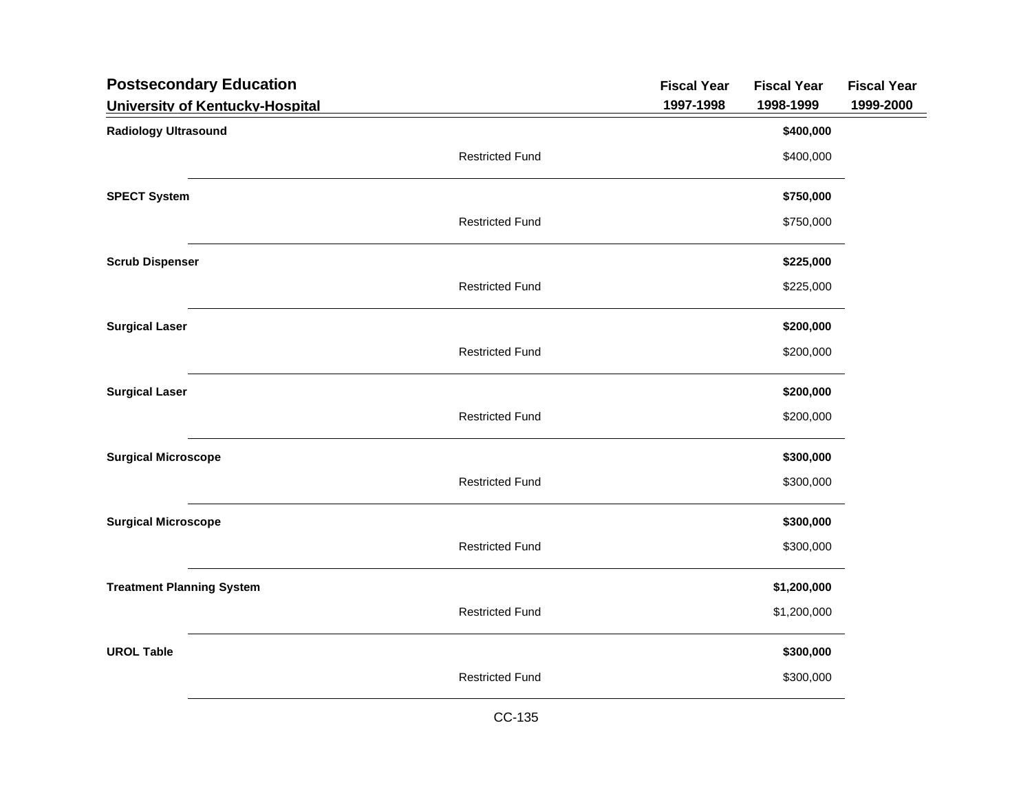| <b>Postsecondary Education</b>   |                        | <b>Fiscal Year</b> | <b>Fiscal Year</b> | <b>Fiscal Year</b> |
|----------------------------------|------------------------|--------------------|--------------------|--------------------|
| University of Kentucky-Hospital  |                        | 1997-1998          | 1998-1999          | 1999-2000          |
| <b>Radiology Ultrasound</b>      |                        |                    | \$400,000          |                    |
|                                  | <b>Restricted Fund</b> |                    | \$400,000          |                    |
| <b>SPECT System</b>              |                        |                    | \$750,000          |                    |
|                                  | <b>Restricted Fund</b> |                    | \$750,000          |                    |
| <b>Scrub Dispenser</b>           |                        |                    | \$225,000          |                    |
|                                  | <b>Restricted Fund</b> |                    | \$225,000          |                    |
| <b>Surgical Laser</b>            |                        |                    | \$200,000          |                    |
|                                  | <b>Restricted Fund</b> |                    | \$200,000          |                    |
| <b>Surgical Laser</b>            |                        |                    | \$200,000          |                    |
|                                  | <b>Restricted Fund</b> |                    | \$200,000          |                    |
| <b>Surgical Microscope</b>       |                        |                    | \$300,000          |                    |
|                                  | <b>Restricted Fund</b> |                    | \$300,000          |                    |
| <b>Surgical Microscope</b>       |                        |                    | \$300,000          |                    |
|                                  | <b>Restricted Fund</b> |                    | \$300,000          |                    |
| <b>Treatment Planning System</b> |                        |                    | \$1,200,000        |                    |
|                                  | <b>Restricted Fund</b> |                    | \$1,200,000        |                    |
| <b>UROL Table</b>                |                        |                    | \$300,000          |                    |
|                                  | <b>Restricted Fund</b> |                    | \$300,000          |                    |
|                                  |                        |                    |                    |                    |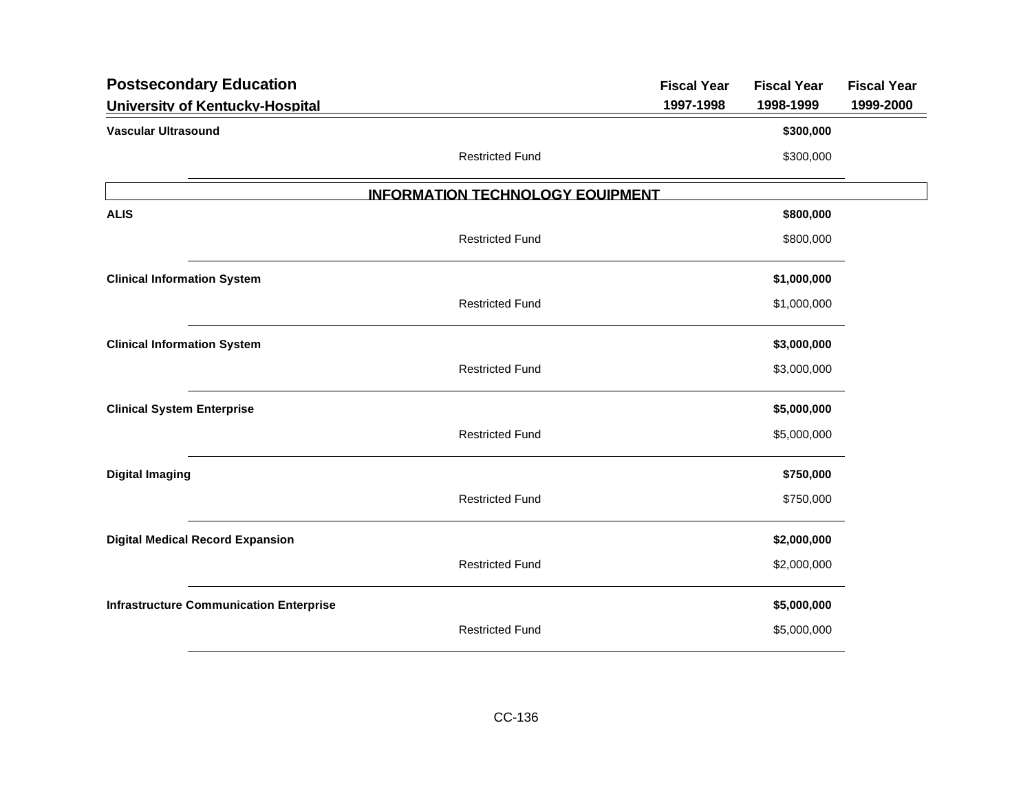| <b>Postsecondary Education</b>                 |                                         | <b>Fiscal Year</b> | <b>Fiscal Year</b> | <b>Fiscal Year</b> |
|------------------------------------------------|-----------------------------------------|--------------------|--------------------|--------------------|
| University of Kentucky-Hospital                |                                         | 1997-1998          | 1998-1999          | 1999-2000          |
| <b>Vascular Ultrasound</b>                     |                                         |                    | \$300,000          |                    |
|                                                | <b>Restricted Fund</b>                  |                    | \$300,000          |                    |
|                                                | <b>INFORMATION TECHNOLOGY EQUIPMENT</b> |                    |                    |                    |
| <b>ALIS</b>                                    |                                         |                    | \$800,000          |                    |
|                                                | <b>Restricted Fund</b>                  |                    | \$800,000          |                    |
| <b>Clinical Information System</b>             |                                         |                    | \$1,000,000        |                    |
|                                                | <b>Restricted Fund</b>                  |                    | \$1,000,000        |                    |
| <b>Clinical Information System</b>             |                                         |                    | \$3,000,000        |                    |
|                                                | <b>Restricted Fund</b>                  |                    | \$3,000,000        |                    |
| <b>Clinical System Enterprise</b>              |                                         |                    | \$5,000,000        |                    |
|                                                | <b>Restricted Fund</b>                  |                    | \$5,000,000        |                    |
| <b>Digital Imaging</b>                         |                                         |                    | \$750,000          |                    |
|                                                | <b>Restricted Fund</b>                  |                    | \$750,000          |                    |
| <b>Digital Medical Record Expansion</b>        |                                         |                    | \$2,000,000        |                    |
|                                                | <b>Restricted Fund</b>                  |                    | \$2,000,000        |                    |
| <b>Infrastructure Communication Enterprise</b> |                                         |                    | \$5,000,000        |                    |
|                                                | <b>Restricted Fund</b>                  |                    | \$5,000,000        |                    |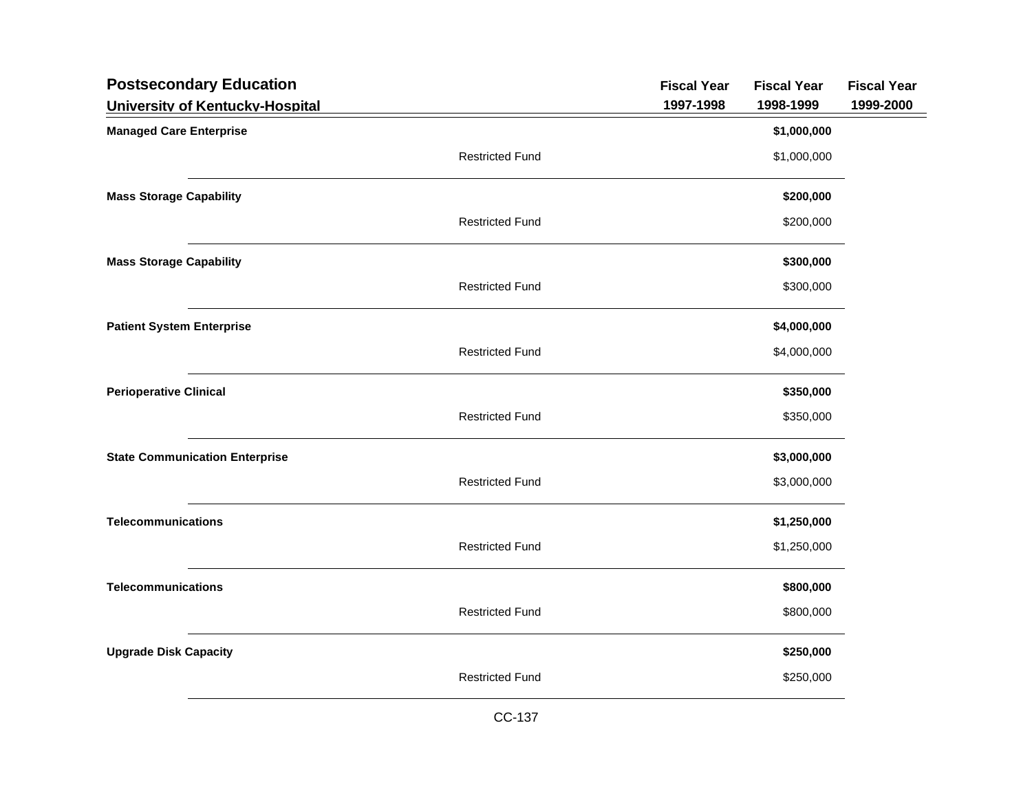| <b>Postsecondary Education</b>        |                        | <b>Fiscal Year</b> | <b>Fiscal Year</b> | <b>Fiscal Year</b> |
|---------------------------------------|------------------------|--------------------|--------------------|--------------------|
| University of Kentucky-Hospital       |                        | 1997-1998          | 1998-1999          | 1999-2000          |
| <b>Managed Care Enterprise</b>        |                        |                    | \$1,000,000        |                    |
|                                       | <b>Restricted Fund</b> |                    | \$1,000,000        |                    |
| <b>Mass Storage Capability</b>        |                        |                    | \$200,000          |                    |
|                                       | <b>Restricted Fund</b> |                    | \$200,000          |                    |
| <b>Mass Storage Capability</b>        |                        |                    | \$300,000          |                    |
|                                       | <b>Restricted Fund</b> |                    | \$300,000          |                    |
| <b>Patient System Enterprise</b>      |                        |                    | \$4,000,000        |                    |
|                                       | <b>Restricted Fund</b> |                    | \$4,000,000        |                    |
| <b>Perioperative Clinical</b>         |                        |                    | \$350,000          |                    |
|                                       | <b>Restricted Fund</b> |                    | \$350,000          |                    |
| <b>State Communication Enterprise</b> |                        |                    | \$3,000,000        |                    |
|                                       | <b>Restricted Fund</b> |                    | \$3,000,000        |                    |
| <b>Telecommunications</b>             |                        |                    | \$1,250,000        |                    |
|                                       | <b>Restricted Fund</b> |                    | \$1,250,000        |                    |
| <b>Telecommunications</b>             |                        |                    | \$800,000          |                    |
|                                       | <b>Restricted Fund</b> |                    | \$800,000          |                    |
| <b>Upgrade Disk Capacity</b>          |                        |                    | \$250,000          |                    |
|                                       | <b>Restricted Fund</b> |                    | \$250,000          |                    |
|                                       |                        |                    |                    |                    |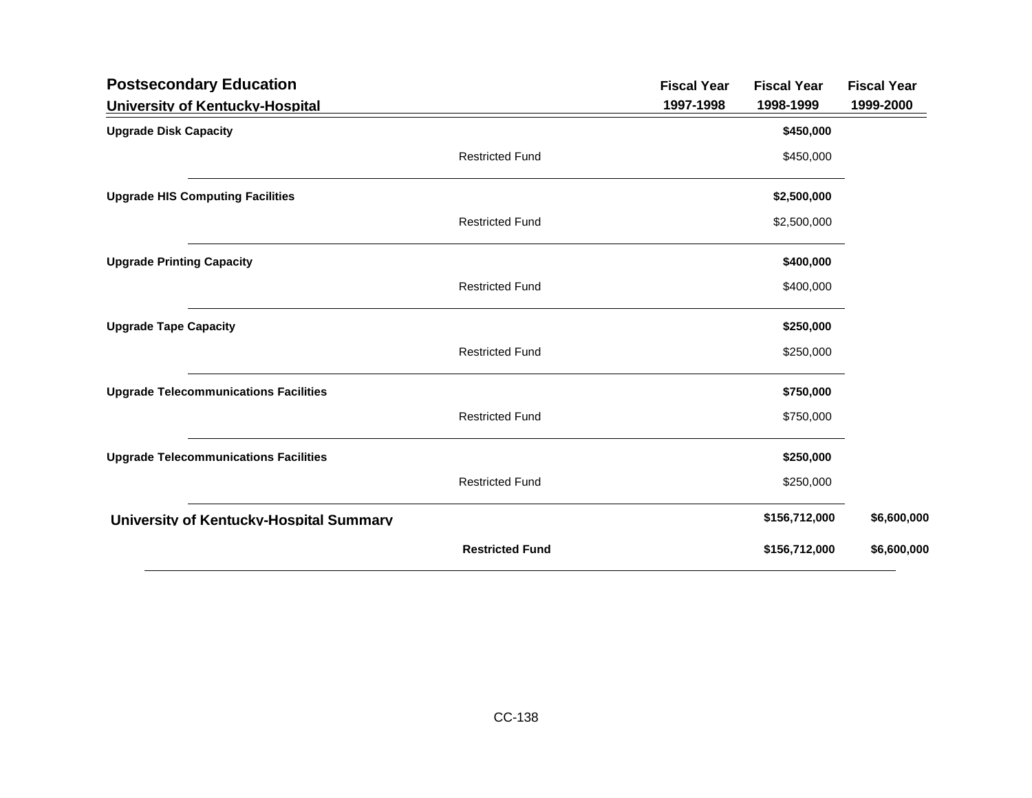| <b>Postsecondary Education</b>               |                        | <b>Fiscal Year</b> | <b>Fiscal Year</b> | <b>Fiscal Year</b> |
|----------------------------------------------|------------------------|--------------------|--------------------|--------------------|
| University of Kentucky-Hospital              |                        | 1997-1998          | 1998-1999          | 1999-2000          |
| <b>Upgrade Disk Capacity</b>                 |                        |                    | \$450,000          |                    |
|                                              | <b>Restricted Fund</b> |                    | \$450,000          |                    |
| <b>Upgrade HIS Computing Facilities</b>      |                        |                    | \$2,500,000        |                    |
|                                              | <b>Restricted Fund</b> |                    | \$2,500,000        |                    |
| <b>Upgrade Printing Capacity</b>             |                        |                    | \$400,000          |                    |
|                                              | <b>Restricted Fund</b> |                    | \$400,000          |                    |
| <b>Upgrade Tape Capacity</b>                 |                        |                    | \$250,000          |                    |
|                                              | <b>Restricted Fund</b> |                    | \$250,000          |                    |
| <b>Upgrade Telecommunications Facilities</b> |                        |                    | \$750,000          |                    |
|                                              | <b>Restricted Fund</b> |                    | \$750,000          |                    |
| <b>Upgrade Telecommunications Facilities</b> |                        |                    | \$250,000          |                    |
|                                              | <b>Restricted Fund</b> |                    | \$250,000          |                    |
| University of Kentucky-Hospital Summary      |                        |                    | \$156,712,000      | \$6,600,000        |
|                                              | <b>Restricted Fund</b> |                    | \$156,712,000      | \$6,600,000        |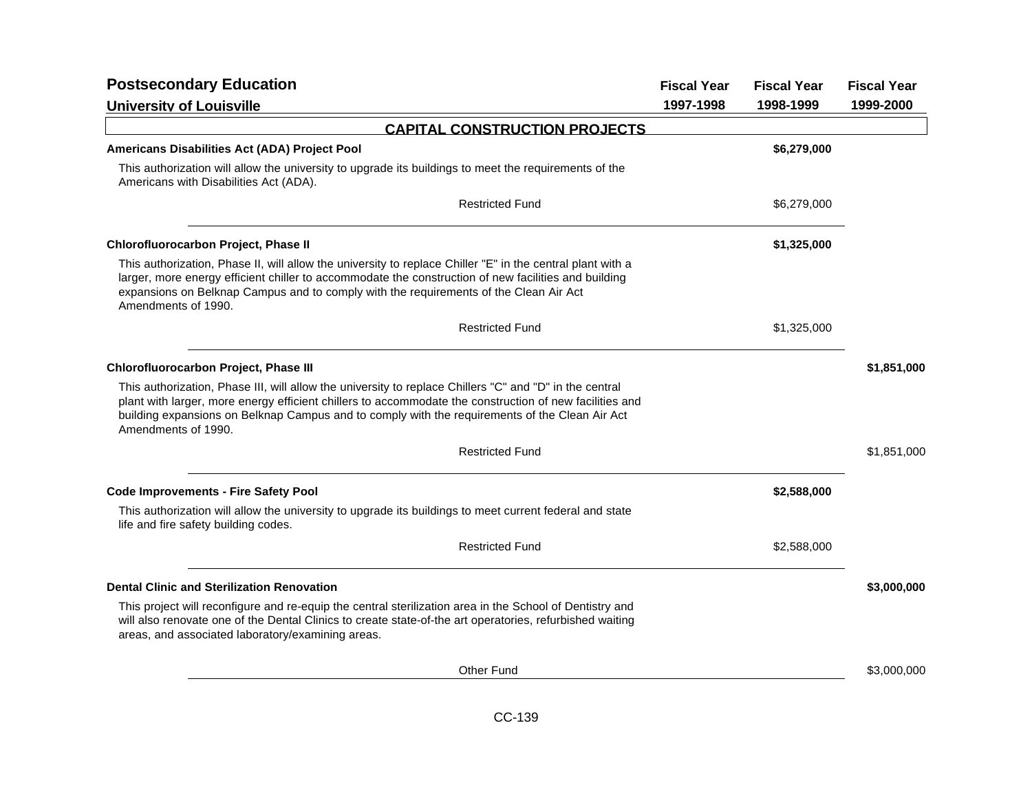| <b>Postsecondary Education</b>                                                                                                                                                                                                                                                                                                              | <b>Fiscal Year</b> | <b>Fiscal Year</b> | <b>Fiscal Year</b> |
|---------------------------------------------------------------------------------------------------------------------------------------------------------------------------------------------------------------------------------------------------------------------------------------------------------------------------------------------|--------------------|--------------------|--------------------|
| <b>University of Louisville</b>                                                                                                                                                                                                                                                                                                             | 1997-1998          | 1998-1999          | 1999-2000          |
| <b>CAPITAL CONSTRUCTION PROJECTS</b>                                                                                                                                                                                                                                                                                                        |                    |                    |                    |
| Americans Disabilities Act (ADA) Project Pool                                                                                                                                                                                                                                                                                               |                    | \$6,279,000        |                    |
| This authorization will allow the university to upgrade its buildings to meet the requirements of the<br>Americans with Disabilities Act (ADA).                                                                                                                                                                                             |                    |                    |                    |
| <b>Restricted Fund</b>                                                                                                                                                                                                                                                                                                                      |                    | \$6,279,000        |                    |
| Chlorofluorocarbon Project, Phase II                                                                                                                                                                                                                                                                                                        |                    | \$1,325,000        |                    |
| This authorization, Phase II, will allow the university to replace Chiller "E" in the central plant with a<br>larger, more energy efficient chiller to accommodate the construction of new facilities and building<br>expansions on Belknap Campus and to comply with the requirements of the Clean Air Act<br>Amendments of 1990.          |                    |                    |                    |
| <b>Restricted Fund</b>                                                                                                                                                                                                                                                                                                                      |                    | \$1,325,000        |                    |
| Chlorofluorocarbon Project, Phase III                                                                                                                                                                                                                                                                                                       |                    |                    | \$1,851,000        |
| This authorization, Phase III, will allow the university to replace Chillers "C" and "D" in the central<br>plant with larger, more energy efficient chillers to accommodate the construction of new facilities and<br>building expansions on Belknap Campus and to comply with the requirements of the Clean Air Act<br>Amendments of 1990. |                    |                    |                    |
| <b>Restricted Fund</b>                                                                                                                                                                                                                                                                                                                      |                    |                    | \$1,851,000        |
| <b>Code Improvements - Fire Safety Pool</b>                                                                                                                                                                                                                                                                                                 |                    | \$2,588,000        |                    |
| This authorization will allow the university to upgrade its buildings to meet current federal and state<br>life and fire safety building codes.                                                                                                                                                                                             |                    |                    |                    |
| <b>Restricted Fund</b>                                                                                                                                                                                                                                                                                                                      |                    | \$2,588,000        |                    |
| <b>Dental Clinic and Sterilization Renovation</b>                                                                                                                                                                                                                                                                                           |                    |                    | \$3,000,000        |
| This project will reconfigure and re-equip the central sterilization area in the School of Dentistry and<br>will also renovate one of the Dental Clinics to create state-of-the art operatories, refurbished waiting<br>areas, and associated laboratory/examining areas.                                                                   |                    |                    |                    |
| Other Fund                                                                                                                                                                                                                                                                                                                                  |                    |                    | \$3,000,000        |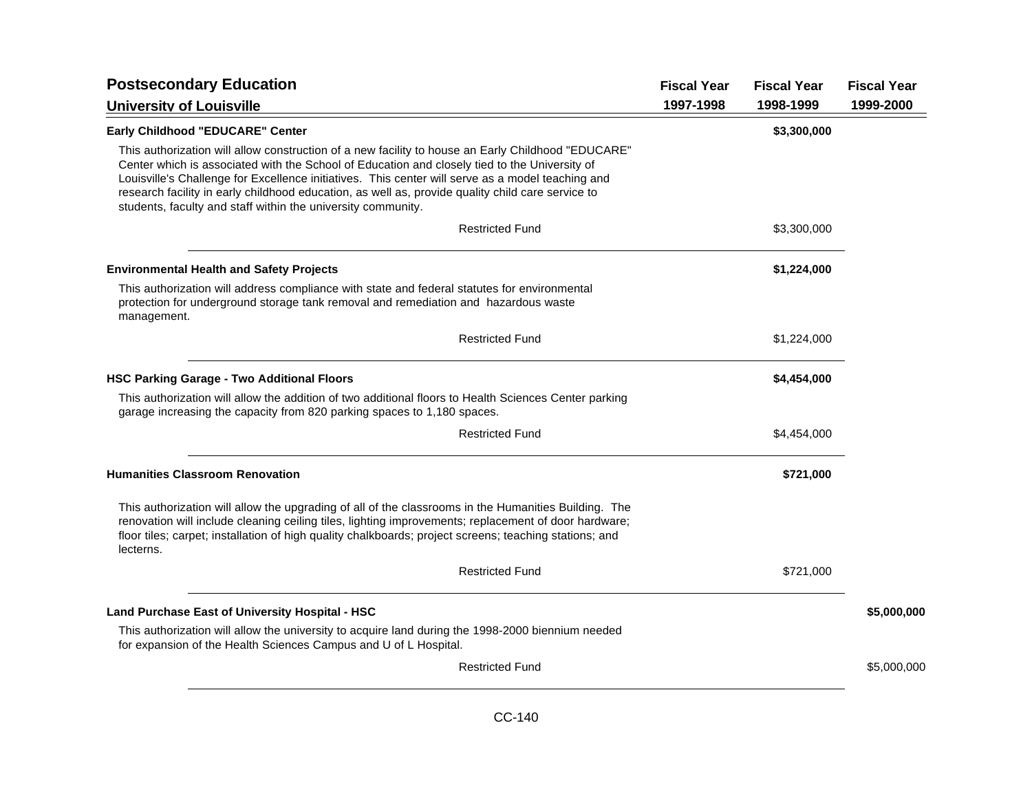| <b>Postsecondary Education</b>                                                                                                                                                                                                                                                                                                                                                                                                                                                |           | <b>Fiscal Year</b> | <b>Fiscal Year</b> |
|-------------------------------------------------------------------------------------------------------------------------------------------------------------------------------------------------------------------------------------------------------------------------------------------------------------------------------------------------------------------------------------------------------------------------------------------------------------------------------|-----------|--------------------|--------------------|
| <b>University of Louisville</b>                                                                                                                                                                                                                                                                                                                                                                                                                                               | 1997-1998 | 1998-1999          | 1999-2000          |
| Early Childhood "EDUCARE" Center                                                                                                                                                                                                                                                                                                                                                                                                                                              |           | \$3,300,000        |                    |
| This authorization will allow construction of a new facility to house an Early Childhood "EDUCARE"<br>Center which is associated with the School of Education and closely tied to the University of<br>Louisville's Challenge for Excellence initiatives. This center will serve as a model teaching and<br>research facility in early childhood education, as well as, provide quality child care service to<br>students, faculty and staff within the university community. |           |                    |                    |
| <b>Restricted Fund</b>                                                                                                                                                                                                                                                                                                                                                                                                                                                        |           | \$3,300,000        |                    |
| <b>Environmental Health and Safety Projects</b>                                                                                                                                                                                                                                                                                                                                                                                                                               |           | \$1,224,000        |                    |
| This authorization will address compliance with state and federal statutes for environmental<br>protection for underground storage tank removal and remediation and hazardous waste<br>management.                                                                                                                                                                                                                                                                            |           |                    |                    |
| <b>Restricted Fund</b>                                                                                                                                                                                                                                                                                                                                                                                                                                                        |           | \$1,224,000        |                    |
| <b>HSC Parking Garage - Two Additional Floors</b>                                                                                                                                                                                                                                                                                                                                                                                                                             |           | \$4,454,000        |                    |
| This authorization will allow the addition of two additional floors to Health Sciences Center parking<br>garage increasing the capacity from 820 parking spaces to 1,180 spaces.                                                                                                                                                                                                                                                                                              |           |                    |                    |
| <b>Restricted Fund</b>                                                                                                                                                                                                                                                                                                                                                                                                                                                        |           | \$4,454,000        |                    |
| <b>Humanities Classroom Renovation</b>                                                                                                                                                                                                                                                                                                                                                                                                                                        |           | \$721,000          |                    |
| This authorization will allow the upgrading of all of the classrooms in the Humanities Building. The<br>renovation will include cleaning ceiling tiles, lighting improvements; replacement of door hardware;<br>floor tiles; carpet; installation of high quality chalkboards; project screens; teaching stations; and<br>lecterns.                                                                                                                                           |           |                    |                    |
| <b>Restricted Fund</b>                                                                                                                                                                                                                                                                                                                                                                                                                                                        |           | \$721,000          |                    |
| Land Purchase East of University Hospital - HSC                                                                                                                                                                                                                                                                                                                                                                                                                               |           |                    | \$5,000,000        |
| This authorization will allow the university to acquire land during the 1998-2000 biennium needed<br>for expansion of the Health Sciences Campus and U of L Hospital.                                                                                                                                                                                                                                                                                                         |           |                    |                    |
| <b>Restricted Fund</b>                                                                                                                                                                                                                                                                                                                                                                                                                                                        |           |                    | \$5,000,000        |
|                                                                                                                                                                                                                                                                                                                                                                                                                                                                               |           |                    |                    |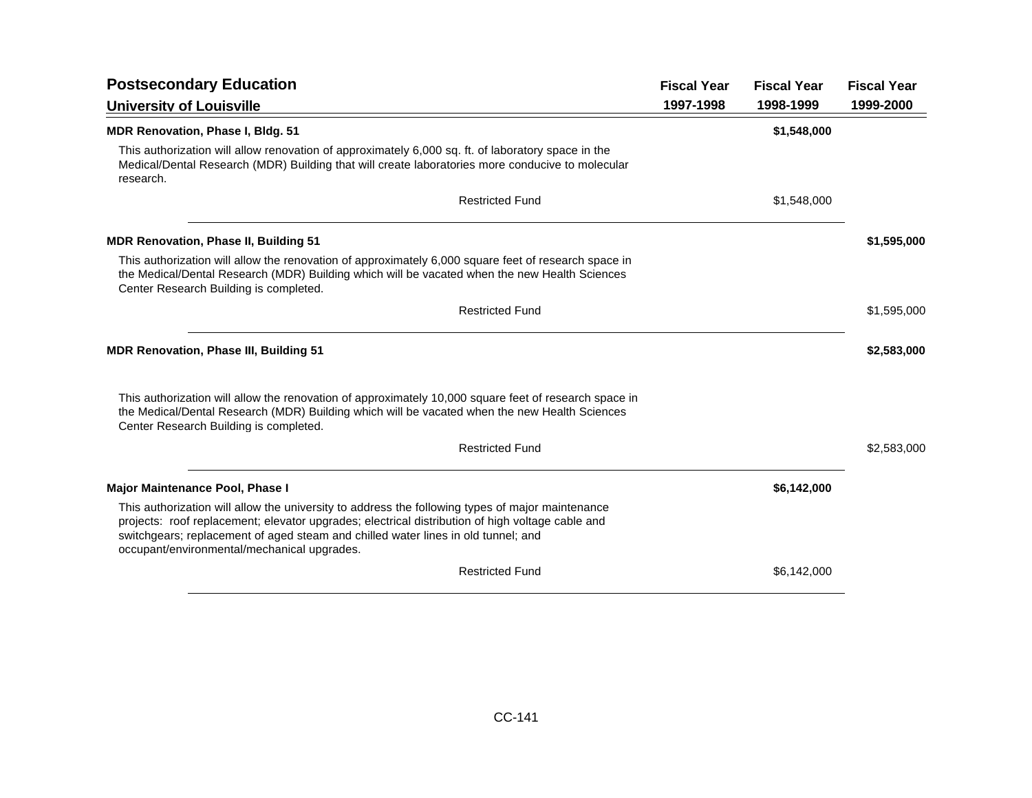| <b>Postsecondary Education</b>                                                                                                                                                                                                                                                                                                           | <b>Fiscal Year</b> | <b>Fiscal Year</b> | <b>Fiscal Year</b> |
|------------------------------------------------------------------------------------------------------------------------------------------------------------------------------------------------------------------------------------------------------------------------------------------------------------------------------------------|--------------------|--------------------|--------------------|
| <b>University of Louisville</b>                                                                                                                                                                                                                                                                                                          | 1997-1998          | 1998-1999          | 1999-2000          |
| <b>MDR Renovation, Phase I, Bldg. 51</b>                                                                                                                                                                                                                                                                                                 |                    | \$1,548,000        |                    |
| This authorization will allow renovation of approximately 6,000 sq. ft. of laboratory space in the<br>Medical/Dental Research (MDR) Building that will create laboratories more conducive to molecular<br>research.                                                                                                                      |                    |                    |                    |
| <b>Restricted Fund</b>                                                                                                                                                                                                                                                                                                                   |                    | \$1,548,000        |                    |
| <b>MDR Renovation, Phase II, Building 51</b>                                                                                                                                                                                                                                                                                             |                    |                    | \$1,595,000        |
| This authorization will allow the renovation of approximately 6,000 square feet of research space in<br>the Medical/Dental Research (MDR) Building which will be vacated when the new Health Sciences<br>Center Research Building is completed.                                                                                          |                    |                    |                    |
| <b>Restricted Fund</b>                                                                                                                                                                                                                                                                                                                   |                    |                    | \$1,595,000        |
| <b>MDR Renovation, Phase III, Building 51</b>                                                                                                                                                                                                                                                                                            |                    |                    | \$2,583,000        |
| This authorization will allow the renovation of approximately 10,000 square feet of research space in<br>the Medical/Dental Research (MDR) Building which will be vacated when the new Health Sciences<br>Center Research Building is completed.                                                                                         |                    |                    |                    |
| <b>Restricted Fund</b>                                                                                                                                                                                                                                                                                                                   |                    |                    | \$2,583,000        |
| <b>Major Maintenance Pool, Phase I</b>                                                                                                                                                                                                                                                                                                   |                    | \$6,142,000        |                    |
| This authorization will allow the university to address the following types of major maintenance<br>projects: roof replacement; elevator upgrades; electrical distribution of high voltage cable and<br>switchgears; replacement of aged steam and chilled water lines in old tunnel; and<br>occupant/environmental/mechanical upgrades. |                    |                    |                    |
| <b>Restricted Fund</b>                                                                                                                                                                                                                                                                                                                   |                    | \$6,142,000        |                    |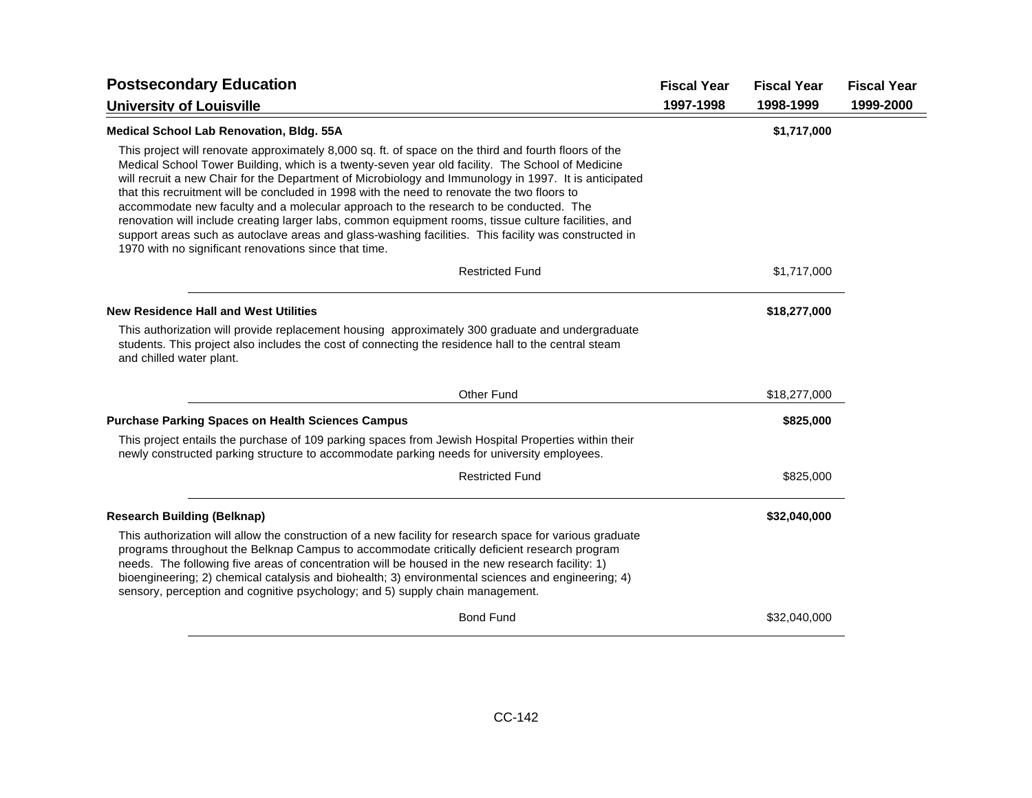| <b>Postsecondary Education</b>                                                                                                                                                                                                                                                                                                                                                                                                                                                                                                                                                                                                                                                                                                                                                      | <b>Fiscal Year</b> | <b>Fiscal Year</b> | <b>Fiscal Year</b> |
|-------------------------------------------------------------------------------------------------------------------------------------------------------------------------------------------------------------------------------------------------------------------------------------------------------------------------------------------------------------------------------------------------------------------------------------------------------------------------------------------------------------------------------------------------------------------------------------------------------------------------------------------------------------------------------------------------------------------------------------------------------------------------------------|--------------------|--------------------|--------------------|
| <b>University of Louisville</b>                                                                                                                                                                                                                                                                                                                                                                                                                                                                                                                                                                                                                                                                                                                                                     | 1997-1998          | 1998-1999          | 1999-2000          |
| <b>Medical School Lab Renovation, Bldg. 55A</b>                                                                                                                                                                                                                                                                                                                                                                                                                                                                                                                                                                                                                                                                                                                                     |                    | \$1,717,000        |                    |
| This project will renovate approximately 8,000 sq. ft. of space on the third and fourth floors of the<br>Medical School Tower Building, which is a twenty-seven year old facility. The School of Medicine<br>will recruit a new Chair for the Department of Microbiology and Immunology in 1997. It is anticipated<br>that this recruitment will be concluded in 1998 with the need to renovate the two floors to<br>accommodate new faculty and a molecular approach to the research to be conducted. The<br>renovation will include creating larger labs, common equipment rooms, tissue culture facilities, and<br>support areas such as autoclave areas and glass-washing facilities. This facility was constructed in<br>1970 with no significant renovations since that time. |                    |                    |                    |
| <b>Restricted Fund</b>                                                                                                                                                                                                                                                                                                                                                                                                                                                                                                                                                                                                                                                                                                                                                              |                    | \$1,717,000        |                    |
| <b>New Residence Hall and West Utilities</b>                                                                                                                                                                                                                                                                                                                                                                                                                                                                                                                                                                                                                                                                                                                                        |                    | \$18,277,000       |                    |
| This authorization will provide replacement housing approximately 300 graduate and undergraduate<br>students. This project also includes the cost of connecting the residence hall to the central steam<br>and chilled water plant.                                                                                                                                                                                                                                                                                                                                                                                                                                                                                                                                                 |                    |                    |                    |
| Other Fund                                                                                                                                                                                                                                                                                                                                                                                                                                                                                                                                                                                                                                                                                                                                                                          |                    | \$18,277,000       |                    |
| <b>Purchase Parking Spaces on Health Sciences Campus</b>                                                                                                                                                                                                                                                                                                                                                                                                                                                                                                                                                                                                                                                                                                                            |                    | \$825,000          |                    |
| This project entails the purchase of 109 parking spaces from Jewish Hospital Properties within their<br>newly constructed parking structure to accommodate parking needs for university employees.                                                                                                                                                                                                                                                                                                                                                                                                                                                                                                                                                                                  |                    |                    |                    |
| <b>Restricted Fund</b>                                                                                                                                                                                                                                                                                                                                                                                                                                                                                                                                                                                                                                                                                                                                                              |                    | \$825,000          |                    |
| <b>Research Building (Belknap)</b>                                                                                                                                                                                                                                                                                                                                                                                                                                                                                                                                                                                                                                                                                                                                                  |                    | \$32,040,000       |                    |
| This authorization will allow the construction of a new facility for research space for various graduate<br>programs throughout the Belknap Campus to accommodate critically deficient research program<br>needs. The following five areas of concentration will be housed in the new research facility: 1)<br>bioengineering; 2) chemical catalysis and biohealth; 3) environmental sciences and engineering; 4)<br>sensory, perception and cognitive psychology; and 5) supply chain management.                                                                                                                                                                                                                                                                                  |                    |                    |                    |
| <b>Bond Fund</b>                                                                                                                                                                                                                                                                                                                                                                                                                                                                                                                                                                                                                                                                                                                                                                    |                    | \$32,040,000       |                    |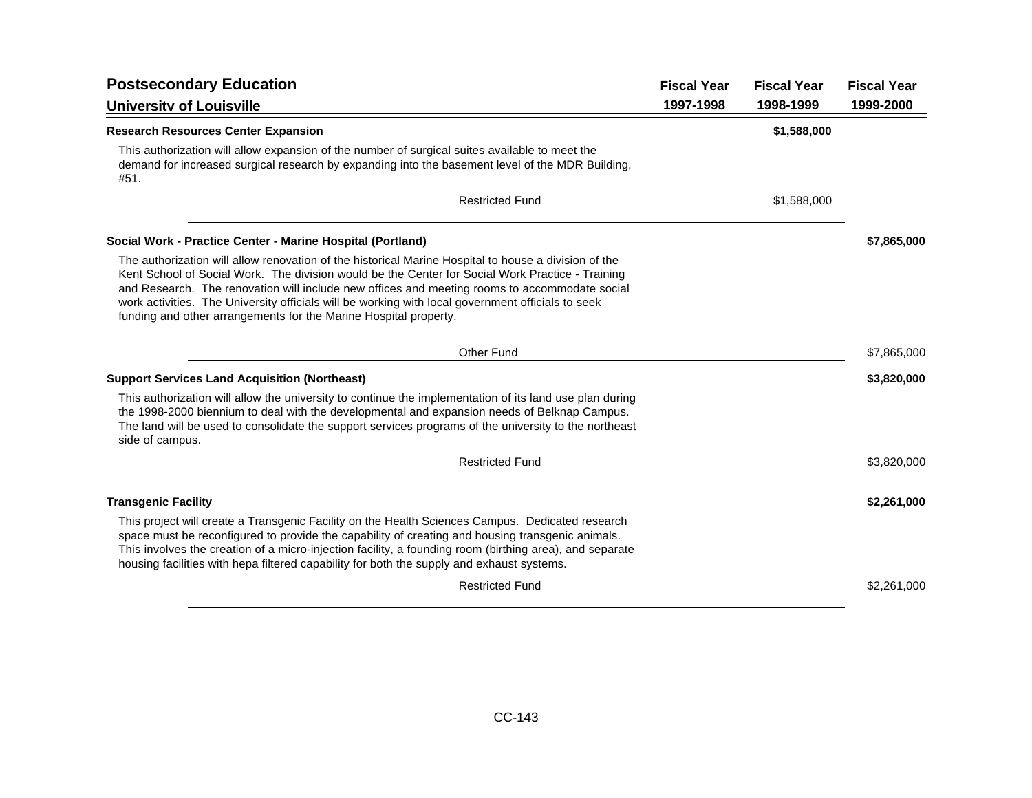| <b>Postsecondary Education</b>                                                                                                                                                                                                                                                                                                                                                                                                                                                     | <b>Fiscal Year</b> | <b>Fiscal Year</b> | <b>Fiscal Year</b> |
|------------------------------------------------------------------------------------------------------------------------------------------------------------------------------------------------------------------------------------------------------------------------------------------------------------------------------------------------------------------------------------------------------------------------------------------------------------------------------------|--------------------|--------------------|--------------------|
| <b>University of Louisville</b>                                                                                                                                                                                                                                                                                                                                                                                                                                                    | 1997-1998          | 1998-1999          | 1999-2000          |
| <b>Research Resources Center Expansion</b>                                                                                                                                                                                                                                                                                                                                                                                                                                         |                    | \$1,588,000        |                    |
| This authorization will allow expansion of the number of surgical suites available to meet the<br>demand for increased surgical research by expanding into the basement level of the MDR Building.<br>#51.                                                                                                                                                                                                                                                                         |                    |                    |                    |
| <b>Restricted Fund</b>                                                                                                                                                                                                                                                                                                                                                                                                                                                             |                    | \$1,588,000        |                    |
| Social Work - Practice Center - Marine Hospital (Portland)                                                                                                                                                                                                                                                                                                                                                                                                                         |                    |                    | \$7,865,000        |
| The authorization will allow renovation of the historical Marine Hospital to house a division of the<br>Kent School of Social Work. The division would be the Center for Social Work Practice - Training<br>and Research. The renovation will include new offices and meeting rooms to accommodate social<br>work activities. The University officials will be working with local government officials to seek<br>funding and other arrangements for the Marine Hospital property. |                    |                    |                    |
| <b>Other Fund</b>                                                                                                                                                                                                                                                                                                                                                                                                                                                                  |                    |                    | \$7,865,000        |
| <b>Support Services Land Acquisition (Northeast)</b>                                                                                                                                                                                                                                                                                                                                                                                                                               |                    |                    | \$3,820,000        |
| This authorization will allow the university to continue the implementation of its land use plan during<br>the 1998-2000 biennium to deal with the developmental and expansion needs of Belknap Campus.<br>The land will be used to consolidate the support services programs of the university to the northeast<br>side of campus.                                                                                                                                                |                    |                    |                    |
| <b>Restricted Fund</b>                                                                                                                                                                                                                                                                                                                                                                                                                                                             |                    |                    | \$3,820,000        |
| <b>Transgenic Facility</b>                                                                                                                                                                                                                                                                                                                                                                                                                                                         |                    |                    | \$2,261,000        |
| This project will create a Transgenic Facility on the Health Sciences Campus. Dedicated research<br>space must be reconfigured to provide the capability of creating and housing transgenic animals.<br>This involves the creation of a micro-injection facility, a founding room (birthing area), and separate<br>housing facilities with hepa filtered capability for both the supply and exhaust systems.                                                                       |                    |                    |                    |
| <b>Restricted Fund</b>                                                                                                                                                                                                                                                                                                                                                                                                                                                             |                    |                    | \$2,261,000        |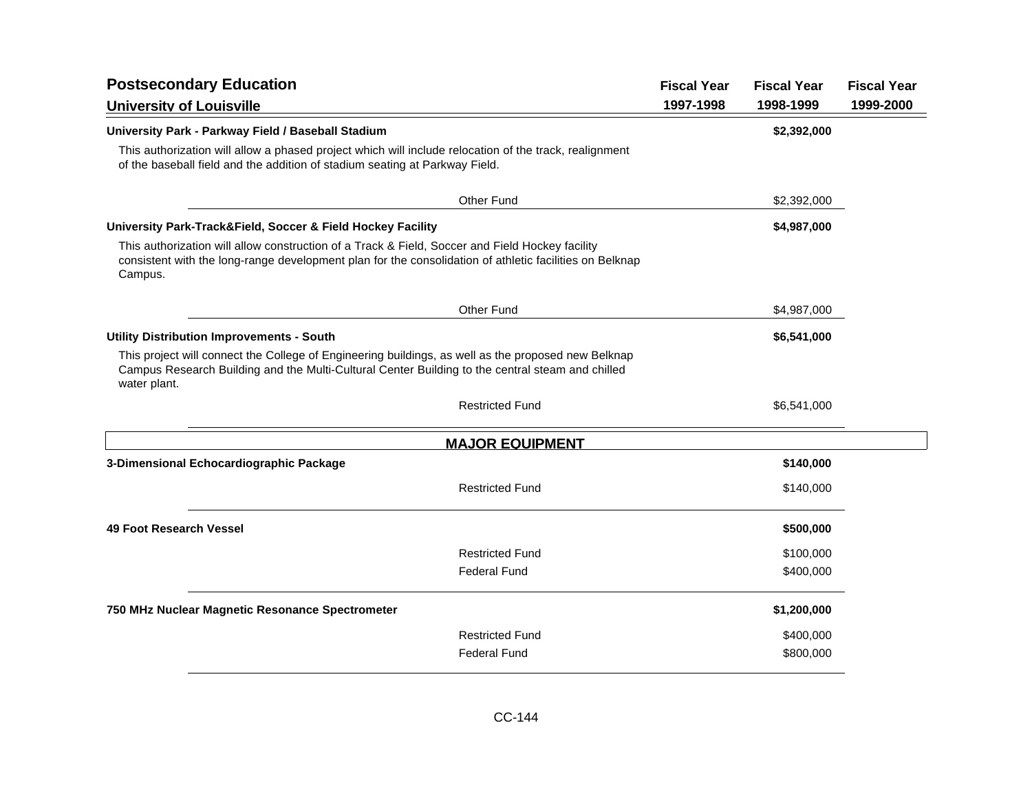| <b>Postsecondary Education</b>                                                                                                                                                                                          | <b>Fiscal Year</b> | <b>Fiscal Year</b> | <b>Fiscal Year</b> |
|-------------------------------------------------------------------------------------------------------------------------------------------------------------------------------------------------------------------------|--------------------|--------------------|--------------------|
| <b>University of Louisville</b>                                                                                                                                                                                         | 1997-1998          | 1998-1999          | 1999-2000          |
| University Park - Parkway Field / Baseball Stadium                                                                                                                                                                      |                    | \$2,392,000        |                    |
| This authorization will allow a phased project which will include relocation of the track, realignment<br>of the baseball field and the addition of stadium seating at Parkway Field.                                   |                    |                    |                    |
| <b>Other Fund</b>                                                                                                                                                                                                       |                    | \$2,392,000        |                    |
| University Park-Track&Field, Soccer & Field Hockey Facility                                                                                                                                                             |                    | \$4,987,000        |                    |
| This authorization will allow construction of a Track & Field, Soccer and Field Hockey facility<br>consistent with the long-range development plan for the consolidation of athletic facilities on Belknap<br>Campus.   |                    |                    |                    |
| Other Fund                                                                                                                                                                                                              |                    | \$4,987,000        |                    |
| <b>Utility Distribution Improvements - South</b>                                                                                                                                                                        |                    | \$6,541,000        |                    |
| This project will connect the College of Engineering buildings, as well as the proposed new Belknap<br>Campus Research Building and the Multi-Cultural Center Building to the central steam and chilled<br>water plant. |                    |                    |                    |
| <b>Restricted Fund</b>                                                                                                                                                                                                  |                    | \$6,541,000        |                    |
| <b>MAJOR EQUIPMENT</b>                                                                                                                                                                                                  |                    |                    |                    |
| 3-Dimensional Echocardiographic Package                                                                                                                                                                                 |                    | \$140,000          |                    |
| <b>Restricted Fund</b>                                                                                                                                                                                                  |                    | \$140,000          |                    |
| 49 Foot Research Vessel                                                                                                                                                                                                 |                    | \$500,000          |                    |
| <b>Restricted Fund</b>                                                                                                                                                                                                  |                    | \$100,000          |                    |
| <b>Federal Fund</b>                                                                                                                                                                                                     |                    | \$400,000          |                    |
| 750 MHz Nuclear Magnetic Resonance Spectrometer                                                                                                                                                                         |                    | \$1,200,000        |                    |
| <b>Restricted Fund</b>                                                                                                                                                                                                  |                    | \$400,000          |                    |
| <b>Federal Fund</b>                                                                                                                                                                                                     |                    | \$800,000          |                    |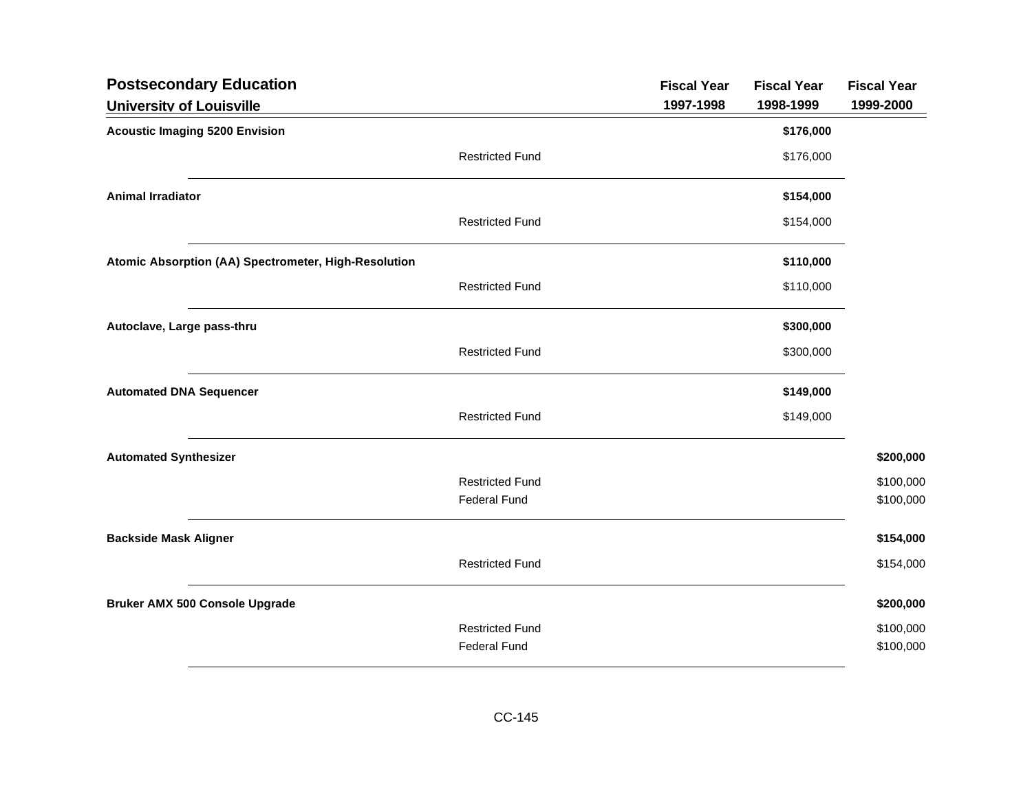| <b>Postsecondary Education</b>                       |                                               | <b>Fiscal Year</b> | <b>Fiscal Year</b> | <b>Fiscal Year</b> |
|------------------------------------------------------|-----------------------------------------------|--------------------|--------------------|--------------------|
| <b>University of Louisville</b>                      |                                               | 1997-1998          | 1998-1999          | 1999-2000          |
| <b>Acoustic Imaging 5200 Envision</b>                |                                               |                    | \$176,000          |                    |
|                                                      | <b>Restricted Fund</b>                        |                    | \$176,000          |                    |
| <b>Animal Irradiator</b>                             |                                               |                    | \$154,000          |                    |
|                                                      | <b>Restricted Fund</b>                        |                    | \$154,000          |                    |
| Atomic Absorption (AA) Spectrometer, High-Resolution |                                               |                    | \$110,000          |                    |
|                                                      | <b>Restricted Fund</b>                        |                    | \$110,000          |                    |
| Autoclave, Large pass-thru                           |                                               |                    | \$300,000          |                    |
|                                                      | <b>Restricted Fund</b>                        |                    | \$300,000          |                    |
| <b>Automated DNA Sequencer</b>                       |                                               |                    | \$149,000          |                    |
|                                                      | <b>Restricted Fund</b>                        |                    | \$149,000          |                    |
| <b>Automated Synthesizer</b>                         |                                               |                    |                    | \$200,000          |
|                                                      | <b>Restricted Fund</b>                        |                    |                    | \$100,000          |
|                                                      | <b>Federal Fund</b>                           |                    |                    | \$100,000          |
| <b>Backside Mask Aligner</b>                         |                                               |                    |                    | \$154,000          |
|                                                      | <b>Restricted Fund</b>                        |                    |                    | \$154,000          |
| <b>Bruker AMX 500 Console Upgrade</b>                |                                               |                    |                    | \$200,000          |
|                                                      | <b>Restricted Fund</b><br><b>Federal Fund</b> |                    |                    | \$100,000          |
|                                                      |                                               |                    |                    | \$100,000          |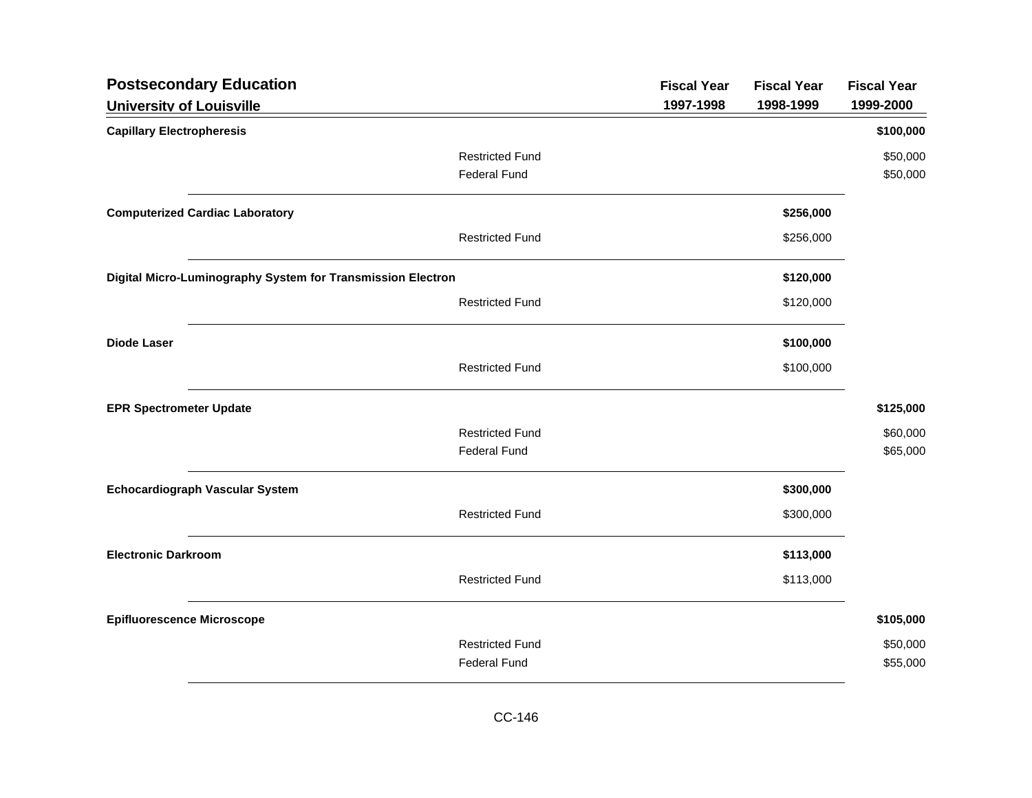| <b>Postsecondary Education</b>                              |                        | <b>Fiscal Year</b> | <b>Fiscal Year</b> | <b>Fiscal Year</b> |
|-------------------------------------------------------------|------------------------|--------------------|--------------------|--------------------|
| <b>University of Louisville</b>                             |                        | 1997-1998          | 1998-1999          | 1999-2000          |
| <b>Capillary Electropheresis</b>                            |                        |                    |                    | \$100,000          |
|                                                             | <b>Restricted Fund</b> |                    |                    | \$50,000           |
|                                                             | <b>Federal Fund</b>    |                    |                    | \$50,000           |
| <b>Computerized Cardiac Laboratory</b>                      |                        |                    | \$256,000          |                    |
|                                                             | <b>Restricted Fund</b> |                    | \$256,000          |                    |
| Digital Micro-Luminography System for Transmission Electron |                        |                    | \$120,000          |                    |
|                                                             | <b>Restricted Fund</b> |                    | \$120,000          |                    |
| <b>Diode Laser</b>                                          |                        |                    | \$100,000          |                    |
|                                                             | <b>Restricted Fund</b> |                    | \$100,000          |                    |
| <b>EPR Spectrometer Update</b>                              |                        |                    |                    | \$125,000          |
|                                                             | <b>Restricted Fund</b> |                    |                    | \$60,000           |
|                                                             | <b>Federal Fund</b>    |                    |                    | \$65,000           |
| <b>Echocardiograph Vascular System</b>                      |                        |                    | \$300,000          |                    |
|                                                             | <b>Restricted Fund</b> |                    | \$300,000          |                    |
| <b>Electronic Darkroom</b>                                  |                        |                    | \$113,000          |                    |
|                                                             | <b>Restricted Fund</b> |                    | \$113,000          |                    |
| <b>Epifluorescence Microscope</b>                           |                        |                    |                    | \$105,000          |
|                                                             | <b>Restricted Fund</b> |                    |                    | \$50,000           |
|                                                             | <b>Federal Fund</b>    |                    |                    | \$55,000           |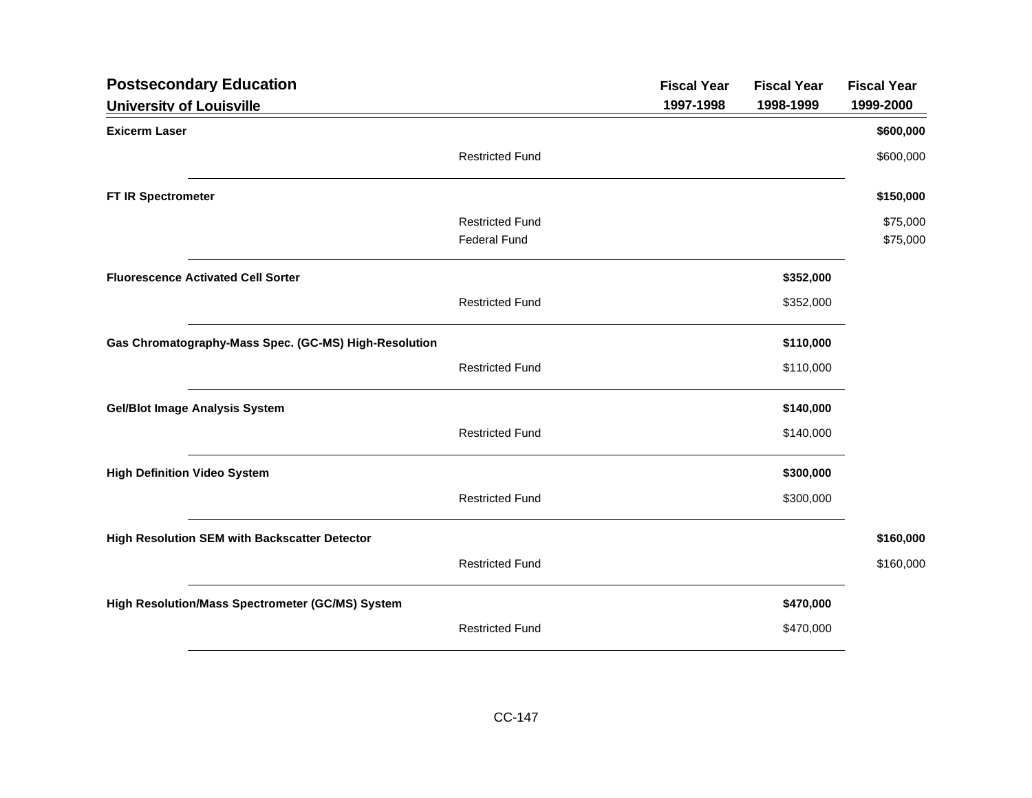| <b>Postsecondary Education</b>                        |                        | <b>Fiscal Year</b> | <b>Fiscal Year</b> | <b>Fiscal Year</b> |
|-------------------------------------------------------|------------------------|--------------------|--------------------|--------------------|
| <b>University of Louisville</b>                       |                        | 1997-1998          | 1998-1999          | 1999-2000          |
| <b>Exicerm Laser</b>                                  |                        |                    |                    | \$600,000          |
|                                                       | <b>Restricted Fund</b> |                    |                    | \$600,000          |
| FT IR Spectrometer                                    |                        |                    |                    | \$150,000          |
|                                                       | <b>Restricted Fund</b> |                    |                    | \$75,000           |
|                                                       | <b>Federal Fund</b>    |                    |                    | \$75,000           |
| <b>Fluorescence Activated Cell Sorter</b>             |                        |                    | \$352,000          |                    |
|                                                       | <b>Restricted Fund</b> |                    | \$352,000          |                    |
| Gas Chromatography-Mass Spec. (GC-MS) High-Resolution |                        |                    | \$110,000          |                    |
|                                                       | <b>Restricted Fund</b> |                    | \$110,000          |                    |
| <b>Gel/Blot Image Analysis System</b>                 |                        |                    | \$140,000          |                    |
|                                                       | <b>Restricted Fund</b> |                    | \$140,000          |                    |
| <b>High Definition Video System</b>                   |                        |                    | \$300,000          |                    |
|                                                       | <b>Restricted Fund</b> |                    | \$300,000          |                    |
| High Resolution SEM with Backscatter Detector         |                        |                    |                    | \$160,000          |
|                                                       | <b>Restricted Fund</b> |                    |                    | \$160,000          |
| High Resolution/Mass Spectrometer (GC/MS) System      |                        |                    | \$470,000          |                    |
|                                                       | <b>Restricted Fund</b> |                    | \$470,000          |                    |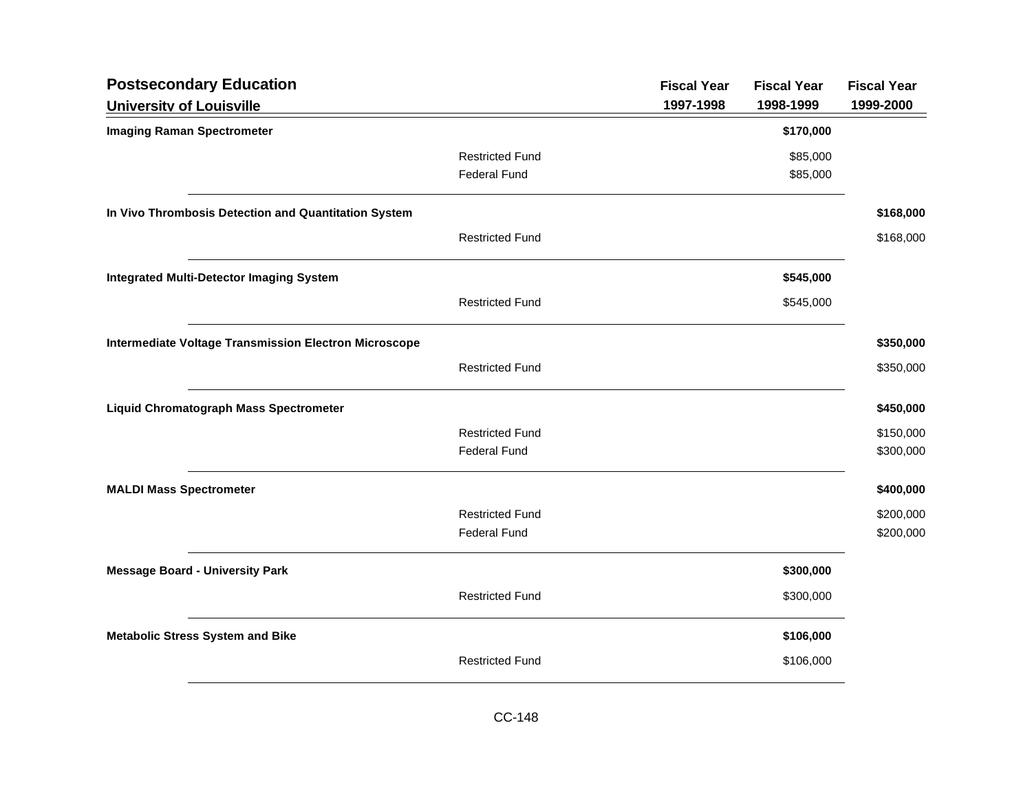| <b>Postsecondary Education</b>                               |                        | <b>Fiscal Year</b> | <b>Fiscal Year</b> | <b>Fiscal Year</b> |
|--------------------------------------------------------------|------------------------|--------------------|--------------------|--------------------|
| <b>University of Louisville</b>                              |                        | 1997-1998          | 1998-1999          | 1999-2000          |
| <b>Imaging Raman Spectrometer</b>                            |                        |                    | \$170,000          |                    |
|                                                              | <b>Restricted Fund</b> |                    | \$85,000           |                    |
|                                                              | <b>Federal Fund</b>    |                    | \$85,000           |                    |
| In Vivo Thrombosis Detection and Quantitation System         |                        |                    |                    | \$168,000          |
|                                                              | <b>Restricted Fund</b> |                    |                    | \$168,000          |
| <b>Integrated Multi-Detector Imaging System</b>              |                        |                    | \$545,000          |                    |
|                                                              | <b>Restricted Fund</b> |                    | \$545,000          |                    |
| <b>Intermediate Voltage Transmission Electron Microscope</b> |                        |                    |                    | \$350,000          |
|                                                              | <b>Restricted Fund</b> |                    |                    | \$350,000          |
| <b>Liquid Chromatograph Mass Spectrometer</b>                |                        |                    |                    | \$450,000          |
|                                                              | <b>Restricted Fund</b> |                    |                    | \$150,000          |
|                                                              | <b>Federal Fund</b>    |                    |                    | \$300,000          |
| <b>MALDI Mass Spectrometer</b>                               |                        |                    |                    | \$400,000          |
|                                                              | <b>Restricted Fund</b> |                    |                    | \$200,000          |
|                                                              | <b>Federal Fund</b>    |                    |                    | \$200,000          |
| <b>Message Board - University Park</b>                       |                        |                    | \$300,000          |                    |
|                                                              | <b>Restricted Fund</b> |                    | \$300,000          |                    |
| <b>Metabolic Stress System and Bike</b>                      |                        |                    | \$106,000          |                    |
|                                                              | <b>Restricted Fund</b> |                    | \$106,000          |                    |
|                                                              |                        |                    |                    |                    |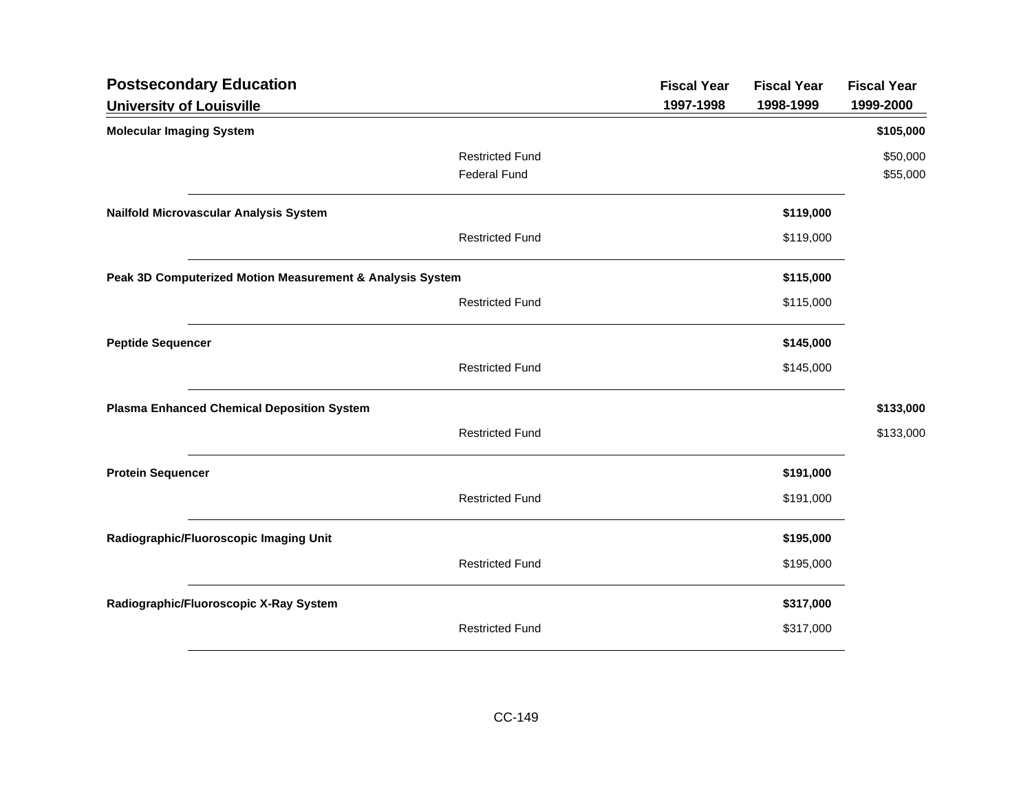| <b>Postsecondary Education</b>                            |                        | <b>Fiscal Year</b> | <b>Fiscal Year</b> | <b>Fiscal Year</b> |
|-----------------------------------------------------------|------------------------|--------------------|--------------------|--------------------|
| <b>University of Louisville</b>                           |                        | 1997-1998          | 1998-1999          | 1999-2000          |
| <b>Molecular Imaging System</b>                           |                        |                    |                    | \$105,000          |
|                                                           | <b>Restricted Fund</b> |                    |                    | \$50,000           |
|                                                           | <b>Federal Fund</b>    |                    |                    | \$55,000           |
| Nailfold Microvascular Analysis System                    |                        |                    | \$119,000          |                    |
|                                                           | <b>Restricted Fund</b> |                    | \$119,000          |                    |
| Peak 3D Computerized Motion Measurement & Analysis System |                        |                    | \$115,000          |                    |
|                                                           | <b>Restricted Fund</b> |                    | \$115,000          |                    |
| <b>Peptide Sequencer</b>                                  |                        |                    | \$145,000          |                    |
|                                                           | <b>Restricted Fund</b> |                    | \$145,000          |                    |
| <b>Plasma Enhanced Chemical Deposition System</b>         |                        |                    |                    | \$133,000          |
|                                                           | <b>Restricted Fund</b> |                    |                    | \$133,000          |
| <b>Protein Sequencer</b>                                  |                        |                    | \$191,000          |                    |
|                                                           | <b>Restricted Fund</b> |                    | \$191,000          |                    |
| Radiographic/Fluoroscopic Imaging Unit                    |                        |                    | \$195,000          |                    |
|                                                           | <b>Restricted Fund</b> |                    | \$195,000          |                    |
| Radiographic/Fluoroscopic X-Ray System                    |                        |                    | \$317,000          |                    |
|                                                           | <b>Restricted Fund</b> |                    | \$317,000          |                    |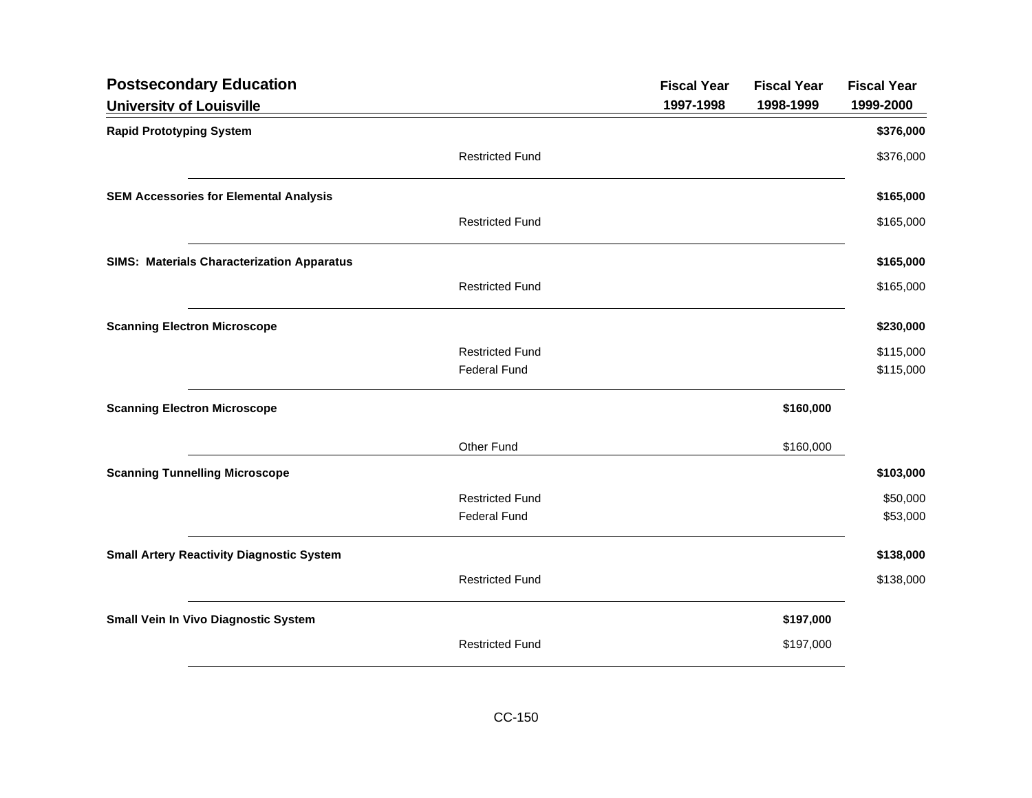| <b>Postsecondary Education</b>                    |                        | <b>Fiscal Year</b> | <b>Fiscal Year</b> | <b>Fiscal Year</b> |
|---------------------------------------------------|------------------------|--------------------|--------------------|--------------------|
| <b>University of Louisville</b>                   |                        | 1997-1998          | 1998-1999          | 1999-2000          |
| <b>Rapid Prototyping System</b>                   |                        |                    |                    | \$376,000          |
|                                                   | <b>Restricted Fund</b> |                    |                    | \$376,000          |
| <b>SEM Accessories for Elemental Analysis</b>     |                        |                    |                    | \$165,000          |
|                                                   | <b>Restricted Fund</b> |                    |                    | \$165,000          |
| <b>SIMS: Materials Characterization Apparatus</b> |                        |                    |                    | \$165,000          |
|                                                   | <b>Restricted Fund</b> |                    |                    | \$165,000          |
| <b>Scanning Electron Microscope</b>               |                        |                    |                    | \$230,000          |
|                                                   | <b>Restricted Fund</b> |                    |                    | \$115,000          |
|                                                   | <b>Federal Fund</b>    |                    |                    | \$115,000          |
| <b>Scanning Electron Microscope</b>               |                        |                    | \$160,000          |                    |
|                                                   | Other Fund             |                    | \$160,000          |                    |
| <b>Scanning Tunnelling Microscope</b>             |                        |                    |                    | \$103,000          |
|                                                   | <b>Restricted Fund</b> |                    |                    | \$50,000           |
|                                                   | <b>Federal Fund</b>    |                    |                    | \$53,000           |
| <b>Small Artery Reactivity Diagnostic System</b>  |                        |                    |                    | \$138,000          |
|                                                   | <b>Restricted Fund</b> |                    |                    | \$138,000          |
| Small Vein In Vivo Diagnostic System              |                        |                    | \$197,000          |                    |
|                                                   | <b>Restricted Fund</b> |                    | \$197,000          |                    |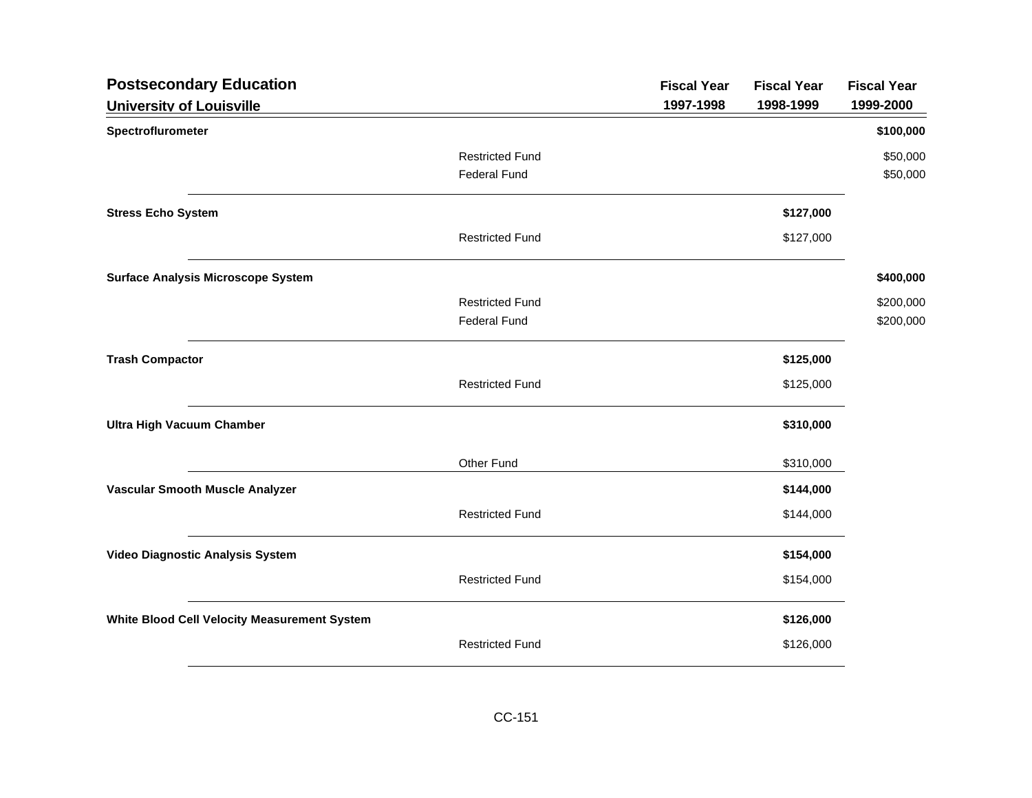| <b>Postsecondary Education</b>               |                        | <b>Fiscal Year</b> | <b>Fiscal Year</b> | <b>Fiscal Year</b> |
|----------------------------------------------|------------------------|--------------------|--------------------|--------------------|
| <b>University of Louisville</b>              |                        | 1997-1998          | 1998-1999          | 1999-2000          |
| Spectroflurometer                            |                        |                    |                    | \$100,000          |
|                                              | <b>Restricted Fund</b> |                    |                    | \$50,000           |
|                                              | <b>Federal Fund</b>    |                    |                    | \$50,000           |
| <b>Stress Echo System</b>                    |                        |                    | \$127,000          |                    |
|                                              | <b>Restricted Fund</b> |                    | \$127,000          |                    |
| <b>Surface Analysis Microscope System</b>    |                        |                    |                    | \$400,000          |
|                                              | <b>Restricted Fund</b> |                    |                    | \$200,000          |
|                                              | <b>Federal Fund</b>    |                    |                    | \$200,000          |
| <b>Trash Compactor</b>                       |                        |                    | \$125,000          |                    |
|                                              | <b>Restricted Fund</b> |                    | \$125,000          |                    |
| <b>Ultra High Vacuum Chamber</b>             |                        |                    | \$310,000          |                    |
|                                              | Other Fund             |                    | \$310,000          |                    |
| Vascular Smooth Muscle Analyzer              |                        |                    | \$144,000          |                    |
|                                              | <b>Restricted Fund</b> |                    | \$144,000          |                    |
| Video Diagnostic Analysis System             |                        |                    | \$154,000          |                    |
|                                              | <b>Restricted Fund</b> |                    | \$154,000          |                    |
| White Blood Cell Velocity Measurement System |                        |                    | \$126,000          |                    |
|                                              | <b>Restricted Fund</b> |                    | \$126,000          |                    |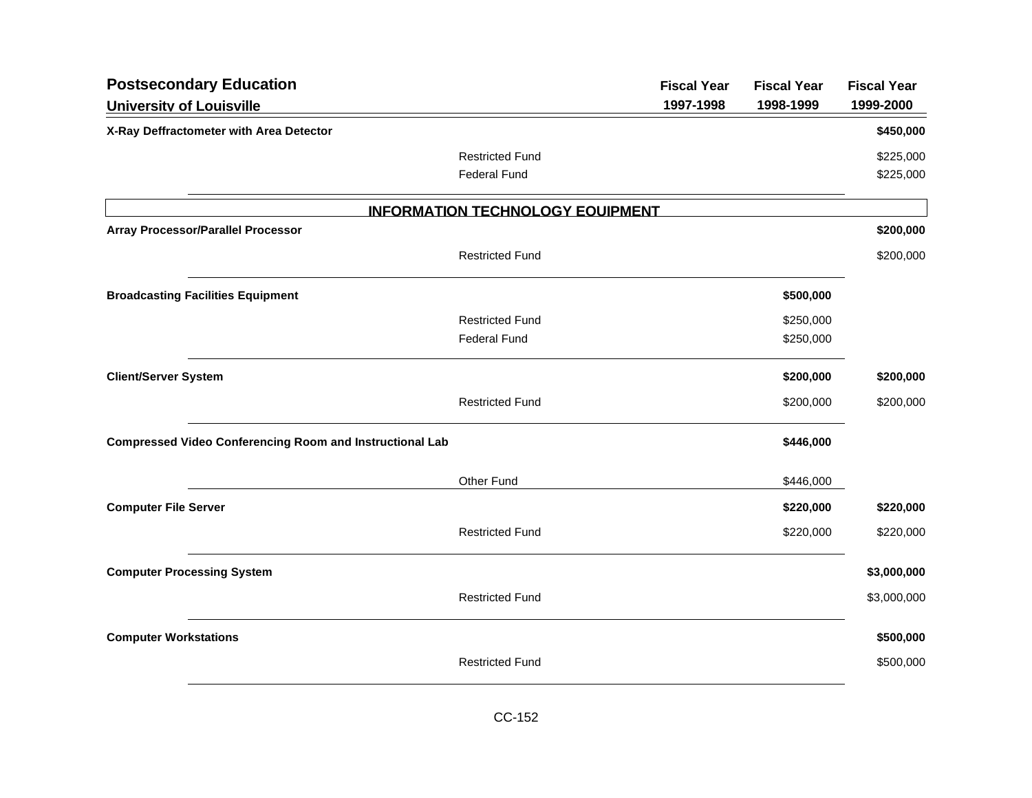| <b>Postsecondary Education</b>                                  |                                         | <b>Fiscal Year</b> | <b>Fiscal Year</b> | <b>Fiscal Year</b> |
|-----------------------------------------------------------------|-----------------------------------------|--------------------|--------------------|--------------------|
| <b>University of Louisville</b>                                 |                                         | 1997-1998          | 1998-1999          | 1999-2000          |
| X-Ray Deffractometer with Area Detector                         |                                         |                    |                    | \$450,000          |
|                                                                 | <b>Restricted Fund</b>                  |                    |                    | \$225,000          |
|                                                                 | <b>Federal Fund</b>                     |                    |                    | \$225,000          |
|                                                                 | <b>INFORMATION TECHNOLOGY EQUIPMENT</b> |                    |                    |                    |
| <b>Array Processor/Parallel Processor</b>                       |                                         |                    |                    | \$200,000          |
|                                                                 | <b>Restricted Fund</b>                  |                    |                    | \$200,000          |
| <b>Broadcasting Facilities Equipment</b>                        |                                         |                    | \$500,000          |                    |
|                                                                 | <b>Restricted Fund</b>                  |                    | \$250,000          |                    |
|                                                                 | <b>Federal Fund</b>                     |                    | \$250,000          |                    |
| <b>Client/Server System</b>                                     |                                         |                    | \$200,000          | \$200,000          |
|                                                                 | <b>Restricted Fund</b>                  |                    | \$200,000          | \$200,000          |
| <b>Compressed Video Conferencing Room and Instructional Lab</b> |                                         |                    | \$446,000          |                    |
|                                                                 | Other Fund                              |                    | \$446,000          |                    |
| <b>Computer File Server</b>                                     |                                         |                    | \$220,000          | \$220,000          |
|                                                                 | <b>Restricted Fund</b>                  |                    | \$220,000          | \$220,000          |
| <b>Computer Processing System</b>                               |                                         |                    |                    | \$3,000,000        |
|                                                                 | <b>Restricted Fund</b>                  |                    |                    | \$3,000,000        |
| <b>Computer Workstations</b>                                    |                                         |                    |                    | \$500,000          |
|                                                                 | <b>Restricted Fund</b>                  |                    |                    | \$500,000          |
|                                                                 |                                         |                    |                    |                    |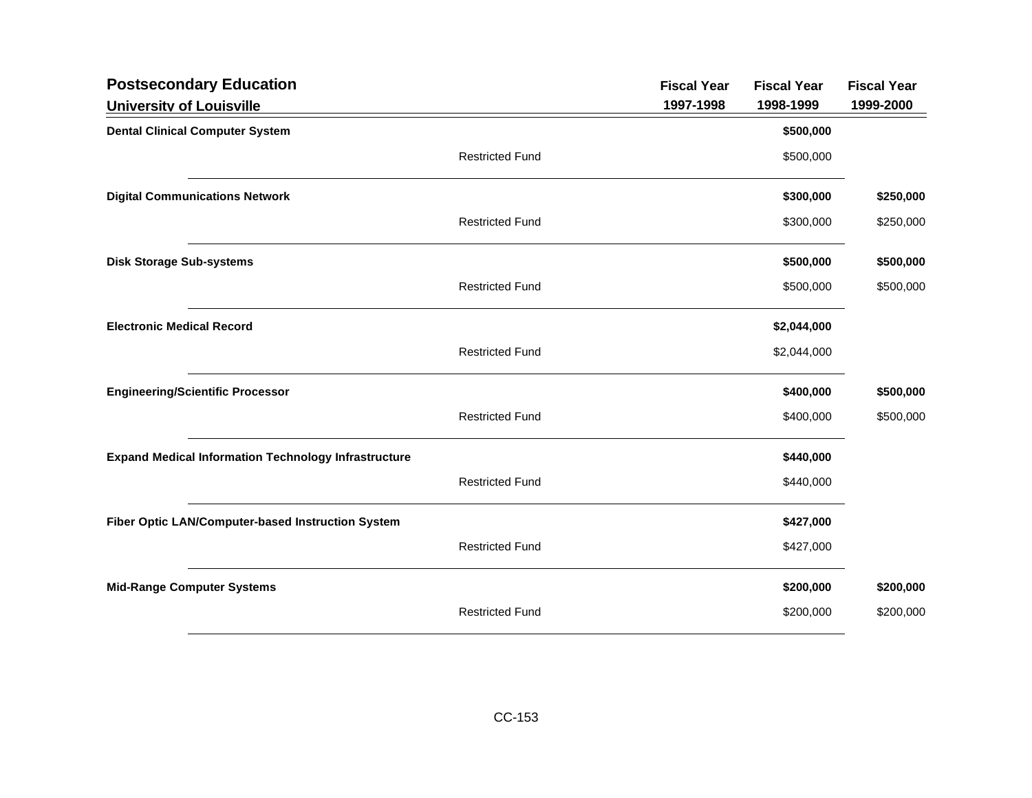| <b>Postsecondary Education</b>                              |                        | <b>Fiscal Year</b> | <b>Fiscal Year</b> | <b>Fiscal Year</b> |
|-------------------------------------------------------------|------------------------|--------------------|--------------------|--------------------|
| <b>University of Louisville</b>                             |                        | 1997-1998          | 1998-1999          | 1999-2000          |
| <b>Dental Clinical Computer System</b>                      |                        |                    | \$500,000          |                    |
|                                                             | <b>Restricted Fund</b> |                    | \$500,000          |                    |
| <b>Digital Communications Network</b>                       |                        |                    | \$300,000          | \$250,000          |
|                                                             | <b>Restricted Fund</b> |                    | \$300,000          | \$250,000          |
| <b>Disk Storage Sub-systems</b>                             |                        |                    | \$500,000          | \$500,000          |
|                                                             | <b>Restricted Fund</b> |                    | \$500,000          | \$500,000          |
| <b>Electronic Medical Record</b>                            |                        |                    | \$2,044,000        |                    |
|                                                             | <b>Restricted Fund</b> |                    | \$2,044,000        |                    |
| <b>Engineering/Scientific Processor</b>                     |                        |                    | \$400,000          | \$500,000          |
|                                                             | <b>Restricted Fund</b> |                    | \$400,000          | \$500,000          |
| <b>Expand Medical Information Technology Infrastructure</b> |                        |                    | \$440,000          |                    |
|                                                             | <b>Restricted Fund</b> |                    | \$440,000          |                    |
| Fiber Optic LAN/Computer-based Instruction System           |                        |                    | \$427,000          |                    |
|                                                             | <b>Restricted Fund</b> |                    | \$427,000          |                    |
| <b>Mid-Range Computer Systems</b>                           |                        |                    | \$200,000          | \$200,000          |
|                                                             | <b>Restricted Fund</b> |                    | \$200,000          | \$200,000          |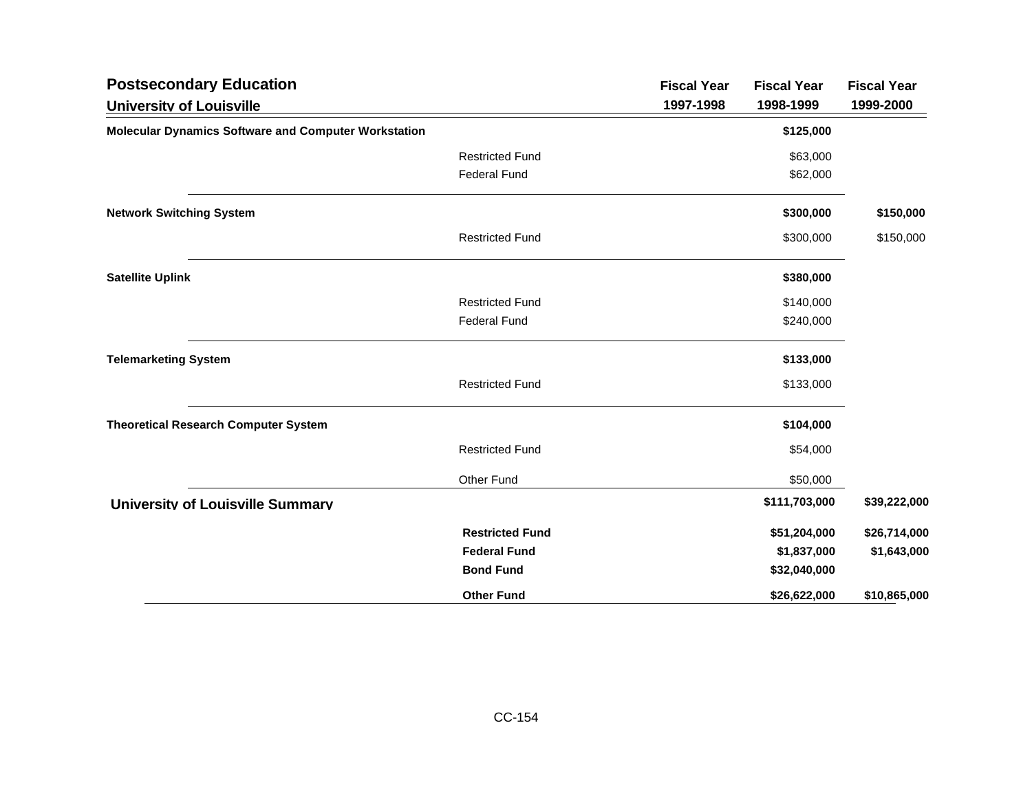| <b>Postsecondary Education</b>                              |                        | <b>Fiscal Year</b> | <b>Fiscal Year</b> | <b>Fiscal Year</b> |
|-------------------------------------------------------------|------------------------|--------------------|--------------------|--------------------|
| <b>University of Louisville</b>                             |                        | 1997-1998          | 1998-1999          | 1999-2000          |
| <b>Molecular Dynamics Software and Computer Workstation</b> |                        |                    | \$125,000          |                    |
|                                                             | <b>Restricted Fund</b> |                    | \$63,000           |                    |
|                                                             | <b>Federal Fund</b>    |                    | \$62,000           |                    |
| <b>Network Switching System</b>                             |                        |                    | \$300,000          | \$150,000          |
|                                                             | <b>Restricted Fund</b> |                    | \$300,000          | \$150,000          |
| <b>Satellite Uplink</b>                                     |                        |                    | \$380,000          |                    |
|                                                             | <b>Restricted Fund</b> |                    | \$140,000          |                    |
|                                                             | <b>Federal Fund</b>    |                    | \$240,000          |                    |
| <b>Telemarketing System</b>                                 |                        |                    | \$133,000          |                    |
|                                                             | <b>Restricted Fund</b> |                    | \$133,000          |                    |
| <b>Theoretical Research Computer System</b>                 |                        |                    | \$104,000          |                    |
|                                                             | <b>Restricted Fund</b> |                    | \$54,000           |                    |
|                                                             | Other Fund             |                    | \$50,000           |                    |
| <b>University of Louisville Summary</b>                     |                        |                    | \$111,703,000      | \$39,222,000       |
|                                                             | <b>Restricted Fund</b> |                    | \$51,204,000       | \$26,714,000       |
|                                                             | <b>Federal Fund</b>    |                    | \$1,837,000        | \$1,643,000        |
|                                                             | <b>Bond Fund</b>       |                    | \$32,040,000       |                    |
|                                                             | <b>Other Fund</b>      |                    | \$26,622,000       | \$10,865,000       |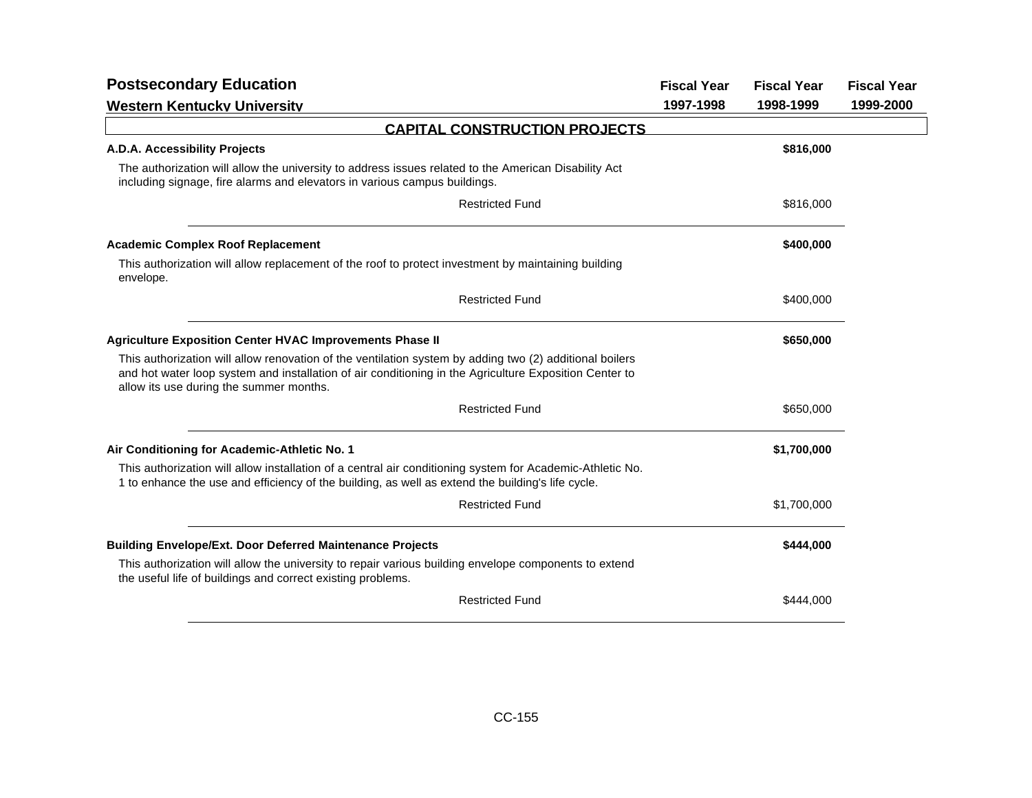| <b>Postsecondary Education</b>                                                                                                                                                                                                                               | <b>Fiscal Year</b> | <b>Fiscal Year</b> | <b>Fiscal Year</b> |
|--------------------------------------------------------------------------------------------------------------------------------------------------------------------------------------------------------------------------------------------------------------|--------------------|--------------------|--------------------|
| <b>Western Kentucky University</b>                                                                                                                                                                                                                           | 1997-1998          | 1998-1999          | 1999-2000          |
| <b>CAPITAL CONSTRUCTION PROJECTS</b>                                                                                                                                                                                                                         |                    |                    |                    |
| A.D.A. Accessibility Projects                                                                                                                                                                                                                                |                    | \$816,000          |                    |
| The authorization will allow the university to address issues related to the American Disability Act<br>including signage, fire alarms and elevators in various campus buildings.                                                                            |                    |                    |                    |
| <b>Restricted Fund</b>                                                                                                                                                                                                                                       |                    | \$816,000          |                    |
| <b>Academic Complex Roof Replacement</b>                                                                                                                                                                                                                     |                    | \$400,000          |                    |
| This authorization will allow replacement of the roof to protect investment by maintaining building<br>envelope.                                                                                                                                             |                    |                    |                    |
| <b>Restricted Fund</b>                                                                                                                                                                                                                                       |                    | \$400,000          |                    |
| <b>Agriculture Exposition Center HVAC Improvements Phase II</b>                                                                                                                                                                                              |                    | \$650,000          |                    |
| This authorization will allow renovation of the ventilation system by adding two (2) additional boilers<br>and hot water loop system and installation of air conditioning in the Agriculture Exposition Center to<br>allow its use during the summer months. |                    |                    |                    |
| <b>Restricted Fund</b>                                                                                                                                                                                                                                       |                    | \$650,000          |                    |
| Air Conditioning for Academic-Athletic No. 1                                                                                                                                                                                                                 |                    | \$1,700,000        |                    |
| This authorization will allow installation of a central air conditioning system for Academic-Athletic No.<br>1 to enhance the use and efficiency of the building, as well as extend the building's life cycle.                                               |                    |                    |                    |
| <b>Restricted Fund</b>                                                                                                                                                                                                                                       |                    | \$1,700,000        |                    |
| <b>Building Envelope/Ext. Door Deferred Maintenance Projects</b>                                                                                                                                                                                             |                    | \$444,000          |                    |
| This authorization will allow the university to repair various building envelope components to extend<br>the useful life of buildings and correct existing problems.                                                                                         |                    |                    |                    |
| <b>Restricted Fund</b>                                                                                                                                                                                                                                       |                    | \$444,000          |                    |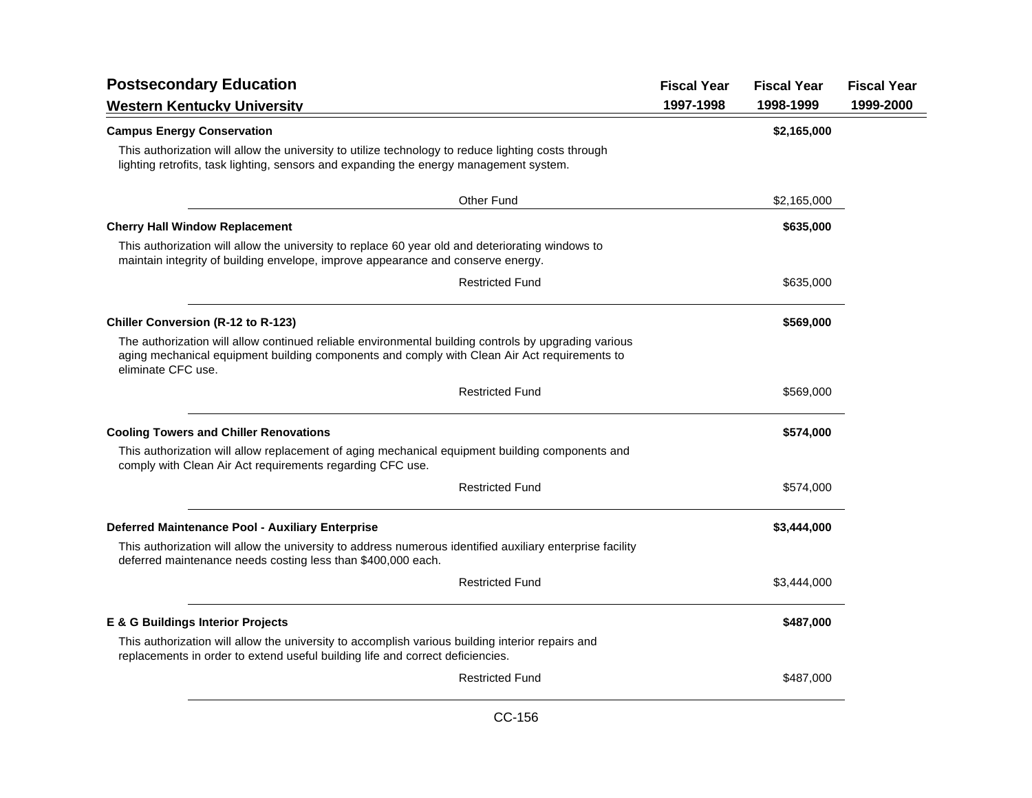| <b>Postsecondary Education</b>                                                                                                                                                                                             | <b>Fiscal Year</b> | <b>Fiscal Year</b> | <b>Fiscal Year</b> |
|----------------------------------------------------------------------------------------------------------------------------------------------------------------------------------------------------------------------------|--------------------|--------------------|--------------------|
| <b>Western Kentucky University</b>                                                                                                                                                                                         | 1997-1998          | 1998-1999          | 1999-2000          |
| <b>Campus Energy Conservation</b>                                                                                                                                                                                          |                    | \$2,165,000        |                    |
| This authorization will allow the university to utilize technology to reduce lighting costs through<br>lighting retrofits, task lighting, sensors and expanding the energy management system.                              |                    |                    |                    |
| Other Fund                                                                                                                                                                                                                 |                    | \$2,165,000        |                    |
| <b>Cherry Hall Window Replacement</b>                                                                                                                                                                                      |                    | \$635,000          |                    |
| This authorization will allow the university to replace 60 year old and deteriorating windows to<br>maintain integrity of building envelope, improve appearance and conserve energy.                                       |                    |                    |                    |
| <b>Restricted Fund</b>                                                                                                                                                                                                     |                    | \$635,000          |                    |
| <b>Chiller Conversion (R-12 to R-123)</b>                                                                                                                                                                                  |                    | \$569,000          |                    |
| The authorization will allow continued reliable environmental building controls by upgrading various<br>aging mechanical equipment building components and comply with Clean Air Act requirements to<br>eliminate CFC use. |                    |                    |                    |
| <b>Restricted Fund</b>                                                                                                                                                                                                     |                    | \$569,000          |                    |
| <b>Cooling Towers and Chiller Renovations</b>                                                                                                                                                                              |                    | \$574,000          |                    |
| This authorization will allow replacement of aging mechanical equipment building components and<br>comply with Clean Air Act requirements regarding CFC use.                                                               |                    |                    |                    |
| <b>Restricted Fund</b>                                                                                                                                                                                                     |                    | \$574,000          |                    |
| Deferred Maintenance Pool - Auxiliary Enterprise                                                                                                                                                                           |                    | \$3,444,000        |                    |
| This authorization will allow the university to address numerous identified auxiliary enterprise facility<br>deferred maintenance needs costing less than \$400,000 each.                                                  |                    |                    |                    |
| <b>Restricted Fund</b>                                                                                                                                                                                                     |                    | \$3,444,000        |                    |
| <b>E &amp; G Buildings Interior Projects</b>                                                                                                                                                                               |                    | \$487,000          |                    |
| This authorization will allow the university to accomplish various building interior repairs and<br>replacements in order to extend useful building life and correct deficiencies.                                         |                    |                    |                    |
| <b>Restricted Fund</b>                                                                                                                                                                                                     |                    | \$487,000          |                    |
|                                                                                                                                                                                                                            |                    |                    |                    |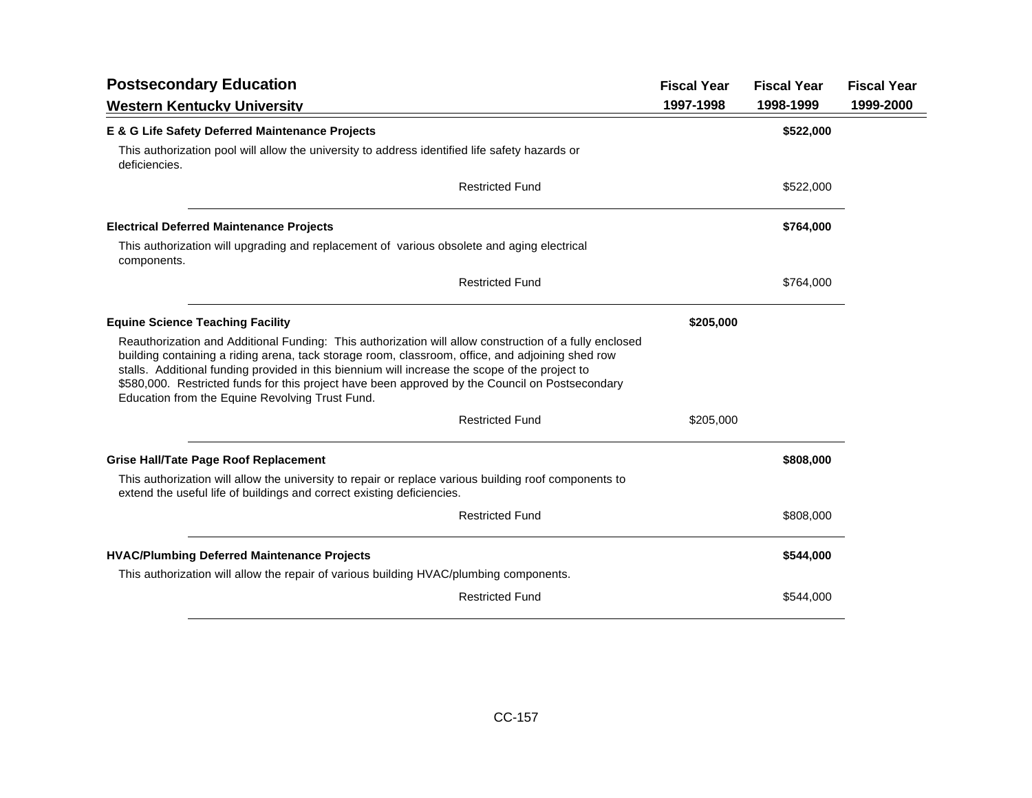| <b>Postsecondary Education</b>                                                                                                                                                                                                                                                                                                                                                                                                                                     | <b>Fiscal Year</b> | <b>Fiscal Year</b> | <b>Fiscal Year</b> |
|--------------------------------------------------------------------------------------------------------------------------------------------------------------------------------------------------------------------------------------------------------------------------------------------------------------------------------------------------------------------------------------------------------------------------------------------------------------------|--------------------|--------------------|--------------------|
| <b>Western Kentucky Universitv</b>                                                                                                                                                                                                                                                                                                                                                                                                                                 | 1997-1998          | 1998-1999          | 1999-2000          |
| E & G Life Safety Deferred Maintenance Projects                                                                                                                                                                                                                                                                                                                                                                                                                    |                    | \$522,000          |                    |
| This authorization pool will allow the university to address identified life safety hazards or<br>deficiencies.                                                                                                                                                                                                                                                                                                                                                    |                    |                    |                    |
| <b>Restricted Fund</b>                                                                                                                                                                                                                                                                                                                                                                                                                                             |                    | \$522,000          |                    |
| <b>Electrical Deferred Maintenance Projects</b>                                                                                                                                                                                                                                                                                                                                                                                                                    |                    | \$764,000          |                    |
| This authorization will upgrading and replacement of various obsolete and aging electrical<br>components.                                                                                                                                                                                                                                                                                                                                                          |                    |                    |                    |
| <b>Restricted Fund</b>                                                                                                                                                                                                                                                                                                                                                                                                                                             |                    | \$764,000          |                    |
| <b>Equine Science Teaching Facility</b>                                                                                                                                                                                                                                                                                                                                                                                                                            | \$205,000          |                    |                    |
| Reauthorization and Additional Funding: This authorization will allow construction of a fully enclosed<br>building containing a riding arena, tack storage room, classroom, office, and adjoining shed row<br>stalls. Additional funding provided in this biennium will increase the scope of the project to<br>\$580,000. Restricted funds for this project have been approved by the Council on Postsecondary<br>Education from the Equine Revolving Trust Fund. |                    |                    |                    |
| <b>Restricted Fund</b>                                                                                                                                                                                                                                                                                                                                                                                                                                             | \$205,000          |                    |                    |
| <b>Grise Hall/Tate Page Roof Replacement</b>                                                                                                                                                                                                                                                                                                                                                                                                                       |                    | \$808,000          |                    |
| This authorization will allow the university to repair or replace various building roof components to<br>extend the useful life of buildings and correct existing deficiencies.                                                                                                                                                                                                                                                                                    |                    |                    |                    |
| <b>Restricted Fund</b>                                                                                                                                                                                                                                                                                                                                                                                                                                             |                    | \$808,000          |                    |
| <b>HVAC/Plumbing Deferred Maintenance Projects</b>                                                                                                                                                                                                                                                                                                                                                                                                                 |                    | \$544,000          |                    |
| This authorization will allow the repair of various building HVAC/plumbing components.                                                                                                                                                                                                                                                                                                                                                                             |                    |                    |                    |
| <b>Restricted Fund</b>                                                                                                                                                                                                                                                                                                                                                                                                                                             |                    | \$544,000          |                    |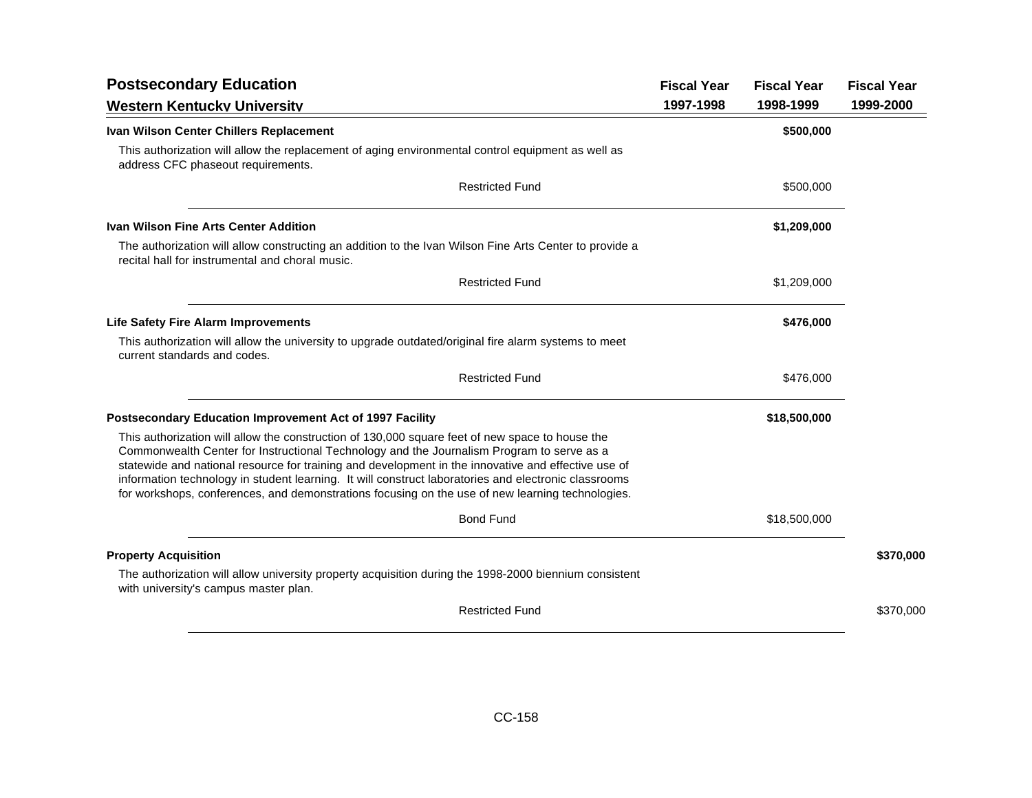| <b>Postsecondary Education</b>                                                                                                                                                                                                                                                                                                                                                                                                                                                                                  | <b>Fiscal Year</b> | <b>Fiscal Year</b> | <b>Fiscal Year</b> |
|-----------------------------------------------------------------------------------------------------------------------------------------------------------------------------------------------------------------------------------------------------------------------------------------------------------------------------------------------------------------------------------------------------------------------------------------------------------------------------------------------------------------|--------------------|--------------------|--------------------|
| <b>Western Kentucky University</b>                                                                                                                                                                                                                                                                                                                                                                                                                                                                              | 1997-1998          | 1998-1999          | 1999-2000          |
| Ivan Wilson Center Chillers Replacement                                                                                                                                                                                                                                                                                                                                                                                                                                                                         |                    | \$500,000          |                    |
| This authorization will allow the replacement of aging environmental control equipment as well as<br>address CFC phaseout requirements.                                                                                                                                                                                                                                                                                                                                                                         |                    |                    |                    |
| <b>Restricted Fund</b>                                                                                                                                                                                                                                                                                                                                                                                                                                                                                          |                    | \$500,000          |                    |
| <b>Ivan Wilson Fine Arts Center Addition</b>                                                                                                                                                                                                                                                                                                                                                                                                                                                                    |                    | \$1,209,000        |                    |
| The authorization will allow constructing an addition to the Ivan Wilson Fine Arts Center to provide a<br>recital hall for instrumental and choral music.                                                                                                                                                                                                                                                                                                                                                       |                    |                    |                    |
| <b>Restricted Fund</b>                                                                                                                                                                                                                                                                                                                                                                                                                                                                                          |                    | \$1,209,000        |                    |
| <b>Life Safety Fire Alarm Improvements</b>                                                                                                                                                                                                                                                                                                                                                                                                                                                                      |                    | \$476,000          |                    |
| This authorization will allow the university to upgrade outdated/original fire alarm systems to meet<br>current standards and codes.                                                                                                                                                                                                                                                                                                                                                                            |                    |                    |                    |
| <b>Restricted Fund</b>                                                                                                                                                                                                                                                                                                                                                                                                                                                                                          |                    | \$476,000          |                    |
| Postsecondary Education Improvement Act of 1997 Facility                                                                                                                                                                                                                                                                                                                                                                                                                                                        |                    | \$18,500,000       |                    |
| This authorization will allow the construction of 130,000 square feet of new space to house the<br>Commonwealth Center for Instructional Technology and the Journalism Program to serve as a<br>statewide and national resource for training and development in the innovative and effective use of<br>information technology in student learning. It will construct laboratories and electronic classrooms<br>for workshops, conferences, and demonstrations focusing on the use of new learning technologies. |                    |                    |                    |
| <b>Bond Fund</b>                                                                                                                                                                                                                                                                                                                                                                                                                                                                                                |                    | \$18,500,000       |                    |
| <b>Property Acquisition</b>                                                                                                                                                                                                                                                                                                                                                                                                                                                                                     |                    |                    | \$370,000          |
| The authorization will allow university property acquisition during the 1998-2000 biennium consistent<br>with university's campus master plan.                                                                                                                                                                                                                                                                                                                                                                  |                    |                    |                    |
| <b>Restricted Fund</b>                                                                                                                                                                                                                                                                                                                                                                                                                                                                                          |                    |                    | \$370,000          |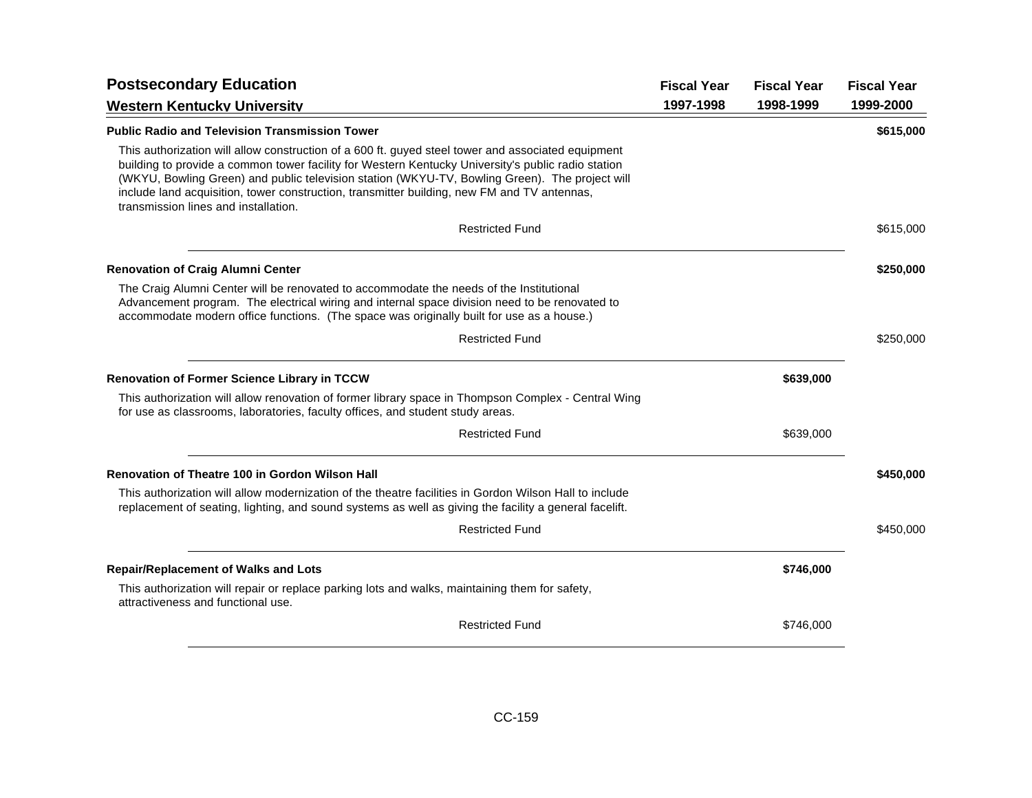| <b>Postsecondary Education</b>                                                                                                                                                                                                                                                                                                                                                                                                                    | <b>Fiscal Year</b> | <b>Fiscal Year</b> | <b>Fiscal Year</b> |
|---------------------------------------------------------------------------------------------------------------------------------------------------------------------------------------------------------------------------------------------------------------------------------------------------------------------------------------------------------------------------------------------------------------------------------------------------|--------------------|--------------------|--------------------|
| <b>Western Kentucky University</b>                                                                                                                                                                                                                                                                                                                                                                                                                | 1997-1998          | 1998-1999          | 1999-2000          |
| <b>Public Radio and Television Transmission Tower</b>                                                                                                                                                                                                                                                                                                                                                                                             |                    |                    | \$615,000          |
| This authorization will allow construction of a 600 ft. guyed steel tower and associated equipment<br>building to provide a common tower facility for Western Kentucky University's public radio station<br>(WKYU, Bowling Green) and public television station (WKYU-TV, Bowling Green). The project will<br>include land acquisition, tower construction, transmitter building, new FM and TV antennas,<br>transmission lines and installation. |                    |                    |                    |
| <b>Restricted Fund</b>                                                                                                                                                                                                                                                                                                                                                                                                                            |                    |                    | \$615,000          |
| <b>Renovation of Craig Alumni Center</b>                                                                                                                                                                                                                                                                                                                                                                                                          |                    |                    | \$250,000          |
| The Craig Alumni Center will be renovated to accommodate the needs of the Institutional<br>Advancement program. The electrical wiring and internal space division need to be renovated to<br>accommodate modern office functions. (The space was originally built for use as a house.)                                                                                                                                                            |                    |                    |                    |
| <b>Restricted Fund</b>                                                                                                                                                                                                                                                                                                                                                                                                                            |                    |                    | \$250,000          |
| <b>Renovation of Former Science Library in TCCW</b>                                                                                                                                                                                                                                                                                                                                                                                               |                    | \$639,000          |                    |
| This authorization will allow renovation of former library space in Thompson Complex - Central Wing<br>for use as classrooms, laboratories, faculty offices, and student study areas.                                                                                                                                                                                                                                                             |                    |                    |                    |
| <b>Restricted Fund</b>                                                                                                                                                                                                                                                                                                                                                                                                                            |                    | \$639,000          |                    |
| <b>Renovation of Theatre 100 in Gordon Wilson Hall</b>                                                                                                                                                                                                                                                                                                                                                                                            |                    |                    | \$450,000          |
| This authorization will allow modernization of the theatre facilities in Gordon Wilson Hall to include<br>replacement of seating, lighting, and sound systems as well as giving the facility a general facelift.                                                                                                                                                                                                                                  |                    |                    |                    |
| <b>Restricted Fund</b>                                                                                                                                                                                                                                                                                                                                                                                                                            |                    |                    | \$450,000          |
| <b>Repair/Replacement of Walks and Lots</b>                                                                                                                                                                                                                                                                                                                                                                                                       |                    | \$746,000          |                    |
| This authorization will repair or replace parking lots and walks, maintaining them for safety,<br>attractiveness and functional use.                                                                                                                                                                                                                                                                                                              |                    |                    |                    |
| <b>Restricted Fund</b>                                                                                                                                                                                                                                                                                                                                                                                                                            |                    | \$746,000          |                    |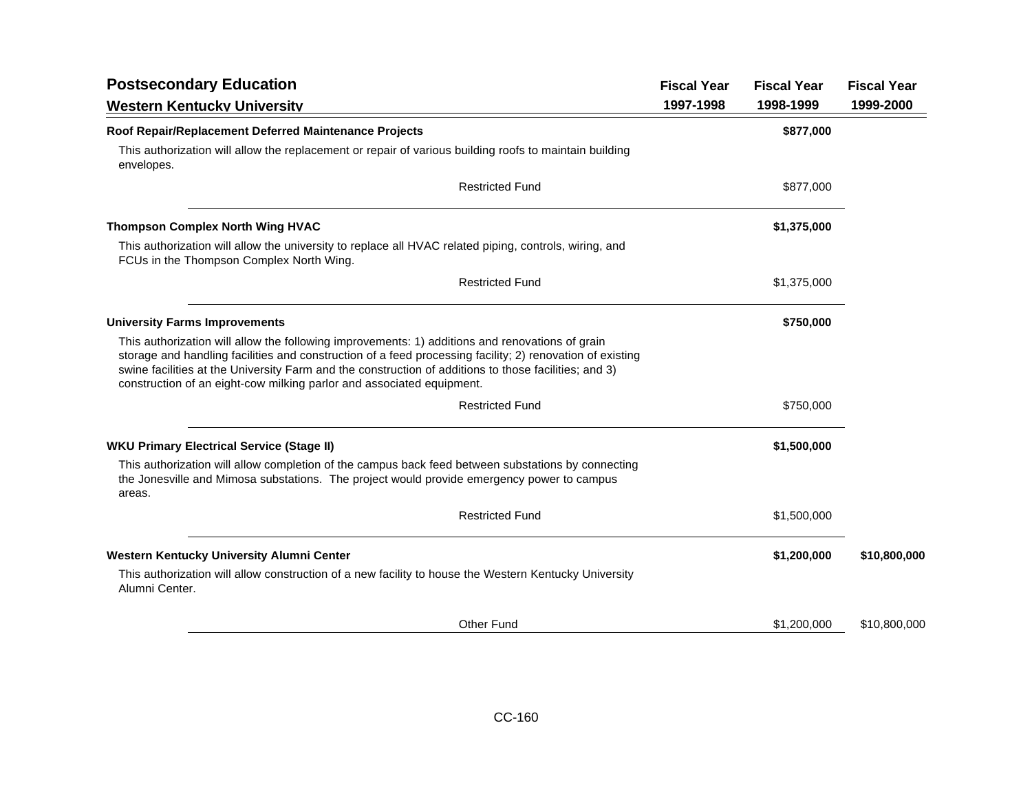| <b>Postsecondary Education</b>                                                                                                                                                                                                                                                                                                                                                                 | <b>Fiscal Year</b> | <b>Fiscal Year</b> | <b>Fiscal Year</b> |
|------------------------------------------------------------------------------------------------------------------------------------------------------------------------------------------------------------------------------------------------------------------------------------------------------------------------------------------------------------------------------------------------|--------------------|--------------------|--------------------|
| <b>Western Kentucky University</b>                                                                                                                                                                                                                                                                                                                                                             | 1997-1998          | 1998-1999          | 1999-2000          |
| Roof Repair/Replacement Deferred Maintenance Projects                                                                                                                                                                                                                                                                                                                                          |                    | \$877,000          |                    |
| This authorization will allow the replacement or repair of various building roofs to maintain building<br>envelopes.                                                                                                                                                                                                                                                                           |                    |                    |                    |
| <b>Restricted Fund</b>                                                                                                                                                                                                                                                                                                                                                                         |                    | \$877,000          |                    |
| <b>Thompson Complex North Wing HVAC</b>                                                                                                                                                                                                                                                                                                                                                        |                    | \$1,375,000        |                    |
| This authorization will allow the university to replace all HVAC related piping, controls, wiring, and<br>FCUs in the Thompson Complex North Wing.                                                                                                                                                                                                                                             |                    |                    |                    |
| <b>Restricted Fund</b>                                                                                                                                                                                                                                                                                                                                                                         |                    | \$1,375,000        |                    |
| <b>University Farms Improvements</b>                                                                                                                                                                                                                                                                                                                                                           |                    | \$750,000          |                    |
| This authorization will allow the following improvements: 1) additions and renovations of grain<br>storage and handling facilities and construction of a feed processing facility; 2) renovation of existing<br>swine facilities at the University Farm and the construction of additions to those facilities; and 3)<br>construction of an eight-cow milking parlor and associated equipment. |                    |                    |                    |
| <b>Restricted Fund</b>                                                                                                                                                                                                                                                                                                                                                                         |                    | \$750,000          |                    |
| <b>WKU Primary Electrical Service (Stage II)</b>                                                                                                                                                                                                                                                                                                                                               |                    | \$1,500,000        |                    |
| This authorization will allow completion of the campus back feed between substations by connecting<br>the Jonesville and Mimosa substations. The project would provide emergency power to campus<br>areas.                                                                                                                                                                                     |                    |                    |                    |
| <b>Restricted Fund</b>                                                                                                                                                                                                                                                                                                                                                                         |                    | \$1,500,000        |                    |
| Western Kentucky University Alumni Center                                                                                                                                                                                                                                                                                                                                                      |                    | \$1,200,000        | \$10,800,000       |
| This authorization will allow construction of a new facility to house the Western Kentucky University<br>Alumni Center.                                                                                                                                                                                                                                                                        |                    |                    |                    |
| <b>Other Fund</b>                                                                                                                                                                                                                                                                                                                                                                              |                    | \$1,200,000        | \$10,800,000       |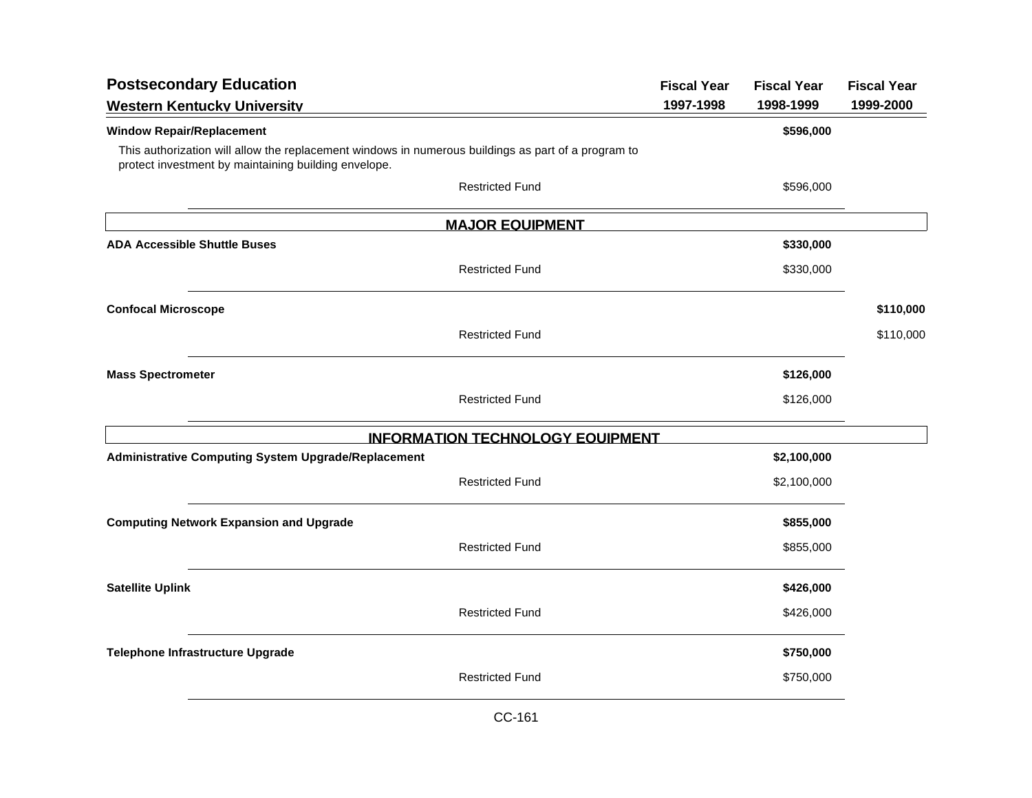| <b>Postsecondary Education</b>                                                                                                                              | <b>Fiscal Year</b> | <b>Fiscal Year</b> | <b>Fiscal Year</b> |
|-------------------------------------------------------------------------------------------------------------------------------------------------------------|--------------------|--------------------|--------------------|
| <b>Western Kentucky University</b>                                                                                                                          | 1997-1998          | 1998-1999          | 1999-2000          |
| <b>Window Repair/Replacement</b>                                                                                                                            |                    | \$596,000          |                    |
| This authorization will allow the replacement windows in numerous buildings as part of a program to<br>protect investment by maintaining building envelope. |                    |                    |                    |
| <b>Restricted Fund</b>                                                                                                                                      |                    | \$596,000          |                    |
| <b>MAJOR EQUIPMENT</b>                                                                                                                                      |                    |                    |                    |
| <b>ADA Accessible Shuttle Buses</b>                                                                                                                         |                    | \$330,000          |                    |
| <b>Restricted Fund</b>                                                                                                                                      |                    | \$330,000          |                    |
| <b>Confocal Microscope</b>                                                                                                                                  |                    |                    | \$110,000          |
| <b>Restricted Fund</b>                                                                                                                                      |                    |                    | \$110,000          |
| <b>Mass Spectrometer</b>                                                                                                                                    |                    | \$126,000          |                    |
| <b>Restricted Fund</b>                                                                                                                                      |                    | \$126,000          |                    |
| <b>INFORMATION TECHNOLOGY EQUIPMENT</b>                                                                                                                     |                    |                    |                    |
| Administrative Computing System Upgrade/Replacement                                                                                                         |                    | \$2,100,000        |                    |
| <b>Restricted Fund</b>                                                                                                                                      |                    | \$2,100,000        |                    |
| <b>Computing Network Expansion and Upgrade</b>                                                                                                              |                    | \$855,000          |                    |
| <b>Restricted Fund</b>                                                                                                                                      |                    | \$855,000          |                    |
| <b>Satellite Uplink</b>                                                                                                                                     |                    | \$426,000          |                    |
| <b>Restricted Fund</b>                                                                                                                                      |                    | \$426,000          |                    |
| Telephone Infrastructure Upgrade                                                                                                                            |                    | \$750,000          |                    |
| <b>Restricted Fund</b>                                                                                                                                      |                    | \$750,000          |                    |
|                                                                                                                                                             |                    |                    |                    |

CC-161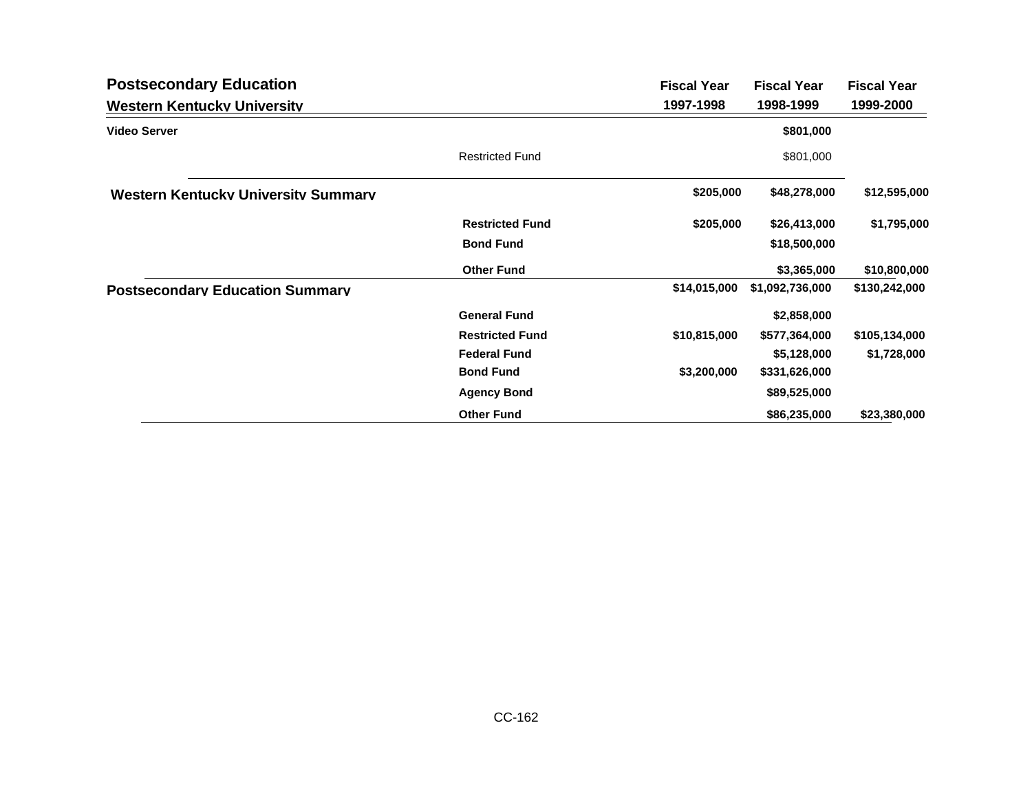| <b>Postsecondary Education</b>             |                        | <b>Fiscal Year</b> | <b>Fiscal Year</b> | <b>Fiscal Year</b> |
|--------------------------------------------|------------------------|--------------------|--------------------|--------------------|
| <b>Western Kentucky University</b>         |                        | 1997-1998          | 1998-1999          | 1999-2000          |
| <b>Video Server</b>                        |                        |                    | \$801,000          |                    |
|                                            | <b>Restricted Fund</b> |                    | \$801,000          |                    |
| <b>Western Kentucky University Summary</b> |                        | \$205,000          | \$48,278,000       | \$12,595,000       |
|                                            | <b>Restricted Fund</b> | \$205,000          | \$26,413,000       | \$1,795,000        |
|                                            | <b>Bond Fund</b>       |                    | \$18,500,000       |                    |
|                                            | <b>Other Fund</b>      |                    | \$3,365,000        | \$10,800,000       |
| <b>Postsecondary Education Summary</b>     |                        | \$14,015,000       | \$1,092,736,000    | \$130,242,000      |
|                                            | <b>General Fund</b>    |                    | \$2,858,000        |                    |
|                                            | <b>Restricted Fund</b> | \$10,815,000       | \$577,364,000      | \$105,134,000      |
|                                            | <b>Federal Fund</b>    |                    | \$5,128,000        | \$1,728,000        |
|                                            | <b>Bond Fund</b>       | \$3,200,000        | \$331,626,000      |                    |
|                                            | <b>Agency Bond</b>     |                    | \$89,525,000       |                    |
|                                            | <b>Other Fund</b>      |                    | \$86,235,000       | \$23,380,000       |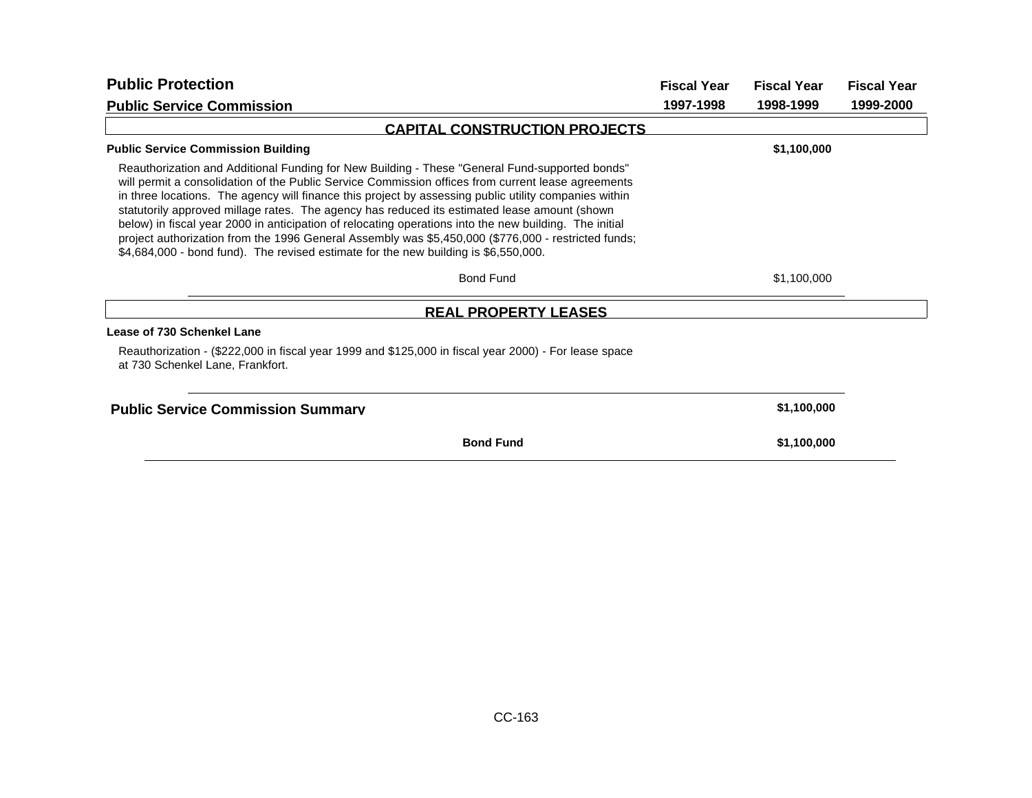| <b>Public Protection</b>                                                                                                                                                                                                                                                                                                                                                                                                                                                                                                                                                                                                                                                                                              | <b>Fiscal Year</b> | <b>Fiscal Year</b> | <b>Fiscal Year</b> |
|-----------------------------------------------------------------------------------------------------------------------------------------------------------------------------------------------------------------------------------------------------------------------------------------------------------------------------------------------------------------------------------------------------------------------------------------------------------------------------------------------------------------------------------------------------------------------------------------------------------------------------------------------------------------------------------------------------------------------|--------------------|--------------------|--------------------|
| <b>Public Service Commission</b>                                                                                                                                                                                                                                                                                                                                                                                                                                                                                                                                                                                                                                                                                      | 1997-1998          | 1998-1999          | 1999-2000          |
| <b>CAPITAL CONSTRUCTION PROJECTS</b>                                                                                                                                                                                                                                                                                                                                                                                                                                                                                                                                                                                                                                                                                  |                    |                    |                    |
| <b>Public Service Commission Building</b>                                                                                                                                                                                                                                                                                                                                                                                                                                                                                                                                                                                                                                                                             |                    | \$1,100,000        |                    |
| Reauthorization and Additional Funding for New Building - These "General Fund-supported bonds"<br>will permit a consolidation of the Public Service Commission offices from current lease agreements<br>in three locations. The agency will finance this project by assessing public utility companies within<br>statutorily approved millage rates. The agency has reduced its estimated lease amount (shown<br>below) in fiscal year 2000 in anticipation of relocating operations into the new building. The initial<br>project authorization from the 1996 General Assembly was \$5,450,000 (\$776,000 - restricted funds;<br>\$4,684,000 - bond fund). The revised estimate for the new building is \$6,550,000. |                    |                    |                    |
| <b>Bond Fund</b>                                                                                                                                                                                                                                                                                                                                                                                                                                                                                                                                                                                                                                                                                                      |                    | \$1,100,000        |                    |
| <b>REAL PROPERTY LEASES</b>                                                                                                                                                                                                                                                                                                                                                                                                                                                                                                                                                                                                                                                                                           |                    |                    |                    |
| Lease of 730 Schenkel Lane                                                                                                                                                                                                                                                                                                                                                                                                                                                                                                                                                                                                                                                                                            |                    |                    |                    |
| Reauthorization - (\$222,000 in fiscal year 1999 and \$125,000 in fiscal year 2000) - For lease space<br>at 730 Schenkel Lane, Frankfort.                                                                                                                                                                                                                                                                                                                                                                                                                                                                                                                                                                             |                    |                    |                    |
| <b>Public Service Commission Summary</b>                                                                                                                                                                                                                                                                                                                                                                                                                                                                                                                                                                                                                                                                              |                    | \$1,100,000        |                    |
| <b>Bond Fund</b>                                                                                                                                                                                                                                                                                                                                                                                                                                                                                                                                                                                                                                                                                                      |                    | \$1,100,000        |                    |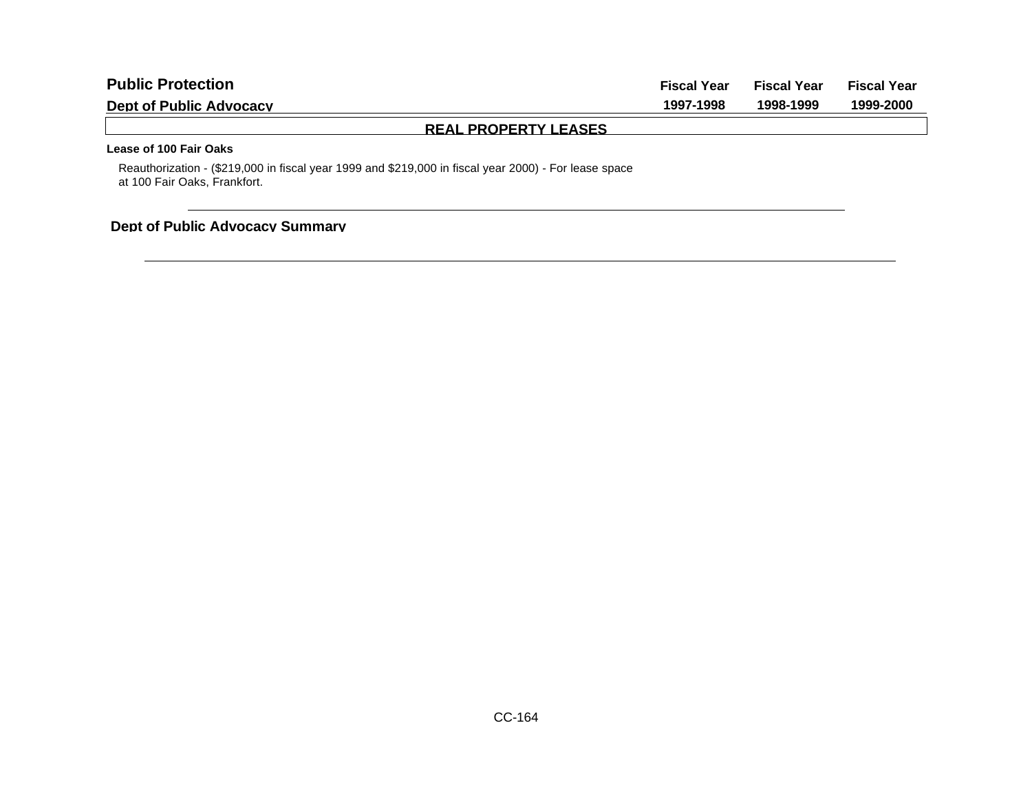| <b>Public Protection</b>       | <b>Fiscal Year</b> | <b>Fiscal Year</b> | Fiscal Year |
|--------------------------------|--------------------|--------------------|-------------|
| <b>Dept of Public Advocacy</b> | 1997-1998          | 1998-1999          | 1999-2000   |
| <b>REAL PROPERTY LEASES</b>    |                    |                    |             |
| Lease of 100 Fair Oaks         |                    |                    |             |

Reauthorization - (\$219,000 in fiscal year 1999 and \$219,000 in fiscal year 2000) - For lease space at 100 Fair Oaks, Frankfort.

## **Dept of Public Advocacy Summary**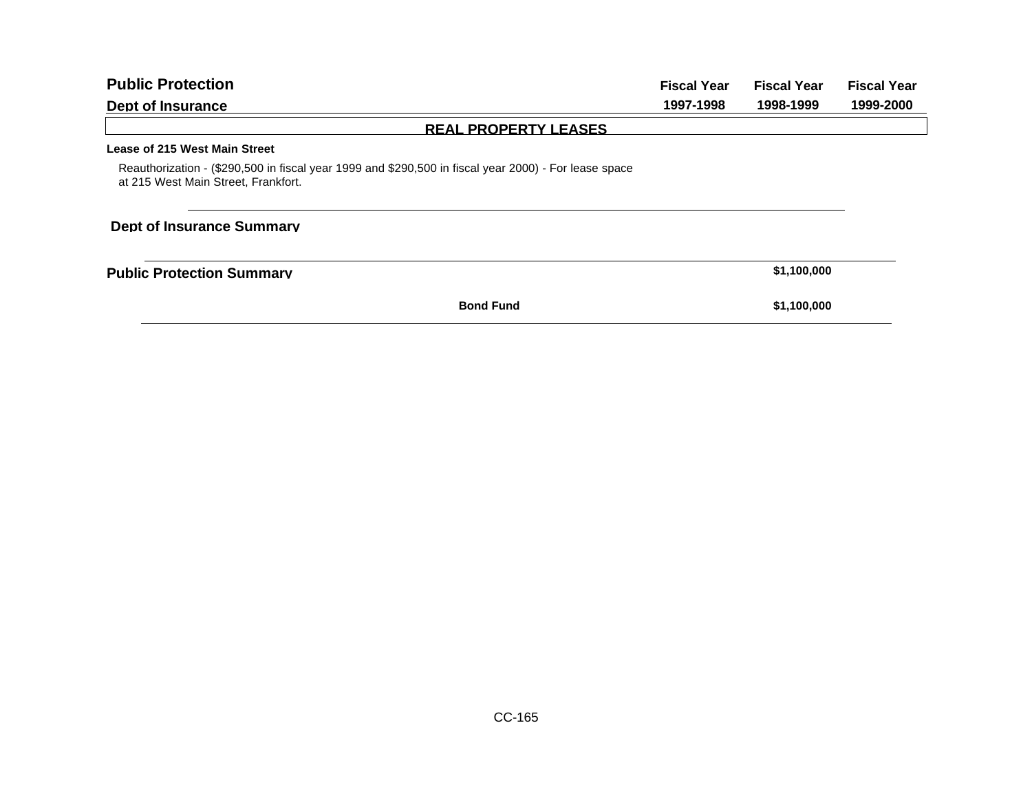| <b>Public Protection</b>                                                                                                                     | <b>Fiscal Year</b> | <b>Fiscal Year</b> | <b>Fiscal Year</b> |
|----------------------------------------------------------------------------------------------------------------------------------------------|--------------------|--------------------|--------------------|
| Dept of Insurance                                                                                                                            | 1997-1998          | 1998-1999          | 1999-2000          |
| <b>REAL PROPERTY LEASES</b>                                                                                                                  |                    |                    |                    |
| Lease of 215 West Main Street                                                                                                                |                    |                    |                    |
| Reauthorization - (\$290,500 in fiscal year 1999 and \$290,500 in fiscal year 2000) - For lease space<br>at 215 West Main Street, Frankfort. |                    |                    |                    |
| <b>Dept of Insurance Summary</b>                                                                                                             |                    |                    |                    |
| <b>Public Protection Summary</b>                                                                                                             |                    | \$1,100,000        |                    |
| <b>Bond Fund</b>                                                                                                                             |                    | \$1,100,000        |                    |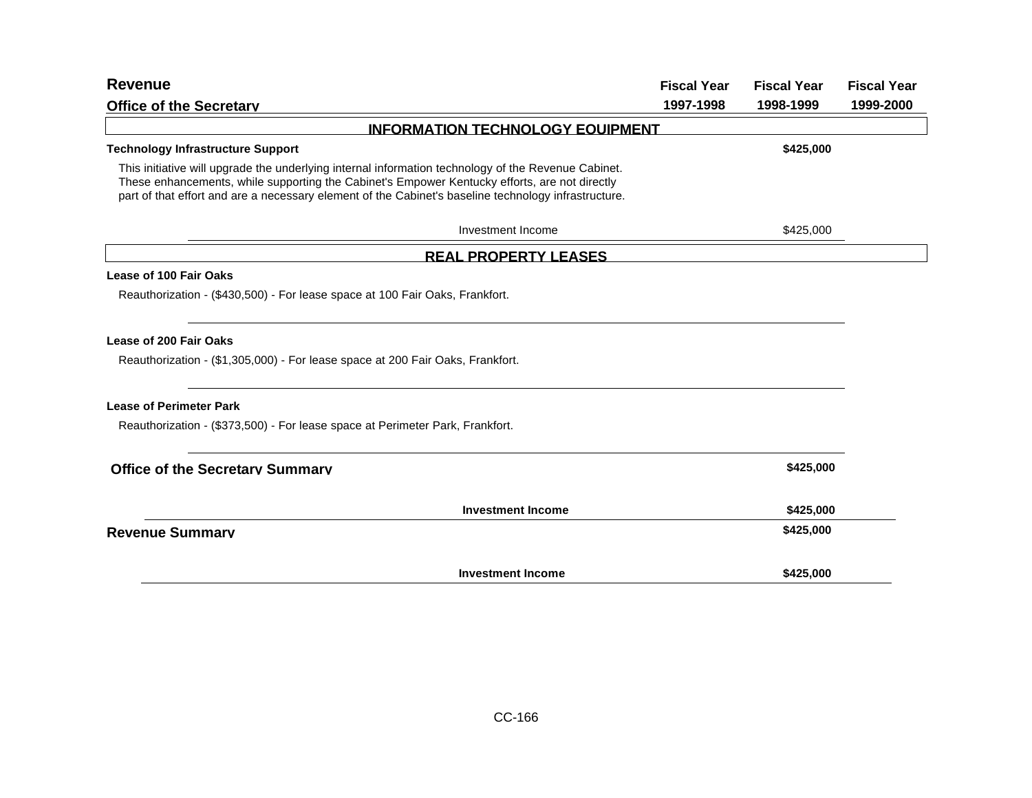| <b>Revenue</b>                                                                                                                                                                                                                                                                                               | <b>Fiscal Year</b> | <b>Fiscal Year</b> | <b>Fiscal Year</b> |
|--------------------------------------------------------------------------------------------------------------------------------------------------------------------------------------------------------------------------------------------------------------------------------------------------------------|--------------------|--------------------|--------------------|
| <b>Office of the Secretary</b>                                                                                                                                                                                                                                                                               | 1997-1998          | 1998-1999          | 1999-2000          |
| <b>INFORMATION TECHNOLOGY EQUIPMENT</b>                                                                                                                                                                                                                                                                      |                    |                    |                    |
| <b>Technology Infrastructure Support</b>                                                                                                                                                                                                                                                                     |                    | \$425,000          |                    |
| This initiative will upgrade the underlying internal information technology of the Revenue Cabinet.<br>These enhancements, while supporting the Cabinet's Empower Kentucky efforts, are not directly<br>part of that effort and are a necessary element of the Cabinet's baseline technology infrastructure. |                    |                    |                    |
| Investment Income                                                                                                                                                                                                                                                                                            |                    | \$425,000          |                    |
| <b>REAL PROPERTY LEASES</b>                                                                                                                                                                                                                                                                                  |                    |                    |                    |
| <b>Lease of 100 Fair Oaks</b><br>Reauthorization - (\$430,500) - For lease space at 100 Fair Oaks, Frankfort.                                                                                                                                                                                                |                    |                    |                    |
| Lease of 200 Fair Oaks<br>Reauthorization - (\$1,305,000) - For lease space at 200 Fair Oaks, Frankfort.                                                                                                                                                                                                     |                    |                    |                    |
| <b>Lease of Perimeter Park</b><br>Reauthorization - (\$373,500) - For lease space at Perimeter Park, Frankfort.                                                                                                                                                                                              |                    |                    |                    |
| <b>Office of the Secretary Summary</b>                                                                                                                                                                                                                                                                       |                    | \$425,000          |                    |
| <b>Investment Income</b>                                                                                                                                                                                                                                                                                     |                    | \$425,000          |                    |
| <b>Revenue Summary</b>                                                                                                                                                                                                                                                                                       |                    | \$425,000          |                    |
| <b>Investment Income</b>                                                                                                                                                                                                                                                                                     |                    | \$425,000          |                    |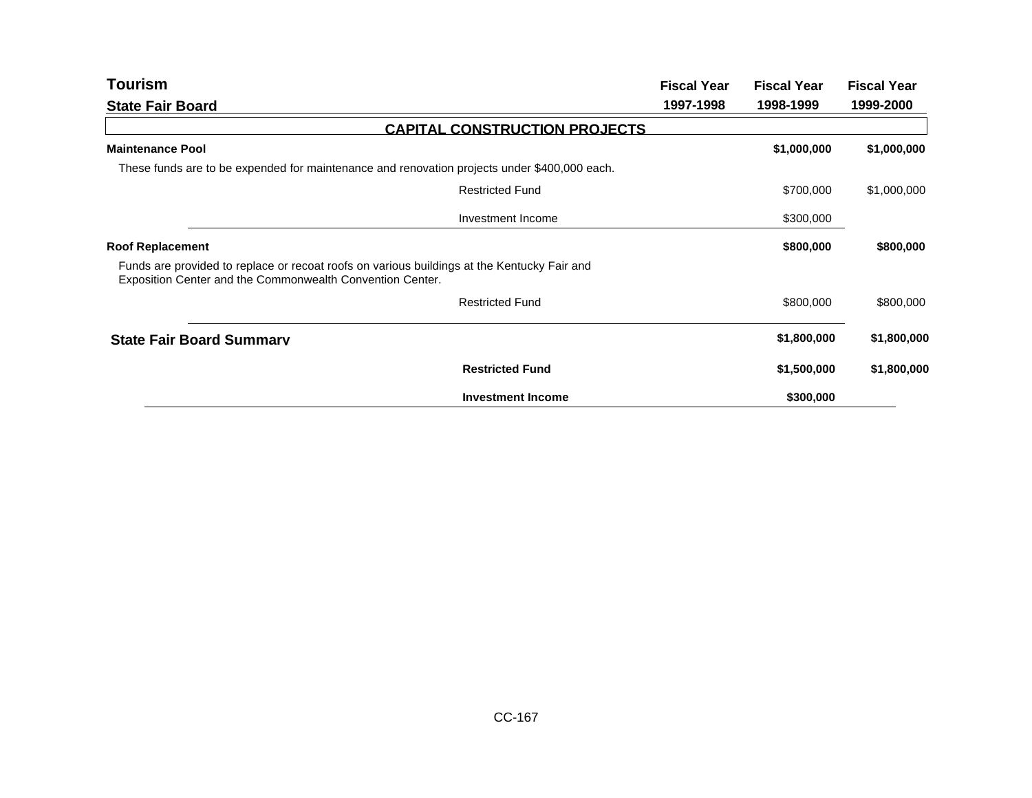| <b>Tourism</b>                                                                                                                                           | <b>Fiscal Year</b> | <b>Fiscal Year</b> | <b>Fiscal Year</b> |
|----------------------------------------------------------------------------------------------------------------------------------------------------------|--------------------|--------------------|--------------------|
| <b>State Fair Board</b>                                                                                                                                  | 1997-1998          | 1998-1999          | 1999-2000          |
| <b>CAPITAL CONSTRUCTION PROJECTS</b>                                                                                                                     |                    |                    |                    |
| <b>Maintenance Pool</b>                                                                                                                                  |                    | \$1,000,000        | \$1,000,000        |
| These funds are to be expended for maintenance and renovation projects under \$400,000 each.                                                             |                    |                    |                    |
| <b>Restricted Fund</b>                                                                                                                                   |                    | \$700,000          | \$1,000,000        |
| Investment Income                                                                                                                                        |                    | \$300,000          |                    |
| <b>Roof Replacement</b>                                                                                                                                  |                    | \$800,000          | \$800,000          |
| Funds are provided to replace or recoat roofs on various buildings at the Kentucky Fair and<br>Exposition Center and the Commonwealth Convention Center. |                    |                    |                    |
| <b>Restricted Fund</b>                                                                                                                                   |                    | \$800,000          | \$800,000          |
| <b>State Fair Board Summary</b>                                                                                                                          |                    | \$1,800,000        | \$1,800,000        |
| <b>Restricted Fund</b>                                                                                                                                   |                    | \$1,500,000        | \$1,800,000        |
| <b>Investment Income</b>                                                                                                                                 |                    | \$300,000          |                    |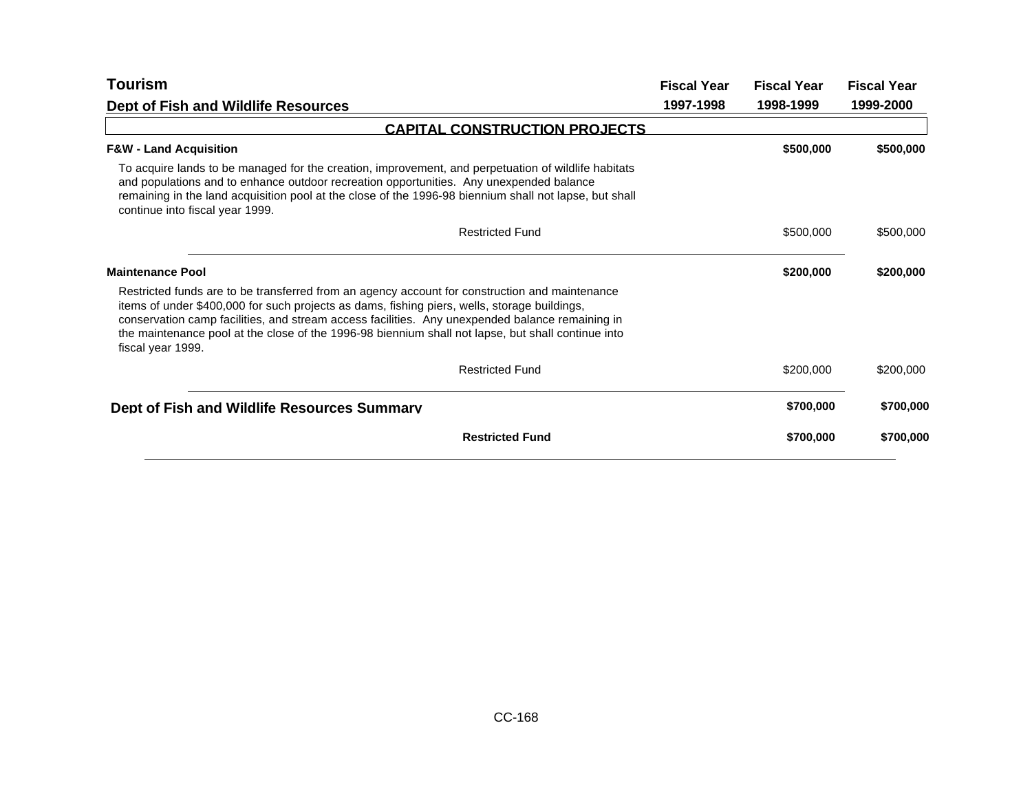| Tourism                                                                                                                                                                                                                                                                                                                                                                                                                      | <b>Fiscal Year</b> | <b>Fiscal Year</b> | <b>Fiscal Year</b> |
|------------------------------------------------------------------------------------------------------------------------------------------------------------------------------------------------------------------------------------------------------------------------------------------------------------------------------------------------------------------------------------------------------------------------------|--------------------|--------------------|--------------------|
| Dept of Fish and Wildlife Resources                                                                                                                                                                                                                                                                                                                                                                                          | 1997-1998          | 1998-1999          | 1999-2000          |
| <b>CAPITAL CONSTRUCTION PROJECTS</b>                                                                                                                                                                                                                                                                                                                                                                                         |                    |                    |                    |
| <b>F&amp;W - Land Acquisition</b>                                                                                                                                                                                                                                                                                                                                                                                            |                    | \$500,000          | \$500,000          |
| To acquire lands to be managed for the creation, improvement, and perpetuation of wildlife habitats<br>and populations and to enhance outdoor recreation opportunities. Any unexpended balance<br>remaining in the land acquisition pool at the close of the 1996-98 biennium shall not lapse, but shall<br>continue into fiscal year 1999.                                                                                  |                    |                    |                    |
| <b>Restricted Fund</b>                                                                                                                                                                                                                                                                                                                                                                                                       |                    | \$500,000          | \$500,000          |
| <b>Maintenance Pool</b>                                                                                                                                                                                                                                                                                                                                                                                                      |                    | \$200,000          | \$200,000          |
| Restricted funds are to be transferred from an agency account for construction and maintenance<br>items of under \$400,000 for such projects as dams, fishing piers, wells, storage buildings,<br>conservation camp facilities, and stream access facilities. Any unexpended balance remaining in<br>the maintenance pool at the close of the 1996-98 biennium shall not lapse, but shall continue into<br>fiscal year 1999. |                    |                    |                    |
| <b>Restricted Fund</b>                                                                                                                                                                                                                                                                                                                                                                                                       |                    | \$200,000          | \$200,000          |
| Dept of Fish and Wildlife Resources Summary                                                                                                                                                                                                                                                                                                                                                                                  |                    | \$700,000          | \$700,000          |
| <b>Restricted Fund</b>                                                                                                                                                                                                                                                                                                                                                                                                       |                    | \$700,000          | \$700,000          |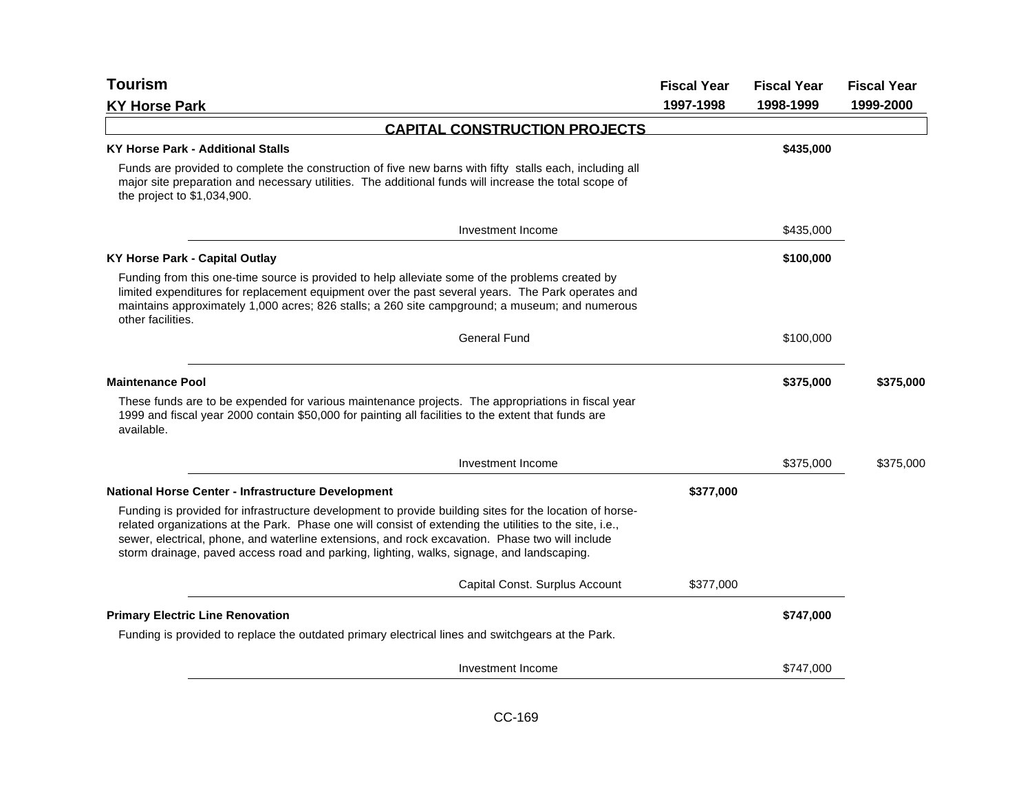| <b>Tourism</b>                                                                                                                                                                                                                                                                                                                                                                                                     | <b>Fiscal Year</b> | <b>Fiscal Year</b> | <b>Fiscal Year</b> |
|--------------------------------------------------------------------------------------------------------------------------------------------------------------------------------------------------------------------------------------------------------------------------------------------------------------------------------------------------------------------------------------------------------------------|--------------------|--------------------|--------------------|
| <b>KY Horse Park</b>                                                                                                                                                                                                                                                                                                                                                                                               | 1997-1998          | 1998-1999          | 1999-2000          |
| <b>CAPITAL CONSTRUCTION PROJECTS</b>                                                                                                                                                                                                                                                                                                                                                                               |                    |                    |                    |
| <b>KY Horse Park - Additional Stalls</b>                                                                                                                                                                                                                                                                                                                                                                           |                    | \$435,000          |                    |
| Funds are provided to complete the construction of five new barns with fifty stalls each, including all<br>major site preparation and necessary utilities. The additional funds will increase the total scope of<br>the project to \$1,034,900.                                                                                                                                                                    |                    |                    |                    |
| Investment Income                                                                                                                                                                                                                                                                                                                                                                                                  |                    | \$435,000          |                    |
| <b>KY Horse Park - Capital Outlay</b>                                                                                                                                                                                                                                                                                                                                                                              |                    | \$100,000          |                    |
| Funding from this one-time source is provided to help alleviate some of the problems created by<br>limited expenditures for replacement equipment over the past several years. The Park operates and<br>maintains approximately 1,000 acres; 826 stalls; a 260 site campground; a museum; and numerous<br>other facilities.                                                                                        |                    |                    |                    |
| <b>General Fund</b>                                                                                                                                                                                                                                                                                                                                                                                                |                    | \$100,000          |                    |
| <b>Maintenance Pool</b>                                                                                                                                                                                                                                                                                                                                                                                            |                    | \$375,000          | \$375,000          |
| These funds are to be expended for various maintenance projects. The appropriations in fiscal year<br>1999 and fiscal year 2000 contain \$50,000 for painting all facilities to the extent that funds are<br>available.                                                                                                                                                                                            |                    |                    |                    |
| Investment Income                                                                                                                                                                                                                                                                                                                                                                                                  |                    | \$375,000          | \$375,000          |
| <b>National Horse Center - Infrastructure Development</b>                                                                                                                                                                                                                                                                                                                                                          | \$377,000          |                    |                    |
| Funding is provided for infrastructure development to provide building sites for the location of horse-<br>related organizations at the Park. Phase one will consist of extending the utilities to the site, i.e.,<br>sewer, electrical, phone, and waterline extensions, and rock excavation. Phase two will include<br>storm drainage, paved access road and parking, lighting, walks, signage, and landscaping. |                    |                    |                    |
| Capital Const. Surplus Account                                                                                                                                                                                                                                                                                                                                                                                     | \$377,000          |                    |                    |
| <b>Primary Electric Line Renovation</b>                                                                                                                                                                                                                                                                                                                                                                            |                    | \$747,000          |                    |
| Funding is provided to replace the outdated primary electrical lines and switchgears at the Park.                                                                                                                                                                                                                                                                                                                  |                    |                    |                    |
| Investment Income                                                                                                                                                                                                                                                                                                                                                                                                  |                    | \$747,000          |                    |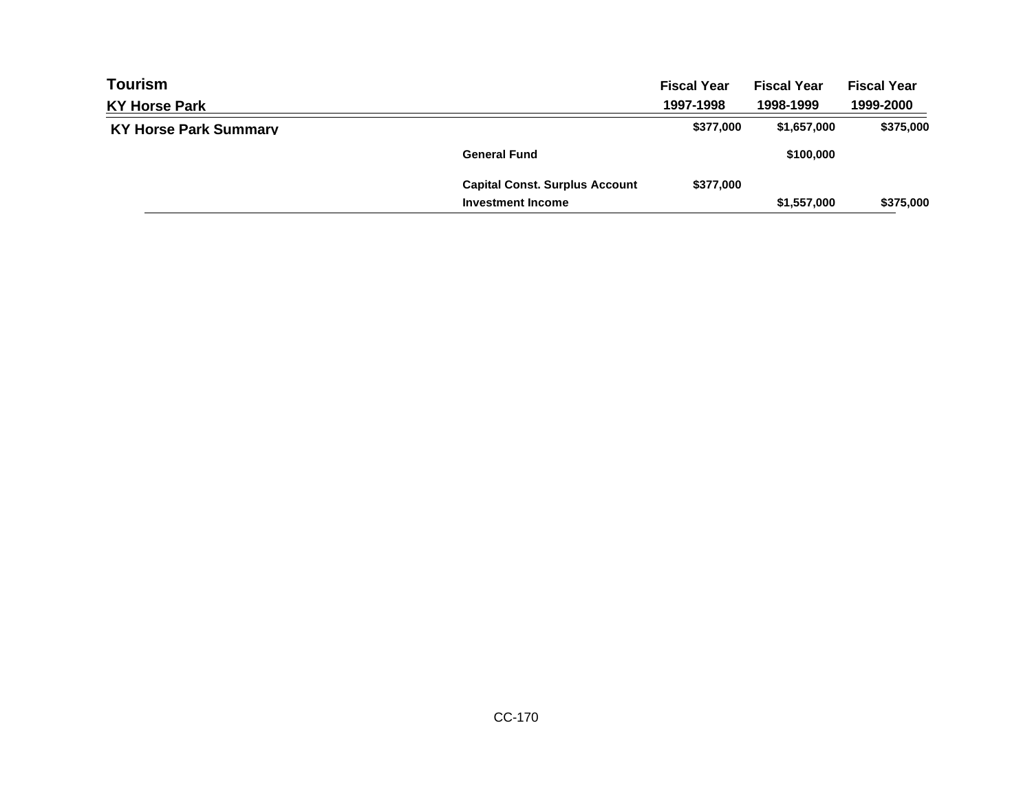| <b>Tourism</b>               |                                       | <b>Fiscal Year</b> | <b>Fiscal Year</b> | <b>Fiscal Year</b> |
|------------------------------|---------------------------------------|--------------------|--------------------|--------------------|
| <b>KY Horse Park</b>         |                                       | 1997-1998          | 1998-1999          | 1999-2000          |
| <b>KY Horse Park Summary</b> |                                       | \$377,000          | \$1,657,000        | \$375,000          |
|                              | <b>General Fund</b>                   |                    | \$100,000          |                    |
|                              | <b>Capital Const. Surplus Account</b> | \$377,000          |                    |                    |
|                              | <b>Investment Income</b>              |                    | \$1,557,000        | \$375,000          |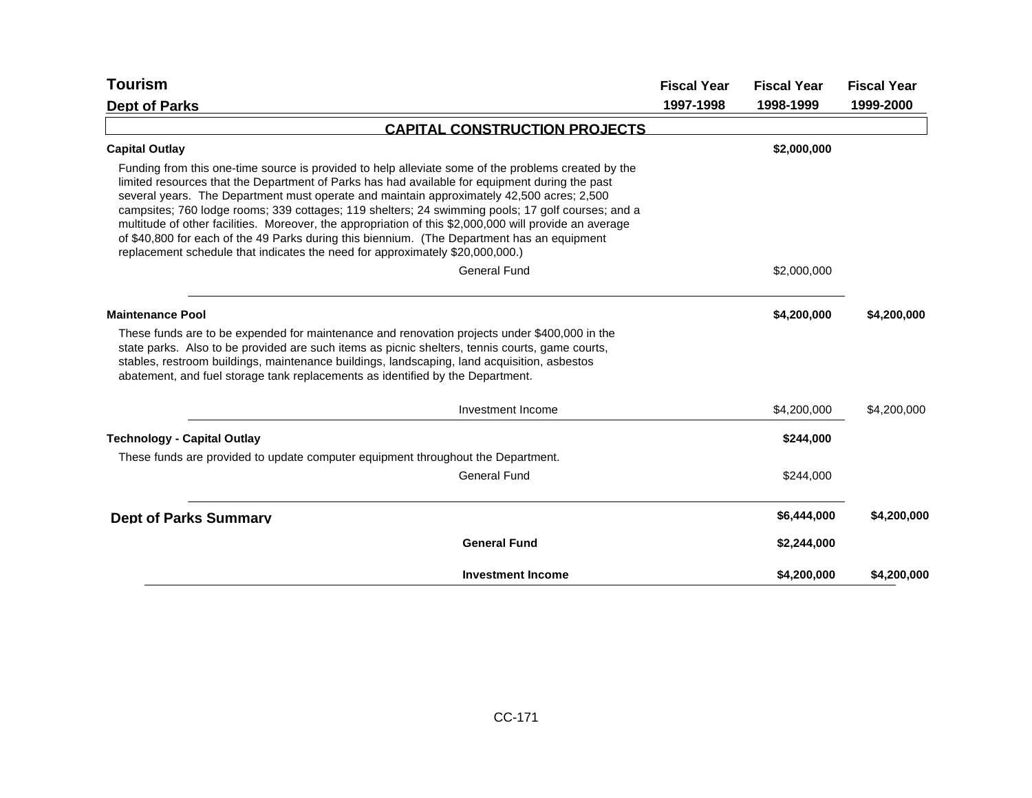| Tourism                                                                                                                                                                                                                                                                                                                                                                                                                                                                                                                                                                                                                                                                                           | <b>Fiscal Year</b> | <b>Fiscal Year</b> | <b>Fiscal Year</b> |
|---------------------------------------------------------------------------------------------------------------------------------------------------------------------------------------------------------------------------------------------------------------------------------------------------------------------------------------------------------------------------------------------------------------------------------------------------------------------------------------------------------------------------------------------------------------------------------------------------------------------------------------------------------------------------------------------------|--------------------|--------------------|--------------------|
| <b>Dept of Parks</b>                                                                                                                                                                                                                                                                                                                                                                                                                                                                                                                                                                                                                                                                              | 1997-1998          | 1998-1999          | 1999-2000          |
| <b>CAPITAL CONSTRUCTION PROJECTS</b>                                                                                                                                                                                                                                                                                                                                                                                                                                                                                                                                                                                                                                                              |                    |                    |                    |
| <b>Capital Outlay</b>                                                                                                                                                                                                                                                                                                                                                                                                                                                                                                                                                                                                                                                                             |                    | \$2,000,000        |                    |
| Funding from this one-time source is provided to help alleviate some of the problems created by the<br>limited resources that the Department of Parks has had available for equipment during the past<br>several years. The Department must operate and maintain approximately 42,500 acres; 2,500<br>campsites; 760 lodge rooms; 339 cottages; 119 shelters; 24 swimming pools; 17 golf courses; and a<br>multitude of other facilities. Moreover, the appropriation of this \$2,000,000 will provide an average<br>of \$40,800 for each of the 49 Parks during this biennium. (The Department has an equipment<br>replacement schedule that indicates the need for approximately \$20,000,000.) |                    |                    |                    |
| <b>General Fund</b>                                                                                                                                                                                                                                                                                                                                                                                                                                                                                                                                                                                                                                                                               |                    | \$2,000,000        |                    |
| <b>Maintenance Pool</b>                                                                                                                                                                                                                                                                                                                                                                                                                                                                                                                                                                                                                                                                           |                    | \$4,200,000        | \$4,200,000        |
| These funds are to be expended for maintenance and renovation projects under \$400,000 in the<br>state parks. Also to be provided are such items as picnic shelters, tennis courts, game courts,<br>stables, restroom buildings, maintenance buildings, landscaping, land acquisition, asbestos<br>abatement, and fuel storage tank replacements as identified by the Department.                                                                                                                                                                                                                                                                                                                 |                    |                    |                    |
| Investment Income                                                                                                                                                                                                                                                                                                                                                                                                                                                                                                                                                                                                                                                                                 |                    | \$4,200,000        | \$4,200,000        |
| <b>Technology - Capital Outlay</b>                                                                                                                                                                                                                                                                                                                                                                                                                                                                                                                                                                                                                                                                |                    | \$244,000          |                    |
| These funds are provided to update computer equipment throughout the Department.                                                                                                                                                                                                                                                                                                                                                                                                                                                                                                                                                                                                                  |                    |                    |                    |
| <b>General Fund</b>                                                                                                                                                                                                                                                                                                                                                                                                                                                                                                                                                                                                                                                                               |                    | \$244,000          |                    |
| <b>Dept of Parks Summary</b>                                                                                                                                                                                                                                                                                                                                                                                                                                                                                                                                                                                                                                                                      |                    | \$6,444,000        | \$4,200,000        |
| <b>General Fund</b>                                                                                                                                                                                                                                                                                                                                                                                                                                                                                                                                                                                                                                                                               |                    | \$2,244,000        |                    |
| <b>Investment Income</b>                                                                                                                                                                                                                                                                                                                                                                                                                                                                                                                                                                                                                                                                          |                    | \$4,200,000        | \$4,200,000        |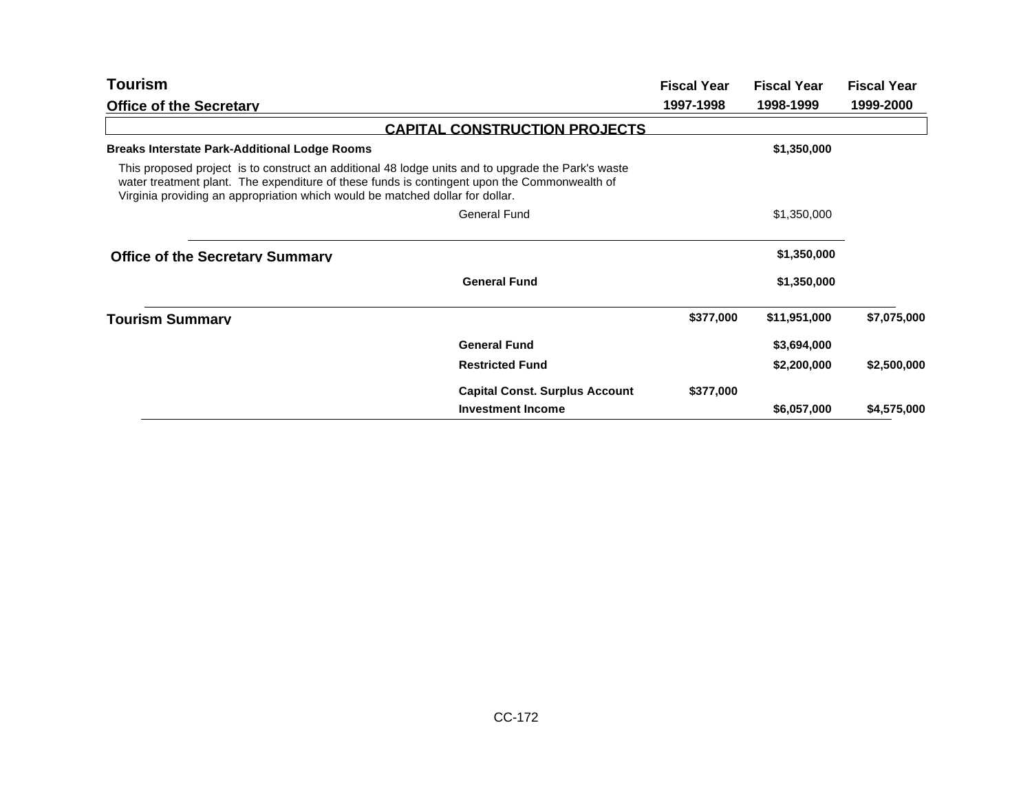| Tourism                                                                                                                                                                                                                                                                             |                                       | <b>Fiscal Year</b> | <b>Fiscal Year</b> | <b>Fiscal Year</b> |
|-------------------------------------------------------------------------------------------------------------------------------------------------------------------------------------------------------------------------------------------------------------------------------------|---------------------------------------|--------------------|--------------------|--------------------|
| <b>Office of the Secretary</b>                                                                                                                                                                                                                                                      |                                       | 1997-1998          | 1998-1999          | 1999-2000          |
|                                                                                                                                                                                                                                                                                     | <b>CAPITAL CONSTRUCTION PROJECTS</b>  |                    |                    |                    |
| <b>Breaks Interstate Park-Additional Lodge Rooms</b>                                                                                                                                                                                                                                |                                       |                    | \$1,350,000        |                    |
| This proposed project is to construct an additional 48 lodge units and to upgrade the Park's waste<br>water treatment plant. The expenditure of these funds is contingent upon the Commonwealth of<br>Virginia providing an appropriation which would be matched dollar for dollar. |                                       |                    |                    |                    |
|                                                                                                                                                                                                                                                                                     | <b>General Fund</b>                   |                    | \$1,350,000        |                    |
| <b>Office of the Secretary Summary</b>                                                                                                                                                                                                                                              |                                       |                    | \$1,350,000        |                    |
|                                                                                                                                                                                                                                                                                     | <b>General Fund</b>                   |                    | \$1,350,000        |                    |
| <b>Tourism Summarv</b>                                                                                                                                                                                                                                                              |                                       | \$377,000          | \$11,951,000       | \$7,075,000        |
|                                                                                                                                                                                                                                                                                     | <b>General Fund</b>                   |                    | \$3,694,000        |                    |
|                                                                                                                                                                                                                                                                                     | <b>Restricted Fund</b>                |                    | \$2,200,000        | \$2,500,000        |
|                                                                                                                                                                                                                                                                                     | <b>Capital Const. Surplus Account</b> | \$377,000          |                    |                    |
|                                                                                                                                                                                                                                                                                     | <b>Investment Income</b>              |                    | \$6,057,000        | \$4,575,000        |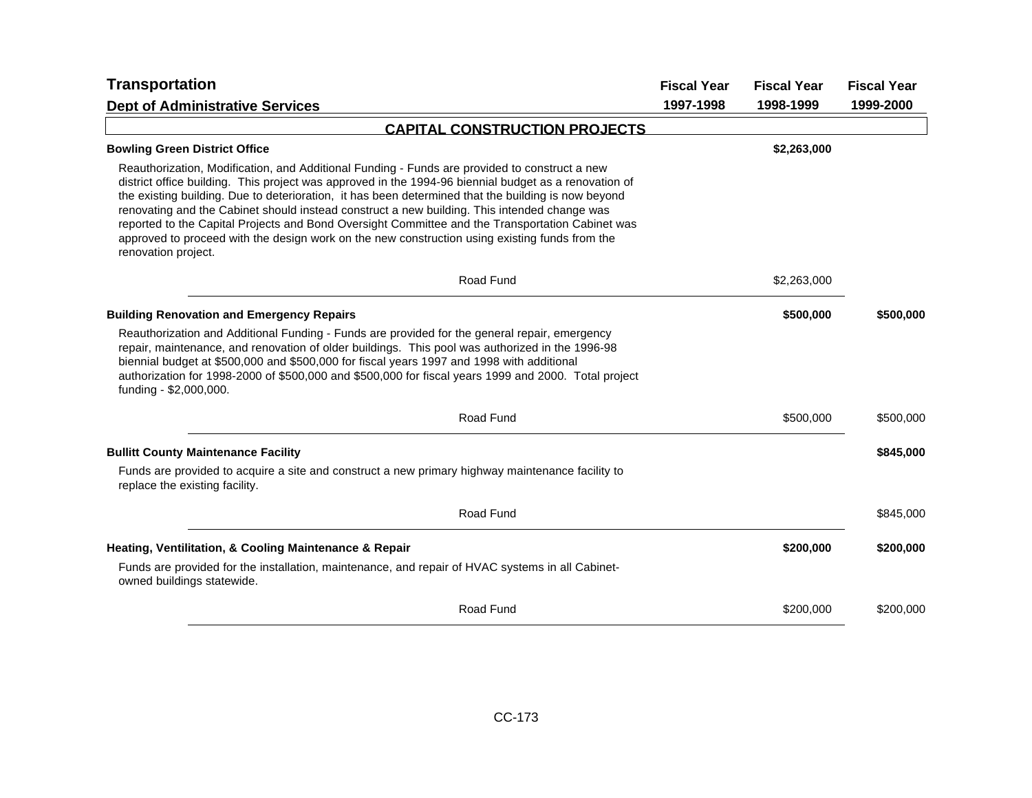| <b>Transportation</b>                                                                                                                                                                                                                                                                                                                                                                                                                                                                                                                                                                                                                      | <b>Fiscal Year</b> | <b>Fiscal Year</b> | <b>Fiscal Year</b> |
|--------------------------------------------------------------------------------------------------------------------------------------------------------------------------------------------------------------------------------------------------------------------------------------------------------------------------------------------------------------------------------------------------------------------------------------------------------------------------------------------------------------------------------------------------------------------------------------------------------------------------------------------|--------------------|--------------------|--------------------|
| <b>Dept of Administrative Services</b>                                                                                                                                                                                                                                                                                                                                                                                                                                                                                                                                                                                                     | 1997-1998          | 1998-1999          | 1999-2000          |
| <b>CAPITAL CONSTRUCTION PROJECTS</b>                                                                                                                                                                                                                                                                                                                                                                                                                                                                                                                                                                                                       |                    |                    |                    |
| <b>Bowling Green District Office</b>                                                                                                                                                                                                                                                                                                                                                                                                                                                                                                                                                                                                       |                    | \$2,263,000        |                    |
| Reauthorization, Modification, and Additional Funding - Funds are provided to construct a new<br>district office building. This project was approved in the 1994-96 biennial budget as a renovation of<br>the existing building. Due to deterioration, it has been determined that the building is now beyond<br>renovating and the Cabinet should instead construct a new building. This intended change was<br>reported to the Capital Projects and Bond Oversight Committee and the Transportation Cabinet was<br>approved to proceed with the design work on the new construction using existing funds from the<br>renovation project. |                    |                    |                    |
| Road Fund                                                                                                                                                                                                                                                                                                                                                                                                                                                                                                                                                                                                                                  |                    | \$2,263,000        |                    |
| <b>Building Renovation and Emergency Repairs</b>                                                                                                                                                                                                                                                                                                                                                                                                                                                                                                                                                                                           |                    | \$500,000          | \$500,000          |
| Reauthorization and Additional Funding - Funds are provided for the general repair, emergency<br>repair, maintenance, and renovation of older buildings. This pool was authorized in the 1996-98<br>biennial budget at \$500,000 and \$500,000 for fiscal years 1997 and 1998 with additional<br>authorization for 1998-2000 of \$500,000 and \$500,000 for fiscal years 1999 and 2000. Total project<br>funding - \$2,000,000.                                                                                                                                                                                                            |                    |                    |                    |
| Road Fund                                                                                                                                                                                                                                                                                                                                                                                                                                                                                                                                                                                                                                  |                    | \$500,000          | \$500,000          |
| <b>Bullitt County Maintenance Facility</b>                                                                                                                                                                                                                                                                                                                                                                                                                                                                                                                                                                                                 |                    |                    | \$845,000          |
| Funds are provided to acquire a site and construct a new primary highway maintenance facility to<br>replace the existing facility.                                                                                                                                                                                                                                                                                                                                                                                                                                                                                                         |                    |                    |                    |
| Road Fund                                                                                                                                                                                                                                                                                                                                                                                                                                                                                                                                                                                                                                  |                    |                    | \$845,000          |
| Heating, Ventilitation, & Cooling Maintenance & Repair                                                                                                                                                                                                                                                                                                                                                                                                                                                                                                                                                                                     |                    | \$200,000          | \$200,000          |
| Funds are provided for the installation, maintenance, and repair of HVAC systems in all Cabinet-<br>owned buildings statewide.                                                                                                                                                                                                                                                                                                                                                                                                                                                                                                             |                    |                    |                    |
| Road Fund                                                                                                                                                                                                                                                                                                                                                                                                                                                                                                                                                                                                                                  |                    | \$200,000          | \$200,000          |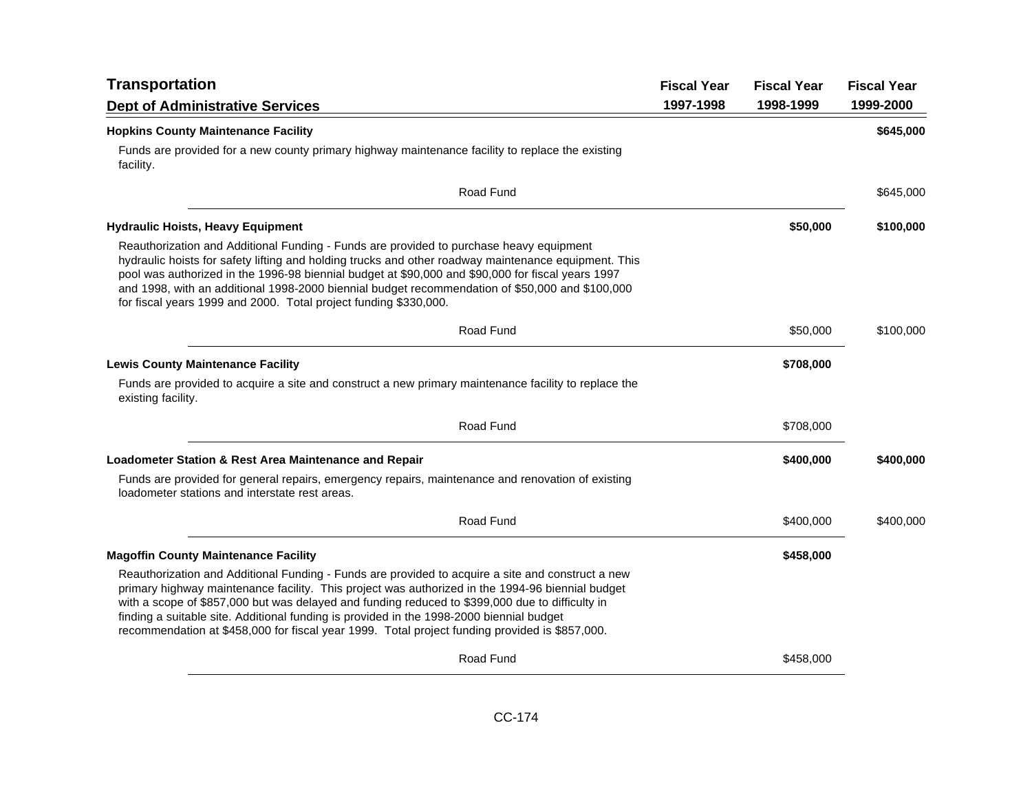| <b>Transportation</b>                                                                                                                                                                                                                                                                                                                                                                                                                                                                                  | <b>Fiscal Year</b> | <b>Fiscal Year</b> | <b>Fiscal Year</b> |
|--------------------------------------------------------------------------------------------------------------------------------------------------------------------------------------------------------------------------------------------------------------------------------------------------------------------------------------------------------------------------------------------------------------------------------------------------------------------------------------------------------|--------------------|--------------------|--------------------|
| <b>Dept of Administrative Services</b>                                                                                                                                                                                                                                                                                                                                                                                                                                                                 | 1997-1998          | 1998-1999          | 1999-2000          |
| <b>Hopkins County Maintenance Facility</b>                                                                                                                                                                                                                                                                                                                                                                                                                                                             |                    |                    | \$645,000          |
| Funds are provided for a new county primary highway maintenance facility to replace the existing<br>facility.                                                                                                                                                                                                                                                                                                                                                                                          |                    |                    |                    |
| Road Fund                                                                                                                                                                                                                                                                                                                                                                                                                                                                                              |                    |                    | \$645,000          |
| <b>Hydraulic Hoists, Heavy Equipment</b>                                                                                                                                                                                                                                                                                                                                                                                                                                                               |                    | \$50,000           | \$100,000          |
| Reauthorization and Additional Funding - Funds are provided to purchase heavy equipment<br>hydraulic hoists for safety lifting and holding trucks and other roadway maintenance equipment. This<br>pool was authorized in the 1996-98 biennial budget at \$90,000 and \$90,000 for fiscal years 1997<br>and 1998, with an additional 1998-2000 biennial budget recommendation of \$50,000 and \$100,000<br>for fiscal years 1999 and 2000. Total project funding \$330,000.                            |                    |                    |                    |
| Road Fund                                                                                                                                                                                                                                                                                                                                                                                                                                                                                              |                    | \$50,000           | \$100,000          |
| <b>Lewis County Maintenance Facility</b>                                                                                                                                                                                                                                                                                                                                                                                                                                                               |                    | \$708,000          |                    |
| Funds are provided to acquire a site and construct a new primary maintenance facility to replace the<br>existing facility.                                                                                                                                                                                                                                                                                                                                                                             |                    |                    |                    |
| Road Fund                                                                                                                                                                                                                                                                                                                                                                                                                                                                                              |                    | \$708,000          |                    |
| Loadometer Station & Rest Area Maintenance and Repair                                                                                                                                                                                                                                                                                                                                                                                                                                                  |                    | \$400,000          | \$400,000          |
| Funds are provided for general repairs, emergency repairs, maintenance and renovation of existing<br>loadometer stations and interstate rest areas.                                                                                                                                                                                                                                                                                                                                                    |                    |                    |                    |
| Road Fund                                                                                                                                                                                                                                                                                                                                                                                                                                                                                              |                    | \$400,000          | \$400,000          |
| <b>Magoffin County Maintenance Facility</b>                                                                                                                                                                                                                                                                                                                                                                                                                                                            |                    | \$458,000          |                    |
| Reauthorization and Additional Funding - Funds are provided to acquire a site and construct a new<br>primary highway maintenance facility. This project was authorized in the 1994-96 biennial budget<br>with a scope of \$857,000 but was delayed and funding reduced to \$399,000 due to difficulty in<br>finding a suitable site. Additional funding is provided in the 1998-2000 biennial budget<br>recommendation at \$458,000 for fiscal year 1999. Total project funding provided is \$857,000. |                    |                    |                    |
| Road Fund                                                                                                                                                                                                                                                                                                                                                                                                                                                                                              |                    | \$458,000          |                    |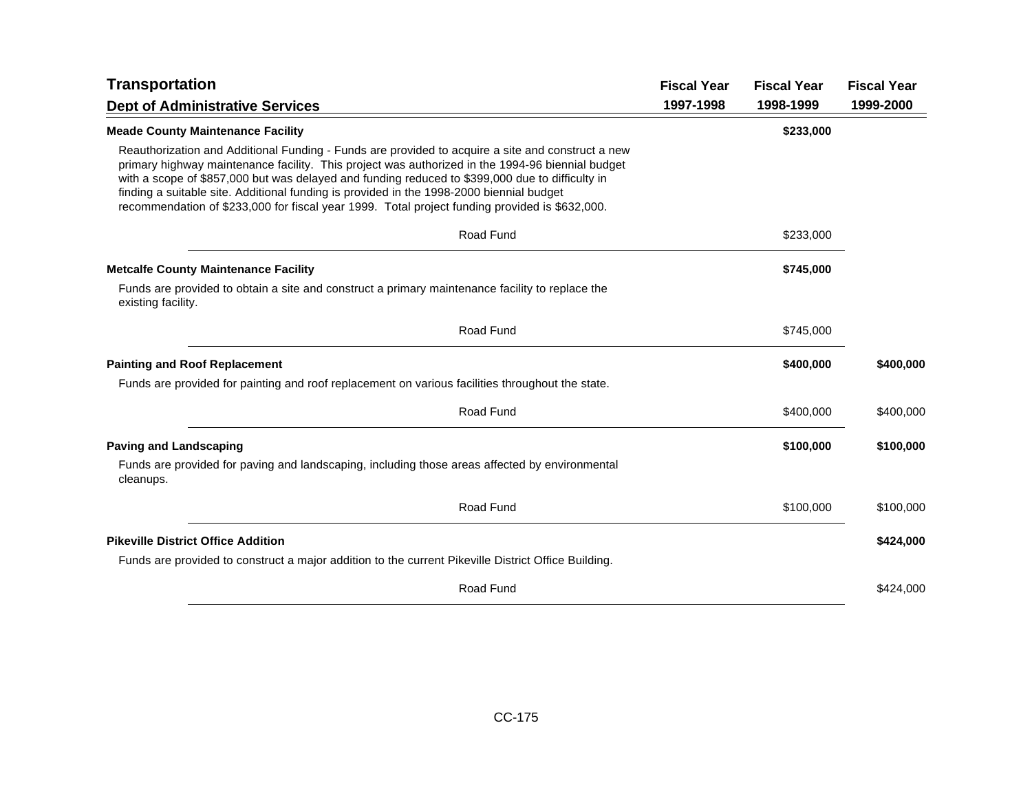| <b>Transportation</b>                                                                                                                                                                                                                                                                                                                                                                                                                                                                                  | <b>Fiscal Year</b> | <b>Fiscal Year</b> | <b>Fiscal Year</b> |
|--------------------------------------------------------------------------------------------------------------------------------------------------------------------------------------------------------------------------------------------------------------------------------------------------------------------------------------------------------------------------------------------------------------------------------------------------------------------------------------------------------|--------------------|--------------------|--------------------|
| <b>Dept of Administrative Services</b>                                                                                                                                                                                                                                                                                                                                                                                                                                                                 | 1997-1998          | 1998-1999          | 1999-2000          |
| <b>Meade County Maintenance Facility</b>                                                                                                                                                                                                                                                                                                                                                                                                                                                               |                    | \$233,000          |                    |
| Reauthorization and Additional Funding - Funds are provided to acquire a site and construct a new<br>primary highway maintenance facility. This project was authorized in the 1994-96 biennial budget<br>with a scope of \$857,000 but was delayed and funding reduced to \$399,000 due to difficulty in<br>finding a suitable site. Additional funding is provided in the 1998-2000 biennial budget<br>recommendation of \$233,000 for fiscal year 1999. Total project funding provided is \$632,000. |                    |                    |                    |
| Road Fund                                                                                                                                                                                                                                                                                                                                                                                                                                                                                              |                    | \$233,000          |                    |
| <b>Metcalfe County Maintenance Facility</b>                                                                                                                                                                                                                                                                                                                                                                                                                                                            |                    | \$745,000          |                    |
| Funds are provided to obtain a site and construct a primary maintenance facility to replace the<br>existing facility.                                                                                                                                                                                                                                                                                                                                                                                  |                    |                    |                    |
| Road Fund                                                                                                                                                                                                                                                                                                                                                                                                                                                                                              |                    | \$745,000          |                    |
| <b>Painting and Roof Replacement</b>                                                                                                                                                                                                                                                                                                                                                                                                                                                                   |                    | \$400,000          | \$400,000          |
| Funds are provided for painting and roof replacement on various facilities throughout the state.                                                                                                                                                                                                                                                                                                                                                                                                       |                    |                    |                    |
| Road Fund                                                                                                                                                                                                                                                                                                                                                                                                                                                                                              |                    | \$400,000          | \$400,000          |
| <b>Paving and Landscaping</b>                                                                                                                                                                                                                                                                                                                                                                                                                                                                          |                    | \$100,000          | \$100,000          |
| Funds are provided for paving and landscaping, including those areas affected by environmental<br>cleanups.                                                                                                                                                                                                                                                                                                                                                                                            |                    |                    |                    |
| Road Fund                                                                                                                                                                                                                                                                                                                                                                                                                                                                                              |                    | \$100,000          | \$100,000          |
| <b>Pikeville District Office Addition</b>                                                                                                                                                                                                                                                                                                                                                                                                                                                              |                    |                    | \$424,000          |
| Funds are provided to construct a major addition to the current Pikeville District Office Building.                                                                                                                                                                                                                                                                                                                                                                                                    |                    |                    |                    |
| Road Fund                                                                                                                                                                                                                                                                                                                                                                                                                                                                                              |                    |                    | \$424,000          |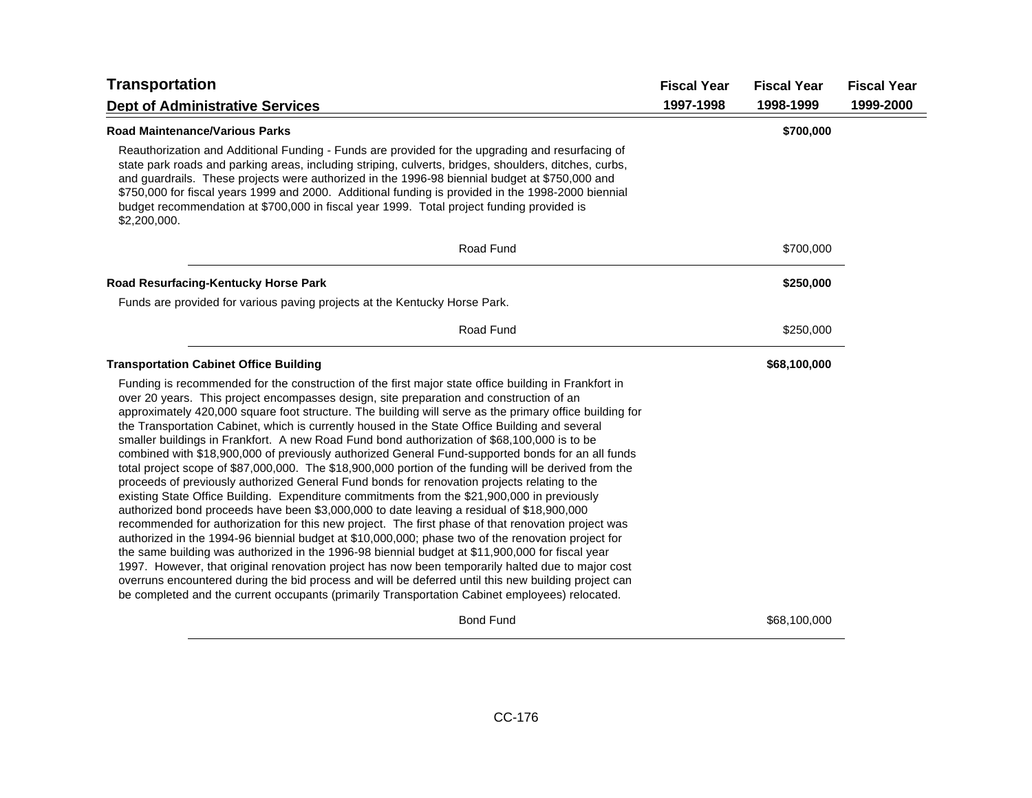| <b>Transportation</b>                                                                                                                                                                                                                                                                                                                                                                                                                                                                                                                                                                                                                                                                                                                                                                                                                                                                                                                                                                                                                                                                                                                                                                                                                                                                                                                                                                                                                                                                                                                                                                                                                               | <b>Fiscal Year</b> | <b>Fiscal Year</b> | <b>Fiscal Year</b> |
|-----------------------------------------------------------------------------------------------------------------------------------------------------------------------------------------------------------------------------------------------------------------------------------------------------------------------------------------------------------------------------------------------------------------------------------------------------------------------------------------------------------------------------------------------------------------------------------------------------------------------------------------------------------------------------------------------------------------------------------------------------------------------------------------------------------------------------------------------------------------------------------------------------------------------------------------------------------------------------------------------------------------------------------------------------------------------------------------------------------------------------------------------------------------------------------------------------------------------------------------------------------------------------------------------------------------------------------------------------------------------------------------------------------------------------------------------------------------------------------------------------------------------------------------------------------------------------------------------------------------------------------------------------|--------------------|--------------------|--------------------|
| <b>Dept of Administrative Services</b>                                                                                                                                                                                                                                                                                                                                                                                                                                                                                                                                                                                                                                                                                                                                                                                                                                                                                                                                                                                                                                                                                                                                                                                                                                                                                                                                                                                                                                                                                                                                                                                                              | 1997-1998          | 1998-1999          | 1999-2000          |
| <b>Road Maintenance/Various Parks</b>                                                                                                                                                                                                                                                                                                                                                                                                                                                                                                                                                                                                                                                                                                                                                                                                                                                                                                                                                                                                                                                                                                                                                                                                                                                                                                                                                                                                                                                                                                                                                                                                               |                    | \$700,000          |                    |
| Reauthorization and Additional Funding - Funds are provided for the upgrading and resurfacing of<br>state park roads and parking areas, including striping, culverts, bridges, shoulders, ditches, curbs,<br>and guardrails. These projects were authorized in the 1996-98 biennial budget at \$750,000 and<br>\$750,000 for fiscal years 1999 and 2000. Additional funding is provided in the 1998-2000 biennial<br>budget recommendation at \$700,000 in fiscal year 1999. Total project funding provided is<br>\$2,200,000.                                                                                                                                                                                                                                                                                                                                                                                                                                                                                                                                                                                                                                                                                                                                                                                                                                                                                                                                                                                                                                                                                                                      |                    |                    |                    |
| Road Fund                                                                                                                                                                                                                                                                                                                                                                                                                                                                                                                                                                                                                                                                                                                                                                                                                                                                                                                                                                                                                                                                                                                                                                                                                                                                                                                                                                                                                                                                                                                                                                                                                                           |                    | \$700,000          |                    |
| <b>Road Resurfacing-Kentucky Horse Park</b>                                                                                                                                                                                                                                                                                                                                                                                                                                                                                                                                                                                                                                                                                                                                                                                                                                                                                                                                                                                                                                                                                                                                                                                                                                                                                                                                                                                                                                                                                                                                                                                                         |                    | \$250,000          |                    |
| Funds are provided for various paving projects at the Kentucky Horse Park.                                                                                                                                                                                                                                                                                                                                                                                                                                                                                                                                                                                                                                                                                                                                                                                                                                                                                                                                                                                                                                                                                                                                                                                                                                                                                                                                                                                                                                                                                                                                                                          |                    |                    |                    |
| Road Fund                                                                                                                                                                                                                                                                                                                                                                                                                                                                                                                                                                                                                                                                                                                                                                                                                                                                                                                                                                                                                                                                                                                                                                                                                                                                                                                                                                                                                                                                                                                                                                                                                                           |                    | \$250,000          |                    |
| <b>Transportation Cabinet Office Building</b>                                                                                                                                                                                                                                                                                                                                                                                                                                                                                                                                                                                                                                                                                                                                                                                                                                                                                                                                                                                                                                                                                                                                                                                                                                                                                                                                                                                                                                                                                                                                                                                                       |                    | \$68,100,000       |                    |
| Funding is recommended for the construction of the first major state office building in Frankfort in<br>over 20 years. This project encompasses design, site preparation and construction of an<br>approximately 420,000 square foot structure. The building will serve as the primary office building for<br>the Transportation Cabinet, which is currently housed in the State Office Building and several<br>smaller buildings in Frankfort. A new Road Fund bond authorization of \$68,100,000 is to be<br>combined with \$18,900,000 of previously authorized General Fund-supported bonds for an all funds<br>total project scope of \$87,000,000. The \$18,900,000 portion of the funding will be derived from the<br>proceeds of previously authorized General Fund bonds for renovation projects relating to the<br>existing State Office Building. Expenditure commitments from the \$21,900,000 in previously<br>authorized bond proceeds have been \$3,000,000 to date leaving a residual of \$18,900,000<br>recommended for authorization for this new project. The first phase of that renovation project was<br>authorized in the 1994-96 biennial budget at \$10,000,000; phase two of the renovation project for<br>the same building was authorized in the 1996-98 biennial budget at \$11,900,000 for fiscal year<br>1997. However, that original renovation project has now been temporarily halted due to major cost<br>overruns encountered during the bid process and will be deferred until this new building project can<br>be completed and the current occupants (primarily Transportation Cabinet employees) relocated. |                    |                    |                    |
| <b>Bond Fund</b>                                                                                                                                                                                                                                                                                                                                                                                                                                                                                                                                                                                                                                                                                                                                                                                                                                                                                                                                                                                                                                                                                                                                                                                                                                                                                                                                                                                                                                                                                                                                                                                                                                    |                    | \$68,100,000       |                    |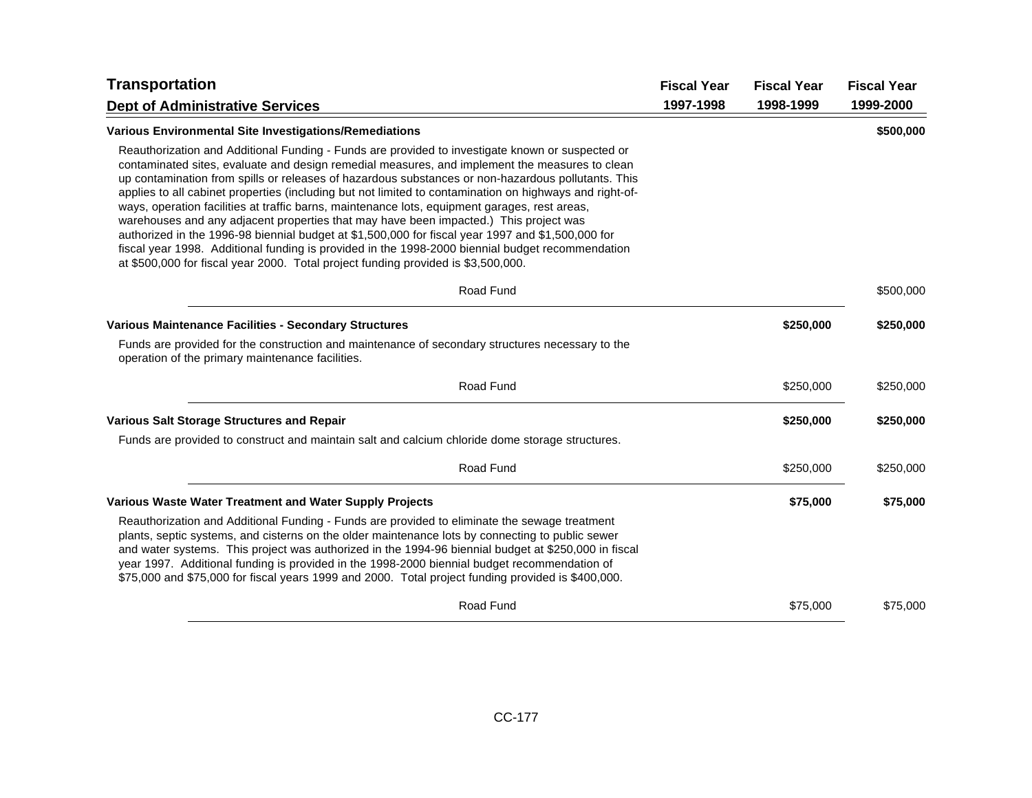| <b>Transportation</b>                                                                                                                                                                                                                                                                                                                                                                                                                                                                                                                                                                                                                                                                                                                                                                                                                                                                                       | <b>Fiscal Year</b> | <b>Fiscal Year</b> | <b>Fiscal Year</b> |
|-------------------------------------------------------------------------------------------------------------------------------------------------------------------------------------------------------------------------------------------------------------------------------------------------------------------------------------------------------------------------------------------------------------------------------------------------------------------------------------------------------------------------------------------------------------------------------------------------------------------------------------------------------------------------------------------------------------------------------------------------------------------------------------------------------------------------------------------------------------------------------------------------------------|--------------------|--------------------|--------------------|
| <b>Dept of Administrative Services</b>                                                                                                                                                                                                                                                                                                                                                                                                                                                                                                                                                                                                                                                                                                                                                                                                                                                                      | 1997-1998          | 1998-1999          | 1999-2000          |
| <b>Various Environmental Site Investigations/Remediations</b>                                                                                                                                                                                                                                                                                                                                                                                                                                                                                                                                                                                                                                                                                                                                                                                                                                               |                    |                    | \$500,000          |
| Reauthorization and Additional Funding - Funds are provided to investigate known or suspected or<br>contaminated sites, evaluate and design remedial measures, and implement the measures to clean<br>up contamination from spills or releases of hazardous substances or non-hazardous pollutants. This<br>applies to all cabinet properties (including but not limited to contamination on highways and right-of-<br>ways, operation facilities at traffic barns, maintenance lots, equipment garages, rest areas,<br>warehouses and any adjacent properties that may have been impacted.) This project was<br>authorized in the 1996-98 biennial budget at \$1,500,000 for fiscal year 1997 and \$1,500,000 for<br>fiscal year 1998. Additional funding is provided in the 1998-2000 biennial budget recommendation<br>at \$500,000 for fiscal year 2000. Total project funding provided is \$3,500,000. |                    |                    |                    |
| Road Fund                                                                                                                                                                                                                                                                                                                                                                                                                                                                                                                                                                                                                                                                                                                                                                                                                                                                                                   |                    |                    | \$500,000          |
| Various Maintenance Facilities - Secondary Structures                                                                                                                                                                                                                                                                                                                                                                                                                                                                                                                                                                                                                                                                                                                                                                                                                                                       |                    | \$250,000          | \$250,000          |
| Funds are provided for the construction and maintenance of secondary structures necessary to the<br>operation of the primary maintenance facilities.                                                                                                                                                                                                                                                                                                                                                                                                                                                                                                                                                                                                                                                                                                                                                        |                    |                    |                    |
| Road Fund                                                                                                                                                                                                                                                                                                                                                                                                                                                                                                                                                                                                                                                                                                                                                                                                                                                                                                   |                    | \$250,000          | \$250,000          |
| <b>Various Salt Storage Structures and Repair</b>                                                                                                                                                                                                                                                                                                                                                                                                                                                                                                                                                                                                                                                                                                                                                                                                                                                           |                    | \$250,000          | \$250,000          |
| Funds are provided to construct and maintain salt and calcium chloride dome storage structures.                                                                                                                                                                                                                                                                                                                                                                                                                                                                                                                                                                                                                                                                                                                                                                                                             |                    |                    |                    |
| Road Fund                                                                                                                                                                                                                                                                                                                                                                                                                                                                                                                                                                                                                                                                                                                                                                                                                                                                                                   |                    | \$250,000          | \$250,000          |
| Various Waste Water Treatment and Water Supply Projects                                                                                                                                                                                                                                                                                                                                                                                                                                                                                                                                                                                                                                                                                                                                                                                                                                                     |                    | \$75,000           | \$75,000           |
| Reauthorization and Additional Funding - Funds are provided to eliminate the sewage treatment<br>plants, septic systems, and cisterns on the older maintenance lots by connecting to public sewer<br>and water systems. This project was authorized in the 1994-96 biennial budget at \$250,000 in fiscal<br>year 1997. Additional funding is provided in the 1998-2000 biennial budget recommendation of<br>\$75,000 and \$75,000 for fiscal years 1999 and 2000. Total project funding provided is \$400,000.                                                                                                                                                                                                                                                                                                                                                                                             |                    |                    |                    |
| Road Fund                                                                                                                                                                                                                                                                                                                                                                                                                                                                                                                                                                                                                                                                                                                                                                                                                                                                                                   |                    | \$75,000           | \$75,000           |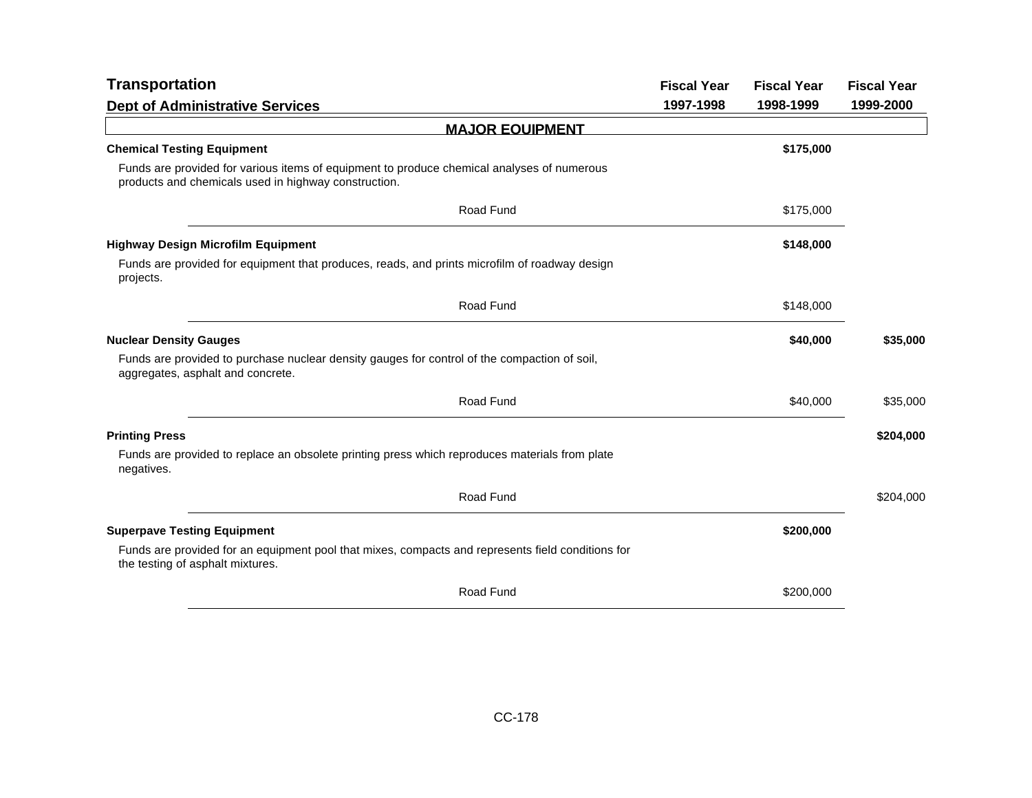| <b>Transportation</b>                                                                                                                              | <b>Fiscal Year</b> | <b>Fiscal Year</b> | <b>Fiscal Year</b> |
|----------------------------------------------------------------------------------------------------------------------------------------------------|--------------------|--------------------|--------------------|
| <b>Dept of Administrative Services</b>                                                                                                             | 1997-1998          | 1998-1999          | 1999-2000          |
| <b>MAJOR EQUIPMENT</b>                                                                                                                             |                    |                    |                    |
| <b>Chemical Testing Equipment</b>                                                                                                                  |                    | \$175,000          |                    |
| Funds are provided for various items of equipment to produce chemical analyses of numerous<br>products and chemicals used in highway construction. |                    |                    |                    |
| Road Fund                                                                                                                                          |                    | \$175,000          |                    |
| <b>Highway Design Microfilm Equipment</b>                                                                                                          |                    | \$148,000          |                    |
| Funds are provided for equipment that produces, reads, and prints microfilm of roadway design<br>projects.                                         |                    |                    |                    |
| Road Fund                                                                                                                                          |                    | \$148,000          |                    |
| <b>Nuclear Density Gauges</b>                                                                                                                      |                    | \$40,000           | \$35,000           |
| Funds are provided to purchase nuclear density gauges for control of the compaction of soil,<br>aggregates, asphalt and concrete.                  |                    |                    |                    |
| Road Fund                                                                                                                                          |                    | \$40,000           | \$35,000           |
| <b>Printing Press</b>                                                                                                                              |                    |                    | \$204,000          |
| Funds are provided to replace an obsolete printing press which reproduces materials from plate<br>negatives.                                       |                    |                    |                    |
| Road Fund                                                                                                                                          |                    |                    | \$204,000          |
| <b>Superpave Testing Equipment</b>                                                                                                                 |                    | \$200,000          |                    |
| Funds are provided for an equipment pool that mixes, compacts and represents field conditions for<br>the testing of asphalt mixtures.              |                    |                    |                    |
| Road Fund                                                                                                                                          |                    | \$200,000          |                    |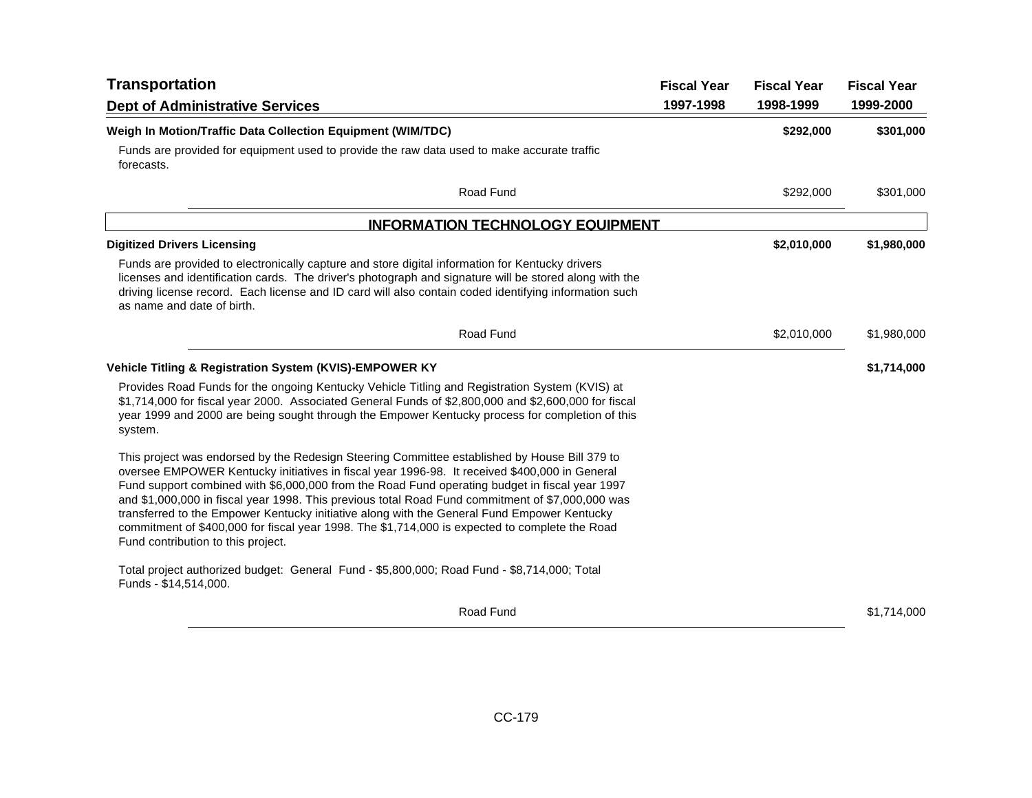| <b>Transportation</b>                                                                                                                                                                                                                                                                                                                                                                                                                                                                                                                                                                                                                       | <b>Fiscal Year</b> | <b>Fiscal Year</b> | <b>Fiscal Year</b> |
|---------------------------------------------------------------------------------------------------------------------------------------------------------------------------------------------------------------------------------------------------------------------------------------------------------------------------------------------------------------------------------------------------------------------------------------------------------------------------------------------------------------------------------------------------------------------------------------------------------------------------------------------|--------------------|--------------------|--------------------|
| <b>Dept of Administrative Services</b>                                                                                                                                                                                                                                                                                                                                                                                                                                                                                                                                                                                                      | 1997-1998          | 1998-1999          | 1999-2000          |
| Weigh In Motion/Traffic Data Collection Equipment (WIM/TDC)                                                                                                                                                                                                                                                                                                                                                                                                                                                                                                                                                                                 |                    | \$292,000          | \$301,000          |
| Funds are provided for equipment used to provide the raw data used to make accurate traffic<br>forecasts.                                                                                                                                                                                                                                                                                                                                                                                                                                                                                                                                   |                    |                    |                    |
| Road Fund                                                                                                                                                                                                                                                                                                                                                                                                                                                                                                                                                                                                                                   |                    | \$292,000          | \$301,000          |
| <b>INFORMATION TECHNOLOGY EQUIPMENT</b>                                                                                                                                                                                                                                                                                                                                                                                                                                                                                                                                                                                                     |                    |                    |                    |
| <b>Digitized Drivers Licensing</b>                                                                                                                                                                                                                                                                                                                                                                                                                                                                                                                                                                                                          |                    | \$2,010,000        | \$1,980,000        |
| Funds are provided to electronically capture and store digital information for Kentucky drivers<br>licenses and identification cards. The driver's photograph and signature will be stored along with the<br>driving license record. Each license and ID card will also contain coded identifying information such<br>as name and date of birth.                                                                                                                                                                                                                                                                                            |                    |                    |                    |
| Road Fund                                                                                                                                                                                                                                                                                                                                                                                                                                                                                                                                                                                                                                   |                    | \$2,010,000        | \$1,980,000        |
| Vehicle Titling & Registration System (KVIS)-EMPOWER KY                                                                                                                                                                                                                                                                                                                                                                                                                                                                                                                                                                                     |                    |                    | \$1,714,000        |
| Provides Road Funds for the ongoing Kentucky Vehicle Titling and Registration System (KVIS) at<br>\$1,714,000 for fiscal year 2000. Associated General Funds of \$2,800,000 and \$2,600,000 for fiscal<br>year 1999 and 2000 are being sought through the Empower Kentucky process for completion of this<br>system.                                                                                                                                                                                                                                                                                                                        |                    |                    |                    |
| This project was endorsed by the Redesign Steering Committee established by House Bill 379 to<br>oversee EMPOWER Kentucky initiatives in fiscal year 1996-98. It received \$400,000 in General<br>Fund support combined with \$6,000,000 from the Road Fund operating budget in fiscal year 1997<br>and \$1,000,000 in fiscal year 1998. This previous total Road Fund commitment of \$7,000,000 was<br>transferred to the Empower Kentucky initiative along with the General Fund Empower Kentucky<br>commitment of \$400,000 for fiscal year 1998. The \$1,714,000 is expected to complete the Road<br>Fund contribution to this project. |                    |                    |                    |
| Total project authorized budget: General Fund - \$5,800,000; Road Fund - \$8,714,000; Total<br>Funds - \$14,514,000.                                                                                                                                                                                                                                                                                                                                                                                                                                                                                                                        |                    |                    |                    |
| Road Fund                                                                                                                                                                                                                                                                                                                                                                                                                                                                                                                                                                                                                                   |                    |                    | \$1,714,000        |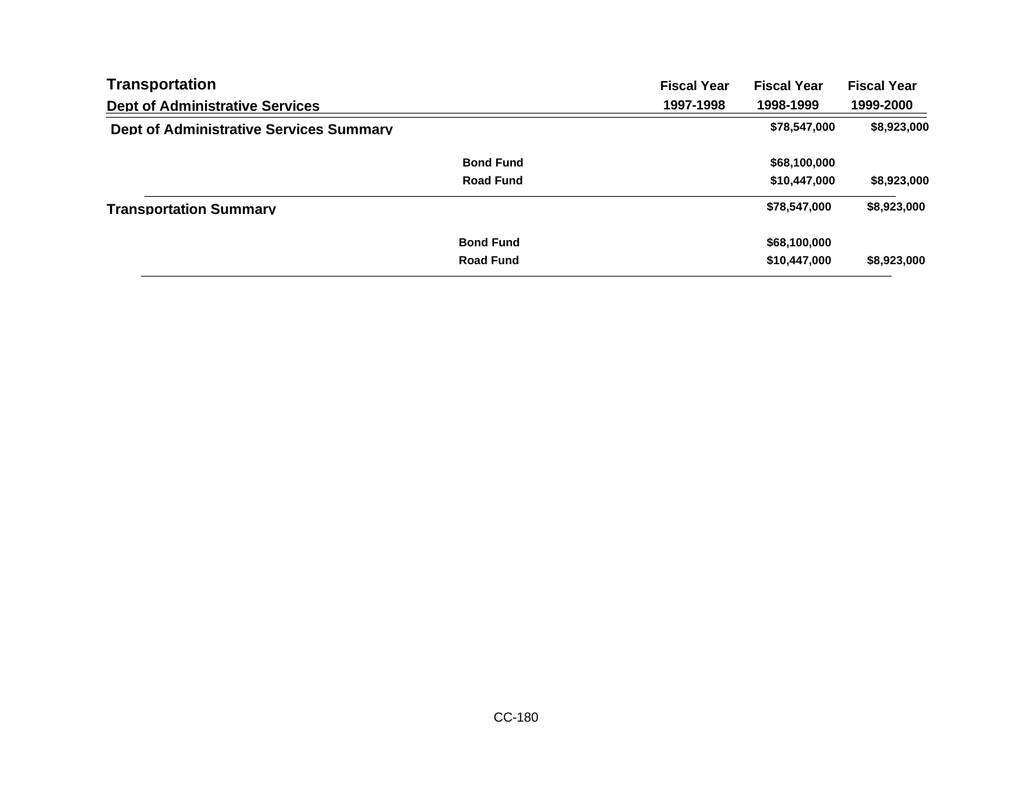| Transportation                                 |                  | <b>Fiscal Year</b> | <b>Fiscal Year</b> | <b>Fiscal Year</b> |
|------------------------------------------------|------------------|--------------------|--------------------|--------------------|
| <b>Dept of Administrative Services</b>         |                  | 1997-1998          | 1998-1999          | 1999-2000          |
| <b>Dept of Administrative Services Summary</b> |                  |                    | \$78,547,000       | \$8,923,000        |
|                                                | <b>Bond Fund</b> |                    | \$68,100,000       |                    |
|                                                | <b>Road Fund</b> |                    | \$10,447,000       | \$8,923,000        |
| <b>Transportation Summary</b>                  |                  |                    | \$78,547,000       | \$8,923,000        |
|                                                | <b>Bond Fund</b> |                    | \$68,100,000       |                    |
|                                                | <b>Road Fund</b> |                    | \$10,447,000       | \$8,923,000        |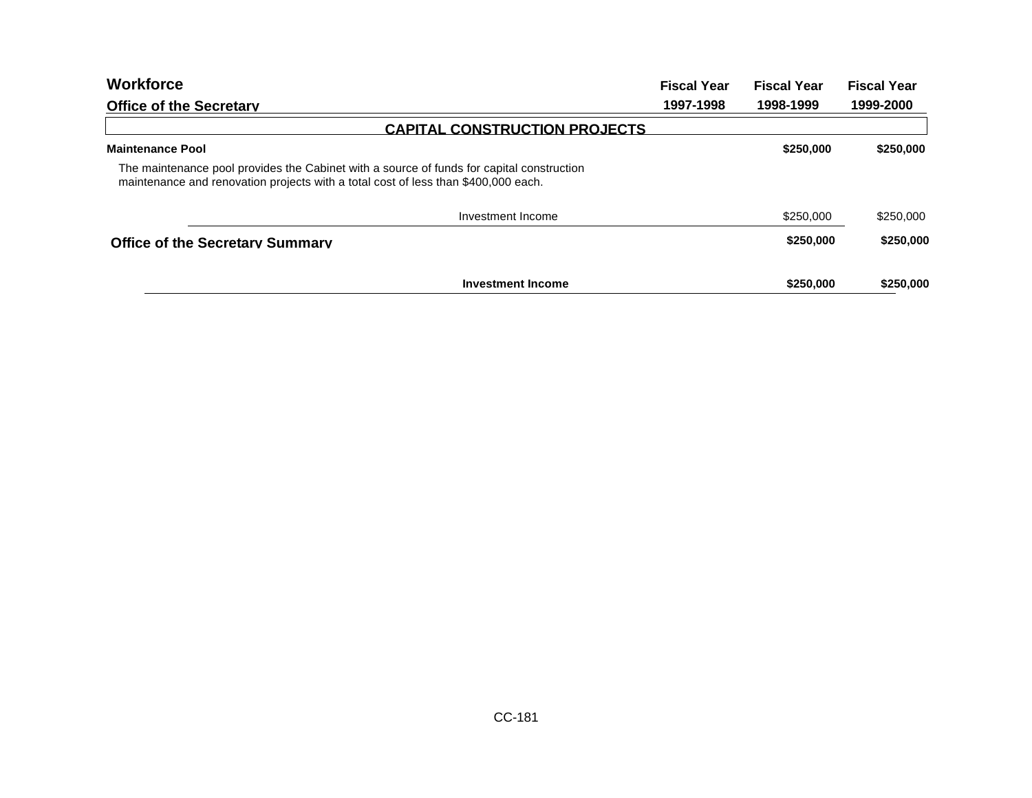| <b>Workforce</b>                                                                                                                                                                | <b>Fiscal Year</b> | <b>Fiscal Year</b> | <b>Fiscal Year</b> |
|---------------------------------------------------------------------------------------------------------------------------------------------------------------------------------|--------------------|--------------------|--------------------|
| <b>Office of the Secretary</b>                                                                                                                                                  | 1997-1998          | 1998-1999          | 1999-2000          |
| <b>CAPITAL CONSTRUCTION PROJECTS</b>                                                                                                                                            |                    |                    |                    |
| <b>Maintenance Pool</b>                                                                                                                                                         |                    | \$250,000          | \$250,000          |
| The maintenance pool provides the Cabinet with a source of funds for capital construction<br>maintenance and renovation projects with a total cost of less than \$400,000 each. |                    |                    |                    |
| Investment Income                                                                                                                                                               |                    | \$250,000          | \$250,000          |
| <b>Office of the Secretary Summary</b>                                                                                                                                          |                    | \$250,000          | \$250,000          |
| <b>Investment Income</b>                                                                                                                                                        |                    | \$250,000          | \$250,000          |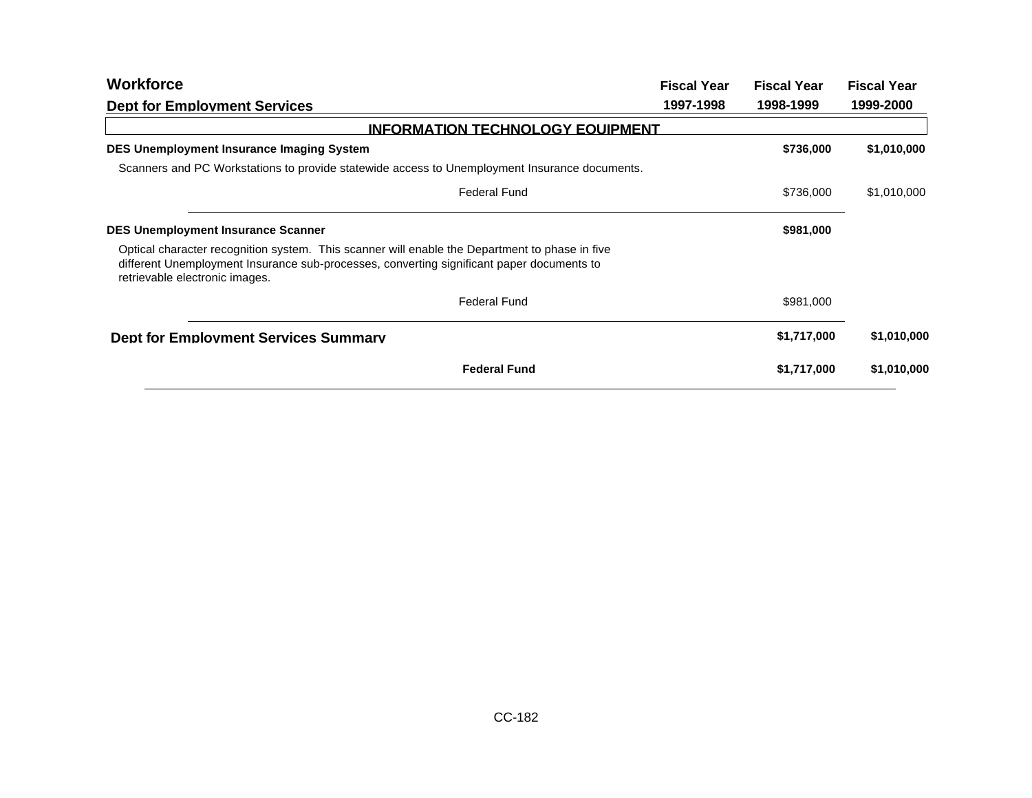| <b>Workforce</b>                                                                                                                                                                                                              | <b>Fiscal Year</b> | <b>Fiscal Year</b> | <b>Fiscal Year</b> |
|-------------------------------------------------------------------------------------------------------------------------------------------------------------------------------------------------------------------------------|--------------------|--------------------|--------------------|
| <b>Dept for Employment Services</b>                                                                                                                                                                                           | 1997-1998          | 1998-1999          | 1999-2000          |
| <b>INFORMATION TECHNOLOGY EQUIPMENT</b>                                                                                                                                                                                       |                    |                    |                    |
| <b>DES Unemployment Insurance Imaging System</b>                                                                                                                                                                              |                    | \$736,000          | \$1,010,000        |
| Scanners and PC Workstations to provide statewide access to Unemployment Insurance documents.                                                                                                                                 |                    |                    |                    |
| <b>Federal Fund</b>                                                                                                                                                                                                           |                    | \$736,000          | \$1,010,000        |
| <b>DES Unemployment Insurance Scanner</b>                                                                                                                                                                                     |                    | \$981,000          |                    |
| Optical character recognition system. This scanner will enable the Department to phase in five<br>different Unemployment Insurance sub-processes, converting significant paper documents to<br>retrievable electronic images. |                    |                    |                    |
| <b>Federal Fund</b>                                                                                                                                                                                                           |                    | \$981,000          |                    |
| <b>Dept for Employment Services Summary</b>                                                                                                                                                                                   |                    | \$1,717,000        | \$1,010,000        |
| <b>Federal Fund</b>                                                                                                                                                                                                           |                    | \$1,717,000        | \$1,010,000        |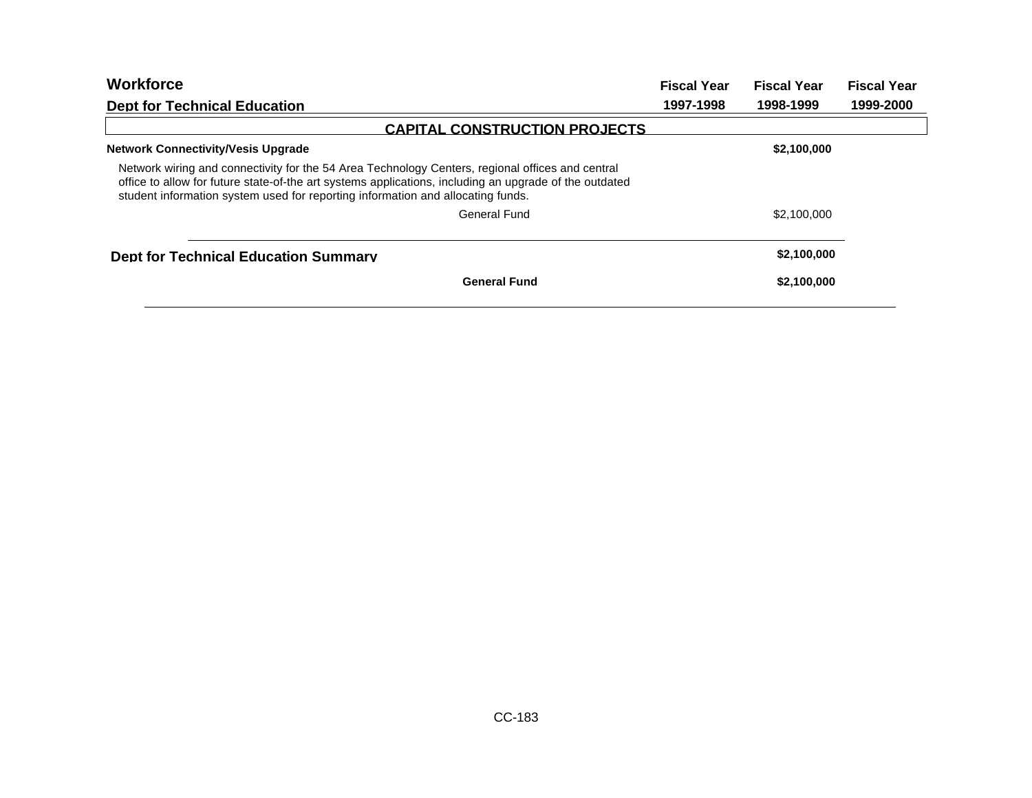| <b>Workforce</b>                                                                                                                                                                                                                                                                              | <b>Fiscal Year</b> | <b>Fiscal Year</b> | <b>Fiscal Year</b> |  |
|-----------------------------------------------------------------------------------------------------------------------------------------------------------------------------------------------------------------------------------------------------------------------------------------------|--------------------|--------------------|--------------------|--|
| <b>Dept for Technical Education</b>                                                                                                                                                                                                                                                           | 1997-1998          | 1998-1999          | 1999-2000          |  |
| <b>CAPITAL CONSTRUCTION PROJECTS</b>                                                                                                                                                                                                                                                          |                    |                    |                    |  |
| <b>Network Connectivity/Vesis Upgrade</b>                                                                                                                                                                                                                                                     |                    | \$2,100,000        |                    |  |
| Network wiring and connectivity for the 54 Area Technology Centers, regional offices and central<br>office to allow for future state-of-the art systems applications, including an upgrade of the outdated<br>student information system used for reporting information and allocating funds. |                    |                    |                    |  |
| General Fund                                                                                                                                                                                                                                                                                  |                    | \$2,100,000        |                    |  |
| <b>Dept for Technical Education Summary</b>                                                                                                                                                                                                                                                   |                    | \$2,100,000        |                    |  |
| <b>General Fund</b>                                                                                                                                                                                                                                                                           |                    | \$2,100,000        |                    |  |
|                                                                                                                                                                                                                                                                                               |                    |                    |                    |  |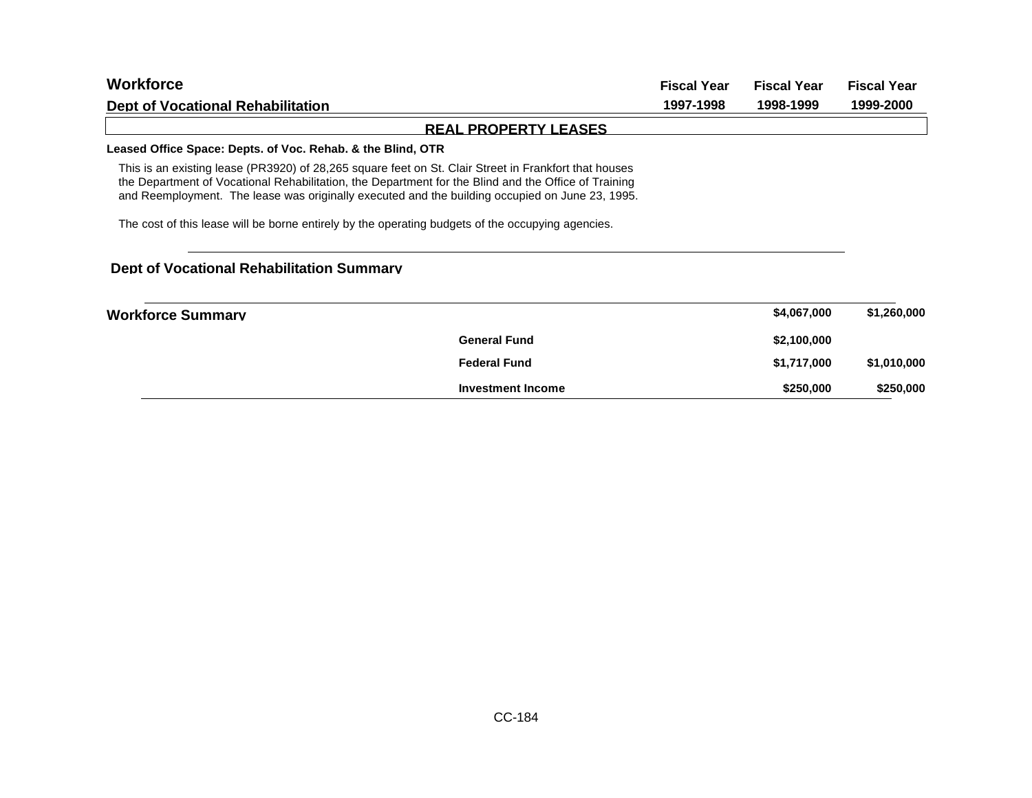| <b>Workforce</b>                                                                                                                                                                                                                                                                                                 | <b>Fiscal Year</b> | <b>Fiscal Year</b><br>1998-1999 | <b>Fiscal Year</b><br>1999-2000 |
|------------------------------------------------------------------------------------------------------------------------------------------------------------------------------------------------------------------------------------------------------------------------------------------------------------------|--------------------|---------------------------------|---------------------------------|
| Dept of Vocational Rehabilitation                                                                                                                                                                                                                                                                                | 1997-1998          |                                 |                                 |
| <b>REAL PROPERTY LEASES</b>                                                                                                                                                                                                                                                                                      |                    |                                 |                                 |
| Leased Office Space: Depts. of Voc. Rehab. & the Blind, OTR                                                                                                                                                                                                                                                      |                    |                                 |                                 |
| This is an existing lease (PR3920) of 28,265 square feet on St. Clair Street in Frankfort that houses<br>the Department of Vocational Rehabilitation, the Department for the Blind and the Office of Training<br>and Reemployment. The lease was originally executed and the building occupied on June 23, 1995. |                    |                                 |                                 |
| The cost of this lease will be borne entirely by the operating budgets of the occupying agencies.                                                                                                                                                                                                                |                    |                                 |                                 |
| Dept of Vocational Rehabilitation Summary                                                                                                                                                                                                                                                                        |                    |                                 |                                 |
| <b>Workforce Summary</b>                                                                                                                                                                                                                                                                                         |                    | \$4,067,000                     | \$1,260,000                     |

**General Fund Federal Fund**

**Investment Income**

**\$2,100,000**

**\$1,717,000 \$1,010,000**

**\$250,000 \$250,000**